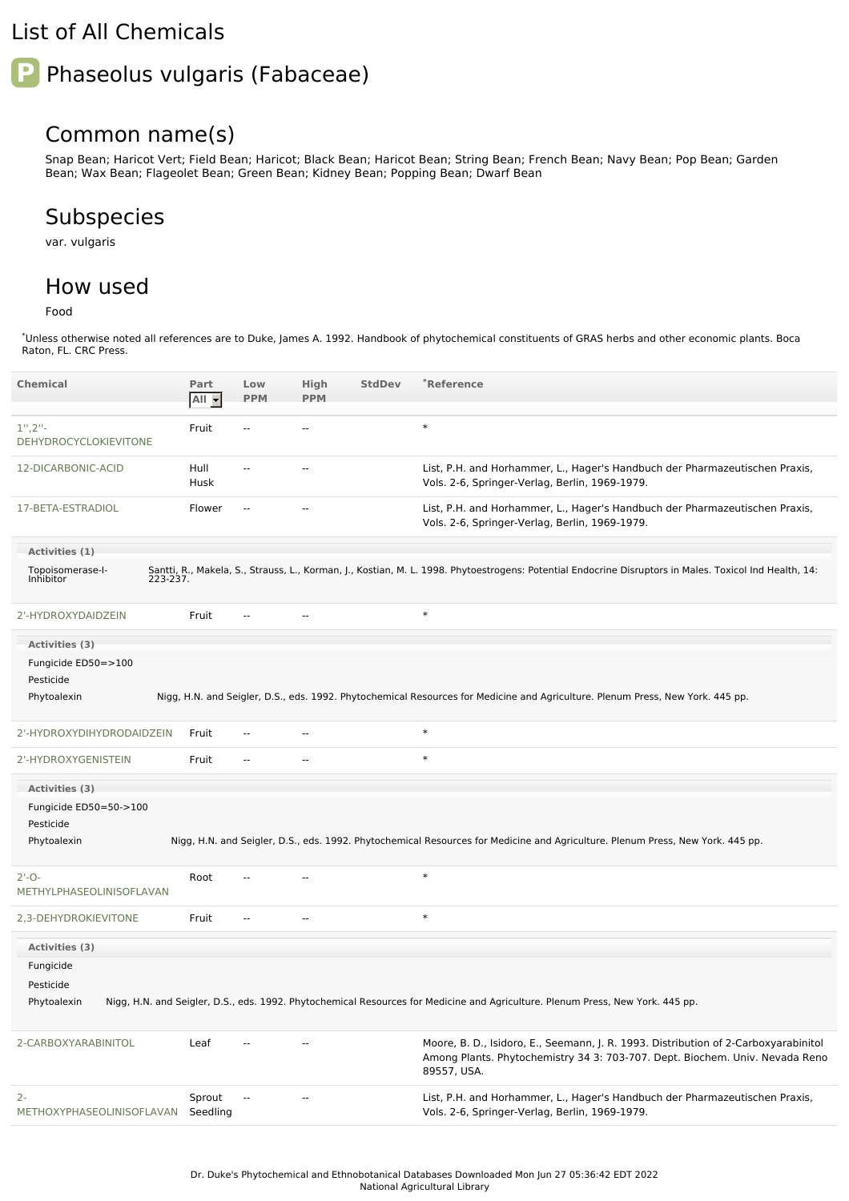## List of All Chemicals

# Phaseolus vulgaris (Fabaceae)

### Common name(s)

Snap Bean; Haricot Vert; Field Bean; Haricot; Black Bean; Haricot Bean; String Bean; French Bean; Navy Bean; Pop Bean; Garden Bean; Wax Bean; Flageolet Bean; Green Bean; Kidney Bean; Popping Bean; Dwarf Bean

## Subspecies

var. vulgaris

#### How used

Food

\*Unless otherwise noted all references are to Duke, James A. 1992. Handbook of phytochemical constituents of GRAS herbs and other economic plants. Boca Raton, FL. CRC Press.

| <b>Chemical</b>                     | Part<br>All -      | Low<br><b>PPM</b> | High<br><b>PPM</b>       | <b>StdDev</b> | *Reference                                                                                                                                                                         |
|-------------------------------------|--------------------|-------------------|--------------------------|---------------|------------------------------------------------------------------------------------------------------------------------------------------------------------------------------------|
| $1", 2"$ -<br>DEHYDROCYCLOKIEVITONE | Fruit              | $\overline{a}$    | $\sim$ $\sim$            |               | $\ast$                                                                                                                                                                             |
| 12-DICARBONIC-ACID                  | Hull<br>Husk       | $\overline{a}$    | $\sim$ $\sim$            |               | List, P.H. and Horhammer, L., Hager's Handbuch der Pharmazeutischen Praxis,<br>Vols. 2-6, Springer-Verlag, Berlin, 1969-1979.                                                      |
| 17-BETA-ESTRADIOL                   | Flower             | $\overline{a}$    | --                       |               | List, P.H. and Horhammer, L., Hager's Handbuch der Pharmazeutischen Praxis,<br>Vols. 2-6, Springer-Verlag, Berlin, 1969-1979.                                                      |
| Activities (1)                      |                    |                   |                          |               |                                                                                                                                                                                    |
| Topoisomerase-I-<br>Inhibitor       |                    |                   |                          |               | Santti, R., Makela, S., Strauss, L., Korman, J., Kostian, M. L. 1998. Phytoestrogens: Potential Endocrine Disruptors in Males. Toxicol Ind Health, 14:<br>223-237.                 |
| 2'-HYDROXYDAIDZEIN                  | Fruit              | $\overline{a}$    | $\overline{\phantom{a}}$ |               | $\ast$                                                                                                                                                                             |
| Activities (3)                      |                    |                   |                          |               |                                                                                                                                                                                    |
| Fungicide ED50=>100                 |                    |                   |                          |               |                                                                                                                                                                                    |
| Pesticide                           |                    |                   |                          |               |                                                                                                                                                                                    |
| Phytoalexin                         |                    |                   |                          |               | Nigg, H.N. and Seigler, D.S., eds. 1992. Phytochemical Resources for Medicine and Agriculture. Plenum Press, New York. 445 pp.                                                     |
| 2'-HYDROXYDIHYDRODAIDZEIN           | Fruit              | $\overline{a}$    | $\overline{a}$           |               | $\ast$                                                                                                                                                                             |
| 2'-HYDROXYGENISTEIN                 | Fruit              | --                | ۰.                       |               | $\ast$                                                                                                                                                                             |
| Activities (3)                      |                    |                   |                          |               |                                                                                                                                                                                    |
| Fungicide ED50=50->100              |                    |                   |                          |               |                                                                                                                                                                                    |
| Pesticide                           |                    |                   |                          |               |                                                                                                                                                                                    |
| Phytoalexin                         |                    |                   |                          |               | Nigg, H.N. and Seigler, D.S., eds. 1992. Phytochemical Resources for Medicine and Agriculture. Plenum Press, New York. 445 pp.                                                     |
| $2'-0-$<br>METHYLPHASEOLINISOFLAVAN | Root               | --                | --                       |               | $\ast$                                                                                                                                                                             |
| 2,3-DEHYDROKIEVITONE                | Fruit              | $\overline{a}$    | $\overline{a}$           |               | $\ast$                                                                                                                                                                             |
| Activities (3)                      |                    |                   |                          |               |                                                                                                                                                                                    |
| Fungicide                           |                    |                   |                          |               |                                                                                                                                                                                    |
| Pesticide                           |                    |                   |                          |               |                                                                                                                                                                                    |
| Phytoalexin                         |                    |                   |                          |               | Nigg, H.N. and Seigler, D.S., eds. 1992. Phytochemical Resources for Medicine and Agriculture. Plenum Press, New York. 445 pp.                                                     |
| 2-CARBOXYARABINITOL                 | Leaf               |                   | --                       |               | Moore, B. D., Isidoro, E., Seemann, J. R. 1993. Distribution of 2-Carboxyarabinitol<br>Among Plants. Phytochemistry 34 3: 703-707. Dept. Biochem. Univ. Nevada Reno<br>89557, USA. |
| $2 -$<br>METHOXYPHASEOLINISOFLAVAN  | Sprout<br>Seedling | --                |                          |               | List, P.H. and Horhammer, L., Hager's Handbuch der Pharmazeutischen Praxis,<br>Vols. 2-6, Springer-Verlag, Berlin, 1969-1979.                                                      |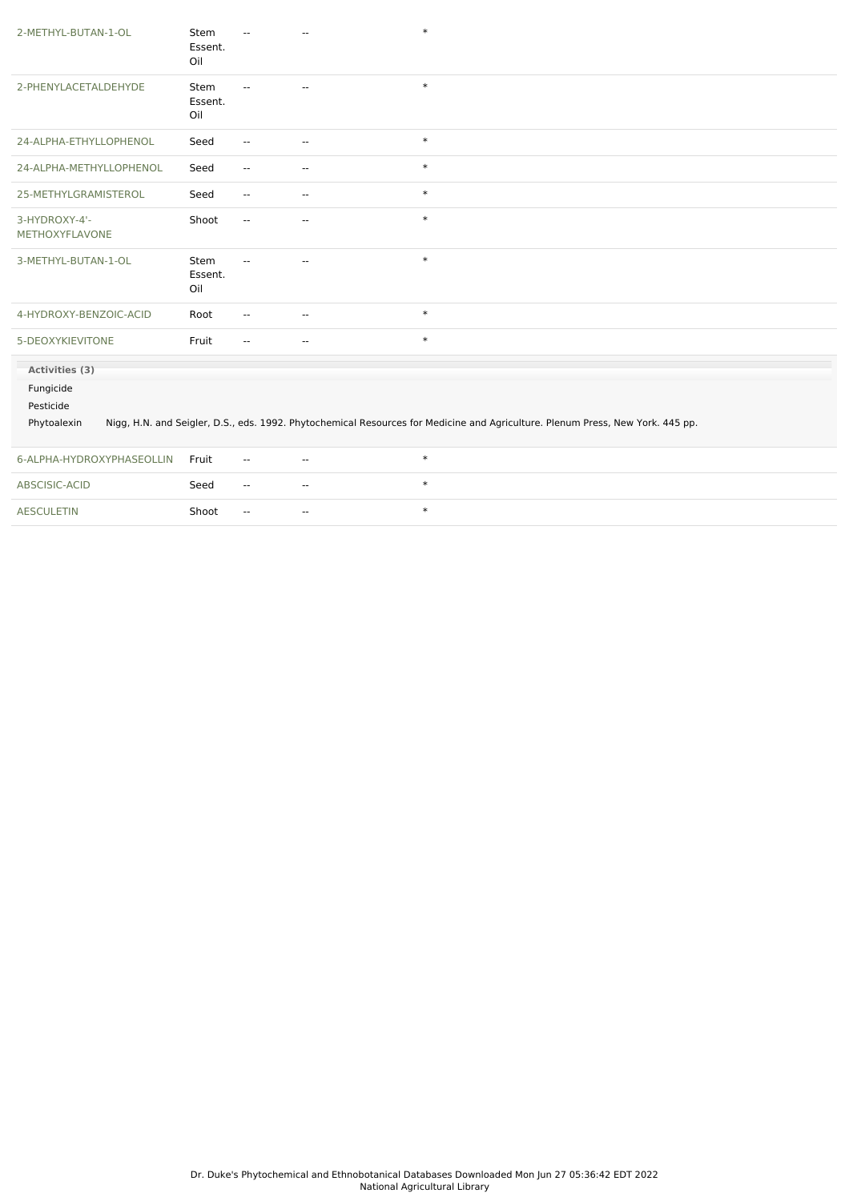| 2-METHYL-BUTAN-1-OL                   | Stem<br>Essent.<br>Oil        |                          |                          | $\ast$                                                                                                                         |
|---------------------------------------|-------------------------------|--------------------------|--------------------------|--------------------------------------------------------------------------------------------------------------------------------|
| 2-PHENYLACETALDEHYDE                  | Stem<br>Essent.<br>Oil        | $\overline{a}$           | $\sim$                   | $\ast$                                                                                                                         |
| 24-ALPHA-ETHYLLOPHENOL                | Seed                          | $\overline{\phantom{a}}$ | $\overline{\phantom{a}}$ | $\ast$                                                                                                                         |
| 24-ALPHA-METHYLLOPHENOL               | Seed                          | $\overline{\phantom{a}}$ | $\overline{\phantom{a}}$ | $\ast$                                                                                                                         |
| 25-METHYLGRAMISTEROL                  | Seed                          | $\overline{\phantom{a}}$ | $\overline{\phantom{a}}$ | $\ast$                                                                                                                         |
| 3-HYDROXY-4'-<br>METHOXYFLAVONE       | Shoot                         | $\overline{\phantom{a}}$ | $\mathbf{u}$             | $\ast$                                                                                                                         |
| 3-METHYL-BUTAN-1-OL                   | <b>Stem</b><br>Essent.<br>Oil | $-$                      | $\overline{a}$           | $\ast$                                                                                                                         |
| 4-HYDROXY-BENZOIC-ACID                | Root                          | $\mathbf{u}$             | $\overline{\phantom{a}}$ | $\ast$                                                                                                                         |
| 5-DEOXYKIEVITONE                      | Fruit                         | $\sim$                   | $\overline{\phantom{a}}$ | $\ast$                                                                                                                         |
| Activities (3)                        |                               |                          |                          |                                                                                                                                |
| Fungicide<br>Pesticide<br>Phytoalexin |                               |                          |                          | Nigg, H.N. and Seigler, D.S., eds. 1992. Phytochemical Resources for Medicine and Agriculture. Plenum Press, New York. 445 pp. |
| 6-ALPHA-HYDROXYPHASEOLLIN             | Fruit                         | $\overline{\phantom{a}}$ | $\sim$ $\sim$            | $\ast$                                                                                                                         |
| ABSCISIC-ACID                         | Seed                          | $\mathbf{u}$             | $\mathbf{u}$             | $\ast$                                                                                                                         |
| <b>AESCULETIN</b>                     | Shoot                         | $\overline{\phantom{a}}$ | $\mathbf{u}$             | $\ast$                                                                                                                         |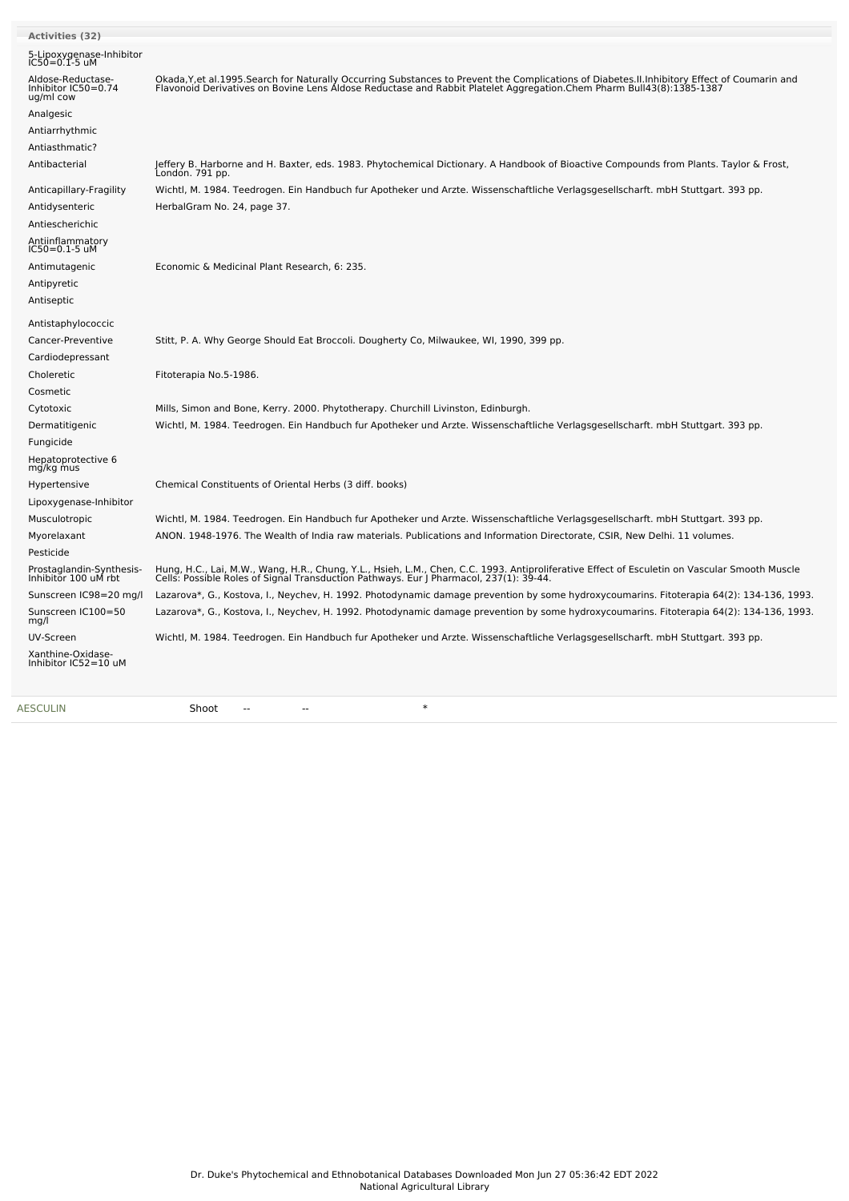| <b>Activities (32)</b>                                |                                                                                                                                                                                                                                   |
|-------------------------------------------------------|-----------------------------------------------------------------------------------------------------------------------------------------------------------------------------------------------------------------------------------|
| 5-Lipoxygenase-Inhibitor<br>IC50=0.1-5 uM             |                                                                                                                                                                                                                                   |
| Aldose-Reductase-<br>Inhibitor IC50=0.74<br>ug/ml cow | Okada, Y, et al. 1995. Search for Naturally Occurring Substances to Prevent the Complications of Diabetes. II. Inhibitory Effect of Coumarin and<br>Flavonoid Derivatives on Bovine Lens Aldose Reductase and Rabbit Platelet Agg |
| Analgesic                                             |                                                                                                                                                                                                                                   |
| Antiarrhythmic                                        |                                                                                                                                                                                                                                   |
| Antiasthmatic?                                        |                                                                                                                                                                                                                                   |
| Antibacterial                                         | Jeffery B. Harborne and H. Baxter, eds. 1983. Phytochemical Dictionary. A Handbook of Bioactive Compounds from Plants. Taylor & Frost,<br>London. 791 pp.                                                                         |
| Anticapillary-Fragility                               | Wichtl, M. 1984. Teedrogen. Ein Handbuch fur Apotheker und Arzte. Wissenschaftliche Verlagsgesellscharft. mbH Stuttgart. 393 pp.                                                                                                  |
| Antidysenteric                                        | HerbalGram No. 24, page 37.                                                                                                                                                                                                       |
| Antiescherichic                                       |                                                                                                                                                                                                                                   |
| Antiinflammatory<br>IC50=0.1-5 uM                     |                                                                                                                                                                                                                                   |
| Antimutagenic                                         | Economic & Medicinal Plant Research, 6: 235.                                                                                                                                                                                      |
| Antipyretic                                           |                                                                                                                                                                                                                                   |
| Antiseptic                                            |                                                                                                                                                                                                                                   |
| Antistaphylococcic                                    |                                                                                                                                                                                                                                   |
| Cancer-Preventive                                     | Stitt, P. A. Why George Should Eat Broccoli. Dougherty Co, Milwaukee, WI, 1990, 399 pp.                                                                                                                                           |
| Cardiodepressant                                      |                                                                                                                                                                                                                                   |
| Choleretic                                            | Fitoterapia No.5-1986.                                                                                                                                                                                                            |
| Cosmetic                                              |                                                                                                                                                                                                                                   |
| Cytotoxic                                             | Mills, Simon and Bone, Kerry. 2000. Phytotherapy. Churchill Livinston, Edinburgh.                                                                                                                                                 |
| Dermatitigenic                                        | Wichtl, M. 1984. Teedrogen. Ein Handbuch fur Apotheker und Arzte. Wissenschaftliche Verlagsgesellscharft. mbH Stuttgart. 393 pp.                                                                                                  |
| Fungicide                                             |                                                                                                                                                                                                                                   |
| Hepatoprotective 6<br>mg/kg mus                       |                                                                                                                                                                                                                                   |
| Hypertensive                                          | Chemical Constituents of Oriental Herbs (3 diff. books)                                                                                                                                                                           |
| Lipoxygenase-Inhibitor                                |                                                                                                                                                                                                                                   |
| Musculotropic                                         | Wichtl, M. 1984. Teedrogen. Ein Handbuch fur Apotheker und Arzte. Wissenschaftliche Verlagsgesellscharft. mbH Stuttgart. 393 pp.                                                                                                  |
| Myorelaxant                                           | ANON. 1948-1976. The Wealth of India raw materials. Publications and Information Directorate, CSIR, New Delhi. 11 volumes.                                                                                                        |
| Pesticide                                             |                                                                                                                                                                                                                                   |
| Prostaglandin-Synthesis-<br>Inhibitor 100 uM rbt      | Hung, H.C., Lai, M.W., Wang, H.R., Chung, Y.L., Hsieh, L.M., Chen, C.C. 1993. Antiproliferative Effect of Esculetin on Vascular Smooth Muscle<br>Cells: Possible Roles of Signal Transduction Pathways. Eur J Pharmacol, 237(1):  |
| Sunscreen IC98=20 mg/l                                | Lazarova*, G., Kostova, I., Neychev, H. 1992. Photodynamic damage prevention by some hydroxycoumarins. Fitoterapia 64(2): 134-136, 1993.                                                                                          |
| Sunscreen IC100=50<br>mg/l                            | Lazarova*, G., Kostova, I., Neychev, H. 1992. Photodynamic damage prevention by some hydroxycoumarins. Fitoterapia 64(2): 134-136, 1993.                                                                                          |
| UV-Screen                                             | Wichtl, M. 1984. Teedrogen. Ein Handbuch fur Apotheker und Arzte. Wissenschaftliche Verlagsgesellscharft. mbH Stuttgart. 393 pp.                                                                                                  |
| Xanthine-Oxidase-<br>Inhibitor IC52=10 uM             |                                                                                                                                                                                                                                   |
| <b>AESCULIN</b>                                       | $\ast$<br>Shoot                                                                                                                                                                                                                   |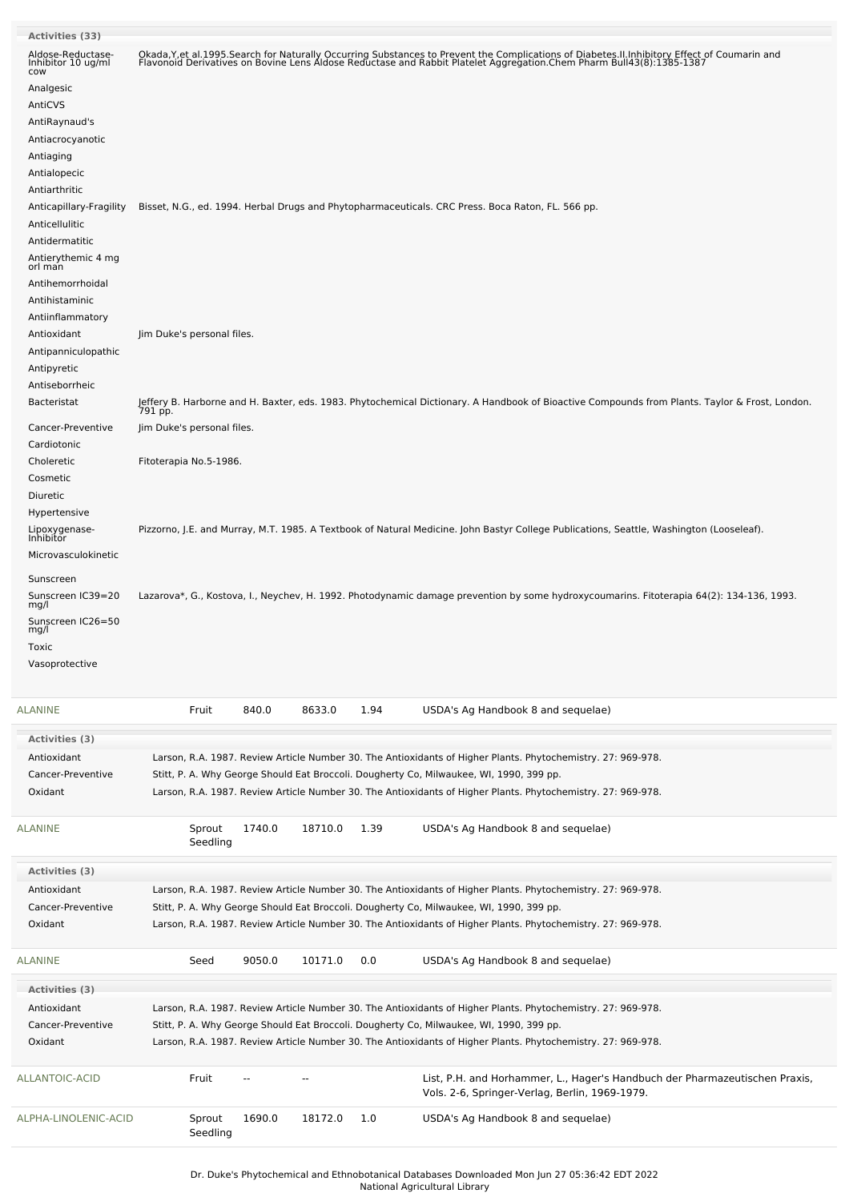| <b>Activities (33)</b>                                                                                                                                 |                            |                        |         |      |                                                                                                                                                                                                                                   |  |
|--------------------------------------------------------------------------------------------------------------------------------------------------------|----------------------------|------------------------|---------|------|-----------------------------------------------------------------------------------------------------------------------------------------------------------------------------------------------------------------------------------|--|
| Aldose-Reductase-<br>Inhibitor 10 ug/ml<br>cow                                                                                                         |                            |                        |         |      | Okada, Y, et al. 1995. Search for Naturally Occurring Substances to Prevent the Complications of Diabetes. II. Inhibitory Effect of Coumarin and<br>Flavonoid Derivatives on Bovine Lens Aldose Reductase and Rabbit Platelet Agg |  |
| Analgesic<br>AntiCVS<br>AntiRaynaud's<br>Antiacrocyanotic<br>Antiaging<br>Antialopecic<br>Antiarthritic                                                |                            |                        |         |      |                                                                                                                                                                                                                                   |  |
| Anticapillary-Fragility<br>Anticellulitic<br>Antidermatitic<br>Antierythemic 4 mg<br>orl man<br>Antihemorrhoidal<br>Antihistaminic<br>Antiinflammatory |                            |                        |         |      | Bisset, N.G., ed. 1994. Herbal Drugs and Phytopharmaceuticals. CRC Press. Boca Raton, FL. 566 pp.                                                                                                                                 |  |
| Antioxidant<br>Antipanniculopathic<br>Antipyretic                                                                                                      | Jim Duke's personal files. |                        |         |      |                                                                                                                                                                                                                                   |  |
| Antiseborrheic<br><b>Bacteristat</b>                                                                                                                   |                            |                        |         |      | Jeffery B. Harborne and H. Baxter, eds. 1983. Phytochemical Dictionary. A Handbook of Bioactive Compounds from Plants. Taylor & Frost, London.<br>791 pp.                                                                         |  |
| Cancer-Preventive<br>Cardiotonic                                                                                                                       | Jim Duke's personal files. |                        |         |      |                                                                                                                                                                                                                                   |  |
| Choleretic<br>Cosmetic                                                                                                                                 | Fitoterapia No.5-1986.     |                        |         |      |                                                                                                                                                                                                                                   |  |
| Diuretic<br>Hypertensive                                                                                                                               |                            |                        |         |      |                                                                                                                                                                                                                                   |  |
| Lipoxygenase-<br>Inhibitor                                                                                                                             |                            |                        |         |      | Pizzorno, J.E. and Murray, M.T. 1985. A Textbook of Natural Medicine. John Bastyr College Publications, Seattle, Washington (Looseleaf).                                                                                          |  |
| Microvasculokinetic                                                                                                                                    |                            |                        |         |      |                                                                                                                                                                                                                                   |  |
| Sunscreen                                                                                                                                              |                            |                        |         |      |                                                                                                                                                                                                                                   |  |
| Sunscreen IC39=20<br>mg/l                                                                                                                              |                            |                        |         |      | Lazarova*, G., Kostova, I., Neychev, H. 1992. Photodynamic damage prevention by some hydroxycoumarins. Fitoterapia 64(2): 134-136, 1993.                                                                                          |  |
| Sunscreen IC26=50<br>mg/l                                                                                                                              |                            |                        |         |      |                                                                                                                                                                                                                                   |  |
| Toxic                                                                                                                                                  |                            |                        |         |      |                                                                                                                                                                                                                                   |  |
| Vasoprotective                                                                                                                                         |                            |                        |         |      |                                                                                                                                                                                                                                   |  |
| ALANINE                                                                                                                                                | Fruit                      | 840.0                  | 8633.0  | 1.94 | USDA's Ag Handbook 8 and sequelae)                                                                                                                                                                                                |  |
| <b>Activities (3)</b>                                                                                                                                  |                            |                        |         |      |                                                                                                                                                                                                                                   |  |
| Antioxidant                                                                                                                                            |                            |                        |         |      | Larson, R.A. 1987. Review Article Number 30. The Antioxidants of Higher Plants. Phytochemistry. 27: 969-978.                                                                                                                      |  |
| Cancer-Preventive<br>Oxidant                                                                                                                           |                            |                        |         |      | Stitt, P. A. Why George Should Eat Broccoli. Dougherty Co, Milwaukee, WI, 1990, 399 pp.<br>Larson, R.A. 1987. Review Article Number 30. The Antioxidants of Higher Plants. Phytochemistry. 27: 969-978.                           |  |
|                                                                                                                                                        |                            |                        |         |      |                                                                                                                                                                                                                                   |  |
| ALANINE                                                                                                                                                | Sprout<br>Seedling         | 1740.0                 | 18710.0 | 1.39 | USDA's Ag Handbook 8 and sequelae)                                                                                                                                                                                                |  |
| <b>Activities (3)</b>                                                                                                                                  |                            |                        |         |      |                                                                                                                                                                                                                                   |  |
| Antioxidant<br>Cancer-Preventive                                                                                                                       |                            |                        |         |      | Larson, R.A. 1987. Review Article Number 30. The Antioxidants of Higher Plants. Phytochemistry. 27: 969-978.<br>Stitt, P. A. Why George Should Eat Broccoli. Dougherty Co, Milwaukee, WI, 1990, 399 pp.                           |  |
| Oxidant                                                                                                                                                |                            |                        |         |      | Larson, R.A. 1987. Review Article Number 30. The Antioxidants of Higher Plants. Phytochemistry. 27: 969-978.                                                                                                                      |  |
| ALANINE                                                                                                                                                | Seed                       | 9050.0                 | 10171.0 | 0.0  | USDA's Ag Handbook 8 and sequelae)                                                                                                                                                                                                |  |
| <b>Activities (3)</b>                                                                                                                                  |                            |                        |         |      |                                                                                                                                                                                                                                   |  |
| Antioxidant                                                                                                                                            |                            |                        |         |      | Larson, R.A. 1987. Review Article Number 30. The Antioxidants of Higher Plants. Phytochemistry. 27: 969-978.                                                                                                                      |  |
| Cancer-Preventive<br>Oxidant                                                                                                                           |                            |                        |         |      | Stitt, P. A. Why George Should Eat Broccoli. Dougherty Co, Milwaukee, WI, 1990, 399 pp.<br>Larson, R.A. 1987. Review Article Number 30. The Antioxidants of Higher Plants. Phytochemistry. 27: 969-978.                           |  |
| ALLANTOIC-ACID                                                                                                                                         | Fruit                      | $\qquad \qquad \cdots$ | --      |      | List, P.H. and Horhammer, L., Hager's Handbuch der Pharmazeutischen Praxis,<br>Vols. 2-6, Springer-Verlag, Berlin, 1969-1979.                                                                                                     |  |
| ALPHA-LINOLENIC-ACID                                                                                                                                   | Sprout<br>Seedling         | 1690.0                 | 18172.0 | 1.0  | USDA's Ag Handbook 8 and sequelae)                                                                                                                                                                                                |  |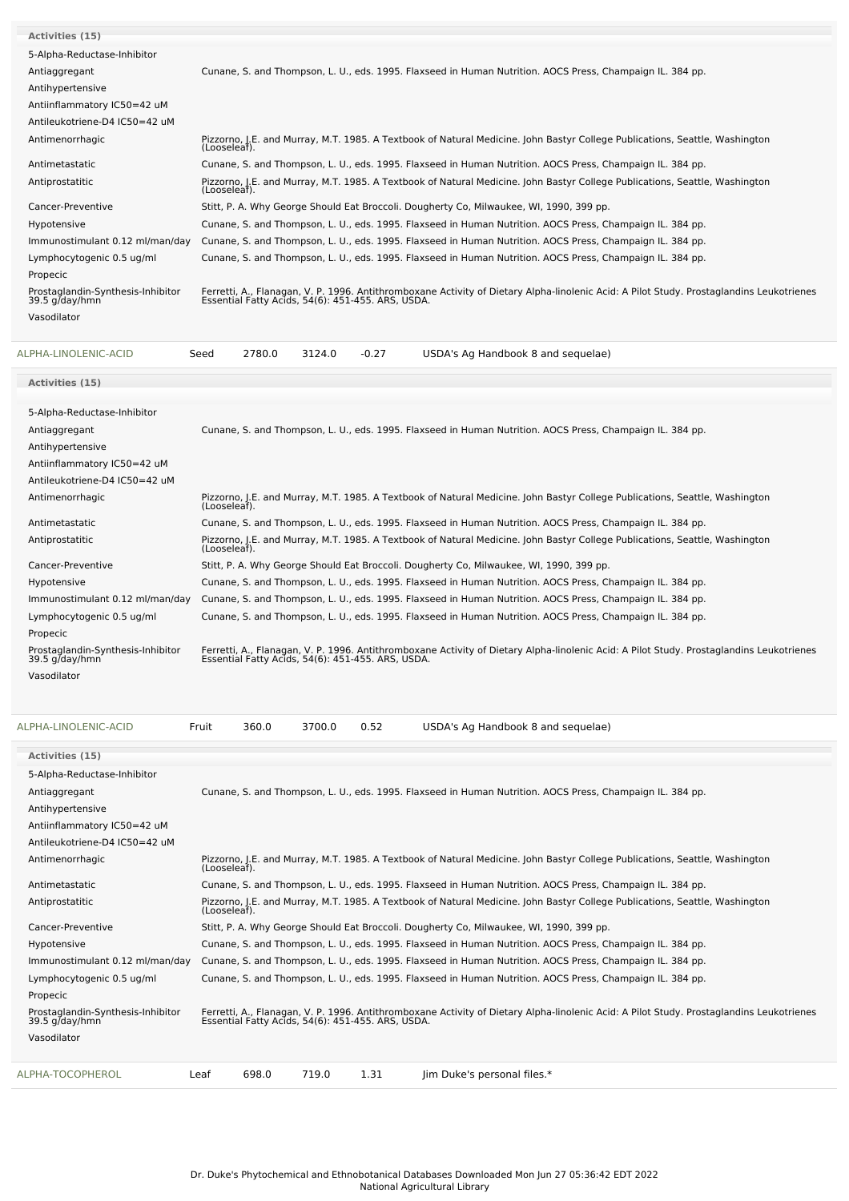| <b>Activities (15)</b>                              |              |        |        |         |                                                                                                                                                                                               |
|-----------------------------------------------------|--------------|--------|--------|---------|-----------------------------------------------------------------------------------------------------------------------------------------------------------------------------------------------|
| 5-Alpha-Reductase-Inhibitor                         |              |        |        |         |                                                                                                                                                                                               |
| Antiaggregant                                       |              |        |        |         | Cunane, S. and Thompson, L. U., eds. 1995. Flaxseed in Human Nutrition. AOCS Press, Champaign IL. 384 pp.                                                                                     |
| Antihypertensive                                    |              |        |        |         |                                                                                                                                                                                               |
| Antiinflammatory IC50=42 uM                         |              |        |        |         |                                                                                                                                                                                               |
| Antileukotriene-D4 IC50=42 uM                       |              |        |        |         |                                                                                                                                                                                               |
| Antimenorrhagic                                     | (Looseleaf)  |        |        |         | Pizzorno, J.E. and Murray, M.T. 1985. A Textbook of Natural Medicine. John Bastyr College Publications, Seattle, Washington                                                                   |
| Antimetastatic                                      |              |        |        |         | Cunane, S. and Thompson, L. U., eds. 1995. Flaxseed in Human Nutrition. AOCS Press, Champaign IL. 384 pp.                                                                                     |
| Antiprostatitic                                     | (Looseleaf). |        |        |         | Pizzorno, J.E. and Murray, M.T. 1985. A Textbook of Natural Medicine. John Bastyr College Publications, Seattle, Washington                                                                   |
| Cancer-Preventive                                   |              |        |        |         | Stitt, P. A. Why George Should Eat Broccoli. Dougherty Co, Milwaukee, WI, 1990, 399 pp.                                                                                                       |
| Hypotensive                                         |              |        |        |         | Cunane, S. and Thompson, L. U., eds. 1995. Flaxseed in Human Nutrition. AOCS Press, Champaign IL. 384 pp.                                                                                     |
| Immunostimulant 0.12 ml/man/day                     |              |        |        |         | Cunane, S. and Thompson, L. U., eds. 1995. Flaxseed in Human Nutrition. AOCS Press, Champaign IL. 384 pp.                                                                                     |
| Lymphocytogenic 0.5 ug/ml                           |              |        |        |         | Cunane, S. and Thompson, L. U., eds. 1995. Flaxseed in Human Nutrition. AOCS Press, Champaign IL. 384 pp.                                                                                     |
| Propecic                                            |              |        |        |         |                                                                                                                                                                                               |
| Prostaglandin-Synthesis-Inhibitor<br>39.5 g/day/hmn |              |        |        |         | Ferretti, A., Flanagan, V. P. 1996. Antithromboxane Activity of Dietary Alpha-linolenic Acid: A Pilot Study. Prostaglandins Leukotrienes<br>Essential Fatty Acids, 54(6): 451-455. ARS, USDA. |
| Vasodilator                                         |              |        |        |         |                                                                                                                                                                                               |
|                                                     |              |        |        |         |                                                                                                                                                                                               |
| ALPHA-LINOLENIC-ACID                                | Seed         | 2780.0 | 3124.0 | $-0.27$ | USDA's Ag Handbook 8 and sequelae)                                                                                                                                                            |
| <b>Activities (15)</b>                              |              |        |        |         |                                                                                                                                                                                               |
| 5-Alpha-Reductase-Inhibitor                         |              |        |        |         |                                                                                                                                                                                               |
| Antiaggregant                                       |              |        |        |         | Cunane, S. and Thompson, L. U., eds. 1995. Flaxseed in Human Nutrition. AOCS Press, Champaign IL. 384 pp.                                                                                     |
| Antihypertensive                                    |              |        |        |         |                                                                                                                                                                                               |
| Antiinflammatory IC50=42 uM                         |              |        |        |         |                                                                                                                                                                                               |
| Antileukotriene-D4 IC50=42 uM                       |              |        |        |         |                                                                                                                                                                                               |
| Antimenorrhagic                                     | (Looseleaf). |        |        |         | Pizzorno, J.E. and Murray, M.T. 1985. A Textbook of Natural Medicine. John Bastyr College Publications, Seattle, Washington                                                                   |
| Antimetastatic                                      |              |        |        |         | Cunane, S. and Thompson, L. U., eds. 1995. Flaxseed in Human Nutrition. AOCS Press, Champaign IL. 384 pp.                                                                                     |
| Antiprostatitic                                     | (Looseleaf). |        |        |         | Pizzorno, J.E. and Murray, M.T. 1985. A Textbook of Natural Medicine. John Bastyr College Publications, Seattle, Washington                                                                   |
| Cancer-Preventive                                   |              |        |        |         | Stitt, P. A. Why George Should Eat Broccoli. Dougherty Co, Milwaukee, WI, 1990, 399 pp.                                                                                                       |
| Hypotensive                                         |              |        |        |         | Cunane, S. and Thompson, L. U., eds. 1995. Flaxseed in Human Nutrition. AOCS Press, Champaign IL. 384 pp.                                                                                     |
| Immunostimulant 0.12 ml/man/day                     |              |        |        |         | Cunane, S. and Thompson, L. U., eds. 1995. Flaxseed in Human Nutrition. AOCS Press, Champaign IL. 384 pp.                                                                                     |
| Lymphocytogenic 0.5 ug/ml<br>Propecic               |              |        |        |         | Cunane, S. and Thompson, L. U., eds. 1995. Flaxseed in Human Nutrition. AOCS Press, Champaign IL. 384 pp.                                                                                     |
| Prostaglandin-Synthesis-Inhibitor<br>39.5 g/day/hmn |              |        |        |         | Ferretti, A., Flanagan, V. P. 1996. Antithromboxane Activity of Dietary Alpha-linolenic Acid: A Pilot Study. Prostaglandins Leukotrienes<br>Essential Fatty Acids, 54(6): 451-455. ARS, USDA. |
| Vasodilator                                         |              |        |        |         |                                                                                                                                                                                               |
| ALPHA-LINOLENIC-ACID                                | Fruit        | 360.0  | 3700.0 | 0.52    | USDA's Ag Handbook 8 and sequelae)                                                                                                                                                            |
| Activities (15)                                     |              |        |        |         |                                                                                                                                                                                               |
| 5-Alpha-Reductase-Inhibitor                         |              |        |        |         |                                                                                                                                                                                               |
| Antiaggregant                                       |              |        |        |         | Cunane, S. and Thompson, L. U., eds. 1995. Flaxseed in Human Nutrition. AOCS Press, Champaign IL. 384 pp.                                                                                     |
| Antihypertensive                                    |              |        |        |         |                                                                                                                                                                                               |
| Antiinflammatory IC50=42 uM                         |              |        |        |         |                                                                                                                                                                                               |
| Antileukotriene-D4 IC50=42 uM                       |              |        |        |         |                                                                                                                                                                                               |
|                                                     |              |        |        |         |                                                                                                                                                                                               |

| ALPHA-TOCOPHEROL                                    | Leaf         | 698.0 | 719.0 | 1.31                                              | lim Duke's personal files.*                                                                                                              |
|-----------------------------------------------------|--------------|-------|-------|---------------------------------------------------|------------------------------------------------------------------------------------------------------------------------------------------|
| Vasodilator                                         |              |       |       |                                                   |                                                                                                                                          |
|                                                     |              |       |       |                                                   |                                                                                                                                          |
| Prostaglandin-Synthesis-Inhibitor<br>39.5 g/day/hmn |              |       |       | Essential Fatty Acids, 54(6): 451-455. ARS, USDA. | Ferretti, A., Flanagan, V. P. 1996. Antithromboxane Activity of Dietary Alpha-linolenic Acid: A Pilot Study. Prostaglandins Leukotrienes |
| Propecic                                            |              |       |       |                                                   |                                                                                                                                          |
| Lymphocytogenic 0.5 ug/ml                           |              |       |       |                                                   | Cunane, S. and Thompson, L. U., eds. 1995. Flaxseed in Human Nutrition. AOCS Press, Champaign IL. 384 pp.                                |
| Immunostimulant 0.12 ml/man/day                     |              |       |       |                                                   | Cunane, S. and Thompson, L. U., eds. 1995. Flaxseed in Human Nutrition. AOCS Press, Champaign IL. 384 pp.                                |
| Hypotensive                                         |              |       |       |                                                   | Cunane, S. and Thompson, L. U., eds. 1995. Flaxseed in Human Nutrition. AOCS Press, Champaign IL. 384 pp.                                |
| Cancer-Preventive                                   |              |       |       |                                                   | Stitt, P. A. Why George Should Eat Broccoli. Dougherty Co, Milwaukee, WI, 1990, 399 pp.                                                  |
| Antiprostatitic                                     | (Looseleaf). |       |       |                                                   | Pizzorno, J.E. and Murray, M.T. 1985. A Textbook of Natural Medicine. John Bastyr College Publications, Seattle, Washington              |
| Antimetastatic                                      |              |       |       |                                                   | Cunane, S. and Thompson, L. U., eds. 1995. Flaxseed in Human Nutrition. AOCS Press, Champaign IL. 384 pp.                                |
| Antimenorrhagic                                     | (Looseleaf). |       |       |                                                   | Pizzorno, J.E. and Murray, M.T. 1985. A Textbook of Natural Medicine. John Bastyr College Publications, Seattle, Washington              |
|                                                     |              |       |       |                                                   |                                                                                                                                          |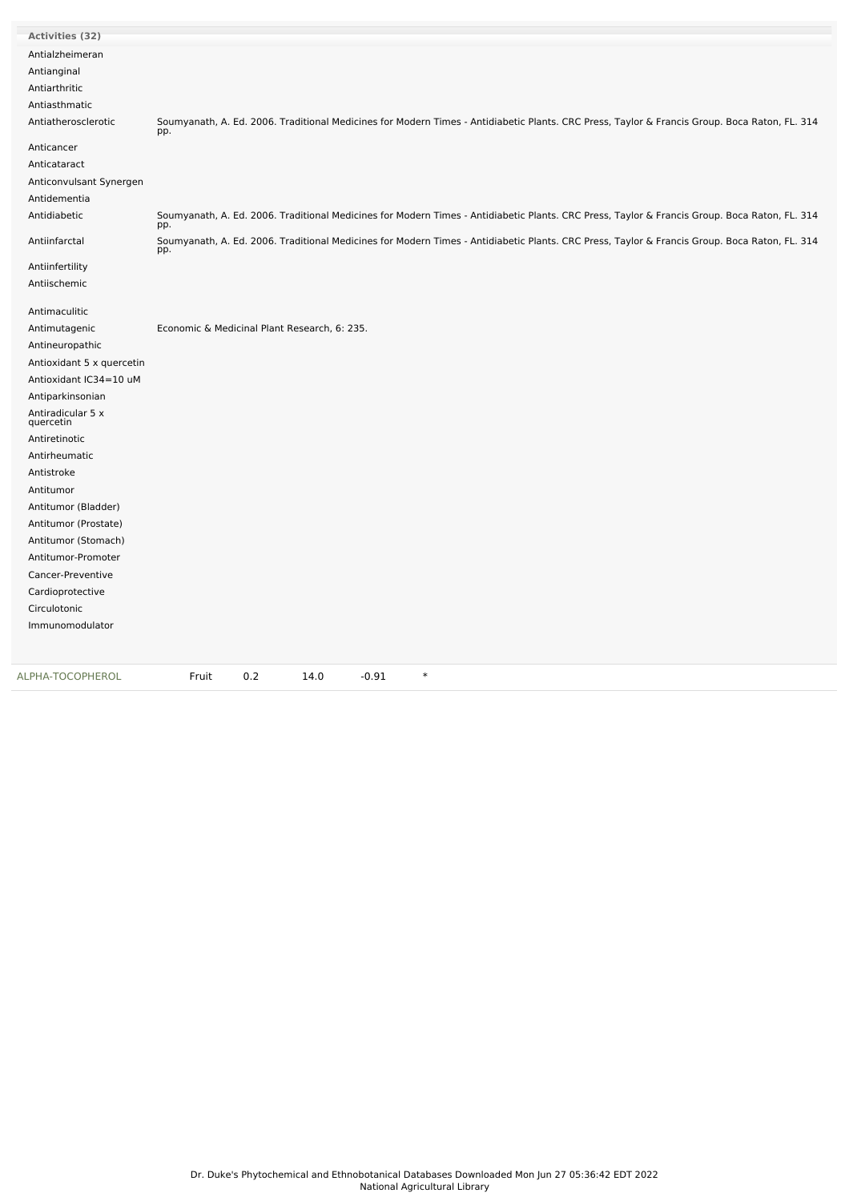| <b>Activities (32)</b>         |                                                                                                                                                      |
|--------------------------------|------------------------------------------------------------------------------------------------------------------------------------------------------|
| Antialzheimeran                |                                                                                                                                                      |
| Antianginal                    |                                                                                                                                                      |
| Antiarthritic                  |                                                                                                                                                      |
| Antiasthmatic                  |                                                                                                                                                      |
| Antiatherosclerotic            | Soumyanath, A. Ed. 2006. Traditional Medicines for Modern Times - Antidiabetic Plants. CRC Press, Taylor & Francis Group. Boca Raton, FL. 314<br>pp. |
| Anticancer                     |                                                                                                                                                      |
| Anticataract                   |                                                                                                                                                      |
| Anticonvulsant Synergen        |                                                                                                                                                      |
| Antidementia                   |                                                                                                                                                      |
| Antidiabetic                   | Soumyanath, A. Ed. 2006. Traditional Medicines for Modern Times - Antidiabetic Plants. CRC Press, Taylor & Francis Group. Boca Raton, FL. 314<br>pp. |
| Antiinfarctal                  | Soumyanath, A. Ed. 2006. Traditional Medicines for Modern Times - Antidiabetic Plants. CRC Press, Taylor & Francis Group. Boca Raton, FL. 314<br>pp. |
| Antiinfertility                |                                                                                                                                                      |
| Antiischemic                   |                                                                                                                                                      |
| Antimaculitic                  |                                                                                                                                                      |
| Antimutagenic                  | Economic & Medicinal Plant Research, 6: 235.                                                                                                         |
| Antineuropathic                |                                                                                                                                                      |
| Antioxidant 5 x quercetin      |                                                                                                                                                      |
| Antioxidant IC34=10 uM         |                                                                                                                                                      |
| Antiparkinsonian               |                                                                                                                                                      |
| Antiradicular 5 x<br>quercetin |                                                                                                                                                      |
| Antiretinotic                  |                                                                                                                                                      |
| Antirheumatic                  |                                                                                                                                                      |
| Antistroke                     |                                                                                                                                                      |
| Antitumor                      |                                                                                                                                                      |
| Antitumor (Bladder)            |                                                                                                                                                      |
| Antitumor (Prostate)           |                                                                                                                                                      |
| Antitumor (Stomach)            |                                                                                                                                                      |
| Antitumor-Promoter             |                                                                                                                                                      |
| Cancer-Preventive              |                                                                                                                                                      |
| Cardioprotective               |                                                                                                                                                      |
| Circulotonic                   |                                                                                                                                                      |
| Immunomodulator                |                                                                                                                                                      |
|                                |                                                                                                                                                      |
| ALPHA-TOCOPHEROL               | $\ast$<br>Fruit<br>0.2<br>14.0<br>$-0.91$                                                                                                            |

L.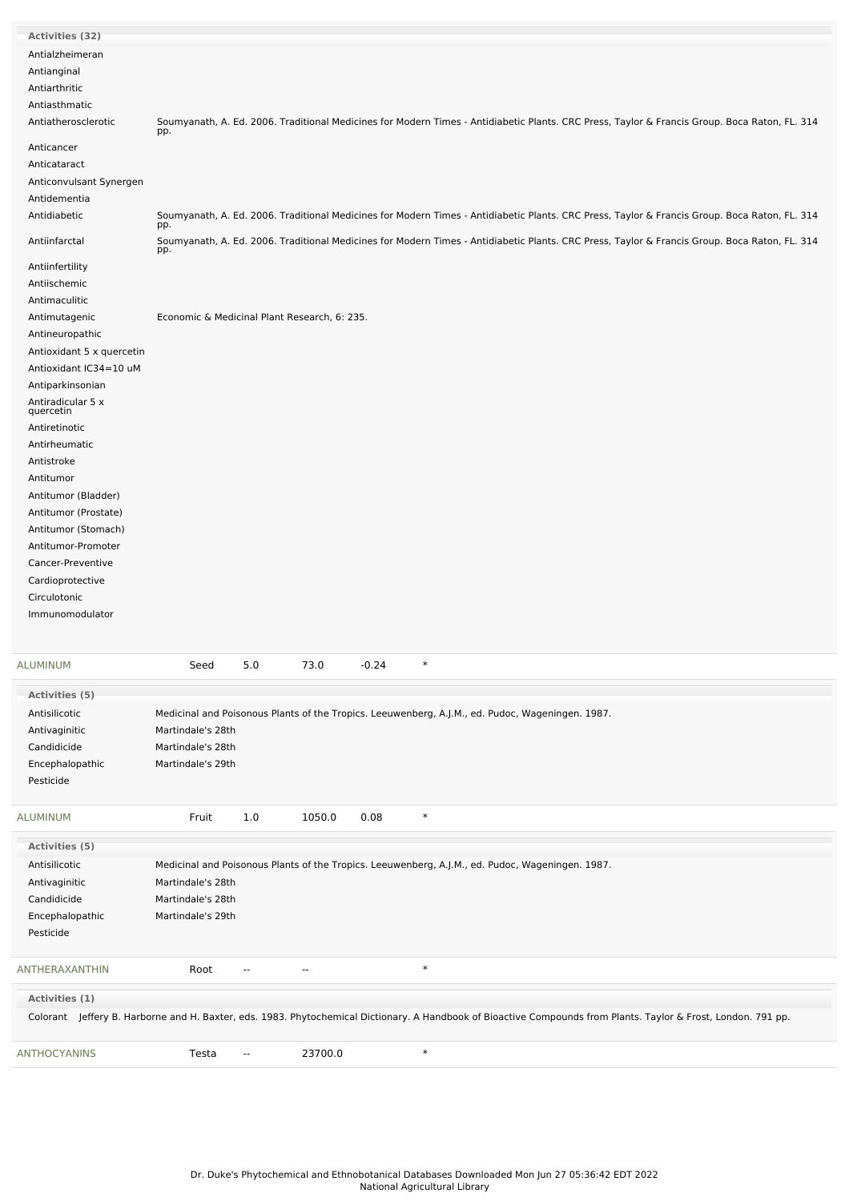| Activities (32)                |                                                                                                                                                      |
|--------------------------------|------------------------------------------------------------------------------------------------------------------------------------------------------|
| Antialzheimeran                |                                                                                                                                                      |
| Antianginal                    |                                                                                                                                                      |
| Antiarthritic                  |                                                                                                                                                      |
| Antiasthmatic                  |                                                                                                                                                      |
| Antiatherosclerotic            | Soumyanath, A. Ed. 2006. Traditional Medicines for Modern Times - Antidiabetic Plants. CRC Press, Taylor & Francis Group. Boca Raton, FL. 314<br>pp. |
| Anticancer                     |                                                                                                                                                      |
| Anticataract                   |                                                                                                                                                      |
| Anticonvulsant Synergen        |                                                                                                                                                      |
| Antidementia                   |                                                                                                                                                      |
| Antidiabetic                   | Soumyanath, A. Ed. 2006. Traditional Medicines for Modern Times - Antidiabetic Plants. CRC Press, Taylor & Francis Group. Boca Raton, FL. 314<br>pp. |
| Antiinfarctal                  | Soumyanath, A. Ed. 2006. Traditional Medicines for Modern Times - Antidiabetic Plants. CRC Press, Taylor & Francis Group. Boca Raton, FL. 314<br>pp. |
| Antiinfertility                |                                                                                                                                                      |
| Antiischemic                   |                                                                                                                                                      |
| Antimaculitic                  |                                                                                                                                                      |
| Antimutagenic                  | Economic & Medicinal Plant Research, 6: 235.                                                                                                         |
| Antineuropathic                |                                                                                                                                                      |
| Antioxidant 5 x quercetin      |                                                                                                                                                      |
| Antioxidant IC34=10 uM         |                                                                                                                                                      |
| Antiparkinsonian               |                                                                                                                                                      |
| Antiradicular 5 x<br>quercetin |                                                                                                                                                      |
| Antiretinotic                  |                                                                                                                                                      |
| Antirheumatic                  |                                                                                                                                                      |
| Antistroke                     |                                                                                                                                                      |
| Antitumor                      |                                                                                                                                                      |
| Antitumor (Bladder)            |                                                                                                                                                      |
| Antitumor (Prostate)           |                                                                                                                                                      |
| Antitumor (Stomach)            |                                                                                                                                                      |
| Antitumor-Promoter             |                                                                                                                                                      |
| Cancer-Preventive              |                                                                                                                                                      |
| Cardioprotective               |                                                                                                                                                      |
| Circulotonic                   |                                                                                                                                                      |
| Immunomodulator                |                                                                                                                                                      |
|                                |                                                                                                                                                      |

| <b>ALUMINUM</b>     | Seed              | 5.0                      | 73.0       | $-0.24$ | $\ast$                                                                                                                                                          |
|---------------------|-------------------|--------------------------|------------|---------|-----------------------------------------------------------------------------------------------------------------------------------------------------------------|
| Activities (5)      |                   |                          |            |         |                                                                                                                                                                 |
| Antisilicotic       |                   |                          |            |         | Medicinal and Poisonous Plants of the Tropics. Leeuwenberg, A.J.M., ed. Pudoc, Wageningen. 1987.                                                                |
| Antivaginitic       | Martindale's 28th |                          |            |         |                                                                                                                                                                 |
| Candidicide         | Martindale's 28th |                          |            |         |                                                                                                                                                                 |
| Encephalopathic     | Martindale's 29th |                          |            |         |                                                                                                                                                                 |
| Pesticide           |                   |                          |            |         |                                                                                                                                                                 |
| <b>ALUMINUM</b>     | Fruit             | 1.0                      | 1050.0     | 0.08    | $\ast$                                                                                                                                                          |
| Activities (5)      |                   |                          |            |         |                                                                                                                                                                 |
| Antisilicotic       |                   |                          |            |         | Medicinal and Poisonous Plants of the Tropics. Leeuwenberg, A.J.M., ed. Pudoc, Wageningen. 1987.                                                                |
| Antivaginitic       | Martindale's 28th |                          |            |         |                                                                                                                                                                 |
| Candidicide         | Martindale's 28th |                          |            |         |                                                                                                                                                                 |
| Encephalopathic     | Martindale's 29th |                          |            |         |                                                                                                                                                                 |
| Pesticide           |                   |                          |            |         |                                                                                                                                                                 |
| ANTHERAXANTHIN      | Root              | $\overline{\phantom{a}}$ | $\sim$ $-$ |         | $\ast$                                                                                                                                                          |
| Activities (1)      |                   |                          |            |         |                                                                                                                                                                 |
|                     |                   |                          |            |         | Colorant Jeffery B. Harborne and H. Baxter, eds. 1983. Phytochemical Dictionary. A Handbook of Bioactive Compounds from Plants. Taylor & Frost, London. 791 pp. |
| <b>ANTHOCYANINS</b> | Testa             | --                       | 23700.0    |         | $\ast$                                                                                                                                                          |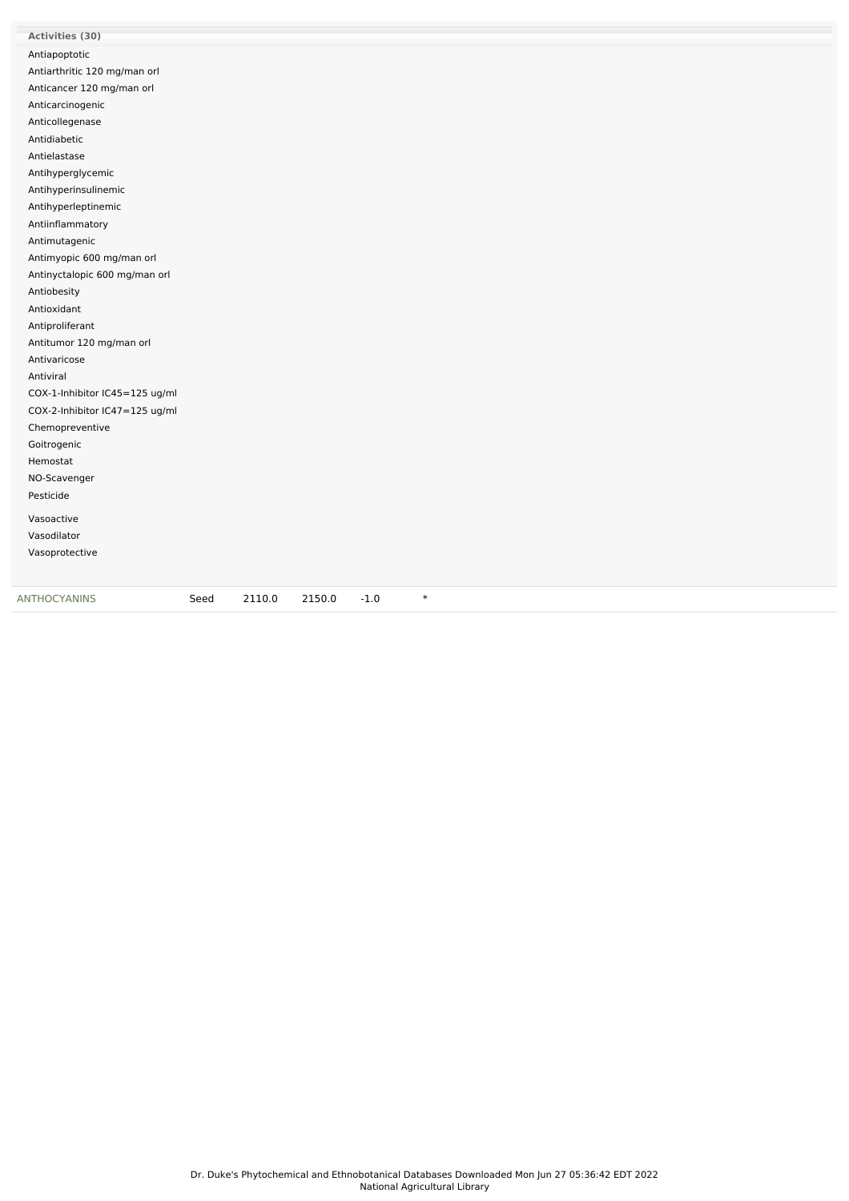| Activities (30)                |      |        |        |        |        |
|--------------------------------|------|--------|--------|--------|--------|
| Antiapoptotic                  |      |        |        |        |        |
| Antiarthritic 120 mg/man orl   |      |        |        |        |        |
| Anticancer 120 mg/man orl      |      |        |        |        |        |
| Anticarcinogenic               |      |        |        |        |        |
| Anticollegenase                |      |        |        |        |        |
| Antidiabetic                   |      |        |        |        |        |
| Antielastase                   |      |        |        |        |        |
| Antihyperglycemic              |      |        |        |        |        |
| Antihyperinsulinemic           |      |        |        |        |        |
| Antihyperleptinemic            |      |        |        |        |        |
| Antiinflammatory               |      |        |        |        |        |
| Antimutagenic                  |      |        |        |        |        |
| Antimyopic 600 mg/man orl      |      |        |        |        |        |
| Antinyctalopic 600 mg/man orl  |      |        |        |        |        |
| Antiobesity                    |      |        |        |        |        |
| Antioxidant                    |      |        |        |        |        |
| Antiproliferant                |      |        |        |        |        |
| Antitumor 120 mg/man orl       |      |        |        |        |        |
| Antivaricose                   |      |        |        |        |        |
| Antiviral                      |      |        |        |        |        |
| COX-1-Inhibitor IC45=125 ug/ml |      |        |        |        |        |
| COX-2-Inhibitor IC47=125 ug/ml |      |        |        |        |        |
| Chemopreventive                |      |        |        |        |        |
| Goitrogenic                    |      |        |        |        |        |
| Hemostat                       |      |        |        |        |        |
| NO-Scavenger                   |      |        |        |        |        |
| Pesticide                      |      |        |        |        |        |
| Vasoactive                     |      |        |        |        |        |
| Vasodilator                    |      |        |        |        |        |
| Vasoprotective                 |      |        |        |        |        |
|                                |      |        |        |        |        |
|                                |      |        |        |        |        |
| ANTHOCYANINS                   | Seed | 2110.0 | 2150.0 | $-1.0$ | $\ast$ |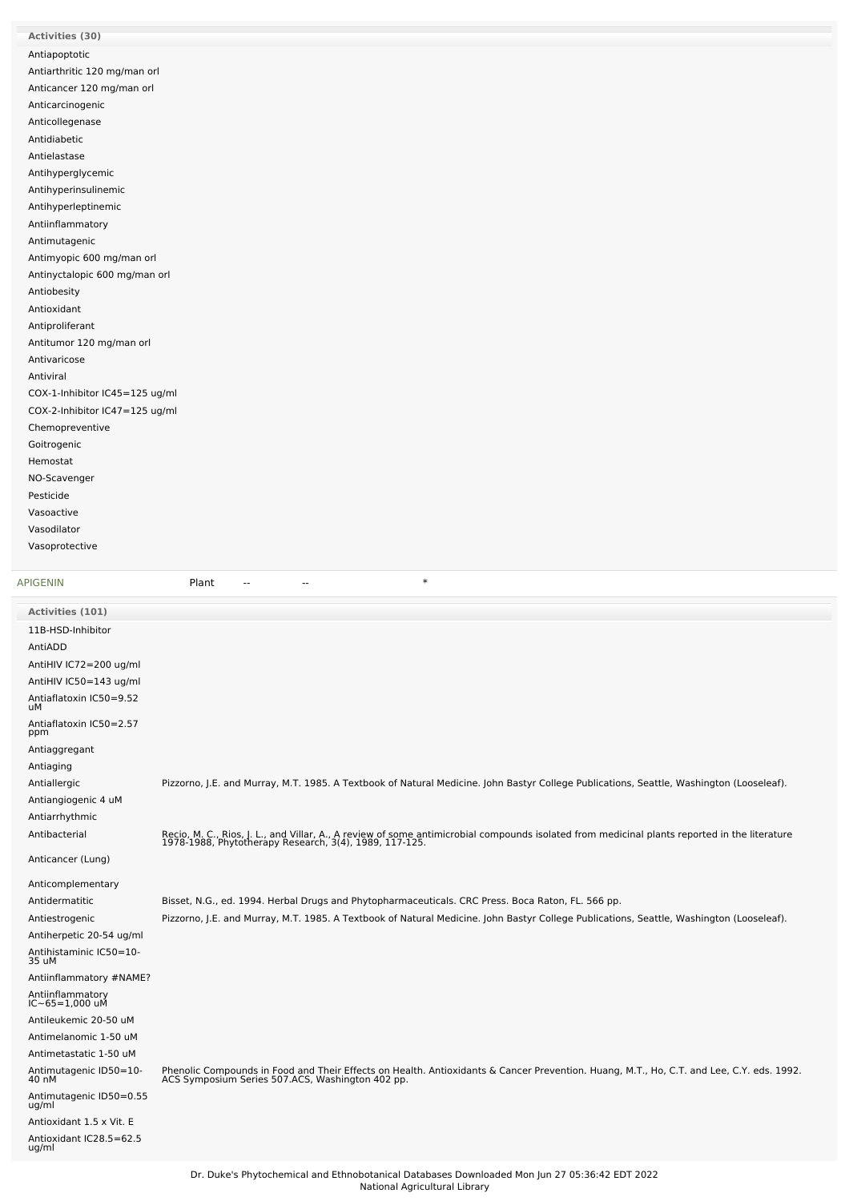| Activities (30)                |
|--------------------------------|
| Antiapoptotic                  |
| Antiarthritic 120 mg/man orl   |
| Anticancer 120 mg/man orl      |
| Anticarcinogenic               |
| Anticollegenase                |
| Antidiabetic                   |
| Antielastase                   |
| Antihyperglycemic              |
| Antihyperinsulinemic           |
| Antihyperleptinemic            |
| Antiinflammatory               |
| Antimutagenic                  |
| Antimyopic 600 mg/man orl      |
| Antinyctalopic 600 mg/man orl  |
| Antiobesity                    |
| Antioxidant                    |
| Antiproliferant                |
| Antitumor 120 mg/man orl       |
| Antivaricose                   |
| Antiviral                      |
| COX-1-Inhibitor IC45=125 ug/ml |
| COX-2-Inhibitor IC47=125 ug/ml |
| Chemopreventive                |
| Goitrogenic                    |
| Hemostat                       |
| NO-Scavenger                   |
| Pesticide                      |
| Vasoactive                     |
| Vasodilator                    |
| Vasoprotective                 |
|                                |

[APIGENIN](file:///phytochem/chemicals/show/3936) **Plant** -- - - + \*

| Activities (101)                   |                                                                                                                                                                                                         |
|------------------------------------|---------------------------------------------------------------------------------------------------------------------------------------------------------------------------------------------------------|
| 11B-HSD-Inhibitor                  |                                                                                                                                                                                                         |
| AntiADD                            |                                                                                                                                                                                                         |
| AntiHIV IC72=200 ug/ml             |                                                                                                                                                                                                         |
| AntiHIV IC50=143 ug/ml             |                                                                                                                                                                                                         |
| Antiaflatoxin IC50=9.52<br>uМ      |                                                                                                                                                                                                         |
| Antiaflatoxin IC50=2.57<br>ppm     |                                                                                                                                                                                                         |
| Antiaggregant                      |                                                                                                                                                                                                         |
| Antiaging                          |                                                                                                                                                                                                         |
| Antiallergic                       | Pizzorno, J.E. and Murray, M.T. 1985. A Textbook of Natural Medicine. John Bastyr College Publications, Seattle, Washington (Looseleaf).                                                                |
| Antiangiogenic 4 uM                |                                                                                                                                                                                                         |
| Antiarrhythmic                     |                                                                                                                                                                                                         |
| Antibacterial                      | Recio, M. C., Rios, J. L., and Villar, A., A review of some antimicrobial compounds isolated from medicinal plants reported in the literature<br>1978-1988, Phytotherapy Research, 3(4), 1989, 117-125. |
| Anticancer (Lung)                  |                                                                                                                                                                                                         |
| Anticomplementary                  |                                                                                                                                                                                                         |
| Antidermatitic                     | Bisset, N.G., ed. 1994. Herbal Drugs and Phytopharmaceuticals. CRC Press. Boca Raton, FL. 566 pp.                                                                                                       |
| Antiestrogenic                     | Pizzorno, J.E. and Murray, M.T. 1985. A Textbook of Natural Medicine. John Bastyr College Publications, Seattle, Washington (Looseleaf).                                                                |
| Antiherpetic 20-54 ug/ml           |                                                                                                                                                                                                         |
| Antihistaminic IC50=10-<br>35 uM   |                                                                                                                                                                                                         |
| Antiinflammatory #NAME?            |                                                                                                                                                                                                         |
| Antiinflammatory<br>IC~65=1,000 uM |                                                                                                                                                                                                         |
| Antileukemic 20-50 uM              |                                                                                                                                                                                                         |
| Antimelanomic 1-50 uM              |                                                                                                                                                                                                         |
| Antimetastatic 1-50 uM             |                                                                                                                                                                                                         |
| Antimutagenic ID50=10-<br>40 nM    | Phenolic Compounds in Food and Their Effects on Health. Antioxidants & Cancer Prevention. Huang, M.T., Ho, C.T. and Lee, C.Y. eds. 1992.<br>ACS Symposium Series 507.ACS, Washington 402 pp.            |
| Antimutagenic ID50=0.55<br>ug/ml   |                                                                                                                                                                                                         |
| Antioxidant 1.5 x Vit. E           |                                                                                                                                                                                                         |
| Antioxidant IC28.5=62.5<br>ug/ml   |                                                                                                                                                                                                         |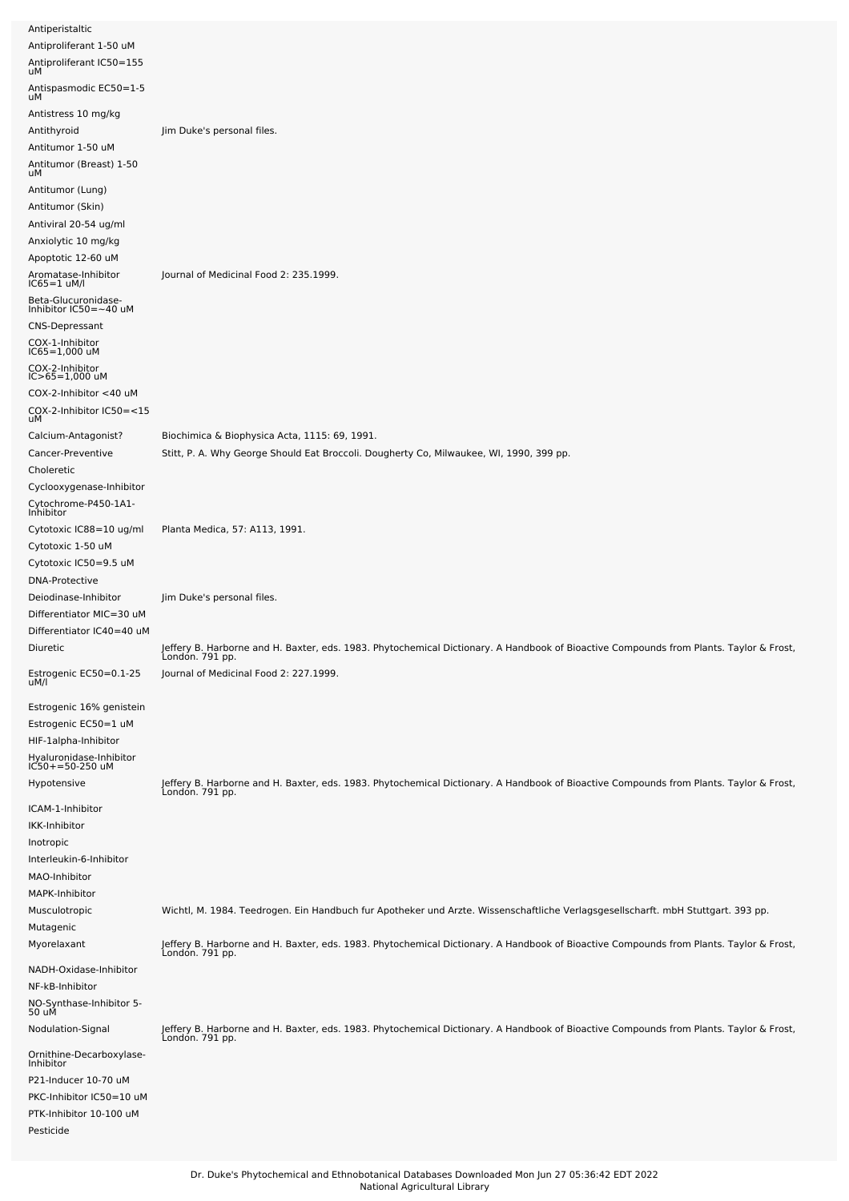| Antiperistaltic                                                                                                                                                                      |                                                                                                                                                           |
|--------------------------------------------------------------------------------------------------------------------------------------------------------------------------------------|-----------------------------------------------------------------------------------------------------------------------------------------------------------|
| Antiproliferant 1-50 uM<br>Antiproliferant IC50=155<br>uМ                                                                                                                            |                                                                                                                                                           |
| Antispasmodic EC50=1-5<br>uМ                                                                                                                                                         |                                                                                                                                                           |
| Antistress 10 mg/kg<br>Antithyroid<br>Antitumor 1-50 uM<br>Antitumor (Breast) 1-50<br>uМ                                                                                             | Jim Duke's personal files.                                                                                                                                |
| Antitumor (Lung)<br>Antitumor (Skin)<br>Antiviral 20-54 ug/ml<br>Anxiolytic 10 mg/kg<br>Apoptotic 12-60 uM                                                                           | Journal of Medicinal Food 2: 235.1999.                                                                                                                    |
| Aromatase-Inhibitor<br>IC65=1 uM/l<br>Beta-Glucuronidase-<br>Inhibitor IC50=~40 uM<br><b>CNS-Depressant</b><br>COX-1-Inhibitor<br>IC65=1,000 uM<br>COX-2-Inhibitor<br>IC>65=1,000 uM |                                                                                                                                                           |
| COX-2-Inhibitor <40 uM<br>COX-2-Inhibitor IC50=<15<br>uМ                                                                                                                             |                                                                                                                                                           |
| Calcium-Antagonist?<br>Cancer-Preventive<br>Choleretic                                                                                                                               | Biochimica & Biophysica Acta, 1115: 69, 1991.<br>Stitt, P. A. Why George Should Eat Broccoli. Dougherty Co, Milwaukee, WI, 1990, 399 pp.                  |
| Cyclooxygenase-Inhibitor<br>Cytochrome-P450-1A1-<br>Inhibitor                                                                                                                        |                                                                                                                                                           |
| Cytotoxic IC88=10 ug/ml<br>Cytotoxic 1-50 uM<br>Cytotoxic IC50=9.5 uM                                                                                                                | Planta Medica, 57: A113, 1991.                                                                                                                            |
| <b>DNA-Protective</b><br>Deiodinase-Inhibitor<br>Differentiator MIC=30 uM<br>Differentiator IC40=40 uM                                                                               | Jim Duke's personal files.                                                                                                                                |
| Diuretic                                                                                                                                                                             | Jeffery B. Harborne and H. Baxter, eds. 1983. Phytochemical Dictionary. A Handbook of Bioactive Compounds from Plants. Taylor & Frost,<br>Londón. 791 pp. |
| Estrogenic EC50=0.1-25<br>uM/l                                                                                                                                                       | Journal of Medicinal Food 2: 227.1999.                                                                                                                    |
| Estrogenic 16% genistein<br>Estrogenic EC50=1 uM<br>HIF-1alpha-Inhibitor<br>Hyaluronidase-Inhibitor<br>IC50+=50-250 uM                                                               |                                                                                                                                                           |
| Hypotensive<br>ICAM-1-Inhibitor                                                                                                                                                      | Jeffery B. Harborne and H. Baxter, eds. 1983. Phytochemical Dictionary. A Handbook of Bioactive Compounds from Plants. Taylor & Frost,<br>London. 791 pp. |
| IKK-Inhibitor<br>Inotropic<br>Interleukin-6-Inhibitor<br>MAO-Inhibitor<br>MAPK-Inhibitor                                                                                             |                                                                                                                                                           |
| Musculotropic<br>Mutagenic                                                                                                                                                           | Wichtl, M. 1984. Teedrogen. Ein Handbuch fur Apotheker und Arzte. Wissenschaftliche Verlagsgesellscharft. mbH Stuttgart. 393 pp.                          |
| Myorelaxant                                                                                                                                                                          | Jeffery B. Harborne and H. Baxter, eds. 1983. Phytochemical Dictionary. A Handbook of Bioactive Compounds from Plants. Taylor & Frost,<br>London. 791 pp. |
| NADH-Oxidase-Inhibitor<br>NF-kB-Inhibitor<br>NO-Synthase-Inhibitor 5-<br>50 uM                                                                                                       |                                                                                                                                                           |
| Nodulation-Signal                                                                                                                                                                    | Jeffery B. Harborne and H. Baxter, eds. 1983. Phytochemical Dictionary. A Handbook of Bioactive Compounds from Plants. Taylor & Frost,<br>London. 791 pp. |
| Ornithine-Decarboxylase-<br>Inhibitor<br>P21-Inducer 10-70 uM<br>PKC-Inhibitor IC50=10 uM<br>PTK-Inhibitor 10-100 uM                                                                 |                                                                                                                                                           |
| Pesticide                                                                                                                                                                            |                                                                                                                                                           |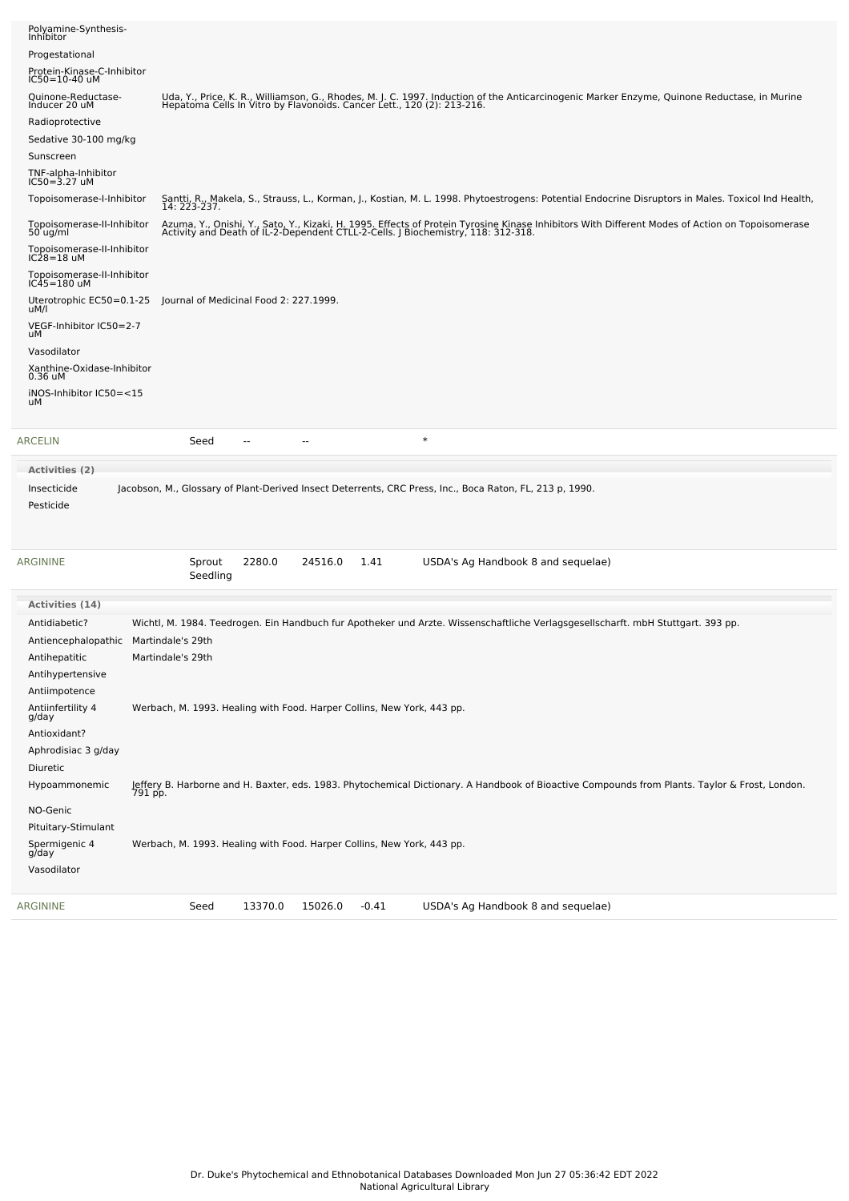| Insecticide<br>Pesticide<br>Activities (14)<br>Antidiabetic?<br>Antiencephalopathic Martindale's 29th<br>Antihepatitic<br>Antihypertensive<br>Antiimpotence<br>Antiinfertility 4<br>g/day<br>Antioxidant?<br>Aphrodisiac 3 g/day<br>Diuretic<br>Hypoammonemic<br>NO-Genic<br>Pituitary-Stimulant<br>Spermigenic 4<br>g/day<br>Vasodilator | Jacobson, M., Glossary of Plant-Derived Insect Deterrents, CRC Press, Inc., Boca Raton, FL, 213 p, 1990.<br>2280.0<br>24516.0<br>1.41<br>USDA's Ag Handbook 8 and sequelae)<br>Sprout<br>Seedling<br>Wichtl, M. 1984. Teedrogen. Ein Handbuch fur Apotheker und Arzte. Wissenschaftliche Verlagsgesellscharft. mbH Stuttgart. 393 pp.<br>Martindale's 29th<br>Werbach, M. 1993. Healing with Food. Harper Collins, New York, 443 pp.<br>Jeffery B. Harborne and H. Baxter, eds. 1983. Phytochemical Dictionary. A Handbook of Bioactive Compounds from Plants. Taylor & Frost, London.<br>791 pp.<br>Werbach, M. 1993. Healing with Food. Harper Collins, New York, 443 pp. |
|-------------------------------------------------------------------------------------------------------------------------------------------------------------------------------------------------------------------------------------------------------------------------------------------------------------------------------------------|-----------------------------------------------------------------------------------------------------------------------------------------------------------------------------------------------------------------------------------------------------------------------------------------------------------------------------------------------------------------------------------------------------------------------------------------------------------------------------------------------------------------------------------------------------------------------------------------------------------------------------------------------------------------------------|
| ARGININE                                                                                                                                                                                                                                                                                                                                  |                                                                                                                                                                                                                                                                                                                                                                                                                                                                                                                                                                                                                                                                             |
|                                                                                                                                                                                                                                                                                                                                           |                                                                                                                                                                                                                                                                                                                                                                                                                                                                                                                                                                                                                                                                             |
|                                                                                                                                                                                                                                                                                                                                           |                                                                                                                                                                                                                                                                                                                                                                                                                                                                                                                                                                                                                                                                             |
|                                                                                                                                                                                                                                                                                                                                           |                                                                                                                                                                                                                                                                                                                                                                                                                                                                                                                                                                                                                                                                             |
|                                                                                                                                                                                                                                                                                                                                           |                                                                                                                                                                                                                                                                                                                                                                                                                                                                                                                                                                                                                                                                             |
|                                                                                                                                                                                                                                                                                                                                           |                                                                                                                                                                                                                                                                                                                                                                                                                                                                                                                                                                                                                                                                             |
|                                                                                                                                                                                                                                                                                                                                           |                                                                                                                                                                                                                                                                                                                                                                                                                                                                                                                                                                                                                                                                             |
|                                                                                                                                                                                                                                                                                                                                           |                                                                                                                                                                                                                                                                                                                                                                                                                                                                                                                                                                                                                                                                             |
|                                                                                                                                                                                                                                                                                                                                           |                                                                                                                                                                                                                                                                                                                                                                                                                                                                                                                                                                                                                                                                             |
|                                                                                                                                                                                                                                                                                                                                           |                                                                                                                                                                                                                                                                                                                                                                                                                                                                                                                                                                                                                                                                             |
|                                                                                                                                                                                                                                                                                                                                           |                                                                                                                                                                                                                                                                                                                                                                                                                                                                                                                                                                                                                                                                             |
|                                                                                                                                                                                                                                                                                                                                           |                                                                                                                                                                                                                                                                                                                                                                                                                                                                                                                                                                                                                                                                             |
|                                                                                                                                                                                                                                                                                                                                           |                                                                                                                                                                                                                                                                                                                                                                                                                                                                                                                                                                                                                                                                             |
|                                                                                                                                                                                                                                                                                                                                           |                                                                                                                                                                                                                                                                                                                                                                                                                                                                                                                                                                                                                                                                             |
|                                                                                                                                                                                                                                                                                                                                           |                                                                                                                                                                                                                                                                                                                                                                                                                                                                                                                                                                                                                                                                             |
|                                                                                                                                                                                                                                                                                                                                           |                                                                                                                                                                                                                                                                                                                                                                                                                                                                                                                                                                                                                                                                             |
| <b>Activities</b> (2)                                                                                                                                                                                                                                                                                                                     |                                                                                                                                                                                                                                                                                                                                                                                                                                                                                                                                                                                                                                                                             |
| ARCELIN                                                                                                                                                                                                                                                                                                                                   | $\ast$<br>Seed<br>$\overline{\phantom{a}}$<br>$\sim$                                                                                                                                                                                                                                                                                                                                                                                                                                                                                                                                                                                                                        |
| iNOS-Inhibitor IC50=<15<br>uМ                                                                                                                                                                                                                                                                                                             |                                                                                                                                                                                                                                                                                                                                                                                                                                                                                                                                                                                                                                                                             |
| Xanthine-Oxidase-Inhibitor<br>0.36 uM                                                                                                                                                                                                                                                                                                     |                                                                                                                                                                                                                                                                                                                                                                                                                                                                                                                                                                                                                                                                             |
| Vasodilator                                                                                                                                                                                                                                                                                                                               |                                                                                                                                                                                                                                                                                                                                                                                                                                                                                                                                                                                                                                                                             |
| VEGF-Inhibitor IC50=2-7<br>uМ                                                                                                                                                                                                                                                                                                             |                                                                                                                                                                                                                                                                                                                                                                                                                                                                                                                                                                                                                                                                             |
| Uterotrophic EC50=0.1-25<br>uM/l                                                                                                                                                                                                                                                                                                          | Journal of Medicinal Food 2: 227.1999.                                                                                                                                                                                                                                                                                                                                                                                                                                                                                                                                                                                                                                      |
| Topoisomerase-II-Inhibitor<br>IC45=180 uM                                                                                                                                                                                                                                                                                                 |                                                                                                                                                                                                                                                                                                                                                                                                                                                                                                                                                                                                                                                                             |
| Topoisomerase-II-Inhibitor<br>$IC28 = 18$ uM                                                                                                                                                                                                                                                                                              |                                                                                                                                                                                                                                                                                                                                                                                                                                                                                                                                                                                                                                                                             |
| Topoisomerase-II-Inhibitor<br>$50$ ug/ml                                                                                                                                                                                                                                                                                                  | Azuma, Y., Onishi, Y., Sato, Y., Kizaki, H. 1995. Effects of Protein Tyrosine Kinase Inhibitors With Different Modes of Action on Topoisomerase<br>Activity and Death of IL-2-Dependent CTLL-2-Cells. J Biochemistry, 118: 312-31                                                                                                                                                                                                                                                                                                                                                                                                                                           |
| Topoisomerase-I-Inhibitor                                                                                                                                                                                                                                                                                                                 | Santti, R., Makela, S., Strauss, L., Korman, J., Kostian, M. L. 1998. Phytoestrogens: Potential Endocrine Disruptors in Males. Toxicol Ind Health,<br>14: 223-237.                                                                                                                                                                                                                                                                                                                                                                                                                                                                                                          |
| $IC50 = 3.27$ uM                                                                                                                                                                                                                                                                                                                          |                                                                                                                                                                                                                                                                                                                                                                                                                                                                                                                                                                                                                                                                             |
| Sunscreen<br>TNF-alpha-Inhibitor                                                                                                                                                                                                                                                                                                          |                                                                                                                                                                                                                                                                                                                                                                                                                                                                                                                                                                                                                                                                             |
| Radioprotective<br>Sedative 30-100 mg/kg                                                                                                                                                                                                                                                                                                  |                                                                                                                                                                                                                                                                                                                                                                                                                                                                                                                                                                                                                                                                             |
|                                                                                                                                                                                                                                                                                                                                           | Uda, Y., Price, K. R., Williamson, G., Rhodes, M. J. C. 1997. Induction of the Anticarcinogenic Marker Enzyme, Quinone Reductase, in Murine<br>Hepatoma Cells In Vitro by Flavonoids. Cancer Lett., 120 (2): 213-216.                                                                                                                                                                                                                                                                                                                                                                                                                                                       |
| Inducer 20 uM                                                                                                                                                                                                                                                                                                                             |                                                                                                                                                                                                                                                                                                                                                                                                                                                                                                                                                                                                                                                                             |
| IC50=10-40 uM<br>Quinone-Reductase-                                                                                                                                                                                                                                                                                                       |                                                                                                                                                                                                                                                                                                                                                                                                                                                                                                                                                                                                                                                                             |
| Protein-Kinase-C-Inhibitor                                                                                                                                                                                                                                                                                                                |                                                                                                                                                                                                                                                                                                                                                                                                                                                                                                                                                                                                                                                                             |
| Polyamine-Synthesis-<br>Inhibitor<br>Progestational                                                                                                                                                                                                                                                                                       |                                                                                                                                                                                                                                                                                                                                                                                                                                                                                                                                                                                                                                                                             |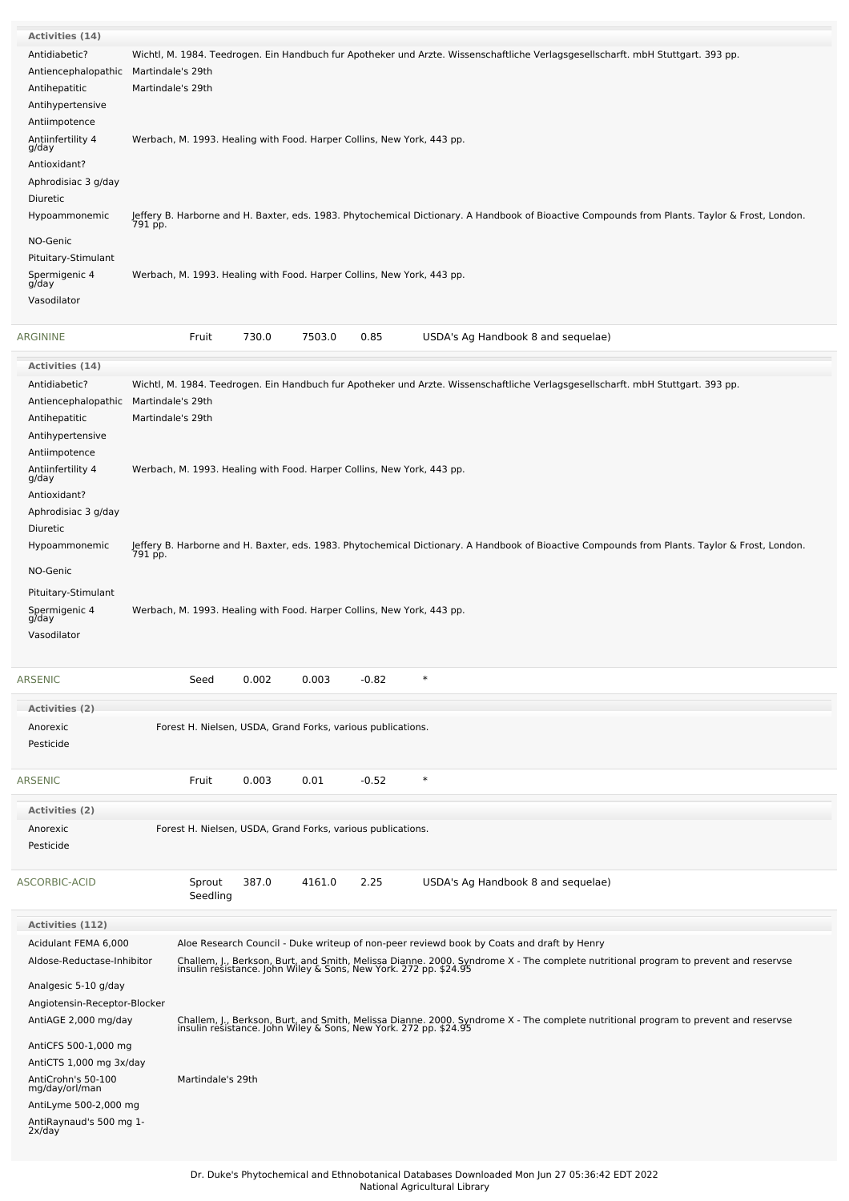| <b>Activities (14)</b>                |                   |                                                                        |       |        |         |                                                                                                                                                                                                        |
|---------------------------------------|-------------------|------------------------------------------------------------------------|-------|--------|---------|--------------------------------------------------------------------------------------------------------------------------------------------------------------------------------------------------------|
| Antidiabetic?                         |                   |                                                                        |       |        |         | Wichtl, M. 1984. Teedrogen. Ein Handbuch fur Apotheker und Arzte. Wissenschaftliche Verlagsgesellscharft. mbH Stuttgart. 393 pp.                                                                       |
| Antiencephalopathic                   | Martindale's 29th |                                                                        |       |        |         |                                                                                                                                                                                                        |
| Antihepatitic                         | Martindale's 29th |                                                                        |       |        |         |                                                                                                                                                                                                        |
| Antihypertensive                      |                   |                                                                        |       |        |         |                                                                                                                                                                                                        |
| Antiimpotence                         |                   |                                                                        |       |        |         |                                                                                                                                                                                                        |
| Antiinfertility 4                     |                   | Werbach, M. 1993. Healing with Food. Harper Collins, New York, 443 pp. |       |        |         |                                                                                                                                                                                                        |
| g/day                                 |                   |                                                                        |       |        |         |                                                                                                                                                                                                        |
| Antioxidant?                          |                   |                                                                        |       |        |         |                                                                                                                                                                                                        |
| Aphrodisiac 3 g/day                   |                   |                                                                        |       |        |         |                                                                                                                                                                                                        |
| Diuretic                              |                   |                                                                        |       |        |         |                                                                                                                                                                                                        |
| Hypoammonemic                         |                   |                                                                        |       |        |         | Jeffery B. Harborne and H. Baxter, eds. 1983. Phytochemical Dictionary. A Handbook of Bioactive Compounds from Plants. Taylor & Frost, London.<br>791 pp.                                              |
|                                       |                   |                                                                        |       |        |         |                                                                                                                                                                                                        |
| NO-Genic                              |                   |                                                                        |       |        |         |                                                                                                                                                                                                        |
| Pituitary-Stimulant                   |                   |                                                                        |       |        |         |                                                                                                                                                                                                        |
| Spermigenic 4<br>g/day                |                   | Werbach, M. 1993. Healing with Food. Harper Collins, New York, 443 pp. |       |        |         |                                                                                                                                                                                                        |
| Vasodilator                           |                   |                                                                        |       |        |         |                                                                                                                                                                                                        |
|                                       |                   |                                                                        |       |        |         |                                                                                                                                                                                                        |
| ARGININE                              |                   | Fruit                                                                  | 730.0 | 7503.0 | 0.85    | USDA's Ag Handbook 8 and sequelae)                                                                                                                                                                     |
|                                       |                   |                                                                        |       |        |         |                                                                                                                                                                                                        |
| Activities (14)                       |                   |                                                                        |       |        |         |                                                                                                                                                                                                        |
| Antidiabetic?                         |                   |                                                                        |       |        |         | Wichtl, M. 1984. Teedrogen. Ein Handbuch fur Apotheker und Arzte. Wissenschaftliche Verlagsgesellscharft. mbH Stuttgart. 393 pp.                                                                       |
| Antiencephalopathic Martindale's 29th |                   |                                                                        |       |        |         |                                                                                                                                                                                                        |
| Antihepatitic                         | Martindale's 29th |                                                                        |       |        |         |                                                                                                                                                                                                        |
| Antihypertensive                      |                   |                                                                        |       |        |         |                                                                                                                                                                                                        |
| Antiimpotence                         |                   |                                                                        |       |        |         |                                                                                                                                                                                                        |
|                                       |                   |                                                                        |       |        |         |                                                                                                                                                                                                        |
| Antiinfertility 4<br>g/day            |                   | Werbach, M. 1993. Healing with Food. Harper Collins, New York, 443 pp. |       |        |         |                                                                                                                                                                                                        |
| Antioxidant?                          |                   |                                                                        |       |        |         |                                                                                                                                                                                                        |
| Aphrodisiac 3 g/day                   |                   |                                                                        |       |        |         |                                                                                                                                                                                                        |
| Diuretic                              |                   |                                                                        |       |        |         |                                                                                                                                                                                                        |
| Hypoammonemic                         |                   |                                                                        |       |        |         | Jeffery B. Harborne and H. Baxter, eds. 1983. Phytochemical Dictionary. A Handbook of Bioactive Compounds from Plants. Taylor & Frost, London.                                                         |
|                                       | 791 pp.           |                                                                        |       |        |         |                                                                                                                                                                                                        |
| NO-Genic                              |                   |                                                                        |       |        |         |                                                                                                                                                                                                        |
| Pituitary-Stimulant                   |                   |                                                                        |       |        |         |                                                                                                                                                                                                        |
|                                       |                   | Werbach, M. 1993. Healing with Food. Harper Collins, New York, 443 pp. |       |        |         |                                                                                                                                                                                                        |
| Spermigenic 4<br>g/day                |                   |                                                                        |       |        |         |                                                                                                                                                                                                        |
| Vasodilator                           |                   |                                                                        |       |        |         |                                                                                                                                                                                                        |
|                                       |                   |                                                                        |       |        |         |                                                                                                                                                                                                        |
| ARSENIC                               |                   | Seed                                                                   | 0.002 | 0.003  | $-0.82$ | $\ast$                                                                                                                                                                                                 |
|                                       |                   |                                                                        |       |        |         |                                                                                                                                                                                                        |
| <b>Activities (2)</b>                 |                   |                                                                        |       |        |         |                                                                                                                                                                                                        |
| Anorexic                              |                   | Forest H. Nielsen, USDA, Grand Forks, various publications.            |       |        |         |                                                                                                                                                                                                        |
| Pesticide                             |                   |                                                                        |       |        |         |                                                                                                                                                                                                        |
|                                       |                   |                                                                        |       |        |         |                                                                                                                                                                                                        |
|                                       |                   |                                                                        |       |        |         |                                                                                                                                                                                                        |
| ARSENIC                               |                   | Fruit                                                                  | 0.003 | 0.01   | $-0.52$ | $\ast$                                                                                                                                                                                                 |
| <b>Activities (2)</b>                 |                   |                                                                        |       |        |         |                                                                                                                                                                                                        |
| Anorexic                              |                   |                                                                        |       |        |         |                                                                                                                                                                                                        |
|                                       |                   | Forest H. Nielsen, USDA, Grand Forks, various publications.            |       |        |         |                                                                                                                                                                                                        |
| Pesticide                             |                   |                                                                        |       |        |         |                                                                                                                                                                                                        |
|                                       |                   |                                                                        |       |        |         |                                                                                                                                                                                                        |
| ASCORBIC-ACID                         |                   | Sprout                                                                 | 387.0 | 4161.0 | 2.25    | USDA's Ag Handbook 8 and sequelae)                                                                                                                                                                     |
|                                       |                   | Seedling                                                               |       |        |         |                                                                                                                                                                                                        |
| <b>Activities (112)</b>               |                   |                                                                        |       |        |         |                                                                                                                                                                                                        |
|                                       |                   |                                                                        |       |        |         |                                                                                                                                                                                                        |
| Acidulant FEMA 6,000                  |                   |                                                                        |       |        |         | Aloe Research Council - Duke writeup of non-peer reviewd book by Coats and draft by Henry                                                                                                              |
| Aldose-Reductase-Inhibitor            |                   |                                                                        |       |        |         | Challem, J., Berkson, Burt, and Smith, Melissa Dianne. 2000. Syndrome X - The complete nutritional program to prevent and reservse<br>insulin resistance. John Wiley & Sons, New York. 272 pp. \$24.95 |
| Analgesic 5-10 g/day                  |                   |                                                                        |       |        |         |                                                                                                                                                                                                        |
| Angiotensin-Receptor-Blocker          |                   |                                                                        |       |        |         |                                                                                                                                                                                                        |
| AntiAGE 2,000 mg/day                  |                   |                                                                        |       |        |         |                                                                                                                                                                                                        |
|                                       |                   |                                                                        |       |        |         | Challem, J., Berkson, Burt, and Smith, Melissa Dianne. 2000. Syndrome X - The complete nutritional program to prevent and reservse<br>insulin resistance. John Wiley & Sons, New York. 272 pp. \$24.95 |
| AntiCFS 500-1,000 mg                  |                   |                                                                        |       |        |         |                                                                                                                                                                                                        |
| AntiCTS 1,000 mg 3x/day               |                   |                                                                        |       |        |         |                                                                                                                                                                                                        |
| AntiCrohn's 50-100<br>mg/day/orl/man  |                   | Martindale's 29th                                                      |       |        |         |                                                                                                                                                                                                        |
| AntiLyme 500-2,000 mg                 |                   |                                                                        |       |        |         |                                                                                                                                                                                                        |
|                                       |                   |                                                                        |       |        |         |                                                                                                                                                                                                        |

AntiRaynaud's <sup>500</sup> mg 1- 2x/day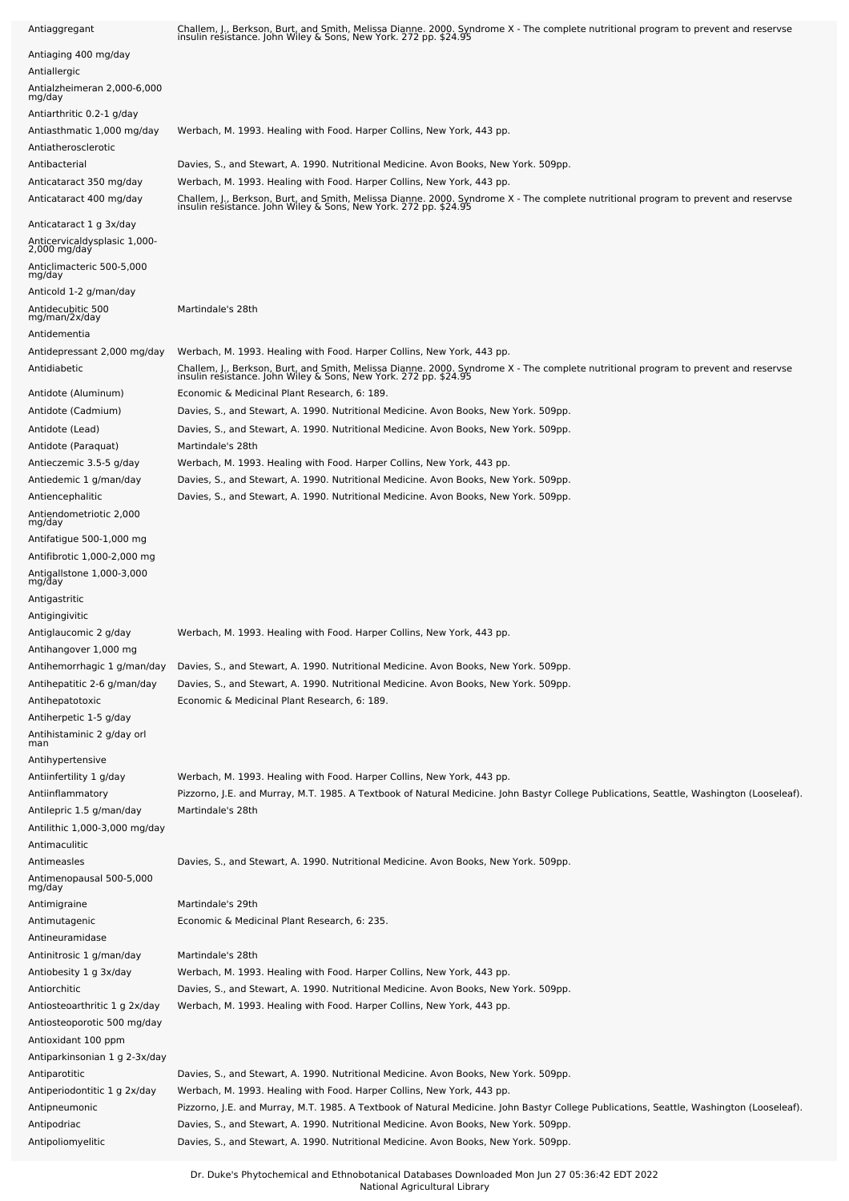| Antiaggregant                                           | Challem, J., Berkson, Burt, and Smith, Melissa Dianne. 2000. Syndrome X - The complete nutritional program to prevent and reservse<br>insulin resistance. John Wiley & Sons, New York. 272 pp. \$24.95             |
|---------------------------------------------------------|--------------------------------------------------------------------------------------------------------------------------------------------------------------------------------------------------------------------|
| Antiaging 400 mg/day                                    |                                                                                                                                                                                                                    |
| Antiallergic                                            |                                                                                                                                                                                                                    |
| Antialzheimeran 2,000-6,000<br>mg/day                   |                                                                                                                                                                                                                    |
| Antiarthritic 0.2-1 g/day                               |                                                                                                                                                                                                                    |
| Antiasthmatic 1,000 mg/day                              | Werbach, M. 1993. Healing with Food. Harper Collins, New York, 443 pp.                                                                                                                                             |
| Antiatherosclerotic                                     |                                                                                                                                                                                                                    |
| Antibacterial                                           | Davies, S., and Stewart, A. 1990. Nutritional Medicine. Avon Books, New York. 509pp.                                                                                                                               |
| Anticataract 350 mg/day                                 | Werbach, M. 1993. Healing with Food. Harper Collins, New York, 443 pp.                                                                                                                                             |
| Anticataract 400 mg/day                                 | Challem, J., Berkson, Burt, and Smith, Melissa Dianne. 2000. Syndrome X - The complete nutritional program to prevent and reservse<br>insulin resistance. John Wiley & Sons, New York. 272 pp. \$24.95             |
| Anticataract 1 g 3x/day                                 |                                                                                                                                                                                                                    |
| Anticervicaldysplasic 1,000-<br>2,000 mg/day            |                                                                                                                                                                                                                    |
| Anticlimacteric 500-5,000<br>mg/day                     |                                                                                                                                                                                                                    |
| Anticold 1-2 g/man/day                                  |                                                                                                                                                                                                                    |
| Antidecubitic 500<br>mg/man/2x/day                      | Martindale's 28th                                                                                                                                                                                                  |
| Antidementia                                            |                                                                                                                                                                                                                    |
| Antidepressant 2,000 mg/day                             | Werbach, M. 1993. Healing with Food. Harper Collins, New York, 443 pp.                                                                                                                                             |
| Antidiabetic                                            | Challem, J., Berkson, Burt, and Smith, Melissa Dianne. 2000. Syndrome X - The complete nutritional program to prevent and reservse<br>insulin resistance. John Wiley & Sons, New York. 272 pp. \$24.95             |
| Antidote (Aluminum)                                     | Economic & Medicinal Plant Research, 6: 189.                                                                                                                                                                       |
| Antidote (Cadmium)                                      | Davies, S., and Stewart, A. 1990. Nutritional Medicine. Avon Books, New York. 509pp.                                                                                                                               |
| Antidote (Lead)                                         | Davies, S., and Stewart, A. 1990. Nutritional Medicine. Avon Books, New York. 509pp.                                                                                                                               |
| Antidote (Paraquat)<br>Antieczemic 3.5-5 g/day          | Martindale's 28th<br>Werbach, M. 1993. Healing with Food. Harper Collins, New York, 443 pp.                                                                                                                        |
| Antiedemic 1 g/man/day                                  | Davies, S., and Stewart, A. 1990. Nutritional Medicine. Avon Books, New York. 509pp.                                                                                                                               |
| Antiencephalitic                                        | Davies, S., and Stewart, A. 1990. Nutritional Medicine. Avon Books, New York. 509pp.                                                                                                                               |
| Antiendometriotic 2,000                                 |                                                                                                                                                                                                                    |
| mg/day                                                  |                                                                                                                                                                                                                    |
| Antifatigue 500-1,000 mg<br>Antifibrotic 1,000-2,000 mg |                                                                                                                                                                                                                    |
| Antigallstone 1,000-3,000                               |                                                                                                                                                                                                                    |
| mg/day                                                  |                                                                                                                                                                                                                    |
| Antigastritic                                           |                                                                                                                                                                                                                    |
| Antigingivitic                                          | Werbach, M. 1993. Healing with Food. Harper Collins, New York, 443 pp.                                                                                                                                             |
| Antiglaucomic 2 g/day<br>Antihangover 1,000 mg          |                                                                                                                                                                                                                    |
| Antihemorrhagic 1 g/man/day                             | Davies, S., and Stewart, A. 1990. Nutritional Medicine. Avon Books, New York. 509pp.                                                                                                                               |
| Antihepatitic 2-6 g/man/day                             | Davies, S., and Stewart, A. 1990. Nutritional Medicine. Avon Books, New York. 509pp.                                                                                                                               |
| Antihepatotoxic                                         | Economic & Medicinal Plant Research, 6: 189.                                                                                                                                                                       |
| Antiherpetic 1-5 g/day                                  |                                                                                                                                                                                                                    |
| Antihistaminic 2 g/day orl<br>man                       |                                                                                                                                                                                                                    |
| Antihypertensive                                        |                                                                                                                                                                                                                    |
| Antiinfertility 1 g/day                                 | Werbach, M. 1993. Healing with Food. Harper Collins, New York, 443 pp.                                                                                                                                             |
| Antiinflammatory                                        | Pizzorno, J.E. and Murray, M.T. 1985. A Textbook of Natural Medicine. John Bastyr College Publications, Seattle, Washington (Looseleaf).                                                                           |
| Antilepric 1.5 g/man/day                                | Martindale's 28th                                                                                                                                                                                                  |
| Antilithic 1,000-3,000 mg/day                           |                                                                                                                                                                                                                    |
| Antimaculitic                                           |                                                                                                                                                                                                                    |
| Antimeasles<br>Antimenopausal 500-5,000<br>mg/day       | Davies, S., and Stewart, A. 1990. Nutritional Medicine. Avon Books, New York. 509pp.                                                                                                                               |
|                                                         |                                                                                                                                                                                                                    |
| Antimigraine<br>Antimutagenic                           | Martindale's 29th<br>Economic & Medicinal Plant Research, 6: 235.                                                                                                                                                  |
| Antineuramidase                                         |                                                                                                                                                                                                                    |
| Antinitrosic 1 g/man/day                                | Martindale's 28th                                                                                                                                                                                                  |
| Antiobesity 1 g 3x/day                                  | Werbach, M. 1993. Healing with Food. Harper Collins, New York, 443 pp.                                                                                                                                             |
| Antiorchitic                                            | Davies, S., and Stewart, A. 1990. Nutritional Medicine. Avon Books, New York. 509pp.                                                                                                                               |
| Antiosteoarthritic 1 g 2x/day                           | Werbach, M. 1993. Healing with Food. Harper Collins, New York, 443 pp.                                                                                                                                             |
| Antiosteoporotic 500 mg/day                             |                                                                                                                                                                                                                    |
| Antioxidant 100 ppm                                     |                                                                                                                                                                                                                    |
| Antiparkinsonian 1 g 2-3x/day                           |                                                                                                                                                                                                                    |
| Antiparotitic                                           | Davies, S., and Stewart, A. 1990. Nutritional Medicine. Avon Books, New York. 509pp.                                                                                                                               |
| Antiperiodontitic 1 g 2x/day<br>Antipneumonic           | Werbach, M. 1993. Healing with Food. Harper Collins, New York, 443 pp.<br>Pizzorno, J.E. and Murray, M.T. 1985. A Textbook of Natural Medicine. John Bastyr College Publications, Seattle, Washington (Looseleaf). |
| Antipodriac                                             | Davies, S., and Stewart, A. 1990. Nutritional Medicine. Avon Books, New York. 509pp.                                                                                                                               |
| Antipoliomyelitic                                       | Davies, S., and Stewart, A. 1990. Nutritional Medicine. Avon Books, New York. 509pp.                                                                                                                               |
|                                                         |                                                                                                                                                                                                                    |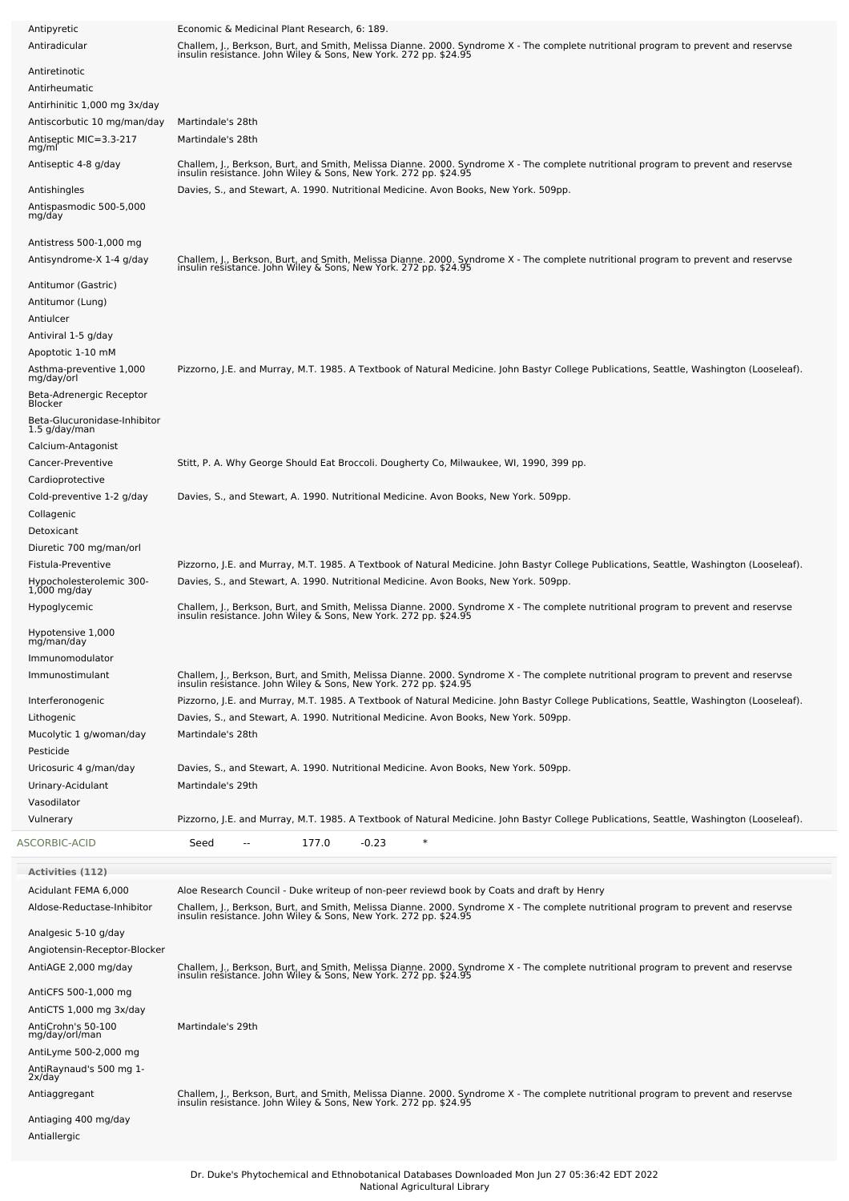| Antipyretic<br>Antiradicular                                                                | Economic & Medicinal Plant Research, 6: 189.<br>Challem, J., Berkson, Burt, and Smith, Melissa Dianne. 2000. Syndrome X - The complete nutritional program to prevent and reservse<br>insulin resistance. John Wiley & Sons, New York. 272 pp. \$24.95                                              |
|---------------------------------------------------------------------------------------------|-----------------------------------------------------------------------------------------------------------------------------------------------------------------------------------------------------------------------------------------------------------------------------------------------------|
| Antiretinotic                                                                               |                                                                                                                                                                                                                                                                                                     |
| Antirheumatic<br>Antirhinitic 1,000 mg 3x/day                                               |                                                                                                                                                                                                                                                                                                     |
| Antiscorbutic 10 mg/man/day<br>Antiseptic MIC=3.3-217                                       | Martindale's 28th<br>Martindale's 28th                                                                                                                                                                                                                                                              |
| mg/ml<br>Antiseptic 4-8 g/day                                                               | Challem, J., Berkson, Burt, and Smith, Melissa Dianne. 2000. Syndrome X - The complete nutritional program to prevent and reservse<br>insulin resistance. John Wiley & Sons, New York. 272 pp. \$24.95                                                                                              |
| Antishingles<br>Antispasmodic 500-5,000<br>mg/day                                           | Davies, S., and Stewart, A. 1990. Nutritional Medicine. Avon Books, New York. 509pp.                                                                                                                                                                                                                |
| Antistress 500-1,000 mg<br>Antisyndrome-X 1-4 g/day                                         | Challem, J., Berkson, Burt, and Smith, Melissa Dianne. 2000. Syndrome X - The complete nutritional program to prevent and reservse<br>insulin resistance. John Wiley & Sons, New York. 272 pp. \$24.95                                                                                              |
| Antitumor (Gastric)<br>Antitumor (Lung)<br>Antiulcer                                        |                                                                                                                                                                                                                                                                                                     |
| Antiviral 1-5 g/day<br>Apoptotic 1-10 mM                                                    | Pizzorno, J.E. and Murray, M.T. 1985. A Textbook of Natural Medicine. John Bastyr College Publications, Seattle, Washington (Looseleaf).                                                                                                                                                            |
| Asthma-preventive 1,000<br>mg/day/orl<br>Beta-Adrenergic Receptor<br>Blocker                |                                                                                                                                                                                                                                                                                                     |
| Beta-Glucuronidase-Inhibitor<br>1.5 g/day/man<br>Calcium-Antagonist                         |                                                                                                                                                                                                                                                                                                     |
| Cancer-Preventive<br>Cardioprotective                                                       | Stitt, P. A. Why George Should Eat Broccoli. Dougherty Co, Milwaukee, WI, 1990, 399 pp.                                                                                                                                                                                                             |
| Cold-preventive 1-2 g/day<br>Collagenic<br>Detoxicant                                       | Davies, S., and Stewart, A. 1990. Nutritional Medicine. Avon Books, New York. 509pp.                                                                                                                                                                                                                |
| Diuretic 700 mg/man/orl<br>Fistula-Preventive<br>Hypocholesterolemic 300-<br>$1,000$ mg/day | Pizzorno, J.E. and Murray, M.T. 1985. A Textbook of Natural Medicine. John Bastyr College Publications, Seattle, Washington (Looseleaf).<br>Davies, S., and Stewart, A. 1990. Nutritional Medicine. Avon Books, New York. 509pp.                                                                    |
| Hypoglycemic                                                                                | Challem, J., Berkson, Burt, and Smith, Melissa Dianne. 2000. Syndrome X - The complete nutritional program to prevent and reservse<br>insulin resistance. John Wiley & Sons, New York. 272 pp. \$24.95                                                                                              |
| Hypotensive 1,000<br>mg/man/day                                                             |                                                                                                                                                                                                                                                                                                     |
| Immunomodulator<br>Immunostimulant                                                          | Challem, J., Berkson, Burt, and Smith, Melissa Dianne. 2000. Syndrome X - The complete nutritional program to prevent and reservse<br>insulin resistance. John Wiley & Sons, New York. 272 pp. \$24.95                                                                                              |
| Interferonogenic                                                                            | Pizzorno, J.E. and Murray, M.T. 1985. A Textbook of Natural Medicine. John Bastyr College Publications, Seattle, Washington (Looseleaf).                                                                                                                                                            |
| Lithogenic<br>Mucolytic 1 g/woman/day                                                       | Davies, S., and Stewart, A. 1990. Nutritional Medicine. Avon Books, New York. 509pp.<br>Martindale's 28th                                                                                                                                                                                           |
| Pesticide<br>Uricosuric 4 g/man/day                                                         | Davies, S., and Stewart, A. 1990. Nutritional Medicine. Avon Books, New York. 509pp.                                                                                                                                                                                                                |
| Urinary-Acidulant                                                                           | Martindale's 29th                                                                                                                                                                                                                                                                                   |
| Vasodilator<br>Vulnerary                                                                    | Pizzorno, J.E. and Murray, M.T. 1985. A Textbook of Natural Medicine. John Bastyr College Publications, Seattle, Washington (Looseleaf).                                                                                                                                                            |
| ASCORBIC-ACID                                                                               | $\ast$<br>177.0<br>$-0.23$<br>Seed                                                                                                                                                                                                                                                                  |
| Activities (112)                                                                            |                                                                                                                                                                                                                                                                                                     |
| Acidulant FEMA 6,000<br>Aldose-Reductase-Inhibitor                                          | Aloe Research Council - Duke writeup of non-peer reviewd book by Coats and draft by Henry<br>Challem, J., Berkson, Burt, and Smith, Melissa Dianne. 2000. Syndrome X - The complete nutritional program to prevent and reservse<br>insulin resistance. John Wiley & Sons, New York. 272 pp. \$24.95 |
| Analgesic 5-10 g/day<br>Angiotensin-Receptor-Blocker                                        |                                                                                                                                                                                                                                                                                                     |
| AntiAGE 2,000 mg/day                                                                        | Challem, J., Berkson, Burt, and Smith, Melissa Dianne. 2000. Syndrome X - The complete nutritional program to prevent and reservse<br>insulin resistance. John Wiley & Sons, New York. 272 pp. \$24.95                                                                                              |
| AntiCFS 500-1,000 mg                                                                        |                                                                                                                                                                                                                                                                                                     |
| AntiCTS 1,000 mg 3x/day<br>AntiCrohn's 50-100                                               | Martindale's 29th                                                                                                                                                                                                                                                                                   |
| mg/day/orl/man<br>AntiLyme 500-2,000 mg                                                     |                                                                                                                                                                                                                                                                                                     |
| AntiRaynaud's 500 mg 1-<br>2x/day                                                           |                                                                                                                                                                                                                                                                                                     |
| Antiaggregant                                                                               | Challem, J., Berkson, Burt, and Smith, Melissa Dianne. 2000. Syndrome X - The complete nutritional program to prevent and reservse<br>insulin resistance. John Wiley & Sons, New York. 272 pp. \$24.95                                                                                              |
| Antiaging 400 mg/day<br>Antiallergic                                                        |                                                                                                                                                                                                                                                                                                     |
|                                                                                             |                                                                                                                                                                                                                                                                                                     |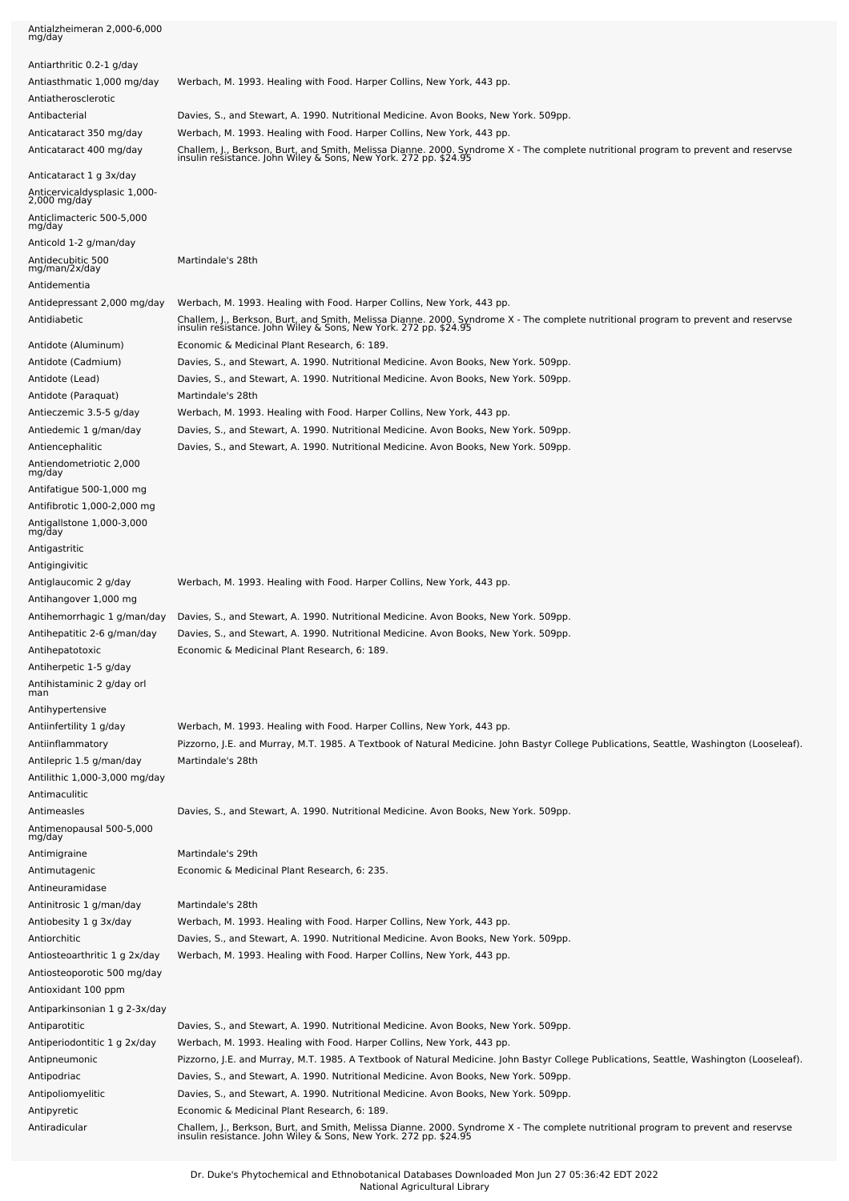| Antialzheimeran 2,000-6,000<br>mg/day                                     |                                                                                                                                                                                                        |
|---------------------------------------------------------------------------|--------------------------------------------------------------------------------------------------------------------------------------------------------------------------------------------------------|
| Antiarthritic 0.2-1 g/day                                                 |                                                                                                                                                                                                        |
| Antiasthmatic 1,000 mg/day<br>Antiatherosclerotic                         | Werbach, M. 1993. Healing with Food. Harper Collins, New York, 443 pp.                                                                                                                                 |
| Antibacterial                                                             | Davies, S., and Stewart, A. 1990. Nutritional Medicine. Avon Books, New York. 509pp.                                                                                                                   |
| Anticataract 350 mg/day                                                   | Werbach, M. 1993. Healing with Food. Harper Collins, New York, 443 pp.                                                                                                                                 |
| Anticataract 400 mg/day                                                   | Challem, J., Berkson, Burt, and Smith, Melissa Dianne. 2000. Syndrome X - The complete nutritional program to prevent and reservse<br>insulin resistance. John Wiley & Sons, New York. 272 pp. \$24.95 |
| Anticataract 1 g 3x/day<br>Anticervicaldysplasic 1,000-<br>$2,000$ mg/day |                                                                                                                                                                                                        |
| Anticlimacteric 500-5,000<br>mg/day                                       |                                                                                                                                                                                                        |
| Anticold 1-2 g/man/day                                                    |                                                                                                                                                                                                        |
| Antidecubitic 500<br>mg/man/2x/day<br>Antidementia                        | Martindale's 28th                                                                                                                                                                                      |
| Antidepressant 2,000 mg/day                                               | Werbach, M. 1993. Healing with Food. Harper Collins, New York, 443 pp.                                                                                                                                 |
| Antidiabetic                                                              | Challem, J., Berkson, Burt, and Smith, Melissa Dianne. 2000. Syndrome X - The complete nutritional program to prevent and reservse<br>insulin resistance. John Wiley & Sons, New York. 272 pp. \$24.95 |
| Antidote (Aluminum)                                                       | Economic & Medicinal Plant Research, 6: 189.                                                                                                                                                           |
| Antidote (Cadmium)                                                        | Davies, S., and Stewart, A. 1990. Nutritional Medicine. Avon Books, New York. 509pp.                                                                                                                   |
| Antidote (Lead)                                                           | Davies, S., and Stewart, A. 1990. Nutritional Medicine. Avon Books, New York. 509pp.                                                                                                                   |
| Antidote (Paraquat)                                                       | Martindale's 28th                                                                                                                                                                                      |
| Antieczemic 3.5-5 g/day<br>Antiedemic 1 g/man/day                         | Werbach, M. 1993. Healing with Food. Harper Collins, New York, 443 pp.<br>Davies, S., and Stewart, A. 1990. Nutritional Medicine. Avon Books, New York. 509pp.                                         |
| Antiencephalitic                                                          | Davies, S., and Stewart, A. 1990. Nutritional Medicine. Avon Books, New York. 509pp.                                                                                                                   |
| Antiendometriotic 2,000                                                   |                                                                                                                                                                                                        |
| mg/day<br>Antifatigue 500-1,000 mg                                        |                                                                                                                                                                                                        |
| Antifibrotic 1,000-2,000 mg                                               |                                                                                                                                                                                                        |
| Antigallstone 1,000-3,000<br>mg/day                                       |                                                                                                                                                                                                        |
| Antigastritic                                                             |                                                                                                                                                                                                        |
| Antigingivitic                                                            |                                                                                                                                                                                                        |
| Antiglaucomic 2 g/day                                                     | Werbach, M. 1993. Healing with Food. Harper Collins, New York, 443 pp.                                                                                                                                 |
| Antihangover 1,000 mg                                                     |                                                                                                                                                                                                        |
| Antihemorrhagic 1 g/man/day                                               | Davies, S., and Stewart, A. 1990. Nutritional Medicine. Avon Books, New York. 509pp.                                                                                                                   |
| Antihepatitic 2-6 g/man/day<br>Antihepatotoxic                            | Davies, S., and Stewart, A. 1990. Nutritional Medicine. Avon Books, New York. 509pp.<br>Economic & Medicinal Plant Research, 6: 189.                                                                   |
| Antiherpetic 1-5 g/day                                                    |                                                                                                                                                                                                        |
| Antihistaminic 2 g/day orl                                                |                                                                                                                                                                                                        |
| man<br>Antihypertensive                                                   |                                                                                                                                                                                                        |
| Antiinfertility 1 g/day                                                   | Werbach, M. 1993. Healing with Food. Harper Collins, New York, 443 pp.                                                                                                                                 |
| Antiinflammatory                                                          | Pizzorno, J.E. and Murray, M.T. 1985. A Textbook of Natural Medicine. John Bastyr College Publications, Seattle, Washington (Looseleaf).                                                               |
| Antilepric 1.5 g/man/day                                                  | Martindale's 28th                                                                                                                                                                                      |
| Antilithic 1,000-3,000 mg/day                                             |                                                                                                                                                                                                        |
| Antimaculitic<br>Antimeasles                                              | Davies, S., and Stewart, A. 1990. Nutritional Medicine. Avon Books, New York. 509pp.                                                                                                                   |
| Antimenopausal 500-5,000                                                  |                                                                                                                                                                                                        |
| mg/day<br>Antimigraine                                                    | Martindale's 29th                                                                                                                                                                                      |
| Antimutagenic                                                             | Economic & Medicinal Plant Research, 6: 235.                                                                                                                                                           |
| Antineuramidase                                                           |                                                                                                                                                                                                        |
| Antinitrosic 1 g/man/day                                                  | Martindale's 28th                                                                                                                                                                                      |
| Antiobesity 1 g 3x/day                                                    | Werbach, M. 1993. Healing with Food. Harper Collins, New York, 443 pp.                                                                                                                                 |
| Antiorchitic                                                              | Davies, S., and Stewart, A. 1990. Nutritional Medicine. Avon Books, New York. 509pp.                                                                                                                   |
| Antiosteoarthritic 1 g 2x/day<br>Antiosteoporotic 500 mg/day              | Werbach, M. 1993. Healing with Food. Harper Collins, New York, 443 pp.                                                                                                                                 |
| Antioxidant 100 ppm                                                       |                                                                                                                                                                                                        |
| Antiparkinsonian 1 g 2-3x/day                                             |                                                                                                                                                                                                        |
| Antiparotitic                                                             | Davies, S., and Stewart, A. 1990. Nutritional Medicine. Avon Books, New York. 509pp.                                                                                                                   |
| Antiperiodontitic 1 g 2x/day                                              | Werbach, M. 1993. Healing with Food. Harper Collins, New York, 443 pp.                                                                                                                                 |
| Antipneumonic                                                             | Pizzorno, J.E. and Murray, M.T. 1985. A Textbook of Natural Medicine. John Bastyr College Publications, Seattle, Washington (Looseleaf).                                                               |
| Antipodriac<br>Antipoliomyelitic                                          | Davies, S., and Stewart, A. 1990. Nutritional Medicine. Avon Books, New York. 509pp.<br>Davies, S., and Stewart, A. 1990. Nutritional Medicine. Avon Books, New York. 509pp.                           |
| Antipyretic                                                               | Economic & Medicinal Plant Research, 6: 189.                                                                                                                                                           |
| Antiradicular                                                             | Challem, J., Berkson, Burt, and Smith, Melissa Dianne. 2000. Syndrome X - The complete nutritional program to prevent and reservse<br>insulin resistance. John Wiley & Sons, New York. 272 pp. \$24.95 |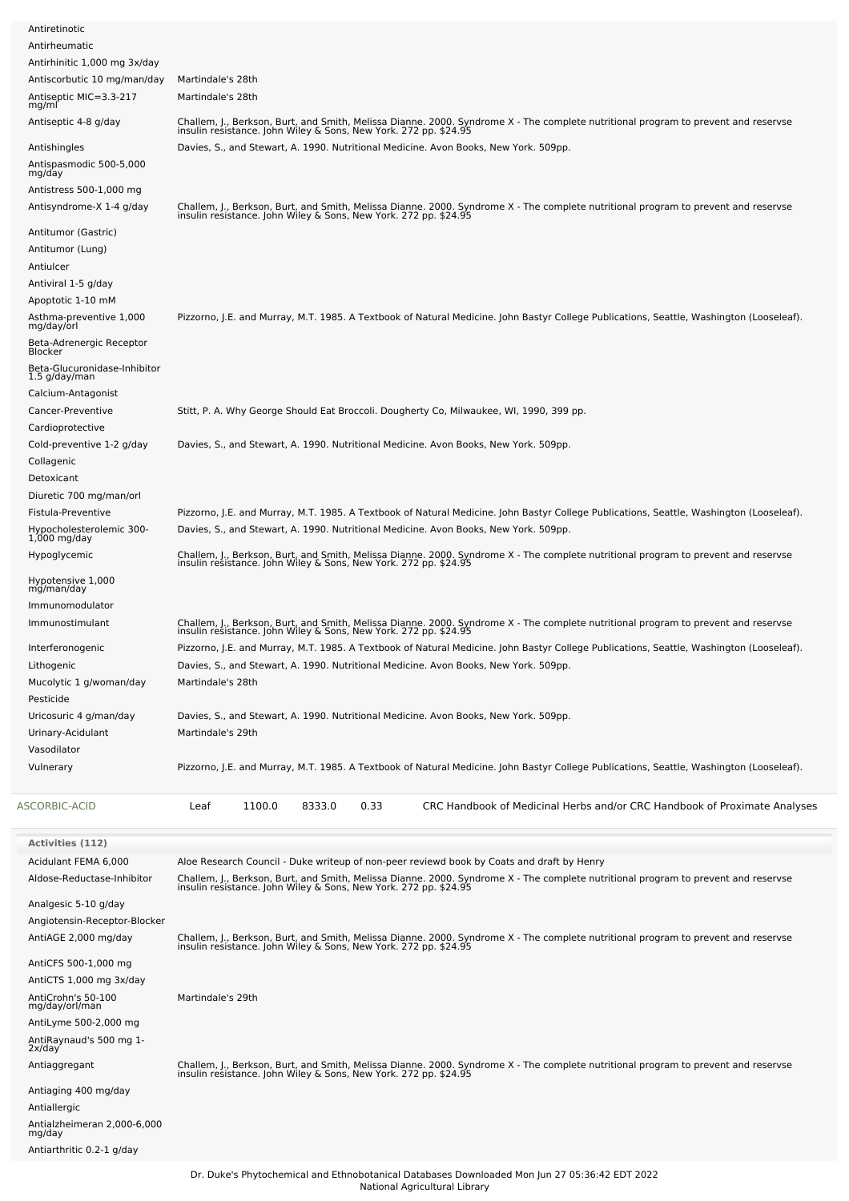| Antirheumatic                                        |                                                                                                                                                                                                        |
|------------------------------------------------------|--------------------------------------------------------------------------------------------------------------------------------------------------------------------------------------------------------|
| Antirhinitic 1,000 mg 3x/day                         |                                                                                                                                                                                                        |
| Antiscorbutic 10 mg/man/day                          | Martindale's 28th                                                                                                                                                                                      |
| Antiseptic MIC=3.3-217<br>mg/ml                      | Martindale's 28th                                                                                                                                                                                      |
| Antiseptic 4-8 g/day                                 | Challem, J., Berkson, Burt, and Smith, Melissa Dianne. 2000. Syndrome X - The complete nutritional program to prevent and reservse<br>insulin resistance. John Wiley & Sons, New York. 272 pp. \$24.95 |
| Antishingles                                         | Davies, S., and Stewart, A. 1990. Nutritional Medicine. Avon Books, New York. 509pp.                                                                                                                   |
| Antispasmodic 500-5,000<br>mg/day                    |                                                                                                                                                                                                        |
| Antistress 500-1,000 mg                              |                                                                                                                                                                                                        |
| Antisyndrome-X 1-4 g/day                             | Challem, J., Berkson, Burt, and Smith, Melissa Dianne. 2000. Syndrome X - The complete nutritional program to prevent and reservse<br>insulin resistance. John Wiley & Sons, New York. 272 pp. \$24.95 |
| Antitumor (Gastric)                                  |                                                                                                                                                                                                        |
| Antitumor (Lung)                                     |                                                                                                                                                                                                        |
| Antiulcer                                            |                                                                                                                                                                                                        |
| Antiviral 1-5 g/day                                  |                                                                                                                                                                                                        |
| Apoptotic 1-10 mM                                    |                                                                                                                                                                                                        |
| Asthma-preventive 1,000<br>mg/day/orl                | Pizzorno, J.E. and Murray, M.T. 1985. A Textbook of Natural Medicine. John Bastyr College Publications, Seattle, Washington (Looseleaf).                                                               |
| Beta-Adrenergic Receptor<br>Blocker                  |                                                                                                                                                                                                        |
| Beta-Glucuronidase-Inhibitor<br>$1.5$ g/day/man      |                                                                                                                                                                                                        |
| Calcium-Antagonist                                   |                                                                                                                                                                                                        |
| Cancer-Preventive                                    | Stitt, P. A. Why George Should Eat Broccoli. Dougherty Co, Milwaukee, WI, 1990, 399 pp.                                                                                                                |
| Cardioprotective                                     |                                                                                                                                                                                                        |
| Cold-preventive 1-2 g/day                            | Davies, S., and Stewart, A. 1990. Nutritional Medicine. Avon Books, New York. 509pp.                                                                                                                   |
| Collagenic                                           |                                                                                                                                                                                                        |
| Detoxicant                                           |                                                                                                                                                                                                        |
| Diuretic 700 mg/man/orl                              |                                                                                                                                                                                                        |
| Fistula-Preventive                                   | Pizzorno, J.E. and Murray, M.T. 1985. A Textbook of Natural Medicine. John Bastyr College Publications, Seattle, Washington (Looseleaf).                                                               |
| Hypocholesterolemic 300-<br>1,000 mg/day             | Davies, S., and Stewart, A. 1990. Nutritional Medicine. Avon Books, New York. 509pp.                                                                                                                   |
| Hypoglycemic                                         | Challem, J., Berkson, Burt, and Smith, Melissa Dianne. 2000. Syndrome X - The complete nutritional program to prevent and reservse<br>insulin resistance. John Wiley & Sons, New York. 272 pp. \$24.95 |
| Hypotensive 1,000                                    |                                                                                                                                                                                                        |
| mg/man/day                                           |                                                                                                                                                                                                        |
| Immunomodulator                                      |                                                                                                                                                                                                        |
| Immunostimulant                                      | Challem, J., Berkson, Burt, and Smith, Melissa Dianne. 2000. Syndrome X - The complete nutritional program to prevent and reservse<br>insulin resistance. John Wiley & Sons, New York. 272 pp. \$24.95 |
| Interferonogenic                                     | Pizzorno, J.E. and Murray, M.T. 1985. A Textbook of Natural Medicine. John Bastyr College Publications, Seattle, Washington (Looseleaf).                                                               |
| Lithogenic                                           | Davies, S., and Stewart, A. 1990. Nutritional Medicine. Avon Books, New York. 509pp.                                                                                                                   |
| Mucolytic 1 g/woman/day                              | Martindale's 28th                                                                                                                                                                                      |
| Pesticide                                            |                                                                                                                                                                                                        |
|                                                      | Davies, S., and Stewart, A. 1990. Nutritional Medicine. Avon Books, New York. 509pp.                                                                                                                   |
| Uricosuric 4 g/man/day                               |                                                                                                                                                                                                        |
| Urinary-Acidulant                                    | Martindale's 29th                                                                                                                                                                                      |
|                                                      |                                                                                                                                                                                                        |
| Vasodilator<br>Vulnerary                             | Pizzorno, J.E. and Murray, M.T. 1985. A Textbook of Natural Medicine. John Bastyr College Publications, Seattle, Washington (Looseleaf).                                                               |
|                                                      |                                                                                                                                                                                                        |
| ASCORBIC-ACID                                        | Leaf<br>1100.0<br>8333.0<br>0.33<br>CRC Handbook of Medicinal Herbs and/or CRC Handbook of Proximate Analyses                                                                                          |
| <b>Activities (112)</b>                              |                                                                                                                                                                                                        |
| Acidulant FEMA 6,000                                 | Aloe Research Council - Duke writeup of non-peer reviewd book by Coats and draft by Henry                                                                                                              |
| Aldose-Reductase-Inhibitor                           | Challem, J., Berkson, Burt, and Smith, Melissa Dianne. 2000. Syndrome X - The complete nutritional program to prevent and reservse<br>insulin resistance. John Wiley & Sons, New York. 272 pp. \$24.95 |
| Analgesic 5-10 g/day                                 |                                                                                                                                                                                                        |
|                                                      |                                                                                                                                                                                                        |
| Angiotensin-Receptor-Blocker<br>AntiAGE 2,000 mg/day |                                                                                                                                                                                                        |
| AntiCFS 500-1,000 mg                                 | Challem, J., Berkson, Burt, and Smith, Melissa Dianne. 2000. Syndrome X - The complete nutritional program to prevent and reservse<br>insulin resistance. John Wiley & Sons, New York. 272 pp. \$24.95 |
| AntiCTS 1,000 mg 3x/day                              |                                                                                                                                                                                                        |
|                                                      | Martindale's 29th                                                                                                                                                                                      |
| AntiCrohn's 50-100<br>mg/day/orl/man                 |                                                                                                                                                                                                        |
| AntiLyme 500-2,000 mg                                |                                                                                                                                                                                                        |
| AntiRaynaud's 500 mg 1-                              |                                                                                                                                                                                                        |
| 2x/day<br>Antiaggregant                              |                                                                                                                                                                                                        |
|                                                      | Challem, J., Berkson, Burt, and Smith, Melissa Dianne. 2000. Syndrome X - The complete nutritional program to prevent and reservse<br>insulin resistance. John Wiley & Sons, New York. 272 pp. \$24.95 |
| Antiaging 400 mg/day                                 |                                                                                                                                                                                                        |
| Antiallergic                                         |                                                                                                                                                                                                        |
| Antialzheimeran 2,000-6,000<br>mg/day                |                                                                                                                                                                                                        |
| Antiarthritic 0.2-1 g/day                            |                                                                                                                                                                                                        |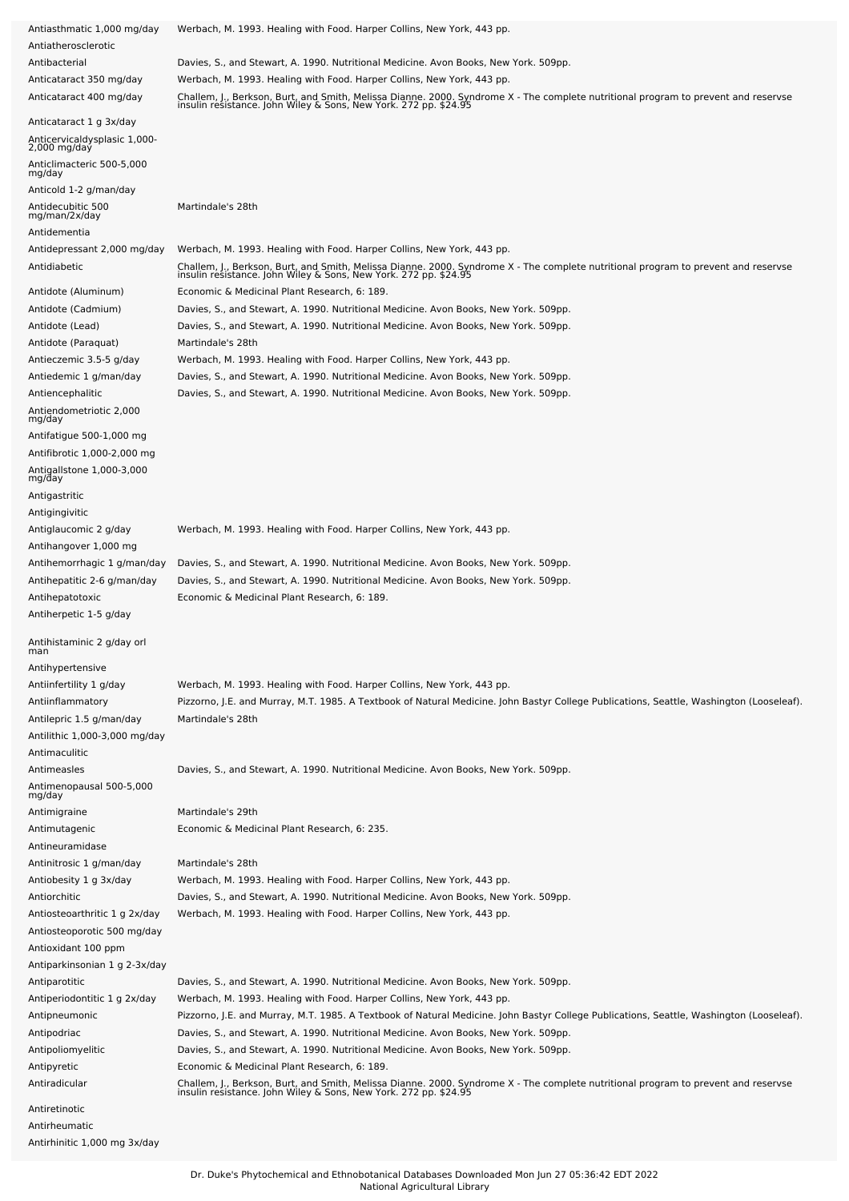| Antiasthmatic 1,000 mg/day                               | Werbach, M. 1993. Healing with Food. Harper Collins, New York, 443 pp.                                                                                                                                 |
|----------------------------------------------------------|--------------------------------------------------------------------------------------------------------------------------------------------------------------------------------------------------------|
| Antiatherosclerotic                                      |                                                                                                                                                                                                        |
| Antibacterial                                            | Davies, S., and Stewart, A. 1990. Nutritional Medicine. Avon Books, New York. 509pp.                                                                                                                   |
| Anticataract 350 mg/day                                  | Werbach, M. 1993. Healing with Food. Harper Collins, New York, 443 pp.                                                                                                                                 |
| Anticataract 400 mg/day                                  | Challem, J., Berkson, Burt, and Smith, Melissa Dianne. 2000. Syndrome X - The complete nutritional program to prevent and reservse<br>insulin resistance. John Wiley & Sons, New York. 272 pp. \$24.95 |
| Anticataract 1 g 3x/day                                  |                                                                                                                                                                                                        |
| Anticervicaldysplasic 1,000-<br>2,000 mg/day             |                                                                                                                                                                                                        |
| Anticlimacteric 500-5,000<br>mg/day                      |                                                                                                                                                                                                        |
| Anticold 1-2 g/man/day                                   |                                                                                                                                                                                                        |
| Antidecubitic 500<br>mg/man/2x/day<br>Antidementia       | Martindale's 28th                                                                                                                                                                                      |
| Antidepressant 2,000 mg/day                              | Werbach, M. 1993. Healing with Food. Harper Collins, New York, 443 pp.                                                                                                                                 |
| Antidiabetic                                             | Challem, J., Berkson, Burt, and Smith, Melissa Dianne. 2000. Syndrome X - The complete nutritional program to prevent and reservse<br>insulin resistance. John Wiley & Sons, New York. 272 pp. \$24.95 |
| Antidote (Aluminum)                                      | Economic & Medicinal Plant Research, 6: 189.                                                                                                                                                           |
| Antidote (Cadmium)                                       | Davies, S., and Stewart, A. 1990. Nutritional Medicine. Avon Books, New York. 509pp.                                                                                                                   |
| Antidote (Lead)                                          | Davies, S., and Stewart, A. 1990. Nutritional Medicine. Avon Books, New York. 509pp.                                                                                                                   |
| Antidote (Paraquat)                                      | Martindale's 28th                                                                                                                                                                                      |
|                                                          |                                                                                                                                                                                                        |
| Antieczemic 3.5-5 g/day                                  | Werbach, M. 1993. Healing with Food. Harper Collins, New York, 443 pp.                                                                                                                                 |
| Antiedemic 1 g/man/day                                   | Davies, S., and Stewart, A. 1990. Nutritional Medicine. Avon Books, New York. 509pp.                                                                                                                   |
| Antiencephalitic                                         | Davies, S., and Stewart, A. 1990. Nutritional Medicine. Avon Books, New York. 509pp.                                                                                                                   |
| Antiendometriotic 2,000<br>mg/day                        |                                                                                                                                                                                                        |
| Antifatigue 500-1,000 mg                                 |                                                                                                                                                                                                        |
| Antifibrotic 1,000-2,000 mg<br>Antigallstone 1,000-3,000 |                                                                                                                                                                                                        |
| mg/day                                                   |                                                                                                                                                                                                        |
| Antigastritic                                            |                                                                                                                                                                                                        |
| Antigingivitic                                           |                                                                                                                                                                                                        |
| Antiglaucomic 2 g/day                                    | Werbach, M. 1993. Healing with Food. Harper Collins, New York, 443 pp.                                                                                                                                 |
| Antihangover 1,000 mg                                    |                                                                                                                                                                                                        |
| Antihemorrhagic 1 g/man/day                              | Davies, S., and Stewart, A. 1990. Nutritional Medicine. Avon Books, New York. 509pp.                                                                                                                   |
| Antihepatitic 2-6 g/man/day                              | Davies, S., and Stewart, A. 1990. Nutritional Medicine. Avon Books, New York. 509pp.                                                                                                                   |
|                                                          |                                                                                                                                                                                                        |
| Antihepatotoxic                                          | Economic & Medicinal Plant Research, 6: 189.                                                                                                                                                           |
| Antiherpetic 1-5 g/day                                   |                                                                                                                                                                                                        |
| Antihistaminic 2 g/day orl<br>man                        |                                                                                                                                                                                                        |
| Antihypertensive                                         |                                                                                                                                                                                                        |
|                                                          |                                                                                                                                                                                                        |
| Antiinfertility 1 g/day                                  | Werbach, M. 1993. Healing with Food. Harper Collins, New York, 443 pp.                                                                                                                                 |
| Antiinflammatory                                         | Pizzorno, J.E. and Murray, M.T. 1985. A Textbook of Natural Medicine. John Bastyr College Publications, Seattle, Washington (Looseleaf).                                                               |
| Antilepric 1.5 g/man/day                                 | Martindale's 28th                                                                                                                                                                                      |
| Antilithic 1,000-3,000 mg/day                            |                                                                                                                                                                                                        |
| Antimaculitic                                            |                                                                                                                                                                                                        |
| Antimeasles                                              | Davies, S., and Stewart, A. 1990. Nutritional Medicine. Avon Books, New York. 509pp.                                                                                                                   |
| Antimenopausal 500-5,000<br>mg/day                       |                                                                                                                                                                                                        |
| Antimigraine                                             | Martindale's 29th                                                                                                                                                                                      |
| Antimutagenic                                            | Economic & Medicinal Plant Research, 6: 235.                                                                                                                                                           |
| Antineuramidase                                          |                                                                                                                                                                                                        |
| Antinitrosic 1 g/man/day                                 | Martindale's 28th                                                                                                                                                                                      |
| Antiobesity 1 g 3x/day                                   | Werbach, M. 1993. Healing with Food. Harper Collins, New York, 443 pp.                                                                                                                                 |
| Antiorchitic                                             | Davies, S., and Stewart, A. 1990. Nutritional Medicine. Avon Books, New York. 509pp.                                                                                                                   |
| Antiosteoarthritic 1 g 2x/day                            | Werbach, M. 1993. Healing with Food. Harper Collins, New York, 443 pp.                                                                                                                                 |
| Antiosteoporotic 500 mg/day                              |                                                                                                                                                                                                        |
| Antioxidant 100 ppm                                      |                                                                                                                                                                                                        |
| Antiparkinsonian 1 g 2-3x/day                            |                                                                                                                                                                                                        |
| Antiparotitic                                            | Davies, S., and Stewart, A. 1990. Nutritional Medicine. Avon Books, New York. 509pp.                                                                                                                   |
| Antiperiodontitic 1 g 2x/day                             | Werbach, M. 1993. Healing with Food. Harper Collins, New York, 443 pp.                                                                                                                                 |
|                                                          |                                                                                                                                                                                                        |
| Antipneumonic                                            | Pizzorno, J.E. and Murray, M.T. 1985. A Textbook of Natural Medicine. John Bastyr College Publications, Seattle, Washington (Looseleaf).                                                               |
| Antipodriac                                              | Davies, S., and Stewart, A. 1990. Nutritional Medicine. Avon Books, New York. 509pp.                                                                                                                   |
| Antipoliomyelitic                                        | Davies, S., and Stewart, A. 1990. Nutritional Medicine. Avon Books, New York. 509pp.                                                                                                                   |
| Antipyretic                                              | Economic & Medicinal Plant Research, 6: 189.                                                                                                                                                           |
| Antiradicular                                            | Challem, J., Berkson, Burt, and Smith, Melissa Dianne. 2000. Syndrome X - The complete nutritional program to prevent and reservse<br>insulin resistance. John Wiley & Sons, New York. 272 pp. \$24.95 |
| Antiretinotic                                            |                                                                                                                                                                                                        |
| Antirheumatic                                            |                                                                                                                                                                                                        |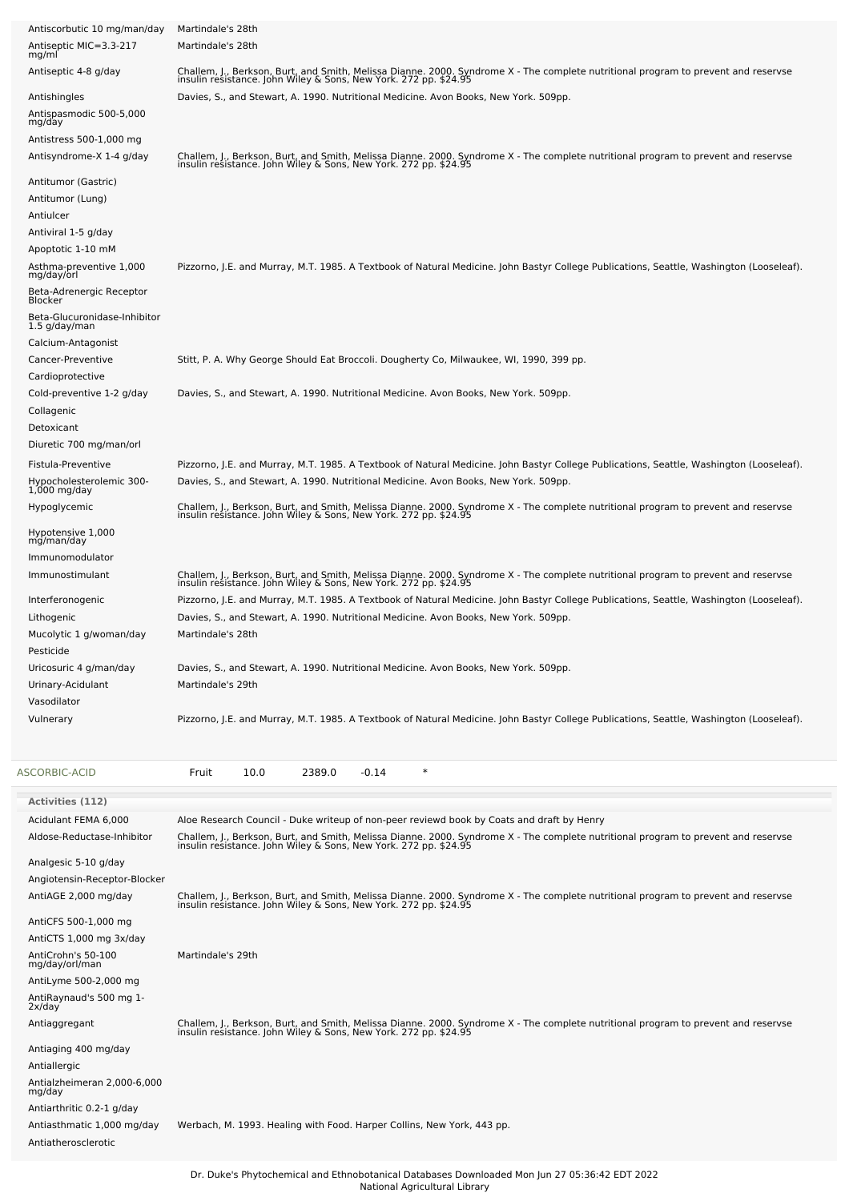| Antiscorbutic 10 mg/man/day<br>Antiseptic MIC=3.3-217<br>mg/ml | Martindale's 28th<br>Martindale's 28th                                                                                                                                                                                           |
|----------------------------------------------------------------|----------------------------------------------------------------------------------------------------------------------------------------------------------------------------------------------------------------------------------|
| Antiseptic 4-8 g/day                                           | Challem, J., Berkson, Burt, and Smith, Melissa Dianne. 2000. Syndrome X - The complete nutritional program to prevent and reservse<br>insulin resistance. John Wiley & Sons, New York. 272 pp. \$24.95                           |
| Antishingles                                                   | Davies, S., and Stewart, A. 1990. Nutritional Medicine. Avon Books, New York. 509pp.                                                                                                                                             |
| Antispasmodic 500-5,000<br>mg/day                              |                                                                                                                                                                                                                                  |
| Antistress 500-1,000 mg<br>Antisyndrome-X 1-4 g/day            | Challem, J., Berkson, Burt, and Smith, Melissa Dianne. 2000. Syndrome X - The complete nutritional program to prevent and reservse<br>insulin resistance. John Wiley & Sons, New York. 272 pp. \$24.95                           |
| Antitumor (Gastric)                                            |                                                                                                                                                                                                                                  |
| Antitumor (Lung)<br>Antiulcer                                  |                                                                                                                                                                                                                                  |
| Antiviral 1-5 g/day                                            |                                                                                                                                                                                                                                  |
| Apoptotic 1-10 mM                                              |                                                                                                                                                                                                                                  |
| Asthma-preventive 1,000<br>mg/day/orl                          | Pizzorno, J.E. and Murray, M.T. 1985. A Textbook of Natural Medicine. John Bastyr College Publications, Seattle, Washington (Looseleaf).                                                                                         |
| Beta-Adrenergic Receptor<br>Blocker                            |                                                                                                                                                                                                                                  |
| Beta-Glucuronidase-Inhibitor<br>1.5 g/day/man                  |                                                                                                                                                                                                                                  |
| Calcium-Antagonist                                             |                                                                                                                                                                                                                                  |
| Cancer-Preventive                                              | Stitt, P. A. Why George Should Eat Broccoli. Dougherty Co, Milwaukee, WI, 1990, 399 pp.                                                                                                                                          |
| Cardioprotective<br>Cold-preventive 1-2 g/day                  | Davies, S., and Stewart, A. 1990. Nutritional Medicine. Avon Books, New York. 509pp.                                                                                                                                             |
| Collagenic                                                     |                                                                                                                                                                                                                                  |
| Detoxicant                                                     |                                                                                                                                                                                                                                  |
| Diuretic 700 mg/man/orl                                        |                                                                                                                                                                                                                                  |
| Fistula-Preventive<br>Hypocholesterolemic 300-                 | Pizzorno, J.E. and Murray, M.T. 1985. A Textbook of Natural Medicine. John Bastyr College Publications, Seattle, Washington (Looseleaf).<br>Davies, S., and Stewart, A. 1990. Nutritional Medicine. Avon Books, New York. 509pp. |
| $1,000$ mg/day<br>Hypoglycemic                                 |                                                                                                                                                                                                                                  |
|                                                                | Challem, J., Berkson, Burt, and Smith, Melissa Dianne. 2000. Syndrome X - The complete nutritional program to prevent and reservse<br>insulin resistance. John Wiley & Sons, New York. 272 pp. \$24.95                           |
| Hypotensive 1,000<br>mg/man/day                                |                                                                                                                                                                                                                                  |
| Immunomodulator<br>Immunostimulant                             |                                                                                                                                                                                                                                  |
|                                                                | Challem, J., Berkson, Burt, and Smith, Melissa Dianne. 2000. Syndrome X - The complete nutritional program to prevent and reservse<br>insulin resistance. John Wiley & Sons, New York. 272 pp. \$24.95                           |
| Interferonogenic<br>Lithogenic                                 | Pizzorno, J.E. and Murray, M.T. 1985. A Textbook of Natural Medicine. John Bastyr College Publications, Seattle, Washington (Looseleaf).<br>Davies, S., and Stewart, A. 1990. Nutritional Medicine. Avon Books, New York. 509pp. |
| Mucolytic 1 g/woman/day                                        | Martindale's 28th                                                                                                                                                                                                                |
| Pesticide                                                      |                                                                                                                                                                                                                                  |
| Uricosuric 4 g/man/day<br>Urinary-Acidulant                    | Davies, S., and Stewart, A. 1990. Nutritional Medicine. Avon Books, New York. 509pp.<br>Martindale's 29th                                                                                                                        |
| Vasodilator                                                    |                                                                                                                                                                                                                                  |
| Vulnerary                                                      | Pizzorno, J.E. and Murray, M.T. 1985. A Textbook of Natural Medicine. John Bastyr College Publications, Seattle, Washington (Looseleaf).                                                                                         |
| <b>ASCORBIC-ACID</b>                                           | $-0.14$<br>$\ast$<br>Fruit<br>10.0<br>2389.0                                                                                                                                                                                     |
| <b>Activities (112)</b>                                        |                                                                                                                                                                                                                                  |
| Acidulant FEMA 6,000                                           | Aloe Research Council - Duke writeup of non-peer reviewd book by Coats and draft by Henry                                                                                                                                        |
| Aldose-Reductase-Inhibitor                                     | Challem, J., Berkson, Burt, and Smith, Melissa Dianne. 2000. Syndrome X - The complete nutritional program to prevent and reservse<br>insulin resistance. John Wiley & Sons, New York. 272 pp. \$24.95                           |
| Analgesic 5-10 g/day                                           |                                                                                                                                                                                                                                  |
| Angiotensin-Receptor-Blocker                                   |                                                                                                                                                                                                                                  |
| AntiAGE 2,000 mg/day                                           | Challem, J., Berkson, Burt, and Smith, Melissa Dianne. 2000. Syndrome X - The complete nutritional program to prevent and reservse<br>insulin resistance. John Wiley & Sons, New York. 272 pp. \$24.95                           |
| AntiCFS 500-1,000 mg<br>AntiCTS 1,000 mg 3x/day                |                                                                                                                                                                                                                                  |
| AntiCrohn's 50-100                                             | Martindale's 29th                                                                                                                                                                                                                |
| mg/day/orl/man<br>AntiLyme 500-2,000 mg                        |                                                                                                                                                                                                                                  |
| AntiRaynaud's 500 mg 1-                                        |                                                                                                                                                                                                                                  |
| 2x/day<br>Antiaggregant                                        | Challem, J., Berkson, Burt, and Smith, Melissa Dianne. 2000. Syndrome X - The complete nutritional program to prevent and reservse<br>insulin resistance. John Wiley & Sons, New York. 272 pp. \$24.95                           |
| Antiaging 400 mg/day                                           |                                                                                                                                                                                                                                  |
| Antiallergic                                                   |                                                                                                                                                                                                                                  |
| Antialzheimeran 2,000-6,000<br>mg/day                          |                                                                                                                                                                                                                                  |
| Antiarthritic 0.2-1 g/day                                      |                                                                                                                                                                                                                                  |
| Antiasthmatic 1,000 mg/day                                     | Werbach, M. 1993. Healing with Food. Harper Collins, New York, 443 pp.                                                                                                                                                           |
| Antiatherosclerotic                                            |                                                                                                                                                                                                                                  |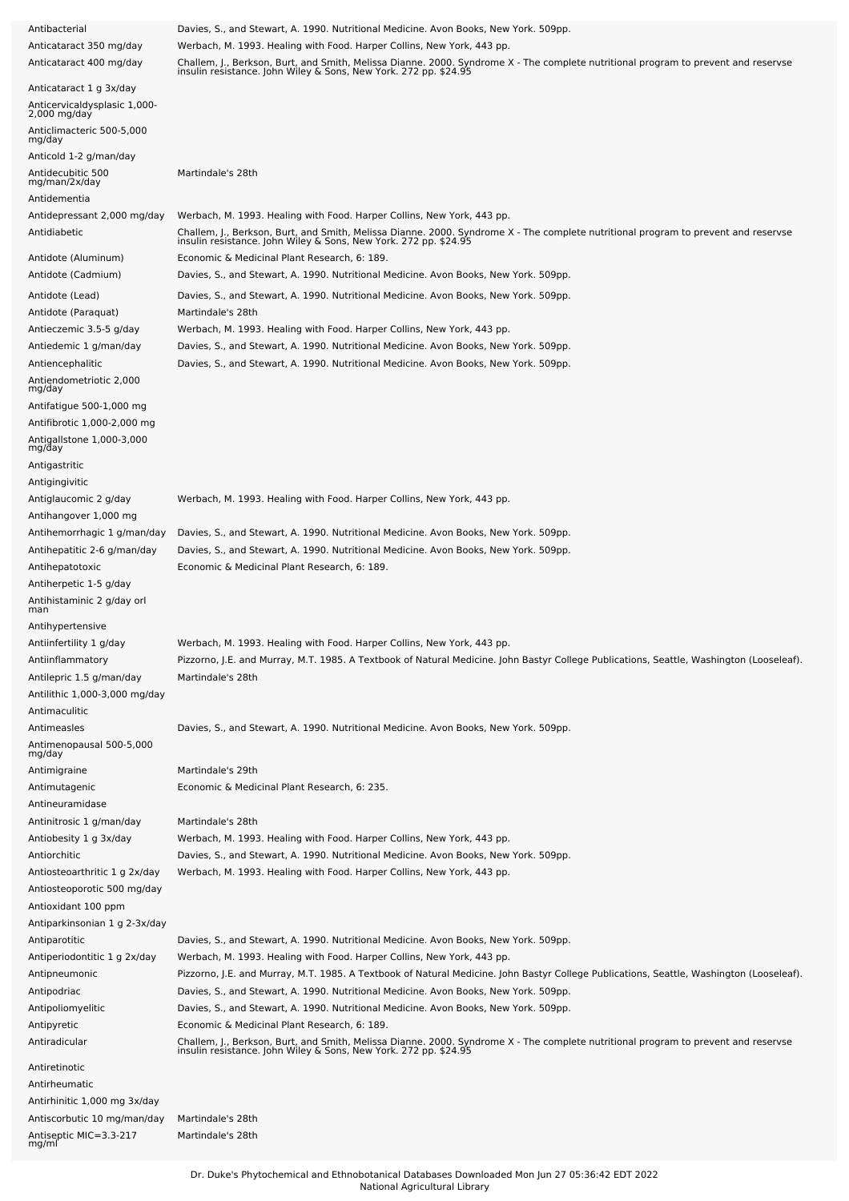| Antibacterial                                                           | Davies, S., and Stewart, A. 1990. Nutritional Medicine. Avon Books, New York. 509pp.                                                                                                                                                                                             |
|-------------------------------------------------------------------------|----------------------------------------------------------------------------------------------------------------------------------------------------------------------------------------------------------------------------------------------------------------------------------|
| Anticataract 350 mg/day                                                 | Werbach, M. 1993. Healing with Food. Harper Collins, New York, 443 pp.                                                                                                                                                                                                           |
| Anticataract 400 mg/day                                                 | Challem, J., Berkson, Burt, and Smith, Melissa Dianne. 2000. Syndrome X - The complete nutritional program to prevent and reservse<br>insulin resistance. John Wiley & Sons, New York. 272 pp. \$24.95                                                                           |
| Anticataract 1 g 3x/day<br>Anticervicaldysplasic 1,000-<br>2,000 mg/day |                                                                                                                                                                                                                                                                                  |
| Anticlimacteric 500-5,000<br>mg/day                                     |                                                                                                                                                                                                                                                                                  |
| Anticold 1-2 g/man/day                                                  |                                                                                                                                                                                                                                                                                  |
| Antidecubitic 500<br>mg/man/2x/day<br>Antidementia                      | Martindale's 28th                                                                                                                                                                                                                                                                |
| Antidepressant 2,000 mg/day<br>Antidiabetic                             | Werbach, M. 1993. Healing with Food. Harper Collins, New York, 443 pp.<br>Challem, J., Berkson, Burt, and Smith, Melissa Dianne. 2000. Syndrome X - The complete nutritional program to prevent and reservse<br>insulin resistance. John Wiley & Sons, New York. 272 pp. \$24.95 |
| Antidote (Aluminum)<br>Antidote (Cadmium)                               | Economic & Medicinal Plant Research, 6: 189.<br>Davies, S., and Stewart, A. 1990. Nutritional Medicine. Avon Books, New York. 509pp.                                                                                                                                             |
| Antidote (Lead)                                                         | Davies, S., and Stewart, A. 1990. Nutritional Medicine. Avon Books, New York. 509pp.                                                                                                                                                                                             |
| Antidote (Paraquat)                                                     | Martindale's 28th                                                                                                                                                                                                                                                                |
| Antieczemic 3.5-5 g/day                                                 | Werbach, M. 1993. Healing with Food. Harper Collins, New York, 443 pp.                                                                                                                                                                                                           |
| Antiedemic 1 g/man/day                                                  | Davies, S., and Stewart, A. 1990. Nutritional Medicine. Avon Books, New York. 509pp.                                                                                                                                                                                             |
| Antiencephalitic                                                        | Davies, S., and Stewart, A. 1990. Nutritional Medicine. Avon Books, New York. 509pp.                                                                                                                                                                                             |
| Antiendometriotic 2,000<br>mg/day                                       |                                                                                                                                                                                                                                                                                  |
| Antifatigue 500-1,000 mg                                                |                                                                                                                                                                                                                                                                                  |
| Antifibrotic 1,000-2,000 mg                                             |                                                                                                                                                                                                                                                                                  |
| Antigallstone 1,000-3,000<br>mg/day<br>Antigastritic                    |                                                                                                                                                                                                                                                                                  |
| Antigingivitic                                                          |                                                                                                                                                                                                                                                                                  |
| Antiglaucomic 2 g/day                                                   | Werbach, M. 1993. Healing with Food. Harper Collins, New York, 443 pp.                                                                                                                                                                                                           |
| Antihangover 1,000 mg                                                   |                                                                                                                                                                                                                                                                                  |
| Antihemorrhagic 1 g/man/day                                             | Davies, S., and Stewart, A. 1990. Nutritional Medicine. Avon Books, New York. 509pp.                                                                                                                                                                                             |
| Antihepatitic 2-6 g/man/day                                             | Davies, S., and Stewart, A. 1990. Nutritional Medicine. Avon Books, New York. 509pp.                                                                                                                                                                                             |
| Antihepatotoxic                                                         | Economic & Medicinal Plant Research, 6: 189.                                                                                                                                                                                                                                     |
| Antiherpetic 1-5 g/day                                                  |                                                                                                                                                                                                                                                                                  |
| Antihistaminic 2 g/day orl<br>man                                       |                                                                                                                                                                                                                                                                                  |
| Antihypertensive                                                        |                                                                                                                                                                                                                                                                                  |
| Antiinfertility 1 g/day                                                 | Werbach, M. 1993. Healing with Food. Harper Collins, New York, 443 pp.                                                                                                                                                                                                           |
| Antiinflammatory                                                        | Pizzorno, J.E. and Murray, M.T. 1985. A Textbook of Natural Medicine. John Bastyr College Publications, Seattle, Washington (Looseleaf).                                                                                                                                         |
| Antilepric 1.5 g/man/day                                                | Martindale's 28th                                                                                                                                                                                                                                                                |
| Antilithic 1,000-3,000 mg/day                                           |                                                                                                                                                                                                                                                                                  |
| Antimaculitic                                                           |                                                                                                                                                                                                                                                                                  |
| Antimeasles                                                             | Davies, S., and Stewart, A. 1990. Nutritional Medicine. Avon Books, New York. 509pp.                                                                                                                                                                                             |
| Antimenopausal 500-5,000<br>mg/day                                      |                                                                                                                                                                                                                                                                                  |
| Antimigraine                                                            | Martindale's 29th                                                                                                                                                                                                                                                                |
| Antimutagenic                                                           | Economic & Medicinal Plant Research, 6: 235.                                                                                                                                                                                                                                     |
| Antineuramidase                                                         |                                                                                                                                                                                                                                                                                  |
| Antinitrosic 1 g/man/day                                                | Martindale's 28th                                                                                                                                                                                                                                                                |
| Antiobesity 1 g 3x/day                                                  | Werbach, M. 1993. Healing with Food. Harper Collins, New York, 443 pp.                                                                                                                                                                                                           |
| Antiorchitic                                                            | Davies, S., and Stewart, A. 1990. Nutritional Medicine. Avon Books, New York. 509pp.                                                                                                                                                                                             |
| Antiosteoarthritic 1 g 2x/day                                           | Werbach, M. 1993. Healing with Food. Harper Collins, New York, 443 pp.                                                                                                                                                                                                           |
| Antiosteoporotic 500 mg/day                                             |                                                                                                                                                                                                                                                                                  |
| Antioxidant 100 ppm                                                     |                                                                                                                                                                                                                                                                                  |
| Antiparkinsonian 1 g 2-3x/day                                           |                                                                                                                                                                                                                                                                                  |
| Antiparotitic                                                           | Davies, S., and Stewart, A. 1990. Nutritional Medicine. Avon Books, New York. 509pp.                                                                                                                                                                                             |
| Antiperiodontitic 1 g 2x/day                                            | Werbach, M. 1993. Healing with Food. Harper Collins, New York, 443 pp.                                                                                                                                                                                                           |
| Antipneumonic                                                           | Pizzorno, J.E. and Murray, M.T. 1985. A Textbook of Natural Medicine. John Bastyr College Publications, Seattle, Washington (Looseleaf).                                                                                                                                         |
| Antipodriac                                                             | Davies, S., and Stewart, A. 1990. Nutritional Medicine. Avon Books, New York. 509pp.                                                                                                                                                                                             |
| Antipoliomyelitic                                                       | Davies, S., and Stewart, A. 1990. Nutritional Medicine. Avon Books, New York. 509pp.                                                                                                                                                                                             |
| Antipyretic                                                             | Economic & Medicinal Plant Research, 6: 189.                                                                                                                                                                                                                                     |
| Antiradicular                                                           | Challem, J., Berkson, Burt, and Smith, Melissa Dianne. 2000. Syndrome X - The complete nutritional program to prevent and reservse<br>insulin resistance. John Wiley & Sons, New York. 272 pp. \$24.95                                                                           |
| Antiretinotic                                                           |                                                                                                                                                                                                                                                                                  |
| Antirheumatic                                                           |                                                                                                                                                                                                                                                                                  |
| Antirhinitic 1,000 mg 3x/day                                            |                                                                                                                                                                                                                                                                                  |
| Antiscorbutic 10 mg/man/day                                             | Martindale's 28th                                                                                                                                                                                                                                                                |
| Antiseptic MIC=3.3-217<br>mg/ml                                         | Martindale's 28th                                                                                                                                                                                                                                                                |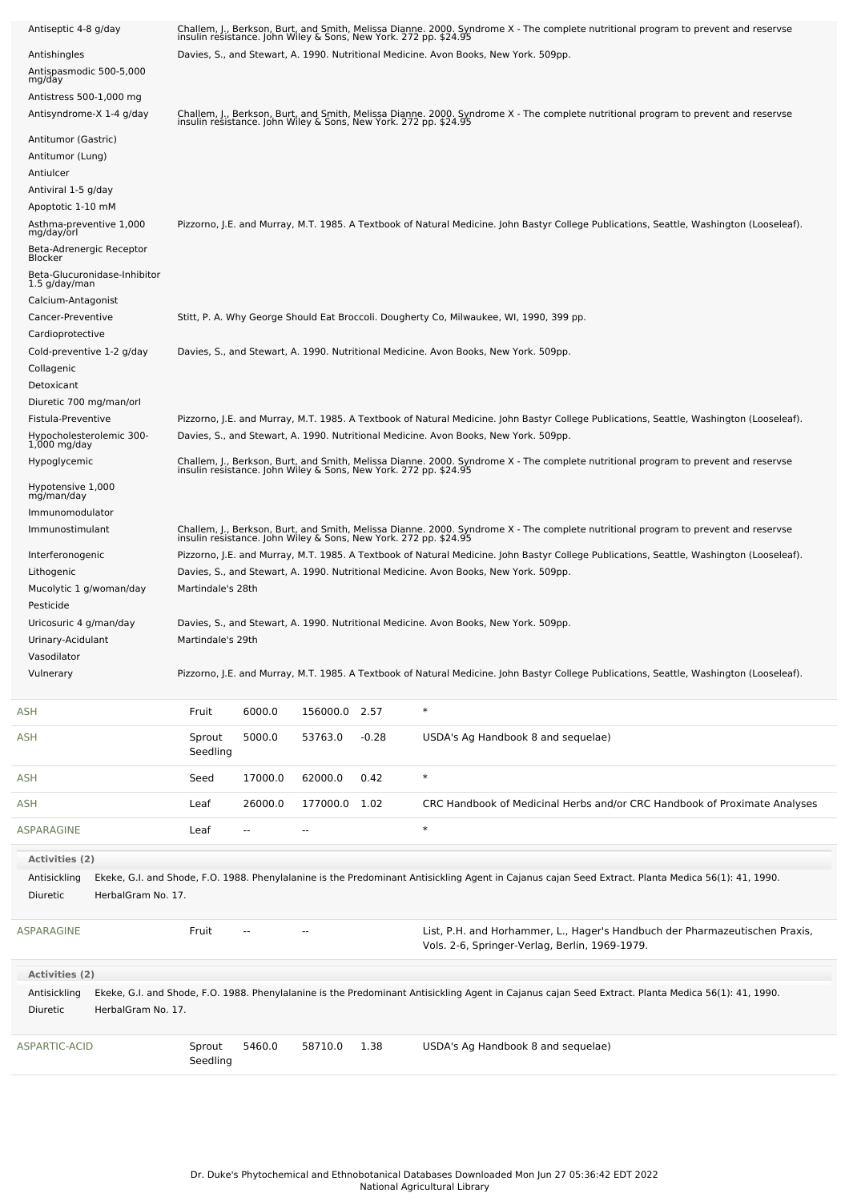| Antiseptic 4-8 g/day                          |                                                                                                                                          |                          |                |         | Challem, J., Berkson, Burt, and Smith, Melissa Dianne. 2000. Syndrome X - The complete nutritional program to prevent and reservse insulin resistance. John Wiley & Sons, New York. 272 pp. \$24.95          |  |  |  |  |
|-----------------------------------------------|------------------------------------------------------------------------------------------------------------------------------------------|--------------------------|----------------|---------|--------------------------------------------------------------------------------------------------------------------------------------------------------------------------------------------------------------|--|--|--|--|
| Antishingles                                  |                                                                                                                                          |                          |                |         | Davies, S., and Stewart, A. 1990. Nutritional Medicine. Avon Books, New York. 509pp.                                                                                                                         |  |  |  |  |
| Antispasmodic 500-5,000<br>mg/day             |                                                                                                                                          |                          |                |         |                                                                                                                                                                                                              |  |  |  |  |
| Antistress 500-1,000 mg                       |                                                                                                                                          |                          |                |         |                                                                                                                                                                                                              |  |  |  |  |
| Antisyndrome-X 1-4 g/day                      |                                                                                                                                          |                          |                |         | Challem, J., Berkson, Burt, and Smith, Melissa Dianne. 2000. Syndrome X - The complete nutritional program to prevent and reservse<br>insulin resistance. John Wiley & Sons, New York. 272 pp. \$24.95       |  |  |  |  |
| Antitumor (Gastric)                           |                                                                                                                                          |                          |                |         |                                                                                                                                                                                                              |  |  |  |  |
| Antitumor (Lung)                              |                                                                                                                                          |                          |                |         |                                                                                                                                                                                                              |  |  |  |  |
| Antiulcer                                     |                                                                                                                                          |                          |                |         |                                                                                                                                                                                                              |  |  |  |  |
| Antiviral 1-5 g/day                           |                                                                                                                                          |                          |                |         |                                                                                                                                                                                                              |  |  |  |  |
| Apoptotic 1-10 mM                             | Pizzorno, J.E. and Murray, M.T. 1985. A Textbook of Natural Medicine. John Bastyr College Publications, Seattle, Washington (Looseleaf). |                          |                |         |                                                                                                                                                                                                              |  |  |  |  |
| Asthma-preventive 1,000<br>mg/day/orl         |                                                                                                                                          |                          |                |         |                                                                                                                                                                                                              |  |  |  |  |
| Beta-Adrenergic Receptor<br>Blocker           |                                                                                                                                          |                          |                |         |                                                                                                                                                                                                              |  |  |  |  |
| Beta-Glucuronidase-Inhibitor<br>1.5 g/day/man |                                                                                                                                          |                          |                |         |                                                                                                                                                                                                              |  |  |  |  |
| Calcium-Antagonist                            |                                                                                                                                          |                          |                |         |                                                                                                                                                                                                              |  |  |  |  |
| Cancer-Preventive<br>Cardioprotective         |                                                                                                                                          |                          |                |         | Stitt, P. A. Why George Should Eat Broccoli. Dougherty Co, Milwaukee, WI, 1990, 399 pp.                                                                                                                      |  |  |  |  |
| Cold-preventive 1-2 g/day                     |                                                                                                                                          |                          |                |         | Davies, S., and Stewart, A. 1990. Nutritional Medicine. Avon Books, New York. 509pp.                                                                                                                         |  |  |  |  |
| Collagenic                                    |                                                                                                                                          |                          |                |         |                                                                                                                                                                                                              |  |  |  |  |
| Detoxicant                                    |                                                                                                                                          |                          |                |         |                                                                                                                                                                                                              |  |  |  |  |
| Diuretic 700 mg/man/orl                       |                                                                                                                                          |                          |                |         |                                                                                                                                                                                                              |  |  |  |  |
| Fistula-Preventive                            |                                                                                                                                          |                          |                |         | Pizzorno, J.E. and Murray, M.T. 1985. A Textbook of Natural Medicine. John Bastyr College Publications, Seattle, Washington (Looseleaf).                                                                     |  |  |  |  |
| Hypocholesterolemic 300-<br>$1,000$ mg/day    |                                                                                                                                          |                          |                |         | Davies, S., and Stewart, A. 1990. Nutritional Medicine. Avon Books, New York. 509pp.                                                                                                                         |  |  |  |  |
| Hypoglycemic                                  |                                                                                                                                          |                          |                |         | Challem, J., Berkson, Burt, and Smith, Melissa Dianne. 2000. Syndrome X - The complete nutritional program to prevent and reservse<br>insulin resistance. John Wiley & Sons, New York. 272 pp. \$24.95       |  |  |  |  |
| Hypotensive 1,000<br>mg/man/day               |                                                                                                                                          |                          |                |         |                                                                                                                                                                                                              |  |  |  |  |
| Immunomodulator                               |                                                                                                                                          |                          |                |         |                                                                                                                                                                                                              |  |  |  |  |
| Immunostimulant                               |                                                                                                                                          |                          |                |         | Challem, J., Berkson, Burt, and Smith, Melissa Dianne. 2000. Syndrome X - The complete nutritional program to prevent and reservse                                                                           |  |  |  |  |
| Interferonogenic                              |                                                                                                                                          |                          |                |         | insulin resistance. John Wiley & Sons, New York. 272 pp. \$24.95<br>Pizzorno, J.E. and Murray, M.T. 1985. A Textbook of Natural Medicine. John Bastyr College Publications, Seattle, Washington (Looseleaf). |  |  |  |  |
| Lithogenic                                    |                                                                                                                                          |                          |                |         | Davies, S., and Stewart, A. 1990. Nutritional Medicine. Avon Books, New York. 509pp.                                                                                                                         |  |  |  |  |
| Mucolytic 1 g/woman/day                       | Martindale's 28th                                                                                                                        |                          |                |         |                                                                                                                                                                                                              |  |  |  |  |
| Pesticide                                     |                                                                                                                                          |                          |                |         |                                                                                                                                                                                                              |  |  |  |  |
| Uricosuric 4 g/man/day                        |                                                                                                                                          |                          |                |         | Davies, S., and Stewart, A. 1990. Nutritional Medicine. Avon Books, New York. 509pp.                                                                                                                         |  |  |  |  |
| Urinary-Acidulant<br>Vasodilator              | Martindale's 29th                                                                                                                        |                          |                |         |                                                                                                                                                                                                              |  |  |  |  |
| Vulnerary                                     |                                                                                                                                          |                          |                |         | Pizzorno, J.E. and Murray, M.T. 1985. A Textbook of Natural Medicine. John Bastyr College Publications, Seattle, Washington (Looseleaf).                                                                     |  |  |  |  |
|                                               |                                                                                                                                          |                          |                |         |                                                                                                                                                                                                              |  |  |  |  |
| <b>ASH</b>                                    | Fruit                                                                                                                                    | 6000.0                   | 156000.0 2.57  |         | $\ast$                                                                                                                                                                                                       |  |  |  |  |
| <b>ASH</b>                                    | Sprout<br>Seedling                                                                                                                       | 5000.0                   | 53763.0        | $-0.28$ | USDA's Ag Handbook 8 and sequelae)                                                                                                                                                                           |  |  |  |  |
| <b>ASH</b>                                    | Seed                                                                                                                                     | 17000.0                  | 62000.0        | 0.42    | $\ast$                                                                                                                                                                                                       |  |  |  |  |
| <b>ASH</b>                                    | Leaf                                                                                                                                     | 26000.0                  | 177000.0 1.02  |         | CRC Handbook of Medicinal Herbs and/or CRC Handbook of Proximate Analyses                                                                                                                                    |  |  |  |  |
| <b>ASPARAGINE</b>                             | Leaf                                                                                                                                     | $\overline{\phantom{a}}$ | $\overline{a}$ |         | $\ast$                                                                                                                                                                                                       |  |  |  |  |
| <b>Activities (2)</b>                         |                                                                                                                                          |                          |                |         |                                                                                                                                                                                                              |  |  |  |  |
| Antisickling                                  |                                                                                                                                          |                          |                |         | Ekeke, G.I. and Shode, F.O. 1988. Phenylalanine is the Predominant Antisickling Agent in Cajanus cajan Seed Extract. Planta Medica 56(1): 41, 1990.                                                          |  |  |  |  |
| Diuretic<br>HerbalGram No. 17.                |                                                                                                                                          |                          |                |         |                                                                                                                                                                                                              |  |  |  |  |
| ASPARAGINE                                    | Fruit                                                                                                                                    |                          | $\overline{a}$ |         | List, P.H. and Horhammer, L., Hager's Handbuch der Pharmazeutischen Praxis,<br>Vols. 2-6, Springer-Verlag, Berlin, 1969-1979.                                                                                |  |  |  |  |
| <b>Activities (2)</b>                         |                                                                                                                                          |                          |                |         |                                                                                                                                                                                                              |  |  |  |  |
| Antisickling                                  |                                                                                                                                          |                          |                |         | Ekeke, G.I. and Shode, F.O. 1988. Phenylalanine is the Predominant Antisickling Agent in Cajanus cajan Seed Extract. Planta Medica 56(1): 41, 1990.                                                          |  |  |  |  |
| Diuretic<br>HerbalGram No. 17.                |                                                                                                                                          |                          |                |         |                                                                                                                                                                                                              |  |  |  |  |
|                                               |                                                                                                                                          |                          |                |         |                                                                                                                                                                                                              |  |  |  |  |
| ASPARTIC-ACID                                 | Sprout<br>Seedling                                                                                                                       | 5460.0                   | 58710.0        | 1.38    | USDA's Ag Handbook 8 and sequelae)                                                                                                                                                                           |  |  |  |  |
|                                               |                                                                                                                                          |                          |                |         |                                                                                                                                                                                                              |  |  |  |  |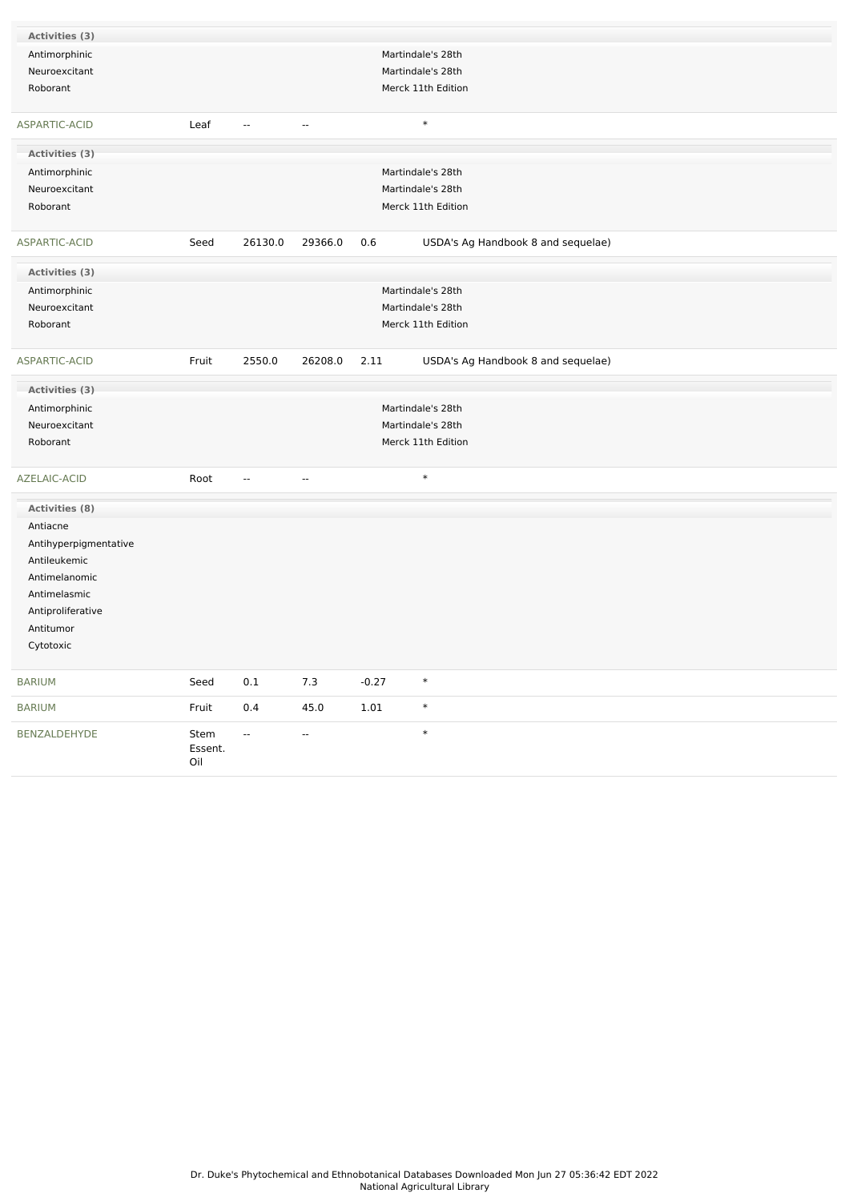| Activities (3)        |                |                          |                |         |                                    |
|-----------------------|----------------|--------------------------|----------------|---------|------------------------------------|
| Antimorphinic         |                |                          |                |         | Martindale's 28th                  |
| Neuroexcitant         |                |                          |                |         | Martindale's 28th                  |
| Roborant              |                |                          |                |         | Merck 11th Edition                 |
|                       |                |                          |                |         |                                    |
| ASPARTIC-ACID         | Leaf           | $\overline{\phantom{a}}$ | $\overline{a}$ |         | $\ast$                             |
| Activities (3)        |                |                          |                |         |                                    |
| Antimorphinic         |                |                          |                |         | Martindale's 28th                  |
| Neuroexcitant         |                |                          |                |         | Martindale's 28th                  |
| Roborant              |                |                          |                |         | Merck 11th Edition                 |
| ASPARTIC-ACID         | Seed           | 26130.0                  | 29366.0        | 0.6     | USDA's Ag Handbook 8 and sequelae) |
| Activities (3)        |                |                          |                |         |                                    |
| Antimorphinic         |                |                          |                |         | Martindale's 28th                  |
| Neuroexcitant         |                |                          |                |         | Martindale's 28th                  |
| Roborant              |                |                          |                |         | Merck 11th Edition                 |
|                       |                |                          |                |         |                                    |
| ASPARTIC-ACID         | Fruit          | 2550.0                   | 26208.0        | 2.11    | USDA's Ag Handbook 8 and sequelae) |
| Activities (3)        |                |                          |                |         |                                    |
| Antimorphinic         |                |                          |                |         | Martindale's 28th                  |
| Neuroexcitant         |                |                          |                |         | Martindale's 28th                  |
| Roborant              |                |                          |                |         | Merck 11th Edition                 |
|                       |                |                          |                |         |                                    |
| AZELAIC-ACID          | Root           | $\qquad \qquad \cdots$   | ۰.             |         | $\ast$                             |
| <b>Activities (8)</b> |                |                          |                |         |                                    |
| Antiacne              |                |                          |                |         |                                    |
| Antihyperpigmentative |                |                          |                |         |                                    |
| Antileukemic          |                |                          |                |         |                                    |
| Antimelanomic         |                |                          |                |         |                                    |
| Antimelasmic          |                |                          |                |         |                                    |
| Antiproliferative     |                |                          |                |         |                                    |
| Antitumor             |                |                          |                |         |                                    |
| Cytotoxic             |                |                          |                |         |                                    |
|                       |                |                          |                |         |                                    |
| <b>BARIUM</b>         | Seed           | 0.1                      | 7.3            | $-0.27$ | $\ast$                             |
| <b>BARIUM</b>         | Fruit          | $0.4\,$                  | 45.0           | 1.01    | $\ast$                             |
| BENZALDEHYDE          | Stem           | $\overline{\phantom{a}}$ | $\sim$         |         | $\ast$                             |
|                       | Essent.<br>Oil |                          |                |         |                                    |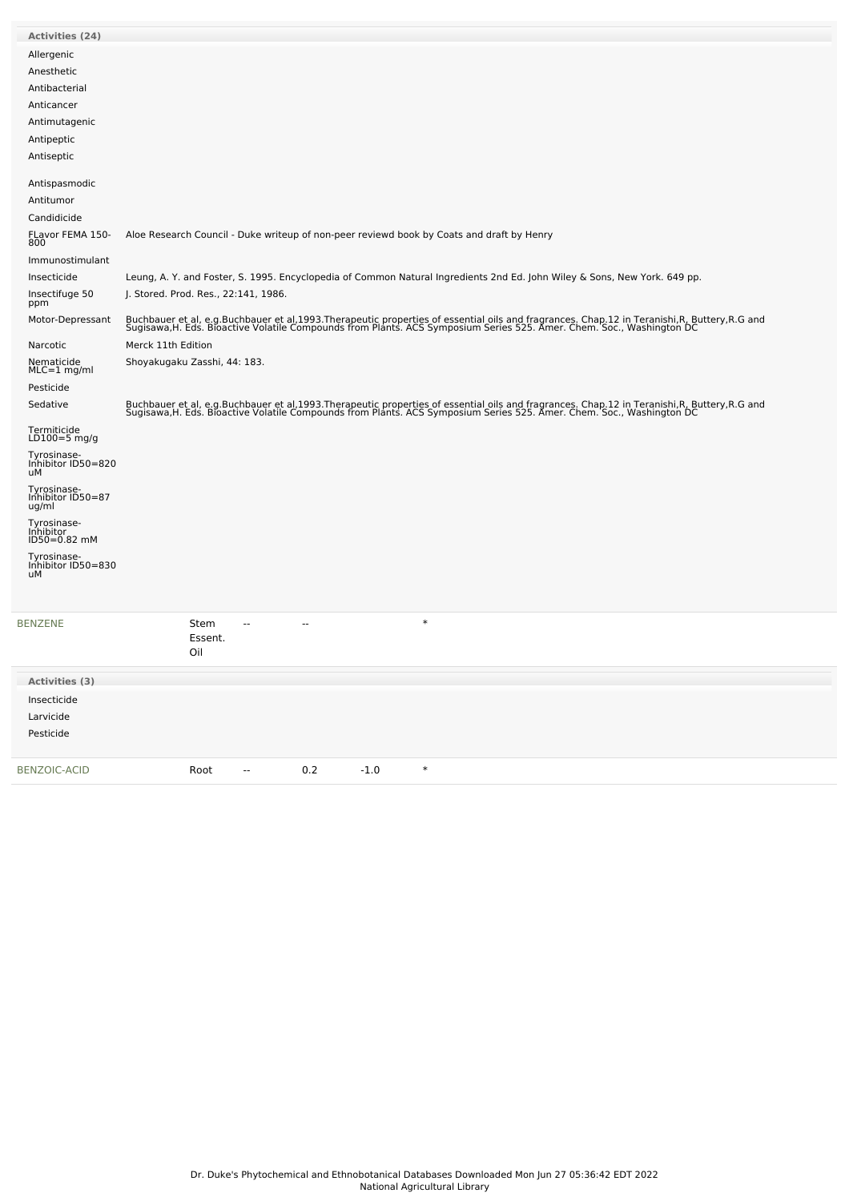| Activities (24)                           |                                                                                                                                                                                                                                   |
|-------------------------------------------|-----------------------------------------------------------------------------------------------------------------------------------------------------------------------------------------------------------------------------------|
| Allergenic                                |                                                                                                                                                                                                                                   |
| Anesthetic                                |                                                                                                                                                                                                                                   |
| Antibacterial                             |                                                                                                                                                                                                                                   |
| Anticancer                                |                                                                                                                                                                                                                                   |
| Antimutagenic                             |                                                                                                                                                                                                                                   |
| Antipeptic                                |                                                                                                                                                                                                                                   |
| Antiseptic                                |                                                                                                                                                                                                                                   |
| Antispasmodic                             |                                                                                                                                                                                                                                   |
| Antitumor                                 |                                                                                                                                                                                                                                   |
| Candidicide                               |                                                                                                                                                                                                                                   |
| FLavor FEMA 150-<br>800                   | Aloe Research Council - Duke writeup of non-peer reviewd book by Coats and draft by Henry                                                                                                                                         |
| Immunostimulant                           |                                                                                                                                                                                                                                   |
| Insecticide                               | Leung, A. Y. and Foster, S. 1995. Encyclopedia of Common Natural Ingredients 2nd Ed. John Wiley & Sons, New York. 649 pp.                                                                                                         |
| Insectifuge 50<br>ppm                     | J. Stored. Prod. Res., 22:141, 1986.                                                                                                                                                                                              |
| Motor-Depressant                          | Buchbauer et al, e.g.Buchbauer et al,1993.Therapeutic properties of essential oils and fragrances. Chap.12 in Teranishi,R, Buttery,R.G and<br>Sugisawa,H. Eds. Bioactive Volatile Compounds from Plants. ACS Symposium Series 525 |
| Narcotic                                  | Merck 11th Edition                                                                                                                                                                                                                |
| Nematicide<br>$MLC=1$ mg/ml               | Shoyakugaku Zasshi, 44: 183.                                                                                                                                                                                                      |
| Pesticide                                 |                                                                                                                                                                                                                                   |
| Sedative                                  | Buchbauer et al, e.g.Buchbauer et al,1993.Therapeutic properties of essential oils and fragrances. Chap.12 in Teranishi,R, Buttery,R.G and<br>Sugisawa,H. Eds. Bioactive Volatile Compounds from Plants. ACS Symposium Series 525 |
| Termiticide<br>LD100=5 $mg/q$             |                                                                                                                                                                                                                                   |
| Tyrosinase-<br>Inhibitor ID50=820<br>uМ   |                                                                                                                                                                                                                                   |
| Tyrosinase-<br>Inhibitor ID50=87<br>ug/ml |                                                                                                                                                                                                                                   |
| Tyrosinase-<br>Inhibitor<br>ID50=0.82 mM  |                                                                                                                                                                                                                                   |
| Tyrosinase-                               |                                                                                                                                                                                                                                   |
| Inhibitor ID50=830<br>uМ                  |                                                                                                                                                                                                                                   |
|                                           |                                                                                                                                                                                                                                   |
| <b>BENZENE</b>                            | $\ast$<br>Stem<br>$\overline{a}$<br>$- -$<br>Essent.<br>Oil                                                                                                                                                                       |
| Activities (3)                            |                                                                                                                                                                                                                                   |
| Insecticide                               |                                                                                                                                                                                                                                   |
| Larvicide                                 |                                                                                                                                                                                                                                   |
| Pesticide                                 |                                                                                                                                                                                                                                   |
|                                           |                                                                                                                                                                                                                                   |
| <b>BENZOIC-ACID</b>                       | $\ast$<br>0.2<br>$-1.0$<br>Root<br>$\overline{\phantom{a}}$                                                                                                                                                                       |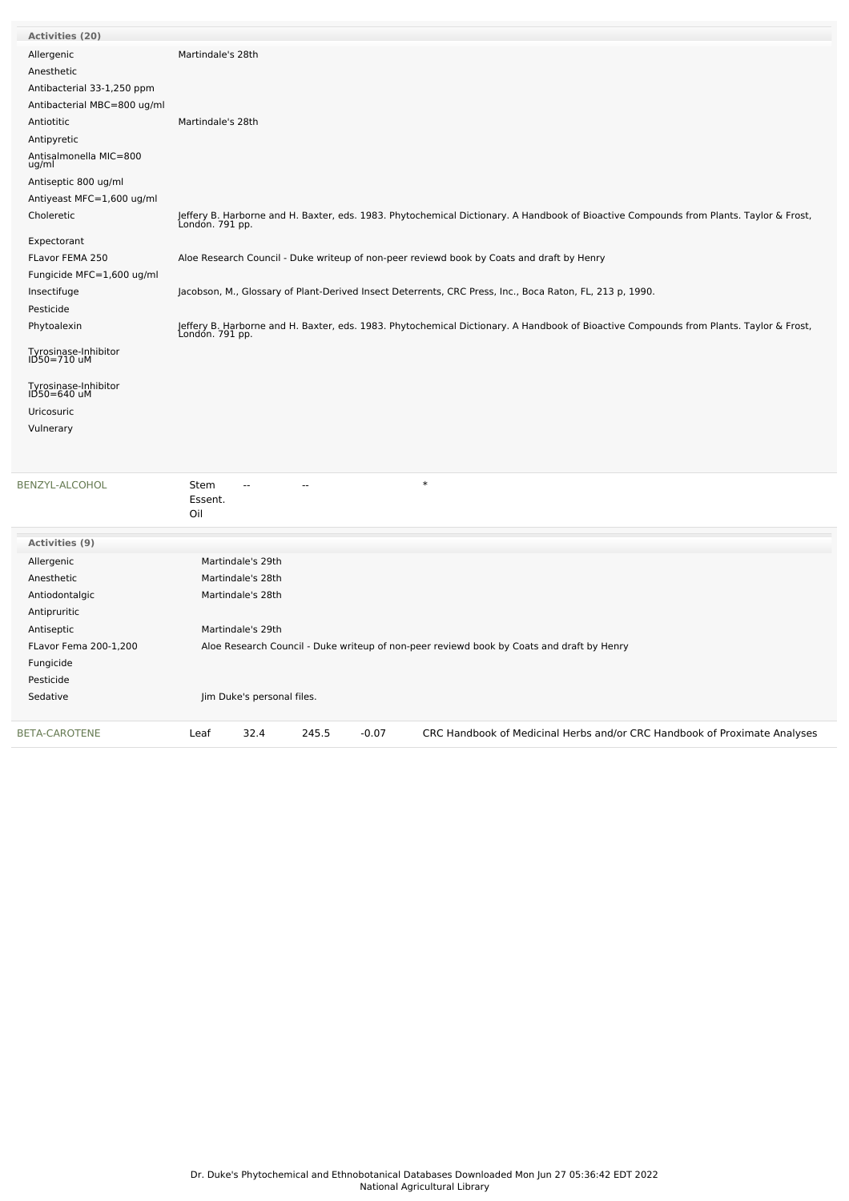| <b>Activities (20)</b>              |                                                                                                                                                           |
|-------------------------------------|-----------------------------------------------------------------------------------------------------------------------------------------------------------|
| Allergenic                          | Martindale's 28th                                                                                                                                         |
| Anesthetic                          |                                                                                                                                                           |
| Antibacterial 33-1,250 ppm          |                                                                                                                                                           |
| Antibacterial MBC=800 ug/ml         |                                                                                                                                                           |
| Antiotitic                          | Martindale's 28th                                                                                                                                         |
| Antipyretic                         |                                                                                                                                                           |
| Antisalmonella MIC=800<br>ug/ml     |                                                                                                                                                           |
| Antiseptic 800 ug/ml                |                                                                                                                                                           |
| Antiyeast MFC=1,600 ug/ml           |                                                                                                                                                           |
| Choleretic                          | Jeffery B. Harborne and H. Baxter, eds. 1983. Phytochemical Dictionary. A Handbook of Bioactive Compounds from Plants. Taylor & Frost,<br>London. 791 pp. |
| Expectorant                         |                                                                                                                                                           |
| FLavor FEMA 250                     | Aloe Research Council - Duke writeup of non-peer reviewd book by Coats and draft by Henry                                                                 |
| Fungicide MFC=1,600 ug/ml           |                                                                                                                                                           |
| Insectifuge                         | Jacobson, M., Glossary of Plant-Derived Insect Deterrents, CRC Press, Inc., Boca Raton, FL, 213 p, 1990.                                                  |
| Pesticide                           |                                                                                                                                                           |
| Phytoalexin                         | Jeffery B. Harborne and H. Baxter, eds. 1983. Phytochemical Dictionary. A Handbook of Bioactive Compounds from Plants. Taylor & Frost,<br>London. 791 pp. |
| Tyrosinase-Inhibitor<br>ID50=710 uM |                                                                                                                                                           |
| Tyrosinase-Inhibitor<br>ID50=640 uM |                                                                                                                                                           |
| Uricosuric                          |                                                                                                                                                           |
| Vulnerary                           |                                                                                                                                                           |
| BENZYL-ALCOHOL                      | $\ast$<br>Stem<br>Essent.<br>Oil                                                                                                                          |
| <b>Activities (9)</b>               |                                                                                                                                                           |
| Allergenic                          | Martindale's 29th                                                                                                                                         |
| Anesthetic                          | Martindale's 28th                                                                                                                                         |
| Antiodontalgic                      | Martindale's 28th                                                                                                                                         |
| Antipruritic                        |                                                                                                                                                           |
| Antiseptic                          | Martindale's 29th                                                                                                                                         |
| FLavor Fema 200-1,200               | Aloe Research Council - Duke writeup of non-peer reviewd book by Coats and draft by Henry                                                                 |
| Fungicide                           |                                                                                                                                                           |

Pesticide Sedative Jim Duke's personal files. [BETA-CAROTENE](file:///phytochem/chemicals/show/4563) Leaf 32.4 245.5 -0.07 CRC Handbook of Medicinal Herbs and/or CRC Handbook of Proximate Analyses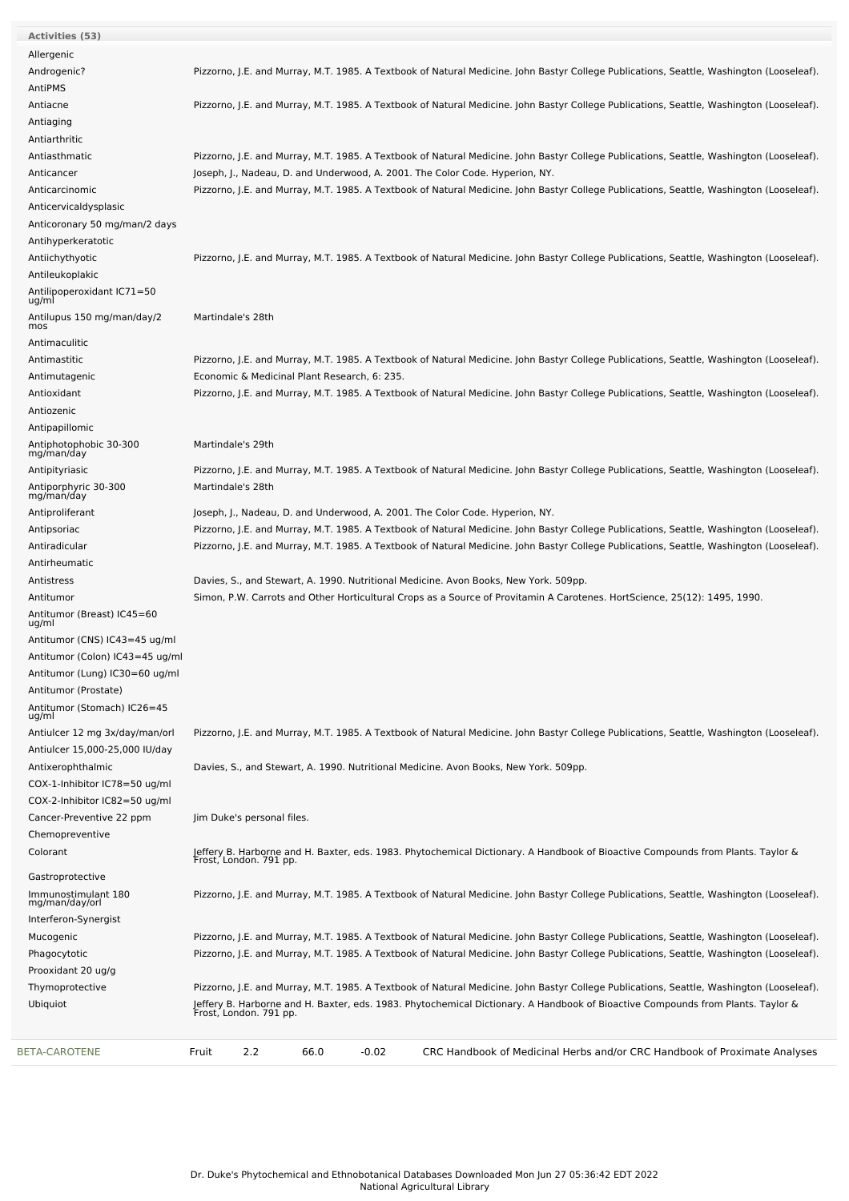| Activities (53)                      |                                                                                                                                                                                                                                                                                                       |
|--------------------------------------|-------------------------------------------------------------------------------------------------------------------------------------------------------------------------------------------------------------------------------------------------------------------------------------------------------|
| Allergenic                           |                                                                                                                                                                                                                                                                                                       |
| Androgenic?                          | Pizzorno, J.E. and Murray, M.T. 1985. A Textbook of Natural Medicine. John Bastyr College Publications, Seattle, Washington (Looseleaf).                                                                                                                                                              |
| AntiPMS                              |                                                                                                                                                                                                                                                                                                       |
| Antiacne                             | Pizzorno, J.E. and Murray, M.T. 1985. A Textbook of Natural Medicine. John Bastyr College Publications, Seattle, Washington (Looseleaf).                                                                                                                                                              |
| Antiaging                            |                                                                                                                                                                                                                                                                                                       |
| Antiarthritic                        |                                                                                                                                                                                                                                                                                                       |
| Antiasthmatic                        | Pizzorno, J.E. and Murray, M.T. 1985. A Textbook of Natural Medicine. John Bastyr College Publications, Seattle, Washington (Looseleaf).                                                                                                                                                              |
| Anticancer                           | Joseph, J., Nadeau, D. and Underwood, A. 2001. The Color Code. Hyperion, NY.                                                                                                                                                                                                                          |
| Anticarcinomic                       | Pizzorno, J.E. and Murray, M.T. 1985. A Textbook of Natural Medicine. John Bastyr College Publications, Seattle, Washington (Looseleaf).                                                                                                                                                              |
| Anticervicaldysplasic                |                                                                                                                                                                                                                                                                                                       |
| Anticoronary 50 mg/man/2 days        |                                                                                                                                                                                                                                                                                                       |
| Antihyperkeratotic                   |                                                                                                                                                                                                                                                                                                       |
| Antiichythyotic                      | Pizzorno, J.E. and Murray, M.T. 1985. A Textbook of Natural Medicine. John Bastyr College Publications, Seattle, Washington (Looseleaf).                                                                                                                                                              |
| Antileukoplakic                      |                                                                                                                                                                                                                                                                                                       |
| Antilipoperoxidant IC71=50           |                                                                                                                                                                                                                                                                                                       |
| ug/ml                                |                                                                                                                                                                                                                                                                                                       |
| Antilupus 150 mg/man/day/2<br>mos    | Martindale's 28th                                                                                                                                                                                                                                                                                     |
| Antimaculitic                        |                                                                                                                                                                                                                                                                                                       |
| Antimastitic                         | Pizzorno, J.E. and Murray, M.T. 1985. A Textbook of Natural Medicine. John Bastyr College Publications, Seattle, Washington (Looseleaf).                                                                                                                                                              |
|                                      | Economic & Medicinal Plant Research, 6: 235.                                                                                                                                                                                                                                                          |
| Antimutagenic                        |                                                                                                                                                                                                                                                                                                       |
| Antioxidant                          | Pizzorno, J.E. and Murray, M.T. 1985. A Textbook of Natural Medicine. John Bastyr College Publications, Seattle, Washington (Looseleaf).                                                                                                                                                              |
| Antiozenic                           |                                                                                                                                                                                                                                                                                                       |
| Antipapillomic                       |                                                                                                                                                                                                                                                                                                       |
| Antiphotophobic 30-300<br>mg/man/day | Martindale's 29th                                                                                                                                                                                                                                                                                     |
| Antipityriasic                       | Pizzorno, J.E. and Murray, M.T. 1985. A Textbook of Natural Medicine. John Bastyr College Publications, Seattle, Washington (Looseleaf).                                                                                                                                                              |
| Antiporphyric 30-300                 | Martindale's 28th                                                                                                                                                                                                                                                                                     |
| mg/man/day                           |                                                                                                                                                                                                                                                                                                       |
| Antiproliferant                      | Joseph, J., Nadeau, D. and Underwood, A. 2001. The Color Code. Hyperion, NY.                                                                                                                                                                                                                          |
| Antipsoriac                          | Pizzorno, J.E. and Murray, M.T. 1985. A Textbook of Natural Medicine. John Bastyr College Publications, Seattle, Washington (Looseleaf).                                                                                                                                                              |
| Antiradicular                        | Pizzorno, J.E. and Murray, M.T. 1985. A Textbook of Natural Medicine. John Bastyr College Publications, Seattle, Washington (Looseleaf).                                                                                                                                                              |
| Antirheumatic                        |                                                                                                                                                                                                                                                                                                       |
| Antistress                           | Davies, S., and Stewart, A. 1990. Nutritional Medicine. Avon Books, New York. 509pp.                                                                                                                                                                                                                  |
| Antitumor                            | Simon, P.W. Carrots and Other Horticultural Crops as a Source of Provitamin A Carotenes. HortScience, 25(12): 1495, 1990.                                                                                                                                                                             |
| Antitumor (Breast) IC45=60<br>ug/ml  |                                                                                                                                                                                                                                                                                                       |
| Antitumor (CNS) IC43=45 ug/ml        |                                                                                                                                                                                                                                                                                                       |
| Antitumor (Colon) IC43=45 ug/ml      |                                                                                                                                                                                                                                                                                                       |
| Antitumor (Lung) IC30=60 ug/ml       |                                                                                                                                                                                                                                                                                                       |
| Antitumor (Prostate)                 |                                                                                                                                                                                                                                                                                                       |
| Antitumor (Stomach) IC26=45          |                                                                                                                                                                                                                                                                                                       |
| ug/ml                                |                                                                                                                                                                                                                                                                                                       |
| Antiulcer 12 mg 3x/day/man/orl       | Pizzorno, J.E. and Murray, M.T. 1985. A Textbook of Natural Medicine. John Bastyr College Publications, Seattle, Washington (Looseleaf).                                                                                                                                                              |
| Antiulcer 15,000-25,000 IU/day       |                                                                                                                                                                                                                                                                                                       |
| Antixerophthalmic                    | Davies, S., and Stewart, A. 1990. Nutritional Medicine. Avon Books, New York. 509pp.                                                                                                                                                                                                                  |
| COX-1-Inhibitor IC78=50 ug/ml        |                                                                                                                                                                                                                                                                                                       |
| COX-2-Inhibitor IC82=50 ug/ml        |                                                                                                                                                                                                                                                                                                       |
| Cancer-Preventive 22 ppm             | Jim Duke's personal files.                                                                                                                                                                                                                                                                            |
| Chemopreventive                      |                                                                                                                                                                                                                                                                                                       |
| Colorant                             | Jeffery B. Harborne and H. Baxter, eds. 1983. Phytochemical Dictionary. A Handbook of Bioactive Compounds from Plants. Taylor &<br>Frost, London. 791 pp.                                                                                                                                             |
| Gastroprotective                     |                                                                                                                                                                                                                                                                                                       |
| Immunostimulant 180                  | Pizzorno, J.E. and Murray, M.T. 1985. A Textbook of Natural Medicine. John Bastyr College Publications, Seattle, Washington (Looseleaf).                                                                                                                                                              |
| mg/man/day/orl                       |                                                                                                                                                                                                                                                                                                       |
| Interferon-Synergist                 |                                                                                                                                                                                                                                                                                                       |
| Mucogenic                            | Pizzorno, J.E. and Murray, M.T. 1985. A Textbook of Natural Medicine. John Bastyr College Publications, Seattle, Washington (Looseleaf).                                                                                                                                                              |
| Phagocytotic                         | Pizzorno, J.E. and Murray, M.T. 1985. A Textbook of Natural Medicine. John Bastyr College Publications, Seattle, Washington (Looseleaf).                                                                                                                                                              |
| Prooxidant 20 ug/g                   |                                                                                                                                                                                                                                                                                                       |
| Thymoprotective<br>Ubiquiot          | Pizzorno, J.E. and Murray, M.T. 1985. A Textbook of Natural Medicine. John Bastyr College Publications, Seattle, Washington (Looseleaf).<br>Jeffery B. Harborne and H. Baxter, eds. 1983. Phytochemical Dictionary. A Handbook of Bioactive Compounds from Plants. Taylor &<br>Frost, London. 791 pp. |
| BETA-CAROTENE                        | Fruit<br>2.2<br>66.0<br>$-0.02$<br>CRC Handbook of Medicinal Herbs and/or CRC Handbook of Proximate Analyses                                                                                                                                                                                          |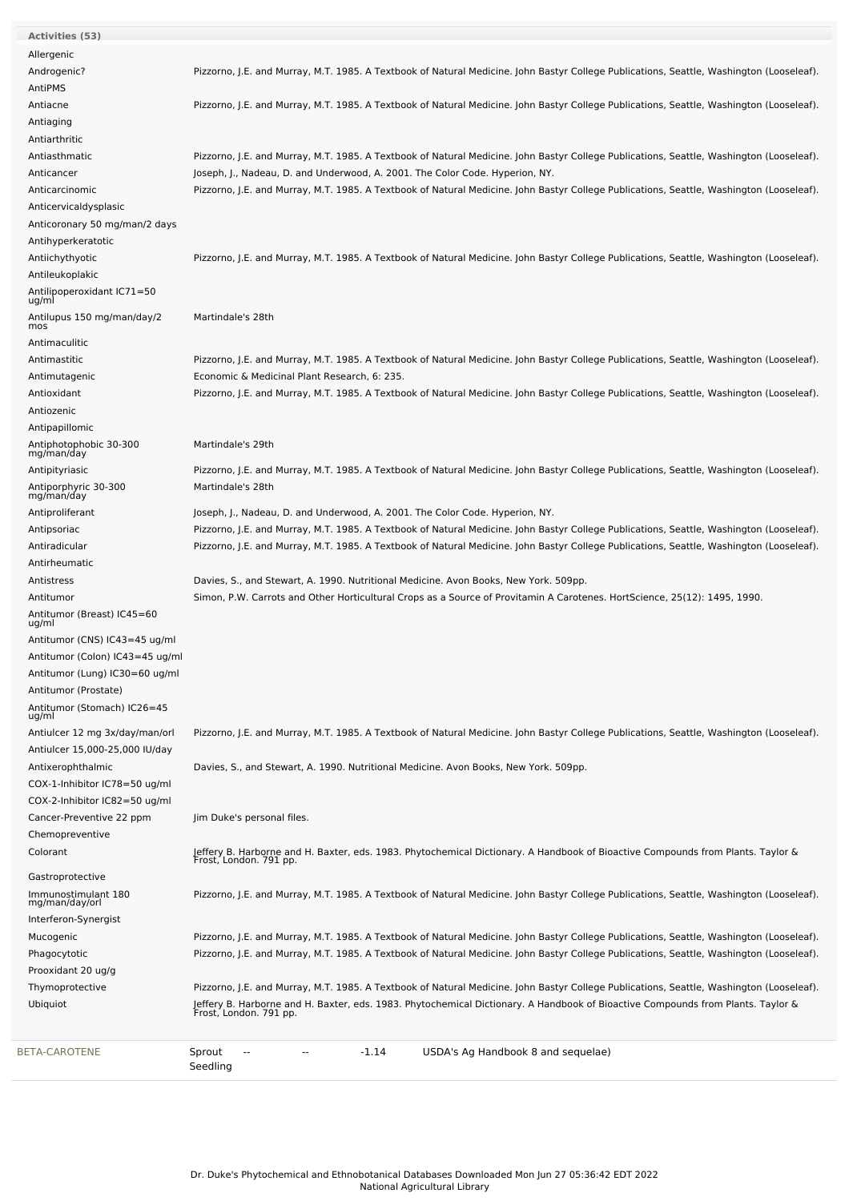| <b>Activities (53)</b>                |                                                                                                                                                           |
|---------------------------------------|-----------------------------------------------------------------------------------------------------------------------------------------------------------|
| Allergenic                            |                                                                                                                                                           |
| Androgenic?                           | Pizzorno, J.E. and Murray, M.T. 1985. A Textbook of Natural Medicine. John Bastyr College Publications, Seattle, Washington (Looseleaf).                  |
| AntiPMS                               |                                                                                                                                                           |
| Antiacne                              | Pizzorno, J.E. and Murray, M.T. 1985. A Textbook of Natural Medicine. John Bastyr College Publications, Seattle, Washington (Looseleaf).                  |
| Antiaging                             |                                                                                                                                                           |
| Antiarthritic                         |                                                                                                                                                           |
| Antiasthmatic                         | Pizzorno, J.E. and Murray, M.T. 1985. A Textbook of Natural Medicine. John Bastyr College Publications, Seattle, Washington (Looseleaf).                  |
| Anticancer                            | Joseph, J., Nadeau, D. and Underwood, A. 2001. The Color Code. Hyperion, NY.                                                                              |
| Anticarcinomic                        | Pizzorno, J.E. and Murray, M.T. 1985. A Textbook of Natural Medicine. John Bastyr College Publications, Seattle, Washington (Looseleaf).                  |
|                                       |                                                                                                                                                           |
| Anticervicaldysplasic                 |                                                                                                                                                           |
| Anticoronary 50 mg/man/2 days         |                                                                                                                                                           |
| Antihyperkeratotic                    |                                                                                                                                                           |
| Antiichythyotic                       | Pizzorno, J.E. and Murray, M.T. 1985. A Textbook of Natural Medicine. John Bastyr College Publications, Seattle, Washington (Looseleaf).                  |
| Antileukoplakic                       |                                                                                                                                                           |
| Antilipoperoxidant IC71=50<br>ug/ml   |                                                                                                                                                           |
| Antilupus 150 mg/man/day/2            | Martindale's 28th                                                                                                                                         |
| mos                                   |                                                                                                                                                           |
| Antimaculitic                         |                                                                                                                                                           |
| Antimastitic                          | Pizzorno, J.E. and Murray, M.T. 1985. A Textbook of Natural Medicine. John Bastyr College Publications, Seattle, Washington (Looseleaf).                  |
| Antimutagenic                         | Economic & Medicinal Plant Research, 6: 235.                                                                                                              |
| Antioxidant                           | Pizzorno, J.E. and Murray, M.T. 1985. A Textbook of Natural Medicine. John Bastyr College Publications, Seattle, Washington (Looseleaf).                  |
| Antiozenic                            |                                                                                                                                                           |
| Antipapillomic                        |                                                                                                                                                           |
| Antiphotophobic 30-300                | Martindale's 29th                                                                                                                                         |
| mg/man/day                            |                                                                                                                                                           |
| Antipityriasic                        | Pizzorno, J.E. and Murray, M.T. 1985. A Textbook of Natural Medicine. John Bastyr College Publications, Seattle, Washington (Looseleaf).                  |
| Antiporphyric 30-300<br>mg/man/day    | Martindale's 28th                                                                                                                                         |
| Antiproliferant                       | Joseph, J., Nadeau, D. and Underwood, A. 2001. The Color Code. Hyperion, NY.                                                                              |
| Antipsoriac                           | Pizzorno, J.E. and Murray, M.T. 1985. A Textbook of Natural Medicine. John Bastyr College Publications, Seattle, Washington (Looseleaf).                  |
| Antiradicular                         | Pizzorno, J.E. and Murray, M.T. 1985. A Textbook of Natural Medicine. John Bastyr College Publications, Seattle, Washington (Looseleaf).                  |
| Antirheumatic                         |                                                                                                                                                           |
| Antistress                            | Davies, S., and Stewart, A. 1990. Nutritional Medicine. Avon Books, New York. 509pp.                                                                      |
| Antitumor                             | Simon, P.W. Carrots and Other Horticultural Crops as a Source of Provitamin A Carotenes. HortScience, 25(12): 1495, 1990.                                 |
|                                       |                                                                                                                                                           |
| Antitumor (Breast) IC45=60<br>ug/ml   |                                                                                                                                                           |
| Antitumor (CNS) IC43=45 ug/ml         |                                                                                                                                                           |
| Antitumor (Colon) IC43=45 ug/ml       |                                                                                                                                                           |
| Antitumor (Lung) IC30=60 ug/ml        |                                                                                                                                                           |
| Antitumor (Prostate)                  |                                                                                                                                                           |
| Antitumor (Stomach) IC26=45           |                                                                                                                                                           |
| ug/ml                                 |                                                                                                                                                           |
| Antiulcer 12 mg 3x/day/man/orl        | Pizzorno, J.E. and Murray, M.T. 1985. A Textbook of Natural Medicine. John Bastyr College Publications, Seattle, Washington (Looseleaf).                  |
| Antiulcer 15,000-25,000 IU/day        |                                                                                                                                                           |
| Antixerophthalmic                     | Davies, S., and Stewart, A. 1990. Nutritional Medicine. Avon Books, New York. 509pp.                                                                      |
| COX-1-Inhibitor IC78=50 ug/ml         |                                                                                                                                                           |
| COX-2-Inhibitor IC82=50 ug/ml         |                                                                                                                                                           |
| Cancer-Preventive 22 ppm              | Jim Duke's personal files.                                                                                                                                |
| Chemopreventive                       |                                                                                                                                                           |
| Colorant                              | Jeffery B. Harborne and H. Baxter, eds. 1983. Phytochemical Dictionary. A Handbook of Bioactive Compounds from Plants. Taylor &<br>Frost, London. 791 pp. |
| Gastroprotective                      |                                                                                                                                                           |
|                                       |                                                                                                                                                           |
| Immunostimulant 180<br>mg/man/day/orl | Pizzorno, J.E. and Murray, M.T. 1985. A Textbook of Natural Medicine. John Bastyr College Publications, Seattle, Washington (Looseleaf).                  |
| Interferon-Synergist                  |                                                                                                                                                           |
| Mucogenic                             | Pizzorno, J.E. and Murray, M.T. 1985. A Textbook of Natural Medicine. John Bastyr College Publications, Seattle, Washington (Looseleaf).                  |
| Phagocytotic                          | Pizzorno, J.E. and Murray, M.T. 1985. A Textbook of Natural Medicine. John Bastyr College Publications, Seattle, Washington (Looseleaf).                  |
| Prooxidant 20 ug/g                    |                                                                                                                                                           |
| Thymoprotective                       | Pizzorno, J.E. and Murray, M.T. 1985. A Textbook of Natural Medicine. John Bastyr College Publications, Seattle, Washington (Looseleaf).                  |
| Ubiquiot                              | Jeffery B. Harborne and H. Baxter, eds. 1983. Phytochemical Dictionary. A Handbook of Bioactive Compounds from Plants. Taylor &<br>Frost, London. 791 pp. |
|                                       |                                                                                                                                                           |
|                                       |                                                                                                                                                           |
| BETA-CAROTENE                         | Sprout<br>-1.14<br>USDA's Ag Handbook 8 and sequelae)                                                                                                     |
|                                       | Seedling                                                                                                                                                  |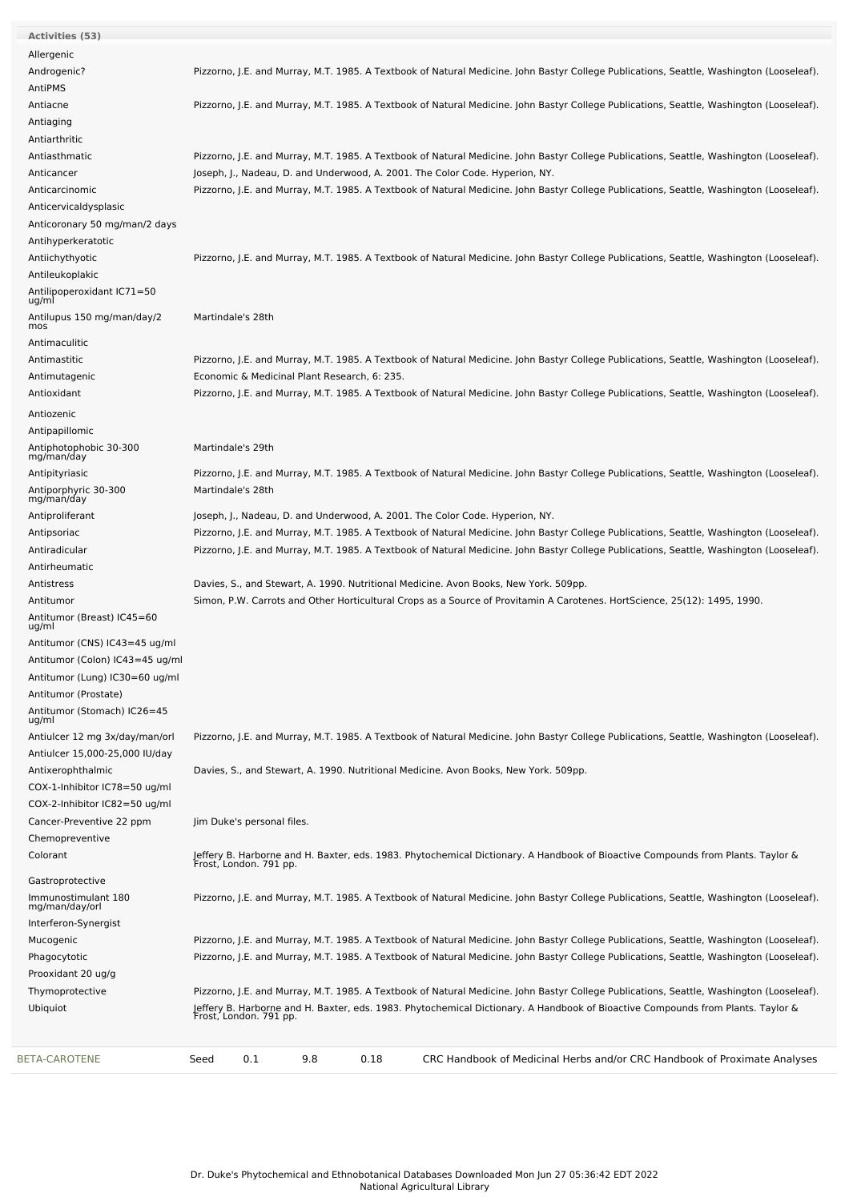| Activities (53)                      |                                                                                                                                                           |
|--------------------------------------|-----------------------------------------------------------------------------------------------------------------------------------------------------------|
| Allergenic                           |                                                                                                                                                           |
| Androgenic?                          | Pizzorno, J.E. and Murray, M.T. 1985. A Textbook of Natural Medicine. John Bastyr College Publications, Seattle, Washington (Looseleaf).                  |
| AntiPMS                              |                                                                                                                                                           |
| Antiacne                             | Pizzorno, J.E. and Murray, M.T. 1985. A Textbook of Natural Medicine. John Bastyr College Publications, Seattle, Washington (Looseleaf).                  |
| Antiaging                            |                                                                                                                                                           |
| Antiarthritic                        |                                                                                                                                                           |
| Antiasthmatic                        | Pizzorno, J.E. and Murray, M.T. 1985. A Textbook of Natural Medicine. John Bastyr College Publications, Seattle, Washington (Looseleaf).                  |
| Anticancer                           | Joseph, J., Nadeau, D. and Underwood, A. 2001. The Color Code. Hyperion, NY.                                                                              |
| Anticarcinomic                       | Pizzorno, J.E. and Murray, M.T. 1985. A Textbook of Natural Medicine. John Bastyr College Publications, Seattle, Washington (Looseleaf).                  |
| Anticervicaldysplasic                |                                                                                                                                                           |
| Anticoronary 50 mg/man/2 days        |                                                                                                                                                           |
| Antihyperkeratotic                   |                                                                                                                                                           |
| Antiichythyotic                      | Pizzorno, J.E. and Murray, M.T. 1985. A Textbook of Natural Medicine. John Bastyr College Publications, Seattle, Washington (Looseleaf).                  |
| Antileukoplakic                      |                                                                                                                                                           |
| Antilipoperoxidant IC71=50           |                                                                                                                                                           |
| ug/ml                                |                                                                                                                                                           |
| Antilupus 150 mg/man/day/2<br>mos    | Martindale's 28th                                                                                                                                         |
| Antimaculitic                        |                                                                                                                                                           |
| Antimastitic                         | Pizzorno, J.E. and Murray, M.T. 1985. A Textbook of Natural Medicine. John Bastyr College Publications, Seattle, Washington (Looseleaf).                  |
| Antimutagenic                        | Economic & Medicinal Plant Research, 6: 235.                                                                                                              |
| Antioxidant                          | Pizzorno, J.E. and Murray, M.T. 1985. A Textbook of Natural Medicine. John Bastyr College Publications, Seattle, Washington (Looseleaf).                  |
|                                      |                                                                                                                                                           |
| Antiozenic                           |                                                                                                                                                           |
| Antipapillomic                       |                                                                                                                                                           |
| Antiphotophobic 30-300<br>mg/man/day | Martindale's 29th                                                                                                                                         |
| Antipityriasic                       | Pizzorno, J.E. and Murray, M.T. 1985. A Textbook of Natural Medicine. John Bastyr College Publications, Seattle, Washington (Looseleaf).                  |
| Antiporphyric 30-300                 | Martindale's 28th                                                                                                                                         |
| mg/man/day                           |                                                                                                                                                           |
| Antiproliferant                      | Joseph, J., Nadeau, D. and Underwood, A. 2001. The Color Code. Hyperion, NY.                                                                              |
| Antipsoriac                          | Pizzorno, J.E. and Murray, M.T. 1985. A Textbook of Natural Medicine. John Bastyr College Publications, Seattle, Washington (Looseleaf).                  |
| Antiradicular                        | Pizzorno, J.E. and Murray, M.T. 1985. A Textbook of Natural Medicine. John Bastyr College Publications, Seattle, Washington (Looseleaf).                  |
| Antirheumatic                        |                                                                                                                                                           |
| Antistress                           | Davies, S., and Stewart, A. 1990. Nutritional Medicine. Avon Books, New York. 509pp.                                                                      |
| Antitumor                            | Simon, P.W. Carrots and Other Horticultural Crops as a Source of Provitamin A Carotenes. HortScience, 25(12): 1495, 1990.                                 |
| Antitumor (Breast) IC45=60<br>ug/ml  |                                                                                                                                                           |
| Antitumor (CNS) IC43=45 ug/ml        |                                                                                                                                                           |
| Antitumor (Colon) IC43=45 ug/ml      |                                                                                                                                                           |
| Antitumor (Lung) IC30=60 ug/ml       |                                                                                                                                                           |
| Antitumor (Prostate)                 |                                                                                                                                                           |
| Antitumor (Stomach) IC26=45          |                                                                                                                                                           |
| ug/ml                                |                                                                                                                                                           |
| Antiulcer 12 mg 3x/day/man/orl       | Pizzorno, J.E. and Murray, M.T. 1985. A Textbook of Natural Medicine. John Bastyr College Publications, Seattle, Washington (Looseleaf).                  |
| Antiulcer 15,000-25,000 IU/day       |                                                                                                                                                           |
| Antixerophthalmic                    | Davies, S., and Stewart, A. 1990. Nutritional Medicine. Avon Books, New York. 509pp.                                                                      |
| COX-1-Inhibitor IC78=50 ug/ml        |                                                                                                                                                           |
| COX-2-Inhibitor IC82=50 ug/ml        |                                                                                                                                                           |
| Cancer-Preventive 22 ppm             | Jim Duke's personal files.                                                                                                                                |
| Chemopreventive                      |                                                                                                                                                           |
| Colorant                             | Jeffery B. Harborne and H. Baxter, eds. 1983. Phytochemical Dictionary. A Handbook of Bioactive Compounds from Plants. Taylor &<br>Frost, London. 791 pp. |
| Gastroprotective                     |                                                                                                                                                           |
| Immunostimulant 180                  | Pizzorno, J.E. and Murray, M.T. 1985. A Textbook of Natural Medicine. John Bastyr College Publications, Seattle, Washington (Looseleaf).                  |
| mg/man/day/orl                       |                                                                                                                                                           |
| Interferon-Synergist                 |                                                                                                                                                           |
| Mucogenic                            | Pizzorno, J.E. and Murray, M.T. 1985. A Textbook of Natural Medicine. John Bastyr College Publications, Seattle, Washington (Looseleaf).                  |
| Phagocytotic                         | Pizzorno, J.E. and Murray, M.T. 1985. A Textbook of Natural Medicine. John Bastyr College Publications, Seattle, Washington (Looseleaf).                  |
| Prooxidant 20 ug/g                   |                                                                                                                                                           |
| Thymoprotective                      | Pizzorno, J.E. and Murray, M.T. 1985. A Textbook of Natural Medicine. John Bastyr College Publications, Seattle, Washington (Looseleaf).                  |
| Ubiquiot                             | Jeffery B. Harborne and H. Baxter, eds. 1983. Phytochemical Dictionary. A Handbook of Bioactive Compounds from Plants. Taylor &<br>Frost, London. 791 pp. |
|                                      |                                                                                                                                                           |
|                                      |                                                                                                                                                           |
| <b>BETA-CAROTENE</b>                 | 0.1<br>9.8<br>0.18<br>CRC Handbook of Medicinal Herbs and/or CRC Handbook of Proximate Analyses<br>Seed                                                   |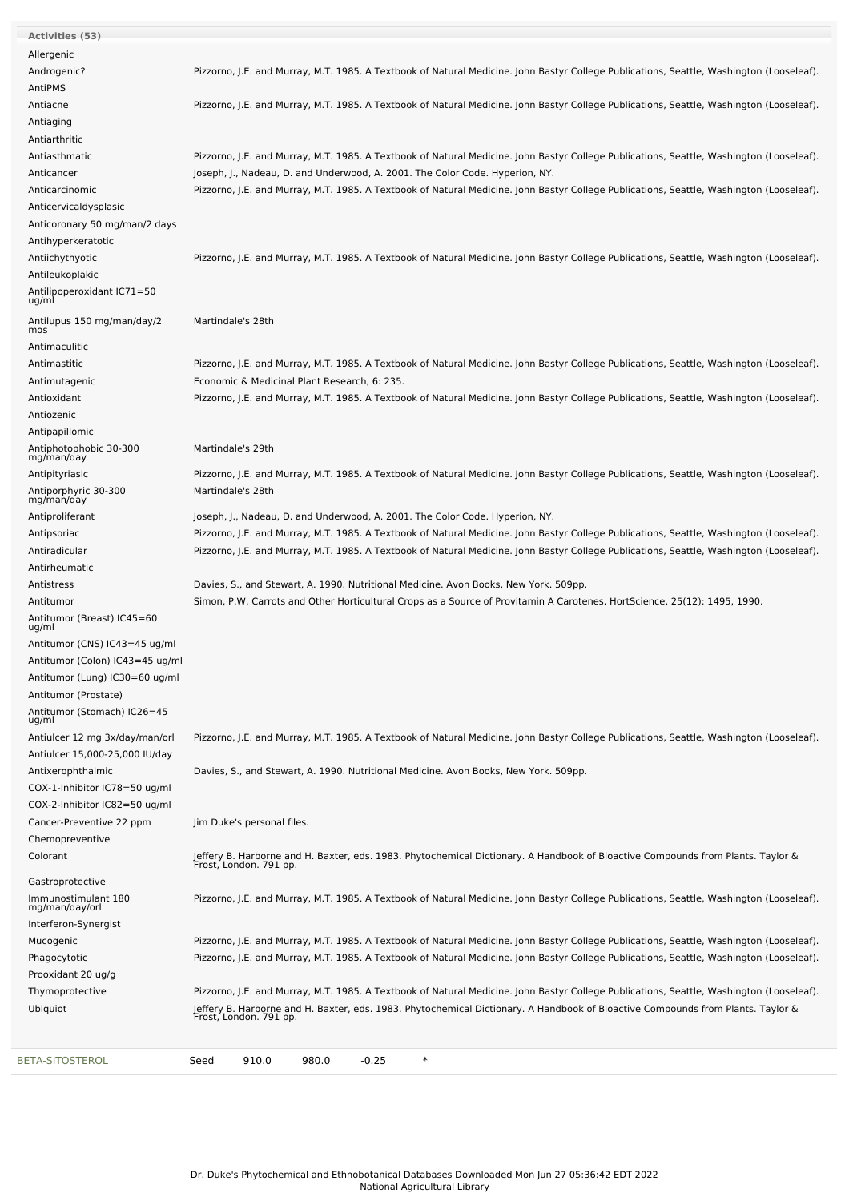| <b>Activities (53)</b>                                           |                                                                                                                                                                                          |
|------------------------------------------------------------------|------------------------------------------------------------------------------------------------------------------------------------------------------------------------------------------|
| Allergenic                                                       |                                                                                                                                                                                          |
| Androgenic?                                                      | Pizzorno, J.E. and Murray, M.T. 1985. A Textbook of Natural Medicine. John Bastyr College Publications, Seattle, Washington (Looseleaf).                                                 |
| AntiPMS                                                          |                                                                                                                                                                                          |
| Antiacne                                                         | Pizzorno, J.E. and Murray, M.T. 1985. A Textbook of Natural Medicine. John Bastyr College Publications, Seattle, Washington (Looseleaf).                                                 |
| Antiaging                                                        |                                                                                                                                                                                          |
| Antiarthritic                                                    |                                                                                                                                                                                          |
| Antiasthmatic                                                    | Pizzorno, J.E. and Murray, M.T. 1985. A Textbook of Natural Medicine. John Bastyr College Publications, Seattle, Washington (Looseleaf).                                                 |
| Anticancer                                                       | Joseph, J., Nadeau, D. and Underwood, A. 2001. The Color Code. Hyperion, NY.                                                                                                             |
| Anticarcinomic                                                   | Pizzorno, J.E. and Murray, M.T. 1985. A Textbook of Natural Medicine. John Bastyr College Publications, Seattle, Washington (Looseleaf).                                                 |
| Anticervicaldysplasic                                            |                                                                                                                                                                                          |
| Anticoronary 50 mg/man/2 days                                    |                                                                                                                                                                                          |
| Antihyperkeratotic                                               |                                                                                                                                                                                          |
| Antiichythyotic                                                  | Pizzorno, J.E. and Murray, M.T. 1985. A Textbook of Natural Medicine. John Bastyr College Publications, Seattle, Washington (Looseleaf).                                                 |
| Antileukoplakic<br>Antilipoperoxidant IC71=50                    |                                                                                                                                                                                          |
| ug/ml                                                            |                                                                                                                                                                                          |
| Antilupus 150 mg/man/day/2                                       | Martindale's 28th                                                                                                                                                                        |
| mos                                                              |                                                                                                                                                                                          |
| Antimaculitic                                                    |                                                                                                                                                                                          |
| Antimastitic                                                     | Pizzorno, J.E. and Murray, M.T. 1985. A Textbook of Natural Medicine. John Bastyr College Publications, Seattle, Washington (Looseleaf).                                                 |
| Antimutagenic<br>Antioxidant                                     | Economic & Medicinal Plant Research, 6: 235.<br>Pizzorno, J.E. and Murray, M.T. 1985. A Textbook of Natural Medicine. John Bastyr College Publications, Seattle, Washington (Looseleaf). |
| Antiozenic                                                       |                                                                                                                                                                                          |
| Antipapillomic                                                   |                                                                                                                                                                                          |
| Antiphotophobic 30-300                                           | Martindale's 29th                                                                                                                                                                        |
| mg/man/day                                                       |                                                                                                                                                                                          |
| Antipityriasic                                                   | Pizzorno, J.E. and Murray, M.T. 1985. A Textbook of Natural Medicine. John Bastyr College Publications, Seattle, Washington (Looseleaf).                                                 |
| Antiporphyric 30-300<br>mg/man/day                               | Martindale's 28th                                                                                                                                                                        |
| Antiproliferant                                                  | Joseph, J., Nadeau, D. and Underwood, A. 2001. The Color Code. Hyperion, NY.                                                                                                             |
| Antipsoriac                                                      | Pizzorno, J.E. and Murray, M.T. 1985. A Textbook of Natural Medicine. John Bastyr College Publications, Seattle, Washington (Looseleaf).                                                 |
| Antiradicular                                                    | Pizzorno, J.E. and Murray, M.T. 1985. A Textbook of Natural Medicine. John Bastyr College Publications, Seattle, Washington (Looseleaf).                                                 |
| Antirheumatic                                                    |                                                                                                                                                                                          |
| Antistress                                                       | Davies, S., and Stewart, A. 1990. Nutritional Medicine. Avon Books, New York. 509pp.                                                                                                     |
| Antitumor                                                        | Simon, P.W. Carrots and Other Horticultural Crops as a Source of Provitamin A Carotenes. HortScience, 25(12): 1495, 1990.                                                                |
| Antitumor (Breast) IC45=60<br>ug/ml                              |                                                                                                                                                                                          |
| Antitumor (CNS) IC43=45 ug/ml                                    |                                                                                                                                                                                          |
| Antitumor (Colon) IC43=45 ug/ml                                  |                                                                                                                                                                                          |
| Antitumor (Lung) IC30=60 ug/ml                                   |                                                                                                                                                                                          |
| Antitumor (Prostate)                                             |                                                                                                                                                                                          |
| Antitumor (Stomach) IC26=45<br>ug/ml                             |                                                                                                                                                                                          |
| Antiulcer 12 mg 3x/day/man/orl<br>Antiulcer 15,000-25,000 IU/day | Pizzorno, J.E. and Murray, M.T. 1985. A Textbook of Natural Medicine. John Bastyr College Publications, Seattle, Washington (Looseleaf).                                                 |
| Antixerophthalmic                                                | Davies, S., and Stewart, A. 1990. Nutritional Medicine. Avon Books, New York. 509pp.                                                                                                     |
| COX-1-Inhibitor IC78=50 ug/ml                                    |                                                                                                                                                                                          |
| COX-2-Inhibitor IC82=50 ug/ml                                    |                                                                                                                                                                                          |
| Cancer-Preventive 22 ppm                                         | Jim Duke's personal files.                                                                                                                                                               |
| Chemopreventive                                                  |                                                                                                                                                                                          |
| Colorant                                                         | Jeffery B. Harborne and H. Baxter, eds. 1983. Phytochemical Dictionary. A Handbook of Bioactive Compounds from Plants. Taylor &<br>Frost, London. 791 pp.                                |
| Gastroprotective                                                 |                                                                                                                                                                                          |
| Immunostimulant 180                                              | Pizzorno, J.E. and Murray, M.T. 1985. A Textbook of Natural Medicine. John Bastyr College Publications, Seattle, Washington (Looseleaf).                                                 |
| mg/man/day/orl                                                   |                                                                                                                                                                                          |
| Interferon-Synergist                                             |                                                                                                                                                                                          |
| Mucogenic                                                        | Pizzorno, J.E. and Murray, M.T. 1985. A Textbook of Natural Medicine. John Bastyr College Publications, Seattle, Washington (Looseleaf).                                                 |
| Phagocytotic<br>Prooxidant 20 ug/g                               | Pizzorno, J.E. and Murray, M.T. 1985. A Textbook of Natural Medicine. John Bastyr College Publications, Seattle, Washington (Looseleaf).                                                 |
| Thymoprotective                                                  | Pizzorno, J.E. and Murray, M.T. 1985. A Textbook of Natural Medicine. John Bastyr College Publications, Seattle, Washington (Looseleaf).                                                 |
| Ubiquiot                                                         | Jeffery B. Harborne and H. Baxter, eds. 1983. Phytochemical Dictionary. A Handbook of Bioactive Compounds from Plants. Taylor &<br>Frost, London. 791 pp.                                |
|                                                                  |                                                                                                                                                                                          |
| BETA-SITOSTEROL                                                  | $\ast$<br>910.0<br>980.0<br>$-0.25$<br>Seed                                                                                                                                              |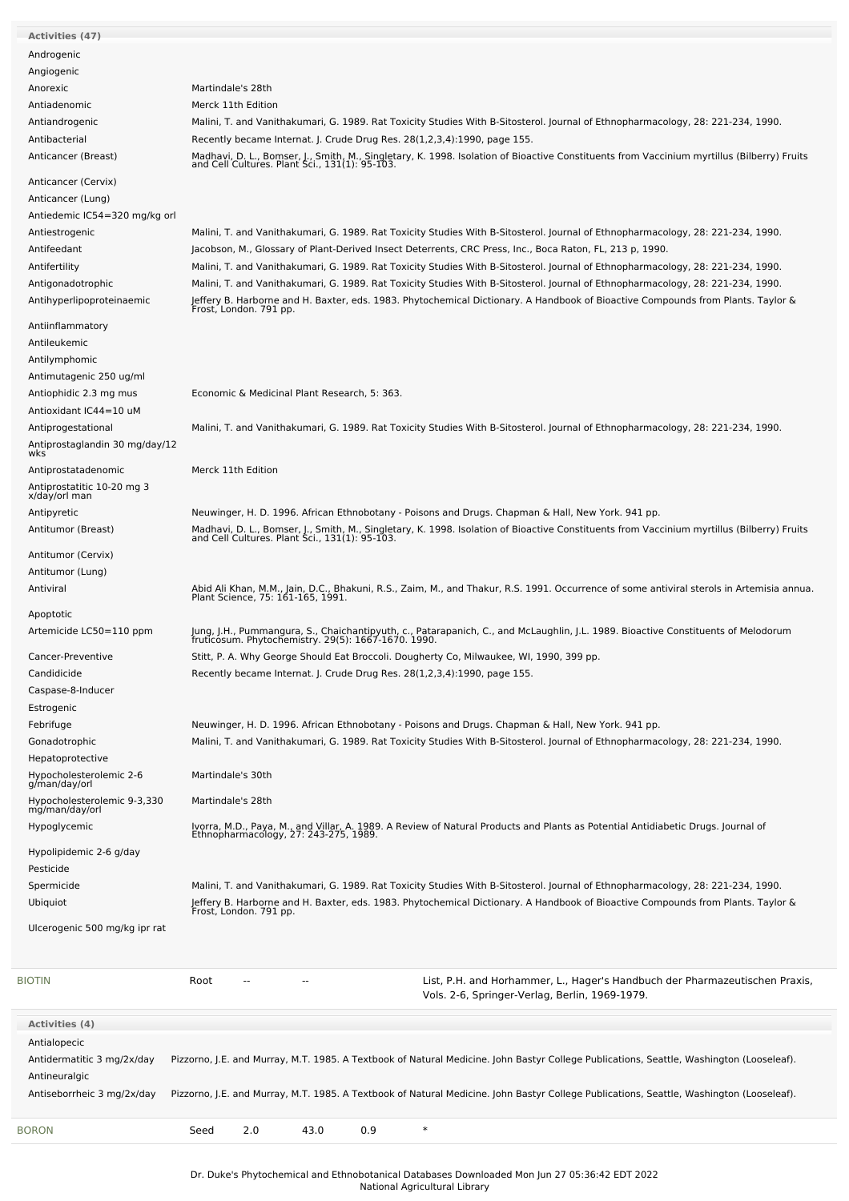| <b>Activities (47)</b>         |                                                                                                                                                                                              |
|--------------------------------|----------------------------------------------------------------------------------------------------------------------------------------------------------------------------------------------|
|                                |                                                                                                                                                                                              |
| Androgenic                     |                                                                                                                                                                                              |
| Angiogenic                     |                                                                                                                                                                                              |
| Anorexic                       | Martindale's 28th                                                                                                                                                                            |
| Antiadenomic                   | Merck 11th Edition                                                                                                                                                                           |
|                                |                                                                                                                                                                                              |
| Antiandrogenic                 | Malini, T. and Vanithakumari, G. 1989. Rat Toxicity Studies With B-Sitosterol. Journal of Ethnopharmacology, 28: 221-234, 1990.                                                              |
| Antibacterial                  | Recently became Internat. J. Crude Drug Res. 28(1,2,3,4):1990, page 155.                                                                                                                     |
| Anticancer (Breast)            | Madhavi, D. L., Bomser, J., Smith, M., Singletary, K. 1998. Isolation of Bioactive Constituents from Vaccinium myrtillus (Bilberry) Fruits<br>and Cell Cultures. Plant Sci., 131(1): 95-103. |
|                                |                                                                                                                                                                                              |
| Anticancer (Cervix)            |                                                                                                                                                                                              |
| Anticancer (Lung)              |                                                                                                                                                                                              |
| Antiedemic IC54=320 mg/kg orl  |                                                                                                                                                                                              |
| Antiestrogenic                 | Malini, T. and Vanithakumari, G. 1989. Rat Toxicity Studies With B-Sitosterol. Journal of Ethnopharmacology, 28: 221-234, 1990.                                                              |
|                                |                                                                                                                                                                                              |
| Antifeedant                    | Jacobson, M., Glossary of Plant-Derived Insect Deterrents, CRC Press, Inc., Boca Raton, FL, 213 p, 1990.                                                                                     |
| Antifertility                  | Malini, T. and Vanithakumari, G. 1989. Rat Toxicity Studies With B-Sitosterol. Journal of Ethnopharmacology, 28: 221-234, 1990.                                                              |
| Antigonadotrophic              | Malini, T. and Vanithakumari, G. 1989. Rat Toxicity Studies With B-Sitosterol. Journal of Ethnopharmacology, 28: 221-234, 1990.                                                              |
| Antihyperlipoproteinaemic      | Jeffery B. Harborne and H. Baxter, eds. 1983. Phytochemical Dictionary. A Handbook of Bioactive Compounds from Plants. Taylor &<br>Frost, London. 791 pp.                                    |
|                                |                                                                                                                                                                                              |
| Antiinflammatory               |                                                                                                                                                                                              |
| Antileukemic                   |                                                                                                                                                                                              |
| Antilymphomic                  |                                                                                                                                                                                              |
|                                |                                                                                                                                                                                              |
| Antimutagenic 250 ug/ml        |                                                                                                                                                                                              |
| Antiophidic 2.3 mg mus         | Economic & Medicinal Plant Research, 5: 363.                                                                                                                                                 |
| Antioxidant IC44=10 uM         |                                                                                                                                                                                              |
| Antiprogestational             | Malini, T. and Vanithakumari, G. 1989. Rat Toxicity Studies With B-Sitosterol. Journal of Ethnopharmacology, 28: 221-234, 1990.                                                              |
| Antiprostaglandin 30 mg/day/12 |                                                                                                                                                                                              |
| wks                            |                                                                                                                                                                                              |
| Antiprostatadenomic            | Merck 11th Edition                                                                                                                                                                           |
| Antiprostatitic 10-20 mg 3     |                                                                                                                                                                                              |
| x/day/orl man                  |                                                                                                                                                                                              |
| Antipyretic                    | Neuwinger, H. D. 1996. African Ethnobotany - Poisons and Drugs. Chapman & Hall, New York. 941 pp.                                                                                            |
| Antitumor (Breast)             |                                                                                                                                                                                              |
|                                | Madhavi, D. L., Bomser, J., Smith, M., Singletary, K. 1998. Isolation of Bioactive Constituents from Vaccinium myrtillus (Bilberry) Fruits<br>and Cell Cultures. Plant Sci., 131(1): 95-103. |
| Antitumor (Cervix)             |                                                                                                                                                                                              |
| Antitumor (Lung)               |                                                                                                                                                                                              |
| Antiviral                      |                                                                                                                                                                                              |
|                                | Abid Ali Khan, M.M., Jain, D.C., Bhakuni, R.S., Zaim, M., and Thakur, R.S. 1991. Occurrence of some antiviral sterols in Artemisia annua.<br>Plant Science, 75: 161-165, 1991.               |
| Apoptotic                      |                                                                                                                                                                                              |
| Artemicide LC50=110 ppm        |                                                                                                                                                                                              |
|                                | Jung, J.H., Pummangura, S., Chaichantipyuth, c., Patarapanich, C., and McLaughlin, J.L. 1989. Bioactive Constituents of Melodorum<br>fruticosum. Phytochemistry. 29(5): 1667-1670. 1990.     |
| Cancer-Preventive              | Stitt, P. A. Why George Should Eat Broccoli. Dougherty Co, Milwaukee, WI, 1990, 399 pp.                                                                                                      |
| Candidicide                    | Recently became Internat. J. Crude Drug Res. 28(1,2,3,4):1990, page 155.                                                                                                                     |
|                                |                                                                                                                                                                                              |
| Caspase-8-Inducer              |                                                                                                                                                                                              |
| Estrogenic                     |                                                                                                                                                                                              |
| Febrifuge                      | Neuwinger, H. D. 1996. African Ethnobotany - Poisons and Drugs. Chapman & Hall, New York. 941 pp.                                                                                            |
| Gonadotrophic                  | Malini, T. and Vanithakumari, G. 1989. Rat Toxicity Studies With B-Sitosterol. Journal of Ethnopharmacology, 28: 221-234, 1990.                                                              |
| Hepatoprotective               |                                                                                                                                                                                              |
| Hypocholesterolemic 2-6        | Martindale's 30th                                                                                                                                                                            |
| g/man/day/orl                  |                                                                                                                                                                                              |
| Hypocholesterolemic 9-3,330    | Martindale's 28th                                                                                                                                                                            |
| mg/man/day/orl                 |                                                                                                                                                                                              |
| Hypoglycemic                   | Ivorra, M.D., Paya, M., and Villar, A. 1989. A Review of Natural Products and Plants as Potential Antidiabetic Drugs. Journal of                                                             |
|                                | Ethnopharmacology, 27: 243-275, 1989.                                                                                                                                                        |
| Hypolipidemic 2-6 g/day        |                                                                                                                                                                                              |
| Pesticide                      |                                                                                                                                                                                              |
| Spermicide                     | Malini, T. and Vanithakumari, G. 1989. Rat Toxicity Studies With B-Sitosterol. Journal of Ethnopharmacology, 28: 221-234, 1990.                                                              |
| Ubiquiot                       | Jeffery B. Harborne and H. Baxter, eds. 1983. Phytochemical Dictionary. A Handbook of Bioactive Compounds from Plants. Taylor &<br>Frost, London. 791 pp.                                    |
|                                |                                                                                                                                                                                              |
| Ulcerogenic 500 mg/kg ipr rat  |                                                                                                                                                                                              |
|                                |                                                                                                                                                                                              |
|                                |                                                                                                                                                                                              |
| BIOTIN                         | List, P.H. and Horhammer, L., Hager's Handbuch der Pharmazeutischen Praxis,<br>Root                                                                                                          |
|                                | Vols. 2-6, Springer-Verlag, Berlin, 1969-1979.                                                                                                                                               |
|                                |                                                                                                                                                                                              |
| <b>Activities (4)</b>          |                                                                                                                                                                                              |
| Antialopecic                   |                                                                                                                                                                                              |
|                                |                                                                                                                                                                                              |
| Antidermatitic 3 mg/2x/day     | Pizzorno, J.E. and Murray, M.T. 1985. A Textbook of Natural Medicine. John Bastyr College Publications, Seattle, Washington (Looseleaf).                                                     |
| Antineuralgic                  |                                                                                                                                                                                              |
| Antiseborrheic 3 mg/2x/day     | Pizzorno, J.E. and Murray, M.T. 1985. A Textbook of Natural Medicine. John Bastyr College Publications, Seattle, Washington (Looseleaf).                                                     |
|                                |                                                                                                                                                                                              |
| <b>BORON</b>                   | 0.9<br>$\ast$<br>2.0<br>43.0<br>Seed                                                                                                                                                         |
|                                |                                                                                                                                                                                              |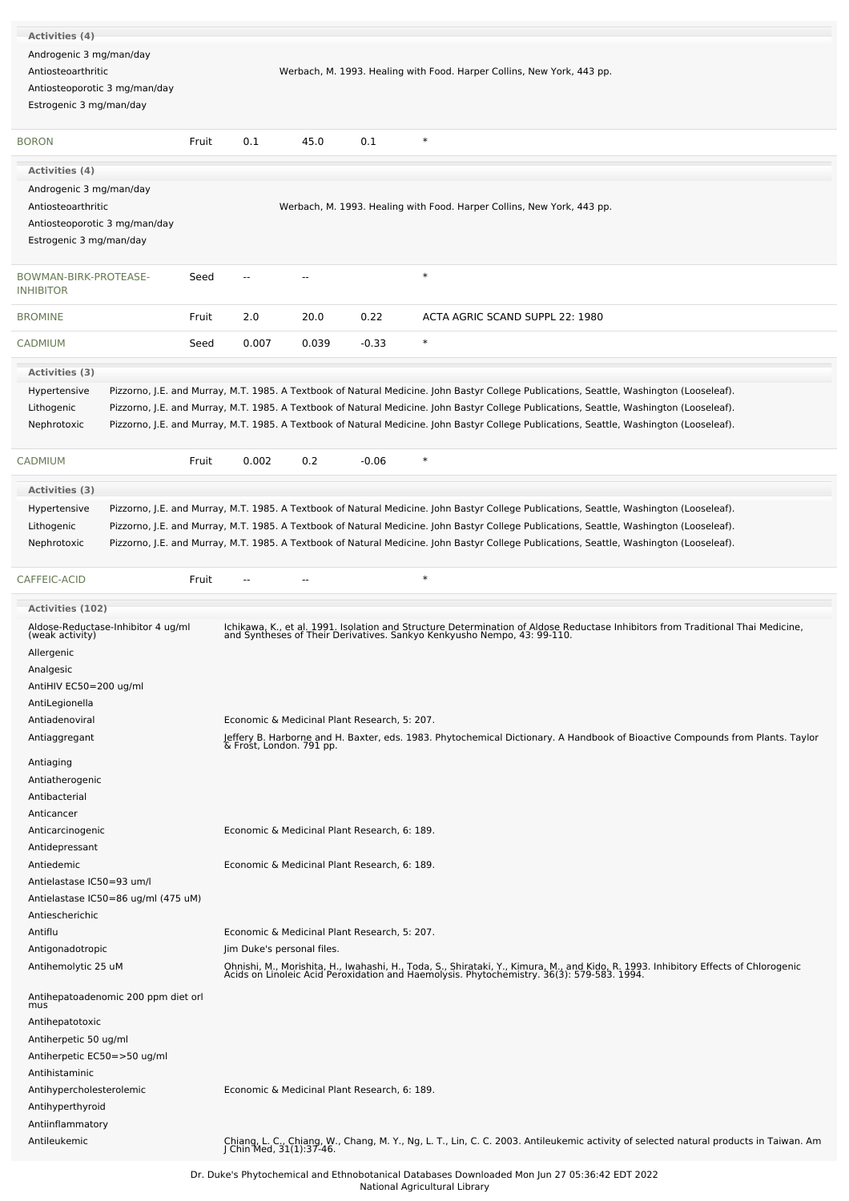| Activities (4)                                                                                            |       |                            |                                              |                                              |                                                                                                                                                                                                                                  |
|-----------------------------------------------------------------------------------------------------------|-------|----------------------------|----------------------------------------------|----------------------------------------------|----------------------------------------------------------------------------------------------------------------------------------------------------------------------------------------------------------------------------------|
| Androgenic 3 mg/man/day<br>Antiosteoarthritic                                                             |       |                            |                                              |                                              | Werbach, M. 1993. Healing with Food. Harper Collins, New York, 443 pp.                                                                                                                                                           |
| Antiosteoporotic 3 mg/man/day<br>Estrogenic 3 mg/man/day                                                  |       |                            |                                              |                                              |                                                                                                                                                                                                                                  |
| <b>BORON</b>                                                                                              | Fruit | 0.1                        | 45.0                                         | 0.1                                          | $\ast$                                                                                                                                                                                                                           |
| Activities (4)                                                                                            |       |                            |                                              |                                              |                                                                                                                                                                                                                                  |
| Androgenic 3 mg/man/day<br>Antiosteoarthritic<br>Antiosteoporotic 3 mg/man/day<br>Estrogenic 3 mg/man/day |       |                            |                                              |                                              | Werbach, M. 1993. Healing with Food. Harper Collins, New York, 443 pp.                                                                                                                                                           |
| BOWMAN-BIRK-PROTEASE-<br><b>INHIBITOR</b>                                                                 | Seed  | --                         | $\overline{\phantom{a}}$                     |                                              | $\ast$                                                                                                                                                                                                                           |
| <b>BROMINE</b>                                                                                            | Fruit | 2.0                        | 20.0                                         | 0.22                                         | ACTA AGRIC SCAND SUPPL 22: 1980                                                                                                                                                                                                  |
| <b>CADMIUM</b>                                                                                            | Seed  | 0.007                      | 0.039                                        | $-0.33$                                      | $\ast$                                                                                                                                                                                                                           |
| Activities (3)                                                                                            |       |                            |                                              |                                              |                                                                                                                                                                                                                                  |
| Hypertensive                                                                                              |       |                            |                                              |                                              | Pizzorno, J.E. and Murray, M.T. 1985. A Textbook of Natural Medicine. John Bastyr College Publications, Seattle, Washington (Looseleaf).                                                                                         |
| Lithogenic                                                                                                |       |                            |                                              |                                              | Pizzorno, J.E. and Murray, M.T. 1985. A Textbook of Natural Medicine. John Bastyr College Publications, Seattle, Washington (Looseleaf).                                                                                         |
| Nephrotoxic                                                                                               |       |                            |                                              |                                              | Pizzorno, J.E. and Murray, M.T. 1985. A Textbook of Natural Medicine. John Bastyr College Publications, Seattle, Washington (Looseleaf).                                                                                         |
| <b>CADMIUM</b>                                                                                            | Fruit | 0.002                      | 0.2                                          | $-0.06$                                      | $\ast$                                                                                                                                                                                                                           |
| Activities (3)                                                                                            |       |                            |                                              |                                              |                                                                                                                                                                                                                                  |
| Hypertensive                                                                                              |       |                            |                                              |                                              | Pizzorno, J.E. and Murray, M.T. 1985. A Textbook of Natural Medicine. John Bastyr College Publications, Seattle, Washington (Looseleaf).                                                                                         |
| Lithogenic                                                                                                |       |                            |                                              |                                              | Pizzorno, J.E. and Murray, M.T. 1985. A Textbook of Natural Medicine. John Bastyr College Publications, Seattle, Washington (Looseleaf).                                                                                         |
| Nephrotoxic                                                                                               |       |                            |                                              |                                              | Pizzorno, J.E. and Murray, M.T. 1985. A Textbook of Natural Medicine. John Bastyr College Publications, Seattle, Washington (Looseleaf).                                                                                         |
| CAFFEIC-ACID                                                                                              | Fruit |                            | --                                           |                                              | $\ast$                                                                                                                                                                                                                           |
| <b>Activities (102)</b>                                                                                   |       |                            |                                              |                                              |                                                                                                                                                                                                                                  |
| Aldose-Reductase-Inhibitor 4 ug/ml<br>(weak activity)                                                     |       |                            |                                              |                                              | Ichikawa, K., et al. 1991. Isolation and Structure Determination of Aldose Reductase Inhibitors from Traditional Thai Medicine,<br>and Syntheses of Their Derivatives. Sankyo Kenkyusho Nempo, 43: 99-110.                       |
| Allergenic                                                                                                |       |                            |                                              |                                              |                                                                                                                                                                                                                                  |
| Analgesic                                                                                                 |       |                            |                                              |                                              |                                                                                                                                                                                                                                  |
| AntiHIV EC50=200 ug/ml                                                                                    |       |                            |                                              |                                              |                                                                                                                                                                                                                                  |
| AntiLegionella                                                                                            |       |                            |                                              |                                              |                                                                                                                                                                                                                                  |
| Antiadenoviral                                                                                            |       |                            |                                              | Economic & Medicinal Plant Research, 5: 207. |                                                                                                                                                                                                                                  |
| Antiaggregant                                                                                             |       |                            |                                              |                                              | Jeffery B. Harborne and H. Baxter, eds. 1983. Phytochemical Dictionary. A Handbook of Bioactive Compounds from Plants. Taylor<br>& Frost, London. 791 pp.                                                                        |
| Antiaging                                                                                                 |       |                            |                                              |                                              |                                                                                                                                                                                                                                  |
| Antiatherogenic<br>Antibacterial                                                                          |       |                            |                                              |                                              |                                                                                                                                                                                                                                  |
| Anticancer                                                                                                |       |                            |                                              |                                              |                                                                                                                                                                                                                                  |
| Anticarcinogenic                                                                                          |       |                            | Economic & Medicinal Plant Research, 6: 189. |                                              |                                                                                                                                                                                                                                  |
| Antidepressant                                                                                            |       |                            |                                              |                                              |                                                                                                                                                                                                                                  |
| Antiedemic                                                                                                |       |                            |                                              | Economic & Medicinal Plant Research, 6: 189. |                                                                                                                                                                                                                                  |
| Antielastase IC50=93 um/l                                                                                 |       |                            |                                              |                                              |                                                                                                                                                                                                                                  |
| Antielastase IC50=86 ug/ml (475 uM)                                                                       |       |                            |                                              |                                              |                                                                                                                                                                                                                                  |
| Antiescherichic                                                                                           |       |                            |                                              |                                              |                                                                                                                                                                                                                                  |
| Antiflu                                                                                                   |       |                            |                                              | Economic & Medicinal Plant Research, 5: 207. |                                                                                                                                                                                                                                  |
| Antigonadotropic                                                                                          |       | Jim Duke's personal files. |                                              |                                              |                                                                                                                                                                                                                                  |
| Antihemolytic 25 uM                                                                                       |       |                            |                                              |                                              | Ohnishi, M., Morishita, H., Iwahashi, H., Toda, S., Shirataki, Y., Kimura, M., and Kido, R. 1993. Inhibitory Effects of Chlorogenic<br>Acids on Linoleic Acid Peroxidation and Haemolysis. Phytochemistry. 36(3): 579-583. 1994. |
| Antihepatoadenomic 200 ppm diet orl<br>mus                                                                |       |                            |                                              |                                              |                                                                                                                                                                                                                                  |
| Antihepatotoxic                                                                                           |       |                            |                                              |                                              |                                                                                                                                                                                                                                  |
| Antiherpetic 50 ug/ml                                                                                     |       |                            |                                              |                                              |                                                                                                                                                                                                                                  |
| Antiherpetic EC50=>50 ug/ml                                                                               |       |                            |                                              |                                              |                                                                                                                                                                                                                                  |
| Antihistaminic                                                                                            |       |                            |                                              |                                              |                                                                                                                                                                                                                                  |
| Antihypercholesterolemic                                                                                  |       |                            |                                              | Economic & Medicinal Plant Research, 6: 189. |                                                                                                                                                                                                                                  |
| Antihyperthyroid                                                                                          |       |                            |                                              |                                              |                                                                                                                                                                                                                                  |
| Antiinflammatory<br>Antileukemic                                                                          |       |                            |                                              |                                              | Chiang, L. C., Chiang, W., Chang, M. Y., Ng, L. T., Lin, C. C. 2003. Antileukemic activity of selected natural products in Taiwan. Am J Chin Med, 31(1):37-46.                                                                   |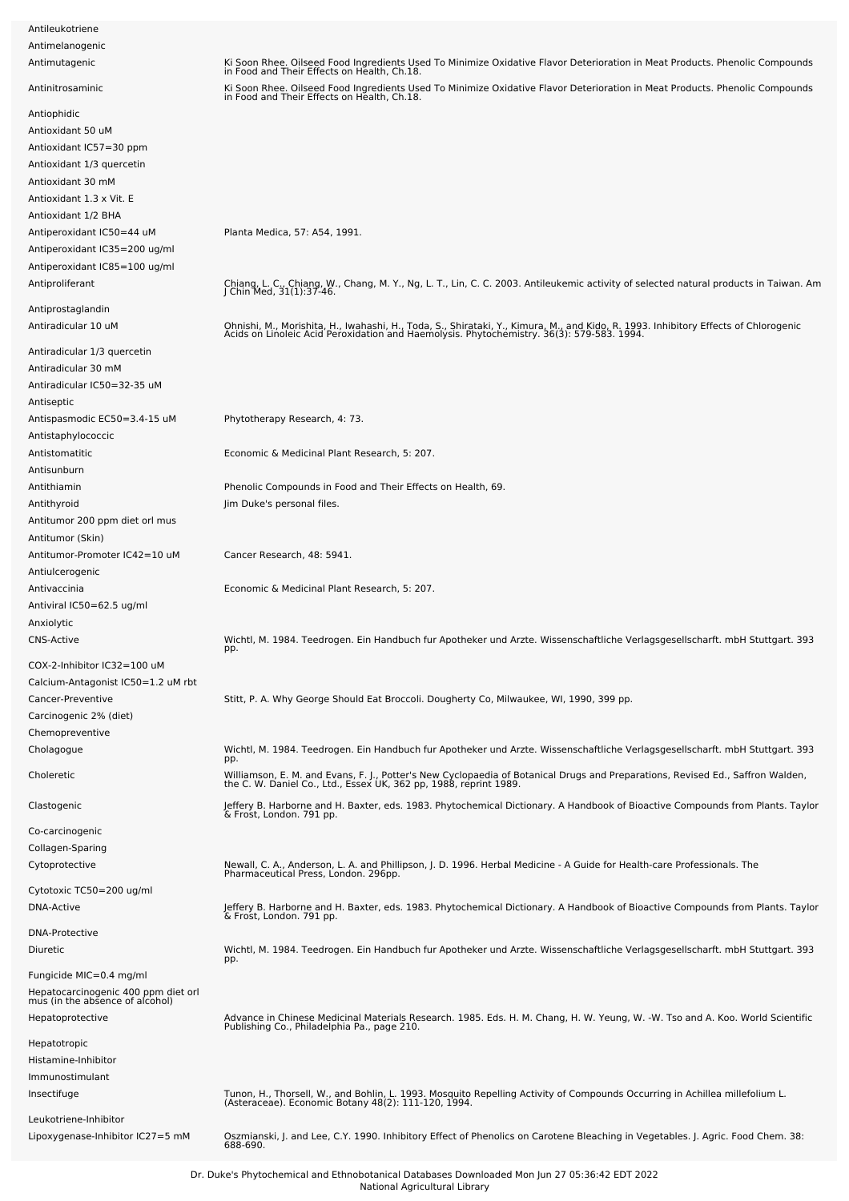| Antileukotriene                                                        |                                                                                                                                                                                                                                  |
|------------------------------------------------------------------------|----------------------------------------------------------------------------------------------------------------------------------------------------------------------------------------------------------------------------------|
| Antimelanogenic                                                        |                                                                                                                                                                                                                                  |
| Antimutagenic                                                          | Ki Soon Rhee. Oilseed Food Ingredients Used To Minimize Oxidative Flavor Deterioration in Meat Products. Phenolic Compounds<br>in Food and Their Effects on Health, Ch.18.                                                       |
| Antinitrosaminic                                                       | Ki Soon Rhee. Oilseed Food Ingredients Used To Minimize Oxidative Flavor Deterioration in Meat Products. Phenolic Compounds<br>in Food and Their Effects on Health, Ch.18.                                                       |
| Antiophidic                                                            |                                                                                                                                                                                                                                  |
| Antioxidant 50 uM                                                      |                                                                                                                                                                                                                                  |
| Antioxidant IC57=30 ppm                                                |                                                                                                                                                                                                                                  |
| Antioxidant 1/3 quercetin                                              |                                                                                                                                                                                                                                  |
| Antioxidant 30 mM                                                      |                                                                                                                                                                                                                                  |
| Antioxidant 1.3 x Vit. E                                               |                                                                                                                                                                                                                                  |
| Antioxidant 1/2 BHA                                                    |                                                                                                                                                                                                                                  |
|                                                                        |                                                                                                                                                                                                                                  |
| Antiperoxidant IC50=44 uM                                              | Planta Medica, 57: A54, 1991.                                                                                                                                                                                                    |
| Antiperoxidant IC35=200 ug/ml                                          |                                                                                                                                                                                                                                  |
| Antiperoxidant IC85=100 ug/ml                                          |                                                                                                                                                                                                                                  |
| Antiproliferant                                                        | Chiang, L. C., Chiang, W., Chang, M. Y., Ng, L. T., Lin, C. C. 2003. Antileukemic activity of selected natural products in Taiwan. Am<br>J Chin Med, 31(1):37-46.                                                                |
| Antiprostaglandin                                                      |                                                                                                                                                                                                                                  |
| Antiradicular 10 uM                                                    |                                                                                                                                                                                                                                  |
|                                                                        | Ohnishi, M., Morishita, H., Iwahashi, H., Toda, S., Shirataki, Y., Kimura, M., and Kido, R. 1993. Inhibitory Effects of Chlorogenic<br>Acids on Linoleic Acid Peroxidation and Haemolysis. Phytochemistry. 36(3): 579-583. 1994. |
| Antiradicular 1/3 quercetin                                            |                                                                                                                                                                                                                                  |
| Antiradicular 30 mM                                                    |                                                                                                                                                                                                                                  |
| Antiradicular IC50=32-35 uM                                            |                                                                                                                                                                                                                                  |
| Antiseptic                                                             |                                                                                                                                                                                                                                  |
| Antispasmodic EC50=3.4-15 uM                                           | Phytotherapy Research, 4: 73.                                                                                                                                                                                                    |
|                                                                        |                                                                                                                                                                                                                                  |
| Antistaphylococcic                                                     |                                                                                                                                                                                                                                  |
| Antistomatitic                                                         | Economic & Medicinal Plant Research, 5: 207.                                                                                                                                                                                     |
| Antisunburn                                                            |                                                                                                                                                                                                                                  |
| Antithiamin                                                            | Phenolic Compounds in Food and Their Effects on Health, 69.                                                                                                                                                                      |
| Antithyroid                                                            | Jim Duke's personal files.                                                                                                                                                                                                       |
| Antitumor 200 ppm diet orl mus<br>Antitumor (Skin)                     |                                                                                                                                                                                                                                  |
| Antitumor-Promoter IC42=10 uM                                          | Cancer Research, 48: 5941.                                                                                                                                                                                                       |
| Antiulcerogenic                                                        |                                                                                                                                                                                                                                  |
| Antivaccinia                                                           | Economic & Medicinal Plant Research, 5: 207.                                                                                                                                                                                     |
|                                                                        |                                                                                                                                                                                                                                  |
| Antiviral IC50=62.5 ug/ml                                              |                                                                                                                                                                                                                                  |
| Anxiolytic                                                             |                                                                                                                                                                                                                                  |
| <b>CNS-Active</b>                                                      | Wichtl, M. 1984. Teedrogen. Ein Handbuch fur Apotheker und Arzte. Wissenschaftliche Verlagsgesellscharft. mbH Stuttgart. 393<br>pp.                                                                                              |
| COX-2-Inhibitor IC32=100 uM                                            |                                                                                                                                                                                                                                  |
| Calcium-Antagonist IC50=1.2 uM rbt                                     |                                                                                                                                                                                                                                  |
| Cancer-Preventive                                                      | Stitt, P. A. Why George Should Eat Broccoli. Dougherty Co, Milwaukee, WI, 1990, 399 pp.                                                                                                                                          |
| Carcinogenic 2% (diet)                                                 |                                                                                                                                                                                                                                  |
|                                                                        |                                                                                                                                                                                                                                  |
| Chemopreventive                                                        |                                                                                                                                                                                                                                  |
| Cholagogue                                                             | Wichtl, M. 1984. Teedrogen. Ein Handbuch fur Apotheker und Arzte. Wissenschaftliche Verlagsgesellscharft. mbH Stuttgart. 393<br>pp.                                                                                              |
| Choleretic                                                             | Williamson, E. M. and Evans, F. J., Potter's New Cyclopaedia of Botanical Drugs and Preparations, Revised Ed., Saffron Walden,<br>the C. W. Daniel Co., Ltd., Essex UK, 362 pp, 1988, reprint 1989.                              |
| Clastogenic                                                            | Jeffery B. Harborne and H. Baxter, eds. 1983. Phytochemical Dictionary. A Handbook of Bioactive Compounds from Plants. Taylor<br>& Frost, London. 791 pp.                                                                        |
| Co-carcinogenic                                                        |                                                                                                                                                                                                                                  |
| Collagen-Sparing                                                       |                                                                                                                                                                                                                                  |
| Cytoprotective                                                         | Newall, C. A., Anderson, L. A. and Phillipson, J. D. 1996. Herbal Medicine - A Guide for Health-care Professionals. The                                                                                                          |
|                                                                        | Pharmaceutical Press, London. 296pp.                                                                                                                                                                                             |
| Cytotoxic TC50=200 ug/ml                                               |                                                                                                                                                                                                                                  |
| DNA-Active                                                             | Jeffery B. Harborne and H. Baxter, eds. 1983. Phytochemical Dictionary. A Handbook of Bioactive Compounds from Plants. Taylor                                                                                                    |
|                                                                        | & Frost, London. 791 pp.                                                                                                                                                                                                         |
| <b>DNA-Protective</b>                                                  |                                                                                                                                                                                                                                  |
| Diuretic                                                               | Wichtl, M. 1984. Teedrogen. Ein Handbuch fur Apotheker und Arzte. Wissenschaftliche Verlagsgesellscharft. mbH Stuttgart. 393<br>pp.                                                                                              |
| Fungicide MIC=0.4 mg/ml                                                |                                                                                                                                                                                                                                  |
| Hepatocarcinogenic 400 ppm diet orl<br>mus (in the absence of alcohol) |                                                                                                                                                                                                                                  |
| Hepatoprotective                                                       | Advance in Chinese Medicinal Materials Research. 1985. Eds. H. M. Chang, H. W. Yeung, W. -W. Tso and A. Koo. World Scientific<br>Publishing Co., Philadelphia Pa., page 210.                                                     |
| Hepatotropic                                                           |                                                                                                                                                                                                                                  |
| Histamine-Inhibitor                                                    |                                                                                                                                                                                                                                  |
| Immunostimulant                                                        |                                                                                                                                                                                                                                  |
| Insectifuge                                                            | Tunon, H., Thorsell, W., and Bohlin, L. 1993. Mosquito Repelling Activity of Compounds Occurring in Achillea millefolium L.                                                                                                      |
|                                                                        | (Asteraceae). Economic Botany 48(2): 111-120, 1994.                                                                                                                                                                              |
| Leukotriene-Inhibitor                                                  |                                                                                                                                                                                                                                  |
| Lipoxygenase-Inhibitor IC27=5 mM                                       | Oszmianski, J. and Lee, C.Y. 1990. Inhibitory Effect of Phenolics on Carotene Bleaching in Vegetables. J. Agric. Food Chem. 38:<br>688-690.                                                                                      |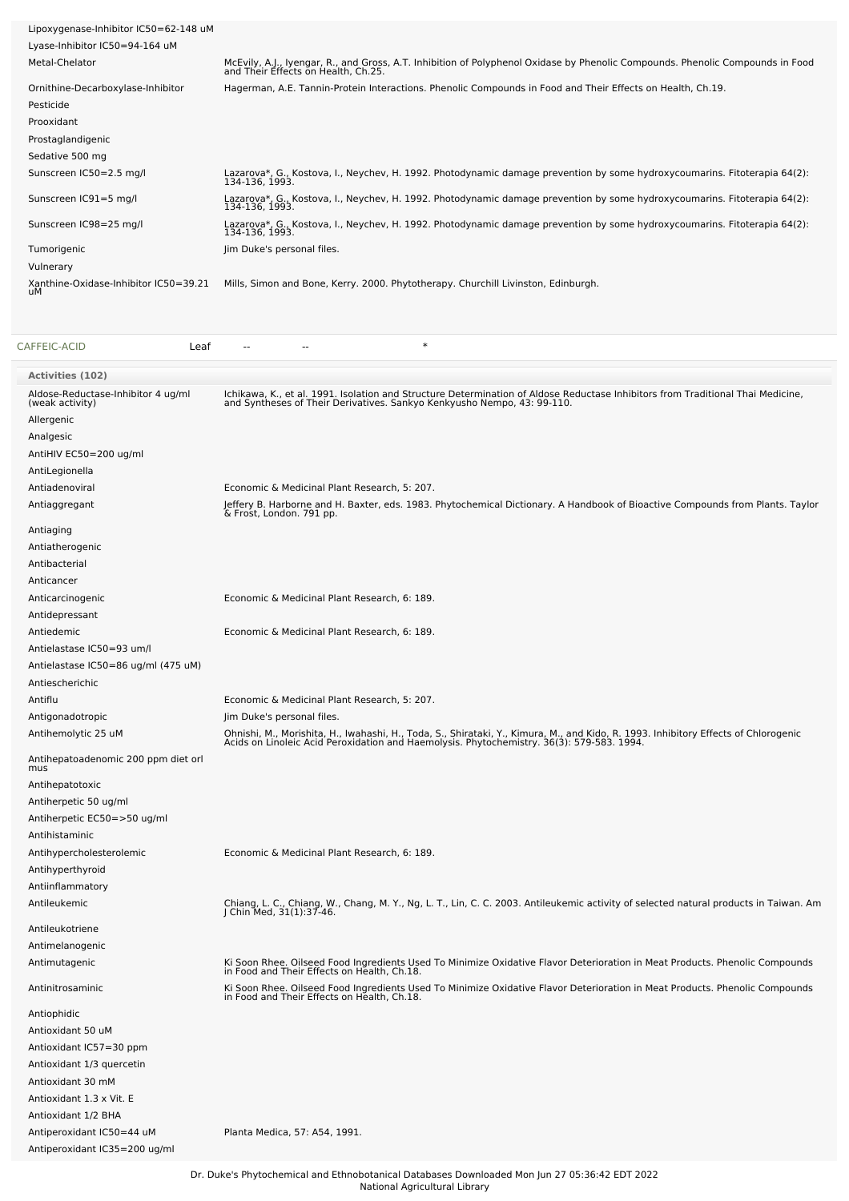| Lipoxygenase-Inhibitor IC50=62-148 uM       |                                                                                                                                                                       |
|---------------------------------------------|-----------------------------------------------------------------------------------------------------------------------------------------------------------------------|
| Lyase-Inhibitor IC50=94-164 uM              |                                                                                                                                                                       |
| Metal-Chelator                              | McEvily, A.J., Iyengar, R., and Gross, A.T. Inhibition of Polyphenol Oxidase by Phenolic Compounds. Phenolic Compounds in Food<br>and Their Effects on Health, Ch.25. |
| Ornithine-Decarboxylase-Inhibitor           | Hagerman, A.E. Tannin-Protein Interactions. Phenolic Compounds in Food and Their Effects on Health, Ch.19.                                                            |
| Pesticide                                   |                                                                                                                                                                       |
| Prooxidant                                  |                                                                                                                                                                       |
| Prostaglandigenic                           |                                                                                                                                                                       |
| Sedative 500 mg                             |                                                                                                                                                                       |
| Sunscreen IC50=2.5 mg/l                     | Lazarova*, G., Kostova, I., Neychev, H. 1992. Photodynamic damage prevention by some hydroxycoumarins. Fitoterapia 64(2):<br>134-136, 1993.                           |
| Sunscreen IC91=5 mg/l                       | Lazarova*, G., Kostova, I., Neychev, H. 1992. Photodynamic damage prevention by some hydroxycoumarins. Fitoterapia 64(2):<br>134-136, 1993.                           |
| Sunscreen IC98=25 mg/l                      | Lazarova*, G., Kostova, I., Neychev, H. 1992. Photodynamic damage prevention by some hydroxycoumarins. Fitoterapia 64(2):<br>134-136, 1993.                           |
| Tumorigenic                                 | Jim Duke's personal files.                                                                                                                                            |
| Vulnerary                                   |                                                                                                                                                                       |
| Xanthine-Oxidase-Inhibitor IC50=39.21<br>иM | Mills, Simon and Bone, Kerry. 2000. Phytotherapy. Churchill Livinston, Edinburgh.                                                                                     |

| CAFFEIC-ACID<br>Leaf                                  | $\ast$                                                                                                                                                                                                                           |
|-------------------------------------------------------|----------------------------------------------------------------------------------------------------------------------------------------------------------------------------------------------------------------------------------|
| <b>Activities (102)</b>                               |                                                                                                                                                                                                                                  |
| Aldose-Reductase-Inhibitor 4 ug/ml<br>(weak activity) | Ichikawa, K., et al. 1991. Isolation and Structure Determination of Aldose Reductase Inhibitors from Traditional Thai Medicine,<br>and Syntheses of Their Derivatives. Sankyo Kenkyusho Nempo, 43: 99-110.                       |
| Allergenic                                            |                                                                                                                                                                                                                                  |
| Analgesic                                             |                                                                                                                                                                                                                                  |
| AntiHIV EC50=200 ug/ml                                |                                                                                                                                                                                                                                  |
| AntiLegionella                                        |                                                                                                                                                                                                                                  |
| Antiadenoviral                                        | Economic & Medicinal Plant Research, 5: 207.                                                                                                                                                                                     |
| Antiaggregant                                         | Jeffery B. Harborne and H. Baxter, eds. 1983. Phytochemical Dictionary. A Handbook of Bioactive Compounds from Plants. Taylor<br>& Frost, London. 791 pp.                                                                        |
| Antiaging                                             |                                                                                                                                                                                                                                  |
| Antiatherogenic                                       |                                                                                                                                                                                                                                  |
| Antibacterial                                         |                                                                                                                                                                                                                                  |
| Anticancer                                            |                                                                                                                                                                                                                                  |
| Anticarcinogenic                                      | Economic & Medicinal Plant Research, 6: 189.                                                                                                                                                                                     |
| Antidepressant                                        |                                                                                                                                                                                                                                  |
| Antiedemic                                            | Economic & Medicinal Plant Research, 6: 189.                                                                                                                                                                                     |
| Antielastase IC50=93 um/l                             |                                                                                                                                                                                                                                  |
| Antielastase IC50=86 ug/ml (475 uM)                   |                                                                                                                                                                                                                                  |
| Antiescherichic                                       |                                                                                                                                                                                                                                  |
| Antiflu                                               | Economic & Medicinal Plant Research, 5: 207.                                                                                                                                                                                     |
| Antigonadotropic                                      | Jim Duke's personal files.                                                                                                                                                                                                       |
| Antihemolytic 25 uM                                   | Ohnishi, M., Morishita, H., Iwahashi, H., Toda, S., Shirataki, Y., Kimura, M., and Kido, R. 1993. Inhibitory Effects of Chlorogenic<br>Acids on Linoleic Acid Peroxidation and Haemolysis. Phytochemistry. 36(3): 579-583. 1994. |
| Antihepatoadenomic 200 ppm diet orl<br>mus            |                                                                                                                                                                                                                                  |
| Antihepatotoxic                                       |                                                                                                                                                                                                                                  |
| Antiherpetic 50 ug/ml                                 |                                                                                                                                                                                                                                  |
| Antiherpetic EC50=>50 ug/ml                           |                                                                                                                                                                                                                                  |
| Antihistaminic                                        |                                                                                                                                                                                                                                  |
| Antihypercholesterolemic                              | Economic & Medicinal Plant Research, 6: 189.                                                                                                                                                                                     |
| Antihyperthyroid                                      |                                                                                                                                                                                                                                  |
| Antiinflammatory                                      |                                                                                                                                                                                                                                  |
| Antileukemic                                          | Chiang, L. C., Chiang, W., Chang, M. Y., Ng, L. T., Lin, C. C. 2003. Antileukemic activity of selected natural products in Taiwan. Am<br>J Chin Med, 31(1):37-46.                                                                |
| Antileukotriene                                       |                                                                                                                                                                                                                                  |
| Antimelanogenic                                       |                                                                                                                                                                                                                                  |
| Antimutagenic                                         | Ki Soon Rhee. Oilseed Food Ingredients Used To Minimize Oxidative Flavor Deterioration in Meat Products. Phenolic Compounds<br>in Food and Their Effects on Health, Ch.18.                                                       |
| Antinitrosaminic                                      | Ki Soon Rhee. Oilseed Food Ingredients Used To Minimize Oxidative Flavor Deterioration in Meat Products. Phenolic Compounds<br>in Food and Their Effects on Health, Ch.18.                                                       |
| Antiophidic                                           |                                                                                                                                                                                                                                  |
| Antioxidant 50 uM                                     |                                                                                                                                                                                                                                  |
| Antioxidant IC57=30 ppm                               |                                                                                                                                                                                                                                  |
| Antioxidant 1/3 quercetin                             |                                                                                                                                                                                                                                  |
| Antioxidant 30 mM                                     |                                                                                                                                                                                                                                  |
| Antioxidant 1.3 x Vit. E                              |                                                                                                                                                                                                                                  |
| Antioxidant 1/2 BHA                                   |                                                                                                                                                                                                                                  |
| Antiperoxidant IC50=44 uM                             | Planta Medica, 57: A54, 1991.                                                                                                                                                                                                    |
| Antiperoxidant IC35=200 ug/ml                         |                                                                                                                                                                                                                                  |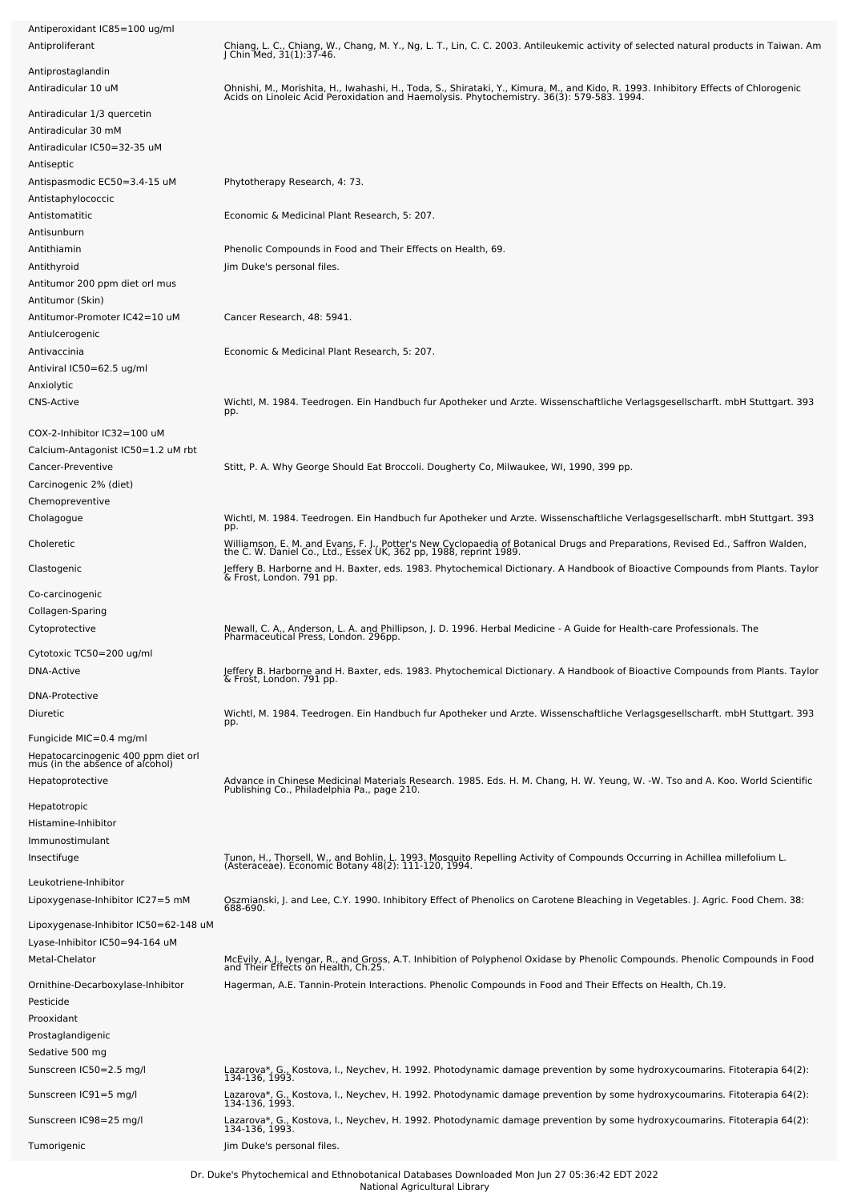| Antiperoxidant IC85=100 ug/ml<br>Antiproliferant                       | Chiang, L. C., Chiang, W., Chang, M. Y., Ng, L. T., Lin, C. C. 2003. Antileukemic activity of selected natural products in Taiwan. Am<br>J Chin Med, 31(1):37-46.                                                                |
|------------------------------------------------------------------------|----------------------------------------------------------------------------------------------------------------------------------------------------------------------------------------------------------------------------------|
| Antiprostaglandin                                                      |                                                                                                                                                                                                                                  |
| Antiradicular 10 uM                                                    | Ohnishi, M., Morishita, H., Iwahashi, H., Toda, S., Shirataki, Y., Kimura, M., and Kido, R. 1993. Inhibitory Effects of Chlorogenic<br>Acids on Linoleic Acid Peroxidation and Haemolysis. Phytochemistry. 36(3): 579-583. 1994. |
| Antiradicular 1/3 quercetin                                            |                                                                                                                                                                                                                                  |
| Antiradicular 30 mM                                                    |                                                                                                                                                                                                                                  |
| Antiradicular IC50=32-35 uM                                            |                                                                                                                                                                                                                                  |
| Antiseptic<br>Antispasmodic EC50=3.4-15 uM                             | Phytotherapy Research, 4: 73.                                                                                                                                                                                                    |
| Antistaphylococcic                                                     |                                                                                                                                                                                                                                  |
| Antistomatitic<br>Antisunburn                                          | Economic & Medicinal Plant Research, 5: 207.                                                                                                                                                                                     |
| Antithiamin                                                            | Phenolic Compounds in Food and Their Effects on Health, 69.                                                                                                                                                                      |
| Antithyroid                                                            | Jim Duke's personal files.                                                                                                                                                                                                       |
| Antitumor 200 ppm diet orl mus                                         |                                                                                                                                                                                                                                  |
| Antitumor (Skin)                                                       |                                                                                                                                                                                                                                  |
| Antitumor-Promoter IC42=10 uM                                          | Cancer Research, 48: 5941.                                                                                                                                                                                                       |
| Antiulcerogenic                                                        |                                                                                                                                                                                                                                  |
| Antivaccinia                                                           | Economic & Medicinal Plant Research, 5: 207.                                                                                                                                                                                     |
| Antiviral IC50=62.5 ug/ml                                              |                                                                                                                                                                                                                                  |
| Anxiolytic                                                             |                                                                                                                                                                                                                                  |
| <b>CNS-Active</b>                                                      | Wichtl, M. 1984. Teedrogen. Ein Handbuch fur Apotheker und Arzte. Wissenschaftliche Verlagsgesellscharft. mbH Stuttgart. 393<br>pp.                                                                                              |
| COX-2-Inhibitor IC32=100 uM                                            |                                                                                                                                                                                                                                  |
| Calcium-Antagonist IC50=1.2 uM rbt                                     |                                                                                                                                                                                                                                  |
| Cancer-Preventive                                                      | Stitt, P. A. Why George Should Eat Broccoli. Dougherty Co, Milwaukee, WI, 1990, 399 pp.                                                                                                                                          |
| Carcinogenic 2% (diet)                                                 |                                                                                                                                                                                                                                  |
| Chemopreventive<br>Cholagogue                                          | Wichtl, M. 1984. Teedrogen. Ein Handbuch fur Apotheker und Arzte. Wissenschaftliche Verlagsgesellscharft. mbH Stuttgart. 393                                                                                                     |
|                                                                        | pp.                                                                                                                                                                                                                              |
| Choleretic                                                             | Williamson, E. M. and Evans, F. J., Potter's New Cyclopaedia of Botanical Drugs and Preparations, Revised Ed., Saffron Walden,<br>the C. W. Daniel Co., Ltd., Essex UK, 362 pp, 1988, reprint 1989.                              |
| Clastogenic                                                            | Jeffery B. Harborne and H. Baxter, eds. 1983. Phytochemical Dictionary. A Handbook of Bioactive Compounds from Plants. Taylor<br>& Frost, London. 791 pp.                                                                        |
| Co-carcinogenic                                                        |                                                                                                                                                                                                                                  |
| Collagen-Sparing                                                       |                                                                                                                                                                                                                                  |
| Cytoprotective                                                         | Newall, C. A., Anderson, L. A. and Phillipson, J. D. 1996. Herbal Medicine - A Guide for Health-care Professionals. The<br>Pharmaceutical Press, London. 296pp.                                                                  |
| Cytotoxic TC50=200 ug/ml                                               |                                                                                                                                                                                                                                  |
| DNA-Active                                                             | Jeffery B. Harborne and H. Baxter, eds. 1983. Phytochemical Dictionary. A Handbook of Bioactive Compounds from Plants. Taylor<br>& Frost, London. 791 pp.                                                                        |
| <b>DNA-Protective</b>                                                  |                                                                                                                                                                                                                                  |
| Diuretic                                                               | Wichtl, M. 1984. Teedrogen. Ein Handbuch fur Apotheker und Arzte. Wissenschaftliche Verlagsgesellscharft. mbH Stuttgart. 393<br>pp.                                                                                              |
| Fungicide MIC=0.4 mg/ml                                                |                                                                                                                                                                                                                                  |
| Hepatocarcinogenic 400 ppm diet orl<br>mus (in the absence of alcohol) |                                                                                                                                                                                                                                  |
|                                                                        |                                                                                                                                                                                                                                  |
| Hepatoprotective                                                       | Advance in Chinese Medicinal Materials Research. 1985. Eds. H. M. Chang, H. W. Yeung, W. -W. Tso and A. Koo. World Scientific<br>Publishing Co., Philadelphia Pa., page 210.                                                     |
| Hepatotropic                                                           |                                                                                                                                                                                                                                  |
| Histamine-Inhibitor                                                    |                                                                                                                                                                                                                                  |
| Immunostimulant                                                        |                                                                                                                                                                                                                                  |
| Insectifuge                                                            | Tunon, H., Thorsell, W., and Bohlin, L. 1993. Mosquito Repelling Activity of Compounds Occurring in Achillea millefolium L.<br>(Asteraceae). Economic Botany 48(2): 111-120, 1994.                                               |
| Leukotriene-Inhibitor                                                  |                                                                                                                                                                                                                                  |
| Lipoxygenase-Inhibitor IC27=5 mM                                       | Oszmianski, J. and Lee, C.Y. 1990. Inhibitory Effect of Phenolics on Carotene Bleaching in Vegetables. J. Agric. Food Chem. 38:<br>688-690.                                                                                      |
| Lipoxygenase-Inhibitor IC50=62-148 uM                                  |                                                                                                                                                                                                                                  |
| Lyase-Inhibitor IC50=94-164 uM                                         |                                                                                                                                                                                                                                  |
| Metal-Chelator                                                         | McEvily, A.J., Iyengar, R., and Gross, A.T. Inhibition of Polyphenol Oxidase by Phenolic Compounds. Phenolic Compounds in Food<br>and Their Effects on Health, Ch.25.                                                            |
| Ornithine-Decarboxylase-Inhibitor                                      | Hagerman, A.E. Tannin-Protein Interactions. Phenolic Compounds in Food and Their Effects on Health, Ch.19.                                                                                                                       |
| Pesticide                                                              |                                                                                                                                                                                                                                  |
| Prooxidant                                                             |                                                                                                                                                                                                                                  |
| Prostaglandigenic                                                      |                                                                                                                                                                                                                                  |
| Sedative 500 mg                                                        |                                                                                                                                                                                                                                  |
| Sunscreen IC50=2.5 mg/l                                                | Lazarova*, G., Kostova, I., Neychev, H. 1992. Photodynamic damage prevention by some hydroxycoumarins. Fitoterapia 64(2):<br>134-136, 1993.                                                                                      |
| Sunscreen IC91=5 mg/l                                                  | Lazarova*, G., Kostova, I., Neychev, H. 1992. Photodynamic damage prevention by some hydroxycoumarins. Fitoterapia 64(2):<br>134-136, 1993.                                                                                      |
| Sunscreen IC98=25 mg/l                                                 | Lazarova*, G., Kostova, I., Neychev, H. 1992. Photodynamic damage prevention by some hydroxycoumarins. Fitoterapia 64(2):<br>134-136, 1993.                                                                                      |
| Tumorigenic                                                            | Jim Duke's personal files.                                                                                                                                                                                                       |
|                                                                        |                                                                                                                                                                                                                                  |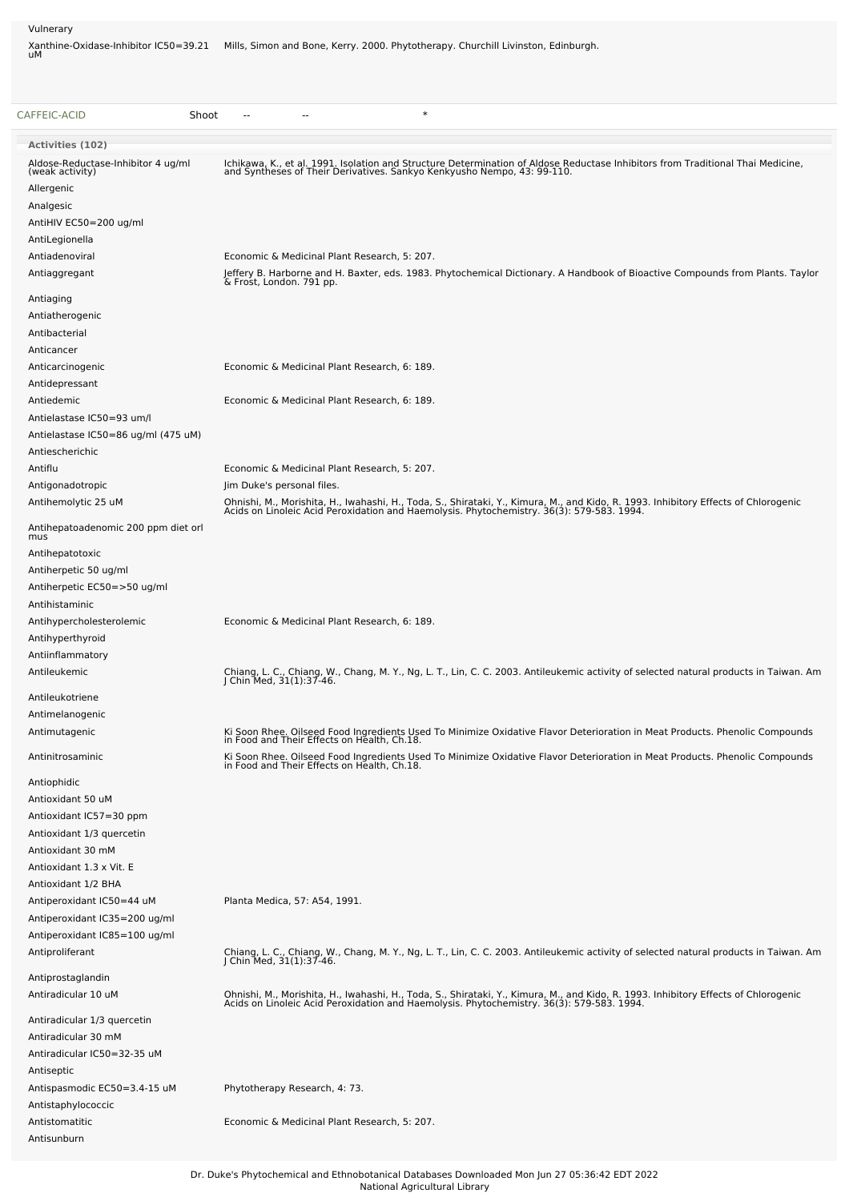Vulnerary

Xanthine-Oxidase-Inhibitor IC50=39.21 Mills, Simon and Bone, Kerry. 2000. Phytotherapy. Churchill Livinston, Edinburgh.<br>uM

| CAFFEIC-ACID<br>Shoot                                 | $\ast$                                                                                                                                                                                                                           |
|-------------------------------------------------------|----------------------------------------------------------------------------------------------------------------------------------------------------------------------------------------------------------------------------------|
| <b>Activities (102)</b>                               |                                                                                                                                                                                                                                  |
| Aldose-Reductase-Inhibitor 4 ug/ml<br>(weak activity) | Ichikawa, K., et al. 1991. Isolation and Structure Determination of Aldose Reductase Inhibitors from Traditional Thai Medicine,<br>and Syntheses of Their Derivatives. Sankyo Kenkyusho Nempo, 43: 99-110.                       |
| Allergenic                                            |                                                                                                                                                                                                                                  |
| Analgesic                                             |                                                                                                                                                                                                                                  |
| AntiHIV EC50=200 ug/ml                                |                                                                                                                                                                                                                                  |
| AntiLegionella                                        |                                                                                                                                                                                                                                  |
| Antiadenoviral                                        | Economic & Medicinal Plant Research, 5: 207.                                                                                                                                                                                     |
| Antiaggregant                                         | Jeffery B. Harborne and H. Baxter, eds. 1983. Phytochemical Dictionary. A Handbook of Bioactive Compounds from Plants. Taylor<br>& Frost, London. 791 pp.                                                                        |
| Antiaging                                             |                                                                                                                                                                                                                                  |
| Antiatherogenic                                       |                                                                                                                                                                                                                                  |
| Antibacterial                                         |                                                                                                                                                                                                                                  |
| Anticancer                                            |                                                                                                                                                                                                                                  |
| Anticarcinogenic                                      | Economic & Medicinal Plant Research, 6: 189.                                                                                                                                                                                     |
| Antidepressant                                        |                                                                                                                                                                                                                                  |
| Antiedemic                                            | Economic & Medicinal Plant Research, 6: 189.                                                                                                                                                                                     |
| Antielastase IC50=93 um/l                             |                                                                                                                                                                                                                                  |
| Antielastase IC50=86 ug/ml (475 uM)                   |                                                                                                                                                                                                                                  |
| Antiescherichic                                       |                                                                                                                                                                                                                                  |
| Antiflu                                               | Economic & Medicinal Plant Research, 5: 207.                                                                                                                                                                                     |
| Antigonadotropic                                      | Jim Duke's personal files.                                                                                                                                                                                                       |
| Antihemolytic 25 uM                                   | Ohnishi, M., Morishita, H., Iwahashi, H., Toda, S., Shirataki, Y., Kimura, M., and Kido, R. 1993. Inhibitory Effects of Chlorogenic<br>Acids on Linoleic Acid Peroxidation and Haemolysis. Phytochemistry. 36(3): 579-583. 1994. |
| Antihepatoadenomic 200 ppm diet orl<br>mus            |                                                                                                                                                                                                                                  |
| Antihepatotoxic                                       |                                                                                                                                                                                                                                  |
| Antiherpetic 50 ug/ml                                 |                                                                                                                                                                                                                                  |
| Antiherpetic EC50=>50 ug/ml                           |                                                                                                                                                                                                                                  |
| Antihistaminic                                        |                                                                                                                                                                                                                                  |
| Antihypercholesterolemic                              | Economic & Medicinal Plant Research, 6: 189.                                                                                                                                                                                     |
| Antihyperthyroid                                      |                                                                                                                                                                                                                                  |
| Antiinflammatory                                      |                                                                                                                                                                                                                                  |
| Antileukemic                                          | Chiang, L. C., Chiang, W., Chang, M. Y., Ng, L. T., Lin, C. C. 2003. Antileukemic activity of selected natural products in Taiwan. Am<br>J Chin Med, 31(1):37-46.                                                                |
| Antileukotriene                                       |                                                                                                                                                                                                                                  |
| Antimelanogenic                                       |                                                                                                                                                                                                                                  |
| Antimutagenic                                         | Ki Soon Rhee. Oilseed Food Ingredients Used To Minimize Oxidative Flavor Deterioration in Meat Products. Phenolic Compounds<br>in Food and Their Effects on Health, Ch.18.                                                       |
| Antinitrosaminic                                      | Ki Soon Rhee, Oilseed Food Ingredients Used To Minimize Oxidative Flavor Deterioration in Meat Products. Phenolic Compounds<br>in Food and Their Effects on Health, Ch.18.                                                       |
| Antiophidic                                           |                                                                                                                                                                                                                                  |
| Antioxidant 50 uM                                     |                                                                                                                                                                                                                                  |
| Antioxidant IC57=30 ppm                               |                                                                                                                                                                                                                                  |
| Antioxidant 1/3 quercetin                             |                                                                                                                                                                                                                                  |
| Antioxidant 30 mM                                     |                                                                                                                                                                                                                                  |
| Antioxidant 1.3 x Vit. E                              |                                                                                                                                                                                                                                  |
| Antioxidant 1/2 BHA                                   |                                                                                                                                                                                                                                  |
| Antiperoxidant IC50=44 uM                             | Planta Medica, 57: A54, 1991.                                                                                                                                                                                                    |
| Antiperoxidant IC35=200 ug/ml                         |                                                                                                                                                                                                                                  |
| Antiperoxidant IC85=100 ug/ml                         |                                                                                                                                                                                                                                  |
| Antiproliferant                                       | Chiang, L. C., Chiang, W., Chang, M. Y., Ng, L. T., Lin, C. C. 2003. Antileukemic activity of selected natural products in Taiwan. Am J Chin Med, 31(1):37-46.                                                                   |
| Antiprostaglandin                                     |                                                                                                                                                                                                                                  |
| Antiradicular 10 uM                                   | Ohnishi, M., Morishita, H., Iwahashi, H., Toda, S., Shirataki, Y., Kimura, M., and Kido, R. 1993. Inhibitory Effects of Chlorogenic<br>Acids on Linoleic Acid Peroxidation and Haemolysis. Phytochemistry. 36(3): 579-583. 1994. |
| Antiradicular 1/3 quercetin                           |                                                                                                                                                                                                                                  |
| Antiradicular 30 mM                                   |                                                                                                                                                                                                                                  |
| Antiradicular IC50=32-35 uM                           |                                                                                                                                                                                                                                  |
| Antiseptic                                            |                                                                                                                                                                                                                                  |
| Antispasmodic EC50=3.4-15 uM                          | Phytotherapy Research, 4: 73.                                                                                                                                                                                                    |
| Antistaphylococcic                                    |                                                                                                                                                                                                                                  |
| Antistomatitic                                        | Economic & Medicinal Plant Research, 5: 207.                                                                                                                                                                                     |
| Antisunburn                                           |                                                                                                                                                                                                                                  |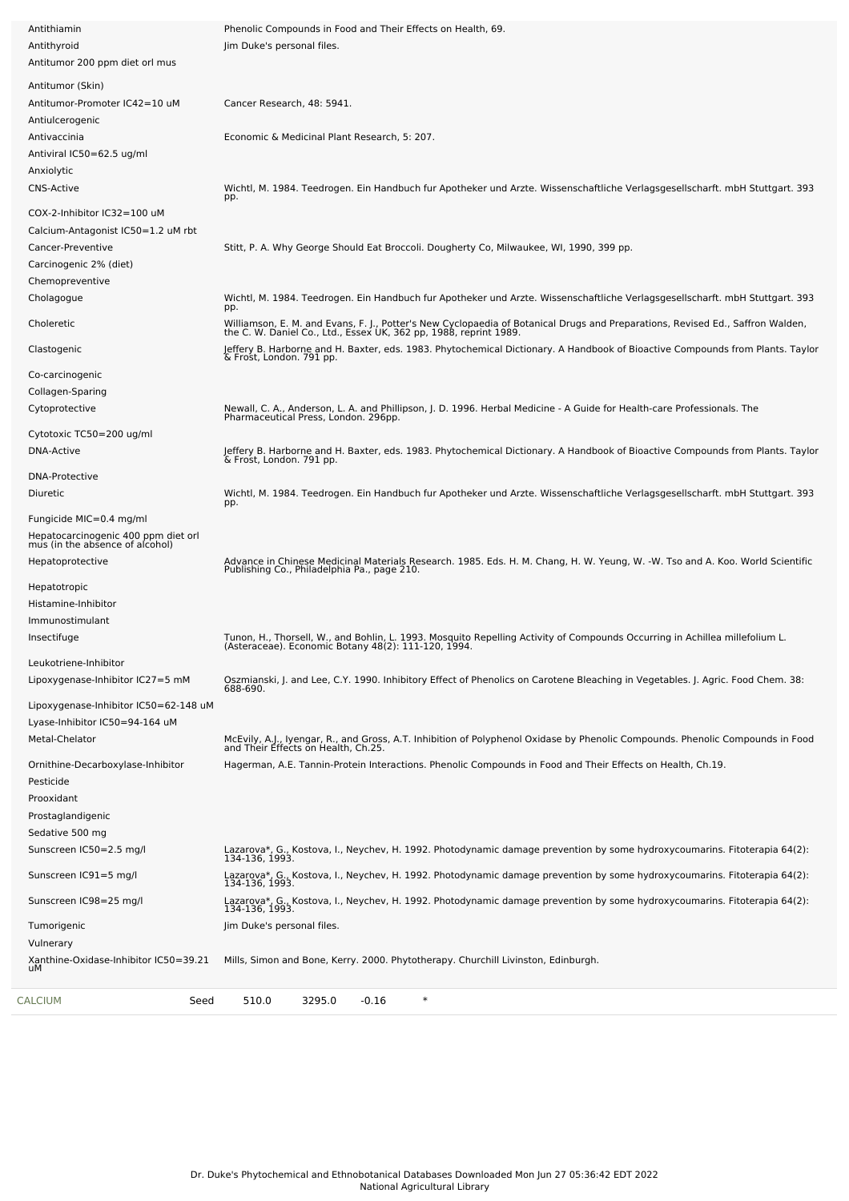| <b>CALCIUM</b><br>Seed                                         | $\ast$<br>510.0<br>3295.0<br>$-0.16$                                                                                                                                                             |
|----------------------------------------------------------------|--------------------------------------------------------------------------------------------------------------------------------------------------------------------------------------------------|
| Xanthine-Oxidase-Inhibitor IC50=39.21<br>uМ                    | Mills, Simon and Bone, Kerry. 2000. Phytotherapy. Churchill Livinston, Edinburgh.                                                                                                                |
| Tumorigenic<br>Vulnerary                                       | Jim Duke's personal files.                                                                                                                                                                       |
| Sunscreen IC98=25 mg/l                                         | Lazarova*, G., Kostova, I., Neychev, H. 1992. Photodynamic damage prevention by some hydroxycoumarins. Fitoterapia 64(2):<br>134-136, 1993.                                                      |
| Sunscreen IC91=5 mg/l                                          | Lazarova*, G., Kostova, I., Neychev, H. 1992. Photodynamic damage prevention by some hydroxycoumarins. Fitoterapia 64(2):<br>134-136, 1993.                                                      |
| Sunscreen IC50=2.5 mg/l                                        | Lazarova*, G., Kostova, I., Neychev, H. 1992. Photodynamic damage prevention by some hydroxycoumarins. Fitoterapia 64(2):<br>134-136, 1993.                                                      |
| Sedative 500 mg                                                |                                                                                                                                                                                                  |
| Prooxidant<br>Prostaglandigenic                                |                                                                                                                                                                                                  |
| Pesticide                                                      |                                                                                                                                                                                                  |
| Ornithine-Decarboxylase-Inhibitor                              | Hagerman, A.E. Tannin-Protein Interactions. Phenolic Compounds in Food and Their Effects on Health, Ch.19.                                                                                       |
| Metal-Chelator                                                 | McEvily, A.J., Iyengar, R., and Gross, A.T. Inhibition of Polyphenol Oxidase by Phenolic Compounds. Phenolic Compounds in Food<br>and Their Effects on Health, Ch.25.                            |
| Lyase-Inhibitor IC50=94-164 uM                                 |                                                                                                                                                                                                  |
| Lipoxygenase-Inhibitor IC50=62-148 uM                          | 688-690.                                                                                                                                                                                         |
| Lipoxygenase-Inhibitor IC27=5 mM                               | Oszmianski, J. and Lee, C.Y. 1990. Inhibitory Effect of Phenolics on Carotene Bleaching in Vegetables. J. Agric. Food Chem. 38:                                                                  |
| Leukotriene-Inhibitor                                          | (Asteraceae). Economic Botany 48(2): 111-120, 1994                                                                                                                                               |
| Insectifuge                                                    | Tunon, H., Thorsell, W., and Bohlin, L. 1993. Mosquito Repelling Activity of Compounds Occurring in Achillea millefolium L.                                                                      |
| Immunostimulant                                                |                                                                                                                                                                                                  |
| Hepatotropic<br>Histamine-Inhibitor                            |                                                                                                                                                                                                  |
|                                                                | Publishing Co., Philadelphia Pa., page 210.                                                                                                                                                      |
| mus (in the absence of alcohol)<br>Hepatoprotective            | Advance in Chinese Medicinal Materials Research. 1985. Eds. H. M. Chang, H. W. Yeung, W. -W. Tso and A. Koo. World Scientific                                                                    |
| Fungicide MIC=0.4 mg/ml<br>Hepatocarcinogenic 400 ppm diet orl |                                                                                                                                                                                                  |
|                                                                | pp.                                                                                                                                                                                              |
| <b>DNA-Protective</b><br>Diuretic                              | Wichtl, M. 1984. Teedrogen. Ein Handbuch fur Apotheker und Arzte. Wissenschaftliche Verlagsgesellscharft. mbH Stuttgart. 393                                                                     |
|                                                                | & Frost, London. 791 pp.                                                                                                                                                                         |
| Cytotoxic TC50=200 ug/ml<br>DNA-Active                         | Jeffery B. Harborne and H. Baxter, eds. 1983. Phytochemical Dictionary. A Handbook of Bioactive Compounds from Plants. Taylor                                                                    |
|                                                                | Newall, C. A., Anderson, L. A. and Phillipson, J. D. 1996. Herbal Medicine - A Guide for Health-care Professionals. The<br>Pharmaceutical Press, London. 296pp.                                  |
| Collagen-Sparing<br>Cytoprotective                             |                                                                                                                                                                                                  |
| Co-carcinogenic                                                |                                                                                                                                                                                                  |
| Clastogenic                                                    | Jeffery B. Harborne and H. Baxter, eds. 1983. Phytochemical Dictionary. A Handbook of Bioactive Compounds from Plants. Taylor<br>& Frost, London. 791 pp.                                        |
|                                                                | Williamson, E. M. and Evans, F. J., Potter's New Cyclopaedia of Botanical Drugs and Preparations, Revised Ed., Saffron Walden, the C. W. Daniel Co., Ltd., Essex UK, 362 pp, 1988, reprint 1989. |
| Choleretic                                                     | pp.                                                                                                                                                                                              |
| Cholagogue                                                     | Wichtl, M. 1984. Teedrogen. Ein Handbuch fur Apotheker und Arzte. Wissenschaftliche Verlagsgesellscharft. mbH Stuttgart. 393                                                                     |
| Carcinogenic 2% (diet)<br>Chemopreventive                      |                                                                                                                                                                                                  |
| Cancer-Preventive                                              | Stitt, P. A. Why George Should Eat Broccoli. Dougherty Co, Milwaukee, WI, 1990, 399 pp.                                                                                                          |
| Calcium-Antagonist IC50=1.2 uM rbt                             |                                                                                                                                                                                                  |
| COX-2-Inhibitor IC32=100 uM                                    |                                                                                                                                                                                                  |
| <b>CNS-Active</b>                                              | Wichtl, M. 1984. Teedrogen. Ein Handbuch fur Apotheker und Arzte. Wissenschaftliche Verlagsgesellscharft. mbH Stuttgart. 393<br>pp.                                                              |
| Anxiolytic                                                     |                                                                                                                                                                                                  |
| Antiviral IC50=62.5 ug/ml                                      |                                                                                                                                                                                                  |
| Antiulcerogenic<br>Antivaccinia                                | Economic & Medicinal Plant Research, 5: 207.                                                                                                                                                     |
| Antitumor-Promoter IC42=10 uM                                  | Cancer Research, 48: 5941.                                                                                                                                                                       |
| Antitumor (Skin)                                               |                                                                                                                                                                                                  |
| Antitumor 200 ppm diet orl mus                                 |                                                                                                                                                                                                  |
| Antithyroid                                                    | Jim Duke's personal files.                                                                                                                                                                       |
| Antithiamin                                                    | Phenolic Compounds in Food and Their Effects on Health, 69.                                                                                                                                      |
|                                                                |                                                                                                                                                                                                  |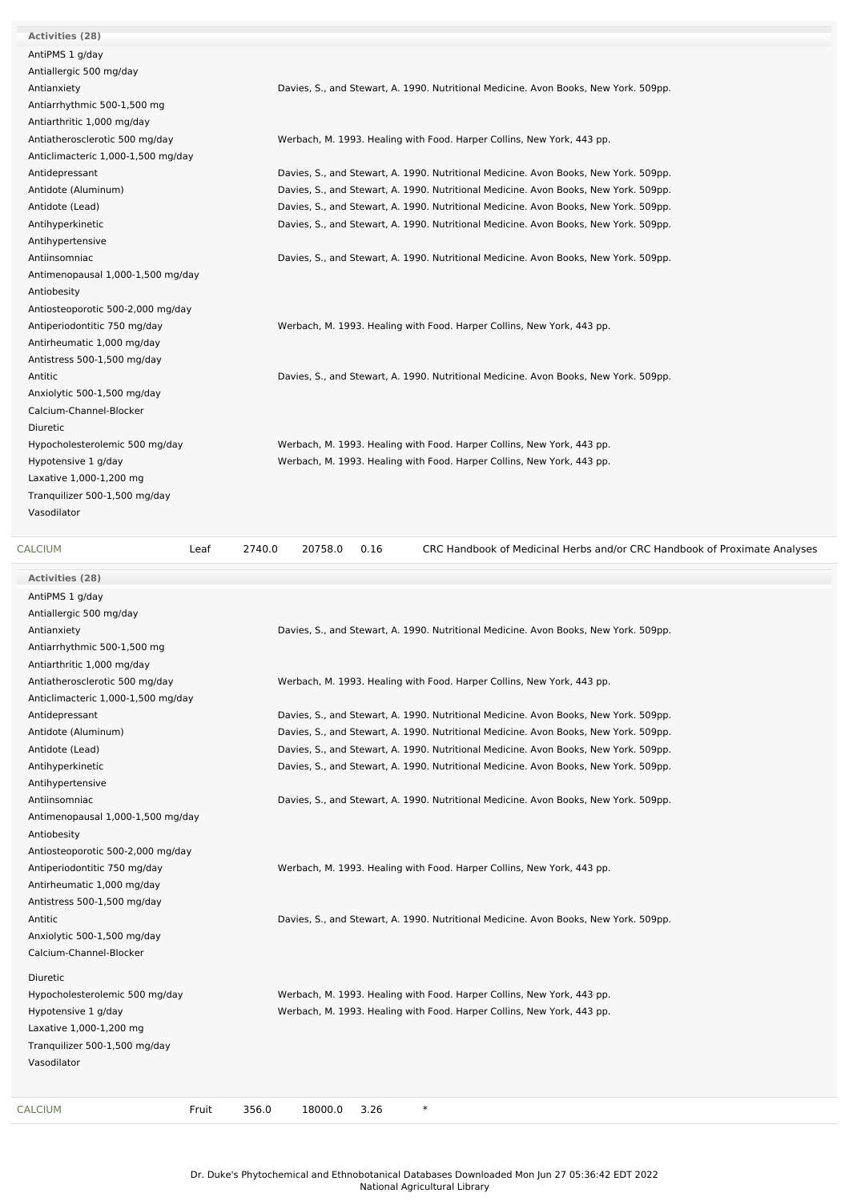| <b>Activities (28)</b>             |                                                                                      |
|------------------------------------|--------------------------------------------------------------------------------------|
| AntiPMS 1 g/day                    |                                                                                      |
| Antiallergic 500 mg/day            |                                                                                      |
| Antianxiety                        | Davies, S., and Stewart, A. 1990. Nutritional Medicine. Avon Books, New York. 509pp. |
| Antiarrhythmic 500-1,500 mg        |                                                                                      |
| Antiarthritic 1,000 mg/day         |                                                                                      |
| Antiatherosclerotic 500 mg/day     | Werbach, M. 1993. Healing with Food. Harper Collins, New York, 443 pp.               |
| Anticlimacteric 1,000-1,500 mg/day |                                                                                      |
| Antidepressant                     | Davies, S., and Stewart, A. 1990. Nutritional Medicine. Avon Books, New York. 509pp. |
| Antidote (Aluminum)                | Davies, S., and Stewart, A. 1990. Nutritional Medicine. Avon Books, New York. 509pp. |
| Antidote (Lead)                    | Davies, S., and Stewart, A. 1990. Nutritional Medicine. Avon Books, New York. 509pp. |
| Antihyperkinetic                   | Davies, S., and Stewart, A. 1990. Nutritional Medicine. Avon Books, New York. 509pp. |
| Antihypertensive                   |                                                                                      |
| Antiinsomniac                      | Davies, S., and Stewart, A. 1990. Nutritional Medicine. Avon Books, New York. 509pp. |
| Antimenopausal 1,000-1,500 mg/day  |                                                                                      |
| Antiobesity                        |                                                                                      |
| Antiosteoporotic 500-2,000 mg/day  |                                                                                      |
| Antiperiodontitic 750 mg/day       | Werbach, M. 1993. Healing with Food. Harper Collins, New York, 443 pp.               |
| Antirheumatic 1,000 mg/day         |                                                                                      |
| Antistress 500-1,500 mg/day        |                                                                                      |
| Antitic                            | Davies, S., and Stewart, A. 1990. Nutritional Medicine. Avon Books, New York. 509pp. |
| Anxiolytic 500-1,500 mg/day        |                                                                                      |
| Calcium-Channel-Blocker            |                                                                                      |
| Diuretic                           |                                                                                      |
| Hypocholesterolemic 500 mg/day     | Werbach, M. 1993. Healing with Food. Harper Collins, New York, 443 pp.               |
| Hypotensive 1 g/day                | Werbach, M. 1993. Healing with Food. Harper Collins, New York, 443 pp.               |
| Laxative 1,000-1,200 mg            |                                                                                      |
| Tranquilizer 500-1,500 mg/day      |                                                                                      |
| Vasodilator                        |                                                                                      |
|                                    |                                                                                      |

**Activities (28)** AntiPMS 1 g/day

[CALCIUM](file:///phytochem/chemicals/show/5137) Leaf 2740.0 20758.0 0.16 CRC Handbook of Medicinal Herbs and/or CRC Handbook of Proximate Analyses

Antiallergic 500 mg/day Antianxiety Davies, S., and Stewart, A. 1990. Nutritional Medicine. Avon Books, New York. 509pp. Antiarrhythmic 500-1,500 mg Antiarthritic 1,000 mg/day Antiatherosclerotic 500 mg/day Werbach, M. 1993. Healing with Food. Harper Collins, New York, 443 pp. Anticlimacteric 1,000-1,500 mg/day Antidepressant Davies, S., and Stewart, A. 1990. Nutritional Medicine. Avon Books, New York. 509pp. Antidote (Aluminum) Davies, S., and Stewart, A. 1990. Nutritional Medicine. Avon Books, New York. 509pp. Antidote (Lead) Davies, S., and Stewart, A. 1990. Nutritional Medicine. Avon Books, New York. 509pp. Antihyperkinetic **Davies, S., and Stewart, A. 1990.** Nutritional Medicine. Avon Books, New York. 509pp. Antihypertensive Antiinsomniac **Davies, S., and Stewart, A. 1990. Nutritional Medicine. Avon Books, New York. 509pp.** Antimenopausal 1,000-1,500 mg/day Antiobesity Antiosteoporotic 500-2,000 mg/day Antiperiodontitic 750 mg/day Werbach, M. 1993. Healing with Food. Harper Collins, New York, 443 pp. Antirheumatic 1,000 mg/day Antistress 500-1,500 mg/day Antitic Davies, S., and Stewart, A. 1990. Nutritional Medicine. Avon Books, New York. 509pp. Anxiolytic 500-1,500 mg/day Calcium-Channel-Blocker Diuretic Hypocholesterolemic 500 mg/day Werbach, M. 1993. Healing with Food. Harper Collins, New York, 443 pp. Hypotensive 1 g/day Werbach, M. 1993. Healing with Food. Harper Collins, New York, 443 pp. Laxative 1,000-1,200 mg Tranquilizer 500-1,500 mg/day Vasodilator [CALCIUM](file:///phytochem/chemicals/show/5137) Fruit 356.0 18000.0 3.26 \*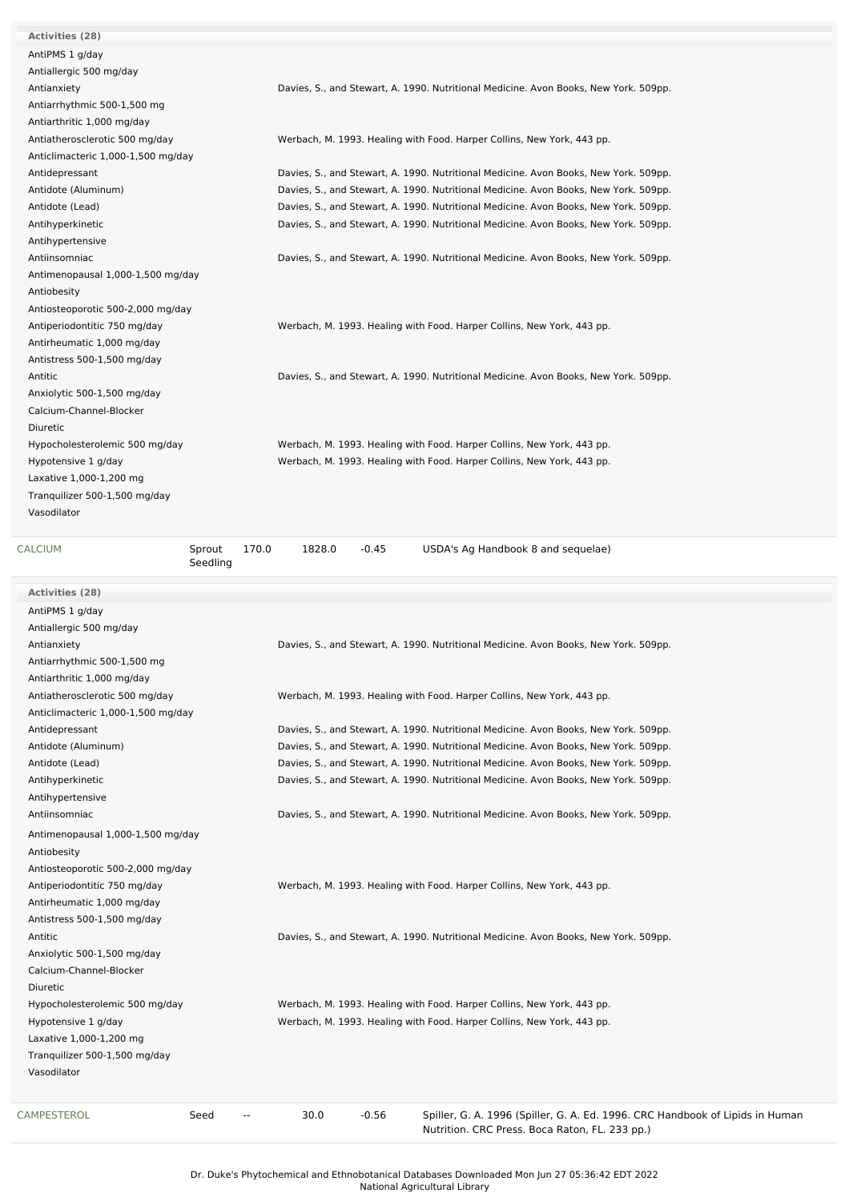| <b>Activities (28)</b>             |                                                                                      |
|------------------------------------|--------------------------------------------------------------------------------------|
| AntiPMS 1 g/day                    |                                                                                      |
| Antiallergic 500 mg/day            |                                                                                      |
| Antianxiety                        | Davies, S., and Stewart, A. 1990. Nutritional Medicine. Avon Books, New York. 509pp. |
| Antiarrhythmic 500-1,500 mg        |                                                                                      |
| Antiarthritic 1,000 mg/day         |                                                                                      |
| Antiatherosclerotic 500 mg/day     | Werbach, M. 1993. Healing with Food. Harper Collins, New York, 443 pp.               |
| Anticlimacteric 1,000-1,500 mg/day |                                                                                      |
| Antidepressant                     | Davies, S., and Stewart, A. 1990. Nutritional Medicine. Avon Books, New York. 509pp. |
|                                    |                                                                                      |
| Antidote (Aluminum)                | Davies, S., and Stewart, A. 1990. Nutritional Medicine. Avon Books, New York. 509pp. |
| Antidote (Lead)                    | Davies, S., and Stewart, A. 1990. Nutritional Medicine. Avon Books, New York. 509pp. |
| Antihyperkinetic                   | Davies, S., and Stewart, A. 1990. Nutritional Medicine. Avon Books, New York. 509pp. |
| Antihypertensive                   |                                                                                      |
| Antiinsomniac                      | Davies, S., and Stewart, A. 1990. Nutritional Medicine. Avon Books, New York. 509pp. |
| Antimenopausal 1,000-1,500 mg/day  |                                                                                      |
| Antiobesity                        |                                                                                      |
| Antiosteoporotic 500-2,000 mg/day  |                                                                                      |
| Antiperiodontitic 750 mg/day       | Werbach, M. 1993. Healing with Food. Harper Collins, New York, 443 pp.               |
| Antirheumatic 1,000 mg/day         |                                                                                      |
| Antistress 500-1,500 mg/day        |                                                                                      |
| Antitic                            | Davies, S., and Stewart, A. 1990. Nutritional Medicine. Avon Books, New York. 509pp. |
| Anxiolytic 500-1,500 mg/day        |                                                                                      |
| Calcium-Channel-Blocker            |                                                                                      |
| Diuretic                           |                                                                                      |
| Hypocholesterolemic 500 mg/day     | Werbach, M. 1993. Healing with Food. Harper Collins, New York, 443 pp.               |
| Hypotensive 1 g/day                | Werbach, M. 1993. Healing with Food. Harper Collins, New York, 443 pp.               |
| Laxative 1,000-1,200 mg            |                                                                                      |
| Tranquilizer 500-1,500 mg/day      |                                                                                      |
| Vasodilator                        |                                                                                      |
|                                    |                                                                                      |
| CALCIUM                            | Sprout<br>170.0<br>1828.0<br>$-0.45$<br>USDA's Ag Handbook 8 and sequelae)           |
|                                    | Seedling                                                                             |
|                                    |                                                                                      |
|                                    |                                                                                      |
| Activities (28)                    |                                                                                      |
| AntiPMS 1 g/day                    |                                                                                      |
| Antiallergic 500 mg/day            |                                                                                      |
| Antianxiety                        | Davies, S., and Stewart, A. 1990. Nutritional Medicine. Avon Books, New York. 509pp. |
| Antiarrhythmic 500-1,500 mg        |                                                                                      |
| Antiarthritic 1,000 mg/day         |                                                                                      |
| Antiatherosclerotic 500 mg/day     | Werbach, M. 1993. Healing with Food. Harper Collins, New York, 443 pp.               |
| Anticlimacteric 1,000-1,500 mg/day |                                                                                      |
| Antidepressant                     | Davies, S., and Stewart, A. 1990. Nutritional Medicine. Avon Books, New York. 509pp. |
| Antidote (Aluminum)                | Davies, S., and Stewart, A. 1990. Nutritional Medicine. Avon Books, New York. 509pp. |
| Antidote (Lead)                    | Davies, S., and Stewart, A. 1990. Nutritional Medicine. Avon Books, New York. 509pp. |
| Antihyperkinetic                   | Davies, S., and Stewart, A. 1990. Nutritional Medicine. Avon Books, New York. 509pp. |
| Antihypertensive                   |                                                                                      |
| Antiinsomniac                      | Davies, S., and Stewart, A. 1990. Nutritional Medicine. Avon Books, New York. 509pp. |
| Antimenopausal 1,000-1,500 mg/day  |                                                                                      |
| Antiobesity                        |                                                                                      |
| Antiosteoporotic 500-2,000 mg/day  |                                                                                      |
| Antiperiodontitic 750 mg/day       | Werbach, M. 1993. Healing with Food. Harper Collins, New York, 443 pp.               |
| Antirheumatic 1,000 mg/day         |                                                                                      |
|                                    |                                                                                      |
| Antistress 500-1,500 mg/day        |                                                                                      |
| Antitic                            | Davies, S., and Stewart, A. 1990. Nutritional Medicine. Avon Books, New York. 509pp. |
| Anxiolytic 500-1,500 mg/day        |                                                                                      |
| Calcium-Channel-Blocker            |                                                                                      |
| Diuretic                           |                                                                                      |
| Hypocholesterolemic 500 mg/day     | Werbach, M. 1993. Healing with Food. Harper Collins, New York, 443 pp.               |
| Hypotensive 1 g/day                | Werbach, M. 1993. Healing with Food. Harper Collins, New York, 443 pp.               |
| Laxative 1,000-1,200 mg            |                                                                                      |
| Tranquilizer 500-1,500 mg/day      |                                                                                      |
| Vasodilator                        |                                                                                      |
|                                    | 30.0<br>$-0.56$                                                                      |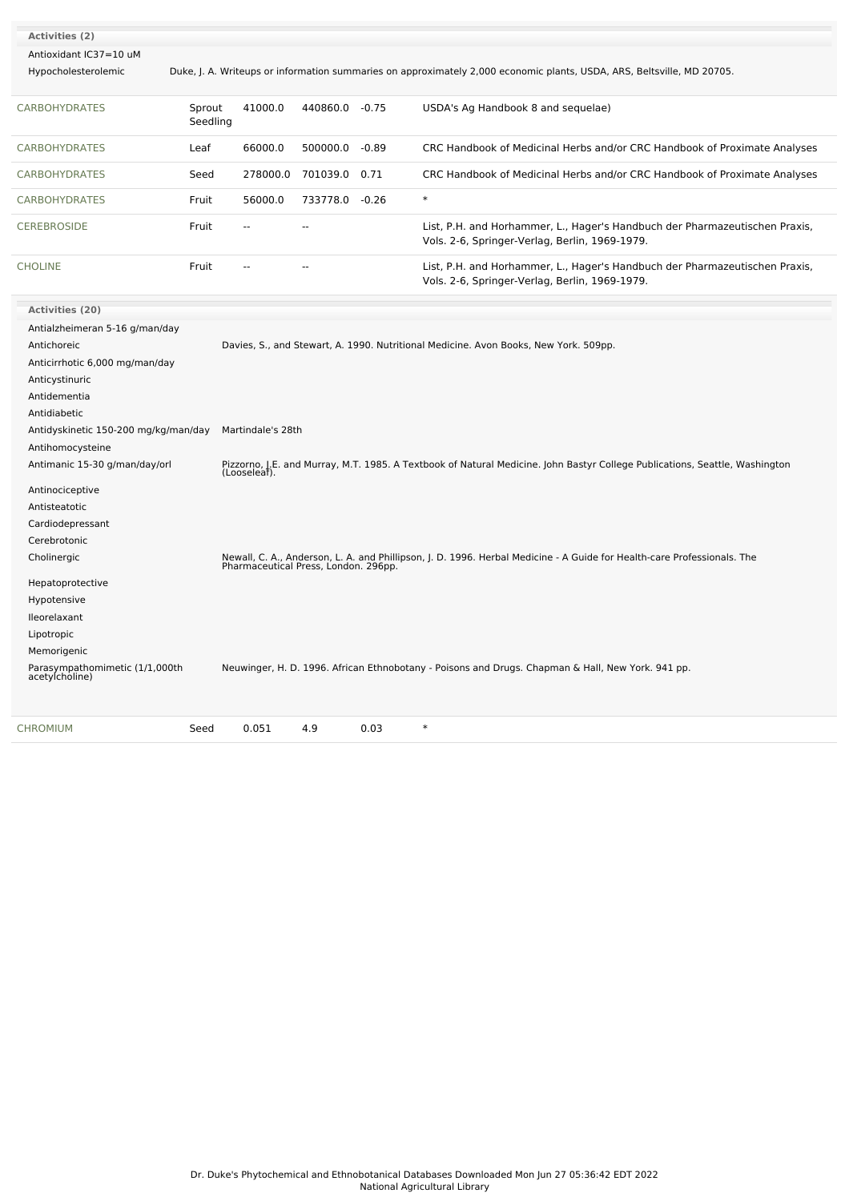| Activities (2)                                   |                    |                   |                |         |                                                                                                                                                                 |
|--------------------------------------------------|--------------------|-------------------|----------------|---------|-----------------------------------------------------------------------------------------------------------------------------------------------------------------|
| Antioxidant IC37=10 uM                           |                    |                   |                |         |                                                                                                                                                                 |
| Hypocholesterolemic                              |                    |                   |                |         | Duke, J. A. Writeups or information summaries on approximately 2,000 economic plants, USDA, ARS, Beltsville, MD 20705.                                          |
| <b>CARBOHYDRATES</b>                             | Sprout<br>Seedling | 41000.0           | 440860.0 -0.75 |         | USDA's Ag Handbook 8 and sequelae)                                                                                                                              |
| <b>CARBOHYDRATES</b>                             | Leaf               | 66000.0           | 500000.0       | $-0.89$ | CRC Handbook of Medicinal Herbs and/or CRC Handbook of Proximate Analyses                                                                                       |
| <b>CARBOHYDRATES</b>                             | Seed               | 278000.0          | 701039.0 0.71  |         | CRC Handbook of Medicinal Herbs and/or CRC Handbook of Proximate Analyses                                                                                       |
| <b>CARBOHYDRATES</b>                             | Fruit              | 56000.0           | 733778.0 -0.26 |         | $\ast$                                                                                                                                                          |
| <b>CEREBROSIDE</b>                               | Fruit              | $\sim$            | ÷.             |         | List, P.H. and Horhammer, L., Hager's Handbuch der Pharmazeutischen Praxis,<br>Vols. 2-6, Springer-Verlag, Berlin, 1969-1979.                                   |
| <b>CHOLINE</b>                                   | Fruit              |                   |                |         | List, P.H. and Horhammer, L., Hager's Handbuch der Pharmazeutischen Praxis,<br>Vols. 2-6, Springer-Verlag, Berlin, 1969-1979.                                   |
| Activities (20)                                  |                    |                   |                |         |                                                                                                                                                                 |
| Antialzheimeran 5-16 g/man/day                   |                    |                   |                |         |                                                                                                                                                                 |
| Antichoreic                                      |                    |                   |                |         | Davies, S., and Stewart, A. 1990. Nutritional Medicine. Avon Books, New York. 509pp.                                                                            |
| Anticirrhotic 6,000 mg/man/day                   |                    |                   |                |         |                                                                                                                                                                 |
| Anticystinuric                                   |                    |                   |                |         |                                                                                                                                                                 |
| Antidementia                                     |                    |                   |                |         |                                                                                                                                                                 |
| Antidiabetic                                     |                    |                   |                |         |                                                                                                                                                                 |
| Antidyskinetic 150-200 mg/kg/man/day             |                    | Martindale's 28th |                |         |                                                                                                                                                                 |
| Antihomocysteine                                 |                    |                   |                |         |                                                                                                                                                                 |
| Antimanic 15-30 g/man/day/orl                    |                    | (Looseleaf).      |                |         | Pizzorno, J.E. and Murray, M.T. 1985. A Textbook of Natural Medicine. John Bastyr College Publications, Seattle, Washington                                     |
| Antinociceptive                                  |                    |                   |                |         |                                                                                                                                                                 |
| Antisteatotic                                    |                    |                   |                |         |                                                                                                                                                                 |
| Cardiodepressant                                 |                    |                   |                |         |                                                                                                                                                                 |
| Cerebrotonic                                     |                    |                   |                |         |                                                                                                                                                                 |
| Cholinergic                                      |                    |                   |                |         | Newall, C. A., Anderson, L. A. and Phillipson, J. D. 1996. Herbal Medicine - A Guide for Health-care Professionals. The<br>Pharmaceutical Press, London. 296pp. |
| Hepatoprotective                                 |                    |                   |                |         |                                                                                                                                                                 |
| Hypotensive                                      |                    |                   |                |         |                                                                                                                                                                 |
| lleorelaxant                                     |                    |                   |                |         |                                                                                                                                                                 |
| Lipotropic                                       |                    |                   |                |         |                                                                                                                                                                 |
| Memorigenic                                      |                    |                   |                |         |                                                                                                                                                                 |
| Parasympathomimetic (1/1,000th<br>acetylcholine) |                    |                   |                |         | Neuwinger, H. D. 1996. African Ethnobotany - Poisons and Drugs. Chapman & Hall, New York. 941 pp.                                                               |
|                                                  |                    |                   |                |         |                                                                                                                                                                 |

[CHROMIUM](file:///phytochem/chemicals/show/5695) Seed 0.051 4.9 0.03 \*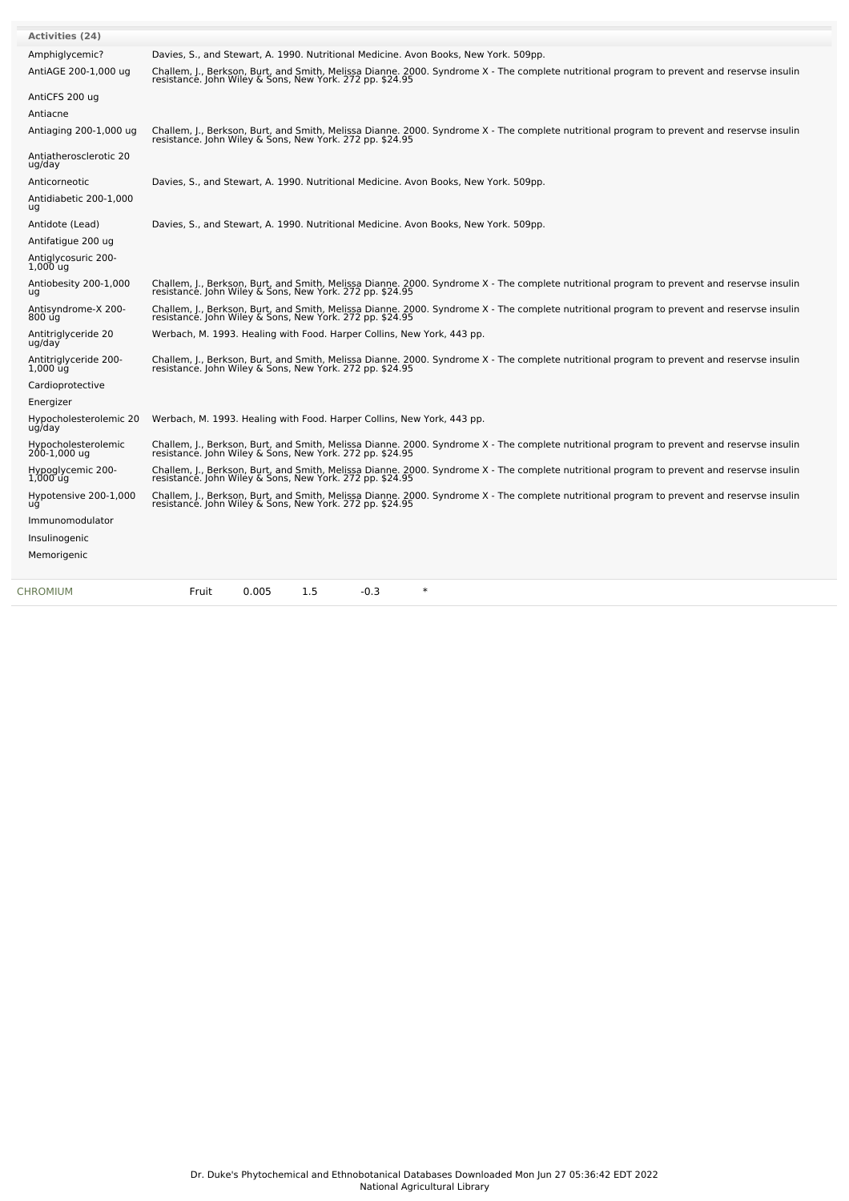| <b>Activities (24)</b>              |                                                                                                                                                                                                        |
|-------------------------------------|--------------------------------------------------------------------------------------------------------------------------------------------------------------------------------------------------------|
| Amphiglycemic?                      | Davies, S., and Stewart, A. 1990. Nutritional Medicine. Avon Books, New York. 509pp.                                                                                                                   |
| AntiAGE 200-1,000 ug                | Challem, J., Berkson, Burt, and Smith, Melissa Dianne. 2000. Syndrome X - The complete nutritional program to prevent and reservse insulin<br>resistance. John Wiley & Sons, New York. 272 pp. \$24.95 |
| AntiCFS 200 ug                      |                                                                                                                                                                                                        |
| Antiacne                            |                                                                                                                                                                                                        |
| Antiaging 200-1,000 ug              | Challem, J., Berkson, Burt, and Smith, Melissa Dianne. 2000. Syndrome X - The complete nutritional program to prevent and reservse insulin<br>resistance. John Wiley & Sons, New York. 272 pp. \$24.95 |
| Antiatherosclerotic 20<br>ug/day    |                                                                                                                                                                                                        |
| Anticorneotic                       | Davies, S., and Stewart, A. 1990. Nutritional Medicine. Avon Books, New York. 509pp.                                                                                                                   |
| Antidiabetic 200-1,000<br>ug        |                                                                                                                                                                                                        |
| Antidote (Lead)                     | Davies, S., and Stewart, A. 1990. Nutritional Medicine. Avon Books, New York. 509pp.                                                                                                                   |
| Antifatigue 200 ug                  |                                                                                                                                                                                                        |
| Antiglycosuric 200-<br>$1,000$ uq   |                                                                                                                                                                                                        |
| Antiobesity 200-1,000<br>uq         | Challem, J., Berkson, Burt, and Smith, Melissa Dianne. 2000. Syndrome X - The complete nutritional program to prevent and reservse insulin<br>resistance. John Wiley & Sons, New York. 272 pp. \$24.95 |
| Antisyndrome-X 200-<br>800 ug       | Challem, J., Berkson, Burt, and Smith, Melissa Dianne. 2000. Syndrome X - The complete nutritional program to prevent and reservse insulin<br>resistance. John Wiley & Sons, New York. 272 pp. \$24.95 |
| Antitriglyceride 20<br>ug/day       | Werbach, M. 1993. Healing with Food. Harper Collins, New York, 443 pp.                                                                                                                                 |
| Antitriglyceride 200-<br>1,000 ug   | Challem, J., Berkson, Burt, and Smith, Melissa Dianne. 2000. Syndrome X - The complete nutritional program to prevent and reservse insulin<br>resistance. John Wiley & Sons, New York. 272 pp. \$24.95 |
| Cardioprotective                    |                                                                                                                                                                                                        |
| Energizer                           |                                                                                                                                                                                                        |
| Hypocholesterolemic 20<br>ug/day    | Werbach, M. 1993. Healing with Food. Harper Collins, New York, 443 pp.                                                                                                                                 |
| Hypocholesterolemic<br>200-1,000 ug | Challem, J., Berkson, Burt, and Smith, Melissa Dianne. 2000. Syndrome X - The complete nutritional program to prevent and reservse insulin<br>resistance. John Wiley & Sons, New York. 272 pp. \$24.95 |
| Hypoglycemic 200-<br>$1,000$ uq     | Challem, J., Berkson, Burt, and Smith, Melissa Dianne. 2000. Syndrome X - The complete nutritional program to prevent and reservse insulin<br>resistance. John Wiley & Sons, New York. 272 pp. \$24.95 |
| Hypotensive 200-1,000<br>uq         | Challem, J., Berkson, Burt, and Smith, Melissa Dianne. 2000. Syndrome X - The complete nutritional program to prevent and reservse insulin<br>resistance. John Wiley & Sons, New York. 272 pp. \$24.95 |
| Immunomodulator                     |                                                                                                                                                                                                        |
| Insulinogenic                       |                                                                                                                                                                                                        |
| Memorigenic                         |                                                                                                                                                                                                        |
|                                     |                                                                                                                                                                                                        |
| CHROMIUM                            | 0.005<br>1.5<br>$-0.3$<br>$\ast$<br>Fruit                                                                                                                                                              |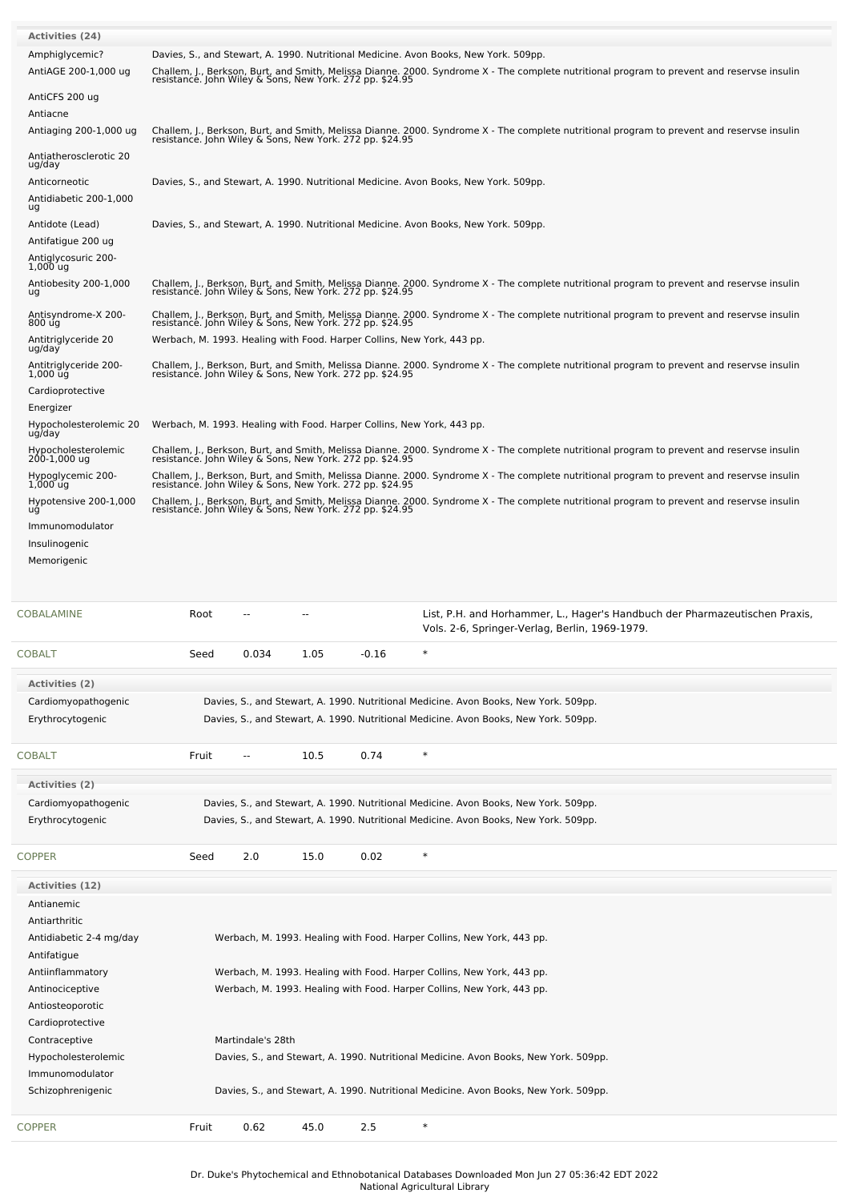| <b>Activities (24)</b>                       |                                                                                                                                                                                                        |  |  |  |  |  |  |  |  |  |
|----------------------------------------------|--------------------------------------------------------------------------------------------------------------------------------------------------------------------------------------------------------|--|--|--|--|--|--|--|--|--|
| Amphiglycemic?<br>AntiAGE 200-1,000 ug       | Davies, S., and Stewart, A. 1990. Nutritional Medicine. Avon Books, New York. 509pp.                                                                                                                   |  |  |  |  |  |  |  |  |  |
|                                              | Challem, J., Berkson, Burt, and Smith, Melissa Dianne. 2000. Syndrome X - The complete nutritional program to prevent and reservse insulin<br>resistance. John Wiley & Sons, New York. 272 pp. \$24.95 |  |  |  |  |  |  |  |  |  |
| AntiCFS 200 ug                               |                                                                                                                                                                                                        |  |  |  |  |  |  |  |  |  |
| Antiacne                                     |                                                                                                                                                                                                        |  |  |  |  |  |  |  |  |  |
| Antiaging 200-1,000 ug                       | Challem, J., Berkson, Burt, and Smith, Melissa Dianne. 2000. Syndrome X - The complete nutritional program to prevent and reservse insulin<br>resistance. John Wiley & Sons, New York. 272 pp. \$24.95 |  |  |  |  |  |  |  |  |  |
| Antiatherosclerotic 20<br>ug/day             |                                                                                                                                                                                                        |  |  |  |  |  |  |  |  |  |
| Anticorneotic                                | Davies, S., and Stewart, A. 1990. Nutritional Medicine. Avon Books, New York. 509pp.                                                                                                                   |  |  |  |  |  |  |  |  |  |
| Antidiabetic 200-1,000                       |                                                                                                                                                                                                        |  |  |  |  |  |  |  |  |  |
| ug                                           | Davies, S., and Stewart, A. 1990. Nutritional Medicine. Avon Books, New York. 509pp.                                                                                                                   |  |  |  |  |  |  |  |  |  |
| Antidote (Lead)<br>Antifatigue 200 ug        |                                                                                                                                                                                                        |  |  |  |  |  |  |  |  |  |
| Antiglycosuric 200-                          |                                                                                                                                                                                                        |  |  |  |  |  |  |  |  |  |
| $1,000$ ug                                   |                                                                                                                                                                                                        |  |  |  |  |  |  |  |  |  |
| Antiobesity 200-1,000<br>ug                  | Challem, J., Berkson, Burt, and Smith, Melissa Dianne. 2000. Syndrome X - The complete nutritional program to prevent and reservse insulin<br>resistance. John Wiley & Sons, New York. 272 pp. \$24.95 |  |  |  |  |  |  |  |  |  |
| Antisyndrome-X 200-                          | Challem, J., Berkson, Burt, and Smith, Melissa Dianne. 2000. Syndrome X - The complete nutritional program to prevent and reservse insulin<br>resistance. John Wiley & Sons, New York. 272 pp. \$24.95 |  |  |  |  |  |  |  |  |  |
| 800 úg                                       |                                                                                                                                                                                                        |  |  |  |  |  |  |  |  |  |
| Antitriglyceride 20<br>ug/day                | Werbach, M. 1993. Healing with Food. Harper Collins, New York, 443 pp.                                                                                                                                 |  |  |  |  |  |  |  |  |  |
| Antitrialyceride 200-<br>$1,000$ $\bar{u}$ g | Challem, J., Berkson, Burt, and Smith, Melissa Dianne. 2000. Syndrome X - The complete nutritional program to prevent and reservse insulin<br>resistance. John Wiley & Sons, New York. 272 pp. \$24.95 |  |  |  |  |  |  |  |  |  |
| Cardioprotective                             |                                                                                                                                                                                                        |  |  |  |  |  |  |  |  |  |
| Energizer                                    |                                                                                                                                                                                                        |  |  |  |  |  |  |  |  |  |
| Hypocholesterolemic 20<br>ug/day             | Werbach, M. 1993. Healing with Food. Harper Collins, New York, 443 pp.                                                                                                                                 |  |  |  |  |  |  |  |  |  |
| Hypocholesterolemic                          |                                                                                                                                                                                                        |  |  |  |  |  |  |  |  |  |
| 200-1,000 ug                                 | Challem, J., Berkson, Burt, and Smith, Melissa Dianne. 2000. Syndrome X - The complete nutritional program to prevent and reservse insulin<br>resistance. John Wiley & Sons, New York. 272 pp. \$24.95 |  |  |  |  |  |  |  |  |  |
| Hypoglycemic 200-<br>$1,000$ ug              | Challem, J., Berkson, Burt, and Smith, Melissa Dianne. 2000. Syndrome X - The complete nutritional program to prevent and reservse insulin<br>resistance. John Wiley & Sons, New York. 272 pp. \$24.95 |  |  |  |  |  |  |  |  |  |
| Hypotensive 200-1,000<br>uğ                  | Challem, J., Berkson, Burt, and Smith, Melissa Dianne. 2000. Syndrome X - The complete nutritional program to prevent and reservse insulin<br>resistance. John Wiley & Sons, New York. 272 pp. \$24.95 |  |  |  |  |  |  |  |  |  |
| Immunomodulator                              |                                                                                                                                                                                                        |  |  |  |  |  |  |  |  |  |
| Insulinogenic                                |                                                                                                                                                                                                        |  |  |  |  |  |  |  |  |  |
| Memorigenic                                  |                                                                                                                                                                                                        |  |  |  |  |  |  |  |  |  |
|                                              |                                                                                                                                                                                                        |  |  |  |  |  |  |  |  |  |
|                                              |                                                                                                                                                                                                        |  |  |  |  |  |  |  |  |  |
| COBALAMINE                                   | List, P.H. and Horhammer, L., Hager's Handbuch der Pharmazeutischen Praxis,<br>Root<br>Vols. 2-6, Springer-Verlag, Berlin, 1969-1979.                                                                  |  |  |  |  |  |  |  |  |  |
|                                              |                                                                                                                                                                                                        |  |  |  |  |  |  |  |  |  |
| COBALT                                       | $\ast$<br>0.034<br>1.05<br>Seed<br>$-0.16$                                                                                                                                                             |  |  |  |  |  |  |  |  |  |
| <b>Activities (2)</b>                        |                                                                                                                                                                                                        |  |  |  |  |  |  |  |  |  |
| Cardiomyopathogenic                          | Davies, S., and Stewart, A. 1990. Nutritional Medicine. Avon Books, New York. 509pp.                                                                                                                   |  |  |  |  |  |  |  |  |  |
| Erythrocytogenic                             | Davies, S., and Stewart, A. 1990. Nutritional Medicine. Avon Books, New York. 509pp.                                                                                                                   |  |  |  |  |  |  |  |  |  |
|                                              |                                                                                                                                                                                                        |  |  |  |  |  |  |  |  |  |
| COBALT                                       | $\ast$<br>0.74<br>Fruit<br>10.5<br>--                                                                                                                                                                  |  |  |  |  |  |  |  |  |  |
| <b>Activities (2)</b>                        |                                                                                                                                                                                                        |  |  |  |  |  |  |  |  |  |
| Cardiomyopathogenic                          | Davies, S., and Stewart, A. 1990. Nutritional Medicine. Avon Books, New York. 509pp.                                                                                                                   |  |  |  |  |  |  |  |  |  |
| Erythrocytogenic                             | Davies, S., and Stewart, A. 1990. Nutritional Medicine. Avon Books, New York. 509pp.                                                                                                                   |  |  |  |  |  |  |  |  |  |
|                                              |                                                                                                                                                                                                        |  |  |  |  |  |  |  |  |  |
| COPPER                                       | $\ast$<br>Seed<br>2.0<br>15.0<br>0.02                                                                                                                                                                  |  |  |  |  |  |  |  |  |  |
| <b>Activities (12)</b>                       |                                                                                                                                                                                                        |  |  |  |  |  |  |  |  |  |
| Antianemic                                   |                                                                                                                                                                                                        |  |  |  |  |  |  |  |  |  |
| Antiarthritic                                |                                                                                                                                                                                                        |  |  |  |  |  |  |  |  |  |
| Antidiabetic 2-4 mg/day                      | Werbach, M. 1993. Healing with Food. Harper Collins, New York, 443 pp.                                                                                                                                 |  |  |  |  |  |  |  |  |  |
| Antifatigue                                  |                                                                                                                                                                                                        |  |  |  |  |  |  |  |  |  |
| Antiinflammatory                             | Werbach, M. 1993. Healing with Food. Harper Collins, New York, 443 pp.                                                                                                                                 |  |  |  |  |  |  |  |  |  |
| Antinociceptive                              | Werbach, M. 1993. Healing with Food. Harper Collins, New York, 443 pp.                                                                                                                                 |  |  |  |  |  |  |  |  |  |
| Antiosteoporotic<br>Cardioprotective         |                                                                                                                                                                                                        |  |  |  |  |  |  |  |  |  |
| Contraceptive                                | Martindale's 28th                                                                                                                                                                                      |  |  |  |  |  |  |  |  |  |
| Hypocholesterolemic                          | Davies, S., and Stewart, A. 1990. Nutritional Medicine. Avon Books, New York. 509pp.                                                                                                                   |  |  |  |  |  |  |  |  |  |
| Immunomodulator                              |                                                                                                                                                                                                        |  |  |  |  |  |  |  |  |  |
| Schizophrenigenic                            | Davies, S., and Stewart, A. 1990. Nutritional Medicine. Avon Books, New York. 509pp.                                                                                                                   |  |  |  |  |  |  |  |  |  |
|                                              |                                                                                                                                                                                                        |  |  |  |  |  |  |  |  |  |
| <b>COPPER</b>                                | $\ast$<br>Fruit<br>0.62<br>45.0<br>2.5                                                                                                                                                                 |  |  |  |  |  |  |  |  |  |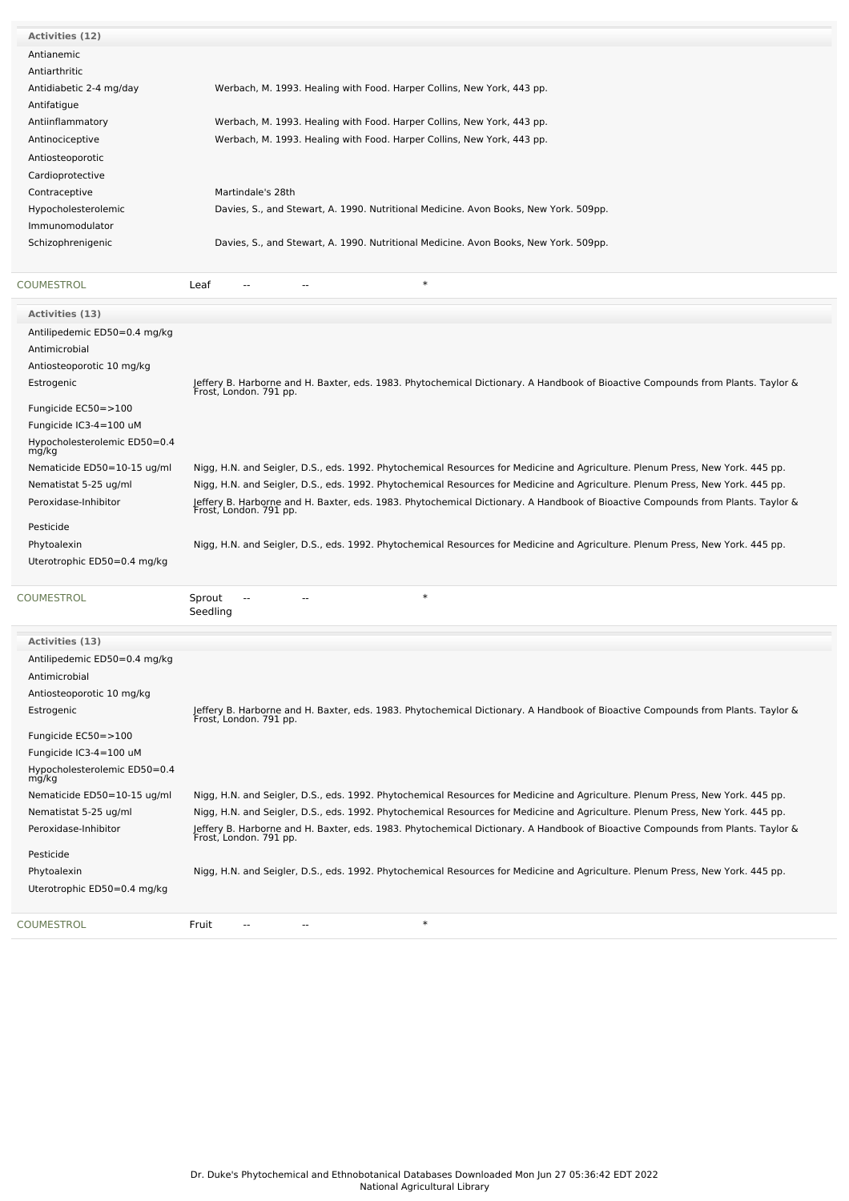| Activities (12)         |                                                                                      |
|-------------------------|--------------------------------------------------------------------------------------|
| Antianemic              |                                                                                      |
| Antiarthritic           |                                                                                      |
| Antidiabetic 2-4 mg/day | Werbach, M. 1993. Healing with Food. Harper Collins, New York, 443 pp.               |
| Antifatigue             |                                                                                      |
| Antiinflammatory        | Werbach, M. 1993. Healing with Food. Harper Collins, New York, 443 pp.               |
| Antinociceptive         | Werbach, M. 1993. Healing with Food. Harper Collins, New York, 443 pp.               |
| Antiosteoporotic        |                                                                                      |
| Cardioprotective        |                                                                                      |
| Contraceptive           | Martindale's 28th                                                                    |
| Hypocholesterolemic     | Davies, S., and Stewart, A. 1990. Nutritional Medicine. Avon Books, New York. 509pp. |
| Immunomodulator         |                                                                                      |
| Schizophrenigenic       | Davies, S., and Stewart, A. 1990. Nutritional Medicine. Avon Books, New York. 509pp. |
|                         |                                                                                      |
| COUMESTROL<br>Leaf      | $\ast$<br>$- -$<br>--                                                                |

| Activities (13)                       |                                                                                                                                                           |
|---------------------------------------|-----------------------------------------------------------------------------------------------------------------------------------------------------------|
|                                       |                                                                                                                                                           |
| Antilipedemic ED50=0.4 mg/kg          |                                                                                                                                                           |
| Antimicrobial                         |                                                                                                                                                           |
| Antiosteoporotic 10 mg/kg             |                                                                                                                                                           |
| Estrogenic                            | Jeffery B. Harborne and H. Baxter, eds. 1983. Phytochemical Dictionary. A Handbook of Bioactive Compounds from Plants. Taylor &<br>Frost, London. 791 pp. |
| Fungicide EC50=>100                   |                                                                                                                                                           |
| Fungicide IC3-4=100 uM                |                                                                                                                                                           |
| Hypocholesterolemic ED50=0.4<br>mg/kg |                                                                                                                                                           |
| Nematicide ED50=10-15 ug/ml           | Nigg, H.N. and Seigler, D.S., eds. 1992. Phytochemical Resources for Medicine and Agriculture. Plenum Press, New York. 445 pp.                            |
| Nematistat 5-25 ug/ml                 | Nigg, H.N. and Seigler, D.S., eds. 1992. Phytochemical Resources for Medicine and Agriculture. Plenum Press, New York. 445 pp.                            |
| Peroxidase-Inhibitor                  | Jeffery B. Harborne and H. Baxter, eds. 1983. Phytochemical Dictionary. A Handbook of Bioactive Compounds from Plants. Taylor &<br>Frost, London. 791 pp. |
| Pesticide                             |                                                                                                                                                           |
| Phytoalexin                           | Nigg, H.N. and Seigler, D.S., eds. 1992. Phytochemical Resources for Medicine and Agriculture. Plenum Press, New York. 445 pp.                            |
| Uterotrophic ED50=0.4 mg/kg           |                                                                                                                                                           |
|                                       | $\ast$                                                                                                                                                    |
| COUMESTROL                            | Sprout<br>Seedling                                                                                                                                        |
|                                       |                                                                                                                                                           |
|                                       |                                                                                                                                                           |
| <b>Activities (13)</b>                |                                                                                                                                                           |
| Antilipedemic ED50=0.4 mg/kg          |                                                                                                                                                           |
| Antimicrobial                         |                                                                                                                                                           |
| Antiosteoporotic 10 mg/kg             |                                                                                                                                                           |
| Estrogenic                            | Jeffery B. Harborne and H. Baxter, eds. 1983. Phytochemical Dictionary. A Handbook of Bioactive Compounds from Plants. Taylor &<br>Frost, London. 791 pp. |
| Fungicide EC50=>100                   |                                                                                                                                                           |
| Fungicide IC3-4=100 uM                |                                                                                                                                                           |
| Hypocholesterolemic ED50=0.4<br>mg/kg |                                                                                                                                                           |
| Nematicide ED50=10-15 ug/ml           | Nigg, H.N. and Seigler, D.S., eds. 1992. Phytochemical Resources for Medicine and Agriculture. Plenum Press, New York. 445 pp.                            |
| Nematistat 5-25 ug/ml                 | Nigg, H.N. and Seigler, D.S., eds. 1992. Phytochemical Resources for Medicine and Agriculture. Plenum Press, New York. 445 pp.                            |
| Peroxidase-Inhibitor                  | Jeffery B. Harborne and H. Baxter, eds. 1983. Phytochemical Dictionary. A Handbook of Bioactive Compounds from Plants. Taylor &<br>Frost, London. 791 pp. |
| Pesticide                             |                                                                                                                                                           |
| Phytoalexin                           | Nigg, H.N. and Seigler, D.S., eds. 1992. Phytochemical Resources for Medicine and Agriculture. Plenum Press, New York. 445 pp.                            |
| Uterotrophic ED50=0.4 mg/kg           |                                                                                                                                                           |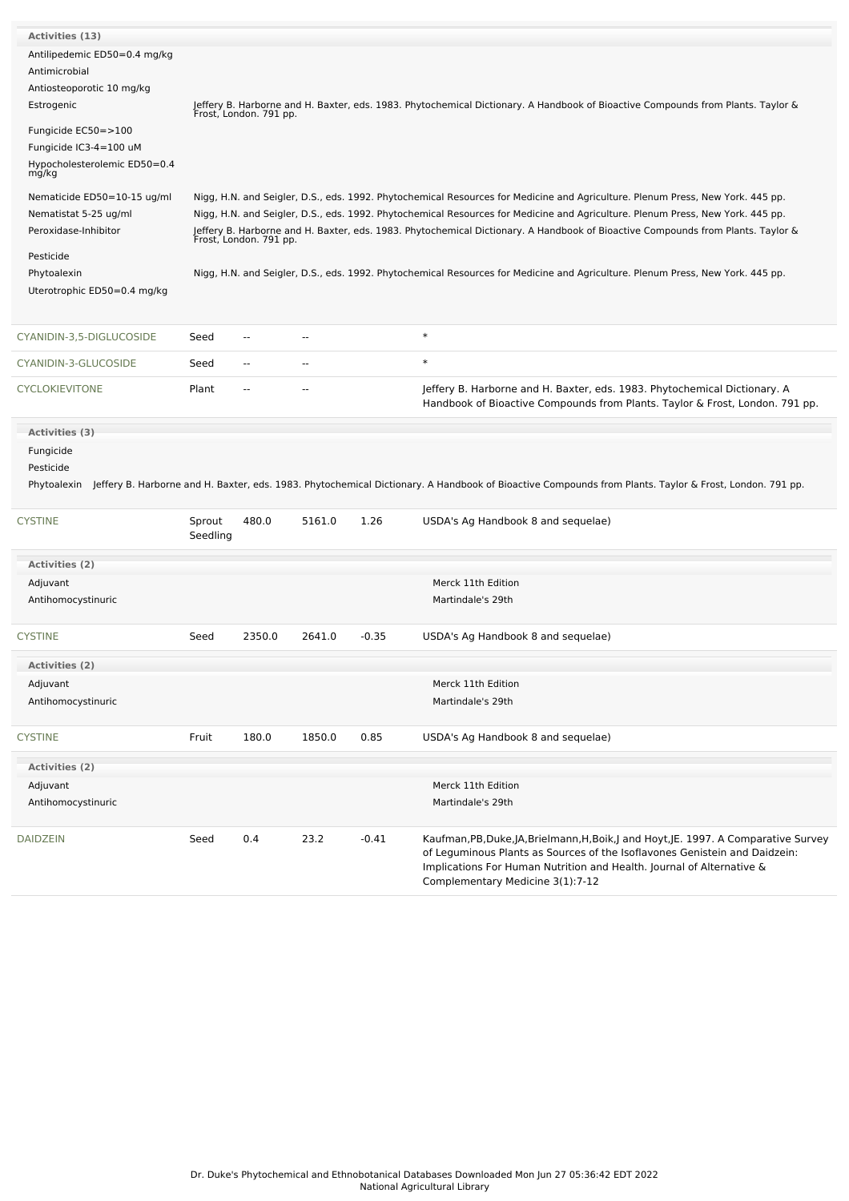| Activities (13)              |          |                                                                                                                                                           |                          |         |                                                                                                                                                           |  |  |  |  |
|------------------------------|----------|-----------------------------------------------------------------------------------------------------------------------------------------------------------|--------------------------|---------|-----------------------------------------------------------------------------------------------------------------------------------------------------------|--|--|--|--|
| Antilipedemic ED50=0.4 mg/kg |          |                                                                                                                                                           |                          |         |                                                                                                                                                           |  |  |  |  |
| Antimicrobial                |          |                                                                                                                                                           |                          |         |                                                                                                                                                           |  |  |  |  |
| Antiosteoporotic 10 mg/kg    |          | Jeffery B. Harborne and H. Baxter, eds. 1983. Phytochemical Dictionary. A Handbook of Bioactive Compounds from Plants. Taylor &<br>Frost, London. 791 pp. |                          |         |                                                                                                                                                           |  |  |  |  |
| Estrogenic                   |          |                                                                                                                                                           |                          |         |                                                                                                                                                           |  |  |  |  |
|                              |          |                                                                                                                                                           |                          |         |                                                                                                                                                           |  |  |  |  |
| Fungicide EC50=>100          |          |                                                                                                                                                           |                          |         |                                                                                                                                                           |  |  |  |  |
| Fungicide IC3-4=100 uM       |          |                                                                                                                                                           |                          |         |                                                                                                                                                           |  |  |  |  |
| Hypocholesterolemic ED50=0.4 |          |                                                                                                                                                           |                          |         |                                                                                                                                                           |  |  |  |  |
| mg/kg                        |          |                                                                                                                                                           |                          |         |                                                                                                                                                           |  |  |  |  |
| Nematicide ED50=10-15 ug/ml  |          |                                                                                                                                                           |                          |         | Nigg, H.N. and Seigler, D.S., eds. 1992. Phytochemical Resources for Medicine and Agriculture. Plenum Press, New York. 445 pp.                            |  |  |  |  |
| Nematistat 5-25 ug/ml        |          |                                                                                                                                                           |                          |         | Nigg, H.N. and Seigler, D.S., eds. 1992. Phytochemical Resources for Medicine and Agriculture. Plenum Press, New York. 445 pp.                            |  |  |  |  |
| Peroxidase-Inhibitor         |          |                                                                                                                                                           |                          |         | Jeffery B. Harborne and H. Baxter, eds. 1983. Phytochemical Dictionary. A Handbook of Bioactive Compounds from Plants. Taylor &<br>Frost, London. 791 pp. |  |  |  |  |
|                              |          |                                                                                                                                                           |                          |         |                                                                                                                                                           |  |  |  |  |
| Pesticide                    |          |                                                                                                                                                           |                          |         |                                                                                                                                                           |  |  |  |  |
| Phytoalexin                  |          |                                                                                                                                                           |                          |         | Nigg, H.N. and Seigler, D.S., eds. 1992. Phytochemical Resources for Medicine and Agriculture. Plenum Press, New York. 445 pp.                            |  |  |  |  |
| Uterotrophic ED50=0.4 mg/kg  |          |                                                                                                                                                           |                          |         |                                                                                                                                                           |  |  |  |  |
|                              |          |                                                                                                                                                           |                          |         |                                                                                                                                                           |  |  |  |  |
| CYANIDIN-3,5-DIGLUCOSIDE     | Seed     | $\overline{a}$                                                                                                                                            | $\overline{a}$           |         | $\ast$                                                                                                                                                    |  |  |  |  |
|                              |          |                                                                                                                                                           |                          |         |                                                                                                                                                           |  |  |  |  |
| CYANIDIN-3-GLUCOSIDE         | Seed     | $\sim$ $\sim$                                                                                                                                             | $\overline{\phantom{a}}$ |         | $\ast$                                                                                                                                                    |  |  |  |  |
| <b>CYCLOKIEVITONE</b>        | Plant    | $\overline{a}$                                                                                                                                            |                          |         | Jeffery B. Harborne and H. Baxter, eds. 1983. Phytochemical Dictionary. A<br>Handbook of Bioactive Compounds from Plants. Taylor & Frost, London. 791 pp. |  |  |  |  |
|                              |          |                                                                                                                                                           |                          |         |                                                                                                                                                           |  |  |  |  |
| Activities (3)               |          |                                                                                                                                                           |                          |         |                                                                                                                                                           |  |  |  |  |
| Fungicide                    |          |                                                                                                                                                           |                          |         |                                                                                                                                                           |  |  |  |  |
| Pesticide                    |          |                                                                                                                                                           |                          |         |                                                                                                                                                           |  |  |  |  |
| Phytoalexin                  |          |                                                                                                                                                           |                          |         | Jeffery B. Harborne and H. Baxter, eds. 1983. Phytochemical Dictionary. A Handbook of Bioactive Compounds from Plants. Taylor & Frost, London. 791 pp.    |  |  |  |  |
|                              |          |                                                                                                                                                           |                          |         |                                                                                                                                                           |  |  |  |  |
| <b>CYSTINE</b>               | Sprout   | 480.0                                                                                                                                                     | 5161.0                   | 1.26    | USDA's Ag Handbook 8 and sequelae)                                                                                                                        |  |  |  |  |
|                              | Seedling |                                                                                                                                                           |                          |         |                                                                                                                                                           |  |  |  |  |
|                              |          |                                                                                                                                                           |                          |         |                                                                                                                                                           |  |  |  |  |
| Activities (2)               |          |                                                                                                                                                           |                          |         |                                                                                                                                                           |  |  |  |  |
| Adjuvant                     |          |                                                                                                                                                           |                          |         | Merck 11th Edition                                                                                                                                        |  |  |  |  |
| Antihomocystinuric           |          |                                                                                                                                                           |                          |         | Martindale's 29th                                                                                                                                         |  |  |  |  |
|                              |          |                                                                                                                                                           |                          |         |                                                                                                                                                           |  |  |  |  |
| <b>CYSTINE</b>               | Seed     | 2350.0                                                                                                                                                    | 2641.0                   | $-0.35$ | USDA's Ag Handbook 8 and sequelae)                                                                                                                        |  |  |  |  |
| Activities (2)               |          |                                                                                                                                                           |                          |         |                                                                                                                                                           |  |  |  |  |
|                              |          |                                                                                                                                                           |                          |         |                                                                                                                                                           |  |  |  |  |
| Adjuvant                     |          |                                                                                                                                                           |                          |         | Merck 11th Edition                                                                                                                                        |  |  |  |  |
| Antihomocystinuric           |          |                                                                                                                                                           |                          |         | Martindale's 29th                                                                                                                                         |  |  |  |  |
| <b>CYSTINE</b>               | Fruit    | 180.0                                                                                                                                                     | 1850.0                   | 0.85    | USDA's Ag Handbook 8 and sequelae)                                                                                                                        |  |  |  |  |
|                              |          |                                                                                                                                                           |                          |         |                                                                                                                                                           |  |  |  |  |
| Activities (2)               |          |                                                                                                                                                           |                          |         |                                                                                                                                                           |  |  |  |  |
| Adjuvant                     |          |                                                                                                                                                           |                          |         | Merck 11th Edition                                                                                                                                        |  |  |  |  |
| Antihomocystinuric           |          |                                                                                                                                                           |                          |         | Martindale's 29th                                                                                                                                         |  |  |  |  |
| <b>DAIDZEIN</b>              | Seed     | 0.4                                                                                                                                                       | 23.2                     | $-0.41$ | Kaufman, PB, Duke, JA, Brielmann, H, Boik, J and Hoyt, JE. 1997. A Comparative Survey                                                                     |  |  |  |  |
|                              |          |                                                                                                                                                           |                          |         | of Leguminous Plants as Sources of the Isoflavones Genistein and Daidzein:                                                                                |  |  |  |  |

Implications For Human Nutrition and Health. Journal of Alternative &

Complementary Medicine 3(1):7-12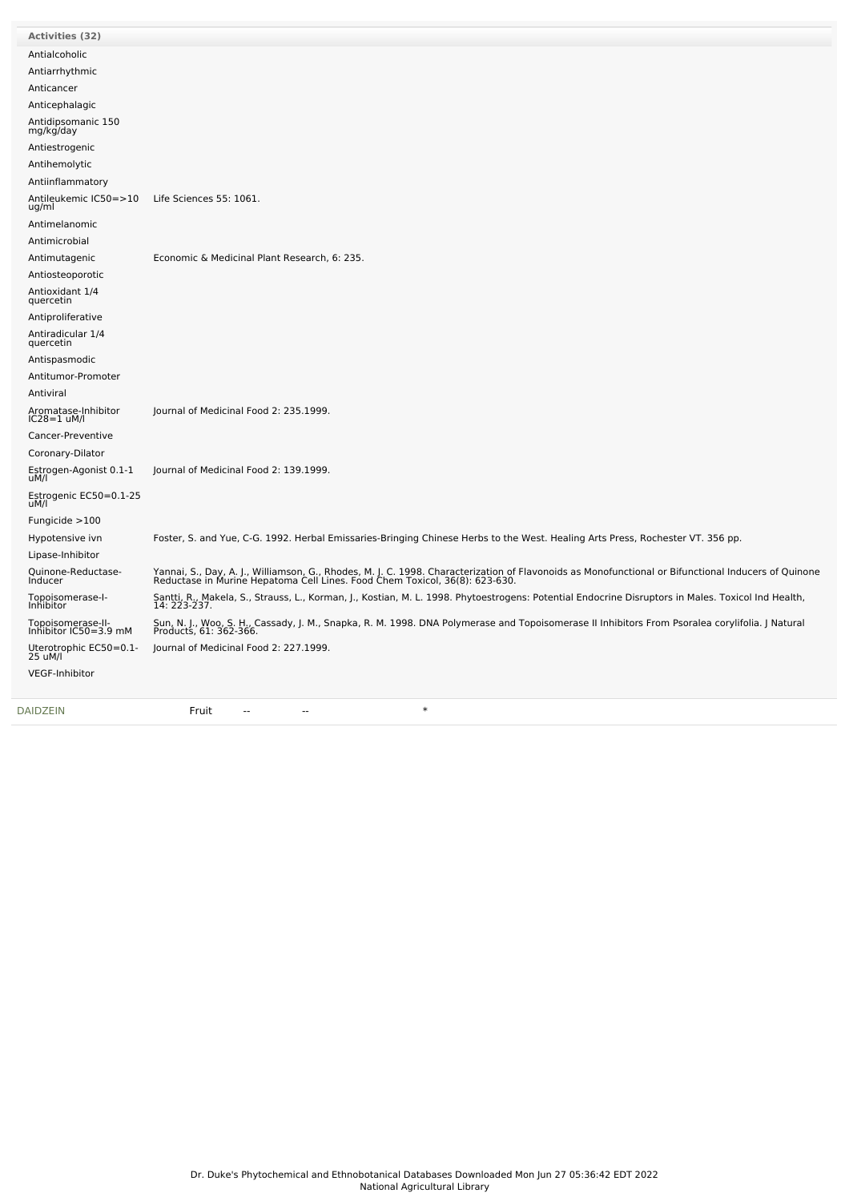| <b>Activities (32)</b>                     |                                                                                                                                                                                                                                   |
|--------------------------------------------|-----------------------------------------------------------------------------------------------------------------------------------------------------------------------------------------------------------------------------------|
| Antialcoholic                              |                                                                                                                                                                                                                                   |
| Antiarrhythmic                             |                                                                                                                                                                                                                                   |
| Anticancer                                 |                                                                                                                                                                                                                                   |
| Anticephalagic                             |                                                                                                                                                                                                                                   |
| Antidipsomanic 150<br>mg/kg/day            |                                                                                                                                                                                                                                   |
| Antiestrogenic                             |                                                                                                                                                                                                                                   |
| Antihemolytic                              |                                                                                                                                                                                                                                   |
| Antiinflammatory                           |                                                                                                                                                                                                                                   |
| Antileukemic IC50=>10<br>ug/ml             | Life Sciences 55: 1061.                                                                                                                                                                                                           |
| Antimelanomic                              |                                                                                                                                                                                                                                   |
| Antimicrobial                              |                                                                                                                                                                                                                                   |
| Antimutagenic                              | Economic & Medicinal Plant Research, 6: 235.                                                                                                                                                                                      |
| Antiosteoporotic                           |                                                                                                                                                                                                                                   |
| Antioxidant 1/4<br>quercetin               |                                                                                                                                                                                                                                   |
| Antiproliferative                          |                                                                                                                                                                                                                                   |
| Antiradicular 1/4<br>quercetin             |                                                                                                                                                                                                                                   |
| Antispasmodic                              |                                                                                                                                                                                                                                   |
| Antitumor-Promoter                         |                                                                                                                                                                                                                                   |
| Antiviral                                  |                                                                                                                                                                                                                                   |
| Aromatase-Inhibitor<br>$IC28=1$ uM/l       | Journal of Medicinal Food 2: 235.1999.                                                                                                                                                                                            |
| Cancer-Preventive                          |                                                                                                                                                                                                                                   |
| Coronary-Dilator                           |                                                                                                                                                                                                                                   |
| Estrogen-Agonist 0.1-1<br>uM/l             | Journal of Medicinal Food 2: 139.1999.                                                                                                                                                                                            |
| Estrogenic EC50=0.1-25<br>uM/l             |                                                                                                                                                                                                                                   |
| Fungicide $>100$                           |                                                                                                                                                                                                                                   |
| Hypotensive ivn                            | Foster, S. and Yue, C-G. 1992. Herbal Emissaries-Bringing Chinese Herbs to the West. Healing Arts Press, Rochester VT. 356 pp.                                                                                                    |
| Lipase-Inhibitor                           |                                                                                                                                                                                                                                   |
| Quinone-Reductase-<br><b>Inducer</b>       | Yannai, S., Day, A. J., Williamson, G., Rhodes, M. J. C. 1998. Characterization of Flavonoids as Monofunctional or Bifunctional Inducers of Quinone<br>Reductase in Murine Hepatoma Cell Lines. Food Chem Toxicol, 36(8): 623-630 |
| Topoisomerase-I-<br>Inhibitor              | Santti, R., Makela, S., Strauss, L., Korman, J., Kostian, M. L. 1998. Phytoestrogens: Potential Endocrine Disruptors in Males. Toxicol Ind Health,<br>14: 223-237.                                                                |
| Topoisomerase-II-<br>Inhibitor IC50=3.9 mM | Sun, N. J., Woo, S. H., Cassady, J. M., Snapka, R. M. 1998. DNA Polymerase and Topoisomerase II Inhibitors From Psoralea corylifolia. J Natural<br>Products, 61: 362-366.                                                         |
| Uterotrophic EC50=0.1-<br>25 uM/l          | Journal of Medicinal Food 2: 227.1999.                                                                                                                                                                                            |
| VEGF-Inhibitor                             |                                                                                                                                                                                                                                   |
| <b>DAIDZEIN</b>                            | $\ast$<br>Fruit<br>$\sim$ $\sim$<br>$\sim$ $\sim$                                                                                                                                                                                 |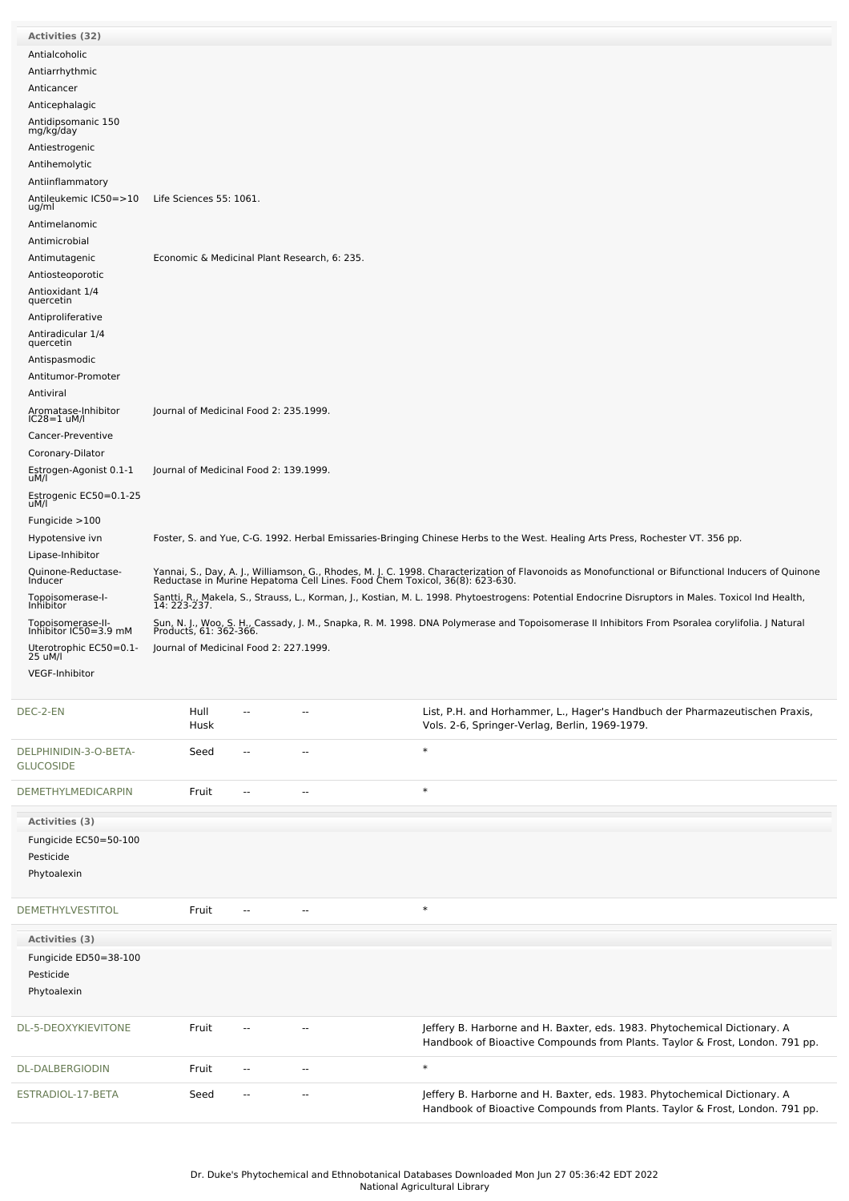| <b>Activities (32)</b>                     |                                                                                                                                                                                                                                   |                                        |                                              |  |                                                                                                                                                           |  |  |  |  |
|--------------------------------------------|-----------------------------------------------------------------------------------------------------------------------------------------------------------------------------------------------------------------------------------|----------------------------------------|----------------------------------------------|--|-----------------------------------------------------------------------------------------------------------------------------------------------------------|--|--|--|--|
| Antialcoholic                              |                                                                                                                                                                                                                                   |                                        |                                              |  |                                                                                                                                                           |  |  |  |  |
| Antiarrhythmic                             |                                                                                                                                                                                                                                   |                                        |                                              |  |                                                                                                                                                           |  |  |  |  |
| Anticancer                                 |                                                                                                                                                                                                                                   |                                        |                                              |  |                                                                                                                                                           |  |  |  |  |
| Anticephalagic                             |                                                                                                                                                                                                                                   |                                        |                                              |  |                                                                                                                                                           |  |  |  |  |
| Antidipsomanic 150<br>mg/kg/day            |                                                                                                                                                                                                                                   |                                        |                                              |  |                                                                                                                                                           |  |  |  |  |
| Antiestrogenic                             |                                                                                                                                                                                                                                   |                                        |                                              |  |                                                                                                                                                           |  |  |  |  |
| Antihemolytic                              |                                                                                                                                                                                                                                   |                                        |                                              |  |                                                                                                                                                           |  |  |  |  |
| Antiinflammatory                           |                                                                                                                                                                                                                                   |                                        |                                              |  |                                                                                                                                                           |  |  |  |  |
| Antileukemic IC50=>10<br>ug/ml             | Life Sciences 55: 1061.                                                                                                                                                                                                           |                                        |                                              |  |                                                                                                                                                           |  |  |  |  |
| Antimelanomic                              |                                                                                                                                                                                                                                   |                                        |                                              |  |                                                                                                                                                           |  |  |  |  |
| Antimicrobial                              |                                                                                                                                                                                                                                   |                                        |                                              |  |                                                                                                                                                           |  |  |  |  |
| Antimutagenic                              |                                                                                                                                                                                                                                   |                                        | Economic & Medicinal Plant Research, 6: 235. |  |                                                                                                                                                           |  |  |  |  |
| Antiosteoporotic                           |                                                                                                                                                                                                                                   |                                        |                                              |  |                                                                                                                                                           |  |  |  |  |
| Antioxidant 1/4                            |                                                                                                                                                                                                                                   |                                        |                                              |  |                                                                                                                                                           |  |  |  |  |
| quercetin                                  |                                                                                                                                                                                                                                   |                                        |                                              |  |                                                                                                                                                           |  |  |  |  |
| Antiproliferative                          |                                                                                                                                                                                                                                   |                                        |                                              |  |                                                                                                                                                           |  |  |  |  |
| Antiradicular 1/4<br>quercetin             |                                                                                                                                                                                                                                   |                                        |                                              |  |                                                                                                                                                           |  |  |  |  |
| Antispasmodic                              |                                                                                                                                                                                                                                   |                                        |                                              |  |                                                                                                                                                           |  |  |  |  |
| Antitumor-Promoter                         |                                                                                                                                                                                                                                   |                                        |                                              |  |                                                                                                                                                           |  |  |  |  |
| Antiviral                                  |                                                                                                                                                                                                                                   |                                        |                                              |  |                                                                                                                                                           |  |  |  |  |
| Aromatase-Inhibitor<br>IC28=1 uM/l         | Journal of Medicinal Food 2: 235.1999.                                                                                                                                                                                            |                                        |                                              |  |                                                                                                                                                           |  |  |  |  |
| Cancer-Preventive                          |                                                                                                                                                                                                                                   |                                        |                                              |  |                                                                                                                                                           |  |  |  |  |
| Coronary-Dilator                           |                                                                                                                                                                                                                                   |                                        |                                              |  |                                                                                                                                                           |  |  |  |  |
| Estrogen-Agonist 0.1-1<br>uM/l             | Journal of Medicinal Food 2: 139.1999.                                                                                                                                                                                            |                                        |                                              |  |                                                                                                                                                           |  |  |  |  |
| Estrogenic EC50=0.1-25<br>uM/l             |                                                                                                                                                                                                                                   |                                        |                                              |  |                                                                                                                                                           |  |  |  |  |
| Fungicide $>100$                           |                                                                                                                                                                                                                                   |                                        |                                              |  |                                                                                                                                                           |  |  |  |  |
| Hypotensive ivn                            |                                                                                                                                                                                                                                   |                                        |                                              |  | Foster, S. and Yue, C-G. 1992. Herbal Emissaries-Bringing Chinese Herbs to the West. Healing Arts Press, Rochester VT. 356 pp.                            |  |  |  |  |
| Lipase-Inhibitor                           |                                                                                                                                                                                                                                   |                                        |                                              |  |                                                                                                                                                           |  |  |  |  |
| Quinone-Reductase-<br><b>Inducer</b>       | Yannai, S., Day, A. J., Williamson, G., Rhodes, M. J. C. 1998. Characterization of Flavonoids as Monofunctional or Bifunctional Inducers of Quinone<br>Reductase in Murine Hepatoma Cell Lines. Food Chem Toxicol, 36(8): 623-630 |                                        |                                              |  |                                                                                                                                                           |  |  |  |  |
| Topoisomerase-I-                           | Santti, R., Makela, S., Strauss, L., Korman, J., Kostian, M. L. 1998. Phytoestrogens: Potential Endocrine Disruptors in Males. Toxicol Ind Health,                                                                                |                                        |                                              |  |                                                                                                                                                           |  |  |  |  |
| Inhibitor                                  |                                                                                                                                                                                                                                   | 14: 223-237.                           |                                              |  |                                                                                                                                                           |  |  |  |  |
| Topoisomerase-II-<br>Inhibitor IC50=3.9 mM | Sun, N. J., Woo, S. H., Cassady, J. M., Snapka, R. M. 1998. DNA Polymerase and Topoisomerase II Inhibitors From Psoralea corylifolia. J Natural<br>Products, 61: 362-366.                                                         |                                        |                                              |  |                                                                                                                                                           |  |  |  |  |
| Uterotrophic EC50=0.1-<br>25 uM/l          |                                                                                                                                                                                                                                   | Journal of Medicinal Food 2: 227.1999. |                                              |  |                                                                                                                                                           |  |  |  |  |
| VEGF-Inhibitor                             |                                                                                                                                                                                                                                   |                                        |                                              |  |                                                                                                                                                           |  |  |  |  |
|                                            |                                                                                                                                                                                                                                   |                                        |                                              |  |                                                                                                                                                           |  |  |  |  |
| DEC-2-EN                                   | Hull<br>Husk                                                                                                                                                                                                                      | $\overline{a}$                         | --                                           |  | List, P.H. and Horhammer, L., Hager's Handbuch der Pharmazeutischen Praxis,<br>Vols. 2-6, Springer-Verlag, Berlin, 1969-1979.                             |  |  |  |  |
| DELPHINIDIN-3-O-BETA-                      | Seed                                                                                                                                                                                                                              | $\overline{\phantom{a}}$               | $\sim$                                       |  | $\ast$                                                                                                                                                    |  |  |  |  |
| <b>GLUCOSIDE</b>                           |                                                                                                                                                                                                                                   |                                        |                                              |  |                                                                                                                                                           |  |  |  |  |
| <b>DEMETHYLMEDICARPIN</b>                  | Fruit                                                                                                                                                                                                                             | $\overline{\phantom{a}}$               | $\overline{\phantom{a}}$                     |  | $\ast$                                                                                                                                                    |  |  |  |  |
| Activities (3)                             |                                                                                                                                                                                                                                   |                                        |                                              |  |                                                                                                                                                           |  |  |  |  |
| Fungicide EC50=50-100                      |                                                                                                                                                                                                                                   |                                        |                                              |  |                                                                                                                                                           |  |  |  |  |
| Pesticide                                  |                                                                                                                                                                                                                                   |                                        |                                              |  |                                                                                                                                                           |  |  |  |  |
| Phytoalexin                                |                                                                                                                                                                                                                                   |                                        |                                              |  |                                                                                                                                                           |  |  |  |  |
| DEMETHYLVESTITOL                           | Fruit                                                                                                                                                                                                                             | $\overline{a}$                         | $\overline{a}$                               |  | $\ast$                                                                                                                                                    |  |  |  |  |
| Activities (3)                             |                                                                                                                                                                                                                                   |                                        |                                              |  |                                                                                                                                                           |  |  |  |  |
| Fungicide ED50=38-100                      |                                                                                                                                                                                                                                   |                                        |                                              |  |                                                                                                                                                           |  |  |  |  |
| Pesticide                                  |                                                                                                                                                                                                                                   |                                        |                                              |  |                                                                                                                                                           |  |  |  |  |
| Phytoalexin                                |                                                                                                                                                                                                                                   |                                        |                                              |  |                                                                                                                                                           |  |  |  |  |
|                                            |                                                                                                                                                                                                                                   |                                        |                                              |  |                                                                                                                                                           |  |  |  |  |
| DL-5-DEOXYKIEVITONE                        | Fruit                                                                                                                                                                                                                             | $\overline{a}$                         | $\overline{a}$                               |  | Jeffery B. Harborne and H. Baxter, eds. 1983. Phytochemical Dictionary. A<br>Handbook of Bioactive Compounds from Plants. Taylor & Frost, London. 791 pp. |  |  |  |  |
| DL-DALBERGIODIN                            | Fruit                                                                                                                                                                                                                             | $\overline{a}$                         | $\overline{a}$                               |  | $\ast$                                                                                                                                                    |  |  |  |  |
| ESTRADIOL-17-BETA                          | Seed                                                                                                                                                                                                                              |                                        | --                                           |  | Jeffery B. Harborne and H. Baxter, eds. 1983. Phytochemical Dictionary. A<br>Handbook of Bioactive Compounds from Plants. Taylor & Frost, London. 791 pp. |  |  |  |  |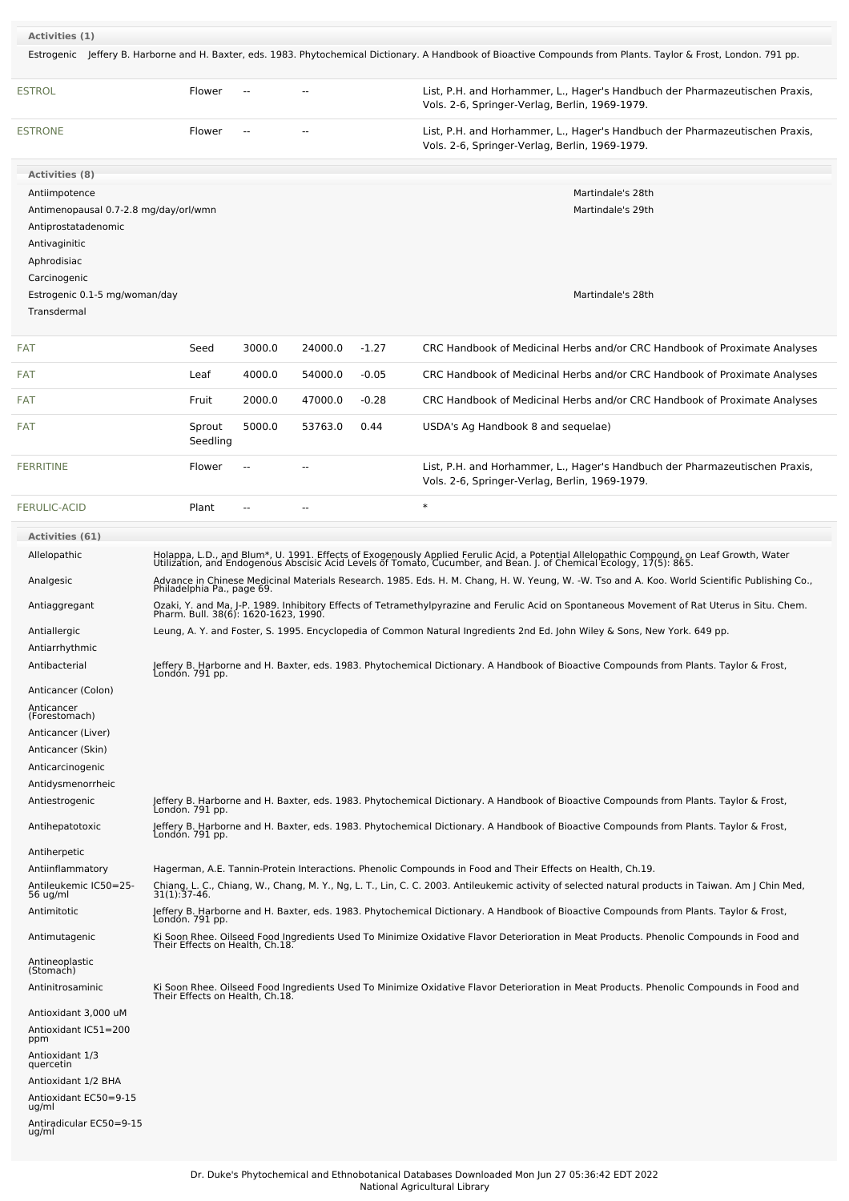| Activities (1)                                                                                                                |                    |                                                                                                                                                                             |         |         |                                                                                                                                                                                                                                                                 |  |  |  |
|-------------------------------------------------------------------------------------------------------------------------------|--------------------|-----------------------------------------------------------------------------------------------------------------------------------------------------------------------------|---------|---------|-----------------------------------------------------------------------------------------------------------------------------------------------------------------------------------------------------------------------------------------------------------------|--|--|--|
|                                                                                                                               |                    |                                                                                                                                                                             |         |         | Estrogenic Jeffery B. Harborne and H. Baxter, eds. 1983. Phytochemical Dictionary. A Handbook of Bioactive Compounds from Plants. Taylor & Frost, London. 791 pp.                                                                                               |  |  |  |
| <b>ESTROL</b>                                                                                                                 | Flower             |                                                                                                                                                                             |         |         | List, P.H. and Horhammer, L., Hager's Handbuch der Pharmazeutischen Praxis,<br>Vols. 2-6, Springer-Verlag, Berlin, 1969-1979.                                                                                                                                   |  |  |  |
| <b>ESTRONE</b>                                                                                                                | Flower             |                                                                                                                                                                             |         |         | List, P.H. and Horhammer, L., Hager's Handbuch der Pharmazeutischen Praxis,<br>Vols. 2-6, Springer-Verlag, Berlin, 1969-1979.                                                                                                                                   |  |  |  |
| <b>Activities (8)</b>                                                                                                         |                    |                                                                                                                                                                             |         |         |                                                                                                                                                                                                                                                                 |  |  |  |
| Antiimpotence<br>Antimenopausal 0.7-2.8 mg/day/orl/wmn<br>Antiprostatadenomic<br>Antivaginitic<br>Aphrodisiac<br>Carcinogenic |                    |                                                                                                                                                                             |         |         | Martindale's 28th<br>Martindale's 29th                                                                                                                                                                                                                          |  |  |  |
| Estrogenic 0.1-5 mg/woman/day<br>Transdermal                                                                                  |                    |                                                                                                                                                                             |         |         | Martindale's 28th                                                                                                                                                                                                                                               |  |  |  |
| <b>FAT</b>                                                                                                                    | Seed               | 3000.0                                                                                                                                                                      | 24000.0 | $-1.27$ | CRC Handbook of Medicinal Herbs and/or CRC Handbook of Proximate Analyses                                                                                                                                                                                       |  |  |  |
| FAT                                                                                                                           | Leaf               | 4000.0                                                                                                                                                                      | 54000.0 | $-0.05$ | CRC Handbook of Medicinal Herbs and/or CRC Handbook of Proximate Analyses                                                                                                                                                                                       |  |  |  |
| <b>FAT</b>                                                                                                                    | Fruit              | 2000.0                                                                                                                                                                      | 47000.0 | $-0.28$ | CRC Handbook of Medicinal Herbs and/or CRC Handbook of Proximate Analyses                                                                                                                                                                                       |  |  |  |
| FAT                                                                                                                           | Sprout<br>Seedling | 5000.0                                                                                                                                                                      | 53763.0 | 0.44    | USDA's Ag Handbook 8 and sequelae)                                                                                                                                                                                                                              |  |  |  |
| <b>FERRITINE</b>                                                                                                              | Flower             |                                                                                                                                                                             |         |         | List, P.H. and Horhammer, L., Hager's Handbuch der Pharmazeutischen Praxis,<br>Vols. 2-6, Springer-Verlag, Berlin, 1969-1979.                                                                                                                                   |  |  |  |
| <b>FERULIC-ACID</b>                                                                                                           | Plant              |                                                                                                                                                                             |         |         | $\ast$                                                                                                                                                                                                                                                          |  |  |  |
| <b>Activities (61)</b>                                                                                                        |                    |                                                                                                                                                                             |         |         |                                                                                                                                                                                                                                                                 |  |  |  |
| Allelopathic                                                                                                                  |                    |                                                                                                                                                                             |         |         | Holappa, L.D., and Blum*, U. 1991. Effects of Exogenously Applied Ferulic Acid, a Potential Allelopathic Compound, on Leaf Growth, Water<br>Utilization, and Endogenous Abscisic Acid Levels of Tomato, Cucumber, and Bean. J. of                               |  |  |  |
|                                                                                                                               |                    |                                                                                                                                                                             |         |         |                                                                                                                                                                                                                                                                 |  |  |  |
| Analgesic                                                                                                                     |                    | Advance in Chinese Medicinal Materials Research. 1985. Eds. H. M. Chang, H. W. Yeung, W. -W. Tso and A. Koo. World Scientific Publishing Co.,<br>Philadelphia Pa., page 69. |         |         |                                                                                                                                                                                                                                                                 |  |  |  |
| Antiaggregant                                                                                                                 |                    |                                                                                                                                                                             |         |         | Ozaki, Y. and Ma, J-P. 1989. Inhibitory Effects of Tetramethylpyrazine and Ferulic Acid on Spontaneous Movement of Rat Uterus in Situ. Chem.<br>Pharm. Bull. 38(6): 1620-1623, 1990.                                                                            |  |  |  |
| Antiallergic                                                                                                                  |                    |                                                                                                                                                                             |         |         | Leung, A. Y. and Foster, S. 1995. Encyclopedia of Common Natural Ingredients 2nd Ed. John Wiley & Sons, New York. 649 pp.                                                                                                                                       |  |  |  |
| Antiarrhythmic                                                                                                                |                    |                                                                                                                                                                             |         |         |                                                                                                                                                                                                                                                                 |  |  |  |
| Antibacterial                                                                                                                 | Londón. 791 pp.    |                                                                                                                                                                             |         |         | Jeffery B. Harborne and H. Baxter, eds. 1983. Phytochemical Dictionary. A Handbook of Bioactive Compounds from Plants. Taylor & Frost,                                                                                                                          |  |  |  |
| Anticancer (Colon)                                                                                                            |                    |                                                                                                                                                                             |         |         |                                                                                                                                                                                                                                                                 |  |  |  |
| Anticancer<br>(Forestomach)                                                                                                   |                    |                                                                                                                                                                             |         |         |                                                                                                                                                                                                                                                                 |  |  |  |
| Anticancer (Liver)                                                                                                            |                    |                                                                                                                                                                             |         |         |                                                                                                                                                                                                                                                                 |  |  |  |
| Anticancer (Skin)                                                                                                             |                    |                                                                                                                                                                             |         |         |                                                                                                                                                                                                                                                                 |  |  |  |
| Anticarcinogenic                                                                                                              |                    |                                                                                                                                                                             |         |         |                                                                                                                                                                                                                                                                 |  |  |  |
| Antidysmenorrheic                                                                                                             |                    |                                                                                                                                                                             |         |         |                                                                                                                                                                                                                                                                 |  |  |  |
| Antiestrogenic                                                                                                                | Londón. 791 pp.    |                                                                                                                                                                             |         |         | Jeffery B. Harborne and H. Baxter, eds. 1983. Phytochemical Dictionary. A Handbook of Bioactive Compounds from Plants. Taylor & Frost,                                                                                                                          |  |  |  |
| Antihepatotoxic                                                                                                               | Londón. 791 pp.    |                                                                                                                                                                             |         |         | Jeffery B. Harborne and H. Baxter, eds. 1983. Phytochemical Dictionary. A Handbook of Bioactive Compounds from Plants. Taylor & Frost,                                                                                                                          |  |  |  |
| Antiherpetic                                                                                                                  |                    |                                                                                                                                                                             |         |         |                                                                                                                                                                                                                                                                 |  |  |  |
| Antiinflammatory<br>Antileukemic IC50=25-                                                                                     |                    |                                                                                                                                                                             |         |         | Hagerman, A.E. Tannin-Protein Interactions. Phenolic Compounds in Food and Their Effects on Health, Ch.19.<br>Chiang, L. C., Chiang, W., Chang, M. Y., Ng, L. T., Lin, C. C. 2003. Antileukemic activity of selected natural products in Taiwan. Am J Chin Med, |  |  |  |
| 56 ug/ml                                                                                                                      | $31(1):37-46.$     |                                                                                                                                                                             |         |         |                                                                                                                                                                                                                                                                 |  |  |  |
| Antimitotic                                                                                                                   | Londón. 791 pp.    |                                                                                                                                                                             |         |         | Jeffery B. Harborne and H. Baxter, eds. 1983. Phytochemical Dictionary. A Handbook of Bioactive Compounds from Plants. Taylor & Frost,                                                                                                                          |  |  |  |
| Antimutagenic                                                                                                                 |                    |                                                                                                                                                                             |         |         | Ki Soon Rhee. Oilseed Food Ingredients Used To Minimize Oxidative Flavor Deterioration in Meat Products. Phenolic Compounds in Food and<br>Their Effects on Health, Ch.18.                                                                                      |  |  |  |
| Antineoplastic<br>(Stomach)                                                                                                   |                    |                                                                                                                                                                             |         |         |                                                                                                                                                                                                                                                                 |  |  |  |
| Antinitrosaminic                                                                                                              |                    |                                                                                                                                                                             |         |         | Ki Soon Rhee. Oilseed Food Ingredients Used To Minimize Oxidative Flavor Deterioration in Meat Products. Phenolic Compounds in Food and<br>Their Effects on Health, Ch.18.                                                                                      |  |  |  |
| Antioxidant 3,000 uM<br>Antioxidant IC51=200<br>ppm                                                                           |                    |                                                                                                                                                                             |         |         |                                                                                                                                                                                                                                                                 |  |  |  |
| Antioxidant 1/3<br>quercetin                                                                                                  |                    |                                                                                                                                                                             |         |         |                                                                                                                                                                                                                                                                 |  |  |  |
| Antioxidant 1/2 BHA                                                                                                           |                    |                                                                                                                                                                             |         |         |                                                                                                                                                                                                                                                                 |  |  |  |
| Antioxidant EC50=9-15<br>ug/ml<br>Antiradicular EC50=9-15                                                                     |                    |                                                                                                                                                                             |         |         |                                                                                                                                                                                                                                                                 |  |  |  |
| ug/ml                                                                                                                         |                    |                                                                                                                                                                             |         |         |                                                                                                                                                                                                                                                                 |  |  |  |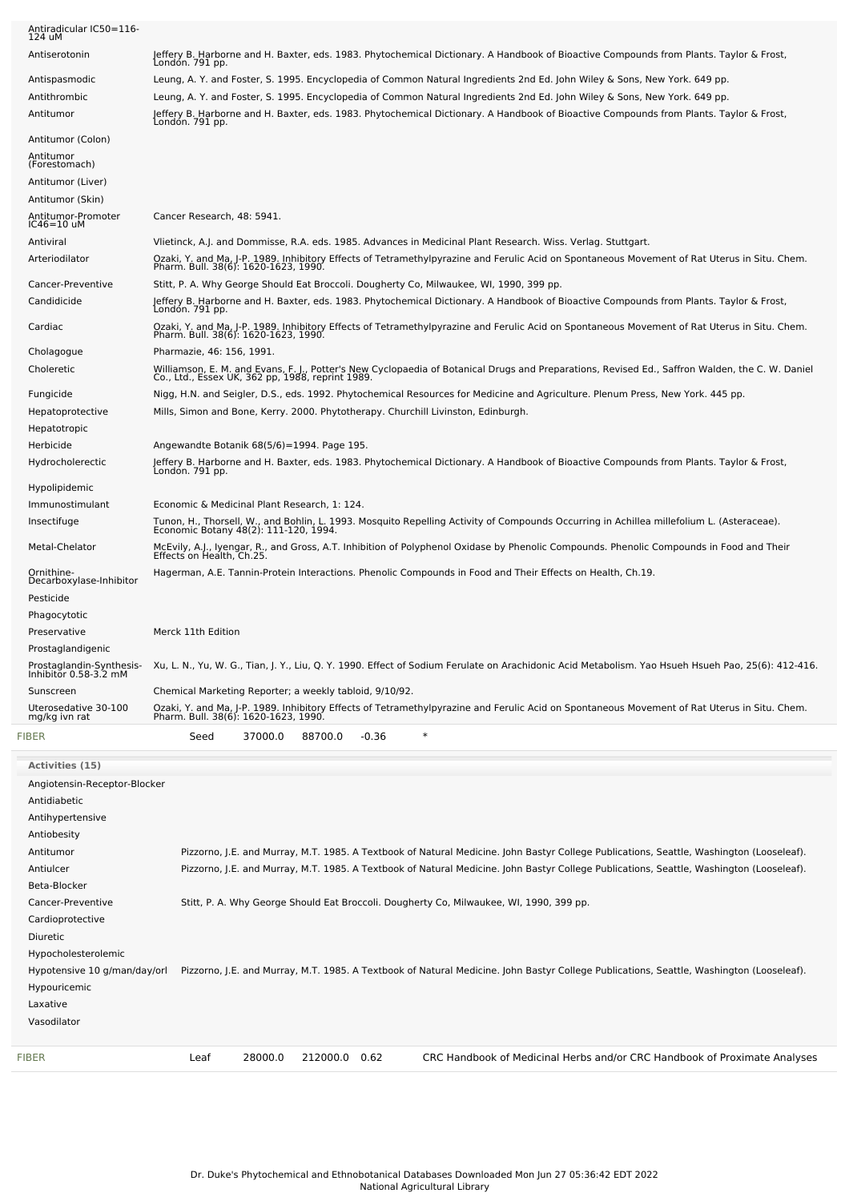| Antiradicular IC50=116-<br>124 uM                  |                                                                                                                                                                                                                                                                     |
|----------------------------------------------------|---------------------------------------------------------------------------------------------------------------------------------------------------------------------------------------------------------------------------------------------------------------------|
| Antiserotonin                                      | Jeffery B. Harborne and H. Baxter, eds. 1983. Phytochemical Dictionary. A Handbook of Bioactive Compounds from Plants. Taylor & Frost,<br>Londón. 791 pp.                                                                                                           |
| Antispasmodic                                      | Leung, A. Y. and Foster, S. 1995. Encyclopedia of Common Natural Ingredients 2nd Ed. John Wiley & Sons, New York. 649 pp.                                                                                                                                           |
| Antithrombic<br>Antitumor                          | Leung, A. Y. and Foster, S. 1995. Encyclopedia of Common Natural Ingredients 2nd Ed. John Wiley & Sons, New York. 649 pp.<br>Jeffery B. Harborne and H. Baxter, eds. 1983. Phytochemical Dictionary. A Handbook of Bioactive Compounds from Plants. Taylor & Frost, |
| Antitumor (Colon)                                  | London. 791 pp.                                                                                                                                                                                                                                                     |
| Antitumor<br>(Forestomach)                         |                                                                                                                                                                                                                                                                     |
| Antitumor (Liver)                                  |                                                                                                                                                                                                                                                                     |
| Antitumor (Skin)                                   |                                                                                                                                                                                                                                                                     |
| Antitumor-Promoter<br>IC46=10 uM                   | Cancer Research, 48: 5941.                                                                                                                                                                                                                                          |
| Antiviral                                          | Vlietinck, A.J. and Dommisse, R.A. eds. 1985. Advances in Medicinal Plant Research. Wiss. Verlag. Stuttgart.                                                                                                                                                        |
| Arteriodilator                                     | Ozaki, Y. and Ma, J-P. 1989. Inhibitory Effects of Tetramethylpyrazine and Ferulic Acid on Spontaneous Movement of Rat Uterus in Situ. Chem.<br>Pharm. Bull. 38(6): 1620-1623, 1990.                                                                                |
| Cancer-Preventive                                  | Stitt, P. A. Why George Should Eat Broccoli. Dougherty Co, Milwaukee, WI, 1990, 399 pp.                                                                                                                                                                             |
| Candidicide                                        | Jeffery B. Harborne and H. Baxter, eds. 1983. Phytochemical Dictionary. A Handbook of Bioactive Compounds from Plants. Taylor & Frost,<br>London. 791 pp.                                                                                                           |
| Cardiac                                            | Ozaki, Y. and Ma, J-P. 1989. Inhibitory Effects of Tetramethylpyrazine and Ferulic Acid on Spontaneous Movement of Rat Uterus in Situ. Chem.<br>Pharm. Bull. 38(6): 1620-1623, 1990.                                                                                |
| Cholagogue                                         | Pharmazie, 46: 156, 1991.                                                                                                                                                                                                                                           |
| Choleretic                                         | Williamson, E. M. and Evans, F. J., Potter's New Cyclopaedia of Botanical Drugs and Preparations, Revised Ed., Saffron Walden, the C. W. Daniel<br>Co., Ltd., Essex UK, 362 pp, 1988, reprint 1989.                                                                 |
| Fungicide                                          | Nigg, H.N. and Seigler, D.S., eds. 1992. Phytochemical Resources for Medicine and Agriculture. Plenum Press, New York. 445 pp.                                                                                                                                      |
| Hepatoprotective                                   | Mills, Simon and Bone, Kerry. 2000. Phytotherapy. Churchill Livinston, Edinburgh.                                                                                                                                                                                   |
| Hepatotropic<br>Herbicide                          | Angewandte Botanik 68(5/6)=1994. Page 195.                                                                                                                                                                                                                          |
| Hydrocholerectic                                   | Jeffery B. Harborne and H. Baxter, eds. 1983. Phytochemical Dictionary. A Handbook of Bioactive Compounds from Plants. Taylor & Frost,                                                                                                                              |
| Hypolipidemic                                      | London. 791 pp.                                                                                                                                                                                                                                                     |
| Immunostimulant                                    | Economic & Medicinal Plant Research, 1: 124.                                                                                                                                                                                                                        |
| Insectifuge                                        | Tunon, H., Thorsell, W., and Bohlin, L. 1993. Mosquito Repelling Activity of Compounds Occurring in Achillea millefolium L. (Asteraceae).<br>Economic Botany 48(2): 111-120, 1994.                                                                                  |
| Metal-Chelator                                     | McEvily, A.J., Ivengar, R., and Gross, A.T. Inhibition of Polyphenol Oxidase by Phenolic Compounds. Phenolic Compounds in Food and Their<br>Effects on Health, Ch.25.                                                                                               |
| Ornithine-<br>Decarboxylase-Inhibitor<br>Pesticide | Hagerman, A.E. Tannin-Protein Interactions. Phenolic Compounds in Food and Their Effects on Health, Ch.19.                                                                                                                                                          |
| Phagocytotic                                       |                                                                                                                                                                                                                                                                     |
| Preservative                                       | Merck 11th Edition                                                                                                                                                                                                                                                  |
| Prostaglandigenic                                  |                                                                                                                                                                                                                                                                     |
| Prostaglandin-Synthesis-<br>Inhibitor 0.58-3.2 mM  | Xu, L. N., Yu, W. G., Tian, J. Y., Liu, Q. Y. 1990. Effect of Sodium Ferulate on Arachidonic Acid Metabolism. Yao Hsueh Hsueh Pao, 25(6): 412-416.                                                                                                                  |
| Sunscreen                                          | Chemical Marketing Reporter; a weekly tabloid, 9/10/92.                                                                                                                                                                                                             |
| Uterosedative 30-100<br>mg/kg ivn rat              | Ozaki, Y. and Ma, J-P. 1989. Inhibitory Effects of Tetramethylpyrazine and Ferulic Acid on Spontaneous Movement of Rat Uterus in Situ. Chem.<br>Pharm. Bull. 38(6): 1620-1623, 1990.                                                                                |
| FIBER                                              | 37000.0<br>$\ast$<br>Seed<br>88700.0<br>$-0.36$                                                                                                                                                                                                                     |
| Activities (15)                                    |                                                                                                                                                                                                                                                                     |
| Angiotensin-Receptor-Blocker                       |                                                                                                                                                                                                                                                                     |
| Antidiabetic<br>Antihypertensive                   |                                                                                                                                                                                                                                                                     |
| Antiobesity                                        |                                                                                                                                                                                                                                                                     |
| Antitumor                                          | Pizzorno, J.E. and Murray, M.T. 1985. A Textbook of Natural Medicine. John Bastyr College Publications, Seattle, Washington (Looseleaf).                                                                                                                            |
| Antiulcer                                          | Pizzorno, J.E. and Murray, M.T. 1985. A Textbook of Natural Medicine. John Bastyr College Publications, Seattle, Washington (Looseleaf).                                                                                                                            |
| Beta-Blocker<br>Cancer-Preventive                  | Stitt, P. A. Why George Should Eat Broccoli. Dougherty Co, Milwaukee, WI, 1990, 399 pp.                                                                                                                                                                             |
| Cardioprotective                                   |                                                                                                                                                                                                                                                                     |
| Diuretic                                           |                                                                                                                                                                                                                                                                     |
| Hypocholesterolemic                                |                                                                                                                                                                                                                                                                     |
| Hypotensive 10 g/man/day/orl<br>Hypouricemic       | Pizzorno, J.E. and Murray, M.T. 1985. A Textbook of Natural Medicine. John Bastyr College Publications, Seattle, Washington (Looseleaf).                                                                                                                            |
| Laxative                                           |                                                                                                                                                                                                                                                                     |
| Vasodilator                                        |                                                                                                                                                                                                                                                                     |
| FIBER                                              | Leaf<br>28000.0<br>212000.0 0.62<br>CRC Handbook of Medicinal Herbs and/or CRC Handbook of Proximate Analyses                                                                                                                                                       |
|                                                    |                                                                                                                                                                                                                                                                     |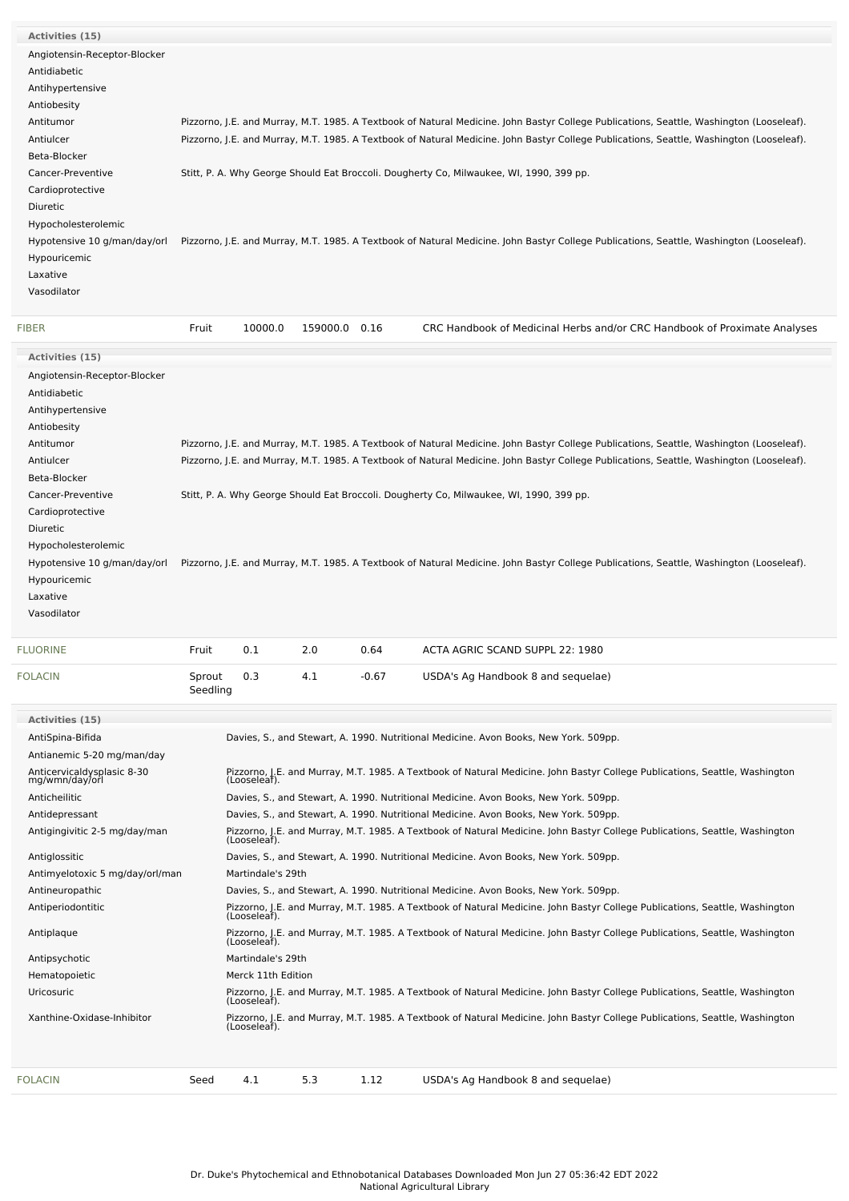| <b>FIBER</b>                 | 10000.0<br>Fruit<br>159000.0<br>0.16<br>CRC Handbook of Medicinal Herbs and/or CRC Handbook of Proximate Analyses                        |
|------------------------------|------------------------------------------------------------------------------------------------------------------------------------------|
| Vasodilator                  |                                                                                                                                          |
| Laxative                     |                                                                                                                                          |
| Hypouricemic                 |                                                                                                                                          |
| Hypotensive 10 g/man/day/orl | Pizzorno, J.E. and Murray, M.T. 1985. A Textbook of Natural Medicine. John Bastyr College Publications, Seattle, Washington (Looseleaf). |
| Hypocholesterolemic          |                                                                                                                                          |
| Diuretic                     |                                                                                                                                          |
| Cardioprotective             |                                                                                                                                          |
| Cancer-Preventive            | Stitt, P. A. Why George Should Eat Broccoli. Dougherty Co, Milwaukee, WI, 1990, 399 pp.                                                  |
| Beta-Blocker                 |                                                                                                                                          |
| Antiulcer                    | Pizzorno, J.E. and Murray, M.T. 1985. A Textbook of Natural Medicine. John Bastyr College Publications, Seattle, Washington (Looseleaf). |
| Antitumor                    | Pizzorno, J.E. and Murray, M.T. 1985. A Textbook of Natural Medicine. John Bastyr College Publications, Seattle, Washington (Looseleaf). |
| Antiobesity                  |                                                                                                                                          |
| Antihypertensive             |                                                                                                                                          |
| Antidiabetic                 |                                                                                                                                          |
| Angiotensin-Receptor-Blocker |                                                                                                                                          |
| Activities (15)              |                                                                                                                                          |

| Activities (15)                              |          |                                                                                                                                          |     |         |                                                                                                                                             |  |  |  |  |  |
|----------------------------------------------|----------|------------------------------------------------------------------------------------------------------------------------------------------|-----|---------|---------------------------------------------------------------------------------------------------------------------------------------------|--|--|--|--|--|
| Angiotensin-Receptor-Blocker                 |          |                                                                                                                                          |     |         |                                                                                                                                             |  |  |  |  |  |
| Antidiabetic                                 |          |                                                                                                                                          |     |         |                                                                                                                                             |  |  |  |  |  |
| Antihypertensive                             |          |                                                                                                                                          |     |         |                                                                                                                                             |  |  |  |  |  |
| Antiobesity                                  |          |                                                                                                                                          |     |         |                                                                                                                                             |  |  |  |  |  |
| Antitumor                                    |          |                                                                                                                                          |     |         | Pizzorno, J.E. and Murray, M.T. 1985. A Textbook of Natural Medicine. John Bastyr College Publications, Seattle, Washington (Looseleaf).    |  |  |  |  |  |
| Antiulcer                                    |          | Pizzorno, J.E. and Murray, M.T. 1985. A Textbook of Natural Medicine. John Bastyr College Publications, Seattle, Washington (Looseleaf). |     |         |                                                                                                                                             |  |  |  |  |  |
| Beta-Blocker                                 |          |                                                                                                                                          |     |         |                                                                                                                                             |  |  |  |  |  |
| Cancer-Preventive                            |          | Stitt, P. A. Why George Should Eat Broccoli. Dougherty Co, Milwaukee, WI, 1990, 399 pp.                                                  |     |         |                                                                                                                                             |  |  |  |  |  |
| Cardioprotective                             |          |                                                                                                                                          |     |         |                                                                                                                                             |  |  |  |  |  |
| <b>Diuretic</b>                              |          |                                                                                                                                          |     |         |                                                                                                                                             |  |  |  |  |  |
| Hypocholesterolemic                          |          |                                                                                                                                          |     |         |                                                                                                                                             |  |  |  |  |  |
| Hypotensive 10 g/man/day/orl                 |          |                                                                                                                                          |     |         | Pizzorno, J.E. and Murray, M.T. 1985. A Textbook of Natural Medicine. John Bastyr College Publications, Seattle, Washington (Looseleaf).    |  |  |  |  |  |
| Hypouricemic                                 |          |                                                                                                                                          |     |         |                                                                                                                                             |  |  |  |  |  |
| Laxative                                     |          |                                                                                                                                          |     |         |                                                                                                                                             |  |  |  |  |  |
| Vasodilator                                  |          |                                                                                                                                          |     |         |                                                                                                                                             |  |  |  |  |  |
| <b>FLUORINE</b>                              | Fruit    | 0.1                                                                                                                                      | 2.0 | 0.64    | ACTA AGRIC SCAND SUPPL 22: 1980                                                                                                             |  |  |  |  |  |
| <b>FOLACIN</b>                               | Sprout   | 0.3                                                                                                                                      | 4.1 | $-0.67$ | USDA's Ag Handbook 8 and sequelae)                                                                                                          |  |  |  |  |  |
|                                              | Seedling |                                                                                                                                          |     |         |                                                                                                                                             |  |  |  |  |  |
| Activities (15)                              |          |                                                                                                                                          |     |         |                                                                                                                                             |  |  |  |  |  |
| AntiSpina-Bifida                             |          |                                                                                                                                          |     |         | Davies, S., and Stewart, A. 1990. Nutritional Medicine. Avon Books, New York. 509pp.                                                        |  |  |  |  |  |
| Antianemic 5-20 mg/man/day                   |          |                                                                                                                                          |     |         |                                                                                                                                             |  |  |  |  |  |
| Anticervicaldysplasic 8-30<br>mg/wmn/day/orl |          | (Looseleaf).                                                                                                                             |     |         | Pizzorno, J.E. and Murray, M.T. 1985. A Textbook of Natural Medicine. John Bastyr College Publications, Seattle, Washington                 |  |  |  |  |  |
| Anticheilitic                                |          |                                                                                                                                          |     |         | Davies, S., and Stewart, A. 1990. Nutritional Medicine. Avon Books, New York. 509pp.                                                        |  |  |  |  |  |
| Antidepressant                               |          |                                                                                                                                          |     |         | Davies, S., and Stewart, A. 1990. Nutritional Medicine. Avon Books, New York. 509pp.                                                        |  |  |  |  |  |
| Antigingivitic 2-5 mg/day/man                |          | (Looseleaf).                                                                                                                             |     |         | Pizzorno, J.E. and Murray, M.T. 1985. A Textbook of Natural Medicine. John Bastyr College Publications, Seattle, Washington                 |  |  |  |  |  |
| Antiglossitic                                |          |                                                                                                                                          |     |         | Davies, S., and Stewart, A. 1990. Nutritional Medicine. Avon Books, New York. 509pp.                                                        |  |  |  |  |  |
| Antimyelotoxic 5 mg/day/orl/man              |          | Martindale's 29th                                                                                                                        |     |         |                                                                                                                                             |  |  |  |  |  |
| Antineuropathic                              |          |                                                                                                                                          |     |         | Davies, S., and Stewart, A. 1990. Nutritional Medicine. Avon Books, New York. 509pp.                                                        |  |  |  |  |  |
| Antiperiodontitic                            |          | (Looseleaf).                                                                                                                             |     |         | Pizzorno, J.E. and Murray, M.T. 1985. A Textbook of Natural Medicine. John Bastyr College Publications, Seattle, Washington                 |  |  |  |  |  |
| Antiplaque                                   |          | (Looseleaf).                                                                                                                             |     |         | Pizzorno, J.E. and Murray, M.T. 1985. A Textbook of Natural Medicine. John Bastyr College Publications, Seattle, Washington                 |  |  |  |  |  |
| Antipsychotic                                |          | Martindale's 29th                                                                                                                        |     |         |                                                                                                                                             |  |  |  |  |  |
| Hematopoietic                                |          | Merck 11th Edition                                                                                                                       |     |         |                                                                                                                                             |  |  |  |  |  |
| Uricosuric                                   |          |                                                                                                                                          |     |         | Pizzorno, J.E. and Murray, M.T. 1985. A Textbook of Natural Medicine. John Bastyr College Publications, Seattle, Washington<br>(Looseleaf). |  |  |  |  |  |
| Xanthine-Oxidase-Inhibitor                   |          | (Looseleaf).                                                                                                                             |     |         | Pizzorno, J.E. and Murray, M.T. 1985. A Textbook of Natural Medicine. John Bastyr College Publications, Seattle, Washington                 |  |  |  |  |  |
|                                              |          |                                                                                                                                          |     |         |                                                                                                                                             |  |  |  |  |  |

| <b>FOLACIN</b> |  | Seed   4.1 | $5.3$ 1.12 |  | USDA's Ag Handbook 8 and sequelae) |  |
|----------------|--|------------|------------|--|------------------------------------|--|
|----------------|--|------------|------------|--|------------------------------------|--|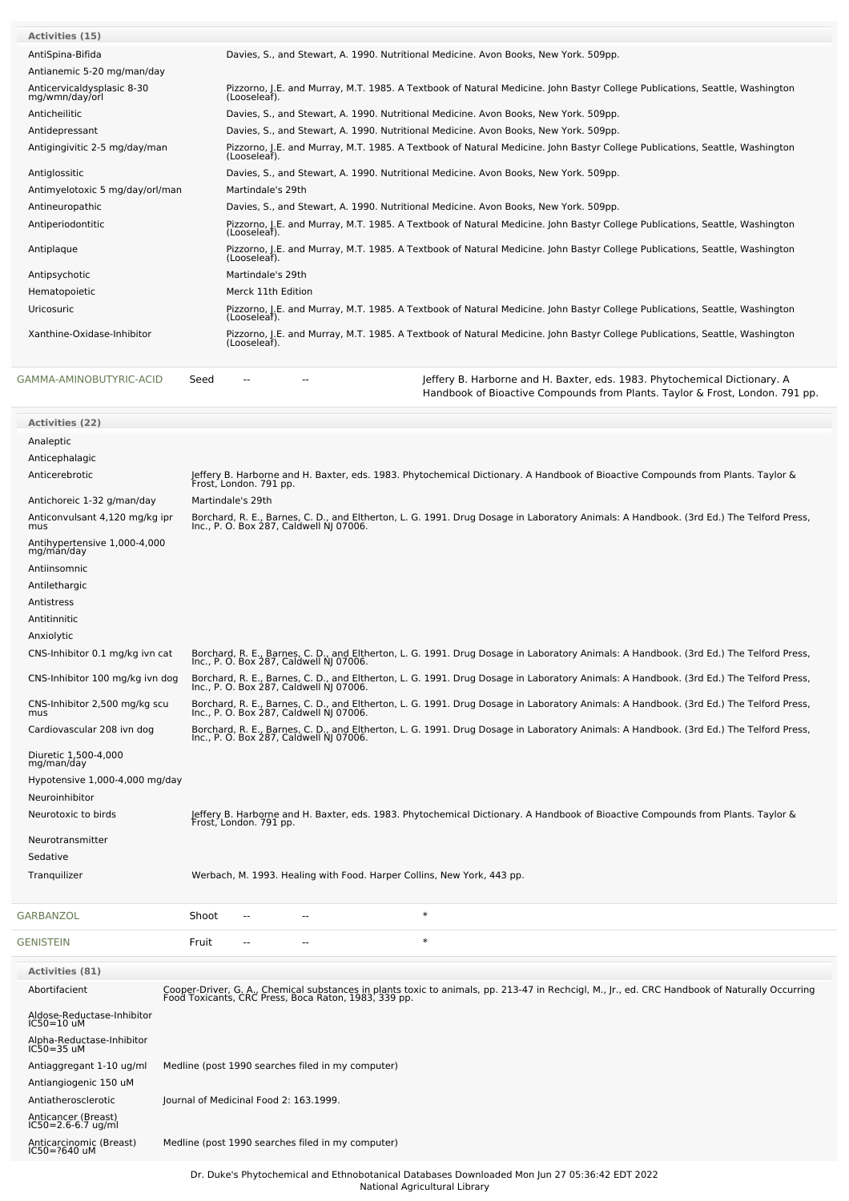| <b>Activities (15)</b>                       |                                                                                                                                             |
|----------------------------------------------|---------------------------------------------------------------------------------------------------------------------------------------------|
| AntiSpina-Bifida                             | Davies, S., and Stewart, A. 1990. Nutritional Medicine. Avon Books, New York. 509pp.                                                        |
| Antianemic 5-20 mg/man/day                   |                                                                                                                                             |
| Anticervicaldysplasic 8-30<br>mg/wmn/day/orl | Pizzorno, J.E. and Murray, M.T. 1985. A Textbook of Natural Medicine. John Bastyr College Publications, Seattle, Washington<br>(Looseleaf). |
| Anticheilitic                                | Davies, S., and Stewart, A. 1990. Nutritional Medicine. Avon Books, New York, 509pp.                                                        |
| Antidepressant                               | Davies, S., and Stewart, A. 1990. Nutritional Medicine. Avon Books, New York. 509pp.                                                        |
| Antigingivitic 2-5 mg/day/man                | Pizzorno, J.E. and Murray, M.T. 1985. A Textbook of Natural Medicine. John Bastyr College Publications, Seattle, Washington<br>(Looseleaf). |
| Antiglossitic                                | Davies, S., and Stewart, A. 1990. Nutritional Medicine. Avon Books, New York. 509pp.                                                        |
| Antimyelotoxic 5 mg/day/orl/man              | Martindale's 29th                                                                                                                           |
| Antineuropathic                              | Davies, S., and Stewart, A. 1990. Nutritional Medicine. Avon Books, New York. 509pp.                                                        |
| Antiperiodontitic                            | Pizzorno, J.E. and Murray, M.T. 1985. A Textbook of Natural Medicine. John Bastyr College Publications, Seattle, Washington<br>(Looseleaf). |
| Antiplaque                                   | Pizzorno, J.E. and Murray, M.T. 1985. A Textbook of Natural Medicine. John Bastyr College Publications, Seattle, Washington<br>(Looseleaf). |
| Antipsychotic                                | Martindale's 29th                                                                                                                           |
| Hematopoietic                                | Merck 11th Edition                                                                                                                          |
| Uricosuric                                   | Pizzorno, J.E. and Murray, M.T. 1985. A Textbook of Natural Medicine. John Bastyr College Publications, Seattle, Washington<br>(Looseleaf). |
| Xanthine-Oxidase-Inhibitor                   | Pizzorno, J.E. and Murray, M.T. 1985. A Textbook of Natural Medicine. John Bastyr College Publications, Seattle, Washington<br>(Looseleaf). |
| GAMMA-AMINOBUTYRIC-ACID<br>Seed              | Jeffery B. Harborne and H. Baxter, eds. 1983. Phytochemical Dictionary. A<br>$- -$<br>--                                                    |

Handbook of Bioactive Compounds from Plants. Taylor & Frost, London. 791 pp.

| <b>Activities (22)</b>                      |                                                                                                                                                                                                        |
|---------------------------------------------|--------------------------------------------------------------------------------------------------------------------------------------------------------------------------------------------------------|
| Analeptic                                   |                                                                                                                                                                                                        |
| Anticephalagic                              |                                                                                                                                                                                                        |
| Anticerebrotic                              | Jeffery B. Harborne and H. Baxter, eds. 1983. Phytochemical Dictionary. A Handbook of Bioactive Compounds from Plants. Taylor &<br>Frost, London. 791 pp.                                              |
| Antichoreic 1-32 g/man/day                  | Martindale's 29th                                                                                                                                                                                      |
| Anticonvulsant 4,120 mg/kg ipr<br>mus       | Borchard, R. E., Barnes, C. D., and Eltherton, L. G. 1991. Drug Dosage in Laboratory Animals: A Handbook. (3rd Ed.) The Telford Press,<br>Inc., P. O. Box 287, Caldwell NJ 07006.                      |
| Antihypertensive 1,000-4,000<br>mg/man/day  |                                                                                                                                                                                                        |
| Antiinsomnic                                |                                                                                                                                                                                                        |
| Antilethargic                               |                                                                                                                                                                                                        |
| Antistress                                  |                                                                                                                                                                                                        |
| Antitinnitic                                |                                                                                                                                                                                                        |
| Anxiolytic                                  |                                                                                                                                                                                                        |
| CNS-Inhibitor 0.1 mg/kg ivn cat             | Borchard, R. E., Barnes, C. D., and Eltherton, L. G. 1991. Drug Dosage in Laboratory Animals: A Handbook. (3rd Ed.) The Telford Press,<br>Inc., P. O. Box 287, Caldwell NJ 07006.                      |
| CNS-Inhibitor 100 mg/kg ivn dog             | Borchard, R. E., Barnes, C. D., and Eltherton, L. G. 1991. Drug Dosage in Laboratory Animals: A Handbook. (3rd Ed.) The Telford Press,<br>Inc., P. O. Box 287, Caldwell NJ 07006.                      |
| CNS-Inhibitor 2,500 mg/kg scu<br>mus        | Borchard, R. E., Barnes, C. D., and Eltherton, L. G. 1991. Drug Dosage in Laboratory Animals: A Handbook. (3rd Ed.) The Telford Press,<br>Inc., P. O. Box 287, Caldwell NJ 07006.                      |
| Cardiovascular 208 ivn dog                  | Borchard, R. E., Barnes, C. D., and Eltherton, L. G. 1991. Drug Dosage in Laboratory Animals: A Handbook. (3rd Ed.) The Telford Press,<br>Inc., P. O. Box 287, Caldwell NJ 07006.                      |
| Diuretic 1,500-4,000<br>mg/man/day          |                                                                                                                                                                                                        |
| Hypotensive 1,000-4,000 mg/day              |                                                                                                                                                                                                        |
| Neuroinhibitor                              |                                                                                                                                                                                                        |
| Neurotoxic to birds                         | Jeffery B. Harborne and H. Baxter, eds. 1983. Phytochemical Dictionary. A Handbook of Bioactive Compounds from Plants. Taylor &<br>Frost, London. 791 pp.                                              |
| Neurotransmitter                            |                                                                                                                                                                                                        |
| Sedative                                    |                                                                                                                                                                                                        |
| Tranquilizer                                | Werbach, M. 1993. Healing with Food. Harper Collins, New York, 443 pp.                                                                                                                                 |
| GARBANZOL                                   | $\ast$<br>Shoot<br>٠.                                                                                                                                                                                  |
| <b>GENISTEIN</b>                            | $\ast$<br>Fruit<br>٠.                                                                                                                                                                                  |
| Activities (81)                             |                                                                                                                                                                                                        |
| Abortifacient                               | Cooper-Driver, G. A., Chemical substances in plants toxic to animals, pp. 213-47 in Rechcigl, M., Jr., ed. CRC Handbook of Naturally Occurring<br>Food Toxicants, CRC Press, Boca Raton, 1983, 339 pp. |
| Aldose-Reductase-Inhibitor<br>$IC50=10$ uM  |                                                                                                                                                                                                        |
| Alpha-Reductase-Inhibitor<br>$IC50 = 35$ uM |                                                                                                                                                                                                        |
| Antiaggregant 1-10 ug/ml                    | Medline (post 1990 searches filed in my computer)                                                                                                                                                      |
| Antiangiogenic 150 uM                       |                                                                                                                                                                                                        |
| Antiatherosclerotic                         | Journal of Medicinal Food 2: 163.1999.                                                                                                                                                                 |
| Anticancer (Breast)<br>IC50=2.6-6.7 ug/ml   |                                                                                                                                                                                                        |
| Anticarcinomic (Breast)<br>IC50=?640 uM     | Medline (post 1990 searches filed in my computer)                                                                                                                                                      |
|                                             |                                                                                                                                                                                                        |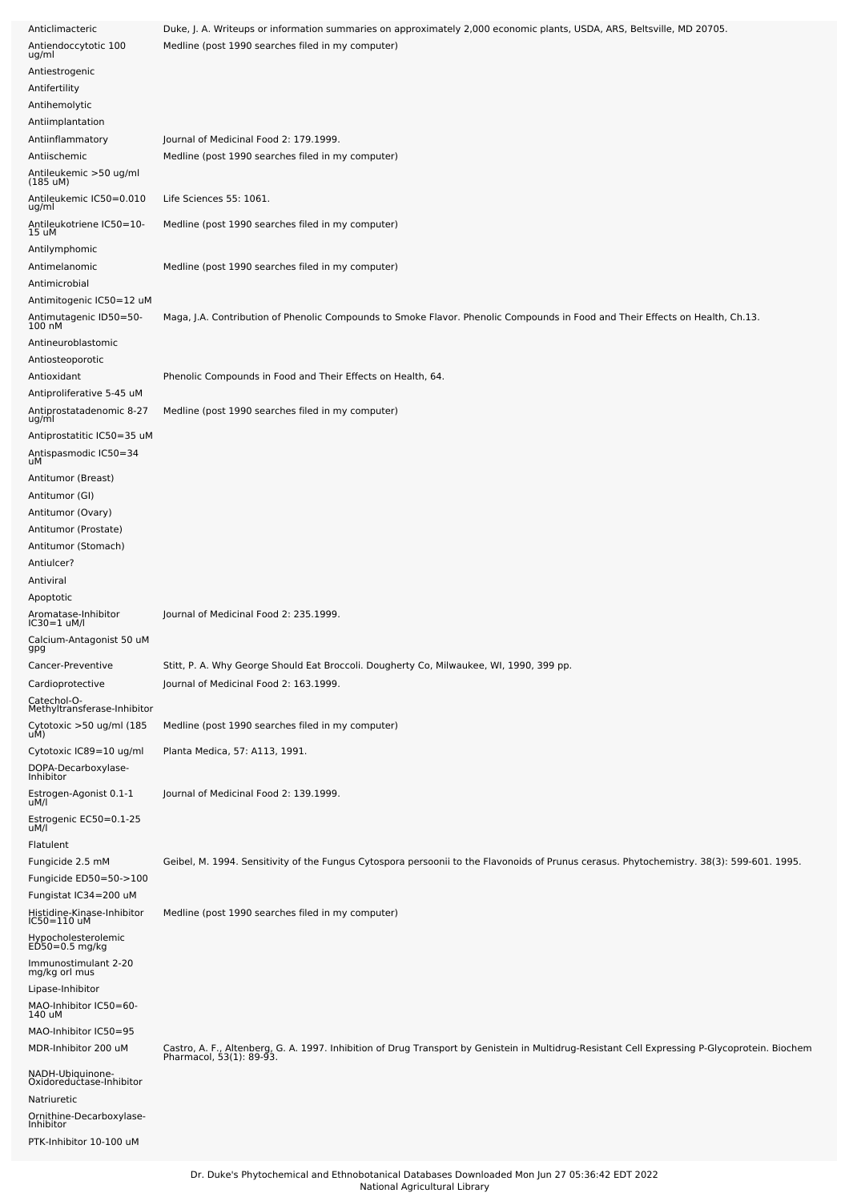| Anticlimacteric                                                    | Duke, J. A. Writeups or information summaries on approximately 2,000 economic plants, USDA, ARS, Beltsville, MD 20705.                                                     |
|--------------------------------------------------------------------|----------------------------------------------------------------------------------------------------------------------------------------------------------------------------|
| Antiendoccytotic 100<br>ug/ml                                      | Medline (post 1990 searches filed in my computer)                                                                                                                          |
| Antiestrogenic                                                     |                                                                                                                                                                            |
| Antifertility                                                      |                                                                                                                                                                            |
| Antihemolytic                                                      |                                                                                                                                                                            |
| Antiimplantation                                                   |                                                                                                                                                                            |
| Antiinflammatory                                                   | Journal of Medicinal Food 2: 179.1999.                                                                                                                                     |
| Antiischemic                                                       | Medline (post 1990 searches filed in my computer)                                                                                                                          |
| Antileukemic >50 ug/ml<br>(185 uM)                                 |                                                                                                                                                                            |
| Antileukemic IC50=0.010<br>ug/ml                                   | Life Sciences 55: 1061.                                                                                                                                                    |
| Antileukotriene IC50=10-<br>15 uM                                  | Medline (post 1990 searches filed in my computer)                                                                                                                          |
| Antilymphomic                                                      |                                                                                                                                                                            |
| Antimelanomic                                                      | Medline (post 1990 searches filed in my computer)                                                                                                                          |
| Antimicrobial<br>Antimitogenic IC50=12 uM                          |                                                                                                                                                                            |
| Antimutagenic ID50=50-<br>100 nM                                   | Maga, J.A. Contribution of Phenolic Compounds to Smoke Flavor. Phenolic Compounds in Food and Their Effects on Health, Ch.13.                                              |
| Antineuroblastomic                                                 |                                                                                                                                                                            |
| Antiosteoporotic                                                   |                                                                                                                                                                            |
| Antioxidant                                                        | Phenolic Compounds in Food and Their Effects on Health, 64.                                                                                                                |
| Antiproliferative 5-45 uM                                          |                                                                                                                                                                            |
| Antiprostatadenomic 8-27<br>ug/ml                                  | Medline (post 1990 searches filed in my computer)                                                                                                                          |
| Antiprostatitic IC50=35 uM                                         |                                                                                                                                                                            |
| Antispasmodic IC50=34<br>uМ                                        |                                                                                                                                                                            |
| Antitumor (Breast)                                                 |                                                                                                                                                                            |
| Antitumor (GI)                                                     |                                                                                                                                                                            |
| Antitumor (Ovary)                                                  |                                                                                                                                                                            |
| Antitumor (Prostate)                                               |                                                                                                                                                                            |
| Antitumor (Stomach)                                                |                                                                                                                                                                            |
| Antiulcer?<br>Antiviral                                            |                                                                                                                                                                            |
| Apoptotic                                                          |                                                                                                                                                                            |
| Aromatase-Inhibitor<br>IC30=1 uM/l                                 | Journal of Medicinal Food 2: 235.1999.                                                                                                                                     |
| Calcium-Antagonist 50 uM<br>gpg                                    |                                                                                                                                                                            |
| Cancer-Preventive                                                  | Stitt, P. A. Why George Should Eat Broccoli. Dougherty Co, Milwaukee, WI, 1990, 399 pp.                                                                                    |
| Cardioprotective                                                   | Journal of Medicinal Food 2: 163.1999.                                                                                                                                     |
| Catechol-O-<br>Methyltransferase-Inhibitor                         |                                                                                                                                                                            |
| Cytotoxic >50 ug/ml (185<br>uM)                                    | Medline (post 1990 searches filed in my computer)                                                                                                                          |
| Cytotoxic IC89=10 ug/ml<br>DOPA-Decarboxylase-                     | Planta Medica, 57: A113, 1991.                                                                                                                                             |
| Inhibitor<br>Estrogen-Agonist 0.1-1                                | Journal of Medicinal Food 2: 139.1999.                                                                                                                                     |
| uM/l                                                               |                                                                                                                                                                            |
| Estrogenic EC50=0.1-25<br>uM/l                                     |                                                                                                                                                                            |
| <b>Flatulent</b>                                                   |                                                                                                                                                                            |
| Fungicide 2.5 mM                                                   | Geibel, M. 1994. Sensitivity of the Fungus Cytospora persoonii to the Flavonoids of Prunus cerasus. Phytochemistry. 38(3): 599-601. 1995.                                  |
| Fungicide ED50=50->100                                             |                                                                                                                                                                            |
| Fungistat IC34=200 uM<br>Histidine-Kinase-Inhibitor<br>IC50=110 uM | Medline (post 1990 searches filed in my computer)                                                                                                                          |
| Hypocholesterolemic                                                |                                                                                                                                                                            |
| $E\dot{D}50=0.5$ mg/kg                                             |                                                                                                                                                                            |
| Immunostimulant 2-20<br>mg/kg orl mus                              |                                                                                                                                                                            |
| Lipase-Inhibitor                                                   |                                                                                                                                                                            |
| MAO-Inhibitor IC50=60-<br>140 uM                                   |                                                                                                                                                                            |
| MAO-Inhibitor IC50=95                                              |                                                                                                                                                                            |
| MDR-Inhibitor 200 uM                                               | Castro, A. F., Altenberg, G. A. 1997. Inhibition of Drug Transport by Genistein in Multidrug-Resistant Cell Expressing P-Glycoprotein. Biochem<br>Pharmacol, 53(1): 89-93. |
| NADH-Ubiquinone-<br>Oxidoreductase-Inhibitor                       |                                                                                                                                                                            |
| Natriuretic                                                        |                                                                                                                                                                            |
| Ornithine-Decarboxylase-<br>Inhibitor                              |                                                                                                                                                                            |
| PTK-Inhibitor 10-100 uM                                            |                                                                                                                                                                            |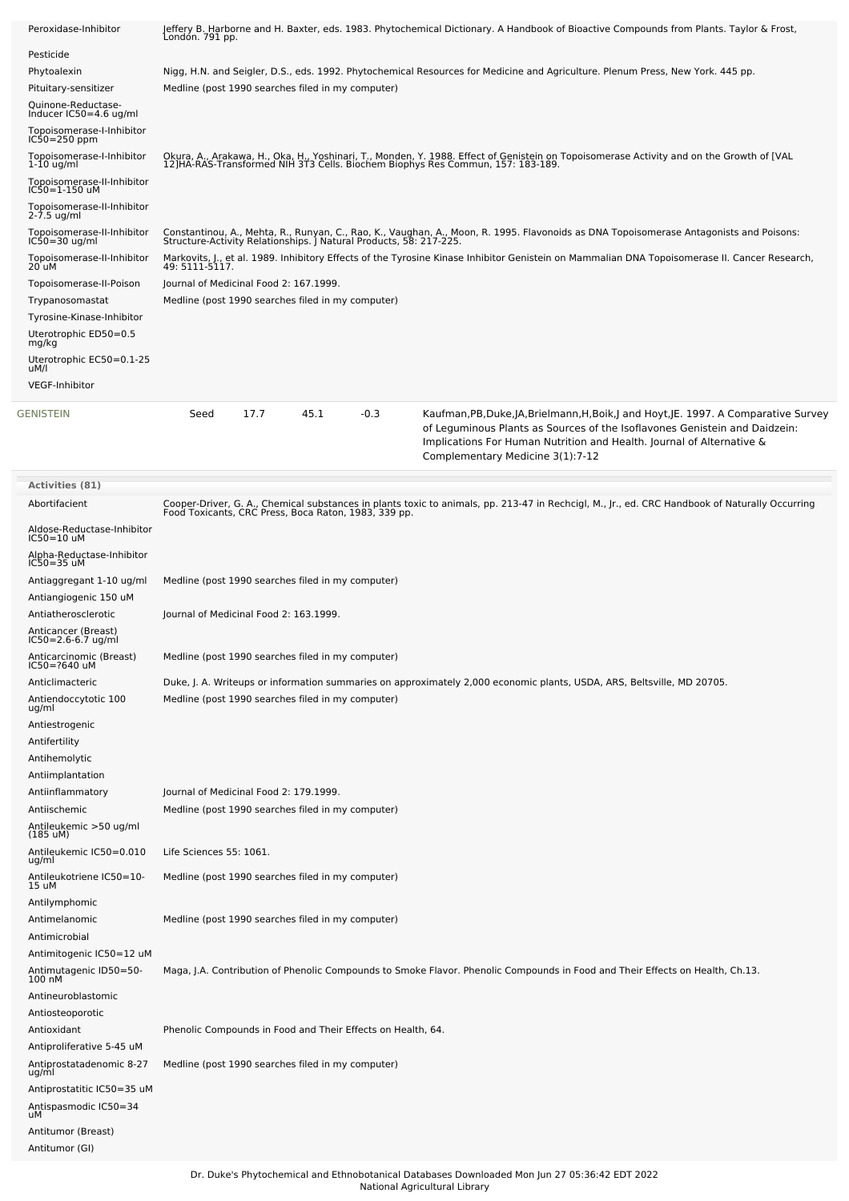| Peroxidase-Inhibitor                                                 | Jeffery B. Harborne and H. Baxter, eds. 1983. Phytochemical Dictionary. A Handbook of Bioactive Compounds from Plants. Taylor & Frost,<br>London. 791 pp.                                                                  |      |      |        |                                                                                                                                                                                                                                                                                  |  |  |  |  |  |
|----------------------------------------------------------------------|----------------------------------------------------------------------------------------------------------------------------------------------------------------------------------------------------------------------------|------|------|--------|----------------------------------------------------------------------------------------------------------------------------------------------------------------------------------------------------------------------------------------------------------------------------------|--|--|--|--|--|
| Pesticide                                                            |                                                                                                                                                                                                                            |      |      |        |                                                                                                                                                                                                                                                                                  |  |  |  |  |  |
| Phytoalexin                                                          | Nigg, H.N. and Seigler, D.S., eds. 1992. Phytochemical Resources for Medicine and Agriculture. Plenum Press, New York. 445 pp.                                                                                             |      |      |        |                                                                                                                                                                                                                                                                                  |  |  |  |  |  |
| Pituitary-sensitizer                                                 | Medline (post 1990 searches filed in my computer)                                                                                                                                                                          |      |      |        |                                                                                                                                                                                                                                                                                  |  |  |  |  |  |
| Quinone-Reductase-<br>Inducer IC50=4.6 ug/ml                         |                                                                                                                                                                                                                            |      |      |        |                                                                                                                                                                                                                                                                                  |  |  |  |  |  |
| Topoisomerase-I-Inhibitor<br>IC50=250 ppm                            |                                                                                                                                                                                                                            |      |      |        |                                                                                                                                                                                                                                                                                  |  |  |  |  |  |
| Topoisomerase-I-Inhibitor<br>$1-10$ ug/ml                            | Okura, A., Arakawa, H., Oka, H., Yoshinari, T., Monden, Y. 1988. Effect of Genistein on Topoisomerase Activity and on the Growth of [VAL<br>12]HA-RAS-Transformed NIH 3T3 Cells. Biochem Biophys Res Commun, 157: 183-189. |      |      |        |                                                                                                                                                                                                                                                                                  |  |  |  |  |  |
| Topoisomerase-II-Inhibitor<br>IC50=1-150 uM                          |                                                                                                                                                                                                                            |      |      |        |                                                                                                                                                                                                                                                                                  |  |  |  |  |  |
| Topoisomerase-II-Inhibitor<br>2-7.5 ug/ml                            |                                                                                                                                                                                                                            |      |      |        |                                                                                                                                                                                                                                                                                  |  |  |  |  |  |
| Topoisomerase-II-Inhibitor<br>$IC50 = 30$ ug/ml                      | Constantinou, A., Mehta, R., Runyan, C., Rao, K., Vaughan, A., Moon, R. 1995. Flavonoids as DNA Topoisomerase Antagonists and Poisons:<br>Structure-Activity Relationships. ] Natural Products, 58: 217-225.               |      |      |        |                                                                                                                                                                                                                                                                                  |  |  |  |  |  |
| Topoisomerase-II-Inhibitor<br>20 uM                                  | Markovits, J., et al. 1989. Inhibitory Effects of the Tyrosine Kinase Inhibitor Genistein on Mammalian DNA Topoisomerase II. Cancer Research,<br>49: 5111-5117.                                                            |      |      |        |                                                                                                                                                                                                                                                                                  |  |  |  |  |  |
| Topoisomerase-II-Poison                                              | Journal of Medicinal Food 2: 167.1999.                                                                                                                                                                                     |      |      |        |                                                                                                                                                                                                                                                                                  |  |  |  |  |  |
| Trypanosomastat                                                      | Medline (post 1990 searches filed in my computer)                                                                                                                                                                          |      |      |        |                                                                                                                                                                                                                                                                                  |  |  |  |  |  |
| Tyrosine-Kinase-Inhibitor                                            |                                                                                                                                                                                                                            |      |      |        |                                                                                                                                                                                                                                                                                  |  |  |  |  |  |
| Uterotrophic ED50=0.5<br>mg/kg                                       |                                                                                                                                                                                                                            |      |      |        |                                                                                                                                                                                                                                                                                  |  |  |  |  |  |
| Uterotrophic EC50=0.1-25<br>uM/l                                     |                                                                                                                                                                                                                            |      |      |        |                                                                                                                                                                                                                                                                                  |  |  |  |  |  |
| <b>VEGF-Inhibitor</b>                                                |                                                                                                                                                                                                                            |      |      |        |                                                                                                                                                                                                                                                                                  |  |  |  |  |  |
| GENISTEIN                                                            | Seed                                                                                                                                                                                                                       | 17.7 | 45.1 | $-0.3$ | Kaufman, PB, Duke, JA, Brielmann, H, Boik, J and Hoyt, JE. 1997. A Comparative Survey<br>of Leguminous Plants as Sources of the Isoflavones Genistein and Daidzein:<br>Implications For Human Nutrition and Health. Journal of Alternative &<br>Complementary Medicine 3(1):7-12 |  |  |  |  |  |
| <b>Activities (81)</b>                                               |                                                                                                                                                                                                                            |      |      |        |                                                                                                                                                                                                                                                                                  |  |  |  |  |  |
| Abortifacient                                                        |                                                                                                                                                                                                                            |      |      |        | Cooper-Driver, G. A., Chemical substances in plants toxic to animals, pp. 213-47 in Rechcigl, M., Jr., ed. CRC Handbook of Naturally Occurring<br>Food Toxicants, CRC Press, Boca Raton, 1983, 339 pp.                                                                           |  |  |  |  |  |
| Aldose-Reductase-Inhibitor<br>IC50=10 uM                             |                                                                                                                                                                                                                            |      |      |        |                                                                                                                                                                                                                                                                                  |  |  |  |  |  |
| Alpha-Reductase-Inhibitor<br>IC50=35 uM                              |                                                                                                                                                                                                                            |      |      |        |                                                                                                                                                                                                                                                                                  |  |  |  |  |  |
| Antiaggregant 1-10 ug/ml                                             | Medline (post 1990 searches filed in my computer)                                                                                                                                                                          |      |      |        |                                                                                                                                                                                                                                                                                  |  |  |  |  |  |
| Antiangiogenic 150 uM<br>Antiatherosclerotic                         |                                                                                                                                                                                                                            |      |      |        |                                                                                                                                                                                                                                                                                  |  |  |  |  |  |
|                                                                      | Journal of Medicinal Food 2: 163.1999.                                                                                                                                                                                     |      |      |        |                                                                                                                                                                                                                                                                                  |  |  |  |  |  |
| Anticancer (Breast)<br>IC50=2.6-6.7 ug/ml<br>Anticarcinomic (Breast) | Medline (post 1990 searches filed in my computer)                                                                                                                                                                          |      |      |        |                                                                                                                                                                                                                                                                                  |  |  |  |  |  |
| IC50=?640 uM                                                         |                                                                                                                                                                                                                            |      |      |        |                                                                                                                                                                                                                                                                                  |  |  |  |  |  |
| Anticlimacteric<br>Antiendoccytotic 100                              | Medline (post 1990 searches filed in my computer)                                                                                                                                                                          |      |      |        | Duke, J. A. Writeups or information summaries on approximately 2,000 economic plants, USDA, ARS, Beltsville, MD 20705.                                                                                                                                                           |  |  |  |  |  |
| ug/ml                                                                |                                                                                                                                                                                                                            |      |      |        |                                                                                                                                                                                                                                                                                  |  |  |  |  |  |
| Antiestrogenic<br>Antifertility                                      |                                                                                                                                                                                                                            |      |      |        |                                                                                                                                                                                                                                                                                  |  |  |  |  |  |
| Antihemolytic                                                        |                                                                                                                                                                                                                            |      |      |        |                                                                                                                                                                                                                                                                                  |  |  |  |  |  |
| Antiimplantation                                                     |                                                                                                                                                                                                                            |      |      |        |                                                                                                                                                                                                                                                                                  |  |  |  |  |  |
| Antiinflammatory<br>Antiischemic                                     | Journal of Medicinal Food 2: 179.1999.<br>Medline (post 1990 searches filed in my computer)                                                                                                                                |      |      |        |                                                                                                                                                                                                                                                                                  |  |  |  |  |  |
| Antileukemic >50 ug/ml                                               |                                                                                                                                                                                                                            |      |      |        |                                                                                                                                                                                                                                                                                  |  |  |  |  |  |
| $(185 \text{ uM})$<br>Antileukemic IC50=0.010                        | Life Sciences 55: 1061.                                                                                                                                                                                                    |      |      |        |                                                                                                                                                                                                                                                                                  |  |  |  |  |  |
| ug/ml<br>Antileukotriene IC50=10-                                    | Medline (post 1990 searches filed in my computer)                                                                                                                                                                          |      |      |        |                                                                                                                                                                                                                                                                                  |  |  |  |  |  |
| 15 uM<br>Antilymphomic                                               |                                                                                                                                                                                                                            |      |      |        |                                                                                                                                                                                                                                                                                  |  |  |  |  |  |
| Antimelanomic                                                        | Medline (post 1990 searches filed in my computer)                                                                                                                                                                          |      |      |        |                                                                                                                                                                                                                                                                                  |  |  |  |  |  |
| Antimicrobial                                                        |                                                                                                                                                                                                                            |      |      |        |                                                                                                                                                                                                                                                                                  |  |  |  |  |  |
| Antimitogenic IC50=12 uM                                             |                                                                                                                                                                                                                            |      |      |        |                                                                                                                                                                                                                                                                                  |  |  |  |  |  |
| Antimutagenic ID50=50-<br>100 nM                                     |                                                                                                                                                                                                                            |      |      |        | Maga, J.A. Contribution of Phenolic Compounds to Smoke Flavor. Phenolic Compounds in Food and Their Effects on Health, Ch.13.                                                                                                                                                    |  |  |  |  |  |
| Antineuroblastomic                                                   |                                                                                                                                                                                                                            |      |      |        |                                                                                                                                                                                                                                                                                  |  |  |  |  |  |
| Antiosteoporotic<br>Antioxidant                                      | Phenolic Compounds in Food and Their Effects on Health, 64.                                                                                                                                                                |      |      |        |                                                                                                                                                                                                                                                                                  |  |  |  |  |  |
| Antiproliferative 5-45 uM                                            |                                                                                                                                                                                                                            |      |      |        |                                                                                                                                                                                                                                                                                  |  |  |  |  |  |
| Antiprostatadenomic 8-27<br>ug/ml                                    | Medline (post 1990 searches filed in my computer)                                                                                                                                                                          |      |      |        |                                                                                                                                                                                                                                                                                  |  |  |  |  |  |
| Antiprostatitic IC50=35 uM                                           |                                                                                                                                                                                                                            |      |      |        |                                                                                                                                                                                                                                                                                  |  |  |  |  |  |
| Antispasmodic IC50=34<br>uМ                                          |                                                                                                                                                                                                                            |      |      |        |                                                                                                                                                                                                                                                                                  |  |  |  |  |  |
| Antitumor (Breast)                                                   |                                                                                                                                                                                                                            |      |      |        |                                                                                                                                                                                                                                                                                  |  |  |  |  |  |

Antitumor (GI)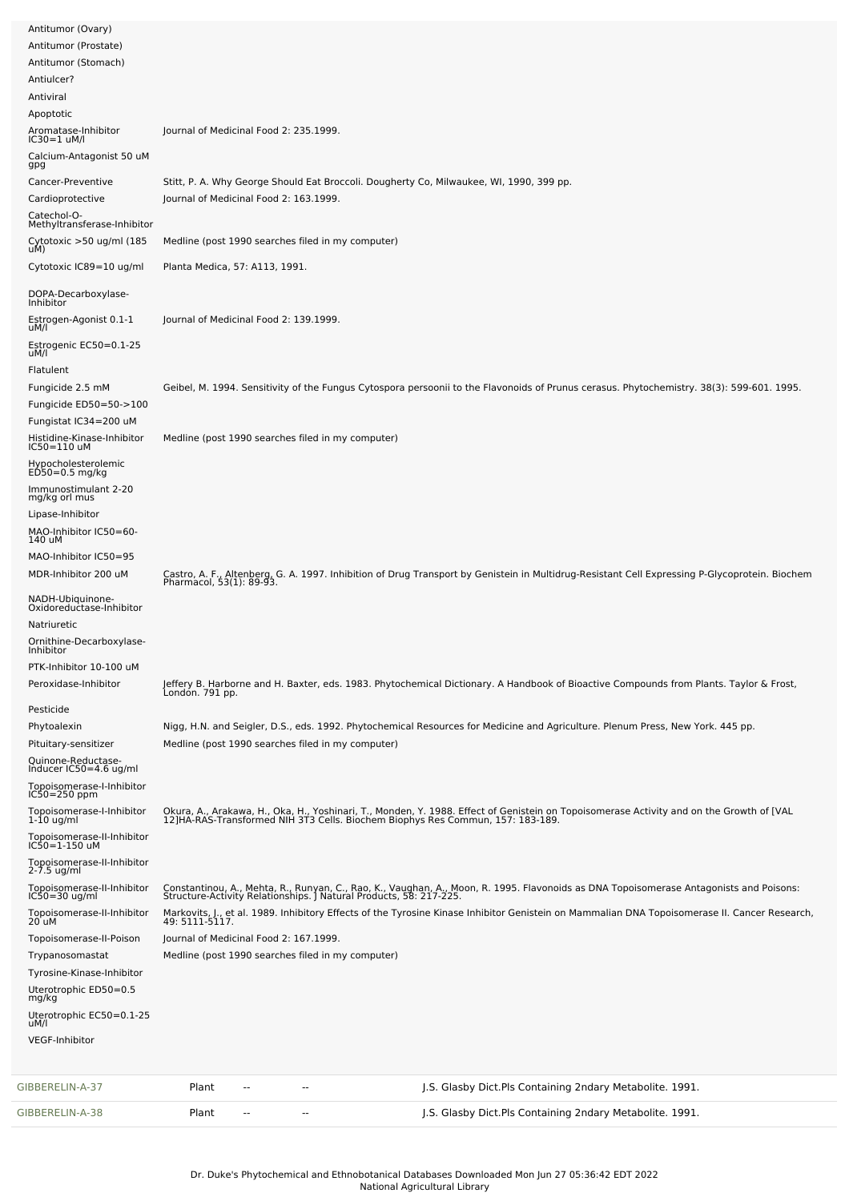| Antitumor (Ovary)                                  |                                        |    |                                                   |                                                                                                                                                                                                                            |
|----------------------------------------------------|----------------------------------------|----|---------------------------------------------------|----------------------------------------------------------------------------------------------------------------------------------------------------------------------------------------------------------------------------|
| Antitumor (Prostate)                               |                                        |    |                                                   |                                                                                                                                                                                                                            |
| Antitumor (Stomach)<br>Antiulcer?                  |                                        |    |                                                   |                                                                                                                                                                                                                            |
| Antiviral                                          |                                        |    |                                                   |                                                                                                                                                                                                                            |
| Apoptotic                                          |                                        |    |                                                   |                                                                                                                                                                                                                            |
| Aromatase-Inhibitor<br>$IC30=1$ uM/l               | Journal of Medicinal Food 2: 235.1999. |    |                                                   |                                                                                                                                                                                                                            |
| Calcium-Antagonist 50 uM<br>gpg                    |                                        |    |                                                   |                                                                                                                                                                                                                            |
| Cancer-Preventive                                  |                                        |    |                                                   | Stitt, P. A. Why George Should Eat Broccoli. Dougherty Co, Milwaukee, WI, 1990, 399 pp.                                                                                                                                    |
| Cardioprotective                                   | Journal of Medicinal Food 2: 163.1999. |    |                                                   |                                                                                                                                                                                                                            |
| Catechol-O-<br>Methyltransferase-Inhibitor         |                                        |    |                                                   |                                                                                                                                                                                                                            |
| Cytotoxic >50 ug/ml (185<br>uM)                    |                                        |    | Medline (post 1990 searches filed in my computer) |                                                                                                                                                                                                                            |
| Cytotoxic IC89=10 ug/ml                            | Planta Medica, 57: A113, 1991.         |    |                                                   |                                                                                                                                                                                                                            |
| DOPA-Decarboxylase-<br>Inhibitor                   |                                        |    |                                                   |                                                                                                                                                                                                                            |
| Estrogen-Agonist 0.1-1<br>uM/l                     | Journal of Medicinal Food 2: 139.1999. |    |                                                   |                                                                                                                                                                                                                            |
| Estrogenic EC50=0.1-25<br>uM/l                     |                                        |    |                                                   |                                                                                                                                                                                                                            |
| Flatulent                                          |                                        |    |                                                   |                                                                                                                                                                                                                            |
| Fungicide 2.5 mM                                   |                                        |    |                                                   | Geibel, M. 1994. Sensitivity of the Fungus Cytospora persoonii to the Flavonoids of Prunus cerasus. Phytochemistry. 38(3): 599-601. 1995.                                                                                  |
| Fungicide ED50=50->100                             |                                        |    |                                                   |                                                                                                                                                                                                                            |
| Fungistat IC34=200 uM                              |                                        |    |                                                   |                                                                                                                                                                                                                            |
| Histidine-Kinase-Inhibitor<br>IC50=110 uM          |                                        |    | Medline (post 1990 searches filed in my computer) |                                                                                                                                                                                                                            |
| Hypocholesterolemic<br>ED50=0.5 mg/kg              |                                        |    |                                                   |                                                                                                                                                                                                                            |
| Immunostimulant 2-20<br>mg/kg orl mus              |                                        |    |                                                   |                                                                                                                                                                                                                            |
| Lipase-Inhibitor                                   |                                        |    |                                                   |                                                                                                                                                                                                                            |
| MAO-Inhibitor IC50=60-<br>140 uM                   |                                        |    |                                                   |                                                                                                                                                                                                                            |
| MAO-Inhibitor IC50=95                              |                                        |    |                                                   |                                                                                                                                                                                                                            |
| MDR-Inhibitor 200 uM                               |                                        |    |                                                   | Castro, A. F., Altenberg, G. A. 1997. Inhibition of Drug Transport by Genistein in Multidrug-Resistant Cell Expressing P-Glycoprotein. Biochem<br>Pharmacol, 53(1): 89-93.                                                 |
| NADH-Ubiquinone-<br>Oxidoreductase-Inhibitor       |                                        |    |                                                   |                                                                                                                                                                                                                            |
| Natriuretic                                        |                                        |    |                                                   |                                                                                                                                                                                                                            |
| Ornithine-Decarboxylase-<br>Inhibitor              |                                        |    |                                                   |                                                                                                                                                                                                                            |
| PTK-Inhibitor 10-100 uM                            |                                        |    |                                                   |                                                                                                                                                                                                                            |
| Peroxidase-Inhibitor                               |                                        |    |                                                   | Jeffery B. Harborne and H. Baxter, eds. 1983. Phytochemical Dictionary. A Handbook of Bioactive Compounds from Plants. Taylor & Frost,<br>London. 791 pp.                                                                  |
| Pesticide                                          |                                        |    |                                                   |                                                                                                                                                                                                                            |
| Phytoalexin                                        |                                        |    |                                                   | Nigg, H.N. and Seigler, D.S., eds. 1992. Phytochemical Resources for Medicine and Agriculture. Plenum Press, New York. 445 pp.                                                                                             |
| Pituitary-sensitizer                               |                                        |    | Medline (post 1990 searches filed in my computer) |                                                                                                                                                                                                                            |
| Quinone-Reductase-<br>Inducer IC50=4.6 ug/ml       |                                        |    |                                                   |                                                                                                                                                                                                                            |
| Topoisomerase-I-Inhibitor<br>$IC50 = 250$ ppm      |                                        |    |                                                   |                                                                                                                                                                                                                            |
| Topoisomerase-I-Inhibitor<br>$1-10$ ug/ml          |                                        |    |                                                   | Okura, A., Arakawa, H., Oka, H., Yoshinari, T., Monden, Y. 1988. Effect of Genistein on Topoisomerase Activity and on the Growth of [VAL<br>12]HA-RAS-Transformed NIH 3T3 Cells. Biochem Biophys Res Commun, 157: 183-189. |
| Topoisomerase-II-Inhibitor<br>IC50=1-150 uM        |                                        |    |                                                   |                                                                                                                                                                                                                            |
| Topoisomerase-II-Inhibitor<br>$2 - 7.5$ ug/ml      |                                        |    |                                                   |                                                                                                                                                                                                                            |
| Topoisomerase-II-Inhibitor<br>$IC50 = 30$ ug/ml    |                                        |    |                                                   | Constantinou, A., Mehta, R., Runyan, C., Rao, K., Vaughan, A., Moon, R. 1995. Flavonoids as DNA Topoisomerase Antagonists and Poisons:<br>Structure-Activity Relationships. J Natural Products, 58: 217-225.               |
| Topoisomerase-II-Inhibitor<br>20 uM                |                                        |    |                                                   | Markovits, J., et al. 1989. Inhibitory Effects of the Tyrosine Kinase Inhibitor Genistein on Mammalian DNA Topoisomerase II. Cancer Research,<br>49: 5111-5117.                                                            |
| Topoisomerase-II-Poison                            | Journal of Medicinal Food 2: 167.1999. |    |                                                   |                                                                                                                                                                                                                            |
| Trypanosomastat                                    |                                        |    | Medline (post 1990 searches filed in my computer) |                                                                                                                                                                                                                            |
| Tyrosine-Kinase-Inhibitor<br>Uterotrophic ED50=0.5 |                                        |    |                                                   |                                                                                                                                                                                                                            |
| mg/kg                                              |                                        |    |                                                   |                                                                                                                                                                                                                            |
| Uterotrophic EC50=0.1-25<br>uM/l                   |                                        |    |                                                   |                                                                                                                                                                                                                            |
| <b>VEGF-Inhibitor</b>                              |                                        |    |                                                   |                                                                                                                                                                                                                            |
| GIBBERELIN-A-37                                    | Plant                                  | -- | ۰.                                                | J.S. Glasby Dict.Pls Containing 2ndary Metabolite. 1991.                                                                                                                                                                   |
| GIBBERELIN-A-38                                    | Plant                                  | -- | $\sim$                                            | J.S. Glasby Dict.Pls Containing 2ndary Metabolite. 1991.                                                                                                                                                                   |
|                                                    |                                        |    |                                                   |                                                                                                                                                                                                                            |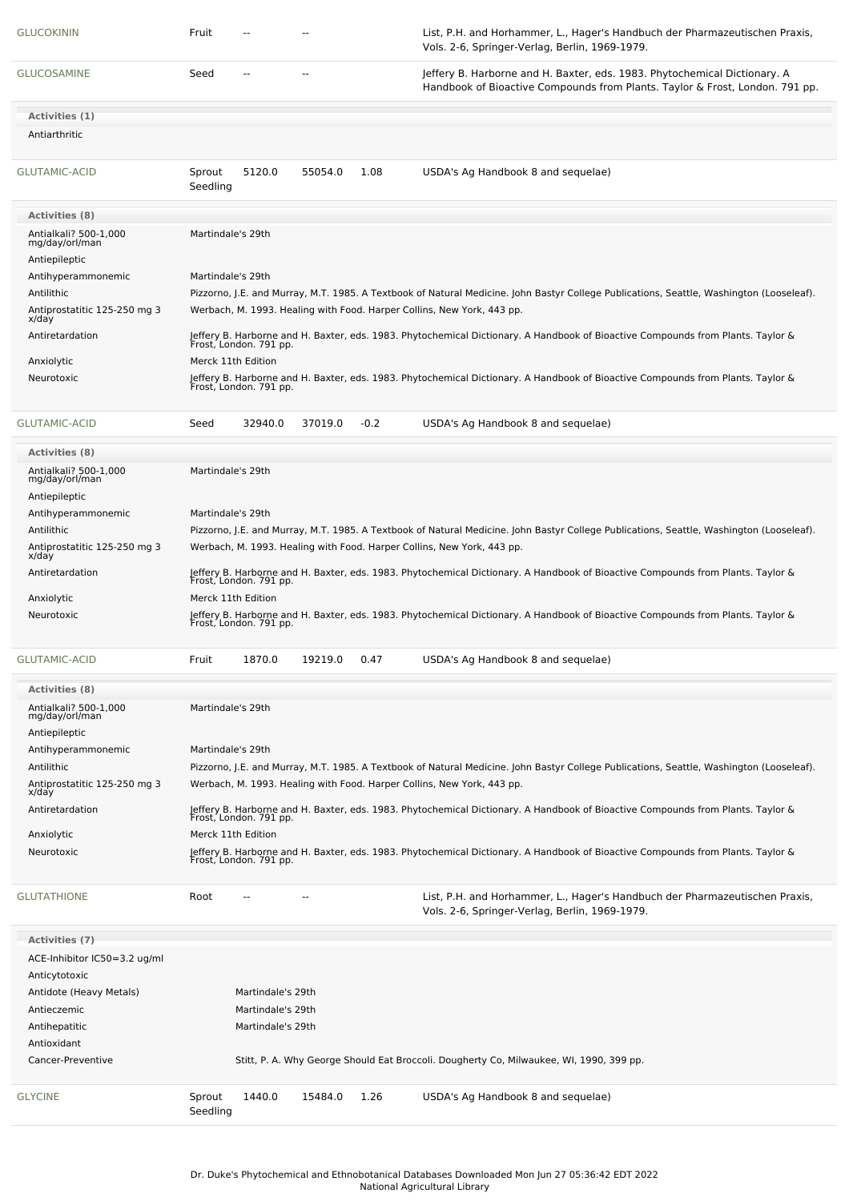| <b>GLUCOKININ</b>                                        | Fruit              |                        |         |        | List, P.H. and Horhammer, L., Hager's Handbuch der Pharmazeutischen Praxis,<br>Vols. 2-6, Springer-Verlag, Berlin, 1969-1979.                             |
|----------------------------------------------------------|--------------------|------------------------|---------|--------|-----------------------------------------------------------------------------------------------------------------------------------------------------------|
| <b>GLUCOSAMINE</b>                                       | Seed               | $\overline{a}$         | --      |        | Jeffery B. Harborne and H. Baxter, eds. 1983. Phytochemical Dictionary. A<br>Handbook of Bioactive Compounds from Plants. Taylor & Frost, London. 791 pp. |
| Activities (1)                                           |                    |                        |         |        |                                                                                                                                                           |
| Antiarthritic                                            |                    |                        |         |        |                                                                                                                                                           |
| GLUTAMIC-ACID                                            | Sprout<br>Seedling | 5120.0                 | 55054.0 | 1.08   | USDA's Ag Handbook 8 and sequelae)                                                                                                                        |
| <b>Activities (8)</b>                                    |                    |                        |         |        |                                                                                                                                                           |
| Antialkali? 500-1,000<br>mg/day/orl/man<br>Antiepileptic | Martindale's 29th  |                        |         |        |                                                                                                                                                           |
| Antihyperammonemic                                       | Martindale's 29th  |                        |         |        |                                                                                                                                                           |
| Antilithic                                               |                    |                        |         |        | Pizzorno, J.E. and Murray, M.T. 1985. A Textbook of Natural Medicine. John Bastyr College Publications, Seattle, Washington (Looseleaf).                  |
| Antiprostatitic 125-250 mg 3<br>x/day                    |                    |                        |         |        | Werbach, M. 1993. Healing with Food. Harper Collins, New York, 443 pp.                                                                                    |
| Antiretardation                                          |                    |                        |         |        | Jeffery B. Harborne and H. Baxter, eds. 1983. Phytochemical Dictionary. A Handbook of Bioactive Compounds from Plants. Taylor &<br>Frost, London. 791 pp. |
| Anxiolytic                                               |                    | Merck 11th Edition     |         |        |                                                                                                                                                           |
| Neurotoxic                                               |                    |                        |         |        | Jeffery B. Harborne and H. Baxter, eds. 1983. Phytochemical Dictionary. A Handbook of Bioactive Compounds from Plants. Taylor &<br>Frost, London. 791 pp. |
| <b>GLUTAMIC-ACID</b>                                     | Seed               | 32940.0                | 37019.0 | $-0.2$ | USDA's Ag Handbook 8 and sequelae)                                                                                                                        |
| <b>Activities (8)</b>                                    |                    |                        |         |        |                                                                                                                                                           |
| Antialkali? 500-1,000<br>mg/day/orl/man<br>Antiepileptic | Martindale's 29th  |                        |         |        |                                                                                                                                                           |
| Antihyperammonemic                                       | Martindale's 29th  |                        |         |        |                                                                                                                                                           |
| Antilithic                                               |                    |                        |         |        | Pizzorno, J.E. and Murray, M.T. 1985. A Textbook of Natural Medicine. John Bastyr College Publications, Seattle, Washington (Looseleaf).                  |
| Antiprostatitic 125-250 mg 3<br>x/day                    |                    |                        |         |        | Werbach, M. 1993. Healing with Food. Harper Collins, New York, 443 pp.                                                                                    |
| Antiretardation                                          |                    | Frost, London. 791 pp. |         |        | Jeffery B. Harborne and H. Baxter, eds. 1983. Phytochemical Dictionary. A Handbook of Bioactive Compounds from Plants. Taylor &                           |
| Anxiolytic                                               |                    | Merck 11th Edition     |         |        |                                                                                                                                                           |
| Neurotoxic                                               |                    |                        |         |        | Jeffery B. Harborne and H. Baxter, eds. 1983. Phytochemical Dictionary. A Handbook of Bioactive Compounds from Plants. Taylor &<br>Frost, London. 791 pp. |
| GLUTAMIC-ACID                                            | Fruit              | 1870.0                 | 19219.0 | 0.47   | USDA's Ag Handbook 8 and sequelae)                                                                                                                        |
| <b>Activities (8)</b>                                    |                    |                        |         |        |                                                                                                                                                           |
| Antialkali? 500-1,000<br>mg/day/orl/man<br>Antiepileptic | Martindale's 29th  |                        |         |        |                                                                                                                                                           |
| Antihyperammonemic                                       | Martindale's 29th  |                        |         |        |                                                                                                                                                           |
| Antilithic                                               |                    |                        |         |        | Pizzorno, J.E. and Murray, M.T. 1985. A Textbook of Natural Medicine. John Bastyr College Publications, Seattle, Washington (Looseleaf).                  |
| Antiprostatitic 125-250 mg 3<br>x/day                    |                    |                        |         |        | Werbach, M. 1993. Healing with Food. Harper Collins, New York, 443 pp.                                                                                    |
| Antiretardation                                          |                    | Frost, London. 791 pp. |         |        | Jeffery B. Harborne and H. Baxter, eds. 1983. Phytochemical Dictionary. A Handbook of Bioactive Compounds from Plants. Taylor &                           |
| Anxiolytic                                               |                    | Merck 11th Edition     |         |        |                                                                                                                                                           |
| Neurotoxic                                               |                    | Frost, London. 791 pp. |         |        | Jeffery B. Harborne and H. Baxter, eds. 1983. Phytochemical Dictionary. A Handbook of Bioactive Compounds from Plants. Taylor &                           |
| <b>GLUTATHIONE</b>                                       | Root               |                        |         |        | List, P.H. and Horhammer, L., Hager's Handbuch der Pharmazeutischen Praxis,<br>Vols. 2-6, Springer-Verlag, Berlin, 1969-1979.                             |
| <b>Activities (7)</b>                                    |                    |                        |         |        |                                                                                                                                                           |
| ACE-Inhibitor IC50=3.2 ug/ml                             |                    |                        |         |        |                                                                                                                                                           |
| Anticytotoxic                                            |                    |                        |         |        |                                                                                                                                                           |
| Antidote (Heavy Metals)                                  |                    | Martindale's 29th      |         |        |                                                                                                                                                           |
| Antieczemic                                              |                    | Martindale's 29th      |         |        |                                                                                                                                                           |
| Antihepatitic                                            |                    | Martindale's 29th      |         |        |                                                                                                                                                           |
| Antioxidant                                              |                    |                        |         |        |                                                                                                                                                           |
| Cancer-Preventive                                        |                    |                        |         |        | Stitt, P. A. Why George Should Eat Broccoli. Dougherty Co, Milwaukee, WI, 1990, 399 pp.                                                                   |
| <b>GLYCINE</b>                                           | Sprout<br>Seedling | 1440.0                 | 15484.0 | 1.26   | USDA's Ag Handbook 8 and sequelae)                                                                                                                        |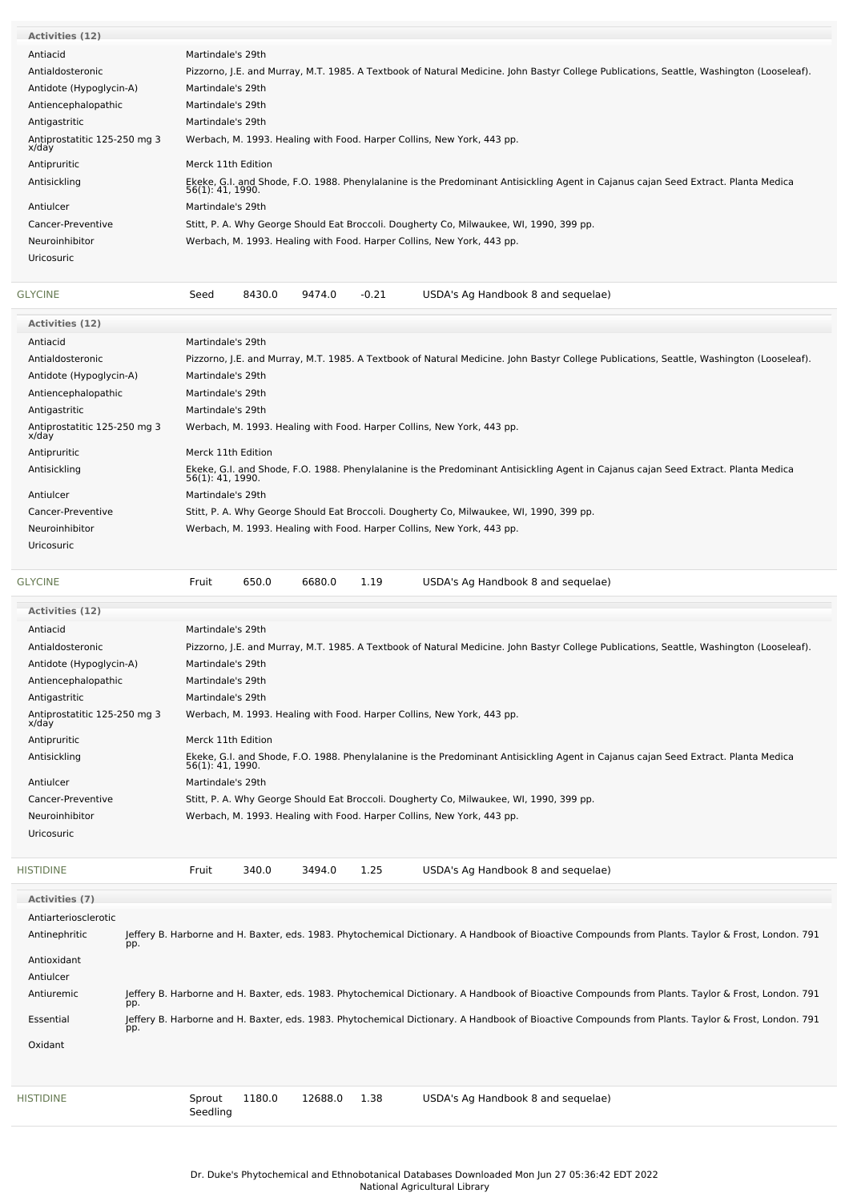| <b>Uricosuric</b>                     |                                                                                                                                                        |  |  |  |  |  |  |  |  |  |
|---------------------------------------|--------------------------------------------------------------------------------------------------------------------------------------------------------|--|--|--|--|--|--|--|--|--|
| Neuroinhibitor                        | Werbach, M. 1993. Healing with Food. Harper Collins, New York, 443 pp.                                                                                 |  |  |  |  |  |  |  |  |  |
| Cancer-Preventive                     | Stitt, P. A. Why George Should Eat Broccoli. Dougherty Co, Milwaukee, WI, 1990, 399 pp.                                                                |  |  |  |  |  |  |  |  |  |
| Antiulcer                             | Martindale's 29th                                                                                                                                      |  |  |  |  |  |  |  |  |  |
| Antisickling                          | Ekeke, G.I. and Shode, F.O. 1988. Phenylalanine is the Predominant Antisickling Agent in Cajanus cajan Seed Extract. Planta Medica<br>56(1): 41, 1990. |  |  |  |  |  |  |  |  |  |
| Antipruritic                          | Merck 11th Edition                                                                                                                                     |  |  |  |  |  |  |  |  |  |
| Antiprostatitic 125-250 mg 3<br>x/day | Werbach, M. 1993. Healing with Food. Harper Collins, New York, 443 pp.                                                                                 |  |  |  |  |  |  |  |  |  |
| Antigastritic                         | Martindale's 29th                                                                                                                                      |  |  |  |  |  |  |  |  |  |
| Antiencephalopathic                   | Martindale's 29th                                                                                                                                      |  |  |  |  |  |  |  |  |  |
| Antidote (Hypoglycin-A)               | Martindale's 29th                                                                                                                                      |  |  |  |  |  |  |  |  |  |
| Antialdosteronic                      | Pizzorno, J.E. and Murray, M.T. 1985. A Textbook of Natural Medicine. John Bastyr College Publications, Seattle, Washington (Looseleaf).               |  |  |  |  |  |  |  |  |  |
| Antiacid                              | Martindale's 29th                                                                                                                                      |  |  |  |  |  |  |  |  |  |
| <b>Activities (12)</b>                |                                                                                                                                                        |  |  |  |  |  |  |  |  |  |

| <b>Activities (12)</b>                |                                                                                                                                                        |
|---------------------------------------|--------------------------------------------------------------------------------------------------------------------------------------------------------|
| Antiacid                              | Martindale's 29th                                                                                                                                      |
| Antialdosteronic                      | Pizzorno, J.E. and Murray, M.T. 1985. A Textbook of Natural Medicine. John Bastyr College Publications, Seattle, Washington (Looseleaf).               |
| Antidote (Hypoglycin-A)               | Martindale's 29th                                                                                                                                      |
| Antiencephalopathic                   | Martindale's 29th                                                                                                                                      |
| Antigastritic                         | Martindale's 29th                                                                                                                                      |
| Antiprostatitic 125-250 mg 3<br>x/day | Werbach, M. 1993. Healing with Food. Harper Collins, New York, 443 pp.                                                                                 |
| Antipruritic                          | Merck 11th Edition                                                                                                                                     |
| Antisickling                          | Ekeke, G.I. and Shode, F.O. 1988. Phenylalanine is the Predominant Antisickling Agent in Cajanus cajan Seed Extract. Planta Medica<br>56(1): 41, 1990. |
| Antiulcer                             | Martindale's 29th                                                                                                                                      |
| Cancer-Preventive                     | Stitt, P. A. Why George Should Eat Broccoli. Dougherty Co, Milwaukee, WI, 1990, 399 pp.                                                                |
| Neuroinhibitor                        | Werbach, M. 1993. Healing with Food. Harper Collins, New York, 443 pp.                                                                                 |
| <b>Uricosuric</b>                     |                                                                                                                                                        |
|                                       |                                                                                                                                                        |

[GLYCINE](file:///phytochem/chemicals/show/9249) **Fruit** 650.0 6680.0 1.19 USDA's Ag Handbook 8 and sequelae)

| <b>Activities (12)</b>                |                                                                                                                                                        |  |  |  |  |  |  |  |  |  |
|---------------------------------------|--------------------------------------------------------------------------------------------------------------------------------------------------------|--|--|--|--|--|--|--|--|--|
| Antiacid                              | Martindale's 29th                                                                                                                                      |  |  |  |  |  |  |  |  |  |
| Antialdosteronic                      | Pizzorno, J.E. and Murray, M.T. 1985. A Textbook of Natural Medicine. John Bastyr College Publications, Seattle, Washington (Looseleaf).               |  |  |  |  |  |  |  |  |  |
| Antidote (Hypoglycin-A)               | Martindale's 29th                                                                                                                                      |  |  |  |  |  |  |  |  |  |
| Antiencephalopathic                   | Martindale's 29th                                                                                                                                      |  |  |  |  |  |  |  |  |  |
| Antigastritic                         | Martindale's 29th                                                                                                                                      |  |  |  |  |  |  |  |  |  |
| Antiprostatitic 125-250 mg 3<br>x/day | Werbach, M. 1993. Healing with Food. Harper Collins, New York, 443 pp.                                                                                 |  |  |  |  |  |  |  |  |  |
| Antipruritic                          | Merck 11th Edition                                                                                                                                     |  |  |  |  |  |  |  |  |  |
| Antisickling                          | Ekeke, G.I. and Shode, F.O. 1988. Phenylalanine is the Predominant Antisickling Agent in Cajanus cajan Seed Extract. Planta Medica<br>56(1): 41, 1990. |  |  |  |  |  |  |  |  |  |
| Antiulcer                             | Martindale's 29th                                                                                                                                      |  |  |  |  |  |  |  |  |  |
| Cancer-Preventive                     | Stitt, P. A. Why George Should Eat Broccoli. Dougherty Co, Milwaukee, WI, 1990, 399 pp.                                                                |  |  |  |  |  |  |  |  |  |
| Neuroinhibitor                        | Werbach, M. 1993. Healing with Food. Harper Collins, New York, 443 pp.                                                                                 |  |  |  |  |  |  |  |  |  |
| <b>Uricosuric</b>                     |                                                                                                                                                        |  |  |  |  |  |  |  |  |  |
|                                       |                                                                                                                                                        |  |  |  |  |  |  |  |  |  |
| <b>HISTIDINE</b>                      | 340.0<br>1.25<br>USDA's Ag Handbook 8 and sequelae)<br>3494.0<br>Fruit                                                                                 |  |  |  |  |  |  |  |  |  |

| Activities (7)       |     |                    |        |         |      |  |                                                                                                                                                    |  |  |
|----------------------|-----|--------------------|--------|---------|------|--|----------------------------------------------------------------------------------------------------------------------------------------------------|--|--|
| Antiarteriosclerotic |     |                    |        |         |      |  |                                                                                                                                                    |  |  |
| Antinephritic        | pp. |                    |        |         |      |  | Jeffery B. Harborne and H. Baxter, eds. 1983. Phytochemical Dictionary. A Handbook of Bioactive Compounds from Plants. Taylor & Frost, London. 791 |  |  |
| Antioxidant          |     |                    |        |         |      |  |                                                                                                                                                    |  |  |
| Antiulcer            |     |                    |        |         |      |  |                                                                                                                                                    |  |  |
| Antiuremic           | pp. |                    |        |         |      |  | Jeffery B. Harborne and H. Baxter, eds. 1983. Phytochemical Dictionary. A Handbook of Bioactive Compounds from Plants. Taylor & Frost, London. 791 |  |  |
| Essential            | pp. |                    |        |         |      |  | Jeffery B. Harborne and H. Baxter, eds. 1983. Phytochemical Dictionary. A Handbook of Bioactive Compounds from Plants. Taylor & Frost, London. 791 |  |  |
| Oxidant              |     |                    |        |         |      |  |                                                                                                                                                    |  |  |
|                      |     |                    |        |         |      |  |                                                                                                                                                    |  |  |
| <b>HISTIDINE</b>     |     | Sprout<br>Seedling | 1180.0 | 12688.0 | 1.38 |  | USDA's Ag Handbook 8 and sequelae)                                                                                                                 |  |  |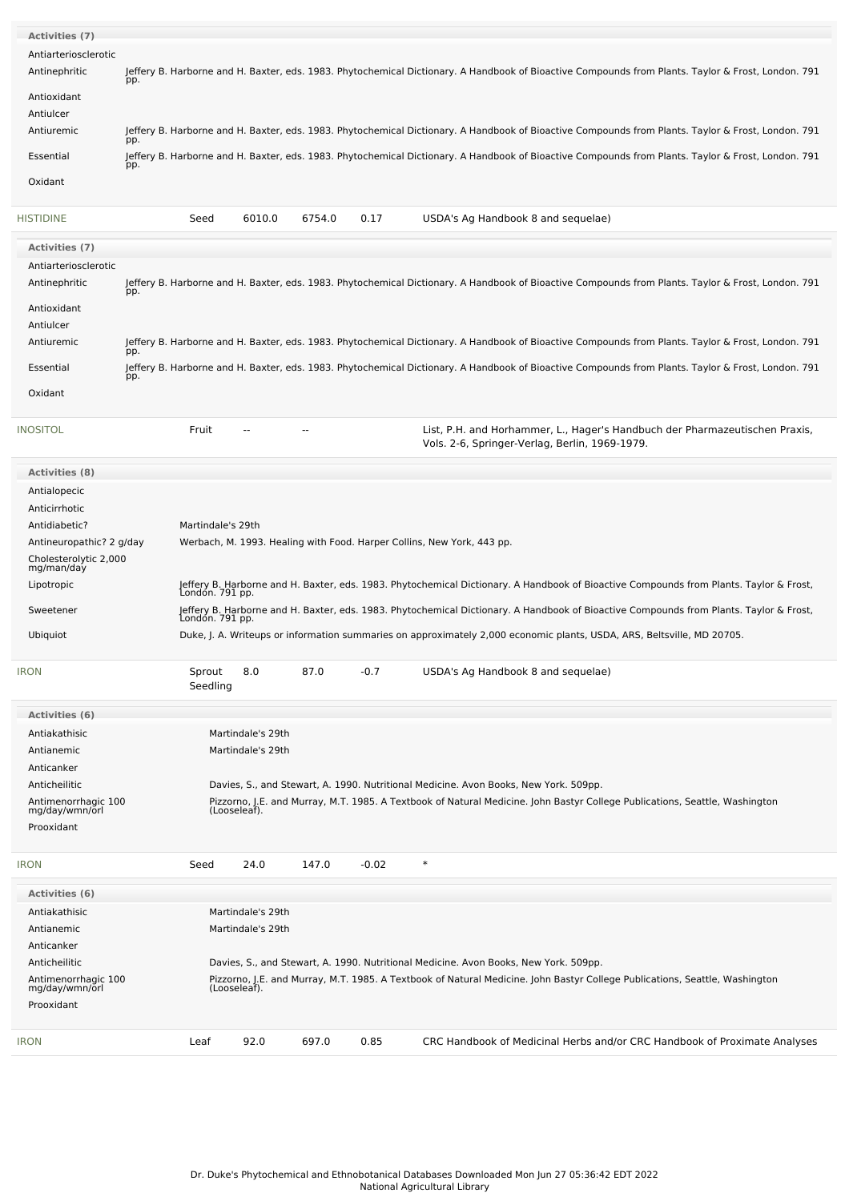| <b>Activities (7)</b>                 |     |                    |                   |        |         |                                                                                                                                                    |
|---------------------------------------|-----|--------------------|-------------------|--------|---------|----------------------------------------------------------------------------------------------------------------------------------------------------|
| Antiarteriosclerotic                  |     |                    |                   |        |         |                                                                                                                                                    |
| Antinephritic                         |     |                    |                   |        |         | Jeffery B. Harborne and H. Baxter, eds. 1983. Phytochemical Dictionary. A Handbook of Bioactive Compounds from Plants. Taylor & Frost, London. 791 |
|                                       | pp. |                    |                   |        |         |                                                                                                                                                    |
| Antioxidant                           |     |                    |                   |        |         |                                                                                                                                                    |
| Antiulcer                             |     |                    |                   |        |         |                                                                                                                                                    |
| Antiuremic                            | pp. |                    |                   |        |         | Jeffery B. Harborne and H. Baxter, eds. 1983. Phytochemical Dictionary. A Handbook of Bioactive Compounds from Plants. Taylor & Frost, London. 791 |
| Essential                             |     |                    |                   |        |         | Jeffery B. Harborne and H. Baxter, eds. 1983. Phytochemical Dictionary. A Handbook of Bioactive Compounds from Plants. Taylor & Frost, London. 791 |
|                                       | pp. |                    |                   |        |         |                                                                                                                                                    |
| Oxidant                               |     |                    |                   |        |         |                                                                                                                                                    |
| <b>HISTIDINE</b>                      |     | Seed               | 6010.0            | 6754.0 | 0.17    | USDA's Ag Handbook 8 and sequelae)                                                                                                                 |
|                                       |     |                    |                   |        |         |                                                                                                                                                    |
| <b>Activities (7)</b>                 |     |                    |                   |        |         |                                                                                                                                                    |
| Antiarteriosclerotic                  |     |                    |                   |        |         |                                                                                                                                                    |
| Antinephritic                         | pp. |                    |                   |        |         | Jeffery B. Harborne and H. Baxter, eds. 1983. Phytochemical Dictionary. A Handbook of Bioactive Compounds from Plants. Taylor & Frost, London. 791 |
| Antioxidant                           |     |                    |                   |        |         |                                                                                                                                                    |
| Antiulcer                             |     |                    |                   |        |         |                                                                                                                                                    |
| Antiuremic                            |     |                    |                   |        |         | Jeffery B. Harborne and H. Baxter, eds. 1983. Phytochemical Dictionary. A Handbook of Bioactive Compounds from Plants. Taylor & Frost, London. 791 |
|                                       | pp. |                    |                   |        |         |                                                                                                                                                    |
| Essential                             | pp. |                    |                   |        |         | Jeffery B. Harborne and H. Baxter, eds. 1983. Phytochemical Dictionary. A Handbook of Bioactive Compounds from Plants. Taylor & Frost, London. 791 |
| Oxidant                               |     |                    |                   |        |         |                                                                                                                                                    |
|                                       |     |                    |                   |        |         |                                                                                                                                                    |
|                                       |     |                    |                   |        |         |                                                                                                                                                    |
| <b>INOSITOL</b>                       |     | Fruit              |                   |        |         | List, P.H. and Horhammer, L., Hager's Handbuch der Pharmazeutischen Praxis,                                                                        |
|                                       |     |                    |                   |        |         | Vols. 2-6, Springer-Verlag, Berlin, 1969-1979.                                                                                                     |
| <b>Activities (8)</b>                 |     |                    |                   |        |         |                                                                                                                                                    |
| Antialopecic                          |     |                    |                   |        |         |                                                                                                                                                    |
| Anticirrhotic                         |     |                    |                   |        |         |                                                                                                                                                    |
| Antidiabetic?                         |     | Martindale's 29th  |                   |        |         |                                                                                                                                                    |
|                                       |     |                    |                   |        |         |                                                                                                                                                    |
| Antineuropathic? 2 g/day              |     |                    |                   |        |         | Werbach, M. 1993. Healing with Food. Harper Collins, New York, 443 pp.                                                                             |
| Cholesterolytic 2,000<br>mg/man/day   |     |                    |                   |        |         |                                                                                                                                                    |
| Lipotropic                            |     |                    |                   |        |         | Jeffery B. Harborne and H. Baxter, eds. 1983. Phytochemical Dictionary. A Handbook of Bioactive Compounds from Plants. Taylor & Frost,             |
|                                       |     | Londón. 791 pp.    |                   |        |         |                                                                                                                                                    |
| Sweetener                             |     | London. 791 pp.    |                   |        |         | Jeffery B. Harborne and H. Baxter, eds. 1983. Phytochemical Dictionary. A Handbook of Bioactive Compounds from Plants. Taylor & Frost,             |
| Ubiquiot                              |     |                    |                   |        |         | Duke, J. A. Writeups or information summaries on approximately 2,000 economic plants, USDA, ARS, Beltsville, MD 20705.                             |
|                                       |     |                    |                   |        |         |                                                                                                                                                    |
| <b>IRON</b>                           |     | Sprout<br>Seedling | 8.0               | 87.0   | $-0.7$  | USDA's Ag Handbook 8 and sequelae)                                                                                                                 |
|                                       |     |                    |                   |        |         |                                                                                                                                                    |
| <b>Activities (6)</b>                 |     |                    |                   |        |         |                                                                                                                                                    |
| Antiakathisic                         |     |                    | Martindale's 29th |        |         |                                                                                                                                                    |
| Antianemic                            |     |                    | Martindale's 29th |        |         |                                                                                                                                                    |
| Anticanker                            |     |                    |                   |        |         |                                                                                                                                                    |
|                                       |     |                    |                   |        |         |                                                                                                                                                    |
| Anticheilitic                         |     |                    |                   |        |         | Davies, S., and Stewart, A. 1990. Nutritional Medicine. Avon Books, New York. 509pp.                                                               |
| Antimenorrhagic 100<br>mg/day/wmn/orl |     | (Looseleaf).       |                   |        |         | Pizzorno, J.E. and Murray, M.T. 1985. A Textbook of Natural Medicine. John Bastyr College Publications, Seattle, Washington                        |
| Prooxidant                            |     |                    |                   |        |         |                                                                                                                                                    |
|                                       |     |                    |                   |        |         |                                                                                                                                                    |
| <b>IRON</b>                           |     | Seed               | 24.0              | 147.0  | $-0.02$ | $\ast$                                                                                                                                             |
|                                       |     |                    |                   |        |         |                                                                                                                                                    |
| Activities (6)                        |     |                    |                   |        |         |                                                                                                                                                    |
| Antiakathisic                         |     |                    | Martindale's 29th |        |         |                                                                                                                                                    |
| Antianemic                            |     |                    | Martindale's 29th |        |         |                                                                                                                                                    |
| Anticanker                            |     |                    |                   |        |         |                                                                                                                                                    |
| Anticheilitic                         |     |                    |                   |        |         | Davies, S., and Stewart, A. 1990. Nutritional Medicine. Avon Books, New York. 509pp.                                                               |
| Antimenorrhagic 100                   |     |                    |                   |        |         | Pizzorno, J.E. and Murray, M.T. 1985. A Textbook of Natural Medicine. John Bastyr College Publications, Seattle, Washington                        |
| mg/day/wmn/orl                        |     | (Looseleaf).       |                   |        |         |                                                                                                                                                    |
| Prooxidant                            |     |                    |                   |        |         |                                                                                                                                                    |
|                                       |     |                    |                   |        |         |                                                                                                                                                    |
| <b>IRON</b>                           |     | Leaf               | 92.0              | 697.0  | 0.85    | CRC Handbook of Medicinal Herbs and/or CRC Handbook of Proximate Analyses                                                                          |
|                                       |     |                    |                   |        |         |                                                                                                                                                    |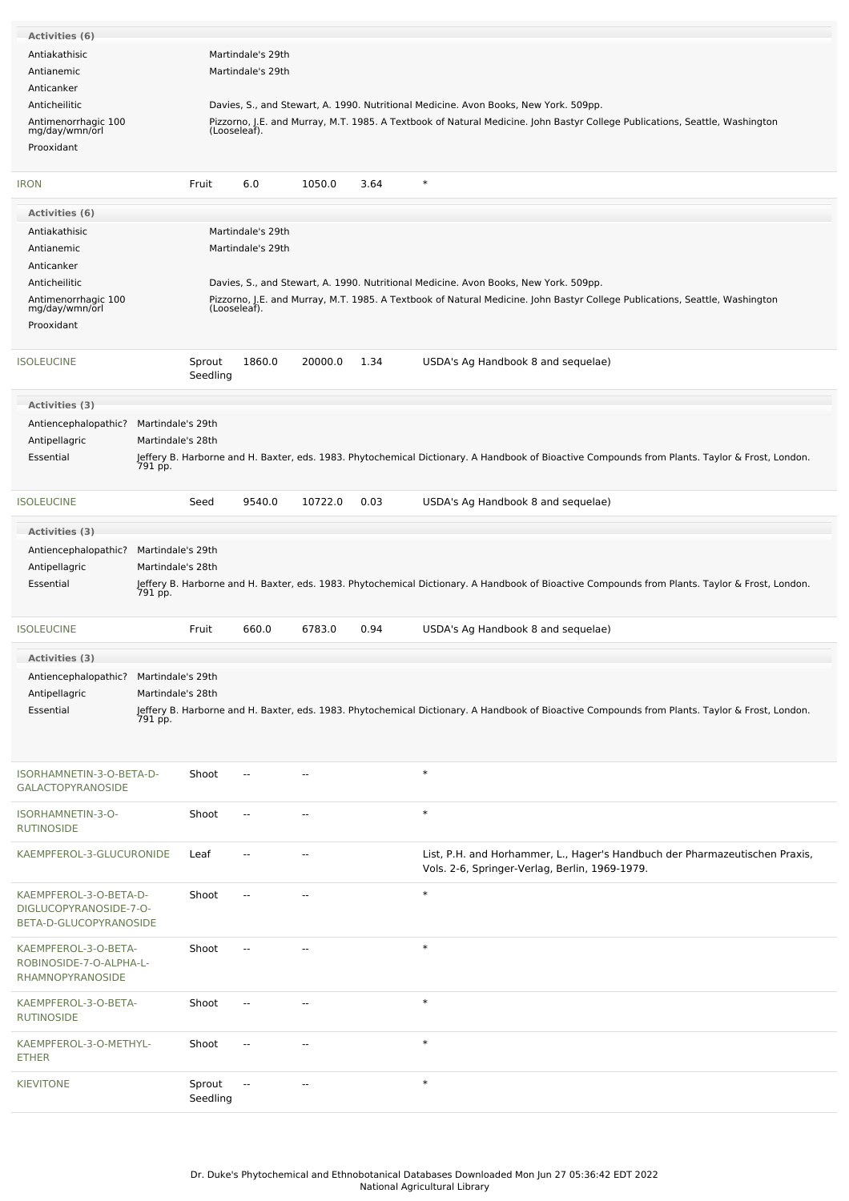| Activities (6)                                       |                   |                    |                          |                          |      |                                                                                                                                                           |
|------------------------------------------------------|-------------------|--------------------|--------------------------|--------------------------|------|-----------------------------------------------------------------------------------------------------------------------------------------------------------|
| Antiakathisic                                        |                   |                    | Martindale's 29th        |                          |      |                                                                                                                                                           |
| Antianemic                                           |                   |                    | Martindale's 29th        |                          |      |                                                                                                                                                           |
|                                                      |                   |                    |                          |                          |      |                                                                                                                                                           |
| Anticanker                                           |                   |                    |                          |                          |      |                                                                                                                                                           |
| Anticheilitic                                        |                   |                    |                          |                          |      | Davies, S., and Stewart, A. 1990. Nutritional Medicine. Avon Books, New York. 509pp.                                                                      |
| Antimenorrhagic 100<br>mg/day/wmn/orl                |                   | (Looseleaf).       |                          |                          |      | Pizzorno, J.E. and Murray, M.T. 1985. A Textbook of Natural Medicine. John Bastyr College Publications, Seattle, Washington                               |
| Prooxidant                                           |                   |                    |                          |                          |      |                                                                                                                                                           |
|                                                      |                   |                    |                          |                          |      |                                                                                                                                                           |
| <b>IRON</b>                                          |                   | Fruit              | 6.0                      | 1050.0                   | 3.64 | $\ast$                                                                                                                                                    |
| Activities (6)                                       |                   |                    |                          |                          |      |                                                                                                                                                           |
| Antiakathisic                                        |                   |                    | Martindale's 29th        |                          |      |                                                                                                                                                           |
| Antianemic                                           |                   |                    | Martindale's 29th        |                          |      |                                                                                                                                                           |
| Anticanker                                           |                   |                    |                          |                          |      |                                                                                                                                                           |
|                                                      |                   |                    |                          |                          |      |                                                                                                                                                           |
| Anticheilitic                                        |                   |                    |                          |                          |      | Davies, S., and Stewart, A. 1990. Nutritional Medicine. Avon Books, New York. 509pp.                                                                      |
| Antimenorrhagic 100<br>mg/day/wmn/orl                |                   | (Looseleaf).       |                          |                          |      | Pizzorno, J.E. and Murray, M.T. 1985. A Textbook of Natural Medicine. John Bastyr College Publications, Seattle, Washington                               |
| Prooxidant                                           |                   |                    |                          |                          |      |                                                                                                                                                           |
|                                                      |                   |                    |                          |                          |      |                                                                                                                                                           |
| <b>ISOLEUCINE</b>                                    |                   | Sprout<br>Seedling | 1860.0                   | 20000.0                  | 1.34 | USDA's Ag Handbook 8 and sequelae)                                                                                                                        |
| Activities (3)                                       |                   |                    |                          |                          |      |                                                                                                                                                           |
| Antiencephalopathic?                                 | Martindale's 29th |                    |                          |                          |      |                                                                                                                                                           |
| Antipellagric                                        | Martindale's 28th |                    |                          |                          |      |                                                                                                                                                           |
|                                                      |                   |                    |                          |                          |      |                                                                                                                                                           |
| Essential                                            | 791 pp.           |                    |                          |                          |      | Jeffery B. Harborne and H. Baxter, eds. 1983. Phytochemical Dictionary. A Handbook of Bioactive Compounds from Plants. Taylor & Frost, London.            |
|                                                      |                   |                    |                          |                          |      |                                                                                                                                                           |
| <b>ISOLEUCINE</b>                                    |                   | Seed               | 9540.0                   | 10722.0                  | 0.03 | USDA's Ag Handbook 8 and sequelae)                                                                                                                        |
| Activities (3)                                       |                   |                    |                          |                          |      |                                                                                                                                                           |
| Antiencephalopathic?                                 | Martindale's 29th |                    |                          |                          |      |                                                                                                                                                           |
| Antipellagric                                        | Martindale's 28th |                    |                          |                          |      |                                                                                                                                                           |
| Essential                                            |                   |                    |                          |                          |      | Jeffery B. Harborne and H. Baxter, eds. 1983. Phytochemical Dictionary. A Handbook of Bioactive Compounds from Plants. Taylor & Frost, London.            |
|                                                      | 791 pp.           |                    |                          |                          |      |                                                                                                                                                           |
| <b>ISOLEUCINE</b>                                    |                   | Fruit              | 660.0                    | 6783.0                   | 0.94 | USDA's Ag Handbook 8 and sequelae)                                                                                                                        |
| Activities (3)                                       |                   |                    |                          |                          |      |                                                                                                                                                           |
| Antiencephalopathic?                                 | Martindale's 29th |                    |                          |                          |      |                                                                                                                                                           |
| Antipellagric                                        | Martindale's 28th |                    |                          |                          |      |                                                                                                                                                           |
|                                                      |                   |                    |                          |                          |      |                                                                                                                                                           |
| Essential                                            |                   |                    |                          |                          |      | Jeffery B. Harborne and H. Baxter, eds. 1983. Phytochemical Dictionary. A Handbook of Bioactive Compounds from Plants. Taylor & Frost, London.<br>791 pp. |
| ISORHAMNETIN-3-O-BETA-D-<br><b>GALACTOPYRANOSIDE</b> |                   | Shoot              | $\overline{\phantom{a}}$ | --                       |      | $\ast$                                                                                                                                                    |
|                                                      |                   |                    |                          |                          |      |                                                                                                                                                           |
| ISORHAMNETIN-3-O-<br><b>RUTINOSIDE</b>               |                   | Shoot              | $\overline{\phantom{a}}$ | $\overline{\phantom{a}}$ |      | $\ast$                                                                                                                                                    |
| KAEMPFEROL-3-GLUCURONIDE                             |                   | Leaf               |                          |                          |      | List, P.H. and Horhammer, L., Hager's Handbuch der Pharmazeutischen Praxis,<br>Vols. 2-6, Springer-Verlag, Berlin, 1969-1979.                             |
| KAEMPFEROL-3-O-BETA-D-<br>DIGLUCOPYRANOSIDE-7-O-     |                   | Shoot              |                          |                          |      | $\ast$                                                                                                                                                    |
| BETA-D-GLUCOPYRANOSIDE                               |                   |                    |                          |                          |      |                                                                                                                                                           |
| KAEMPFEROL-3-O-BETA-                                 |                   | Shoot              | $\sim$ $\sim$            |                          |      | $\ast$                                                                                                                                                    |
| ROBINOSIDE-7-O-ALPHA-L-<br>RHAMNOPYRANOSIDE          |                   |                    |                          |                          |      |                                                                                                                                                           |
| KAEMPFEROL-3-O-BETA-<br><b>RUTINOSIDE</b>            |                   | Shoot              |                          |                          |      | $\ast$                                                                                                                                                    |
| KAEMPFEROL-3-O-METHYL-<br><b>ETHER</b>               |                   | Shoot              | $\overline{\phantom{a}}$ | $\sim$                   |      | $\ast$                                                                                                                                                    |
| <b>KIEVITONE</b>                                     |                   | Sprout<br>Seedling | $\overline{\phantom{a}}$ |                          |      | $\ast$                                                                                                                                                    |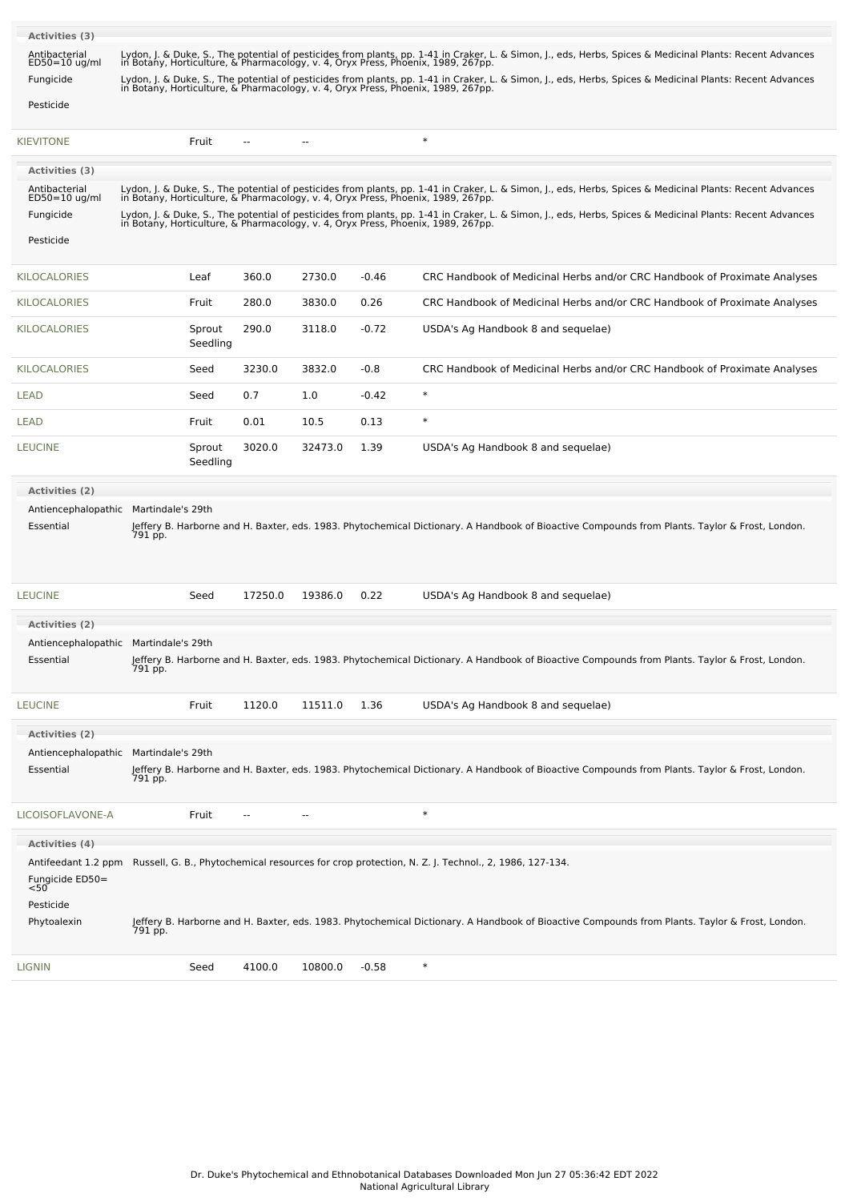| Activities (3)                                                 |         |                    |                |         |                                                                                                                                                                                                                                               |
|----------------------------------------------------------------|---------|--------------------|----------------|---------|-----------------------------------------------------------------------------------------------------------------------------------------------------------------------------------------------------------------------------------------------|
| Antibacterial<br>$ED50=10$ ug/ml                               |         |                    |                |         | Lydon, J. & Duke, S., The potential of pesticides from plants, pp. 1-41 in Craker, L. & Simon, J., eds, Herbs, Spices & Medicinal Plants: Recent Advances<br>in Botany, Horticulture, & Pharmacology, v. 4, Oryx Press, Phoenix, 1989, 267pp. |
| Fungicide                                                      |         |                    |                |         | Lydon, J. & Duke, S., The potential of pesticides from plants, pp. 1-41 in Craker, L. & Simon, J., eds, Herbs, Spices & Medicinal Plants: Recent Advances<br>in Botany, Horticulture, & Pharmacology, v. 4, Oryx Press, Phoenix,              |
| Pesticide                                                      |         |                    |                |         |                                                                                                                                                                                                                                               |
| <b>KIEVITONE</b>                                               | Fruit   | --                 | $\overline{a}$ |         | $\ast$                                                                                                                                                                                                                                        |
| Activities (3)                                                 |         |                    |                |         |                                                                                                                                                                                                                                               |
| Antibacterial<br>ED50=10 ug/ml                                 |         |                    |                |         | Lydon, J. & Duke, S., The potential of pesticides from plants, pp. 1-41 in Craker, L. & Simon, J., eds, Herbs, Spices & Medicinal Plants: Recent Advances<br>in Botany, Horticulture, & Pharmacology, v. 4, Oryx Press, Phoenix,              |
| Fungicide                                                      |         |                    |                |         | Lydon, J. & Duke, S., The potential of pesticides from plants, pp. 1-41 in Craker, L. & Simon, J., eds, Herbs, Spices & Medicinal Plants: Recent Advances                                                                                     |
| Pesticide                                                      |         |                    |                |         | in Botany, Horticulture, & Pharmacology, v. 4, Oryx Press, Phoenix, 1989, 267pp.                                                                                                                                                              |
|                                                                |         |                    |                |         |                                                                                                                                                                                                                                               |
| <b>KILOCALORIES</b>                                            | Leaf    | 360.0              | 2730.0         | $-0.46$ | CRC Handbook of Medicinal Herbs and/or CRC Handbook of Proximate Analyses                                                                                                                                                                     |
| <b>KILOCALORIES</b>                                            | Fruit   | 280.0              | 3830.0         | 0.26    | CRC Handbook of Medicinal Herbs and/or CRC Handbook of Proximate Analyses                                                                                                                                                                     |
| <b>KILOCALORIES</b>                                            | Sprout  | 290.0<br>Seedling  | 3118.0         | $-0.72$ | USDA's Ag Handbook 8 and sequelae)                                                                                                                                                                                                            |
| <b>KILOCALORIES</b>                                            | Seed    | 3230.0             | 3832.0         | $-0.8$  | CRC Handbook of Medicinal Herbs and/or CRC Handbook of Proximate Analyses                                                                                                                                                                     |
| LEAD                                                           | Seed    | 0.7                | 1.0            | $-0.42$ | $\ast$                                                                                                                                                                                                                                        |
| LEAD                                                           | Fruit   | 0.01               | 10.5           | 0.13    | $\ast$                                                                                                                                                                                                                                        |
| <b>LEUCINE</b>                                                 | Sprout  | 3020.0<br>Seedling | 32473.0        | 1.39    | USDA's Ag Handbook 8 and sequelae)                                                                                                                                                                                                            |
| Activities (2)                                                 |         |                    |                |         |                                                                                                                                                                                                                                               |
| Antiencephalopathic Martindale's 29th                          |         |                    |                |         |                                                                                                                                                                                                                                               |
| Essential                                                      | 791 pp. |                    |                |         | Jeffery B. Harborne and H. Baxter, eds. 1983. Phytochemical Dictionary. A Handbook of Bioactive Compounds from Plants. Taylor & Frost, London.                                                                                                |
| <b>LEUCINE</b>                                                 | Seed    | 17250.0            | 19386.0        | 0.22    | USDA's Ag Handbook 8 and sequelae)                                                                                                                                                                                                            |
|                                                                |         |                    |                |         |                                                                                                                                                                                                                                               |
| <b>Activities (2)</b><br>Antiencephalopathic Martindale's 29th |         |                    |                |         |                                                                                                                                                                                                                                               |
| Essential                                                      | 791 pp. |                    |                |         | Jeffery B. Harborne and H. Baxter, eds. 1983. Phytochemical Dictionary. A Handbook of Bioactive Compounds from Plants. Taylor & Frost, London.                                                                                                |
| <b>LEUCINE</b>                                                 | Fruit   | 1120.0             | 11511.0        | 1.36    | USDA's Ag Handbook 8 and sequelae)                                                                                                                                                                                                            |
| <b>Activities (2)</b>                                          |         |                    |                |         |                                                                                                                                                                                                                                               |
| Antiencephalopathic Martindale's 29th                          |         |                    |                |         |                                                                                                                                                                                                                                               |
| Essential                                                      | 791 pp. |                    |                |         | Jeffery B. Harborne and H. Baxter, eds. 1983. Phytochemical Dictionary. A Handbook of Bioactive Compounds from Plants. Taylor & Frost, London.                                                                                                |
| LICOISOFLAVONE-A                                               | Fruit   | ٠.                 | $\overline{a}$ |         | $\ast$                                                                                                                                                                                                                                        |
| <b>Activities (4)</b>                                          |         |                    |                |         |                                                                                                                                                                                                                                               |
| Antifeedant 1.2 ppm                                            |         |                    |                |         | Russell, G. B., Phytochemical resources for crop protection, N. Z. J. Technol., 2, 1986, 127-134.                                                                                                                                             |
| Fungicide ED50=<br><50                                         |         |                    |                |         |                                                                                                                                                                                                                                               |
| Pesticide                                                      |         |                    |                |         |                                                                                                                                                                                                                                               |
| Phytoalexin                                                    | 791 pp. |                    |                |         | Jeffery B. Harborne and H. Baxter, eds. 1983. Phytochemical Dictionary. A Handbook of Bioactive Compounds from Plants. Taylor & Frost, London.                                                                                                |
| <b>LIGNIN</b>                                                  | Seed    | 4100.0             | 10800.0        | $-0.58$ | $\ast$                                                                                                                                                                                                                                        |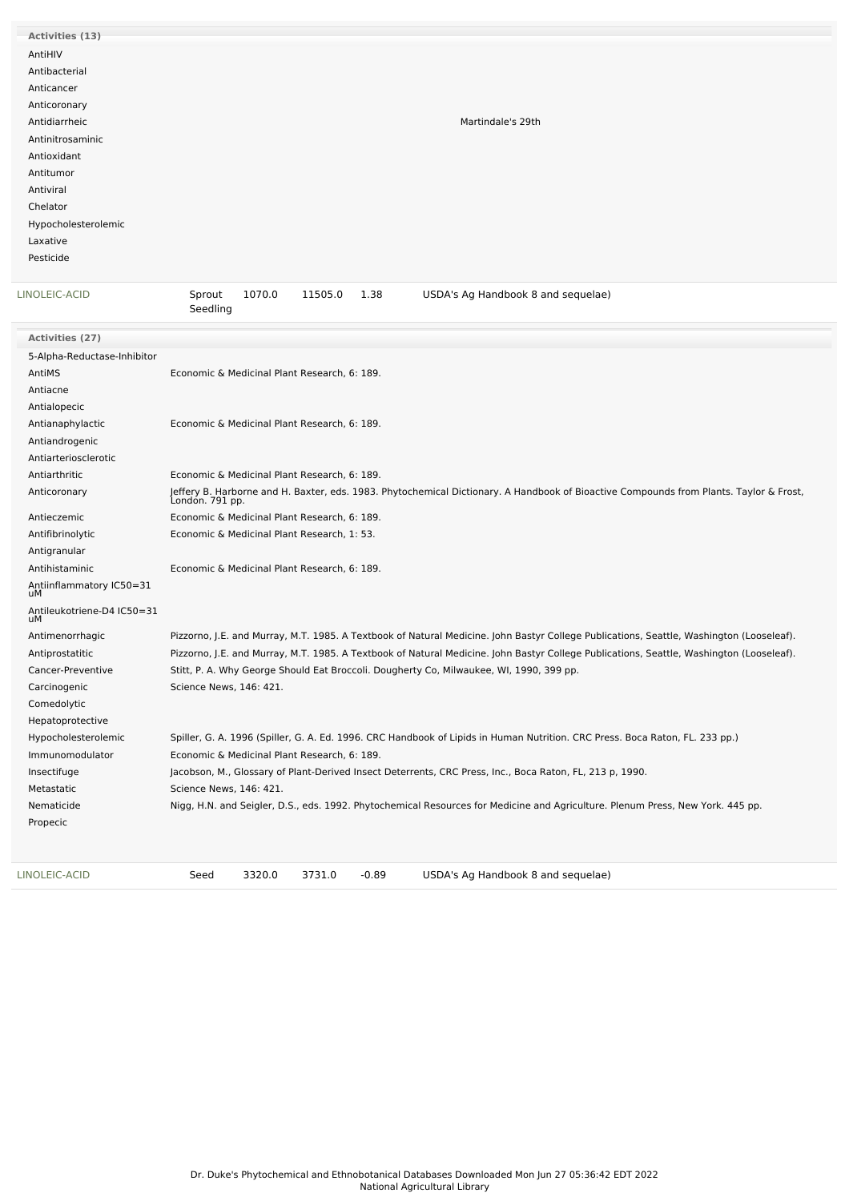| Activities (13)     |                   |
|---------------------|-------------------|
| AntiHIV             |                   |
| Antibacterial       |                   |
| Anticancer          |                   |
| Anticoronary        |                   |
| Antidiarrheic       | Martindale's 29th |
| Antinitrosaminic    |                   |
| Antioxidant         |                   |
| Antitumor           |                   |
| Antiviral           |                   |
| Chelator            |                   |
| Hypocholesterolemic |                   |
| Laxative            |                   |
| Pesticide           |                   |
|                     |                   |

| LINOLEIC-ACID                    | Sprout<br>1070.0<br>11505.0<br>1.38<br>USDA's Ag Handbook 8 and sequelae)<br>Seedling                                                                     |
|----------------------------------|-----------------------------------------------------------------------------------------------------------------------------------------------------------|
| Activities (27)                  |                                                                                                                                                           |
| 5-Alpha-Reductase-Inhibitor      |                                                                                                                                                           |
| AntiMS                           | Economic & Medicinal Plant Research, 6: 189.                                                                                                              |
| Antiacne                         |                                                                                                                                                           |
| Antialopecic                     |                                                                                                                                                           |
| Antianaphylactic                 | Economic & Medicinal Plant Research, 6: 189.                                                                                                              |
| Antiandrogenic                   |                                                                                                                                                           |
| Antiarteriosclerotic             |                                                                                                                                                           |
| Antiarthritic                    | Economic & Medicinal Plant Research, 6: 189.                                                                                                              |
| Anticoronary                     | Jeffery B. Harborne and H. Baxter, eds. 1983. Phytochemical Dictionary. A Handbook of Bioactive Compounds from Plants. Taylor & Frost,<br>London. 791 pp. |
| Antieczemic                      | Economic & Medicinal Plant Research, 6: 189.                                                                                                              |
| Antifibrinolytic                 | Economic & Medicinal Plant Research, 1: 53.                                                                                                               |
| Antigranular                     |                                                                                                                                                           |
| Antihistaminic                   | Economic & Medicinal Plant Research, 6: 189.                                                                                                              |
| Antiinflammatory IC50=31<br>uМ   |                                                                                                                                                           |
| Antileukotriene-D4 IC50=31<br>uМ |                                                                                                                                                           |
| Antimenorrhagic                  | Pizzorno, J.E. and Murray, M.T. 1985. A Textbook of Natural Medicine. John Bastyr College Publications, Seattle, Washington (Looseleaf).                  |
| Antiprostatitic                  | Pizzorno, J.E. and Murray, M.T. 1985. A Textbook of Natural Medicine. John Bastyr College Publications, Seattle, Washington (Looseleaf).                  |
| Cancer-Preventive                | Stitt, P. A. Why George Should Eat Broccoli. Dougherty Co, Milwaukee, WI, 1990, 399 pp.                                                                   |
| Carcinogenic                     | Science News, 146: 421.                                                                                                                                   |
| Comedolytic                      |                                                                                                                                                           |
| Hepatoprotective                 |                                                                                                                                                           |
| Hypocholesterolemic              | Spiller, G. A. 1996 (Spiller, G. A. Ed. 1996. CRC Handbook of Lipids in Human Nutrition. CRC Press. Boca Raton, FL. 233 pp.)                              |
| Immunomodulator                  | Economic & Medicinal Plant Research, 6: 189.                                                                                                              |
| Insectifuge                      | Jacobson, M., Glossary of Plant-Derived Insect Deterrents, CRC Press, Inc., Boca Raton, FL, 213 p, 1990.                                                  |
| Metastatic                       | Science News, 146: 421.                                                                                                                                   |
| Nematicide                       | Nigg, H.N. and Seigler, D.S., eds. 1992. Phytochemical Resources for Medicine and Agriculture. Plenum Press, New York. 445 pp.                            |
| Propecic                         |                                                                                                                                                           |
|                                  |                                                                                                                                                           |
|                                  |                                                                                                                                                           |

[LINOLEIC-ACID](file:///phytochem/chemicals/show/11511) Seed 3320.0 3731.0 -0.89 USDA's Ag Handbook 8 and sequelae)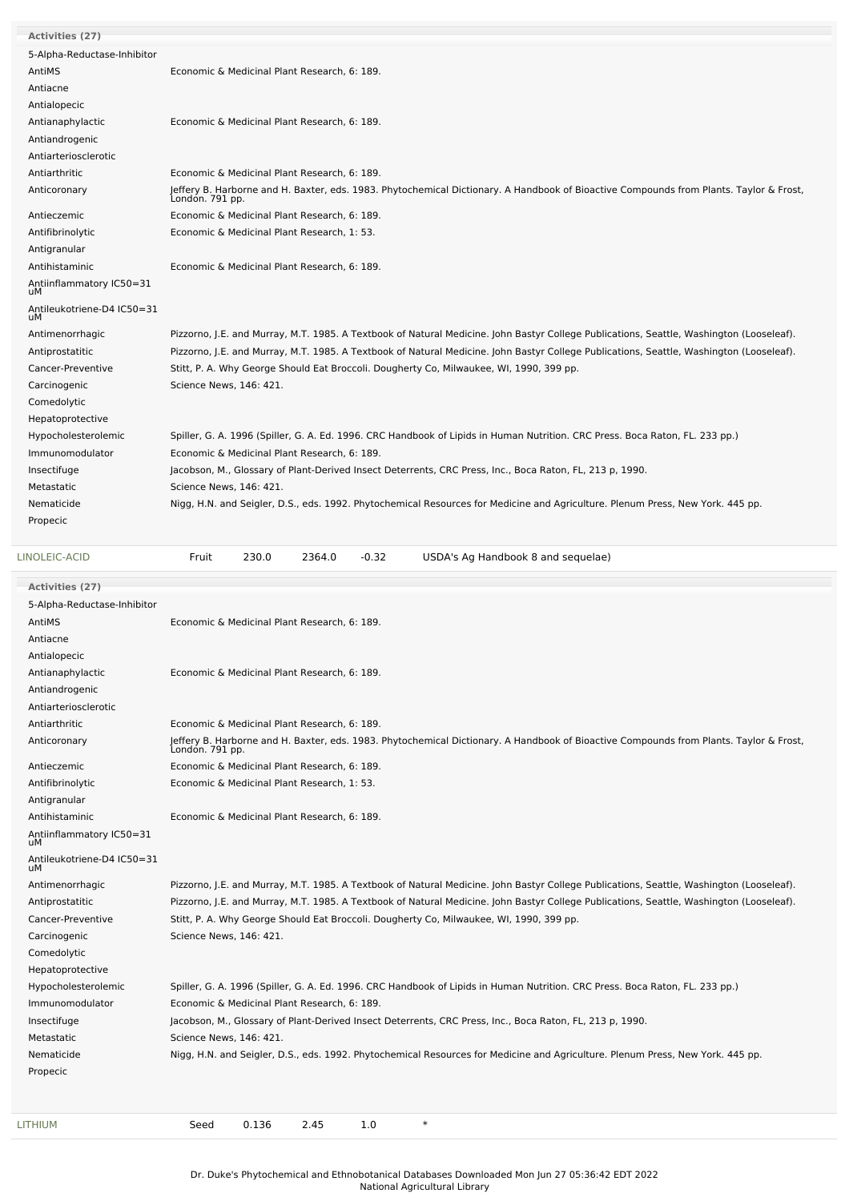| Activities (27)                  |                                                                                                                                                           |
|----------------------------------|-----------------------------------------------------------------------------------------------------------------------------------------------------------|
| 5-Alpha-Reductase-Inhibitor      |                                                                                                                                                           |
| AntiMS                           | Economic & Medicinal Plant Research, 6: 189.                                                                                                              |
| Antiacne                         |                                                                                                                                                           |
| Antialopecic                     |                                                                                                                                                           |
| Antianaphylactic                 | Economic & Medicinal Plant Research, 6: 189.                                                                                                              |
| Antiandrogenic                   |                                                                                                                                                           |
| Antiarteriosclerotic             |                                                                                                                                                           |
| Antiarthritic                    | Economic & Medicinal Plant Research, 6: 189.                                                                                                              |
| Anticoronary                     | Jeffery B. Harborne and H. Baxter, eds. 1983. Phytochemical Dictionary. A Handbook of Bioactive Compounds from Plants. Taylor & Frost,<br>London. 791 pp. |
| Antieczemic                      | Economic & Medicinal Plant Research, 6: 189.                                                                                                              |
| Antifibrinolytic                 | Economic & Medicinal Plant Research, 1: 53.                                                                                                               |
| Antigranular                     |                                                                                                                                                           |
| Antihistaminic                   | Economic & Medicinal Plant Research, 6: 189.                                                                                                              |
| Antiinflammatory IC50=31<br>uМ   |                                                                                                                                                           |
| Antileukotriene-D4 IC50=31<br>uМ |                                                                                                                                                           |
| Antimenorrhagic                  | Pizzorno, J.E. and Murray, M.T. 1985. A Textbook of Natural Medicine. John Bastyr College Publications, Seattle, Washington (Looseleaf).                  |
| Antiprostatitic                  | Pizzorno, J.E. and Murray, M.T. 1985. A Textbook of Natural Medicine. John Bastyr College Publications, Seattle, Washington (Looseleaf).                  |
| Cancer-Preventive                | Stitt, P. A. Why George Should Eat Broccoli. Dougherty Co, Milwaukee, WI, 1990, 399 pp.                                                                   |
| Carcinogenic                     | Science News, 146: 421.                                                                                                                                   |
| Comedolytic                      |                                                                                                                                                           |
| Hepatoprotective                 |                                                                                                                                                           |
| Hypocholesterolemic              | Spiller, G. A. 1996 (Spiller, G. A. Ed. 1996. CRC Handbook of Lipids in Human Nutrition. CRC Press. Boca Raton, FL. 233 pp.)                              |
| Immunomodulator                  | Economic & Medicinal Plant Research, 6: 189.                                                                                                              |
| Insectifuge                      | Jacobson, M., Glossary of Plant-Derived Insect Deterrents, CRC Press, Inc., Boca Raton, FL, 213 p, 1990.                                                  |
| Metastatic                       | Science News, 146: 421.                                                                                                                                   |
| Nematicide                       | Nigg, H.N. and Seigler, D.S., eds. 1992. Phytochemical Resources for Medicine and Agriculture. Plenum Press, New York. 445 pp.                            |
| Propecic                         |                                                                                                                                                           |
|                                  |                                                                                                                                                           |

| USDA's Ag Handbook 8 and sequelae)<br>$-0.32$ |  | 2364.0 | 230.0 | Fruit | LINOLEIC-ACID |
|-----------------------------------------------|--|--------|-------|-------|---------------|
|-----------------------------------------------|--|--------|-------|-------|---------------|

| <b>Activities (27)</b>           |                                                                                                                                                           |
|----------------------------------|-----------------------------------------------------------------------------------------------------------------------------------------------------------|
| 5-Alpha-Reductase-Inhibitor      |                                                                                                                                                           |
| AntiMS                           | Economic & Medicinal Plant Research, 6: 189.                                                                                                              |
| Antiacne                         |                                                                                                                                                           |
| Antialopecic                     |                                                                                                                                                           |
| Antianaphylactic                 | Economic & Medicinal Plant Research, 6: 189.                                                                                                              |
| Antiandrogenic                   |                                                                                                                                                           |
| Antiarteriosclerotic             |                                                                                                                                                           |
| Antiarthritic                    | Economic & Medicinal Plant Research, 6: 189.                                                                                                              |
| Anticoronary                     | Jeffery B. Harborne and H. Baxter, eds. 1983. Phytochemical Dictionary. A Handbook of Bioactive Compounds from Plants. Taylor & Frost,<br>London. 791 pp. |
| Antieczemic                      | Economic & Medicinal Plant Research, 6: 189.                                                                                                              |
| Antifibrinolytic                 | Economic & Medicinal Plant Research, 1: 53.                                                                                                               |
| Antigranular                     |                                                                                                                                                           |
| Antihistaminic                   | Economic & Medicinal Plant Research, 6: 189.                                                                                                              |
| Antiinflammatory IC50=31<br>uМ   |                                                                                                                                                           |
| Antileukotriene-D4 IC50=31<br>uМ |                                                                                                                                                           |
| Antimenorrhagic                  | Pizzorno, J.E. and Murray, M.T. 1985. A Textbook of Natural Medicine. John Bastyr College Publications, Seattle, Washington (Looseleaf).                  |
| Antiprostatitic                  | Pizzorno, J.E. and Murray, M.T. 1985. A Textbook of Natural Medicine. John Bastyr College Publications, Seattle, Washington (Looseleaf).                  |
| Cancer-Preventive                | Stitt, P. A. Why George Should Eat Broccoli. Dougherty Co, Milwaukee, WI, 1990, 399 pp.                                                                   |
| Carcinogenic                     | Science News, 146: 421.                                                                                                                                   |
| Comedolytic                      |                                                                                                                                                           |
| Hepatoprotective                 |                                                                                                                                                           |
| Hypocholesterolemic              | Spiller, G. A. 1996 (Spiller, G. A. Ed. 1996. CRC Handbook of Lipids in Human Nutrition. CRC Press. Boca Raton, FL. 233 pp.)                              |
| Immunomodulator                  | Economic & Medicinal Plant Research, 6: 189.                                                                                                              |
| Insectifuge                      | Jacobson, M., Glossary of Plant-Derived Insect Deterrents, CRC Press, Inc., Boca Raton, FL, 213 p, 1990.                                                  |
| Metastatic                       | Science News, 146: 421.                                                                                                                                   |
| Nematicide                       | Nigg, H.N. and Seigler, D.S., eds. 1992. Phytochemical Resources for Medicine and Agriculture. Plenum Press, New York. 445 pp.                            |
| Propecic                         |                                                                                                                                                           |
|                                  |                                                                                                                                                           |
| <b>LITHIUM</b>                   | $\ast$<br>0.136<br>2.45<br>1.0<br>Seed                                                                                                                    |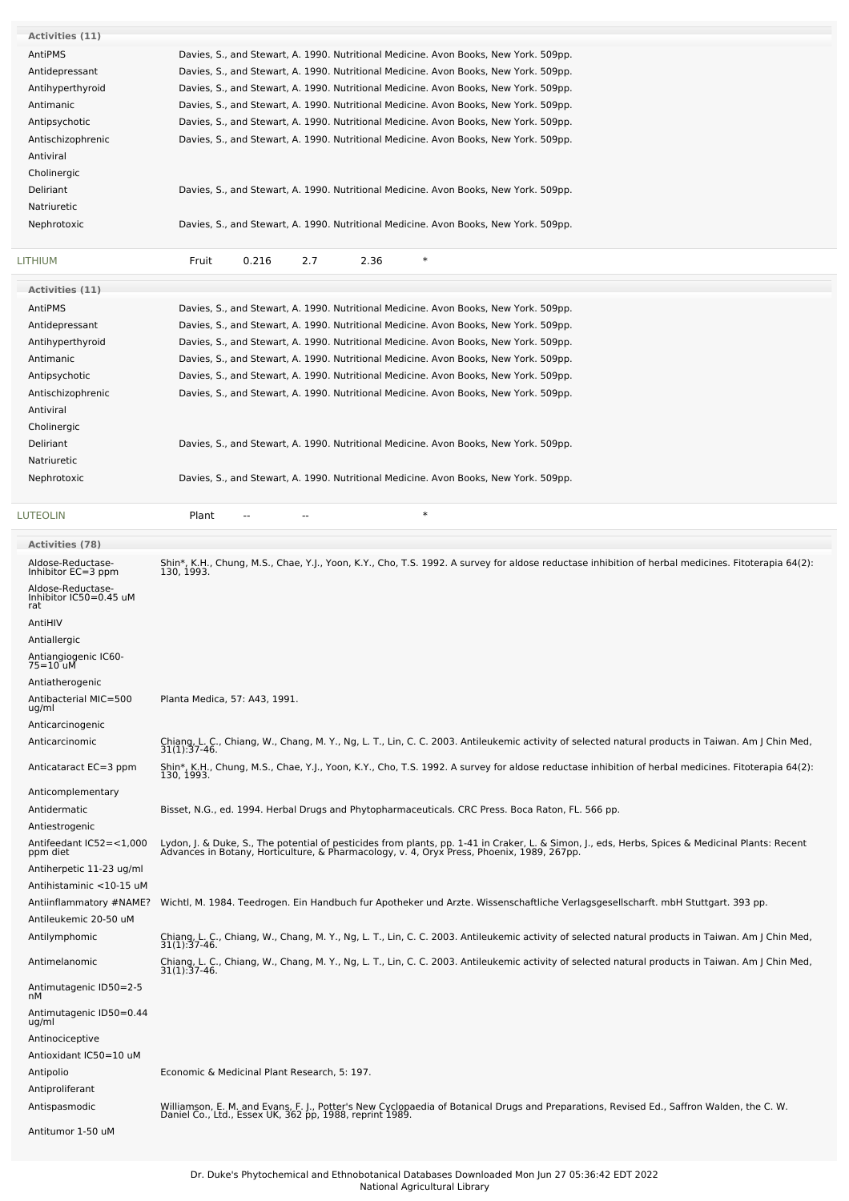| Activities (11)                                                   |                                                                                                                                                                                                                                  |
|-------------------------------------------------------------------|----------------------------------------------------------------------------------------------------------------------------------------------------------------------------------------------------------------------------------|
| AntiPMS                                                           | Davies, S., and Stewart, A. 1990. Nutritional Medicine. Avon Books, New York. 509pp.                                                                                                                                             |
| Antidepressant                                                    | Davies, S., and Stewart, A. 1990. Nutritional Medicine. Avon Books, New York. 509pp.                                                                                                                                             |
| Antihyperthyroid                                                  | Davies, S., and Stewart, A. 1990. Nutritional Medicine. Avon Books, New York. 509pp.                                                                                                                                             |
| Antimanic                                                         | Davies, S., and Stewart, A. 1990. Nutritional Medicine. Avon Books, New York. 509pp.                                                                                                                                             |
| Antipsychotic                                                     | Davies, S., and Stewart, A. 1990. Nutritional Medicine. Avon Books, New York. 509pp.                                                                                                                                             |
| Antischizophrenic                                                 | Davies, S., and Stewart, A. 1990. Nutritional Medicine. Avon Books, New York. 509pp.                                                                                                                                             |
| Antiviral                                                         |                                                                                                                                                                                                                                  |
| Cholinergic                                                       |                                                                                                                                                                                                                                  |
| Deliriant                                                         | Davies, S., and Stewart, A. 1990. Nutritional Medicine. Avon Books, New York. 509pp.                                                                                                                                             |
| Natriuretic                                                       |                                                                                                                                                                                                                                  |
| Nephrotoxic                                                       | Davies, S., and Stewart, A. 1990. Nutritional Medicine. Avon Books, New York. 509pp.                                                                                                                                             |
| LITHIUM                                                           | $\ast$<br>Fruit<br>0.216<br>2.7<br>2.36                                                                                                                                                                                          |
| Activities (11)                                                   |                                                                                                                                                                                                                                  |
| AntiPMS                                                           | Davies, S., and Stewart, A. 1990. Nutritional Medicine. Avon Books, New York. 509pp.                                                                                                                                             |
| Antidepressant                                                    | Davies, S., and Stewart, A. 1990. Nutritional Medicine. Avon Books, New York. 509pp.                                                                                                                                             |
| Antihyperthyroid                                                  | Davies, S., and Stewart, A. 1990. Nutritional Medicine. Avon Books, New York. 509pp.                                                                                                                                             |
| Antimanic                                                         | Davies, S., and Stewart, A. 1990. Nutritional Medicine. Avon Books, New York. 509pp.                                                                                                                                             |
| Antipsychotic                                                     | Davies, S., and Stewart, A. 1990. Nutritional Medicine. Avon Books, New York. 509pp.                                                                                                                                             |
| Antischizophrenic                                                 | Davies, S., and Stewart, A. 1990. Nutritional Medicine. Avon Books, New York. 509pp.                                                                                                                                             |
| Antiviral                                                         |                                                                                                                                                                                                                                  |
| Cholinergic                                                       |                                                                                                                                                                                                                                  |
| Deliriant                                                         | Davies, S., and Stewart, A. 1990. Nutritional Medicine. Avon Books, New York. 509pp.                                                                                                                                             |
| Natriuretic                                                       |                                                                                                                                                                                                                                  |
| Nephrotoxic                                                       | Davies, S., and Stewart, A. 1990. Nutritional Medicine. Avon Books, New York. 509pp.                                                                                                                                             |
| <b>LUTEOLIN</b>                                                   | $\ast$<br>Plant                                                                                                                                                                                                                  |
| <b>Activities (78)</b>                                            |                                                                                                                                                                                                                                  |
| Aldose-Reductase-                                                 | Shin*, K.H., Chung, M.S., Chae, Y.J., Yoon, K.Y., Cho, T.S. 1992. A survey for aldose reductase inhibition of herbal medicines. Fitoterapia 64(2):                                                                               |
| Inhibitor EC=3 ppm<br>Aldose-Reductase-<br>Inhibitor IC50=0.45 uM | 130, 1993.                                                                                                                                                                                                                       |
| rat                                                               |                                                                                                                                                                                                                                  |
| AntiHIV                                                           |                                                                                                                                                                                                                                  |
| Antiallergic                                                      |                                                                                                                                                                                                                                  |
| Antiangiogenic IC60-<br>75=10 uM                                  |                                                                                                                                                                                                                                  |
| Antiatherogenic                                                   |                                                                                                                                                                                                                                  |
| Antibacterial MIC=500                                             | Planta Medica, 57: A43, 1991.                                                                                                                                                                                                    |
| ug/ml<br>Anticarcinogenic                                         |                                                                                                                                                                                                                                  |
| Anticarcinomic                                                    |                                                                                                                                                                                                                                  |
|                                                                   | Chiang, L. C., Chiang, W., Chang, M. Y., Ng, L. T., Lin, C. C. 2003. Antileukemic activity of selected natural products in Taiwan. Am J Chin Med,<br>31(1):37-46.                                                                |
| Anticataract EC=3 ppm                                             | Shin*, K.H., Chung, M.S., Chae, Y.J., Yoon, K.Y., Cho, T.S. 1992. A survey for aldose reductase inhibition of herbal medicines. Fitoterapia 64(2):<br>130, 1993.                                                                 |
| Anticomplementary                                                 |                                                                                                                                                                                                                                  |
| Antidermatic                                                      | Bisset, N.G., ed. 1994. Herbal Drugs and Phytopharmaceuticals. CRC Press. Boca Raton, FL. 566 pp.                                                                                                                                |
| Antiestrogenic                                                    |                                                                                                                                                                                                                                  |
| Antifeedant IC52=<1,000<br>ppm diet                               | Lydon, J. & Duke, S., The potential of pesticides from plants, pp. 1-41 in Craker, L. & Simon, J., eds, Herbs, Spices & Medicinal Plants: Recent<br>Advances in Botany, Horticulture, & Pharmacology, v. 4, Oryx Press, Phoenix, |
| Antiherpetic 11-23 ug/ml                                          |                                                                                                                                                                                                                                  |
| Antihistaminic <10-15 uM                                          |                                                                                                                                                                                                                                  |
| Antiinflammatory #NAME?                                           | Wichtl, M. 1984. Teedrogen. Ein Handbuch fur Apotheker und Arzte. Wissenschaftliche Verlagsgesellscharft. mbH Stuttgart. 393 pp.                                                                                                 |
| Antileukemic 20-50 uM                                             |                                                                                                                                                                                                                                  |
| Antilymphomic                                                     | Chiang, L. C., Chiang, W., Chang, M. Y., Ng, L. T., Lin, C. C. 2003. Antileukemic activity of selected natural products in Taiwan. Am J Chin Med, 31(1):37-46.                                                                   |
| Antimelanomic                                                     | Chiang, L. C., Chiang, W., Chang, M. Y., Ng, L. T., Lin, C. C. 2003. Antileukemic activity of selected natural products in Taiwan. Am J Chin Med,<br>31(1):37-46.                                                                |
| Antimutagenic ID50=2-5                                            |                                                                                                                                                                                                                                  |
| nM<br>Antimutagenic ID50=0.44                                     |                                                                                                                                                                                                                                  |
| ug/ml                                                             |                                                                                                                                                                                                                                  |
|                                                                   |                                                                                                                                                                                                                                  |
| Antinociceptive                                                   |                                                                                                                                                                                                                                  |
| Antioxidant IC50=10 uM                                            |                                                                                                                                                                                                                                  |
| Antipolio                                                         | Economic & Medicinal Plant Research, 5: 197.                                                                                                                                                                                     |
| Antiproliferant                                                   |                                                                                                                                                                                                                                  |
| Antispasmodic                                                     | Williamson, E. M. and Evans, F. J., Potter's New Cyclopaedia of Botanical Drugs and Preparations, Revised Ed., Saffron Walden, the C. W.<br>Daniel Co., Ltd., Essex UK, 362 pp, 1988, reprint 1989.                              |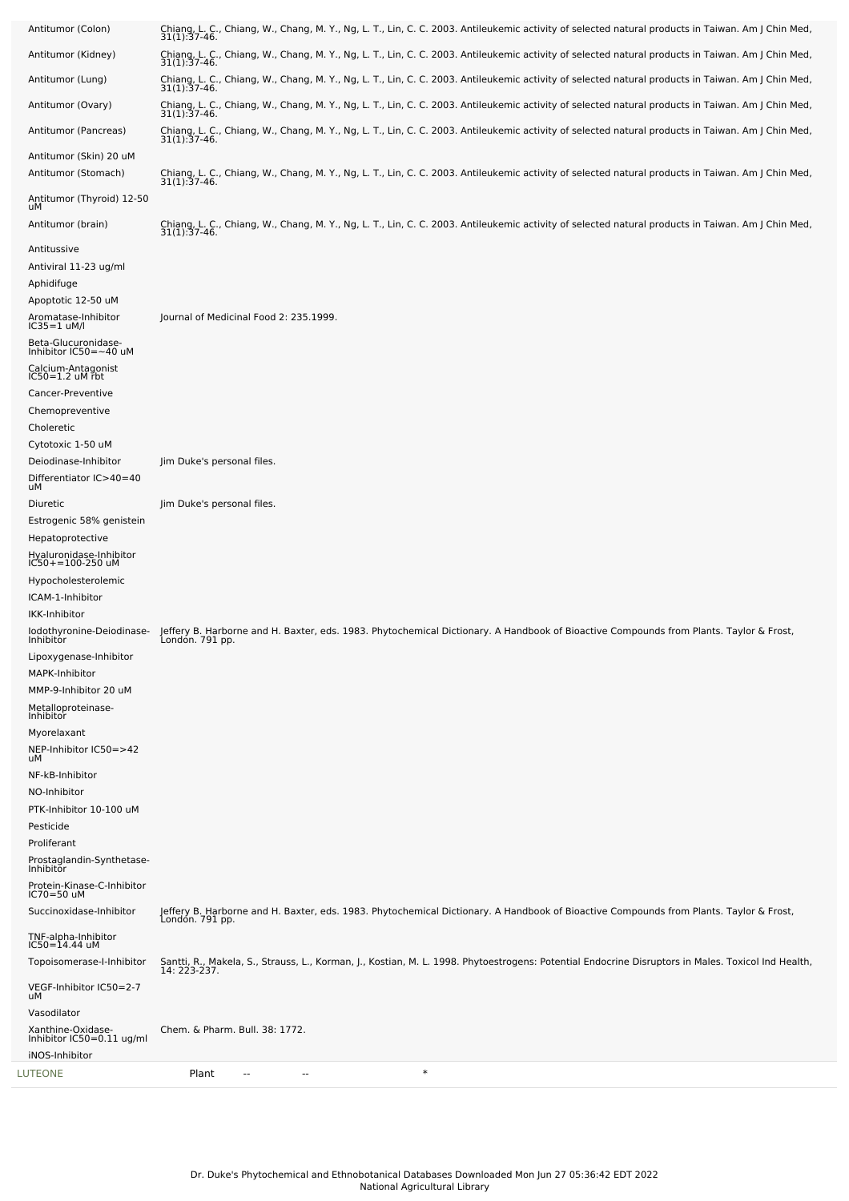| LUTEONE                                                          | $\ast$<br>Plant<br>--                                                                                                                                               |
|------------------------------------------------------------------|---------------------------------------------------------------------------------------------------------------------------------------------------------------------|
| Xanthine-Oxidase-<br>Inhibitor IC50=0.11 ug/ml<br>iNOS-Inhibitor | Chem. & Pharm. Bull. 38: 1772.                                                                                                                                      |
| uМ<br>Vasodilator                                                |                                                                                                                                                                     |
| Topoisomerase-I-Inhibitor<br>VEGF-Inhibitor IC50=2-7             | Santti, R., Makela, S., Strauss, L., Korman, J., Kostian, M. L. 1998. Phytoestrogens: Potential Endocrine Disruptors in Males. Toxicol Ind Health,<br>14: 223-237.  |
| TNF-alpha-Inhibitor<br>$IC50 = 14.44$ uM                         |                                                                                                                                                                     |
| Succinoxidase-Inhibitor                                          | Jeffery B. Harborne and H. Baxter, eds. 1983. Phytochemical Dictionary. A Handbook of Bioactive Compounds from Plants. Taylor & Frost,<br>London. 791 pp.           |
| Protein-Kinase-C-Inhibitor<br>IC70=50 uM                         |                                                                                                                                                                     |
| Prostaglandin-Synthetase-<br>Inhibitor                           |                                                                                                                                                                     |
| Proliferant                                                      |                                                                                                                                                                     |
| PTK-Inhibitor 10-100 uM<br>Pesticide                             |                                                                                                                                                                     |
| NO-Inhibitor                                                     |                                                                                                                                                                     |
| uМ<br>NF-kB-Inhibitor                                            |                                                                                                                                                                     |
| Myorelaxant<br>NEP-Inhibitor IC50=>42                            |                                                                                                                                                                     |
| Metalloproteinase-<br>Inhibitor                                  |                                                                                                                                                                     |
| MMP-9-Inhibitor 20 uM                                            |                                                                                                                                                                     |
| MAPK-Inhibitor                                                   |                                                                                                                                                                     |
| Inhibitor<br>Lipoxygenase-Inhibitor                              | Londón. 791 pp.                                                                                                                                                     |
| IKK-Inhibitor<br>lodothyronine-Deiodinase-                       | Jeffery B. Harborne and H. Baxter, eds. 1983. Phytochemical Dictionary. A Handbook of Bioactive Compounds from Plants. Taylor & Frost,                              |
| ICAM-1-Inhibitor                                                 |                                                                                                                                                                     |
| Hypocholesterolemic                                              |                                                                                                                                                                     |
| Hyaluronidase-Inhibitor<br>IC50+=100-250 uM                      |                                                                                                                                                                     |
| Estrogenic 58% genistein<br>Hepatoprotective                     |                                                                                                                                                                     |
| Diuretic                                                         | Jim Duke's personal files.                                                                                                                                          |
| Differentiator IC>40=40<br>uМ                                    |                                                                                                                                                                     |
| Cytotoxic 1-50 uM<br>Deiodinase-Inhibitor                        | Jim Duke's personal files.                                                                                                                                          |
| Choleretic                                                       |                                                                                                                                                                     |
| Chemopreventive                                                  |                                                                                                                                                                     |
| $IC50 = 1.2$ uM rbt<br>Cancer-Preventive                         |                                                                                                                                                                     |
| Calcium-Antagonist                                               |                                                                                                                                                                     |
| $IC35 = 1$ uM/l<br>Beta-Glucuronidase-<br>Inhibitor IC50=~40 uM  |                                                                                                                                                                     |
| Aromatase-Inhibitor                                              | Journal of Medicinal Food 2: 235.1999.                                                                                                                              |
| Aphidifuge<br>Apoptotic 12-50 uM                                 |                                                                                                                                                                     |
| Antiviral 11-23 ug/ml                                            |                                                                                                                                                                     |
| Antitussive                                                      |                                                                                                                                                                     |
| uМ<br>Antitumor (brain)                                          | Chiang, L. C., Chiang, W., Chang, M. Y., Ng, L. T., Lin, C. C. 2003. Antileukemic activity of selected natural products in Taiwan. Am J Chin Med,<br>31(1):37-46.   |
| Antitumor (Thyroid) 12-50                                        |                                                                                                                                                                     |
| Antitumor (Skin) 20 uM<br>Antitumor (Stomach)                    | Chiang, L. C., Chiang, W., Chang, M. Y., Ng, L. T., Lin, C. C. 2003. Antileukemic activity of selected natural products in Taiwan. Am J Chin Med, 31(1):37-46.      |
| Antitumor (Pancreas)                                             | Chiang, L. C., Chiang, W., Chang, M. Y., Ng, L. T., Lin, C. C. 2003. Antileukemic activity of selected natural products in Taiwan. Am J Chin Med,<br>31(1): 37-46.  |
| Antitumor (Ovary)                                                | Chiang, L. C., Chiang, W., Chang, M. Y., Ng, L. T., Lin, C. C. 2003. Antileukemic activity of selected natural products in Taiwan. Am J Chin Med,<br>31(1): 37-46.  |
| Antitumor (Lung)                                                 | Chiang, L. C., Chiang, W., Chang, M. Y., Ng, L. T., Lin, C. C. 2003. Antileukemic activity of selected natural products in Taiwan. Am J Chin Med,<br>31(1): 37-46.  |
| Antitumor (Kidney)                                               | Chiang, L. C., Chiang, W., Chang, M. Y., Ng, L. T., Lin, C. C. 2003. Antileukemic activity of selected natural products in Taiwan. Am J Chin Med,<br>31(1): 37-46.  |
| Antitumor (Colon)                                                | Chiang, L. C., Chiang, W., Chang, M. Y., Ng, L. T., Lin, C. C. 2003. Antileukemic activity of selected natural products in Taiwan. Am J Chin Med,<br>$31(1):37-46.$ |
|                                                                  |                                                                                                                                                                     |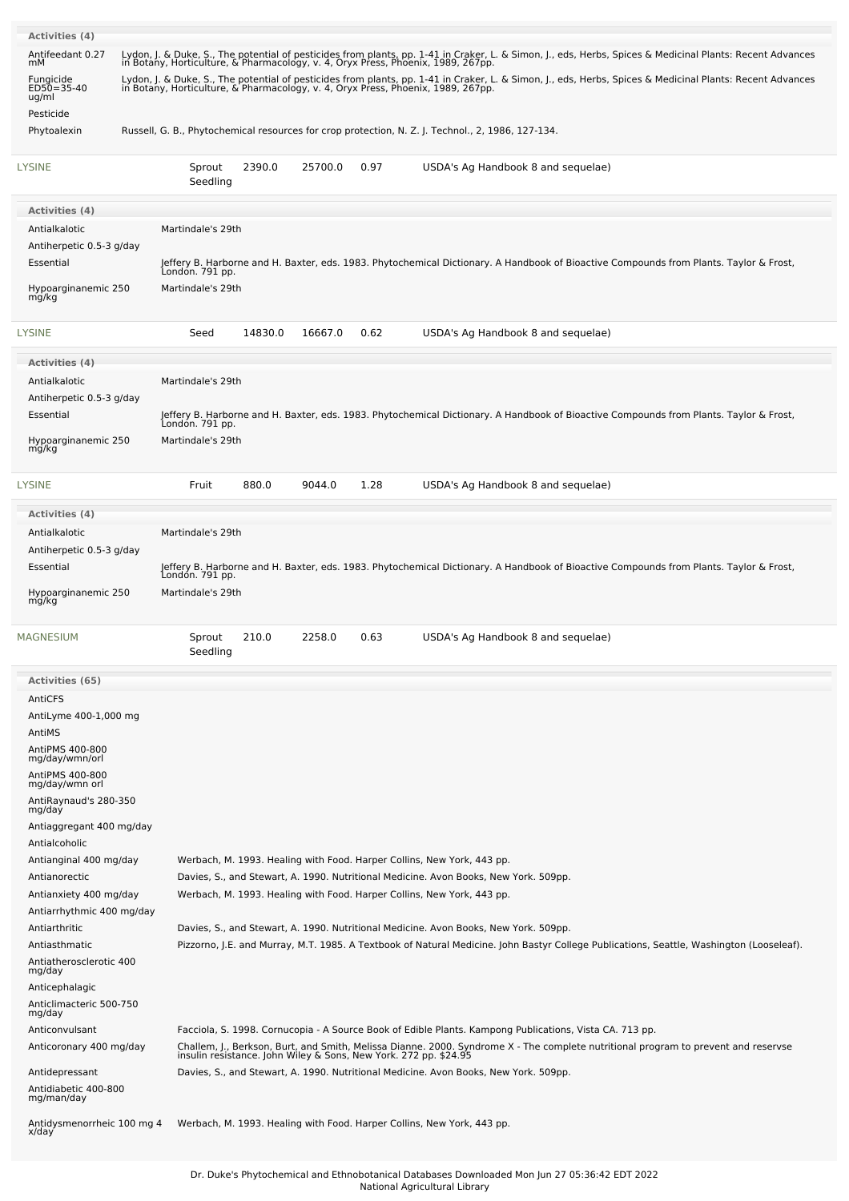| Activities (4)                            |                                                                                                                                                                      |                    |      |                                                                                                                                                                                                                                                                                                |  |
|-------------------------------------------|----------------------------------------------------------------------------------------------------------------------------------------------------------------------|--------------------|------|------------------------------------------------------------------------------------------------------------------------------------------------------------------------------------------------------------------------------------------------------------------------------------------------|--|
| Antifeedant 0.27                          |                                                                                                                                                                      |                    |      | Lydon, J. & Duke, S., The potential of pesticides from plants, pp. 1-41 in Craker, L. & Simon, J., eds, Herbs, Spices & Medicinal Plants: Recent Advances                                                                                                                                      |  |
| mМ<br>Fungicide<br>ED50=35-40<br>ug/ml    | in Botany, Horticulture, & Pharmacology, v. 4, Oryx Press, Phoenix, 1989, 267pp.<br>in Botany, Horticulture, & Pharmacology, v. 4, Oryx Press, Phoenix, 1989, 267pp. |                    |      | Lydon, J. & Duke, S., The potential of pesticides from plants, pp. 1-41 in Craker, L. & Simon, J., eds, Herbs, Spices & Medicinal Plants: Recent Advances                                                                                                                                      |  |
| Pesticide                                 |                                                                                                                                                                      |                    |      |                                                                                                                                                                                                                                                                                                |  |
| Phytoalexin                               |                                                                                                                                                                      |                    |      | Russell, G. B., Phytochemical resources for crop protection, N. Z. J. Technol., 2, 1986, 127-134.                                                                                                                                                                                              |  |
| <b>LYSINE</b>                             | Sprout<br>Seedling                                                                                                                                                   | 2390.0<br>25700.0  | 0.97 | USDA's Ag Handbook 8 and sequelae)                                                                                                                                                                                                                                                             |  |
| <b>Activities (4)</b>                     |                                                                                                                                                                      |                    |      |                                                                                                                                                                                                                                                                                                |  |
| Antialkalotic                             | Martindale's 29th                                                                                                                                                    |                    |      |                                                                                                                                                                                                                                                                                                |  |
| Antiherpetic 0.5-3 g/day                  |                                                                                                                                                                      |                    |      |                                                                                                                                                                                                                                                                                                |  |
| Essential                                 | London. 791 pp.                                                                                                                                                      |                    |      | Jeffery B. Harborne and H. Baxter, eds. 1983. Phytochemical Dictionary. A Handbook of Bioactive Compounds from Plants. Taylor & Frost,                                                                                                                                                         |  |
| Hypoarginanemic 250<br>mg/kg              | Martindale's 29th                                                                                                                                                    |                    |      |                                                                                                                                                                                                                                                                                                |  |
| LYSINE                                    | Seed                                                                                                                                                                 | 14830.0<br>16667.0 | 0.62 | USDA's Ag Handbook 8 and sequelae)                                                                                                                                                                                                                                                             |  |
|                                           |                                                                                                                                                                      |                    |      |                                                                                                                                                                                                                                                                                                |  |
| Activities (4)                            |                                                                                                                                                                      |                    |      |                                                                                                                                                                                                                                                                                                |  |
| Antialkalotic                             | Martindale's 29th                                                                                                                                                    |                    |      |                                                                                                                                                                                                                                                                                                |  |
| Antiherpetic 0.5-3 g/day<br>Essential     |                                                                                                                                                                      |                    |      | Jeffery B. Harborne and H. Baxter, eds. 1983. Phytochemical Dictionary. A Handbook of Bioactive Compounds from Plants. Taylor & Frost,                                                                                                                                                         |  |
|                                           | London. 791 pp.                                                                                                                                                      |                    |      |                                                                                                                                                                                                                                                                                                |  |
| Hypoarginanemic 250<br>mg/kg              | Martindale's 29th                                                                                                                                                    |                    |      |                                                                                                                                                                                                                                                                                                |  |
| LYSINE                                    | Fruit                                                                                                                                                                | 880.0<br>9044.0    | 1.28 | USDA's Ag Handbook 8 and sequelae)                                                                                                                                                                                                                                                             |  |
| Activities (4)                            |                                                                                                                                                                      |                    |      |                                                                                                                                                                                                                                                                                                |  |
| Antialkalotic                             | Martindale's 29th                                                                                                                                                    |                    |      |                                                                                                                                                                                                                                                                                                |  |
| Antiherpetic 0.5-3 g/day                  |                                                                                                                                                                      |                    |      |                                                                                                                                                                                                                                                                                                |  |
| Essential                                 |                                                                                                                                                                      |                    |      | Jeffery B. Harborne and H. Baxter, eds. 1983. Phytochemical Dictionary. A Handbook of Bioactive Compounds from Plants. Taylor & Frost,<br>London. 791 pp.                                                                                                                                      |  |
|                                           |                                                                                                                                                                      |                    |      |                                                                                                                                                                                                                                                                                                |  |
| Hypoarginanemic 250<br>mg/kg              | Martindale's 29th                                                                                                                                                    |                    |      |                                                                                                                                                                                                                                                                                                |  |
| <b>MAGNESIUM</b>                          | Sprout<br>Seedling                                                                                                                                                   | 210.0<br>2258.0    | 0.63 | USDA's Ag Handbook 8 and sequelae)                                                                                                                                                                                                                                                             |  |
|                                           |                                                                                                                                                                      |                    |      |                                                                                                                                                                                                                                                                                                |  |
| Activities (65)<br>AntiCFS                |                                                                                                                                                                      |                    |      |                                                                                                                                                                                                                                                                                                |  |
| AntiLyme 400-1,000 mg                     |                                                                                                                                                                      |                    |      |                                                                                                                                                                                                                                                                                                |  |
| AntiMS                                    |                                                                                                                                                                      |                    |      |                                                                                                                                                                                                                                                                                                |  |
| AntiPMS 400-800                           |                                                                                                                                                                      |                    |      |                                                                                                                                                                                                                                                                                                |  |
| mg/day/wmn/orl                            |                                                                                                                                                                      |                    |      |                                                                                                                                                                                                                                                                                                |  |
| AntiPMS 400-800<br>mg/day/wmn orl         |                                                                                                                                                                      |                    |      |                                                                                                                                                                                                                                                                                                |  |
| AntiRaynaud's 280-350                     |                                                                                                                                                                      |                    |      |                                                                                                                                                                                                                                                                                                |  |
| mg/day<br>Antiaggregant 400 mg/day        |                                                                                                                                                                      |                    |      |                                                                                                                                                                                                                                                                                                |  |
| Antialcoholic                             |                                                                                                                                                                      |                    |      |                                                                                                                                                                                                                                                                                                |  |
| Antianginal 400 mg/day                    |                                                                                                                                                                      |                    |      | Werbach, M. 1993. Healing with Food. Harper Collins, New York, 443 pp.                                                                                                                                                                                                                         |  |
| Antianorectic                             |                                                                                                                                                                      |                    |      | Davies, S., and Stewart, A. 1990. Nutritional Medicine. Avon Books, New York. 509pp.                                                                                                                                                                                                           |  |
| Antianxiety 400 mg/day                    |                                                                                                                                                                      |                    |      | Werbach, M. 1993. Healing with Food. Harper Collins, New York, 443 pp.                                                                                                                                                                                                                         |  |
| Antiarrhythmic 400 mg/day                 |                                                                                                                                                                      |                    |      |                                                                                                                                                                                                                                                                                                |  |
| Antiarthritic                             |                                                                                                                                                                      |                    |      | Davies, S., and Stewart, A. 1990. Nutritional Medicine. Avon Books, New York. 509pp.                                                                                                                                                                                                           |  |
| Antiasthmatic                             |                                                                                                                                                                      |                    |      | Pizzorno, J.E. and Murray, M.T. 1985. A Textbook of Natural Medicine. John Bastyr College Publications, Seattle, Washington (Looseleaf).                                                                                                                                                       |  |
| Antiatherosclerotic 400<br>mg/day         |                                                                                                                                                                      |                    |      |                                                                                                                                                                                                                                                                                                |  |
| Anticephalagic                            |                                                                                                                                                                      |                    |      |                                                                                                                                                                                                                                                                                                |  |
| Anticlimacteric 500-750                   |                                                                                                                                                                      |                    |      |                                                                                                                                                                                                                                                                                                |  |
| mg/day                                    |                                                                                                                                                                      |                    |      |                                                                                                                                                                                                                                                                                                |  |
| Anticonvulsant<br>Anticoronary 400 mg/day |                                                                                                                                                                      |                    |      | Facciola, S. 1998. Cornucopia - A Source Book of Edible Plants. Kampong Publications, Vista CA. 713 pp.                                                                                                                                                                                        |  |
| Antidepressant                            |                                                                                                                                                                      |                    |      | Challem, J., Berkson, Burt, and Smith, Melissa Dianne. 2000. Syndrome X - The complete nutritional program to prevent and reservse<br>insulin resistance. John Wiley & Sons, New York. 272 pp. \$24.95<br>Davies, S., and Stewart, A. 1990. Nutritional Medicine. Avon Books, New York. 509pp. |  |
| Antidiabetic 400-800<br>mg/man/day        |                                                                                                                                                                      |                    |      |                                                                                                                                                                                                                                                                                                |  |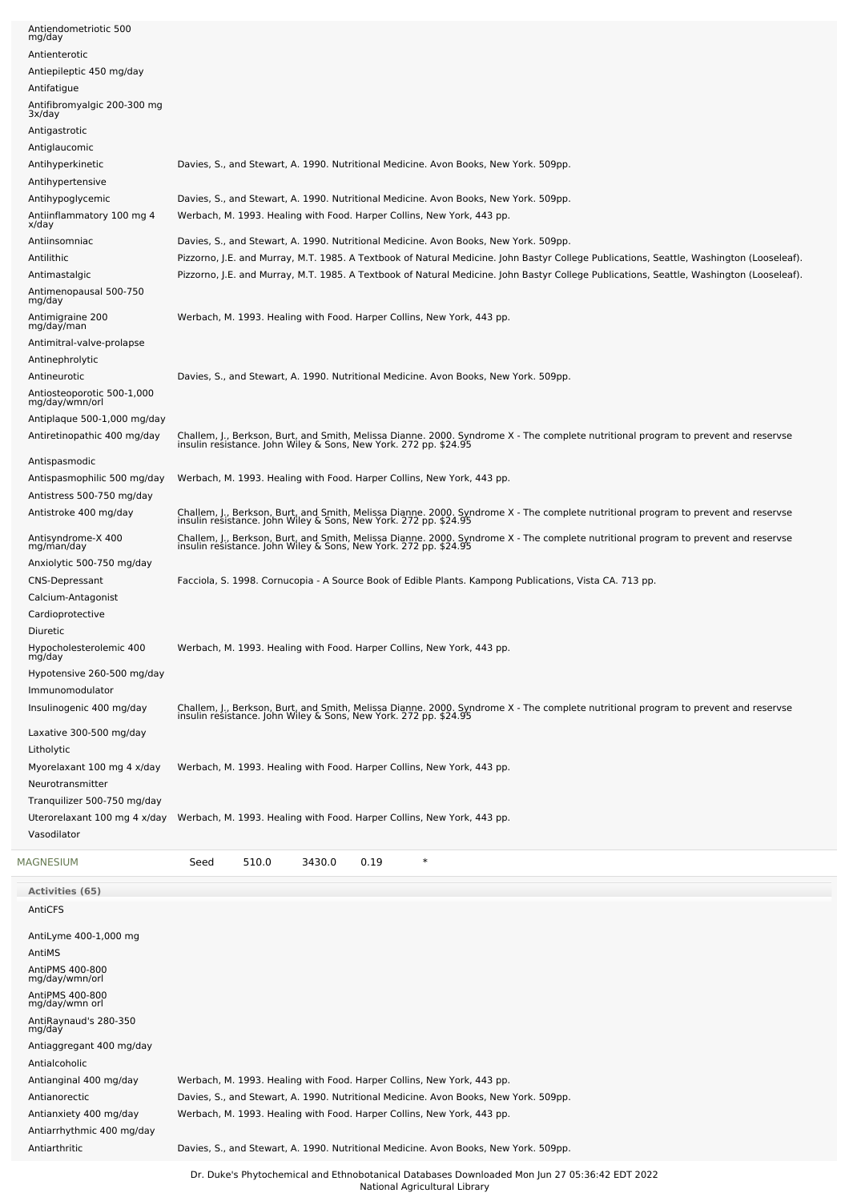| Antiendometriotic 500<br>mg/day                   |                                                                                                                                                                                                        |
|---------------------------------------------------|--------------------------------------------------------------------------------------------------------------------------------------------------------------------------------------------------------|
| Antienterotic                                     |                                                                                                                                                                                                        |
| Antiepileptic 450 mg/day                          |                                                                                                                                                                                                        |
| Antifatigue                                       |                                                                                                                                                                                                        |
| Antifibromyalgic 200-300 mg<br>3x/day             |                                                                                                                                                                                                        |
| Antigastrotic                                     |                                                                                                                                                                                                        |
| Antiglaucomic                                     |                                                                                                                                                                                                        |
| Antihyperkinetic                                  | Davies, S., and Stewart, A. 1990. Nutritional Medicine. Avon Books, New York. 509pp.                                                                                                                   |
| Antihypertensive                                  |                                                                                                                                                                                                        |
| Antihypoglycemic                                  | Davies, S., and Stewart, A. 1990. Nutritional Medicine. Avon Books, New York. 509pp.                                                                                                                   |
| Antiinflammatory 100 mg 4<br>x/day                | Werbach, M. 1993. Healing with Food. Harper Collins, New York, 443 pp.                                                                                                                                 |
| Antiinsomniac                                     | Davies, S., and Stewart, A. 1990. Nutritional Medicine. Avon Books, New York. 509pp.                                                                                                                   |
| Antilithic                                        | Pizzorno, J.E. and Murray, M.T. 1985. A Textbook of Natural Medicine. John Bastyr College Publications, Seattle, Washington (Looseleaf).                                                               |
| Antimastalgic<br>Antimenopausal 500-750<br>mg/day | Pizzorno, J.E. and Murray, M.T. 1985. A Textbook of Natural Medicine. John Bastyr College Publications, Seattle, Washington (Looseleaf).                                                               |
| Antimigraine 200<br>mg/day/man                    | Werbach, M. 1993. Healing with Food. Harper Collins, New York, 443 pp.                                                                                                                                 |
| Antimitral-valve-prolapse                         |                                                                                                                                                                                                        |
| Antinephrolytic                                   |                                                                                                                                                                                                        |
| Antineurotic                                      | Davies, S., and Stewart, A. 1990. Nutritional Medicine. Avon Books, New York. 509pp.                                                                                                                   |
| Antiosteoporotic 500-1,000<br>mg/day/wmn/orl      |                                                                                                                                                                                                        |
| Antiplaque 500-1,000 mg/day                       |                                                                                                                                                                                                        |
| Antiretinopathic 400 mg/day                       | Challem, J., Berkson, Burt, and Smith, Melissa Dianne. 2000. Syndrome X - The complete nutritional program to prevent and reservse<br>insulin resistance. John Wiley & Sons, New York. 272 pp. \$24.95 |
| Antispasmodic                                     |                                                                                                                                                                                                        |
| Antispasmophilic 500 mg/day                       | Werbach, M. 1993. Healing with Food. Harper Collins, New York, 443 pp.                                                                                                                                 |
| Antistress 500-750 mg/day                         |                                                                                                                                                                                                        |
| Antistroke 400 mg/day                             | Challem, J., Berkson, Burt, and Smith, Melissa Dianne. 2000. Syndrome X - The complete nutritional program to prevent and reservse<br>insulin resistance. John Wiley & Sons, New York. 272 pp. \$24.95 |
| Antisyndrome-X 400<br>mg/man/day                  | Challem, J., Berkson, Burt, and Smith, Melissa Dianne. 2000. Syndrome X - The complete nutritional program to prevent and reservse<br>insulin resistance. John Wiley & Sons, New York. 272 pp. \$24.95 |
| Anxiolytic 500-750 mg/day                         |                                                                                                                                                                                                        |
| <b>CNS-Depressant</b>                             | Facciola, S. 1998. Cornucopia - A Source Book of Edible Plants. Kampong Publications, Vista CA. 713 pp.                                                                                                |
| Calcium-Antagonist                                |                                                                                                                                                                                                        |
| Cardioprotective                                  |                                                                                                                                                                                                        |
|                                                   |                                                                                                                                                                                                        |
| Diuretic                                          |                                                                                                                                                                                                        |
| Hypocholesterolemic 400<br>mg/day                 | Werbach, M. 1993. Healing with Food. Harper Collins, New York, 443 pp.                                                                                                                                 |
| Hypotensive 260-500 mg/day                        |                                                                                                                                                                                                        |
| Immunomodulator                                   |                                                                                                                                                                                                        |
| Insulinogenic 400 mg/day                          | Challem, J., Berkson, Burt, and Smith, Melissa Dianne. 2000. Syndrome X - The complete nutritional program to prevent and reservse<br>insulin resistance. John Wiley & Sons, New York. 272 pp. \$24.95 |
| Laxative 300-500 mg/day                           |                                                                                                                                                                                                        |
| Litholytic                                        |                                                                                                                                                                                                        |
| Myorelaxant 100 mg 4 x/day                        | Werbach, M. 1993. Healing with Food. Harper Collins, New York, 443 pp.                                                                                                                                 |
| Neurotransmitter                                  |                                                                                                                                                                                                        |
| Tranquilizer 500-750 mg/day                       |                                                                                                                                                                                                        |
| Uterorelaxant 100 mg 4 x/day<br>Vasodilator       | Werbach, M. 1993. Healing with Food. Harper Collins, New York, 443 pp.                                                                                                                                 |
| MAGNESIUM                                         | $\ast$<br>510.0<br>3430.0<br>0.19<br>Seed                                                                                                                                                              |
|                                                   |                                                                                                                                                                                                        |
| <b>Activities (65)</b>                            |                                                                                                                                                                                                        |
| AntiCFS                                           |                                                                                                                                                                                                        |
| AntiLyme 400-1,000 mg<br>AntiMS                   |                                                                                                                                                                                                        |
| AntiPMS 400-800                                   |                                                                                                                                                                                                        |
| mg/day/wmn/orl                                    |                                                                                                                                                                                                        |
| AntiPMS 400-800<br>mg/day/wmn orl                 |                                                                                                                                                                                                        |
| AntiRaynaud's 280-350                             |                                                                                                                                                                                                        |
| mg/day                                            |                                                                                                                                                                                                        |
| Antiaggregant 400 mg/day                          |                                                                                                                                                                                                        |
| Antialcoholic                                     |                                                                                                                                                                                                        |
| Antianginal 400 mg/day                            | Werbach, M. 1993. Healing with Food. Harper Collins, New York, 443 pp.                                                                                                                                 |
| Antianorectic                                     | Davies, S., and Stewart, A. 1990. Nutritional Medicine. Avon Books, New York. 509pp.                                                                                                                   |
| Antianxiety 400 mg/day                            | Werbach, M. 1993. Healing with Food. Harper Collins, New York, 443 pp.                                                                                                                                 |
| Antiarrhythmic 400 mg/day<br>Antiarthritic        | Davies, S., and Stewart, A. 1990. Nutritional Medicine. Avon Books, New York. 509pp.                                                                                                                   |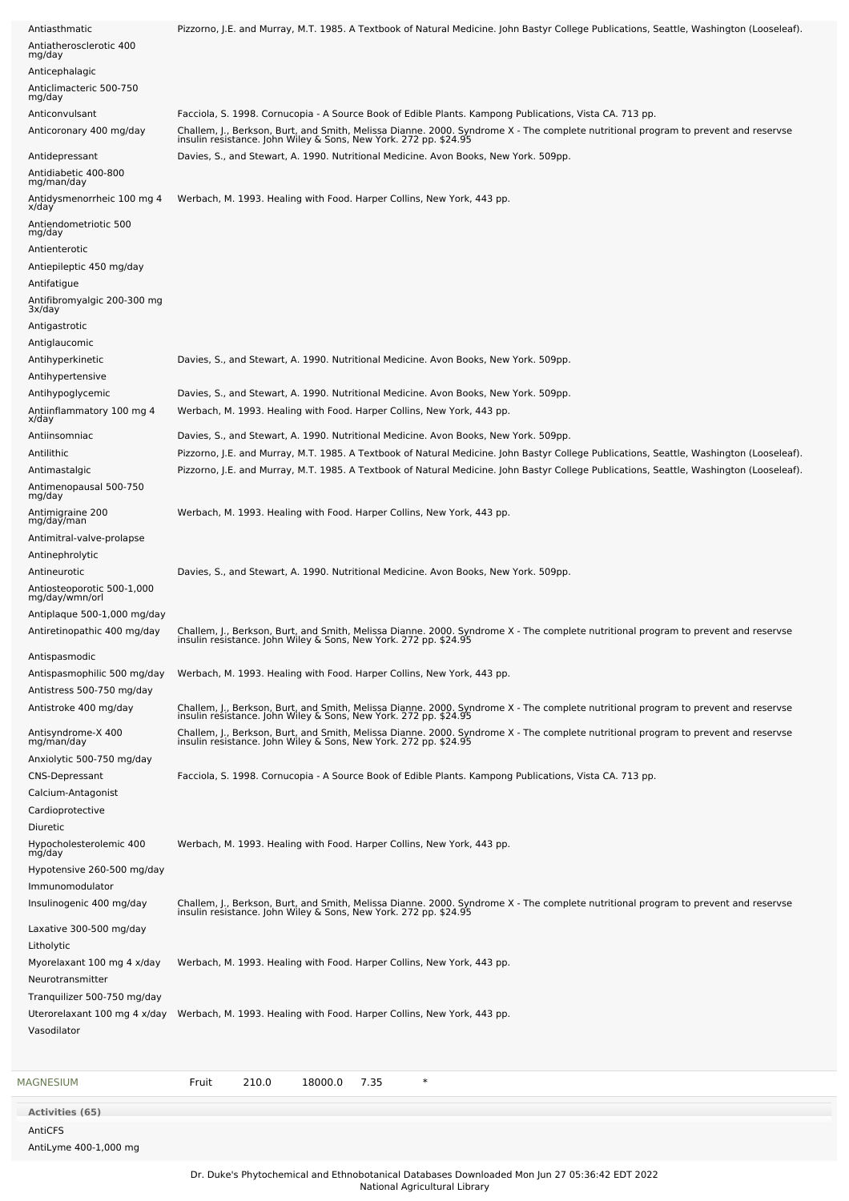| Antiasthmatic                                | Pizzorno, J.E. and Murray, M.T. 1985. A Textbook of Natural Medicine. John Bastyr College Publications, Seattle, Washington (Looseleaf).                                                               |
|----------------------------------------------|--------------------------------------------------------------------------------------------------------------------------------------------------------------------------------------------------------|
| Antiatherosclerotic 400                      |                                                                                                                                                                                                        |
| mg/day<br>Anticephalagic                     |                                                                                                                                                                                                        |
| Anticlimacteric 500-750                      |                                                                                                                                                                                                        |
| mg/day                                       |                                                                                                                                                                                                        |
| Anticonvulsant                               | Facciola, S. 1998. Cornucopia - A Source Book of Edible Plants. Kampong Publications, Vista CA. 713 pp.                                                                                                |
| Anticoronary 400 mg/day                      | Challem, J., Berkson, Burt, and Smith, Melissa Dianne. 2000. Syndrome X - The complete nutritional program to prevent and reservse<br>insulin resistance. John Wiley & Sons, New York. 272 pp. \$24.95 |
| Antidepressant                               | Davies, S., and Stewart, A. 1990. Nutritional Medicine. Avon Books, New York. 509pp.                                                                                                                   |
| Antidiabetic 400-800                         |                                                                                                                                                                                                        |
| mg/man/day                                   |                                                                                                                                                                                                        |
| Antidysmenorrheic 100 mg 4<br>x/day          | Werbach, M. 1993. Healing with Food. Harper Collins, New York, 443 pp.                                                                                                                                 |
| Antiendometriotic 500                        |                                                                                                                                                                                                        |
| mg/day<br>Antienterotic                      |                                                                                                                                                                                                        |
| Antiepileptic 450 mg/day                     |                                                                                                                                                                                                        |
| Antifatigue                                  |                                                                                                                                                                                                        |
| Antifibromyalgic 200-300 mg                  |                                                                                                                                                                                                        |
| 3x/day                                       |                                                                                                                                                                                                        |
| Antigastrotic                                |                                                                                                                                                                                                        |
| Antiglaucomic                                |                                                                                                                                                                                                        |
| Antihyperkinetic                             | Davies, S., and Stewart, A. 1990. Nutritional Medicine. Avon Books, New York. 509pp.                                                                                                                   |
| Antihypertensive                             |                                                                                                                                                                                                        |
| Antihypoglycemic                             | Davies, S., and Stewart, A. 1990. Nutritional Medicine. Avon Books, New York. 509pp.                                                                                                                   |
| Antiinflammatory 100 mg 4<br>x/day           | Werbach, M. 1993. Healing with Food. Harper Collins, New York, 443 pp.                                                                                                                                 |
| Antiinsomniac                                | Davies, S., and Stewart, A. 1990. Nutritional Medicine. Avon Books, New York. 509pp.                                                                                                                   |
| Antilithic                                   | Pizzorno, J.E. and Murray, M.T. 1985. A Textbook of Natural Medicine. John Bastyr College Publications, Seattle, Washington (Looseleaf).                                                               |
| Antimastalgic                                | Pizzorno, J.E. and Murray, M.T. 1985. A Textbook of Natural Medicine. John Bastyr College Publications, Seattle, Washington (Looseleaf).                                                               |
| Antimenopausal 500-750<br>mg/day             |                                                                                                                                                                                                        |
| Antimigraine 200                             | Werbach, M. 1993. Healing with Food. Harper Collins, New York, 443 pp.                                                                                                                                 |
| mg/day/man                                   |                                                                                                                                                                                                        |
| Antimitral-valve-prolapse                    |                                                                                                                                                                                                        |
| Antinephrolytic                              |                                                                                                                                                                                                        |
| Antineurotic                                 | Davies, S., and Stewart, A. 1990. Nutritional Medicine. Avon Books, New York. 509pp.                                                                                                                   |
| Antiosteoporotic 500-1,000<br>mg/day/wmn/orl |                                                                                                                                                                                                        |
| Antiplaque 500-1,000 mg/day                  |                                                                                                                                                                                                        |
| Antiretinopathic 400 mg/day                  | Challem, J., Berkson, Burt, and Smith, Melissa Dianne. 2000. Syndrome X - The complete nutritional program to prevent and reservse<br>insulin resistance. John Wiley & Sons, New York. 272 pp. \$24.95 |
| Antispasmodic                                |                                                                                                                                                                                                        |
| Antispasmophilic 500 mg/day                  | Werbach, M. 1993. Healing with Food. Harper Collins, New York, 443 pp.                                                                                                                                 |
| Antistress 500-750 mg/day                    |                                                                                                                                                                                                        |
| Antistroke 400 mg/day                        | Challem, J., Berkson, Burt, and Smith, Melissa Dianne. 2000. Syndrome X - The complete nutritional program to prevent and reservse<br>insulin resistance. John Wiley & Sons, New York. 272 pp. \$24.95 |
|                                              |                                                                                                                                                                                                        |
| Antisyndrome-X 400<br>mg/man/day             | Challem, J., Berkson, Burt, and Smith, Melissa Dianne. 2000. Syndrome X - The complete nutritional program to prevent and reservse<br>insulin resistance. John Wiley & Sons, New York. 272 pp. \$24.95 |
| Anxiolytic 500-750 mg/day                    |                                                                                                                                                                                                        |
| <b>CNS-Depressant</b>                        | Facciola, S. 1998. Cornucopia - A Source Book of Edible Plants. Kampong Publications, Vista CA. 713 pp.                                                                                                |
| Calcium-Antagonist                           |                                                                                                                                                                                                        |
| Cardioprotective                             |                                                                                                                                                                                                        |
| Diuretic                                     |                                                                                                                                                                                                        |
| Hypocholesterolemic 400<br>mg/day            | Werbach, M. 1993. Healing with Food. Harper Collins, New York, 443 pp.                                                                                                                                 |
| Hypotensive 260-500 mg/day                   |                                                                                                                                                                                                        |
| Immunomodulator                              |                                                                                                                                                                                                        |
| Insulinogenic 400 mg/day                     | Challem, J., Berkson, Burt, and Smith, Melissa Dianne. 2000. Syndrome X - The complete nutritional program to prevent and reservse insulin resistance. John Wiley & Sons, New York. 272 pp. \$24.95    |
| Laxative 300-500 mg/day                      |                                                                                                                                                                                                        |
| Litholytic                                   |                                                                                                                                                                                                        |
| Myorelaxant 100 mg 4 x/day                   | Werbach, M. 1993. Healing with Food. Harper Collins, New York, 443 pp.                                                                                                                                 |
| Neurotransmitter                             |                                                                                                                                                                                                        |
| Tranquilizer 500-750 mg/day                  |                                                                                                                                                                                                        |
| Uterorelaxant 100 mg 4 x/day                 | Werbach, M. 1993. Healing with Food. Harper Collins, New York, 443 pp.                                                                                                                                 |
| Vasodilator                                  |                                                                                                                                                                                                        |
|                                              |                                                                                                                                                                                                        |
|                                              |                                                                                                                                                                                                        |
| MAGNESIUM                                    | $\ast$<br>210.0<br>18000.0<br>7.35<br>Fruit                                                                                                                                                            |
| <b>Activities (65)</b>                       |                                                                                                                                                                                                        |
| AntiCFS                                      |                                                                                                                                                                                                        |
| AntiLyme 400-1,000 mg                        |                                                                                                                                                                                                        |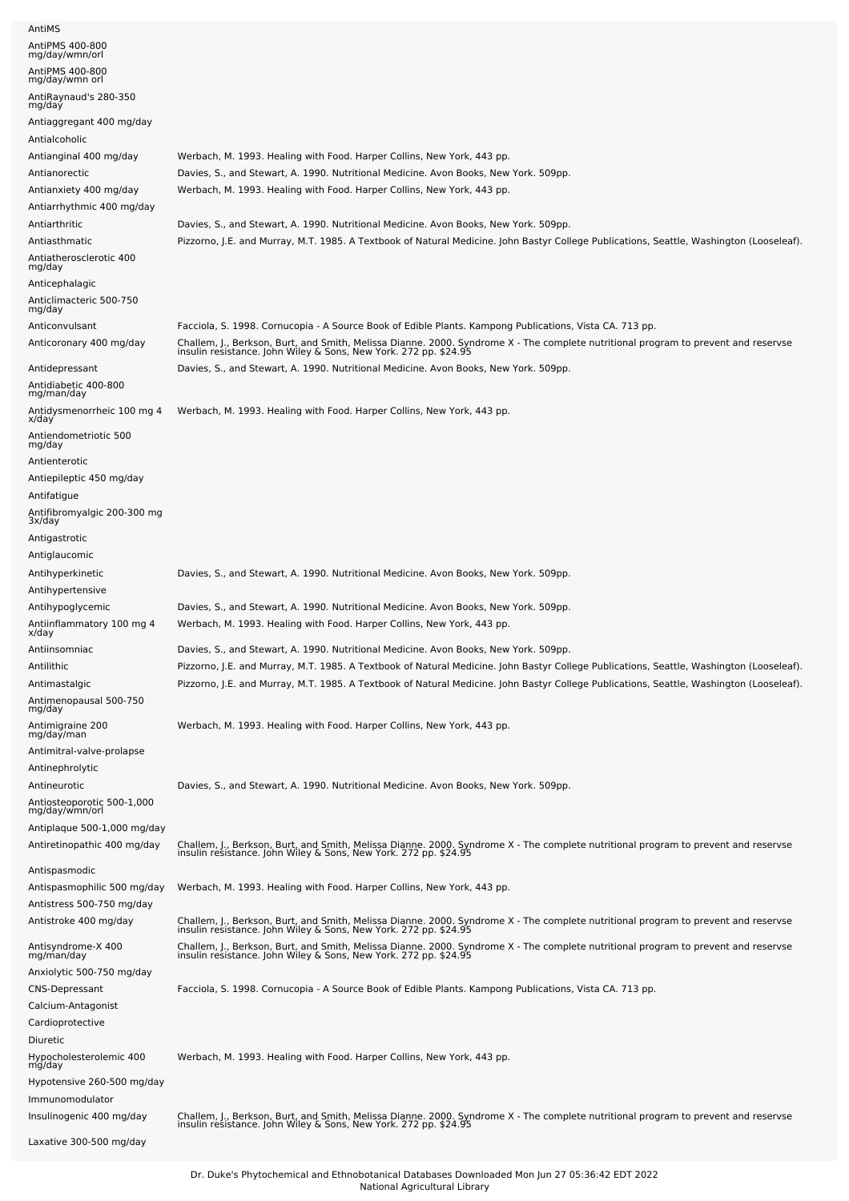| AntiMS                                             |                                                                                                                                                                                                                                  |
|----------------------------------------------------|----------------------------------------------------------------------------------------------------------------------------------------------------------------------------------------------------------------------------------|
| AntiPMS 400-800<br>mg/day/wmn/orl                  |                                                                                                                                                                                                                                  |
| AntiPMS 400-800                                    |                                                                                                                                                                                                                                  |
| mg/day/wmn orl                                     |                                                                                                                                                                                                                                  |
| AntiRaynaud's 280-350<br>mg/day                    |                                                                                                                                                                                                                                  |
| Antiaggregant 400 mg/day                           |                                                                                                                                                                                                                                  |
| Antialcoholic                                      |                                                                                                                                                                                                                                  |
| Antianginal 400 mg/day                             | Werbach, M. 1993. Healing with Food. Harper Collins, New York, 443 pp.                                                                                                                                                           |
| Antianorectic                                      | Davies, S., and Stewart, A. 1990. Nutritional Medicine. Avon Books, New York. 509pp.                                                                                                                                             |
| Antianxiety 400 mg/day                             | Werbach, M. 1993. Healing with Food. Harper Collins, New York, 443 pp.                                                                                                                                                           |
| Antiarrhythmic 400 mg/day                          |                                                                                                                                                                                                                                  |
| Antiarthritic<br>Antiasthmatic                     | Davies, S., and Stewart, A. 1990. Nutritional Medicine. Avon Books, New York. 509pp.<br>Pizzorno, J.E. and Murray, M.T. 1985. A Textbook of Natural Medicine. John Bastyr College Publications, Seattle, Washington (Looseleaf). |
| Antiatherosclerotic 400                            |                                                                                                                                                                                                                                  |
| mg/day                                             |                                                                                                                                                                                                                                  |
| Anticephalagic                                     |                                                                                                                                                                                                                                  |
| Anticlimacteric 500-750<br>mg/day                  |                                                                                                                                                                                                                                  |
| Anticonvulsant                                     | Facciola, S. 1998. Cornucopia - A Source Book of Edible Plants. Kampong Publications, Vista CA. 713 pp.                                                                                                                          |
| Anticoronary 400 mg/day                            | Challem, J., Berkson, Burt, and Smith, Melissa Dianne. 2000. Syndrome X - The complete nutritional program to prevent and reservse<br>insulin resistance. John Wiley & Sons, New York. 272 pp. \$24.95                           |
| Antidepressant                                     | Davies, S., and Stewart, A. 1990. Nutritional Medicine. Avon Books, New York. 509pp.                                                                                                                                             |
| Antidiabetic 400-800                               |                                                                                                                                                                                                                                  |
| mg/man/day                                         |                                                                                                                                                                                                                                  |
| Antidysmenorrheic 100 mg 4<br>x/day                | Werbach, M. 1993. Healing with Food. Harper Collins, New York, 443 pp.                                                                                                                                                           |
| Antiendometriotic 500<br>mg/day                    |                                                                                                                                                                                                                                  |
| Antienterotic                                      |                                                                                                                                                                                                                                  |
| Antiepileptic 450 mg/day                           |                                                                                                                                                                                                                                  |
| Antifatigue                                        |                                                                                                                                                                                                                                  |
| Antifibromyalgic 200-300 mg<br>3x/day              |                                                                                                                                                                                                                                  |
| Antigastrotic                                      |                                                                                                                                                                                                                                  |
| Antiglaucomic                                      |                                                                                                                                                                                                                                  |
| Antihyperkinetic                                   | Davies, S., and Stewart, A. 1990. Nutritional Medicine. Avon Books, New York. 509pp.                                                                                                                                             |
| Antihypertensive                                   |                                                                                                                                                                                                                                  |
| Antihypoglycemic                                   | Davies, S., and Stewart, A. 1990. Nutritional Medicine. Avon Books, New York. 509pp.                                                                                                                                             |
| Antiinflammatory 100 mg 4<br>x/day                 | Werbach, M. 1993. Healing with Food. Harper Collins, New York, 443 pp.                                                                                                                                                           |
|                                                    |                                                                                                                                                                                                                                  |
| Antiinsomniac                                      | Davies, S., and Stewart, A. 1990. Nutritional Medicine. Avon Books, New York. 509pp.                                                                                                                                             |
| Antilithic                                         | Pizzorno, J.E. and Murray, M.T. 1985. A Textbook of Natural Medicine. John Bastyr College Publications, Seattle, Washington (Looseleaf).                                                                                         |
| Antimastalgic                                      | Pizzorno, J.E. and Murray, M.T. 1985. A Textbook of Natural Medicine. John Bastyr College Publications, Seattle, Washington (Looseleaf).                                                                                         |
| Antimenopausal 500-750<br>mg/day                   |                                                                                                                                                                                                                                  |
| Antimigraine 200                                   | Werbach, M. 1993. Healing with Food. Harper Collins, New York, 443 pp.                                                                                                                                                           |
| mg/day/man                                         |                                                                                                                                                                                                                                  |
| Antimitral-valve-prolapse<br>Antinephrolytic       |                                                                                                                                                                                                                                  |
| Antineurotic                                       | Davies, S., and Stewart, A. 1990. Nutritional Medicine. Avon Books, New York. 509pp.                                                                                                                                             |
| Antiosteoporotic 500-1,000                         |                                                                                                                                                                                                                                  |
| mg/day/wmn/orl                                     |                                                                                                                                                                                                                                  |
| Antiplaque 500-1,000 mg/day                        |                                                                                                                                                                                                                                  |
| Antiretinopathic 400 mg/day                        | Challem, J., Berkson, Burt, and Smith, Melissa Dianne. 2000. Syndrome X - The complete nutritional program to prevent and reservse<br>insulin resistance. John Wiley & Sons, New York. 272 pp. \$24.95                           |
| Antispasmodic                                      |                                                                                                                                                                                                                                  |
| Antispasmophilic 500 mg/day                        | Werbach, M. 1993. Healing with Food. Harper Collins, New York, 443 pp.                                                                                                                                                           |
| Antistress 500-750 mg/day<br>Antistroke 400 mg/day |                                                                                                                                                                                                                                  |
|                                                    | Challem, J., Berkson, Burt, and Smith, Melissa Dianne. 2000. Syndrome X - The complete nutritional program to prevent and reservse<br>insulin resistance. John Wiley & Sons, New York. 272 pp. \$24.95                           |
| Antisyndrome-X 400<br>mg/man/day                   | Challem, J., Berkson, Burt, and Smith, Melissa Dianne. 2000. Syndrome X - The complete nutritional program to prevent and reservse<br>insulin resistance. John Wiley & Sons, New York. 272 pp. \$24.95                           |
| Anxiolytic 500-750 mg/day                          |                                                                                                                                                                                                                                  |
| <b>CNS-Depressant</b>                              | Facciola, S. 1998. Cornucopia - A Source Book of Edible Plants. Kampong Publications, Vista CA. 713 pp.                                                                                                                          |
| Calcium-Antagonist                                 |                                                                                                                                                                                                                                  |
| Cardioprotective                                   |                                                                                                                                                                                                                                  |
| Diuretic                                           |                                                                                                                                                                                                                                  |
| Hypocholesterolemic 400<br>mg/day                  | Werbach, M. 1993. Healing with Food. Harper Collins, New York, 443 pp.                                                                                                                                                           |
| Hypotensive 260-500 mg/day                         |                                                                                                                                                                                                                                  |
| Immunomodulator                                    |                                                                                                                                                                                                                                  |
| Insulinogenic 400 mg/day                           | Challem, J., Berkson, Burt, and Smith, Melissa Dianne. 2000. Syndrome X - The complete nutritional program to prevent and reservse<br>insulin resistance. John Wiley & Sons, New York. 272 pp. \$24.95                           |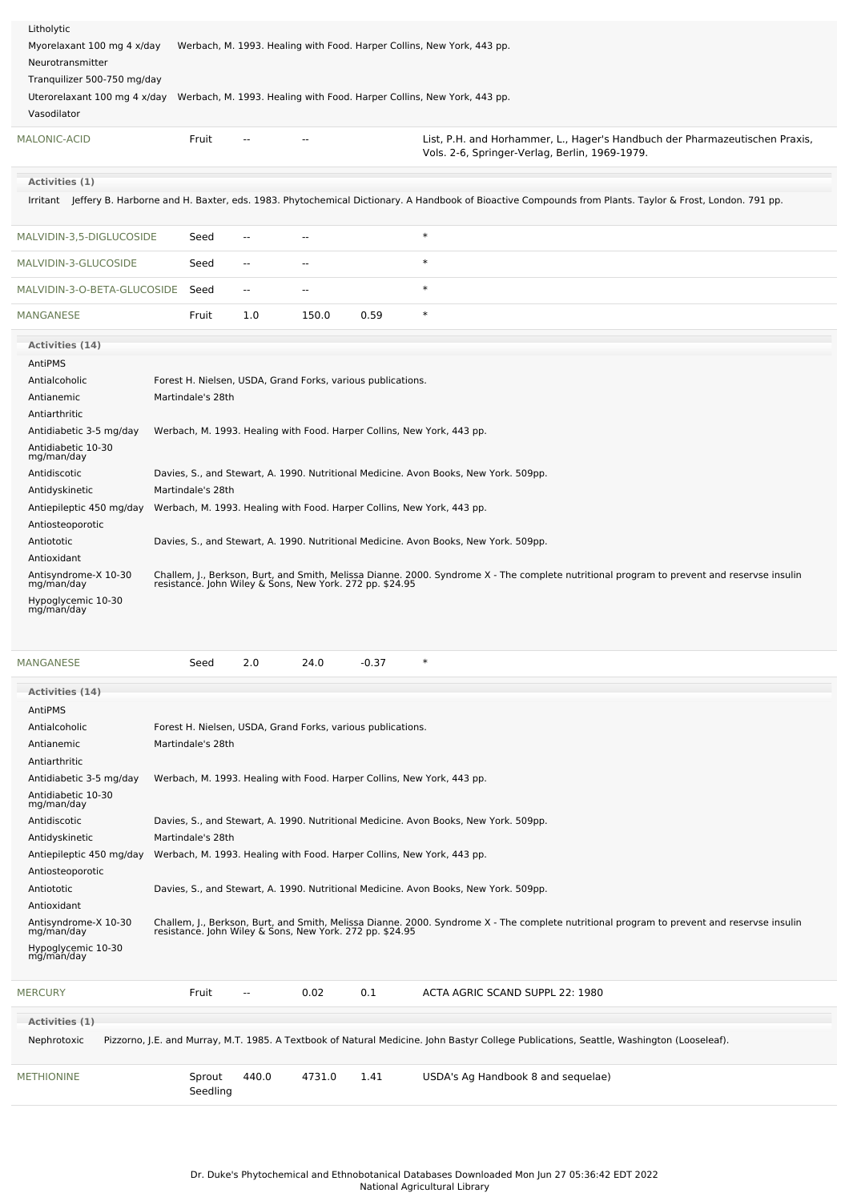| Litholytic<br>Myorelaxant 100 mg 4 x/day<br>Neurotransmitter<br>Tranquilizer 500-750 mg/day |                   |                          |               |                                                             | Werbach, M. 1993. Healing with Food. Harper Collins, New York, 443 pp.                                                                                                                              |
|---------------------------------------------------------------------------------------------|-------------------|--------------------------|---------------|-------------------------------------------------------------|-----------------------------------------------------------------------------------------------------------------------------------------------------------------------------------------------------|
| Uterorelaxant 100 mg 4 x/day<br>Vasodilator                                                 |                   |                          |               |                                                             | Werbach, M. 1993. Healing with Food. Harper Collins, New York, 443 pp.                                                                                                                              |
| <b>MALONIC-ACID</b>                                                                         | Fruit             |                          | --            |                                                             | List, P.H. and Horhammer, L., Hager's Handbuch der Pharmazeutischen Praxis,<br>Vols. 2-6, Springer-Verlag, Berlin, 1969-1979.                                                                       |
| Activities (1)                                                                              |                   |                          |               |                                                             |                                                                                                                                                                                                     |
|                                                                                             |                   |                          |               |                                                             | Irritant Jeffery B. Harborne and H. Baxter, eds. 1983. Phytochemical Dictionary. A Handbook of Bioactive Compounds from Plants. Taylor & Frost, London. 791 pp.                                     |
| MALVIDIN-3,5-DIGLUCOSIDE                                                                    | Seed              | --                       |               |                                                             | $\ast$                                                                                                                                                                                              |
| MALVIDIN-3-GLUCOSIDE                                                                        | Seed              | --                       | ۰.            |                                                             | $\ast$                                                                                                                                                                                              |
| MALVIDIN-3-O-BETA-GLUCOSIDE                                                                 | Seed              | $\overline{\phantom{a}}$ | $\sim$ $\sim$ |                                                             | $\ast$                                                                                                                                                                                              |
| MANGANESE                                                                                   | Fruit             | 1.0                      | 150.0         | 0.59                                                        | $\ast$                                                                                                                                                                                              |
| Activities (14)                                                                             |                   |                          |               |                                                             |                                                                                                                                                                                                     |
| AntiPMS                                                                                     |                   |                          |               |                                                             |                                                                                                                                                                                                     |
| Antialcoholic                                                                               |                   |                          |               | Forest H. Nielsen, USDA, Grand Forks, various publications. |                                                                                                                                                                                                     |
| Antianemic                                                                                  | Martindale's 28th |                          |               |                                                             |                                                                                                                                                                                                     |
| Antiarthritic                                                                               |                   |                          |               |                                                             |                                                                                                                                                                                                     |
| Antidiabetic 3-5 mg/day                                                                     |                   |                          |               |                                                             | Werbach, M. 1993. Healing with Food. Harper Collins, New York, 443 pp.                                                                                                                              |
| Antidiabetic 10-30<br>mg/man/day                                                            |                   |                          |               |                                                             |                                                                                                                                                                                                     |
| Antidiscotic                                                                                |                   |                          |               |                                                             | Davies, S., and Stewart, A. 1990. Nutritional Medicine. Avon Books, New York. 509pp.                                                                                                                |
| Antidyskinetic                                                                              | Martindale's 28th |                          |               |                                                             |                                                                                                                                                                                                     |
| Antiepileptic 450 mg/day                                                                    |                   |                          |               |                                                             | Werbach, M. 1993. Healing with Food. Harper Collins, New York, 443 pp.                                                                                                                              |
| Antiosteoporotic                                                                            |                   |                          |               |                                                             |                                                                                                                                                                                                     |
| Antiototic                                                                                  |                   |                          |               |                                                             | Davies, S., and Stewart, A. 1990. Nutritional Medicine. Avon Books, New York. 509pp.                                                                                                                |
| Antioxidant                                                                                 |                   |                          |               |                                                             |                                                                                                                                                                                                     |
| Antisyndrome-X 10-30<br>mg/man/day                                                          |                   |                          |               |                                                             | Challem, J., Berkson, Burt, and Smith, Melissa Dianne. 2000. Syndrome X - The complete nutritional program to prevent and reservse insulin resistance. John Wiley & Sons, New York. 272 pp. \$24.95 |
| Hypoglycemic 10-30<br>mg/man/day                                                            |                   |                          |               |                                                             |                                                                                                                                                                                                     |

| <b>MANGANESE</b>                   | Seed                                                                   | 2.0            | 24.0   | $-0.37$ | $\ast$                                                                                                                                                                                                 |
|------------------------------------|------------------------------------------------------------------------|----------------|--------|---------|--------------------------------------------------------------------------------------------------------------------------------------------------------------------------------------------------------|
| Activities (14)                    |                                                                        |                |        |         |                                                                                                                                                                                                        |
| AntiPMS                            |                                                                        |                |        |         |                                                                                                                                                                                                        |
| Antialcoholic                      | Forest H. Nielsen, USDA, Grand Forks, various publications.            |                |        |         |                                                                                                                                                                                                        |
| Antianemic                         | Martindale's 28th                                                      |                |        |         |                                                                                                                                                                                                        |
| Antiarthritic                      |                                                                        |                |        |         |                                                                                                                                                                                                        |
| Antidiabetic 3-5 mg/day            | Werbach, M. 1993. Healing with Food. Harper Collins, New York, 443 pp. |                |        |         |                                                                                                                                                                                                        |
| Antidiabetic 10-30<br>mg/man/day   |                                                                        |                |        |         |                                                                                                                                                                                                        |
| Antidiscotic                       |                                                                        |                |        |         | Davies, S., and Stewart, A. 1990. Nutritional Medicine. Avon Books, New York. 509pp.                                                                                                                   |
| Antidyskinetic                     | Martindale's 28th                                                      |                |        |         |                                                                                                                                                                                                        |
| Antiepileptic 450 mg/day           | Werbach, M. 1993. Healing with Food. Harper Collins, New York, 443 pp. |                |        |         |                                                                                                                                                                                                        |
| Antiosteoporotic                   |                                                                        |                |        |         |                                                                                                                                                                                                        |
| Antiototic                         |                                                                        |                |        |         | Davies, S., and Stewart, A. 1990. Nutritional Medicine. Avon Books, New York. 509pp.                                                                                                                   |
| Antioxidant                        |                                                                        |                |        |         |                                                                                                                                                                                                        |
| Antisyndrome-X 10-30<br>mg/man/day |                                                                        |                |        |         | Challem, J., Berkson, Burt, and Smith, Melissa Dianne. 2000. Syndrome X - The complete nutritional program to prevent and reservse insulin<br>resistance. John Wiley & Sons, New York. 272 pp. \$24.95 |
| Hypoglycemic 10-30<br>mg/man/day   |                                                                        |                |        |         |                                                                                                                                                                                                        |
| <b>MERCURY</b>                     | Fruit                                                                  | $\overline{a}$ | 0.02   | 0.1     | ACTA AGRIC SCAND SUPPL 22: 1980                                                                                                                                                                        |
| Activities (1)                     |                                                                        |                |        |         |                                                                                                                                                                                                        |
| Nephrotoxic                        |                                                                        |                |        |         | Pizzorno, J.E. and Murray, M.T. 1985. A Textbook of Natural Medicine. John Bastyr College Publications, Seattle, Washington (Looseleaf).                                                               |
| <b>METHIONINE</b>                  | Sprout<br>Seedling                                                     | 440.0          | 4731.0 | 1.41    | USDA's Ag Handbook 8 and sequelae)                                                                                                                                                                     |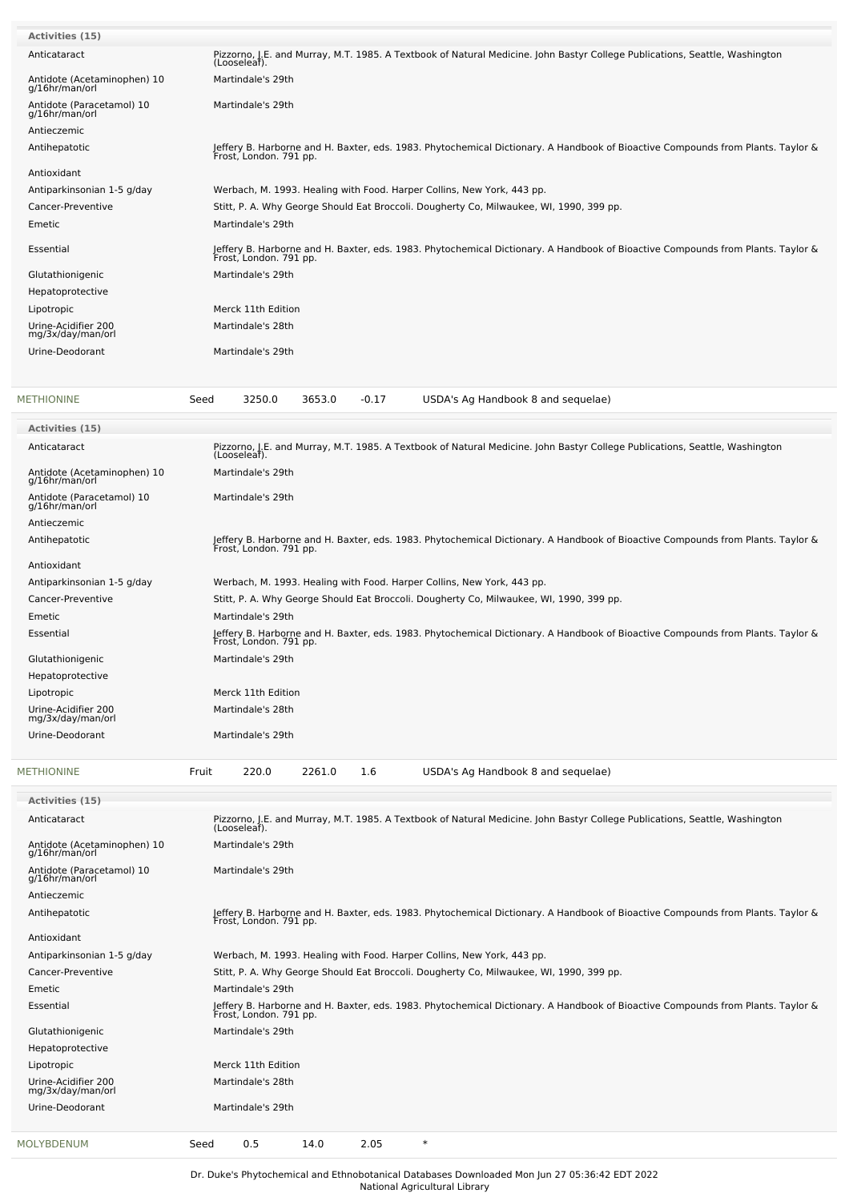| <b>Activities (15)</b>                        |                                                                                                                                                           |
|-----------------------------------------------|-----------------------------------------------------------------------------------------------------------------------------------------------------------|
| Anticataract                                  | Pizzorno, J.E. and Murray, M.T. 1985. A Textbook of Natural Medicine. John Bastyr College Publications, Seattle, Washington<br>(Looseleaf).               |
| Antidote (Acetaminophen) 10                   | Martindale's 29th                                                                                                                                         |
| g/16hr/man/orl                                |                                                                                                                                                           |
| Antidote (Paracetamol) 10<br>g/16hr/man/orl   | Martindale's 29th                                                                                                                                         |
| Antieczemic                                   |                                                                                                                                                           |
| Antihepatotic                                 | Jeffery B. Harborne and H. Baxter, eds. 1983. Phytochemical Dictionary. A Handbook of Bioactive Compounds from Plants. Taylor &<br>Frost, London. 791 pp. |
| Antioxidant                                   |                                                                                                                                                           |
| Antiparkinsonian 1-5 g/day                    | Werbach, M. 1993. Healing with Food. Harper Collins, New York, 443 pp.                                                                                    |
| Cancer-Preventive                             | Stitt, P. A. Why George Should Eat Broccoli. Dougherty Co, Milwaukee, WI, 1990, 399 pp.                                                                   |
| Emetic                                        | Martindale's 29th                                                                                                                                         |
| Essential                                     | Jeffery B. Harborne and H. Baxter, eds. 1983. Phytochemical Dictionary. A Handbook of Bioactive Compounds from Plants. Taylor &<br>Frost, London. 791 pp. |
| Glutathionigenic                              | Martindale's 29th                                                                                                                                         |
| Hepatoprotective                              |                                                                                                                                                           |
| Lipotropic                                    | Merck 11th Edition                                                                                                                                        |
| Urine-Acidifier 200<br>mg/3x/day/man/orl      | Martindale's 28th                                                                                                                                         |
| Urine-Deodorant                               | Martindale's 29th                                                                                                                                         |
| <b>METHIONINE</b>                             | 3250.0<br>3653.0<br>$-0.17$<br>USDA's Ag Handbook 8 and sequelae)<br>Seed                                                                                 |
|                                               |                                                                                                                                                           |
| Activities (15)<br>Anticataract               | Pizzorno, J.E. and Murray, M.T. 1985. A Textbook of Natural Medicine. John Bastyr College Publications, Seattle, Washington                               |
|                                               | (Looseleaf).                                                                                                                                              |
| Antidote (Acetaminophen) 10<br>g/16hr/man/orl | Martindale's 29th                                                                                                                                         |
| Antidote (Paracetamol) 10<br>g/16hr/man/orl   | Martindale's 29th                                                                                                                                         |
| Antieczemic                                   |                                                                                                                                                           |
| Antihepatotic                                 | Jeffery B. Harborne and H. Baxter, eds. 1983. Phytochemical Dictionary. A Handbook of Bioactive Compounds from Plants. Taylor &<br>Frost, London. 791 pp. |
| Antioxidant                                   |                                                                                                                                                           |
| Antiparkinsonian 1-5 g/day                    | Werbach, M. 1993. Healing with Food. Harper Collins, New York, 443 pp.                                                                                    |
| Cancer-Preventive                             | Stitt, P. A. Why George Should Eat Broccoli. Dougherty Co, Milwaukee, WI, 1990, 399 pp.                                                                   |
| Emetic                                        | Martindale's 29th                                                                                                                                         |
| Essential                                     | Jeffery B. Harborne and H. Baxter, eds. 1983. Phytochemical Dictionary. A Handbook of Bioactive Compounds from Plants. Taylor &<br>Frost, London. 791 pp. |
| Glutathionigenic                              | Martindale's 29th                                                                                                                                         |
| Hepatoprotective                              |                                                                                                                                                           |
| Lipotropic                                    | Merck 11th Edition                                                                                                                                        |
| Urine-Acidifier 200<br>mg/3x/day/man/orl      | Martindale's 28th                                                                                                                                         |
| Urine-Deodorant                               | Martindale's 29th                                                                                                                                         |
| <b>METHIONINE</b>                             | 220.0<br>2261.0<br>1.6<br>USDA's Ag Handbook 8 and sequelae)<br>Fruit                                                                                     |
| <b>Activities (15)</b>                        |                                                                                                                                                           |
| Anticataract                                  | Pizzorno, J.E. and Murray, M.T. 1985. A Textbook of Natural Medicine. John Bastyr College Publications, Seattle, Washington<br>(Looseleaf).               |
| Antidote (Acetaminophen) 10<br>g/16hr/man/orl | Martindale's 29th                                                                                                                                         |
| Antidote (Paracetamol) 10<br>g/16hr/man/orl   | Martindale's 29th                                                                                                                                         |
| Antieczemic                                   |                                                                                                                                                           |
| Antihepatotic                                 | Jeffery B. Harborne and H. Baxter, eds. 1983. Phytochemical Dictionary. A Handbook of Bioactive Compounds from Plants. Taylor &<br>Frost, London. 791 pp. |
| Antioxidant                                   |                                                                                                                                                           |
| Antiparkinsonian 1-5 g/day                    | Werbach, M. 1993. Healing with Food. Harper Collins, New York, 443 pp.                                                                                    |
| Cancer-Preventive                             | Stitt, P. A. Why George Should Eat Broccoli. Dougherty Co, Milwaukee, WI, 1990, 399 pp.                                                                   |
| Emetic                                        | Martindale's 29th                                                                                                                                         |
| Essential                                     | Jeffery B. Harborne and H. Baxter, eds. 1983. Phytochemical Dictionary. A Handbook of Bioactive Compounds from Plants. Taylor &<br>Frost, London. 791 pp. |
| Glutathionigenic                              | Martindale's 29th                                                                                                                                         |
| Hepatoprotective                              |                                                                                                                                                           |
| Lipotropic                                    | Merck 11th Edition                                                                                                                                        |
| Urine-Acidifier 200<br>mg/3x/day/man/orl      | Martindale's 28th                                                                                                                                         |
| Urine-Deodorant                               | Martindale's 29th                                                                                                                                         |
| MOLYBDENUM                                    | $\ast$<br>0.5<br>14.0<br>2.05<br>Seed                                                                                                                     |

Dr. Duke's Phytochemical and Ethnobotanical Databases Downloaded Mon Jun 27 05:36:42 EDT 2022 National Agricultural Library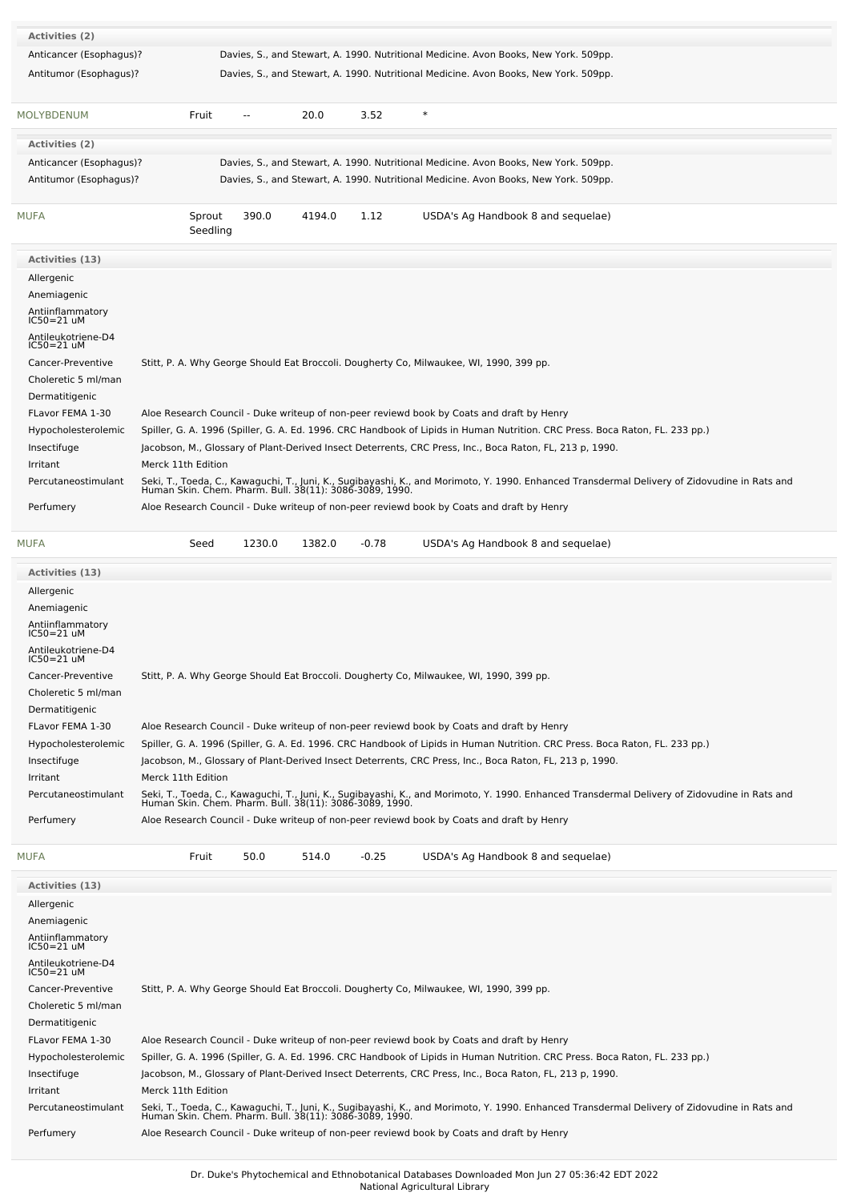| Activities (2)                        |                                                                                                                                                                                                                                                                                                       |
|---------------------------------------|-------------------------------------------------------------------------------------------------------------------------------------------------------------------------------------------------------------------------------------------------------------------------------------------------------|
| Anticancer (Esophagus)?               | Davies, S., and Stewart, A. 1990. Nutritional Medicine. Avon Books, New York. 509pp.                                                                                                                                                                                                                  |
| Antitumor (Esophagus)?                | Davies, S., and Stewart, A. 1990. Nutritional Medicine. Avon Books, New York. 509pp.                                                                                                                                                                                                                  |
|                                       |                                                                                                                                                                                                                                                                                                       |
| <b>MOLYBDENUM</b>                     | 20.0<br>3.52<br>$\ast$<br>Fruit<br>--                                                                                                                                                                                                                                                                 |
| Activities (2)                        |                                                                                                                                                                                                                                                                                                       |
| Anticancer (Esophagus)?               | Davies, S., and Stewart, A. 1990. Nutritional Medicine. Avon Books, New York. 509pp.                                                                                                                                                                                                                  |
| Antitumor (Esophagus)?                | Davies, S., and Stewart, A. 1990. Nutritional Medicine. Avon Books, New York. 509pp.                                                                                                                                                                                                                  |
|                                       |                                                                                                                                                                                                                                                                                                       |
| <b>MUFA</b>                           | Sprout<br>390.0<br>4194.0<br>1.12<br>USDA's Ag Handbook 8 and sequelae)<br>Seedling                                                                                                                                                                                                                   |
| Activities (13)                       |                                                                                                                                                                                                                                                                                                       |
| Allergenic                            |                                                                                                                                                                                                                                                                                                       |
| Anemiagenic                           |                                                                                                                                                                                                                                                                                                       |
| Antiinflammatory<br>IC50=21 uM        |                                                                                                                                                                                                                                                                                                       |
| Antileukotriene-D4                    |                                                                                                                                                                                                                                                                                                       |
| $IC50=21$ uM                          |                                                                                                                                                                                                                                                                                                       |
| Cancer-Preventive                     | Stitt, P. A. Why George Should Eat Broccoli. Dougherty Co, Milwaukee, WI, 1990, 399 pp.                                                                                                                                                                                                               |
| Choleretic 5 ml/man                   |                                                                                                                                                                                                                                                                                                       |
| Dermatitigenic                        |                                                                                                                                                                                                                                                                                                       |
| FLavor FEMA 1-30                      | Aloe Research Council - Duke writeup of non-peer reviewd book by Coats and draft by Henry                                                                                                                                                                                                             |
| Hypocholesterolemic                   | Spiller, G. A. 1996 (Spiller, G. A. Ed. 1996. CRC Handbook of Lipids in Human Nutrition. CRC Press. Boca Raton, FL. 233 pp.)                                                                                                                                                                          |
| Insectifuge                           | Jacobson, M., Glossary of Plant-Derived Insect Deterrents, CRC Press, Inc., Boca Raton, FL, 213 p, 1990.                                                                                                                                                                                              |
| Irritant                              | Merck 11th Edition                                                                                                                                                                                                                                                                                    |
| Percutaneostimulant                   | Seki, T., Toeda, C., Kawaguchi, T., Juni, K., Sugibayashi, K., and Morimoto, Y. 1990. Enhanced Transdermal Delivery of Zidovudine in Rats and<br>Human Skin. Chem. Pharm. Bull. 38(11): 3086-3089, 1990.                                                                                              |
| Perfumery                             | Aloe Research Council - Duke writeup of non-peer reviewd book by Coats and draft by Henry                                                                                                                                                                                                             |
| <b>MUFA</b>                           | 1230.0<br>1382.0<br>$-0.78$<br>USDA's Ag Handbook 8 and sequelae)<br>Seed                                                                                                                                                                                                                             |
|                                       |                                                                                                                                                                                                                                                                                                       |
| Activities (13)                       |                                                                                                                                                                                                                                                                                                       |
| Allergenic                            |                                                                                                                                                                                                                                                                                                       |
| Anemiagenic                           |                                                                                                                                                                                                                                                                                                       |
| Antiinflammatory<br>IC50=21 uM        |                                                                                                                                                                                                                                                                                                       |
| Antileukotriene-D4                    |                                                                                                                                                                                                                                                                                                       |
| <b>ICOUFZIUM</b><br>Cancer-Preventive | Stitt, P. A. Why George Should Eat Broccoli. Dougherty Co, Milwaukee, WI, 1990, 399 pp.                                                                                                                                                                                                               |
| Choleretic 5 ml/man                   |                                                                                                                                                                                                                                                                                                       |
| Dermatitigenic                        |                                                                                                                                                                                                                                                                                                       |
| FLavor FEMA 1-30                      | Aloe Research Council - Duke writeup of non-peer reviewd book by Coats and draft by Henry                                                                                                                                                                                                             |
| Hypocholesterolemic                   | Spiller, G. A. 1996 (Spiller, G. A. Ed. 1996. CRC Handbook of Lipids in Human Nutrition. CRC Press. Boca Raton, FL. 233 pp.)                                                                                                                                                                          |
| Insectifuge                           | Jacobson, M., Glossary of Plant-Derived Insect Deterrents, CRC Press, Inc., Boca Raton, FL, 213 p, 1990.                                                                                                                                                                                              |
| Irritant                              | Merck 11th Edition                                                                                                                                                                                                                                                                                    |
| Percutaneostimulant                   | Seki, T., Toeda, C., Kawaguchi, T., Juni, K., Sugibayashi, K., and Morimoto, Y. 1990. Enhanced Transdermal Delivery of Zidovudine in Rats and<br>Human Skin. Chem. Pharm. Bull. 38(11): 3086-3089, 1990.                                                                                              |
|                                       | Aloe Research Council - Duke writeup of non-peer reviewd book by Coats and draft by Henry                                                                                                                                                                                                             |
| Perfumery                             |                                                                                                                                                                                                                                                                                                       |
| <b>MUFA</b>                           | Fruit<br>50.0<br>514.0<br>$-0.25$<br>USDA's Ag Handbook 8 and sequelae)                                                                                                                                                                                                                               |
| Activities (13)                       |                                                                                                                                                                                                                                                                                                       |
| Allergenic                            |                                                                                                                                                                                                                                                                                                       |
| Anemiagenic                           |                                                                                                                                                                                                                                                                                                       |
| Antiinflammatory<br>IC50=21 uM        |                                                                                                                                                                                                                                                                                                       |
| Antileukotriene-D4                    |                                                                                                                                                                                                                                                                                                       |
| IC50=21 uM                            |                                                                                                                                                                                                                                                                                                       |
| Cancer-Preventive                     | Stitt, P. A. Why George Should Eat Broccoli. Dougherty Co, Milwaukee, WI, 1990, 399 pp.                                                                                                                                                                                                               |
| Choleretic 5 ml/man                   |                                                                                                                                                                                                                                                                                                       |
| Dermatitigenic                        |                                                                                                                                                                                                                                                                                                       |
| FLavor FEMA 1-30                      | Aloe Research Council - Duke writeup of non-peer reviewd book by Coats and draft by Henry                                                                                                                                                                                                             |
| Hypocholesterolemic                   | Spiller, G. A. 1996 (Spiller, G. A. Ed. 1996. CRC Handbook of Lipids in Human Nutrition. CRC Press. Boca Raton, FL. 233 pp.)<br>Jacobson, M., Glossary of Plant-Derived Insect Deterrents, CRC Press, Inc., Boca Raton, FL, 213 p, 1990.                                                              |
| Insectifuge<br>Irritant               | Merck 11th Edition                                                                                                                                                                                                                                                                                    |
| Percutaneostimulant                   |                                                                                                                                                                                                                                                                                                       |
|                                       |                                                                                                                                                                                                                                                                                                       |
| Perfumery                             | Seki, T., Toeda, C., Kawaguchi, T., Juni, K., Sugibayashi, K., and Morimoto, Y. 1990. Enhanced Transdermal Delivery of Zidovudine in Rats and<br>Human Skin. Chem. Pharm. Bull. 38(11): 3086-3089, 1990.<br>Aloe Research Council - Duke writeup of non-peer reviewd book by Coats and draft by Henry |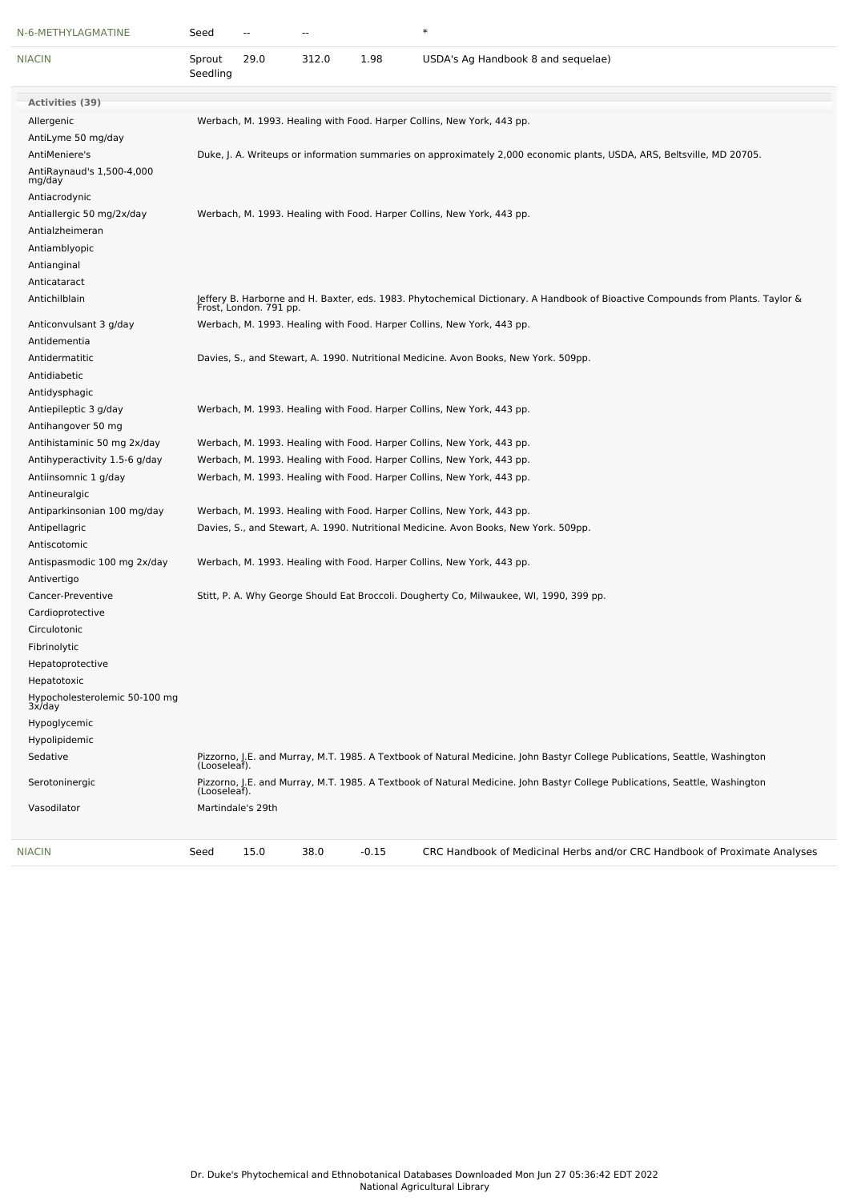| N-6-METHYLAGMATINE                      | Seed               |                   | --    |         | $\ast$                                                                                                                                                    |
|-----------------------------------------|--------------------|-------------------|-------|---------|-----------------------------------------------------------------------------------------------------------------------------------------------------------|
| <b>NIACIN</b>                           | Sprout<br>Seedling | 29.0              | 312.0 | 1.98    | USDA's Ag Handbook 8 and sequelae)                                                                                                                        |
| <b>Activities (39)</b>                  |                    |                   |       |         |                                                                                                                                                           |
| Allergenic                              |                    |                   |       |         | Werbach, M. 1993. Healing with Food. Harper Collins, New York, 443 pp.                                                                                    |
| AntiLyme 50 mg/day                      |                    |                   |       |         |                                                                                                                                                           |
| AntiMeniere's                           |                    |                   |       |         | Duke, J. A. Writeups or information summaries on approximately 2,000 economic plants, USDA, ARS, Beltsville, MD 20705.                                    |
| AntiRaynaud's 1,500-4,000<br>mg/day     |                    |                   |       |         |                                                                                                                                                           |
| Antiacrodynic                           |                    |                   |       |         |                                                                                                                                                           |
| Antiallergic 50 mg/2x/day               |                    |                   |       |         | Werbach, M. 1993. Healing with Food. Harper Collins, New York, 443 pp.                                                                                    |
| Antialzheimeran                         |                    |                   |       |         |                                                                                                                                                           |
| Antiamblyopic                           |                    |                   |       |         |                                                                                                                                                           |
| Antianginal                             |                    |                   |       |         |                                                                                                                                                           |
| Anticataract                            |                    |                   |       |         |                                                                                                                                                           |
| Antichilblain                           |                    |                   |       |         | Jeffery B. Harborne and H. Baxter, eds. 1983. Phytochemical Dictionary. A Handbook of Bioactive Compounds from Plants. Taylor &<br>Frost, London. 791 pp. |
| Anticonvulsant 3 g/day                  |                    |                   |       |         | Werbach, M. 1993. Healing with Food. Harper Collins, New York, 443 pp.                                                                                    |
| Antidementia                            |                    |                   |       |         |                                                                                                                                                           |
| Antidermatitic                          |                    |                   |       |         | Davies, S., and Stewart, A. 1990. Nutritional Medicine. Avon Books, New York. 509pp.                                                                      |
| Antidiabetic                            |                    |                   |       |         |                                                                                                                                                           |
| Antidysphagic                           |                    |                   |       |         |                                                                                                                                                           |
| Antiepileptic 3 g/day                   |                    |                   |       |         | Werbach, M. 1993. Healing with Food. Harper Collins, New York, 443 pp.                                                                                    |
| Antihangover 50 mg                      |                    |                   |       |         |                                                                                                                                                           |
| Antihistaminic 50 mg 2x/day             |                    |                   |       |         | Werbach, M. 1993. Healing with Food. Harper Collins, New York, 443 pp.                                                                                    |
| Antihyperactivity 1.5-6 g/day           |                    |                   |       |         | Werbach, M. 1993. Healing with Food. Harper Collins, New York, 443 pp.                                                                                    |
| Antiinsomnic 1 g/day                    |                    |                   |       |         | Werbach, M. 1993. Healing with Food. Harper Collins, New York, 443 pp.                                                                                    |
| Antineuralgic                           |                    |                   |       |         |                                                                                                                                                           |
| Antiparkinsonian 100 mg/day             |                    |                   |       |         | Werbach, M. 1993. Healing with Food. Harper Collins, New York, 443 pp.                                                                                    |
| Antipellagric                           |                    |                   |       |         | Davies, S., and Stewart, A. 1990. Nutritional Medicine. Avon Books, New York. 509pp.                                                                      |
| Antiscotomic                            |                    |                   |       |         |                                                                                                                                                           |
| Antispasmodic 100 mg 2x/day             |                    |                   |       |         | Werbach, M. 1993. Healing with Food. Harper Collins, New York, 443 pp.                                                                                    |
| Antivertigo                             |                    |                   |       |         |                                                                                                                                                           |
| Cancer-Preventive                       |                    |                   |       |         | Stitt, P. A. Why George Should Eat Broccoli. Dougherty Co, Milwaukee, WI, 1990, 399 pp.                                                                   |
| Cardioprotective                        |                    |                   |       |         |                                                                                                                                                           |
| Circulotonic                            |                    |                   |       |         |                                                                                                                                                           |
| Fibrinolytic                            |                    |                   |       |         |                                                                                                                                                           |
| Hepatoprotective                        |                    |                   |       |         |                                                                                                                                                           |
| Hepatotoxic                             |                    |                   |       |         |                                                                                                                                                           |
| Hypocholesterolemic 50-100 mg<br>3x/day |                    |                   |       |         |                                                                                                                                                           |
| Hypoglycemic                            |                    |                   |       |         |                                                                                                                                                           |
| Hypolipidemic                           |                    |                   |       |         |                                                                                                                                                           |
| Sedative                                | (Looseleaf).       |                   |       |         | Pizzorno, J.E. and Murray, M.T. 1985. A Textbook of Natural Medicine. John Bastyr College Publications, Seattle, Washington                               |
| Serotoninergic                          | (Looseleaf).       |                   |       |         | Pizzorno, J.E. and Murray, M.T. 1985. A Textbook of Natural Medicine. John Bastyr College Publications, Seattle, Washington                               |
| Vasodilator                             |                    | Martindale's 29th |       |         |                                                                                                                                                           |
| NIACIN                                  | Seed               | 15.0              | 38.0  | $-0.15$ | CRC Handbook of Medicinal Herbs and/or CRC Handbook of Proximate Analyses                                                                                 |
|                                         |                    |                   |       |         |                                                                                                                                                           |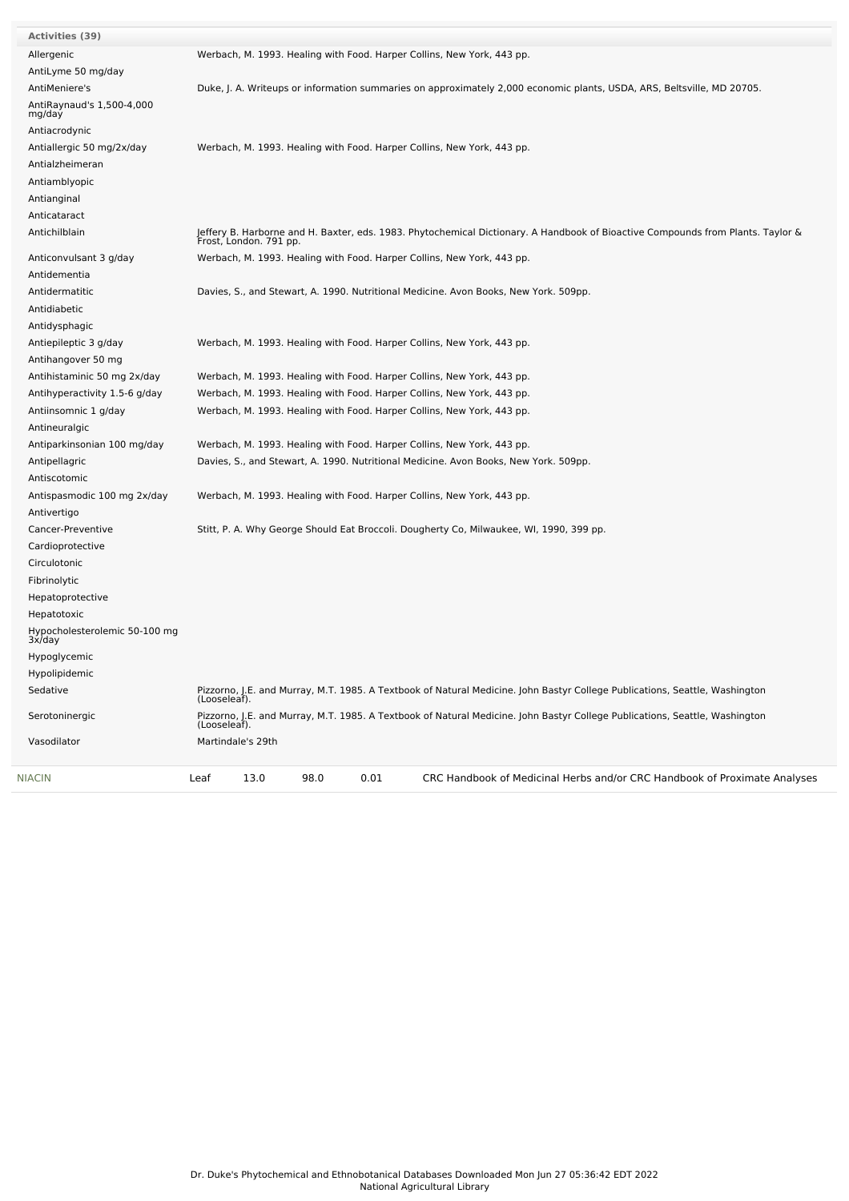| <b>NIACIN</b>                           | 98.0<br>0.01<br>13.0<br>CRC Handbook of Medicinal Herbs and/or CRC Handbook of Proximate Analyses<br>Leaf                                                 |
|-----------------------------------------|-----------------------------------------------------------------------------------------------------------------------------------------------------------|
| Vasodilator                             | Martindale's 29th                                                                                                                                         |
| Serotoninergic                          | Pizzorno, J.E. and Murray, M.T. 1985. A Textbook of Natural Medicine. John Bastyr College Publications, Seattle, Washington<br>(Looseleaf).               |
| Sedative                                | Pizzorno, J.E. and Murray, M.T. 1985. A Textbook of Natural Medicine. John Bastyr College Publications, Seattle, Washington<br>(Looseleaf).               |
| Hypolipidemic                           |                                                                                                                                                           |
| Hypoglycemic                            |                                                                                                                                                           |
| Hypocholesterolemic 50-100 mg<br>3x/day |                                                                                                                                                           |
| Hepatotoxic                             |                                                                                                                                                           |
| Hepatoprotective                        |                                                                                                                                                           |
| Fibrinolytic                            |                                                                                                                                                           |
| Circulotonic                            |                                                                                                                                                           |
| Cardioprotective                        |                                                                                                                                                           |
| Cancer-Preventive                       | Stitt, P. A. Why George Should Eat Broccoli. Dougherty Co, Milwaukee, WI, 1990, 399 pp.                                                                   |
| Antivertigo                             |                                                                                                                                                           |
| Antispasmodic 100 mg 2x/day             | Werbach, M. 1993. Healing with Food. Harper Collins, New York, 443 pp.                                                                                    |
| Antiscotomic                            |                                                                                                                                                           |
| Antipellagric                           | Davies, S., and Stewart, A. 1990. Nutritional Medicine. Avon Books, New York. 509pp.                                                                      |
| Antiparkinsonian 100 mg/day             | Werbach, M. 1993. Healing with Food. Harper Collins, New York, 443 pp.                                                                                    |
| Antineuralgic                           |                                                                                                                                                           |
| Antiinsomnic 1 g/day                    | Werbach, M. 1993. Healing with Food. Harper Collins, New York, 443 pp.                                                                                    |
| Antihyperactivity 1.5-6 g/day           | Werbach, M. 1993. Healing with Food. Harper Collins, New York, 443 pp.                                                                                    |
| Antihistaminic 50 mg 2x/day             | Werbach, M. 1993. Healing with Food. Harper Collins, New York, 443 pp.                                                                                    |
| Antihangover 50 mg                      |                                                                                                                                                           |
| Antiepileptic 3 g/day                   | Werbach, M. 1993. Healing with Food. Harper Collins, New York, 443 pp.                                                                                    |
| Antidysphagic                           |                                                                                                                                                           |
| Antidiabetic                            |                                                                                                                                                           |
| Antidermatitic                          | Davies, S., and Stewart, A. 1990. Nutritional Medicine. Avon Books, New York. 509pp.                                                                      |
| Antidementia                            |                                                                                                                                                           |
| Anticonvulsant 3 g/day                  | Werbach, M. 1993. Healing with Food. Harper Collins, New York, 443 pp.                                                                                    |
| Antichilblain                           | Jeffery B. Harborne and H. Baxter, eds. 1983. Phytochemical Dictionary. A Handbook of Bioactive Compounds from Plants. Taylor &<br>Frost, London. 791 pp. |
| Anticataract                            |                                                                                                                                                           |
| Antianginal                             |                                                                                                                                                           |
| Antiamblyopic                           |                                                                                                                                                           |
| Antialzheimeran                         |                                                                                                                                                           |
| Antiallergic 50 mg/2x/day               | Werbach, M. 1993. Healing with Food. Harper Collins, New York, 443 pp.                                                                                    |
| Antiacrodynic                           |                                                                                                                                                           |
| AntiRaynaud's 1,500-4,000<br>mg/day     |                                                                                                                                                           |
| AntiMeniere's                           | Duke, J. A. Writeups or information summaries on approximately 2,000 economic plants, USDA, ARS, Beltsville, MD 20705.                                    |
| AntiLyme 50 mg/day                      |                                                                                                                                                           |
| Allergenic                              | Werbach, M. 1993. Healing with Food. Harper Collins, New York, 443 pp.                                                                                    |
| Activities (39)                         |                                                                                                                                                           |
|                                         |                                                                                                                                                           |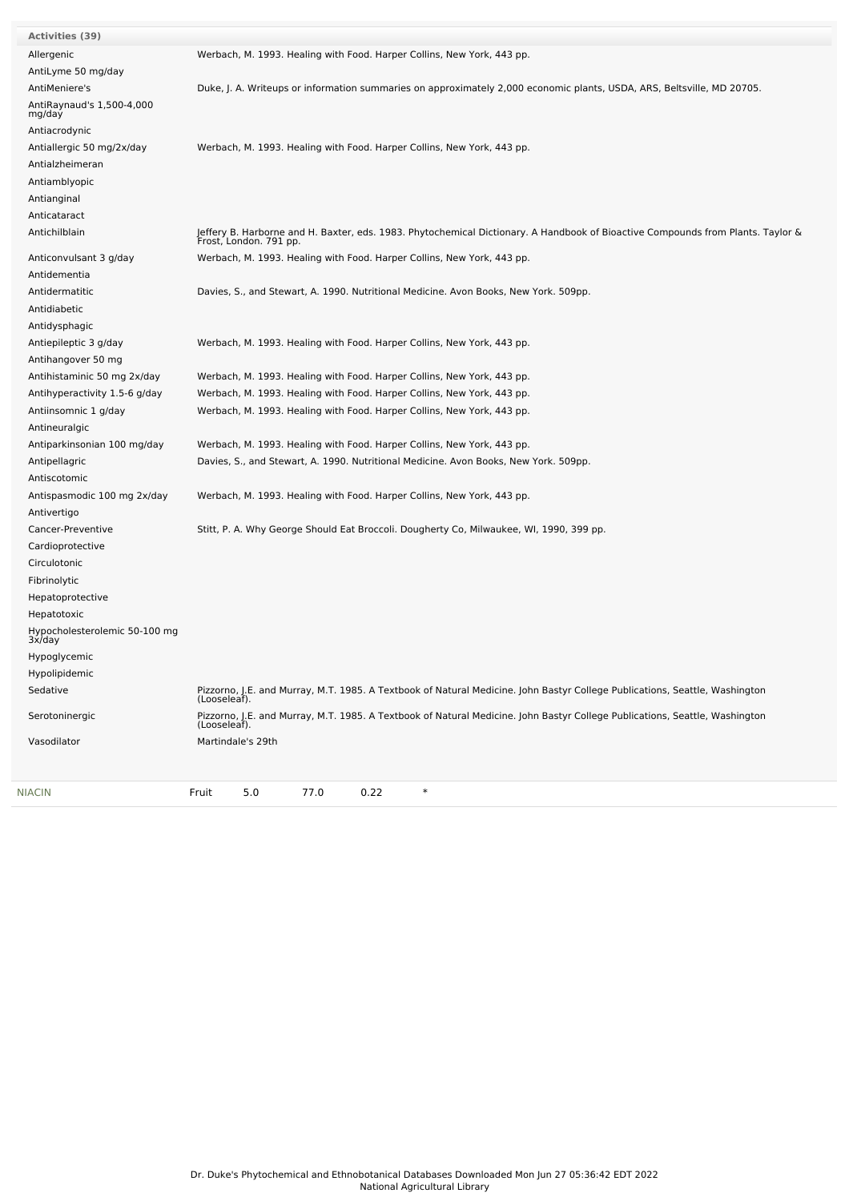| <b>Activities (39)</b>                  |                                                                                                                                                           |
|-----------------------------------------|-----------------------------------------------------------------------------------------------------------------------------------------------------------|
| Allergenic                              | Werbach, M. 1993. Healing with Food. Harper Collins, New York, 443 pp.                                                                                    |
| AntiLyme 50 mg/day                      |                                                                                                                                                           |
| AntiMeniere's                           | Duke, J. A. Writeups or information summaries on approximately 2,000 economic plants, USDA, ARS, Beltsville, MD 20705.                                    |
| AntiRaynaud's 1,500-4,000<br>mg/day     |                                                                                                                                                           |
| Antiacrodynic                           |                                                                                                                                                           |
| Antiallergic 50 mg/2x/day               | Werbach, M. 1993. Healing with Food. Harper Collins, New York, 443 pp.                                                                                    |
| Antialzheimeran                         |                                                                                                                                                           |
| Antiamblyopic                           |                                                                                                                                                           |
| Antianginal                             |                                                                                                                                                           |
| Anticataract                            |                                                                                                                                                           |
| Antichilblain                           | Jeffery B. Harborne and H. Baxter, eds. 1983. Phytochemical Dictionary. A Handbook of Bioactive Compounds from Plants. Taylor &<br>Frost, London. 791 pp. |
| Anticonvulsant 3 g/day                  | Werbach, M. 1993. Healing with Food. Harper Collins, New York, 443 pp.                                                                                    |
| Antidementia                            |                                                                                                                                                           |
| Antidermatitic                          | Davies, S., and Stewart, A. 1990. Nutritional Medicine. Avon Books, New York. 509pp.                                                                      |
| Antidiabetic                            |                                                                                                                                                           |
| Antidysphagic                           |                                                                                                                                                           |
| Antiepileptic 3 g/day                   | Werbach, M. 1993. Healing with Food. Harper Collins, New York, 443 pp.                                                                                    |
| Antihangover 50 mg                      |                                                                                                                                                           |
| Antihistaminic 50 mg 2x/day             | Werbach, M. 1993. Healing with Food. Harper Collins, New York, 443 pp.                                                                                    |
| Antihyperactivity 1.5-6 g/day           | Werbach, M. 1993. Healing with Food. Harper Collins, New York, 443 pp.                                                                                    |
| Antiinsomnic 1 g/day                    | Werbach, M. 1993. Healing with Food. Harper Collins, New York, 443 pp.                                                                                    |
| Antineuralgic                           |                                                                                                                                                           |
| Antiparkinsonian 100 mg/day             | Werbach, M. 1993. Healing with Food. Harper Collins, New York, 443 pp.                                                                                    |
| Antipellagric                           | Davies, S., and Stewart, A. 1990. Nutritional Medicine. Avon Books, New York. 509pp.                                                                      |
| Antiscotomic                            |                                                                                                                                                           |
| Antispasmodic 100 mg 2x/day             | Werbach, M. 1993. Healing with Food. Harper Collins, New York, 443 pp.                                                                                    |
| Antivertigo                             |                                                                                                                                                           |
| Cancer-Preventive                       | Stitt, P. A. Why George Should Eat Broccoli. Dougherty Co, Milwaukee, WI, 1990, 399 pp.                                                                   |
| Cardioprotective                        |                                                                                                                                                           |
| Circulotonic                            |                                                                                                                                                           |
| Fibrinolytic                            |                                                                                                                                                           |
| Hepatoprotective                        |                                                                                                                                                           |
| Hepatotoxic                             |                                                                                                                                                           |
| Hypocholesterolemic 50-100 mg<br>3x/day |                                                                                                                                                           |
| Hypoglycemic                            |                                                                                                                                                           |
| Hypolipidemic                           |                                                                                                                                                           |
| Sedative                                | Pizzorno, J.E. and Murray, M.T. 1985. A Textbook of Natural Medicine. John Bastyr College Publications, Seattle, Washington<br>(Looseleaf).               |
| Serotoninergic                          | Pizzorno, J.E. and Murray, M.T. 1985. A Textbook of Natural Medicine. John Bastyr College Publications, Seattle, Washington<br>(Looseleaf).               |
| Vasodilator                             | Martindale's 29th                                                                                                                                         |
| NIACIN                                  | $\ast$<br>Fruit<br>5.0<br>77.0<br>0.22                                                                                                                    |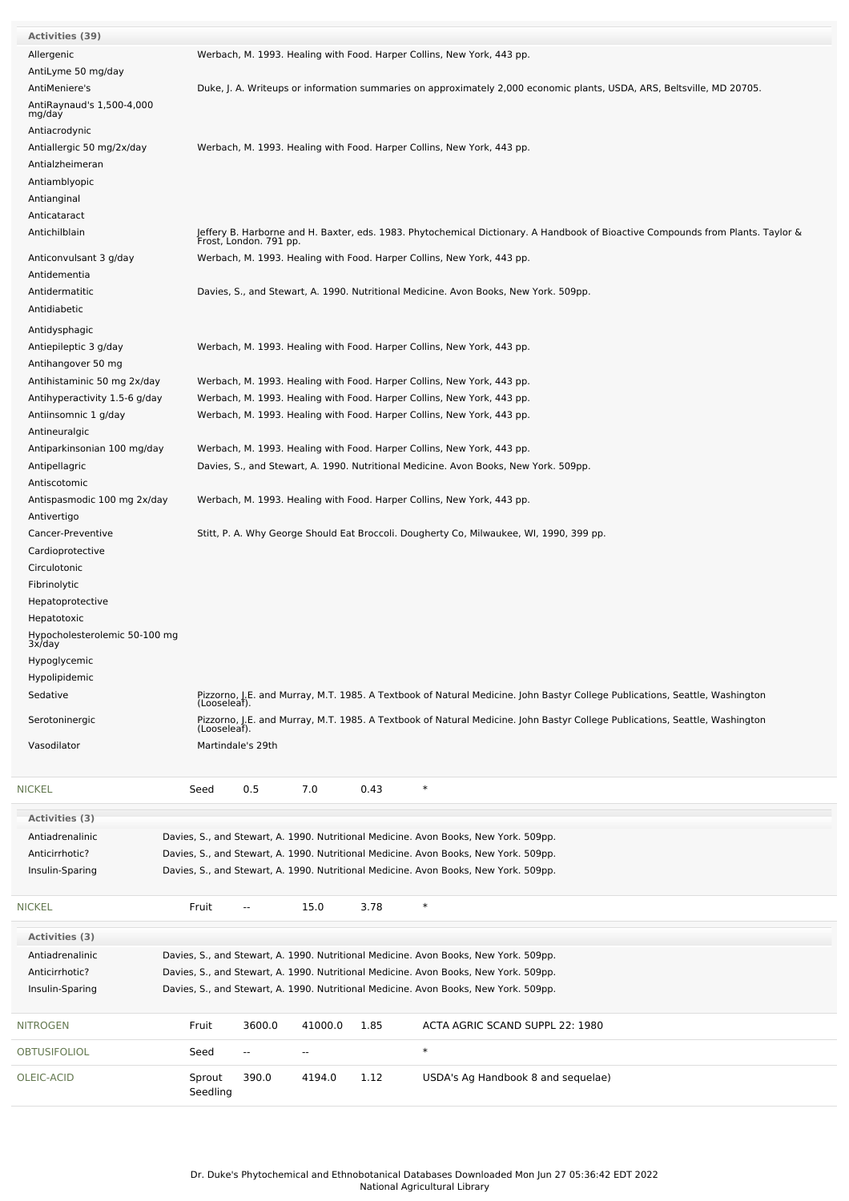| <b>Activities (39)</b>                  |                                  |                   |      |                                                                                                                                                           |
|-----------------------------------------|----------------------------------|-------------------|------|-----------------------------------------------------------------------------------------------------------------------------------------------------------|
| Allergenic                              |                                  |                   |      | Werbach, M. 1993. Healing with Food. Harper Collins, New York, 443 pp.                                                                                    |
| AntiLyme 50 mg/day                      |                                  |                   |      |                                                                                                                                                           |
| AntiMeniere's                           |                                  |                   |      | Duke, J. A. Writeups or information summaries on approximately 2,000 economic plants, USDA, ARS, Beltsville, MD 20705.                                    |
| AntiRaynaud's 1,500-4,000<br>mg/day     |                                  |                   |      |                                                                                                                                                           |
| Antiacrodynic                           |                                  |                   |      |                                                                                                                                                           |
| Antiallergic 50 mg/2x/day               |                                  |                   |      | Werbach, M. 1993. Healing with Food. Harper Collins, New York, 443 pp.                                                                                    |
| Antialzheimeran                         |                                  |                   |      |                                                                                                                                                           |
| Antiamblyopic                           |                                  |                   |      |                                                                                                                                                           |
| Antianginal                             |                                  |                   |      |                                                                                                                                                           |
| Anticataract                            |                                  |                   |      |                                                                                                                                                           |
| Antichilblain                           |                                  |                   |      | Jeffery B. Harborne and H. Baxter, eds. 1983. Phytochemical Dictionary. A Handbook of Bioactive Compounds from Plants. Taylor &<br>Frost, London. 791 pp. |
| Anticonvulsant 3 g/day                  |                                  |                   |      | Werbach, M. 1993. Healing with Food. Harper Collins, New York, 443 pp.                                                                                    |
| Antidementia                            |                                  |                   |      |                                                                                                                                                           |
| Antidermatitic                          |                                  |                   |      | Davies, S., and Stewart, A. 1990. Nutritional Medicine. Avon Books, New York. 509pp.                                                                      |
| Antidiabetic                            |                                  |                   |      |                                                                                                                                                           |
| Antidysphagic                           |                                  |                   |      |                                                                                                                                                           |
| Antiepileptic 3 g/day                   |                                  |                   |      | Werbach, M. 1993. Healing with Food. Harper Collins, New York, 443 pp.                                                                                    |
|                                         |                                  |                   |      |                                                                                                                                                           |
| Antihangover 50 mg                      |                                  |                   |      |                                                                                                                                                           |
| Antihistaminic 50 mg 2x/day             |                                  |                   |      | Werbach, M. 1993. Healing with Food. Harper Collins, New York, 443 pp.                                                                                    |
| Antihyperactivity 1.5-6 g/day           |                                  |                   |      | Werbach, M. 1993. Healing with Food. Harper Collins, New York, 443 pp.                                                                                    |
| Antiinsomnic 1 g/day                    |                                  |                   |      | Werbach, M. 1993. Healing with Food. Harper Collins, New York, 443 pp.                                                                                    |
| Antineuralgic                           |                                  |                   |      |                                                                                                                                                           |
| Antiparkinsonian 100 mg/day             |                                  |                   |      | Werbach, M. 1993. Healing with Food. Harper Collins, New York, 443 pp.                                                                                    |
| Antipellagric                           |                                  |                   |      | Davies, S., and Stewart, A. 1990. Nutritional Medicine. Avon Books, New York. 509pp.                                                                      |
| Antiscotomic                            |                                  |                   |      |                                                                                                                                                           |
| Antispasmodic 100 mg 2x/day             |                                  |                   |      | Werbach, M. 1993. Healing with Food. Harper Collins, New York, 443 pp.                                                                                    |
| Antivertigo                             |                                  |                   |      |                                                                                                                                                           |
| Cancer-Preventive                       |                                  |                   |      | Stitt, P. A. Why George Should Eat Broccoli. Dougherty Co, Milwaukee, WI, 1990, 399 pp.                                                                   |
| Cardioprotective                        |                                  |                   |      |                                                                                                                                                           |
|                                         |                                  |                   |      |                                                                                                                                                           |
| Circulotonic                            |                                  |                   |      |                                                                                                                                                           |
| Fibrinolytic                            |                                  |                   |      |                                                                                                                                                           |
| Hepatoprotective                        |                                  |                   |      |                                                                                                                                                           |
| Hepatotoxic                             |                                  |                   |      |                                                                                                                                                           |
| Hypocholesterolemic 50-100 mg<br>3x/day |                                  |                   |      |                                                                                                                                                           |
| Hypoglycemic                            |                                  |                   |      |                                                                                                                                                           |
| Hypolipidemic                           |                                  |                   |      |                                                                                                                                                           |
|                                         |                                  |                   |      |                                                                                                                                                           |
| Sedative                                | (Looseleaf).                     |                   |      | Pizzorno, J.E. and Murray, M.T. 1985. A Textbook of Natural Medicine. John Bastyr College Publications, Seattle, Washington                               |
| Serotoninergic                          | (Looseleaf).                     |                   |      | Pizzorno, J.E. and Murray, M.T. 1985. A Textbook of Natural Medicine. John Bastyr College Publications, Seattle, Washington                               |
| Vasodilator                             | Martindale's 29th                |                   |      |                                                                                                                                                           |
|                                         |                                  |                   |      |                                                                                                                                                           |
| NICKEL                                  | Seed                             | 0.5<br>7.0        | 0.43 | $\ast$                                                                                                                                                    |
| <b>Activities (3)</b>                   |                                  |                   |      |                                                                                                                                                           |
|                                         |                                  |                   |      |                                                                                                                                                           |
| Antiadrenalinic                         |                                  |                   |      | Davies, S., and Stewart, A. 1990. Nutritional Medicine. Avon Books, New York. 509pp.                                                                      |
| Anticirrhotic?                          |                                  |                   |      | Davies, S., and Stewart, A. 1990. Nutritional Medicine. Avon Books, New York. 509pp.                                                                      |
| Insulin-Sparing                         |                                  |                   |      | Davies, S., and Stewart, A. 1990. Nutritional Medicine. Avon Books, New York. 509pp.                                                                      |
|                                         |                                  |                   |      |                                                                                                                                                           |
| NICKEL                                  | Fruit<br>--                      | 15.0              | 3.78 | $\ast$                                                                                                                                                    |
| Activities (3)                          |                                  |                   |      |                                                                                                                                                           |
| Antiadrenalinic                         |                                  |                   |      | Davies, S., and Stewart, A. 1990. Nutritional Medicine. Avon Books, New York. 509pp.                                                                      |
| Anticirrhotic?                          |                                  |                   |      | Davies, S., and Stewart, A. 1990. Nutritional Medicine. Avon Books, New York. 509pp.                                                                      |
| Insulin-Sparing                         |                                  |                   |      | Davies, S., and Stewart, A. 1990. Nutritional Medicine. Avon Books, New York. 509pp.                                                                      |
|                                         |                                  |                   |      |                                                                                                                                                           |
| NITROGEN                                | Fruit                            | 3600.0<br>41000.0 | 1.85 | ACTA AGRIC SCAND SUPPL 22: 1980                                                                                                                           |
| OBTUSIFOLIOL                            | Seed<br>$\overline{\phantom{a}}$ | $\sim$            |      | $\ast$                                                                                                                                                    |
| OLEIC-ACID                              | Sprout                           | 390.0<br>4194.0   | 1.12 | USDA's Ag Handbook 8 and sequelae)                                                                                                                        |
|                                         | Seedling                         |                   |      |                                                                                                                                                           |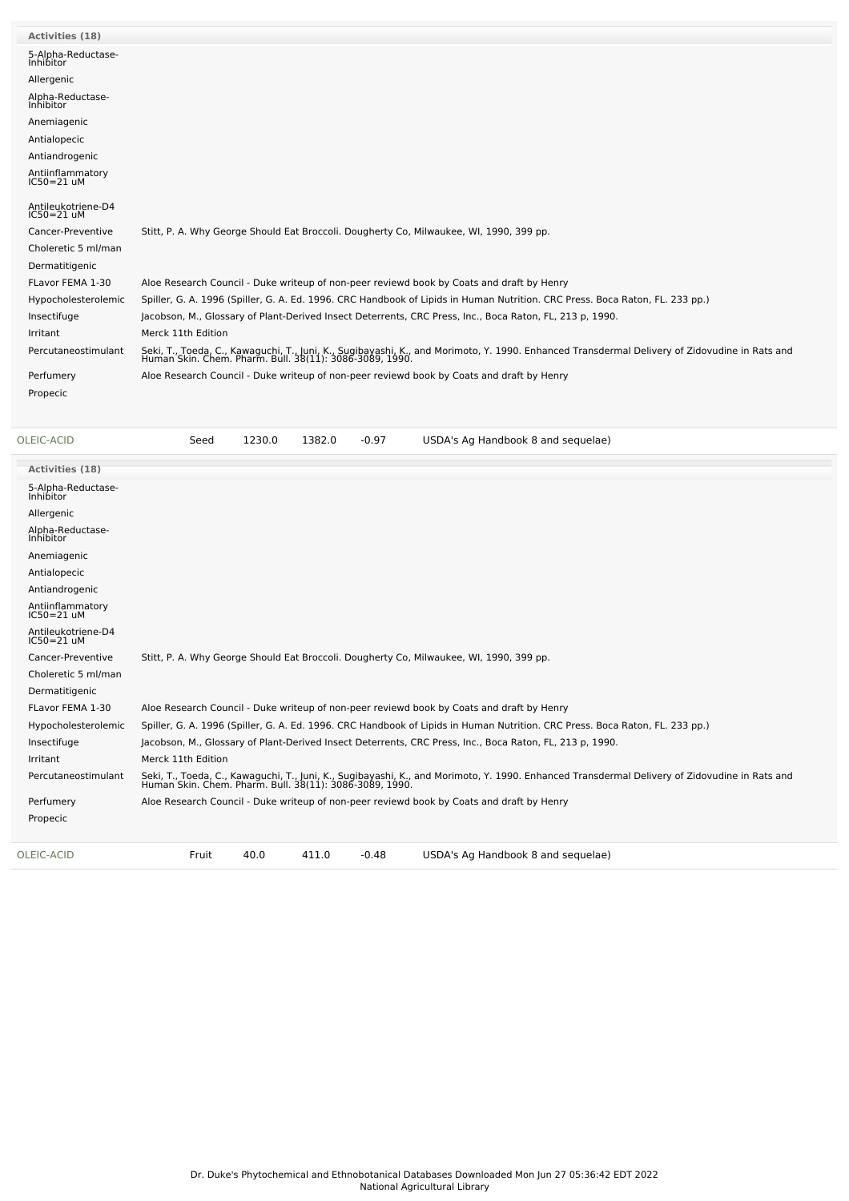| <b>Activities (18)</b>             |                                                                                                                                                                                                          |
|------------------------------------|----------------------------------------------------------------------------------------------------------------------------------------------------------------------------------------------------------|
| 5-Alpha-Reductase-<br>Inhibitor    |                                                                                                                                                                                                          |
| Allergenic                         |                                                                                                                                                                                                          |
| Alpha-Reductase-<br>Inhibitor      |                                                                                                                                                                                                          |
| Anemiagenic                        |                                                                                                                                                                                                          |
| Antialopecic                       |                                                                                                                                                                                                          |
| Antiandrogenic                     |                                                                                                                                                                                                          |
| Antiinflammatory<br>$IC50 = 21$ uM |                                                                                                                                                                                                          |
| Antileukotriene-D4<br>$IC50=21$ uM |                                                                                                                                                                                                          |
| Cancer-Preventive                  | Stitt, P. A. Why George Should Eat Broccoli. Dougherty Co, Milwaukee, WI, 1990, 399 pp.                                                                                                                  |
| Choleretic 5 ml/man                |                                                                                                                                                                                                          |
| Dermatitigenic                     |                                                                                                                                                                                                          |
| FLavor FEMA 1-30                   | Aloe Research Council - Duke writeup of non-peer reviewd book by Coats and draft by Henry                                                                                                                |
| Hypocholesterolemic                | Spiller, G. A. 1996 (Spiller, G. A. Ed. 1996. CRC Handbook of Lipids in Human Nutrition. CRC Press. Boca Raton, FL. 233 pp.)                                                                             |
| Insectifuge                        | Jacobson, M., Glossary of Plant-Derived Insect Deterrents, CRC Press, Inc., Boca Raton, FL, 213 p, 1990.                                                                                                 |
| Irritant                           | Merck 11th Edition                                                                                                                                                                                       |
| Percutaneostimulant                | Seki, T., Toeda, C., Kawaguchi, T., Juni, K., Sugibayashi, K., and Morimoto, Y. 1990. Enhanced Transdermal Delivery of Zidovudine in Rats and<br>Human Skin. Chem. Pharm. Bull. 38(11): 3086-3089, 1990. |
| Perfumery                          | Aloe Research Council - Duke writeup of non-peer reviewd book by Coats and draft by Henry                                                                                                                |
| Propecic                           |                                                                                                                                                                                                          |
|                                    |                                                                                                                                                                                                          |

| OLEIC-ACID                         | Seed               | 1230.0 | 1382.0 | $-0.97$ | USDA's Ag Handbook 8 and sequelae)                                                                                                                                                                       |
|------------------------------------|--------------------|--------|--------|---------|----------------------------------------------------------------------------------------------------------------------------------------------------------------------------------------------------------|
| Activities (18)                    |                    |        |        |         |                                                                                                                                                                                                          |
| 5-Alpha-Reductase-<br>Inhibitor    |                    |        |        |         |                                                                                                                                                                                                          |
| Allergenic                         |                    |        |        |         |                                                                                                                                                                                                          |
| Alpha-Reductase-<br>Inhibitor      |                    |        |        |         |                                                                                                                                                                                                          |
| Anemiagenic                        |                    |        |        |         |                                                                                                                                                                                                          |
| Antialopecic                       |                    |        |        |         |                                                                                                                                                                                                          |
| Antiandrogenic                     |                    |        |        |         |                                                                                                                                                                                                          |
| Antiinflammatory<br>IC50=21 uM     |                    |        |        |         |                                                                                                                                                                                                          |
| Antileukotriene-D4<br>$IC50=21$ uM |                    |        |        |         |                                                                                                                                                                                                          |
| Cancer-Preventive                  |                    |        |        |         | Stitt, P. A. Why George Should Eat Broccoli. Dougherty Co, Milwaukee, WI, 1990, 399 pp.                                                                                                                  |
| Choleretic 5 ml/man                |                    |        |        |         |                                                                                                                                                                                                          |
| Dermatitigenic                     |                    |        |        |         |                                                                                                                                                                                                          |
| FLavor FEMA 1-30                   |                    |        |        |         | Aloe Research Council - Duke writeup of non-peer reviewd book by Coats and draft by Henry                                                                                                                |
| Hypocholesterolemic                |                    |        |        |         | Spiller, G. A. 1996 (Spiller, G. A. Ed. 1996. CRC Handbook of Lipids in Human Nutrition. CRC Press. Boca Raton, FL. 233 pp.)                                                                             |
| Insectifuge                        |                    |        |        |         | Jacobson, M., Glossary of Plant-Derived Insect Deterrents, CRC Press, Inc., Boca Raton, FL, 213 p, 1990.                                                                                                 |
| Irritant                           | Merck 11th Edition |        |        |         |                                                                                                                                                                                                          |
| Percutaneostimulant                |                    |        |        |         | Seki, T., Toeda, C., Kawaguchi, T., Juni, K., Sugibayashi, K., and Morimoto, Y. 1990. Enhanced Transdermal Delivery of Zidovudine in Rats and<br>Human Skin. Chem. Pharm. Bull. 38(11): 3086-3089, 1990. |
| Perfumery                          |                    |        |        |         | Aloe Research Council - Duke writeup of non-peer reviewd book by Coats and draft by Henry                                                                                                                |
| Propecic                           |                    |        |        |         |                                                                                                                                                                                                          |
| OLEIC-ACID                         | Fruit              | 40.0   | 411.0  | $-0.48$ | USDA's Ag Handbook 8 and sequelae)                                                                                                                                                                       |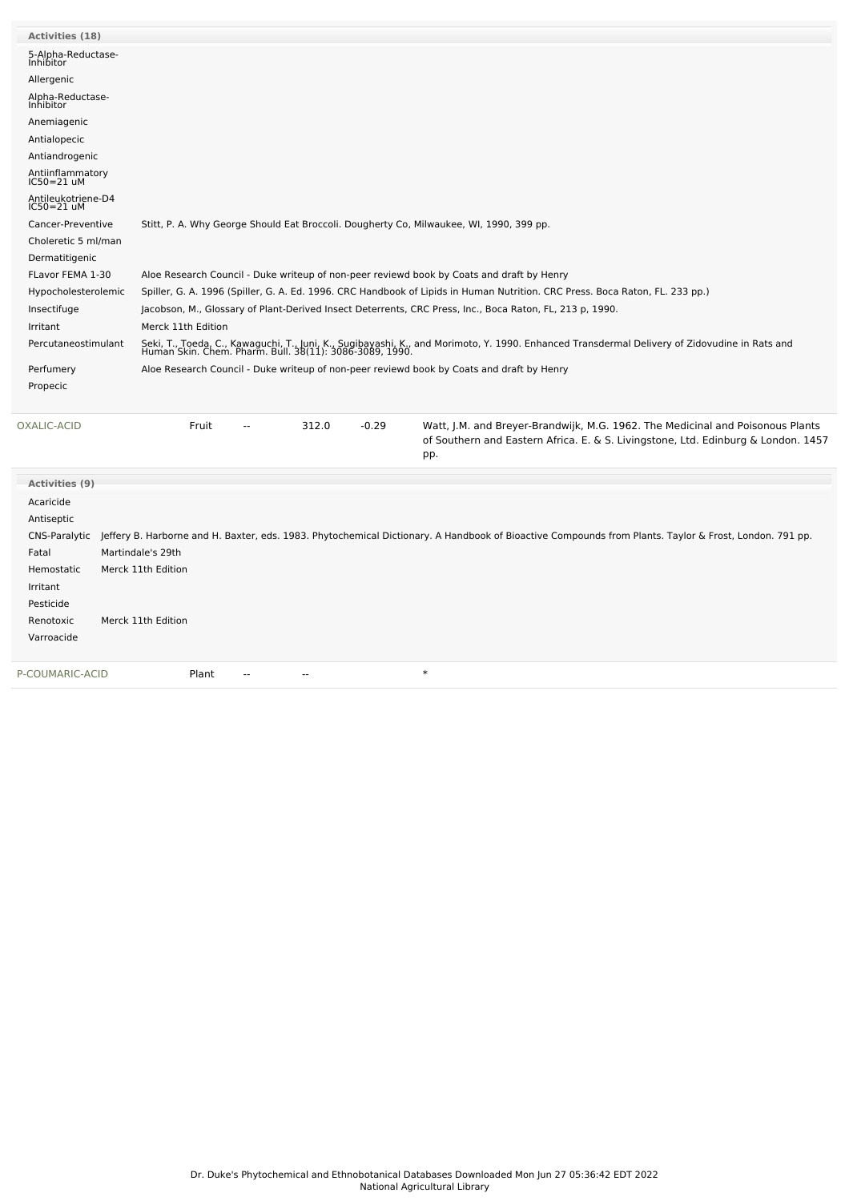| <b>Activities (18)</b>               |                                                                                                                                                                                                                                      |
|--------------------------------------|--------------------------------------------------------------------------------------------------------------------------------------------------------------------------------------------------------------------------------------|
| 5-Alpha-Reductase-                   |                                                                                                                                                                                                                                      |
| Inhibitor                            |                                                                                                                                                                                                                                      |
| Allergenic                           |                                                                                                                                                                                                                                      |
| Alpha-Reductase-<br>Inhibitor        |                                                                                                                                                                                                                                      |
| Anemiagenic                          |                                                                                                                                                                                                                                      |
| Antialopecic                         |                                                                                                                                                                                                                                      |
| Antiandrogenic                       |                                                                                                                                                                                                                                      |
| Antiinflammatory<br>IC50=21 uM       |                                                                                                                                                                                                                                      |
| Antileukotriene-D4<br>$IC50 = 21$ uM |                                                                                                                                                                                                                                      |
| Cancer-Preventive                    | Stitt, P. A. Why George Should Eat Broccoli. Dougherty Co, Milwaukee, WI, 1990, 399 pp.                                                                                                                                              |
| Choleretic 5 ml/man                  |                                                                                                                                                                                                                                      |
| Dermatitigenic                       |                                                                                                                                                                                                                                      |
| FLavor FEMA 1-30                     | Aloe Research Council - Duke writeup of non-peer reviewd book by Coats and draft by Henry                                                                                                                                            |
| Hypocholesterolemic                  | Spiller, G. A. 1996 (Spiller, G. A. Ed. 1996. CRC Handbook of Lipids in Human Nutrition. CRC Press. Boca Raton, FL. 233 pp.)                                                                                                         |
| Insectifuge                          | Jacobson, M., Glossary of Plant-Derived Insect Deterrents, CRC Press, Inc., Boca Raton, FL, 213 p, 1990.                                                                                                                             |
| Irritant                             | Merck 11th Edition                                                                                                                                                                                                                   |
| Percutaneostimulant                  | Seki, T., Toeda, C., Kawaguchi, T., Juni, K., Sugibayashi, K., and Morimoto, Y. 1990. Enhanced Transdermal Delivery of Zidovudine in Rats and<br>Human Skin. Chem. Pharm. Bull. 38(11): 3086-3089, 1990.                             |
| Perfumery                            | Aloe Research Council - Duke writeup of non-peer reviewd book by Coats and draft by Henry                                                                                                                                            |
| Propecic                             |                                                                                                                                                                                                                                      |
|                                      |                                                                                                                                                                                                                                      |
| <b>OXALIC-ACID</b>                   | $-0.29$<br>Fruit<br>312.0<br>Watt, J.M. and Breyer-Brandwijk, M.G. 1962. The Medicinal and Poisonous Plants<br>$\mathbb{Z}^{\mathbb{Z}}$<br>of Southern and Eastern Africa. E. & S. Livingstone, Ltd. Edinburg & London. 1457<br>pp. |
| <b>Activities (9)</b>                |                                                                                                                                                                                                                                      |
| Acaricide                            |                                                                                                                                                                                                                                      |
| Antiseptic                           |                                                                                                                                                                                                                                      |
|                                      | CNS-Paralytic Jeffery B. Harborne and H. Baxter, eds. 1983. Phytochemical Dictionary. A Handbook of Bioactive Compounds from Plants. Taylor & Frost, London. 791 pp.                                                                 |
| Fatal                                | Martindale's 29th                                                                                                                                                                                                                    |
| Hemostatic                           | Merck 11th Edition                                                                                                                                                                                                                   |
| Irritant                             |                                                                                                                                                                                                                                      |
| Pesticide                            |                                                                                                                                                                                                                                      |
| Renotoxic                            | Merck 11th Edition                                                                                                                                                                                                                   |
| Varroacide                           |                                                                                                                                                                                                                                      |
|                                      |                                                                                                                                                                                                                                      |
| P-COUMARIC-ACID                      | $\ast$<br>Plant<br>$\sim$ $\sim$                                                                                                                                                                                                     |
|                                      |                                                                                                                                                                                                                                      |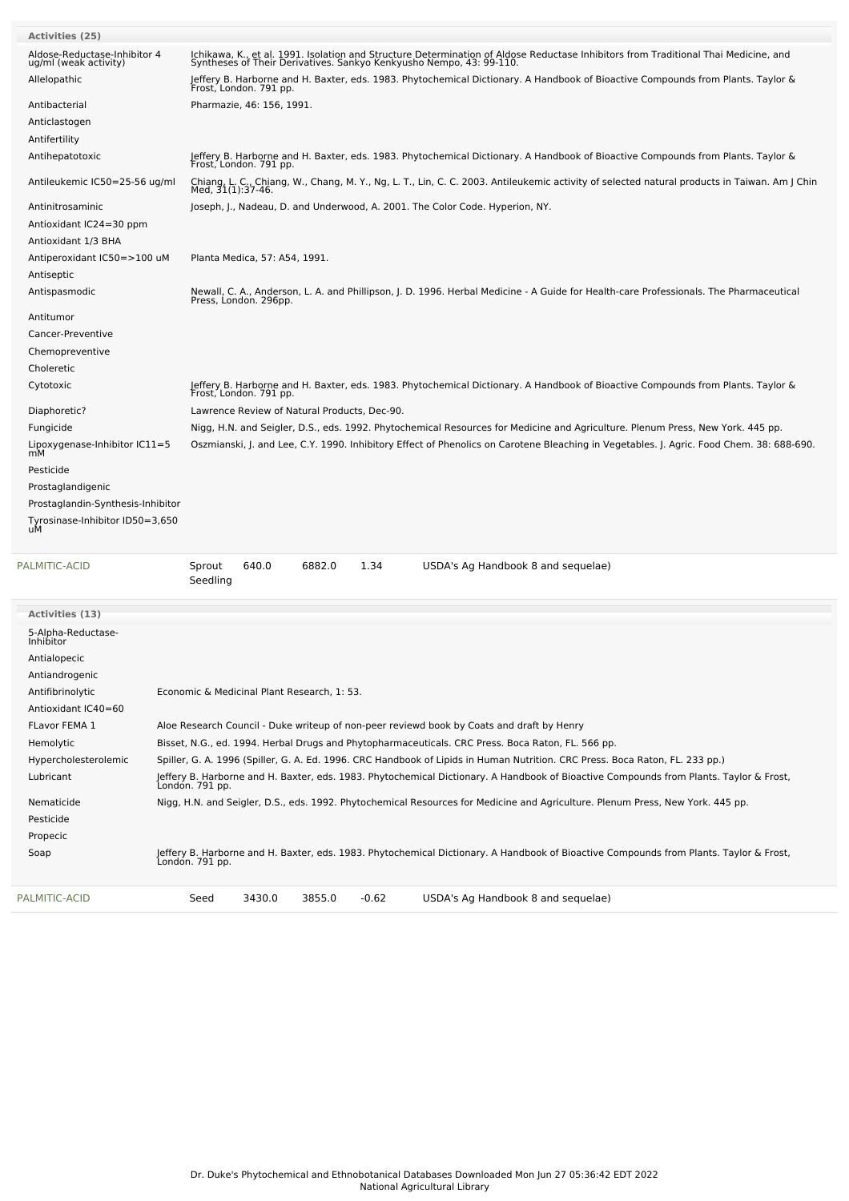| <b>Activities (25)</b>                                |                                                                                                                                                                                                            |  |  |  |  |  |  |  |  |
|-------------------------------------------------------|------------------------------------------------------------------------------------------------------------------------------------------------------------------------------------------------------------|--|--|--|--|--|--|--|--|
| Aldose-Reductase-Inhibitor 4<br>ug/ml (weak activity) | Ichikawa, K., et al. 1991. Isolation and Structure Determination of Aldose Reductase Inhibitors from Traditional Thai Medicine, and<br>Syntheses of Their Derivatives. Sankyo Kenkyusho Nempo, 43: 99-110. |  |  |  |  |  |  |  |  |
| Allelopathic                                          | Jeffery B. Harborne and H. Baxter, eds. 1983. Phytochemical Dictionary. A Handbook of Bioactive Compounds from Plants. Taylor &<br>Frost, London. 791 pp.                                                  |  |  |  |  |  |  |  |  |
| Antibacterial                                         | Pharmazie, 46: 156, 1991.                                                                                                                                                                                  |  |  |  |  |  |  |  |  |
| Anticlastogen                                         |                                                                                                                                                                                                            |  |  |  |  |  |  |  |  |
| Antifertility                                         |                                                                                                                                                                                                            |  |  |  |  |  |  |  |  |
| Antihepatotoxic                                       | Jeffery B. Harborne and H. Baxter, eds. 1983. Phytochemical Dictionary. A Handbook of Bioactive Compounds from Plants. Taylor &<br>Frost, London. 791 pp.                                                  |  |  |  |  |  |  |  |  |
| Antileukemic IC50=25-56 ug/ml                         | Chiang, L. C., Chiang, W., Chang, M. Y., Ng, L. T., Lin, C. C. 2003. Antileukemic activity of selected natural products in Taiwan. Am J Chin<br>Med, 31(1):37-46.                                          |  |  |  |  |  |  |  |  |
| Antinitrosaminic<br>Antioxidant IC24=30 ppm           | Joseph, J., Nadeau, D. and Underwood, A. 2001. The Color Code. Hyperion, NY.                                                                                                                               |  |  |  |  |  |  |  |  |
| Antioxidant 1/3 BHA                                   |                                                                                                                                                                                                            |  |  |  |  |  |  |  |  |
| Antiperoxidant IC50=>100 uM                           | Planta Medica, 57: A54, 1991.                                                                                                                                                                              |  |  |  |  |  |  |  |  |
| Antiseptic                                            |                                                                                                                                                                                                            |  |  |  |  |  |  |  |  |
| Antispasmodic                                         | Newall, C. A., Anderson, L. A. and Phillipson, J. D. 1996. Herbal Medicine - A Guide for Health-care Professionals. The Pharmaceutical<br>Press, London. 296pp.                                            |  |  |  |  |  |  |  |  |
| Antitumor                                             |                                                                                                                                                                                                            |  |  |  |  |  |  |  |  |
| Cancer-Preventive                                     |                                                                                                                                                                                                            |  |  |  |  |  |  |  |  |
| Chemopreventive                                       |                                                                                                                                                                                                            |  |  |  |  |  |  |  |  |
| Choleretic                                            |                                                                                                                                                                                                            |  |  |  |  |  |  |  |  |
| Cytotoxic                                             | Jeffery B. Harborne and H. Baxter, eds. 1983. Phytochemical Dictionary. A Handbook of Bioactive Compounds from Plants. Taylor &<br>Frost, London. 791 pp.                                                  |  |  |  |  |  |  |  |  |
| Diaphoretic?                                          | Lawrence Review of Natural Products, Dec-90.                                                                                                                                                               |  |  |  |  |  |  |  |  |
| Fungicide                                             | Nigg, H.N. and Seigler, D.S., eds. 1992. Phytochemical Resources for Medicine and Agriculture. Plenum Press, New York. 445 pp.                                                                             |  |  |  |  |  |  |  |  |
| Lipoxygenase-Inhibitor IC11=5                         | Oszmianski, J. and Lee, C.Y. 1990. Inhibitory Effect of Phenolics on Carotene Bleaching in Vegetables. J. Agric. Food Chem. 38: 688-690.                                                                   |  |  |  |  |  |  |  |  |
| mM                                                    |                                                                                                                                                                                                            |  |  |  |  |  |  |  |  |
| Pesticide                                             |                                                                                                                                                                                                            |  |  |  |  |  |  |  |  |
| Prostaglandigenic                                     |                                                                                                                                                                                                            |  |  |  |  |  |  |  |  |
| Prostaglandin-Synthesis-Inhibitor                     |                                                                                                                                                                                                            |  |  |  |  |  |  |  |  |
| Tyrosinase-Inhibitor ID50=3,650<br>uМ                 |                                                                                                                                                                                                            |  |  |  |  |  |  |  |  |
| PALMITIC-ACID                                         | 1.34<br>640.0<br>6882.0<br>USDA's Ag Handbook 8 and sequelae)<br>Sprout<br>Seedling                                                                                                                        |  |  |  |  |  |  |  |  |
| Activities (13)                                       |                                                                                                                                                                                                            |  |  |  |  |  |  |  |  |
| 5-Alpha-Reductase-                                    |                                                                                                                                                                                                            |  |  |  |  |  |  |  |  |
| <i>Inhibitor</i>                                      |                                                                                                                                                                                                            |  |  |  |  |  |  |  |  |
| Antialopecic                                          |                                                                                                                                                                                                            |  |  |  |  |  |  |  |  |
| Antiandrogenic                                        |                                                                                                                                                                                                            |  |  |  |  |  |  |  |  |
| Antifibrinolytic                                      | Economic & Medicinal Plant Research, 1: 53.                                                                                                                                                                |  |  |  |  |  |  |  |  |
| Antioxidant IC40=60                                   |                                                                                                                                                                                                            |  |  |  |  |  |  |  |  |
| FLavor FEMA 1                                         | Aloe Research Council - Duke writeup of non-peer reviewd book by Coats and draft by Henry                                                                                                                  |  |  |  |  |  |  |  |  |
| Hemolytic                                             | Bisset, N.G., ed. 1994. Herbal Drugs and Phytopharmaceuticals. CRC Press. Boca Raton, FL. 566 pp.                                                                                                          |  |  |  |  |  |  |  |  |
| Hypercholesterolemic                                  | Spiller, G. A. 1996 (Spiller, G. A. Ed. 1996. CRC Handbook of Lipids in Human Nutrition. CRC Press. Boca Raton, FL. 233 pp.)                                                                               |  |  |  |  |  |  |  |  |
| Lubricant                                             | Jeffery B. Harborne and H. Baxter, eds. 1983. Phytochemical Dictionary. A Handbook of Bioactive Compounds from Plants. Taylor & Frost,<br>Londón. 791 pp.                                                  |  |  |  |  |  |  |  |  |
| Nematicide                                            | Nigg, H.N. and Seigler, D.S., eds. 1992. Phytochemical Resources for Medicine and Agriculture. Plenum Press, New York. 445 pp.                                                                             |  |  |  |  |  |  |  |  |
| Pesticide                                             |                                                                                                                                                                                                            |  |  |  |  |  |  |  |  |
| Propecic                                              |                                                                                                                                                                                                            |  |  |  |  |  |  |  |  |
|                                                       |                                                                                                                                                                                                            |  |  |  |  |  |  |  |  |

Soap Jeffery B. Harborne and H. Baxter, eds. 1983. Phytochemical Dictionary. A Handbook of Bioactive Compounds from Plants. Taylor & Frost, London. 791 pp.

[PALMITIC-ACID](file:///phytochem/chemicals/show/13933) Seed 3430.0 3855.0 -0.62 USDA's Ag Handbook 8 and sequelae)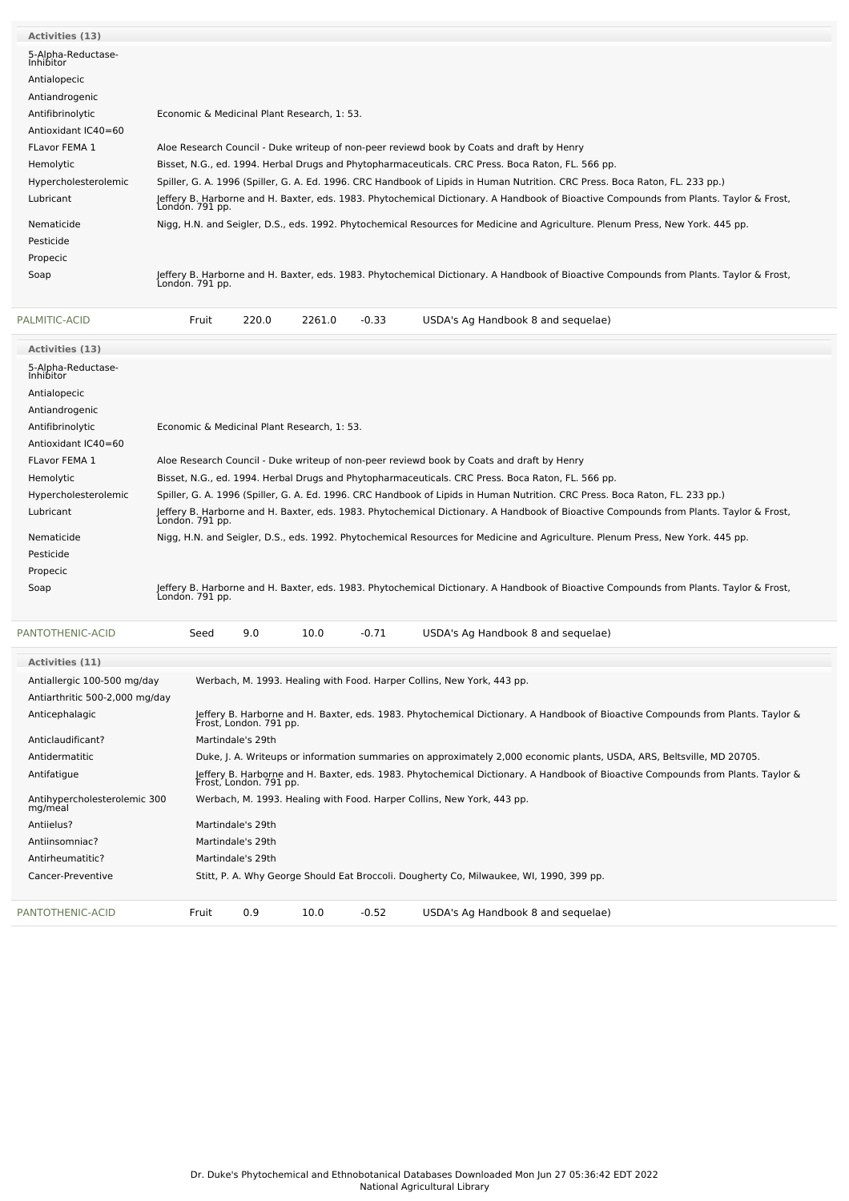| <b>Activities (13)</b>                 |                                                                                                                                                           |
|----------------------------------------|-----------------------------------------------------------------------------------------------------------------------------------------------------------|
| 5-Alpha-Reductase-<br><b>Inhibitor</b> |                                                                                                                                                           |
| Antialopecic                           |                                                                                                                                                           |
| Antiandrogenic                         |                                                                                                                                                           |
| Antifibrinolytic                       | Economic & Medicinal Plant Research, 1: 53.                                                                                                               |
| Antioxidant IC40=60                    |                                                                                                                                                           |
| <b>FLavor FEMA 1</b>                   | Aloe Research Council - Duke writeup of non-peer reviewd book by Coats and draft by Henry                                                                 |
| Hemolytic                              | Bisset, N.G., ed. 1994. Herbal Drugs and Phytopharmaceuticals. CRC Press. Boca Raton, FL. 566 pp.                                                         |
| Hypercholesterolemic                   | Spiller, G. A. 1996 (Spiller, G. A. Ed. 1996. CRC Handbook of Lipids in Human Nutrition. CRC Press. Boca Raton, FL. 233 pp.)                              |
| Lubricant                              | Jeffery B. Harborne and H. Baxter, eds. 1983. Phytochemical Dictionary. A Handbook of Bioactive Compounds from Plants. Taylor & Frost,<br>London. 791 pp. |
| Nematicide                             | Nigg, H.N. and Seigler, D.S., eds. 1992. Phytochemical Resources for Medicine and Agriculture. Plenum Press, New York. 445 pp.                            |
| Pesticide                              |                                                                                                                                                           |
| Propecic                               |                                                                                                                                                           |
| Soap                                   | Jeffery B. Harborne and H. Baxter, eds. 1983. Phytochemical Dictionary. A Handbook of Bioactive Compounds from Plants. Taylor & Frost,<br>Londón. 791 pp. |

| PALMITIC-ACID                           | Fruit                                       | 220.0                                                                                                                                                     | 2261.0 | $-0.33$ | USDA's Ag Handbook 8 and sequelae)                                                                                                     |  |  |  |
|-----------------------------------------|---------------------------------------------|-----------------------------------------------------------------------------------------------------------------------------------------------------------|--------|---------|----------------------------------------------------------------------------------------------------------------------------------------|--|--|--|
| Activities (13)                         |                                             |                                                                                                                                                           |        |         |                                                                                                                                        |  |  |  |
| 5-Alpha-Reductase-<br>Inhibitor         |                                             |                                                                                                                                                           |        |         |                                                                                                                                        |  |  |  |
| Antialopecic                            |                                             |                                                                                                                                                           |        |         |                                                                                                                                        |  |  |  |
| Antiandrogenic                          |                                             |                                                                                                                                                           |        |         |                                                                                                                                        |  |  |  |
| Antifibrinolytic                        | Economic & Medicinal Plant Research, 1: 53. |                                                                                                                                                           |        |         |                                                                                                                                        |  |  |  |
| Antioxidant IC40=60                     |                                             |                                                                                                                                                           |        |         |                                                                                                                                        |  |  |  |
| <b>FLavor FEMA 1</b>                    |                                             |                                                                                                                                                           |        |         | Aloe Research Council - Duke writeup of non-peer reviewd book by Coats and draft by Henry                                              |  |  |  |
| Hemolytic                               |                                             |                                                                                                                                                           |        |         | Bisset, N.G., ed. 1994. Herbal Drugs and Phytopharmaceuticals. CRC Press. Boca Raton, FL. 566 pp.                                      |  |  |  |
| Hypercholesterolemic                    |                                             |                                                                                                                                                           |        |         | Spiller, G. A. 1996 (Spiller, G. A. Ed. 1996. CRC Handbook of Lipids in Human Nutrition. CRC Press. Boca Raton, FL. 233 pp.)           |  |  |  |
| Lubricant                               | London. 791 pp.                             |                                                                                                                                                           |        |         | Jeffery B. Harborne and H. Baxter, eds. 1983. Phytochemical Dictionary. A Handbook of Bioactive Compounds from Plants. Taylor & Frost, |  |  |  |
| Nematicide                              |                                             |                                                                                                                                                           |        |         | Nigg, H.N. and Seigler, D.S., eds. 1992. Phytochemical Resources for Medicine and Agriculture. Plenum Press, New York. 445 pp.         |  |  |  |
| Pesticide                               |                                             |                                                                                                                                                           |        |         |                                                                                                                                        |  |  |  |
| Propecic                                |                                             |                                                                                                                                                           |        |         |                                                                                                                                        |  |  |  |
| Soap                                    | Londón. 791 pp.                             |                                                                                                                                                           |        |         | Jeffery B. Harborne and H. Baxter, eds. 1983. Phytochemical Dictionary. A Handbook of Bioactive Compounds from Plants. Taylor & Frost, |  |  |  |
| PANTOTHENIC-ACID                        | Seed                                        | 9.0                                                                                                                                                       | 10.0   | $-0.71$ | USDA's Ag Handbook 8 and sequelae)                                                                                                     |  |  |  |
| <b>Activities (11)</b>                  |                                             |                                                                                                                                                           |        |         |                                                                                                                                        |  |  |  |
| Antiallergic 100-500 mg/day             |                                             |                                                                                                                                                           |        |         | Werbach, M. 1993. Healing with Food. Harper Collins, New York, 443 pp.                                                                 |  |  |  |
| Antiarthritic 500-2,000 mg/day          |                                             |                                                                                                                                                           |        |         |                                                                                                                                        |  |  |  |
| Anticephalagic                          |                                             | Frost, London. 791 pp.                                                                                                                                    |        |         | Jeffery B. Harborne and H. Baxter, eds. 1983. Phytochemical Dictionary. A Handbook of Bioactive Compounds from Plants. Taylor &        |  |  |  |
| Anticlaudificant?                       |                                             | Martindale's 29th                                                                                                                                         |        |         |                                                                                                                                        |  |  |  |
| Antidermatitic                          |                                             |                                                                                                                                                           |        |         | Duke, J. A. Writeups or information summaries on approximately 2,000 economic plants, USDA, ARS, Beltsville, MD 20705.                 |  |  |  |
| Antifatigue                             |                                             | Jeffery B. Harborne and H. Baxter, eds. 1983. Phytochemical Dictionary. A Handbook of Bioactive Compounds from Plants. Taylor &<br>Frost, London. 791 pp. |        |         |                                                                                                                                        |  |  |  |
| Antihypercholesterolemic 300<br>mg/meal |                                             |                                                                                                                                                           |        |         | Werbach, M. 1993. Healing with Food. Harper Collins, New York, 443 pp.                                                                 |  |  |  |
| Antiielus?                              |                                             | Martindale's 29th                                                                                                                                         |        |         |                                                                                                                                        |  |  |  |
| Antiinsomniac?                          |                                             | Martindale's 29th                                                                                                                                         |        |         |                                                                                                                                        |  |  |  |
| Antirheumatitic?                        |                                             | Martindale's 29th                                                                                                                                         |        |         |                                                                                                                                        |  |  |  |
| Cancer-Preventive                       |                                             |                                                                                                                                                           |        |         | Stitt, P. A. Why George Should Eat Broccoli. Dougherty Co, Milwaukee, WI, 1990, 399 pp.                                                |  |  |  |

[PANTOTHENIC-ACID](file:///phytochem/chemicals/show/13995) Fruit 0.9 10.0 -0.52 USDA's Ag Handbook 8 and sequelae)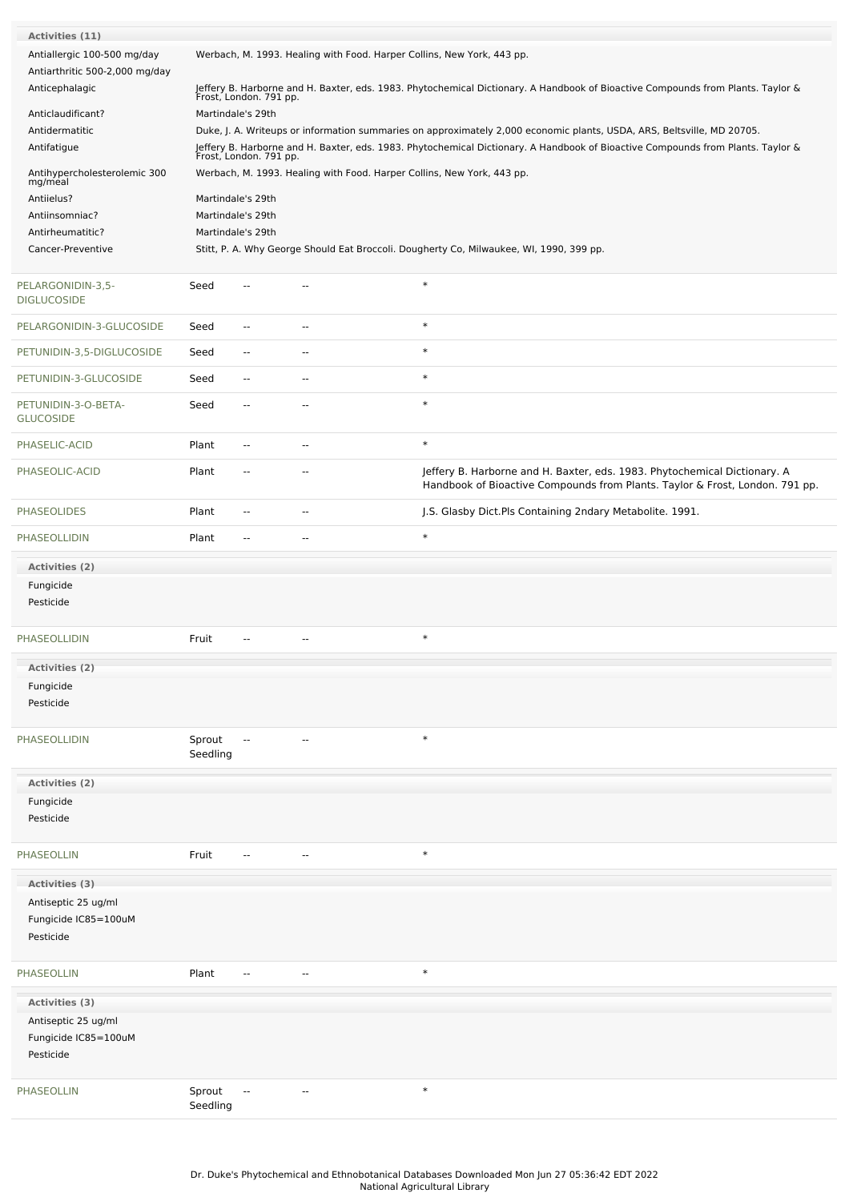| Activities (11)<br>Antiallergic 100-500 mg/day |                                                                                                                                                           |                                                                                                                                                           | Werbach, M. 1993. Healing with Food. Harper Collins, New York, 443 pp. |                                                                                                                                                           |  |  |  |  |  |
|------------------------------------------------|-----------------------------------------------------------------------------------------------------------------------------------------------------------|-----------------------------------------------------------------------------------------------------------------------------------------------------------|------------------------------------------------------------------------|-----------------------------------------------------------------------------------------------------------------------------------------------------------|--|--|--|--|--|
| Antiarthritic 500-2,000 mg/day                 |                                                                                                                                                           |                                                                                                                                                           |                                                                        |                                                                                                                                                           |  |  |  |  |  |
| Anticephalagic                                 |                                                                                                                                                           | Jeffery B. Harborne and H. Baxter, eds. 1983. Phytochemical Dictionary. A Handbook of Bioactive Compounds from Plants. Taylor &<br>Frost, London. 791 pp. |                                                                        |                                                                                                                                                           |  |  |  |  |  |
| Anticlaudificant?                              | Martindale's 29th<br>Duke, J. A. Writeups or information summaries on approximately 2,000 economic plants, USDA, ARS, Beltsville, MD 20705.               |                                                                                                                                                           |                                                                        |                                                                                                                                                           |  |  |  |  |  |
| Antidermatitic<br>Antifatigue                  | Jeffery B. Harborne and H. Baxter, eds. 1983. Phytochemical Dictionary. A Handbook of Bioactive Compounds from Plants. Taylor &<br>Frost, London. 791 pp. |                                                                                                                                                           |                                                                        |                                                                                                                                                           |  |  |  |  |  |
| Antihypercholesterolemic 300<br>mg/meal        | Werbach, M. 1993. Healing with Food. Harper Collins, New York, 443 pp.                                                                                    |                                                                                                                                                           |                                                                        |                                                                                                                                                           |  |  |  |  |  |
| Antiielus?                                     | Martindale's 29th                                                                                                                                         |                                                                                                                                                           |                                                                        |                                                                                                                                                           |  |  |  |  |  |
| Antiinsomniac?                                 | Martindale's 29th                                                                                                                                         |                                                                                                                                                           |                                                                        |                                                                                                                                                           |  |  |  |  |  |
| Antirheumatitic?<br>Cancer-Preventive          | Martindale's 29th                                                                                                                                         |                                                                                                                                                           |                                                                        | Stitt, P. A. Why George Should Eat Broccoli. Dougherty Co, Milwaukee, WI, 1990, 399 pp.                                                                   |  |  |  |  |  |
|                                                |                                                                                                                                                           |                                                                                                                                                           |                                                                        |                                                                                                                                                           |  |  |  |  |  |
| PELARGONIDIN-3,5-<br><b>DIGLUCOSIDE</b>        | Seed                                                                                                                                                      | --                                                                                                                                                        |                                                                        | $\ast$                                                                                                                                                    |  |  |  |  |  |
| PELARGONIDIN-3-GLUCOSIDE                       | Seed                                                                                                                                                      | $\overline{\phantom{a}}$                                                                                                                                  | $\sim$ $\sim$                                                          | $\ast$                                                                                                                                                    |  |  |  |  |  |
| PETUNIDIN-3,5-DIGLUCOSIDE                      | Seed                                                                                                                                                      | $\overline{\phantom{a}}$                                                                                                                                  | $\overline{\phantom{a}}$                                               | $\ast$                                                                                                                                                    |  |  |  |  |  |
| PETUNIDIN-3-GLUCOSIDE                          | Seed                                                                                                                                                      | $\overline{\phantom{a}}$                                                                                                                                  | $\overline{\phantom{a}}$                                               | $\ast$                                                                                                                                                    |  |  |  |  |  |
| PETUNIDIN-3-O-BETA-<br><b>GLUCOSIDE</b>        | Seed                                                                                                                                                      | $\overline{\phantom{a}}$                                                                                                                                  | $\sim$                                                                 | $\ast$                                                                                                                                                    |  |  |  |  |  |
| PHASELIC-ACID                                  | Plant                                                                                                                                                     | $\overline{\phantom{a}}$                                                                                                                                  | $\overline{\phantom{a}}$                                               | $\ast$                                                                                                                                                    |  |  |  |  |  |
| PHASEOLIC-ACID                                 | Plant                                                                                                                                                     | $\overline{\phantom{a}}$                                                                                                                                  | $\sim$                                                                 | Jeffery B. Harborne and H. Baxter, eds. 1983. Phytochemical Dictionary. A<br>Handbook of Bioactive Compounds from Plants. Taylor & Frost, London. 791 pp. |  |  |  |  |  |
| <b>PHASEOLIDES</b>                             | Plant                                                                                                                                                     | $\overline{\phantom{a}}$                                                                                                                                  | --                                                                     | J.S. Glasby Dict.Pls Containing 2ndary Metabolite. 1991.                                                                                                  |  |  |  |  |  |
| PHASEOLLIDIN                                   | Plant                                                                                                                                                     | $\overline{\phantom{a}}$                                                                                                                                  | --                                                                     | $\ast$                                                                                                                                                    |  |  |  |  |  |
| Activities (2)                                 |                                                                                                                                                           |                                                                                                                                                           |                                                                        |                                                                                                                                                           |  |  |  |  |  |
| Fungicide                                      |                                                                                                                                                           |                                                                                                                                                           |                                                                        |                                                                                                                                                           |  |  |  |  |  |
| Pesticide                                      |                                                                                                                                                           |                                                                                                                                                           |                                                                        |                                                                                                                                                           |  |  |  |  |  |
| PHASEOLLIDIN                                   | Fruit                                                                                                                                                     | $\overline{a}$                                                                                                                                            | н.                                                                     | $\ast$                                                                                                                                                    |  |  |  |  |  |
| Activities (2)                                 |                                                                                                                                                           |                                                                                                                                                           |                                                                        |                                                                                                                                                           |  |  |  |  |  |
| Fungicide                                      |                                                                                                                                                           |                                                                                                                                                           |                                                                        |                                                                                                                                                           |  |  |  |  |  |
| Pesticide                                      |                                                                                                                                                           |                                                                                                                                                           |                                                                        |                                                                                                                                                           |  |  |  |  |  |
| <b>PHASEOLLIDIN</b>                            | Sprout<br>Seedling                                                                                                                                        |                                                                                                                                                           |                                                                        | $\ast$                                                                                                                                                    |  |  |  |  |  |
|                                                |                                                                                                                                                           |                                                                                                                                                           |                                                                        |                                                                                                                                                           |  |  |  |  |  |
| Activities (2)<br>Fungicide                    |                                                                                                                                                           |                                                                                                                                                           |                                                                        |                                                                                                                                                           |  |  |  |  |  |
| Pesticide                                      |                                                                                                                                                           |                                                                                                                                                           |                                                                        |                                                                                                                                                           |  |  |  |  |  |
| PHASEOLLIN                                     | Fruit                                                                                                                                                     | $\sim$                                                                                                                                                    | $\overline{a}$                                                         | $\ast$                                                                                                                                                    |  |  |  |  |  |
| Activities (3)                                 |                                                                                                                                                           |                                                                                                                                                           |                                                                        |                                                                                                                                                           |  |  |  |  |  |
| Antiseptic 25 ug/ml                            |                                                                                                                                                           |                                                                                                                                                           |                                                                        |                                                                                                                                                           |  |  |  |  |  |
| Fungicide IC85=100uM<br>Pesticide              |                                                                                                                                                           |                                                                                                                                                           |                                                                        |                                                                                                                                                           |  |  |  |  |  |
| <b>PHASEOLLIN</b>                              | Plant                                                                                                                                                     | $\overline{\phantom{a}}$                                                                                                                                  | $\overline{a}$                                                         | $\ast$                                                                                                                                                    |  |  |  |  |  |
| Activities (3)                                 |                                                                                                                                                           |                                                                                                                                                           |                                                                        |                                                                                                                                                           |  |  |  |  |  |
| Antiseptic 25 ug/ml                            |                                                                                                                                                           |                                                                                                                                                           |                                                                        |                                                                                                                                                           |  |  |  |  |  |
| Fungicide IC85=100uM                           |                                                                                                                                                           |                                                                                                                                                           |                                                                        |                                                                                                                                                           |  |  |  |  |  |
| Pesticide                                      |                                                                                                                                                           |                                                                                                                                                           |                                                                        |                                                                                                                                                           |  |  |  |  |  |
| PHASEOLLIN                                     | Sprout<br>Seedling                                                                                                                                        | --                                                                                                                                                        |                                                                        | $\ast$                                                                                                                                                    |  |  |  |  |  |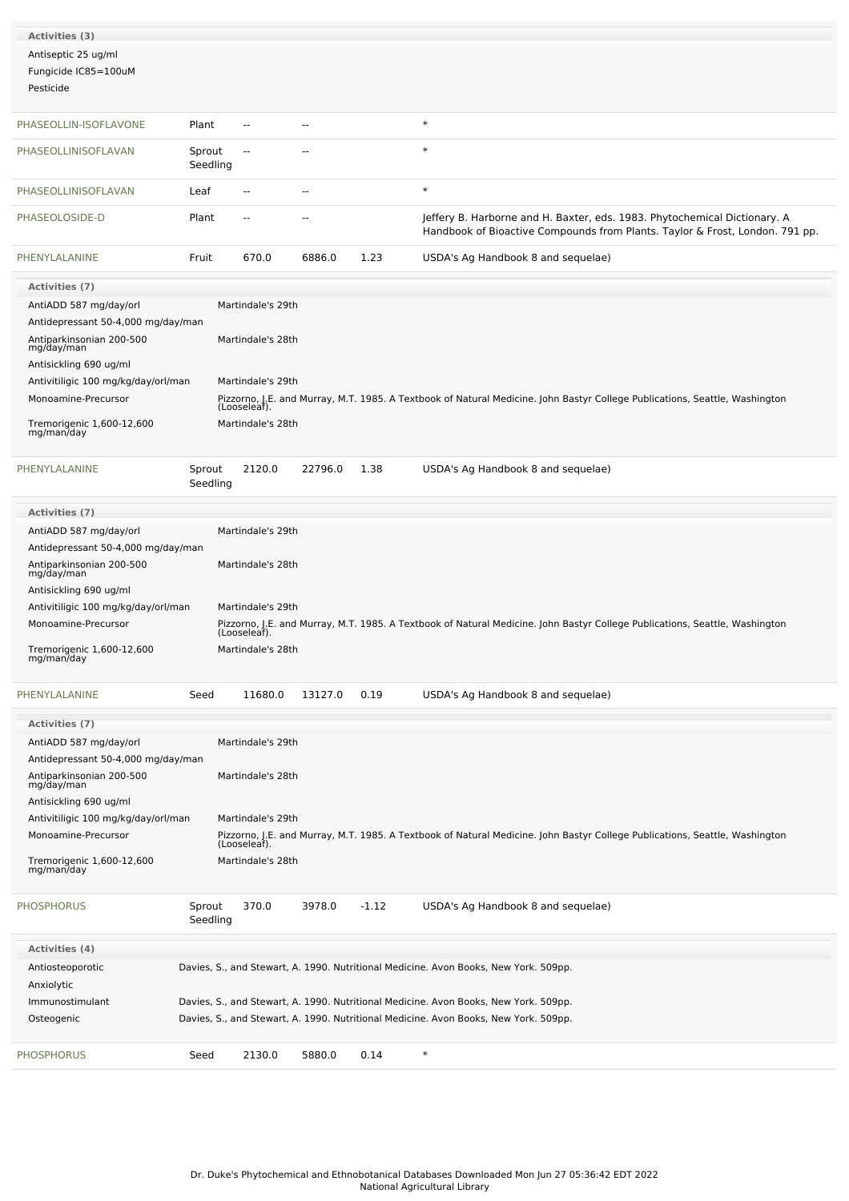| Activities (3)                          |                    |                                   |                |         |                                                                                                                                                           |
|-----------------------------------------|--------------------|-----------------------------------|----------------|---------|-----------------------------------------------------------------------------------------------------------------------------------------------------------|
| Antiseptic 25 ug/ml                     |                    |                                   |                |         |                                                                                                                                                           |
| Fungicide IC85=100uM                    |                    |                                   |                |         |                                                                                                                                                           |
| Pesticide                               |                    |                                   |                |         |                                                                                                                                                           |
| PHASEOLLIN-ISOFLAVONE                   | Plant              | $\overline{\phantom{a}}$          | $\overline{a}$ |         | $\ast$                                                                                                                                                    |
|                                         |                    |                                   |                |         | $\ast$                                                                                                                                                    |
| PHASEOLLINISOFLAVAN                     | Sprout<br>Seedling | $\overline{\phantom{a}}$          |                |         |                                                                                                                                                           |
| PHASEOLLINISOFLAVAN                     | Leaf               | $\overline{\phantom{a}}$          | $\overline{a}$ |         | $\ast$                                                                                                                                                    |
| PHASEOLOSIDE-D                          | Plant              | --                                |                |         | Jeffery B. Harborne and H. Baxter, eds. 1983. Phytochemical Dictionary. A<br>Handbook of Bioactive Compounds from Plants. Taylor & Frost, London. 791 pp. |
| PHENYLALANINE                           | Fruit              | 670.0                             | 6886.0         | 1.23    | USDA's Ag Handbook 8 and sequelae)                                                                                                                        |
| <b>Activities (7)</b>                   |                    |                                   |                |         |                                                                                                                                                           |
| AntiADD 587 mg/day/orl                  |                    | Martindale's 29th                 |                |         |                                                                                                                                                           |
| Antidepressant 50-4,000 mg/day/man      |                    |                                   |                |         |                                                                                                                                                           |
| Antiparkinsonian 200-500<br>mg/day/man  |                    | Martindale's 28th                 |                |         |                                                                                                                                                           |
| Antisickling 690 ug/ml                  |                    |                                   |                |         |                                                                                                                                                           |
| Antivitiligic 100 mg/kg/day/orl/man     |                    | Martindale's 29th                 |                |         |                                                                                                                                                           |
| Monoamine-Precursor                     |                    | (Looseleaf).                      |                |         | Pizzorno, J.E. and Murray, M.T. 1985. A Textbook of Natural Medicine. John Bastyr College Publications, Seattle, Washington                               |
| Tremorigenic 1,600-12,600<br>mg/man/day |                    | Martindale's 28th                 |                |         |                                                                                                                                                           |
| PHENYLALANINE                           | Sprout             | 2120.0                            | 22796.0        | 1.38    | USDA's Ag Handbook 8 and sequelae)                                                                                                                        |
|                                         | Seedling           |                                   |                |         |                                                                                                                                                           |
| <b>Activities (7)</b>                   |                    |                                   |                |         |                                                                                                                                                           |
| AntiADD 587 mg/day/orl                  |                    | Martindale's 29th                 |                |         |                                                                                                                                                           |
| Antidepressant 50-4,000 mg/day/man      |                    |                                   |                |         |                                                                                                                                                           |
| Antiparkinsonian 200-500                |                    | Martindale's 28th                 |                |         |                                                                                                                                                           |
| mg/day/man<br>Antisickling 690 ug/ml    |                    |                                   |                |         |                                                                                                                                                           |
| Antivitiligic 100 mg/kg/day/orl/man     |                    | Martindale's 29th                 |                |         |                                                                                                                                                           |
| Monoamine-Precursor                     |                    |                                   |                |         | Pizzorno, J.E. and Murray, M.T. 1985. A Textbook of Natural Medicine. John Bastyr College Publications, Seattle, Washington                               |
| Tremorigenic 1,600-12,600               |                    | (Looseleaf).<br>Martindale's 28th |                |         |                                                                                                                                                           |
| mg/man/day                              |                    |                                   |                |         |                                                                                                                                                           |
| PHENYLALANINE                           | Seed               | 11680.0                           | 13127.0        | 0.19    | USDA's Ag Handbook 8 and sequelae)                                                                                                                        |
| <b>Activities (7)</b>                   |                    |                                   |                |         |                                                                                                                                                           |
| AntiADD 587 mg/day/orl                  |                    | Martindale's 29th                 |                |         |                                                                                                                                                           |
| Antidepressant 50-4,000 mg/day/man      |                    |                                   |                |         |                                                                                                                                                           |
| Antiparkinsonian 200-500<br>mg/day/man  |                    | Martindale's 28th                 |                |         |                                                                                                                                                           |
| Antisickling 690 ug/ml                  |                    |                                   |                |         |                                                                                                                                                           |
| Antivitiligic 100 mg/kg/day/orl/man     |                    | Martindale's 29th                 |                |         |                                                                                                                                                           |
| Monoamine-Precursor                     |                    |                                   |                |         | Pizzorno, J.E. and Murray, M.T. 1985. A Textbook of Natural Medicine. John Bastyr College Publications, Seattle, Washington                               |
|                                         |                    | (Looseleaf).<br>Martindale's 28th |                |         |                                                                                                                                                           |
| Tremorigenic 1,600-12,600<br>mg/man/day |                    |                                   |                |         |                                                                                                                                                           |
| <b>PHOSPHORUS</b>                       | Sprout<br>Seedling | 370.0                             | 3978.0         | $-1.12$ | USDA's Ag Handbook 8 and sequelae)                                                                                                                        |
| <b>Activities (4)</b>                   |                    |                                   |                |         |                                                                                                                                                           |
| Antiosteoporotic                        |                    |                                   |                |         | Davies, S., and Stewart, A. 1990. Nutritional Medicine. Avon Books, New York. 509pp.                                                                      |
| Anxiolytic                              |                    |                                   |                |         |                                                                                                                                                           |
| Immunostimulant                         |                    |                                   |                |         | Davies, S., and Stewart, A. 1990. Nutritional Medicine. Avon Books, New York. 509pp.                                                                      |
| Osteogenic                              |                    |                                   |                |         | Davies, S., and Stewart, A. 1990. Nutritional Medicine. Avon Books, New York. 509pp.                                                                      |
| <b>PHOSPHORUS</b>                       | Seed               | 2130.0                            | 5880.0         | 0.14    | $\ast$                                                                                                                                                    |
|                                         |                    |                                   |                |         |                                                                                                                                                           |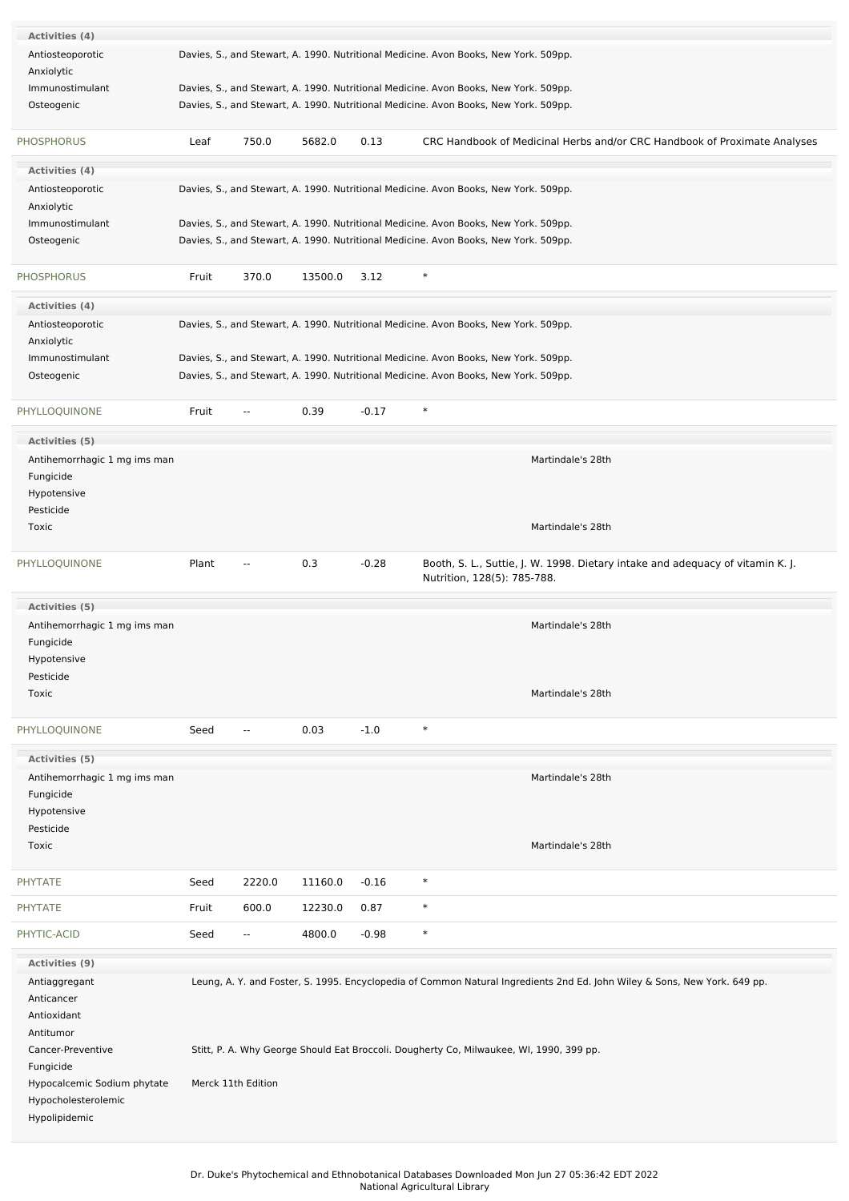| Activities (4)               |       |                          |         |         |                                                                                                                           |  |
|------------------------------|-------|--------------------------|---------|---------|---------------------------------------------------------------------------------------------------------------------------|--|
| Antiosteoporotic             |       |                          |         |         | Davies, S., and Stewart, A. 1990. Nutritional Medicine. Avon Books, New York. 509pp.                                      |  |
| Anxiolytic                   |       |                          |         |         |                                                                                                                           |  |
| Immunostimulant              |       |                          |         |         | Davies, S., and Stewart, A. 1990. Nutritional Medicine. Avon Books, New York. 509pp.                                      |  |
| Osteogenic                   |       |                          |         |         | Davies, S., and Stewart, A. 1990. Nutritional Medicine. Avon Books, New York. 509pp.                                      |  |
|                              |       |                          |         |         |                                                                                                                           |  |
| <b>PHOSPHORUS</b>            | Leaf  | 750.0                    | 5682.0  | 0.13    | CRC Handbook of Medicinal Herbs and/or CRC Handbook of Proximate Analyses                                                 |  |
| Activities (4)               |       |                          |         |         |                                                                                                                           |  |
| Antiosteoporotic             |       |                          |         |         | Davies, S., and Stewart, A. 1990. Nutritional Medicine. Avon Books, New York. 509pp.                                      |  |
| Anxiolytic                   |       |                          |         |         |                                                                                                                           |  |
| Immunostimulant              |       |                          |         |         | Davies, S., and Stewart, A. 1990. Nutritional Medicine. Avon Books, New York. 509pp.                                      |  |
| Osteogenic                   |       |                          |         |         | Davies, S., and Stewart, A. 1990. Nutritional Medicine. Avon Books, New York. 509pp.                                      |  |
|                              |       |                          |         |         |                                                                                                                           |  |
| <b>PHOSPHORUS</b>            | Fruit | 370.0                    | 13500.0 | 3.12    | $\ast$                                                                                                                    |  |
| Activities (4)               |       |                          |         |         |                                                                                                                           |  |
| Antiosteoporotic             |       |                          |         |         | Davies, S., and Stewart, A. 1990. Nutritional Medicine. Avon Books, New York. 509pp.                                      |  |
| Anxiolytic                   |       |                          |         |         |                                                                                                                           |  |
| Immunostimulant              |       |                          |         |         | Davies, S., and Stewart, A. 1990. Nutritional Medicine. Avon Books, New York. 509pp.                                      |  |
| Osteogenic                   |       |                          |         |         | Davies, S., and Stewart, A. 1990. Nutritional Medicine. Avon Books, New York. 509pp.                                      |  |
|                              |       |                          |         |         |                                                                                                                           |  |
| PHYLLOQUINONE                | Fruit | Ξ.                       | 0.39    | $-0.17$ | $\ast$                                                                                                                    |  |
| Activities (5)               |       |                          |         |         |                                                                                                                           |  |
| Antihemorrhagic 1 mg ims man |       |                          |         |         | Martindale's 28th                                                                                                         |  |
| Fungicide                    |       |                          |         |         |                                                                                                                           |  |
| Hypotensive                  |       |                          |         |         |                                                                                                                           |  |
| Pesticide                    |       |                          |         |         |                                                                                                                           |  |
| Toxic                        |       |                          |         |         | Martindale's 28th                                                                                                         |  |
|                              |       |                          |         |         |                                                                                                                           |  |
| PHYLLOQUINONE                | Plant | $\overline{\phantom{a}}$ | 0.3     | $-0.28$ | Booth, S. L., Suttie, J. W. 1998. Dietary intake and adequacy of vitamin K. J.<br>Nutrition, 128(5): 785-788.             |  |
| Activities (5)               |       |                          |         |         |                                                                                                                           |  |
| Antihemorrhagic 1 mg ims man |       |                          |         |         | Martindale's 28th                                                                                                         |  |
| Fungicide                    |       |                          |         |         |                                                                                                                           |  |
| Hypotensive                  |       |                          |         |         |                                                                                                                           |  |
| Pesticide                    |       |                          |         |         |                                                                                                                           |  |
| Toxic                        |       |                          |         |         | Martindale's 28th                                                                                                         |  |
|                              |       |                          |         |         |                                                                                                                           |  |
| PHYLLOQUINONE                | Seed  | $\overline{\phantom{a}}$ | 0.03    | $-1.0$  | $\ast$                                                                                                                    |  |
| Activities (5)               |       |                          |         |         |                                                                                                                           |  |
| Antihemorrhagic 1 mg ims man |       |                          |         |         | Martindale's 28th                                                                                                         |  |
| Fungicide                    |       |                          |         |         |                                                                                                                           |  |
| Hypotensive                  |       |                          |         |         |                                                                                                                           |  |
| Pesticide                    |       |                          |         |         |                                                                                                                           |  |
| Toxic                        |       |                          |         |         | Martindale's 28th                                                                                                         |  |
| <b>PHYTATE</b>               | Seed  | 2220.0                   | 11160.0 | $-0.16$ | $\ast$                                                                                                                    |  |
| <b>PHYTATE</b>               | Fruit | 600.0                    | 12230.0 | 0.87    | $\ast$                                                                                                                    |  |
| PHYTIC-ACID                  | Seed  | $\overline{\phantom{a}}$ | 4800.0  | $-0.98$ | $\ast$                                                                                                                    |  |
|                              |       |                          |         |         |                                                                                                                           |  |
| <b>Activities (9)</b>        |       |                          |         |         |                                                                                                                           |  |
| Antiaggregant<br>Anticancer  |       |                          |         |         | Leung, A. Y. and Foster, S. 1995. Encyclopedia of Common Natural Ingredients 2nd Ed. John Wiley & Sons, New York. 649 pp. |  |
| Antioxidant                  |       |                          |         |         |                                                                                                                           |  |
| Antitumor                    |       |                          |         |         |                                                                                                                           |  |
| Cancer-Preventive            |       |                          |         |         | Stitt, P. A. Why George Should Eat Broccoli. Dougherty Co, Milwaukee, WI, 1990, 399 pp.                                   |  |
| Fungicide                    |       |                          |         |         |                                                                                                                           |  |
| Hypocalcemic Sodium phytate  |       | Merck 11th Edition       |         |         |                                                                                                                           |  |
| Hypocholesterolemic          |       |                          |         |         |                                                                                                                           |  |
| Hypolipidemic                |       |                          |         |         |                                                                                                                           |  |
|                              |       |                          |         |         |                                                                                                                           |  |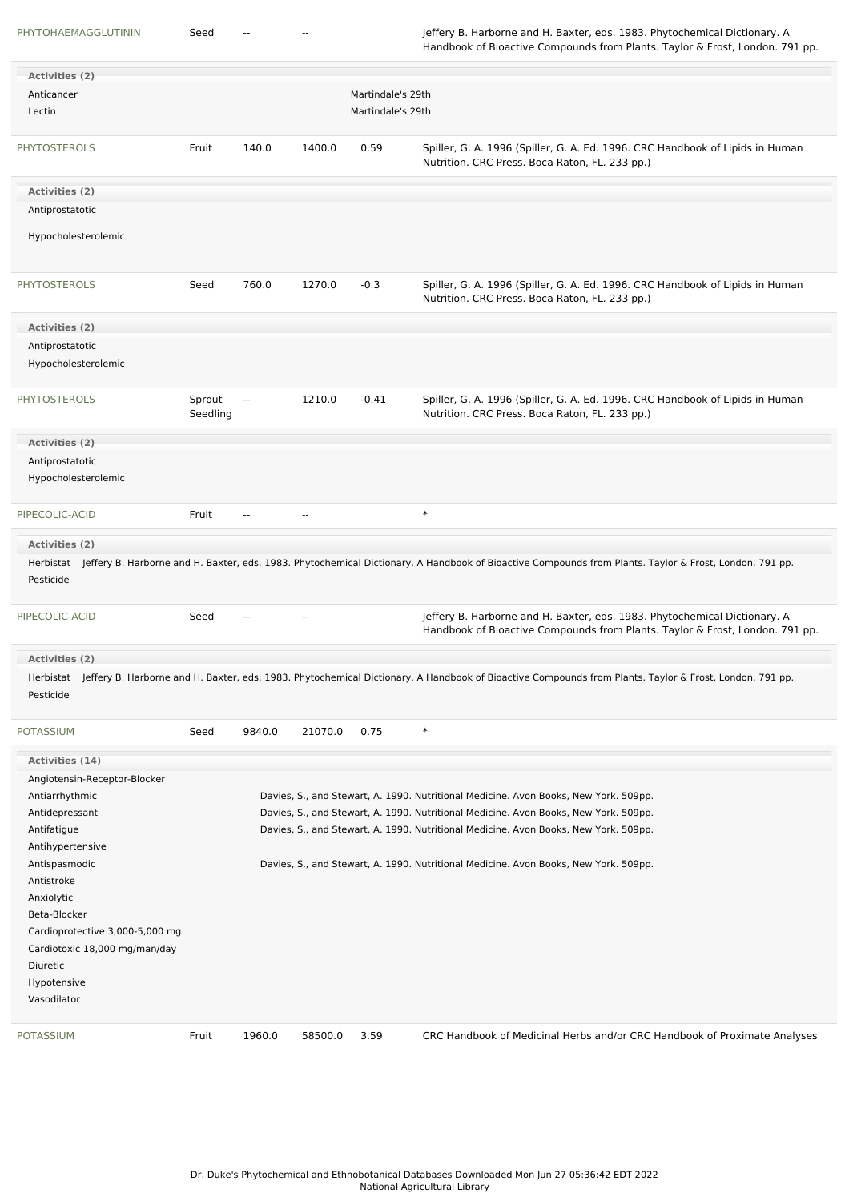| Activities (2)                     |                    |        |            |                   |                                                                                                                                                                  |
|------------------------------------|--------------------|--------|------------|-------------------|------------------------------------------------------------------------------------------------------------------------------------------------------------------|
| Anticancer                         |                    |        |            | Martindale's 29th |                                                                                                                                                                  |
| Lectin                             |                    |        |            | Martindale's 29th |                                                                                                                                                                  |
| <b>PHYTOSTEROLS</b>                | Fruit              | 140.0  | 1400.0     | 0.59              | Spiller, G. A. 1996 (Spiller, G. A. Ed. 1996. CRC Handbook of Lipids in Human<br>Nutrition. CRC Press. Boca Raton, FL. 233 pp.)                                  |
| Activities (2)                     |                    |        |            |                   |                                                                                                                                                                  |
| Antiprostatotic                    |                    |        |            |                   |                                                                                                                                                                  |
|                                    |                    |        |            |                   |                                                                                                                                                                  |
| Hypocholesterolemic                |                    |        |            |                   |                                                                                                                                                                  |
| <b>PHYTOSTEROLS</b>                | Seed               | 760.0  | 1270.0     | $-0.3$            | Spiller, G. A. 1996 (Spiller, G. A. Ed. 1996. CRC Handbook of Lipids in Human<br>Nutrition. CRC Press. Boca Raton, FL. 233 pp.)                                  |
| Activities (2)                     |                    |        |            |                   |                                                                                                                                                                  |
| Antiprostatotic                    |                    |        |            |                   |                                                                                                                                                                  |
| Hypocholesterolemic                |                    |        |            |                   |                                                                                                                                                                  |
| <b>PHYTOSTEROLS</b>                | Sprout<br>Seedling | $\sim$ | 1210.0     | $-0.41$           | Spiller, G. A. 1996 (Spiller, G. A. Ed. 1996. CRC Handbook of Lipids in Human<br>Nutrition. CRC Press. Boca Raton, FL. 233 pp.)                                  |
| Activities (2)                     |                    |        |            |                   |                                                                                                                                                                  |
| Antiprostatotic                    |                    |        |            |                   |                                                                                                                                                                  |
| Hypocholesterolemic                |                    |        |            |                   |                                                                                                                                                                  |
| PIPECOLIC-ACID                     | Fruit              | --     | $\sim$ $-$ |                   | $\ast$                                                                                                                                                           |
| <b>Activities (2)</b><br>Pesticide |                    |        |            |                   | Herbistat Jeffery B. Harborne and H. Baxter, eds. 1983. Phytochemical Dictionary. A Handbook of Bioactive Compounds from Plants. Taylor & Frost, London. 791 pp. |
| PIPECOLIC-ACID                     | Seed               |        | $\sim$     |                   | Jeffery B. Harborne and H. Baxter, eds. 1983. Phytochemical Dictionary. A<br>Handbook of Bioactive Compounds from Plants. Taylor & Frost, London. 791 pp.        |
| Activities (2)                     |                    |        |            |                   |                                                                                                                                                                  |
| Pesticide                          |                    |        |            |                   | Herbistat Jeffery B. Harborne and H. Baxter, eds. 1983. Phytochemical Dictionary. A Handbook of Bioactive Compounds from Plants. Taylor & Frost, London. 791 pp. |
| <b>POTASSIUM</b>                   | Seed               | 9840.0 | 21070.0    | 0.75              | $\ast$                                                                                                                                                           |
| Activities (14)                    |                    |        |            |                   |                                                                                                                                                                  |
| Angiotensin-Receptor-Blocker       |                    |        |            |                   |                                                                                                                                                                  |
| Antiarrhythmic                     |                    |        |            |                   | Davies, S., and Stewart, A. 1990. Nutritional Medicine. Avon Books, New York. 509pp.                                                                             |
| Antidepressant                     |                    |        |            |                   | Davies, S., and Stewart, A. 1990. Nutritional Medicine. Avon Books, New York. 509pp.                                                                             |
| Antifatigue                        |                    |        |            |                   | Davies, S., and Stewart, A. 1990. Nutritional Medicine. Avon Books, New York. 509pp.                                                                             |
| Antihypertensive                   |                    |        |            |                   |                                                                                                                                                                  |
| Antispasmodic                      |                    |        |            |                   | Davies, S., and Stewart, A. 1990. Nutritional Medicine. Avon Books, New York. 509pp.                                                                             |
| Antistroke                         |                    |        |            |                   |                                                                                                                                                                  |
| Anxiolytic                         |                    |        |            |                   |                                                                                                                                                                  |
| Beta-Blocker                       |                    |        |            |                   |                                                                                                                                                                  |
| Cardioprotective 3,000-5,000 mg    |                    |        |            |                   |                                                                                                                                                                  |
| Cardiotoxic 18,000 mg/man/day      |                    |        |            |                   |                                                                                                                                                                  |
| Diuretic                           |                    |        |            |                   |                                                                                                                                                                  |
| Hypotensive                        |                    |        |            |                   |                                                                                                                                                                  |
| Vasodilator                        |                    |        |            |                   |                                                                                                                                                                  |
| POTASSIUM                          | Fruit              | 1960.0 | 58500.0    | 3.59              | CRC Handbook of Medicinal Herbs and/or CRC Handbook of Proximate Analyses                                                                                        |
|                                    |                    |        |            |                   |                                                                                                                                                                  |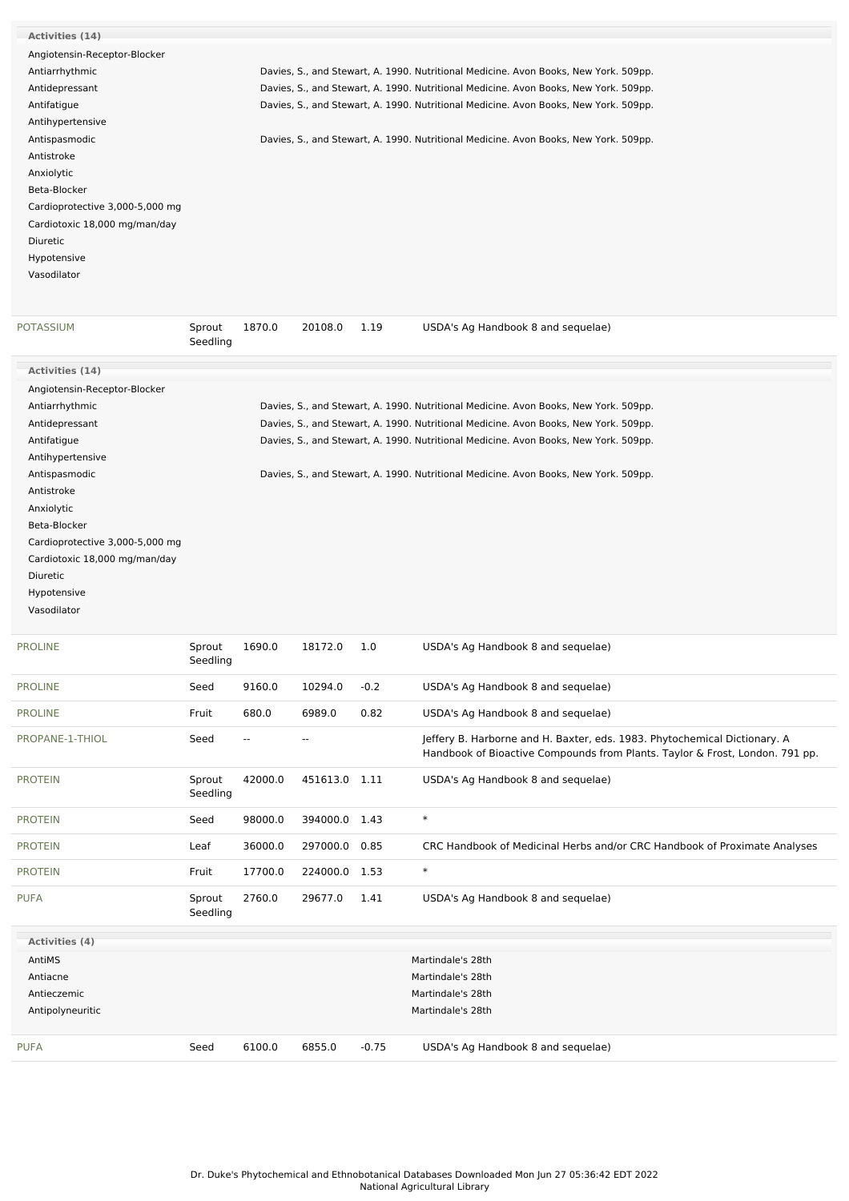| <b>Activities (14)</b>          |                    |                          |               |         |                                                                                                                                                           |
|---------------------------------|--------------------|--------------------------|---------------|---------|-----------------------------------------------------------------------------------------------------------------------------------------------------------|
| Angiotensin-Receptor-Blocker    |                    |                          |               |         |                                                                                                                                                           |
| Antiarrhythmic                  |                    |                          |               |         | Davies, S., and Stewart, A. 1990. Nutritional Medicine. Avon Books, New York. 509pp.                                                                      |
| Antidepressant                  |                    |                          |               |         | Davies, S., and Stewart, A. 1990. Nutritional Medicine. Avon Books, New York. 509pp.                                                                      |
| Antifatigue                     |                    |                          |               |         | Davies, S., and Stewart, A. 1990. Nutritional Medicine. Avon Books, New York. 509pp.                                                                      |
| Antihypertensive                |                    |                          |               |         |                                                                                                                                                           |
| Antispasmodic                   |                    |                          |               |         | Davies, S., and Stewart, A. 1990. Nutritional Medicine. Avon Books, New York. 509pp.                                                                      |
| Antistroke                      |                    |                          |               |         |                                                                                                                                                           |
| Anxiolytic                      |                    |                          |               |         |                                                                                                                                                           |
| Beta-Blocker                    |                    |                          |               |         |                                                                                                                                                           |
| Cardioprotective 3,000-5,000 mg |                    |                          |               |         |                                                                                                                                                           |
| Cardiotoxic 18,000 mg/man/day   |                    |                          |               |         |                                                                                                                                                           |
| Diuretic                        |                    |                          |               |         |                                                                                                                                                           |
| Hypotensive                     |                    |                          |               |         |                                                                                                                                                           |
| Vasodilator                     |                    |                          |               |         |                                                                                                                                                           |
|                                 |                    |                          |               |         |                                                                                                                                                           |
| POTASSIUM                       | Sprout<br>Seedling | 1870.0                   | 20108.0       | 1.19    | USDA's Ag Handbook 8 and sequelae)                                                                                                                        |
| Activities (14)                 |                    |                          |               |         |                                                                                                                                                           |
| Angiotensin-Receptor-Blocker    |                    |                          |               |         |                                                                                                                                                           |
| Antiarrhythmic                  |                    |                          |               |         | Davies, S., and Stewart, A. 1990. Nutritional Medicine. Avon Books, New York. 509pp.                                                                      |
| Antidepressant                  |                    |                          |               |         | Davies, S., and Stewart, A. 1990. Nutritional Medicine. Avon Books, New York. 509pp.                                                                      |
| Antifatigue                     |                    |                          |               |         | Davies, S., and Stewart, A. 1990. Nutritional Medicine. Avon Books, New York. 509pp.                                                                      |
| Antihypertensive                |                    |                          |               |         |                                                                                                                                                           |
| Antispasmodic                   |                    |                          |               |         | Davies, S., and Stewart, A. 1990. Nutritional Medicine. Avon Books, New York. 509pp.                                                                      |
| Antistroke                      |                    |                          |               |         |                                                                                                                                                           |
| Anxiolytic                      |                    |                          |               |         |                                                                                                                                                           |
| Beta-Blocker                    |                    |                          |               |         |                                                                                                                                                           |
| Cardioprotective 3,000-5,000 mg |                    |                          |               |         |                                                                                                                                                           |
| Cardiotoxic 18,000 mg/man/day   |                    |                          |               |         |                                                                                                                                                           |
| Diuretic                        |                    |                          |               |         |                                                                                                                                                           |
| Hypotensive                     |                    |                          |               |         |                                                                                                                                                           |
| Vasodilator                     |                    |                          |               |         |                                                                                                                                                           |
| <b>PROLINE</b>                  | Sprout<br>Seedling | 1690.0                   | 18172.0       | 1.0     | USDA's Ag Handbook 8 and sequelae)                                                                                                                        |
| PROLINE                         | Seed               | 9160.0                   | 10294.0       | $-0.2$  | USDA's Ag Handbook 8 and sequelae)                                                                                                                        |
| <b>PROLINE</b>                  | Fruit              | 680.0                    | 6989.0        | 0.82    | USDA's Ag Handbook 8 and sequelae)                                                                                                                        |
| PROPANE-1-THIOL                 | Seed               | $\overline{\phantom{a}}$ | ۰.            |         | Jeffery B. Harborne and H. Baxter, eds. 1983. Phytochemical Dictionary. A<br>Handbook of Bioactive Compounds from Plants. Taylor & Frost, London. 791 pp. |
| PROTEIN                         | Sprout<br>Seedling | 42000.0                  | 451613.0 1.11 |         | USDA's Ag Handbook 8 and sequelae)                                                                                                                        |
| <b>PROTEIN</b>                  | Seed               | 98000.0                  | 394000.0 1.43 |         | $\ast$                                                                                                                                                    |
| <b>PROTEIN</b>                  | Leaf               | 36000.0                  | 297000.0      | 0.85    | CRC Handbook of Medicinal Herbs and/or CRC Handbook of Proximate Analyses                                                                                 |
| PROTEIN                         | Fruit              | 17700.0                  | 224000.0 1.53 |         | $\ast$                                                                                                                                                    |
| PUFA                            | Sprout<br>Seedling | 2760.0                   | 29677.0       | 1.41    | USDA's Ag Handbook 8 and sequelae)                                                                                                                        |
| Activities (4)                  |                    |                          |               |         |                                                                                                                                                           |
| AntiMS                          |                    |                          |               |         | Martindale's 28th                                                                                                                                         |
| Antiacne                        |                    |                          |               |         | Martindale's 28th                                                                                                                                         |
| Antieczemic                     |                    |                          |               |         | Martindale's 28th                                                                                                                                         |
| Antipolyneuritic                |                    |                          |               |         | Martindale's 28th                                                                                                                                         |
|                                 |                    |                          |               |         |                                                                                                                                                           |
| PUFA                            | Seed               | 6100.0                   | 6855.0        | $-0.75$ | USDA's Ag Handbook 8 and sequelae)                                                                                                                        |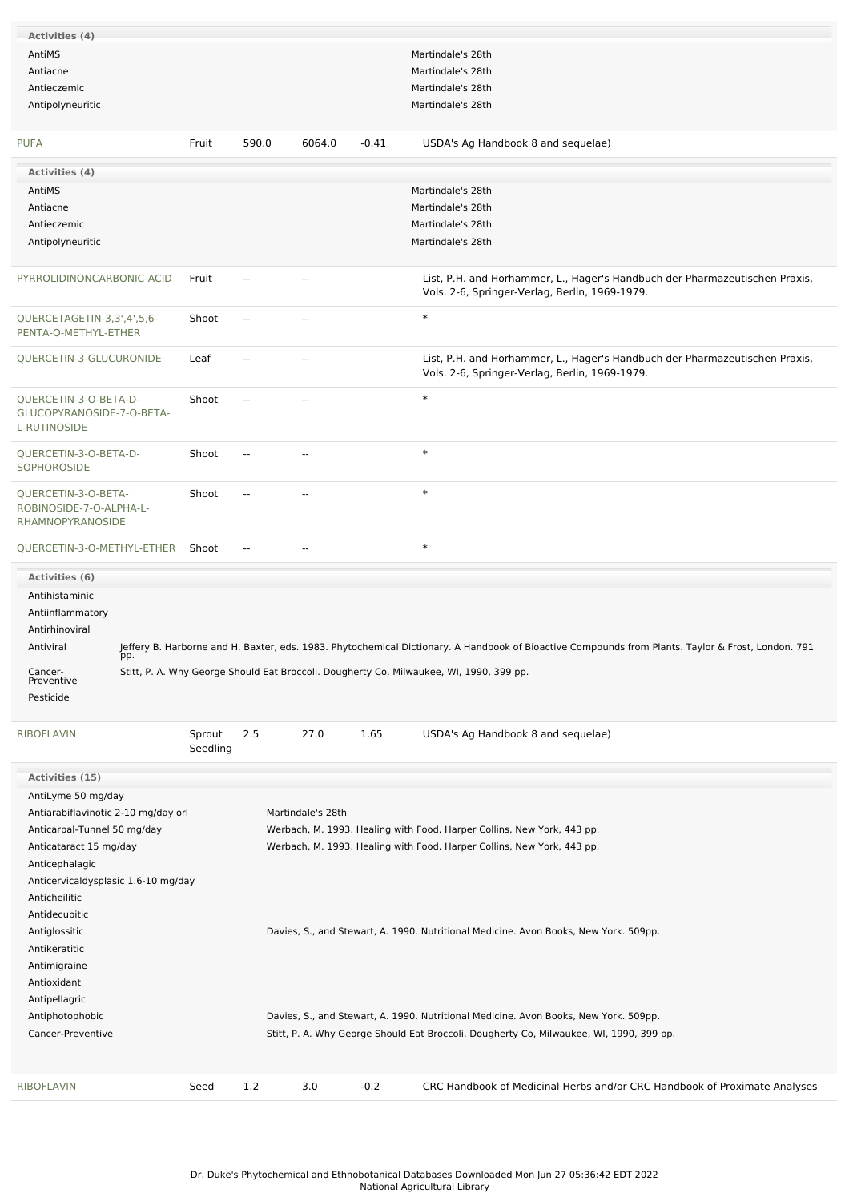| Activities (4)<br>AntiMS<br>Martindale's 28th<br>Antiacne<br>Martindale's 28th<br>Antieczemic<br>Martindale's 28th<br>Antipolyneuritic<br>Martindale's 28th<br>590.0<br>Fruit<br>6064.0<br>$-0.41$<br>USDA's Ag Handbook 8 and sequelae)<br>Activities (4)<br>AntiMS<br>Martindale's 28th<br>Antiacne<br>Martindale's 28th<br>Martindale's 28th<br>Antieczemic<br>Antipolyneuritic<br>Martindale's 28th<br>List, P.H. and Horhammer, L., Hager's Handbuch der Pharmazeutischen Praxis,<br>PYRROLIDINONCARBONIC-ACID<br>Fruit<br>$\overline{a}$<br>$\sim$ $\sim$<br>Vols. 2-6, Springer-Verlag, Berlin, 1969-1979.<br>$\ast$<br>QUERCETAGETIN-3,3',4',5,6-<br>Shoot<br>$\overline{\phantom{a}}$<br>$\sim$<br>PENTA-O-METHYL-ETHER<br>List, P.H. and Horhammer, L., Hager's Handbuch der Pharmazeutischen Praxis,<br>QUERCETIN-3-GLUCURONIDE<br>Leaf<br>--<br>$\sim$<br>Vols. 2-6, Springer-Verlag, Berlin, 1969-1979.<br>$\ast$<br>QUERCETIN-3-O-BETA-D-<br>Shoot<br>--<br>GLUCOPYRANOSIDE-7-O-BETA-<br>$\ast$<br>QUERCETIN-3-O-BETA-D-<br>Shoot<br>--<br>۰.<br>$\ast$<br>QUERCETIN-3-O-BETA-<br>Shoot<br>$\overline{\phantom{a}}$<br>$\overline{a}$<br>ROBINOSIDE-7-O-ALPHA-L-<br>RHAMNOPYRANOSIDE<br>$\ast$<br>QUERCETIN-3-O-METHYL-ETHER Shoot<br>--<br>--<br>Activities (6)<br>Antihistaminic<br>Antiinflammatory<br>Antirhinoviral<br>Antiviral<br>Jeffery B. Harborne and H. Baxter, eds. 1983. Phytochemical Dictionary. A Handbook of Bioactive Compounds from Plants. Taylor & Frost, London. 791<br>pp.<br>Stitt, P. A. Why George Should Eat Broccoli. Dougherty Co, Milwaukee, WI, 1990, 399 pp.<br>Cancer-<br>Preventive<br>Pesticide<br>Sprout<br>1.65<br>2.5<br>27.0<br>USDA's Ag Handbook 8 and sequelae)<br>Seedling<br>Activities (15)<br>AntiLyme 50 mg/day<br>Antiarabiflavinotic 2-10 mg/day orl<br>Martindale's 28th<br>Werbach, M. 1993. Healing with Food. Harper Collins, New York, 443 pp.<br>Anticarpal-Tunnel 50 mg/day<br>Werbach, M. 1993. Healing with Food. Harper Collins, New York, 443 pp.<br>Anticataract 15 mg/day<br>Anticephalagic<br>Anticervicaldysplasic 1.6-10 mg/day<br>Anticheilitic<br>Antidecubitic<br>Antiglossitic<br>Davies, S., and Stewart, A. 1990. Nutritional Medicine. Avon Books, New York. 509pp.<br>Antikeratitic<br>Antimigraine<br>Antioxidant<br>Antipellagric<br>Davies, S., and Stewart, A. 1990. Nutritional Medicine. Avon Books, New York. 509pp.<br>Antiphotophobic<br>Cancer-Preventive<br>Stitt, P. A. Why George Should Eat Broccoli. Dougherty Co, Milwaukee, WI, 1990, 399 pp.<br>$-0.2$<br><b>RIBOFLAVIN</b><br>Seed<br>1.2<br>3.0<br>CRC Handbook of Medicinal Herbs and/or CRC Handbook of Proximate Analyses |                    |  |  |  |
|------------------------------------------------------------------------------------------------------------------------------------------------------------------------------------------------------------------------------------------------------------------------------------------------------------------------------------------------------------------------------------------------------------------------------------------------------------------------------------------------------------------------------------------------------------------------------------------------------------------------------------------------------------------------------------------------------------------------------------------------------------------------------------------------------------------------------------------------------------------------------------------------------------------------------------------------------------------------------------------------------------------------------------------------------------------------------------------------------------------------------------------------------------------------------------------------------------------------------------------------------------------------------------------------------------------------------------------------------------------------------------------------------------------------------------------------------------------------------------------------------------------------------------------------------------------------------------------------------------------------------------------------------------------------------------------------------------------------------------------------------------------------------------------------------------------------------------------------------------------------------------------------------------------------------------------------------------------------------------------------------------------------------------------------------------------------------------------------------------------------------------------------------------------------------------------------------------------------------------------------------------------------------------------------------------------------------------------------------------------------------------------------------------------------------------------------------------------------------------------------------------------------------------------------------------------------------------------------------------------------------------------------------------------------------------------|--------------------|--|--|--|
|                                                                                                                                                                                                                                                                                                                                                                                                                                                                                                                                                                                                                                                                                                                                                                                                                                                                                                                                                                                                                                                                                                                                                                                                                                                                                                                                                                                                                                                                                                                                                                                                                                                                                                                                                                                                                                                                                                                                                                                                                                                                                                                                                                                                                                                                                                                                                                                                                                                                                                                                                                                                                                                                                          |                    |  |  |  |
|                                                                                                                                                                                                                                                                                                                                                                                                                                                                                                                                                                                                                                                                                                                                                                                                                                                                                                                                                                                                                                                                                                                                                                                                                                                                                                                                                                                                                                                                                                                                                                                                                                                                                                                                                                                                                                                                                                                                                                                                                                                                                                                                                                                                                                                                                                                                                                                                                                                                                                                                                                                                                                                                                          |                    |  |  |  |
|                                                                                                                                                                                                                                                                                                                                                                                                                                                                                                                                                                                                                                                                                                                                                                                                                                                                                                                                                                                                                                                                                                                                                                                                                                                                                                                                                                                                                                                                                                                                                                                                                                                                                                                                                                                                                                                                                                                                                                                                                                                                                                                                                                                                                                                                                                                                                                                                                                                                                                                                                                                                                                                                                          |                    |  |  |  |
|                                                                                                                                                                                                                                                                                                                                                                                                                                                                                                                                                                                                                                                                                                                                                                                                                                                                                                                                                                                                                                                                                                                                                                                                                                                                                                                                                                                                                                                                                                                                                                                                                                                                                                                                                                                                                                                                                                                                                                                                                                                                                                                                                                                                                                                                                                                                                                                                                                                                                                                                                                                                                                                                                          |                    |  |  |  |
|                                                                                                                                                                                                                                                                                                                                                                                                                                                                                                                                                                                                                                                                                                                                                                                                                                                                                                                                                                                                                                                                                                                                                                                                                                                                                                                                                                                                                                                                                                                                                                                                                                                                                                                                                                                                                                                                                                                                                                                                                                                                                                                                                                                                                                                                                                                                                                                                                                                                                                                                                                                                                                                                                          |                    |  |  |  |
|                                                                                                                                                                                                                                                                                                                                                                                                                                                                                                                                                                                                                                                                                                                                                                                                                                                                                                                                                                                                                                                                                                                                                                                                                                                                                                                                                                                                                                                                                                                                                                                                                                                                                                                                                                                                                                                                                                                                                                                                                                                                                                                                                                                                                                                                                                                                                                                                                                                                                                                                                                                                                                                                                          |                    |  |  |  |
|                                                                                                                                                                                                                                                                                                                                                                                                                                                                                                                                                                                                                                                                                                                                                                                                                                                                                                                                                                                                                                                                                                                                                                                                                                                                                                                                                                                                                                                                                                                                                                                                                                                                                                                                                                                                                                                                                                                                                                                                                                                                                                                                                                                                                                                                                                                                                                                                                                                                                                                                                                                                                                                                                          | <b>PUFA</b>        |  |  |  |
|                                                                                                                                                                                                                                                                                                                                                                                                                                                                                                                                                                                                                                                                                                                                                                                                                                                                                                                                                                                                                                                                                                                                                                                                                                                                                                                                                                                                                                                                                                                                                                                                                                                                                                                                                                                                                                                                                                                                                                                                                                                                                                                                                                                                                                                                                                                                                                                                                                                                                                                                                                                                                                                                                          |                    |  |  |  |
|                                                                                                                                                                                                                                                                                                                                                                                                                                                                                                                                                                                                                                                                                                                                                                                                                                                                                                                                                                                                                                                                                                                                                                                                                                                                                                                                                                                                                                                                                                                                                                                                                                                                                                                                                                                                                                                                                                                                                                                                                                                                                                                                                                                                                                                                                                                                                                                                                                                                                                                                                                                                                                                                                          |                    |  |  |  |
|                                                                                                                                                                                                                                                                                                                                                                                                                                                                                                                                                                                                                                                                                                                                                                                                                                                                                                                                                                                                                                                                                                                                                                                                                                                                                                                                                                                                                                                                                                                                                                                                                                                                                                                                                                                                                                                                                                                                                                                                                                                                                                                                                                                                                                                                                                                                                                                                                                                                                                                                                                                                                                                                                          |                    |  |  |  |
|                                                                                                                                                                                                                                                                                                                                                                                                                                                                                                                                                                                                                                                                                                                                                                                                                                                                                                                                                                                                                                                                                                                                                                                                                                                                                                                                                                                                                                                                                                                                                                                                                                                                                                                                                                                                                                                                                                                                                                                                                                                                                                                                                                                                                                                                                                                                                                                                                                                                                                                                                                                                                                                                                          |                    |  |  |  |
|                                                                                                                                                                                                                                                                                                                                                                                                                                                                                                                                                                                                                                                                                                                                                                                                                                                                                                                                                                                                                                                                                                                                                                                                                                                                                                                                                                                                                                                                                                                                                                                                                                                                                                                                                                                                                                                                                                                                                                                                                                                                                                                                                                                                                                                                                                                                                                                                                                                                                                                                                                                                                                                                                          |                    |  |  |  |
|                                                                                                                                                                                                                                                                                                                                                                                                                                                                                                                                                                                                                                                                                                                                                                                                                                                                                                                                                                                                                                                                                                                                                                                                                                                                                                                                                                                                                                                                                                                                                                                                                                                                                                                                                                                                                                                                                                                                                                                                                                                                                                                                                                                                                                                                                                                                                                                                                                                                                                                                                                                                                                                                                          |                    |  |  |  |
|                                                                                                                                                                                                                                                                                                                                                                                                                                                                                                                                                                                                                                                                                                                                                                                                                                                                                                                                                                                                                                                                                                                                                                                                                                                                                                                                                                                                                                                                                                                                                                                                                                                                                                                                                                                                                                                                                                                                                                                                                                                                                                                                                                                                                                                                                                                                                                                                                                                                                                                                                                                                                                                                                          |                    |  |  |  |
|                                                                                                                                                                                                                                                                                                                                                                                                                                                                                                                                                                                                                                                                                                                                                                                                                                                                                                                                                                                                                                                                                                                                                                                                                                                                                                                                                                                                                                                                                                                                                                                                                                                                                                                                                                                                                                                                                                                                                                                                                                                                                                                                                                                                                                                                                                                                                                                                                                                                                                                                                                                                                                                                                          |                    |  |  |  |
|                                                                                                                                                                                                                                                                                                                                                                                                                                                                                                                                                                                                                                                                                                                                                                                                                                                                                                                                                                                                                                                                                                                                                                                                                                                                                                                                                                                                                                                                                                                                                                                                                                                                                                                                                                                                                                                                                                                                                                                                                                                                                                                                                                                                                                                                                                                                                                                                                                                                                                                                                                                                                                                                                          |                    |  |  |  |
|                                                                                                                                                                                                                                                                                                                                                                                                                                                                                                                                                                                                                                                                                                                                                                                                                                                                                                                                                                                                                                                                                                                                                                                                                                                                                                                                                                                                                                                                                                                                                                                                                                                                                                                                                                                                                                                                                                                                                                                                                                                                                                                                                                                                                                                                                                                                                                                                                                                                                                                                                                                                                                                                                          |                    |  |  |  |
|                                                                                                                                                                                                                                                                                                                                                                                                                                                                                                                                                                                                                                                                                                                                                                                                                                                                                                                                                                                                                                                                                                                                                                                                                                                                                                                                                                                                                                                                                                                                                                                                                                                                                                                                                                                                                                                                                                                                                                                                                                                                                                                                                                                                                                                                                                                                                                                                                                                                                                                                                                                                                                                                                          |                    |  |  |  |
|                                                                                                                                                                                                                                                                                                                                                                                                                                                                                                                                                                                                                                                                                                                                                                                                                                                                                                                                                                                                                                                                                                                                                                                                                                                                                                                                                                                                                                                                                                                                                                                                                                                                                                                                                                                                                                                                                                                                                                                                                                                                                                                                                                                                                                                                                                                                                                                                                                                                                                                                                                                                                                                                                          |                    |  |  |  |
|                                                                                                                                                                                                                                                                                                                                                                                                                                                                                                                                                                                                                                                                                                                                                                                                                                                                                                                                                                                                                                                                                                                                                                                                                                                                                                                                                                                                                                                                                                                                                                                                                                                                                                                                                                                                                                                                                                                                                                                                                                                                                                                                                                                                                                                                                                                                                                                                                                                                                                                                                                                                                                                                                          |                    |  |  |  |
|                                                                                                                                                                                                                                                                                                                                                                                                                                                                                                                                                                                                                                                                                                                                                                                                                                                                                                                                                                                                                                                                                                                                                                                                                                                                                                                                                                                                                                                                                                                                                                                                                                                                                                                                                                                                                                                                                                                                                                                                                                                                                                                                                                                                                                                                                                                                                                                                                                                                                                                                                                                                                                                                                          |                    |  |  |  |
|                                                                                                                                                                                                                                                                                                                                                                                                                                                                                                                                                                                                                                                                                                                                                                                                                                                                                                                                                                                                                                                                                                                                                                                                                                                                                                                                                                                                                                                                                                                                                                                                                                                                                                                                                                                                                                                                                                                                                                                                                                                                                                                                                                                                                                                                                                                                                                                                                                                                                                                                                                                                                                                                                          | L-RUTINOSIDE       |  |  |  |
|                                                                                                                                                                                                                                                                                                                                                                                                                                                                                                                                                                                                                                                                                                                                                                                                                                                                                                                                                                                                                                                                                                                                                                                                                                                                                                                                                                                                                                                                                                                                                                                                                                                                                                                                                                                                                                                                                                                                                                                                                                                                                                                                                                                                                                                                                                                                                                                                                                                                                                                                                                                                                                                                                          |                    |  |  |  |
|                                                                                                                                                                                                                                                                                                                                                                                                                                                                                                                                                                                                                                                                                                                                                                                                                                                                                                                                                                                                                                                                                                                                                                                                                                                                                                                                                                                                                                                                                                                                                                                                                                                                                                                                                                                                                                                                                                                                                                                                                                                                                                                                                                                                                                                                                                                                                                                                                                                                                                                                                                                                                                                                                          | <b>SOPHOROSIDE</b> |  |  |  |
|                                                                                                                                                                                                                                                                                                                                                                                                                                                                                                                                                                                                                                                                                                                                                                                                                                                                                                                                                                                                                                                                                                                                                                                                                                                                                                                                                                                                                                                                                                                                                                                                                                                                                                                                                                                                                                                                                                                                                                                                                                                                                                                                                                                                                                                                                                                                                                                                                                                                                                                                                                                                                                                                                          |                    |  |  |  |
|                                                                                                                                                                                                                                                                                                                                                                                                                                                                                                                                                                                                                                                                                                                                                                                                                                                                                                                                                                                                                                                                                                                                                                                                                                                                                                                                                                                                                                                                                                                                                                                                                                                                                                                                                                                                                                                                                                                                                                                                                                                                                                                                                                                                                                                                                                                                                                                                                                                                                                                                                                                                                                                                                          |                    |  |  |  |
|                                                                                                                                                                                                                                                                                                                                                                                                                                                                                                                                                                                                                                                                                                                                                                                                                                                                                                                                                                                                                                                                                                                                                                                                                                                                                                                                                                                                                                                                                                                                                                                                                                                                                                                                                                                                                                                                                                                                                                                                                                                                                                                                                                                                                                                                                                                                                                                                                                                                                                                                                                                                                                                                                          |                    |  |  |  |
|                                                                                                                                                                                                                                                                                                                                                                                                                                                                                                                                                                                                                                                                                                                                                                                                                                                                                                                                                                                                                                                                                                                                                                                                                                                                                                                                                                                                                                                                                                                                                                                                                                                                                                                                                                                                                                                                                                                                                                                                                                                                                                                                                                                                                                                                                                                                                                                                                                                                                                                                                                                                                                                                                          |                    |  |  |  |
|                                                                                                                                                                                                                                                                                                                                                                                                                                                                                                                                                                                                                                                                                                                                                                                                                                                                                                                                                                                                                                                                                                                                                                                                                                                                                                                                                                                                                                                                                                                                                                                                                                                                                                                                                                                                                                                                                                                                                                                                                                                                                                                                                                                                                                                                                                                                                                                                                                                                                                                                                                                                                                                                                          |                    |  |  |  |
|                                                                                                                                                                                                                                                                                                                                                                                                                                                                                                                                                                                                                                                                                                                                                                                                                                                                                                                                                                                                                                                                                                                                                                                                                                                                                                                                                                                                                                                                                                                                                                                                                                                                                                                                                                                                                                                                                                                                                                                                                                                                                                                                                                                                                                                                                                                                                                                                                                                                                                                                                                                                                                                                                          |                    |  |  |  |
|                                                                                                                                                                                                                                                                                                                                                                                                                                                                                                                                                                                                                                                                                                                                                                                                                                                                                                                                                                                                                                                                                                                                                                                                                                                                                                                                                                                                                                                                                                                                                                                                                                                                                                                                                                                                                                                                                                                                                                                                                                                                                                                                                                                                                                                                                                                                                                                                                                                                                                                                                                                                                                                                                          |                    |  |  |  |
|                                                                                                                                                                                                                                                                                                                                                                                                                                                                                                                                                                                                                                                                                                                                                                                                                                                                                                                                                                                                                                                                                                                                                                                                                                                                                                                                                                                                                                                                                                                                                                                                                                                                                                                                                                                                                                                                                                                                                                                                                                                                                                                                                                                                                                                                                                                                                                                                                                                                                                                                                                                                                                                                                          |                    |  |  |  |
|                                                                                                                                                                                                                                                                                                                                                                                                                                                                                                                                                                                                                                                                                                                                                                                                                                                                                                                                                                                                                                                                                                                                                                                                                                                                                                                                                                                                                                                                                                                                                                                                                                                                                                                                                                                                                                                                                                                                                                                                                                                                                                                                                                                                                                                                                                                                                                                                                                                                                                                                                                                                                                                                                          |                    |  |  |  |
|                                                                                                                                                                                                                                                                                                                                                                                                                                                                                                                                                                                                                                                                                                                                                                                                                                                                                                                                                                                                                                                                                                                                                                                                                                                                                                                                                                                                                                                                                                                                                                                                                                                                                                                                                                                                                                                                                                                                                                                                                                                                                                                                                                                                                                                                                                                                                                                                                                                                                                                                                                                                                                                                                          |                    |  |  |  |
|                                                                                                                                                                                                                                                                                                                                                                                                                                                                                                                                                                                                                                                                                                                                                                                                                                                                                                                                                                                                                                                                                                                                                                                                                                                                                                                                                                                                                                                                                                                                                                                                                                                                                                                                                                                                                                                                                                                                                                                                                                                                                                                                                                                                                                                                                                                                                                                                                                                                                                                                                                                                                                                                                          |                    |  |  |  |
|                                                                                                                                                                                                                                                                                                                                                                                                                                                                                                                                                                                                                                                                                                                                                                                                                                                                                                                                                                                                                                                                                                                                                                                                                                                                                                                                                                                                                                                                                                                                                                                                                                                                                                                                                                                                                                                                                                                                                                                                                                                                                                                                                                                                                                                                                                                                                                                                                                                                                                                                                                                                                                                                                          |                    |  |  |  |
|                                                                                                                                                                                                                                                                                                                                                                                                                                                                                                                                                                                                                                                                                                                                                                                                                                                                                                                                                                                                                                                                                                                                                                                                                                                                                                                                                                                                                                                                                                                                                                                                                                                                                                                                                                                                                                                                                                                                                                                                                                                                                                                                                                                                                                                                                                                                                                                                                                                                                                                                                                                                                                                                                          |                    |  |  |  |
|                                                                                                                                                                                                                                                                                                                                                                                                                                                                                                                                                                                                                                                                                                                                                                                                                                                                                                                                                                                                                                                                                                                                                                                                                                                                                                                                                                                                                                                                                                                                                                                                                                                                                                                                                                                                                                                                                                                                                                                                                                                                                                                                                                                                                                                                                                                                                                                                                                                                                                                                                                                                                                                                                          |                    |  |  |  |
|                                                                                                                                                                                                                                                                                                                                                                                                                                                                                                                                                                                                                                                                                                                                                                                                                                                                                                                                                                                                                                                                                                                                                                                                                                                                                                                                                                                                                                                                                                                                                                                                                                                                                                                                                                                                                                                                                                                                                                                                                                                                                                                                                                                                                                                                                                                                                                                                                                                                                                                                                                                                                                                                                          |                    |  |  |  |
|                                                                                                                                                                                                                                                                                                                                                                                                                                                                                                                                                                                                                                                                                                                                                                                                                                                                                                                                                                                                                                                                                                                                                                                                                                                                                                                                                                                                                                                                                                                                                                                                                                                                                                                                                                                                                                                                                                                                                                                                                                                                                                                                                                                                                                                                                                                                                                                                                                                                                                                                                                                                                                                                                          | <b>RIBOFLAVIN</b>  |  |  |  |
|                                                                                                                                                                                                                                                                                                                                                                                                                                                                                                                                                                                                                                                                                                                                                                                                                                                                                                                                                                                                                                                                                                                                                                                                                                                                                                                                                                                                                                                                                                                                                                                                                                                                                                                                                                                                                                                                                                                                                                                                                                                                                                                                                                                                                                                                                                                                                                                                                                                                                                                                                                                                                                                                                          |                    |  |  |  |
|                                                                                                                                                                                                                                                                                                                                                                                                                                                                                                                                                                                                                                                                                                                                                                                                                                                                                                                                                                                                                                                                                                                                                                                                                                                                                                                                                                                                                                                                                                                                                                                                                                                                                                                                                                                                                                                                                                                                                                                                                                                                                                                                                                                                                                                                                                                                                                                                                                                                                                                                                                                                                                                                                          |                    |  |  |  |
|                                                                                                                                                                                                                                                                                                                                                                                                                                                                                                                                                                                                                                                                                                                                                                                                                                                                                                                                                                                                                                                                                                                                                                                                                                                                                                                                                                                                                                                                                                                                                                                                                                                                                                                                                                                                                                                                                                                                                                                                                                                                                                                                                                                                                                                                                                                                                                                                                                                                                                                                                                                                                                                                                          |                    |  |  |  |
|                                                                                                                                                                                                                                                                                                                                                                                                                                                                                                                                                                                                                                                                                                                                                                                                                                                                                                                                                                                                                                                                                                                                                                                                                                                                                                                                                                                                                                                                                                                                                                                                                                                                                                                                                                                                                                                                                                                                                                                                                                                                                                                                                                                                                                                                                                                                                                                                                                                                                                                                                                                                                                                                                          |                    |  |  |  |
|                                                                                                                                                                                                                                                                                                                                                                                                                                                                                                                                                                                                                                                                                                                                                                                                                                                                                                                                                                                                                                                                                                                                                                                                                                                                                                                                                                                                                                                                                                                                                                                                                                                                                                                                                                                                                                                                                                                                                                                                                                                                                                                                                                                                                                                                                                                                                                                                                                                                                                                                                                                                                                                                                          |                    |  |  |  |
|                                                                                                                                                                                                                                                                                                                                                                                                                                                                                                                                                                                                                                                                                                                                                                                                                                                                                                                                                                                                                                                                                                                                                                                                                                                                                                                                                                                                                                                                                                                                                                                                                                                                                                                                                                                                                                                                                                                                                                                                                                                                                                                                                                                                                                                                                                                                                                                                                                                                                                                                                                                                                                                                                          |                    |  |  |  |
|                                                                                                                                                                                                                                                                                                                                                                                                                                                                                                                                                                                                                                                                                                                                                                                                                                                                                                                                                                                                                                                                                                                                                                                                                                                                                                                                                                                                                                                                                                                                                                                                                                                                                                                                                                                                                                                                                                                                                                                                                                                                                                                                                                                                                                                                                                                                                                                                                                                                                                                                                                                                                                                                                          |                    |  |  |  |
|                                                                                                                                                                                                                                                                                                                                                                                                                                                                                                                                                                                                                                                                                                                                                                                                                                                                                                                                                                                                                                                                                                                                                                                                                                                                                                                                                                                                                                                                                                                                                                                                                                                                                                                                                                                                                                                                                                                                                                                                                                                                                                                                                                                                                                                                                                                                                                                                                                                                                                                                                                                                                                                                                          |                    |  |  |  |
|                                                                                                                                                                                                                                                                                                                                                                                                                                                                                                                                                                                                                                                                                                                                                                                                                                                                                                                                                                                                                                                                                                                                                                                                                                                                                                                                                                                                                                                                                                                                                                                                                                                                                                                                                                                                                                                                                                                                                                                                                                                                                                                                                                                                                                                                                                                                                                                                                                                                                                                                                                                                                                                                                          |                    |  |  |  |
|                                                                                                                                                                                                                                                                                                                                                                                                                                                                                                                                                                                                                                                                                                                                                                                                                                                                                                                                                                                                                                                                                                                                                                                                                                                                                                                                                                                                                                                                                                                                                                                                                                                                                                                                                                                                                                                                                                                                                                                                                                                                                                                                                                                                                                                                                                                                                                                                                                                                                                                                                                                                                                                                                          |                    |  |  |  |
|                                                                                                                                                                                                                                                                                                                                                                                                                                                                                                                                                                                                                                                                                                                                                                                                                                                                                                                                                                                                                                                                                                                                                                                                                                                                                                                                                                                                                                                                                                                                                                                                                                                                                                                                                                                                                                                                                                                                                                                                                                                                                                                                                                                                                                                                                                                                                                                                                                                                                                                                                                                                                                                                                          |                    |  |  |  |
|                                                                                                                                                                                                                                                                                                                                                                                                                                                                                                                                                                                                                                                                                                                                                                                                                                                                                                                                                                                                                                                                                                                                                                                                                                                                                                                                                                                                                                                                                                                                                                                                                                                                                                                                                                                                                                                                                                                                                                                                                                                                                                                                                                                                                                                                                                                                                                                                                                                                                                                                                                                                                                                                                          |                    |  |  |  |
|                                                                                                                                                                                                                                                                                                                                                                                                                                                                                                                                                                                                                                                                                                                                                                                                                                                                                                                                                                                                                                                                                                                                                                                                                                                                                                                                                                                                                                                                                                                                                                                                                                                                                                                                                                                                                                                                                                                                                                                                                                                                                                                                                                                                                                                                                                                                                                                                                                                                                                                                                                                                                                                                                          |                    |  |  |  |
|                                                                                                                                                                                                                                                                                                                                                                                                                                                                                                                                                                                                                                                                                                                                                                                                                                                                                                                                                                                                                                                                                                                                                                                                                                                                                                                                                                                                                                                                                                                                                                                                                                                                                                                                                                                                                                                                                                                                                                                                                                                                                                                                                                                                                                                                                                                                                                                                                                                                                                                                                                                                                                                                                          |                    |  |  |  |
|                                                                                                                                                                                                                                                                                                                                                                                                                                                                                                                                                                                                                                                                                                                                                                                                                                                                                                                                                                                                                                                                                                                                                                                                                                                                                                                                                                                                                                                                                                                                                                                                                                                                                                                                                                                                                                                                                                                                                                                                                                                                                                                                                                                                                                                                                                                                                                                                                                                                                                                                                                                                                                                                                          |                    |  |  |  |
|                                                                                                                                                                                                                                                                                                                                                                                                                                                                                                                                                                                                                                                                                                                                                                                                                                                                                                                                                                                                                                                                                                                                                                                                                                                                                                                                                                                                                                                                                                                                                                                                                                                                                                                                                                                                                                                                                                                                                                                                                                                                                                                                                                                                                                                                                                                                                                                                                                                                                                                                                                                                                                                                                          |                    |  |  |  |
|                                                                                                                                                                                                                                                                                                                                                                                                                                                                                                                                                                                                                                                                                                                                                                                                                                                                                                                                                                                                                                                                                                                                                                                                                                                                                                                                                                                                                                                                                                                                                                                                                                                                                                                                                                                                                                                                                                                                                                                                                                                                                                                                                                                                                                                                                                                                                                                                                                                                                                                                                                                                                                                                                          |                    |  |  |  |
|                                                                                                                                                                                                                                                                                                                                                                                                                                                                                                                                                                                                                                                                                                                                                                                                                                                                                                                                                                                                                                                                                                                                                                                                                                                                                                                                                                                                                                                                                                                                                                                                                                                                                                                                                                                                                                                                                                                                                                                                                                                                                                                                                                                                                                                                                                                                                                                                                                                                                                                                                                                                                                                                                          |                    |  |  |  |
|                                                                                                                                                                                                                                                                                                                                                                                                                                                                                                                                                                                                                                                                                                                                                                                                                                                                                                                                                                                                                                                                                                                                                                                                                                                                                                                                                                                                                                                                                                                                                                                                                                                                                                                                                                                                                                                                                                                                                                                                                                                                                                                                                                                                                                                                                                                                                                                                                                                                                                                                                                                                                                                                                          |                    |  |  |  |
|                                                                                                                                                                                                                                                                                                                                                                                                                                                                                                                                                                                                                                                                                                                                                                                                                                                                                                                                                                                                                                                                                                                                                                                                                                                                                                                                                                                                                                                                                                                                                                                                                                                                                                                                                                                                                                                                                                                                                                                                                                                                                                                                                                                                                                                                                                                                                                                                                                                                                                                                                                                                                                                                                          |                    |  |  |  |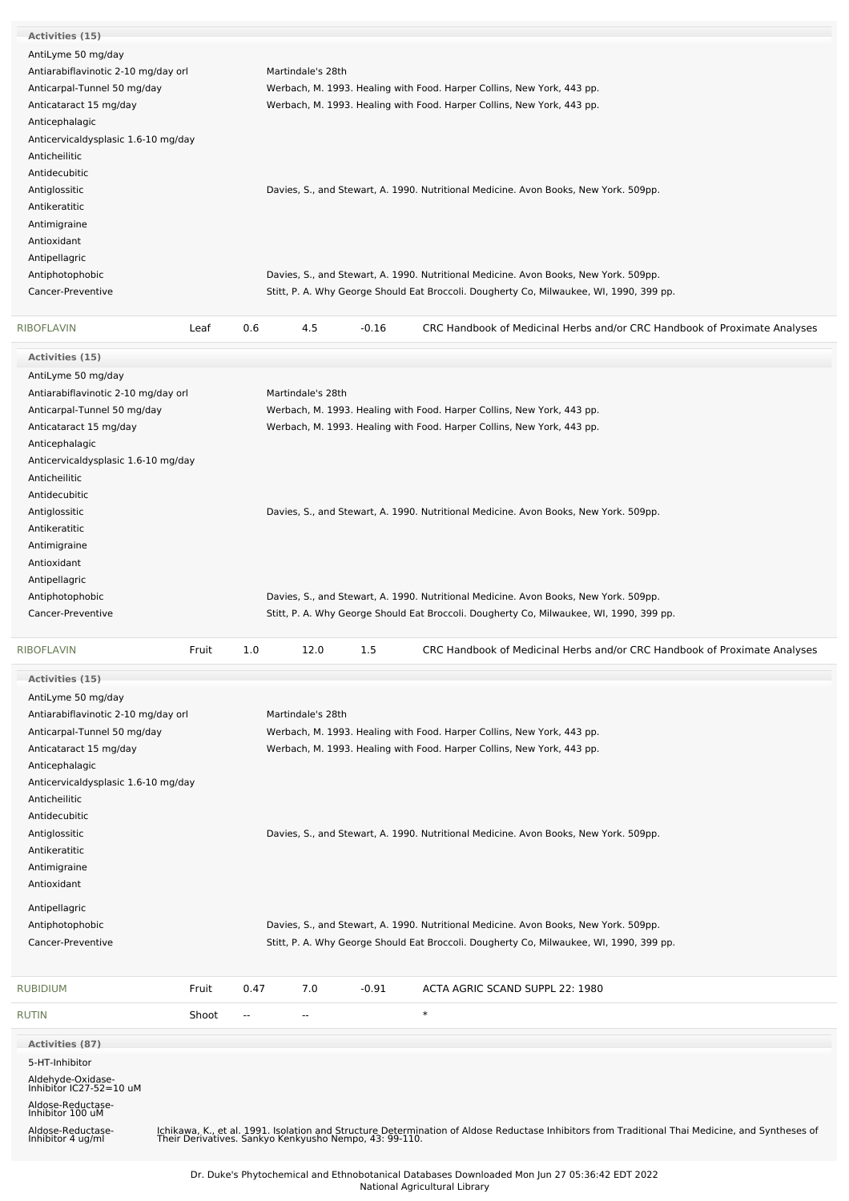| Activities (15)                              |       |      |                   |         |                                                                                                                                                                                                            |
|----------------------------------------------|-------|------|-------------------|---------|------------------------------------------------------------------------------------------------------------------------------------------------------------------------------------------------------------|
| AntiLyme 50 mg/day                           |       |      |                   |         |                                                                                                                                                                                                            |
| Antiarabiflavinotic 2-10 mg/day orl          |       |      | Martindale's 28th |         |                                                                                                                                                                                                            |
| Anticarpal-Tunnel 50 mg/day                  |       |      |                   |         | Werbach, M. 1993. Healing with Food. Harper Collins, New York, 443 pp.                                                                                                                                     |
| Anticataract 15 mg/day                       |       |      |                   |         | Werbach, M. 1993. Healing with Food. Harper Collins, New York, 443 pp.                                                                                                                                     |
| Anticephalagic                               |       |      |                   |         |                                                                                                                                                                                                            |
|                                              |       |      |                   |         |                                                                                                                                                                                                            |
| Anticervicaldysplasic 1.6-10 mg/day          |       |      |                   |         |                                                                                                                                                                                                            |
| Anticheilitic                                |       |      |                   |         |                                                                                                                                                                                                            |
| Antidecubitic                                |       |      |                   |         |                                                                                                                                                                                                            |
| Antiglossitic                                |       |      |                   |         | Davies, S., and Stewart, A. 1990. Nutritional Medicine. Avon Books, New York. 509pp.                                                                                                                       |
| Antikeratitic                                |       |      |                   |         |                                                                                                                                                                                                            |
| Antimigraine                                 |       |      |                   |         |                                                                                                                                                                                                            |
|                                              |       |      |                   |         |                                                                                                                                                                                                            |
| Antioxidant                                  |       |      |                   |         |                                                                                                                                                                                                            |
| Antipellagric                                |       |      |                   |         |                                                                                                                                                                                                            |
| Antiphotophobic                              |       |      |                   |         | Davies, S., and Stewart, A. 1990. Nutritional Medicine. Avon Books, New York. 509pp.                                                                                                                       |
| Cancer-Preventive                            |       |      |                   |         | Stitt, P. A. Why George Should Eat Broccoli. Dougherty Co, Milwaukee, WI, 1990, 399 pp.                                                                                                                    |
|                                              |       |      |                   |         |                                                                                                                                                                                                            |
| <b>RIBOFLAVIN</b>                            | Leaf  | 0.6  | 4.5               | $-0.16$ | CRC Handbook of Medicinal Herbs and/or CRC Handbook of Proximate Analyses                                                                                                                                  |
| <b>Activities (15)</b>                       |       |      |                   |         |                                                                                                                                                                                                            |
| AntiLyme 50 mg/day                           |       |      |                   |         |                                                                                                                                                                                                            |
| Antiarabiflavinotic 2-10 mg/day orl          |       |      | Martindale's 28th |         |                                                                                                                                                                                                            |
| Anticarpal-Tunnel 50 mg/day                  |       |      |                   |         | Werbach, M. 1993. Healing with Food. Harper Collins, New York, 443 pp.                                                                                                                                     |
| Anticataract 15 mg/day                       |       |      |                   |         | Werbach, M. 1993. Healing with Food. Harper Collins, New York, 443 pp.                                                                                                                                     |
|                                              |       |      |                   |         |                                                                                                                                                                                                            |
| Anticephalagic                               |       |      |                   |         |                                                                                                                                                                                                            |
| Anticervicaldysplasic 1.6-10 mg/day          |       |      |                   |         |                                                                                                                                                                                                            |
| Anticheilitic                                |       |      |                   |         |                                                                                                                                                                                                            |
| Antidecubitic                                |       |      |                   |         |                                                                                                                                                                                                            |
| Antiglossitic                                |       |      |                   |         | Davies, S., and Stewart, A. 1990. Nutritional Medicine. Avon Books, New York. 509pp.                                                                                                                       |
| Antikeratitic                                |       |      |                   |         |                                                                                                                                                                                                            |
|                                              |       |      |                   |         |                                                                                                                                                                                                            |
| Antimigraine                                 |       |      |                   |         |                                                                                                                                                                                                            |
| Antioxidant                                  |       |      |                   |         |                                                                                                                                                                                                            |
| Antipellagric                                |       |      |                   |         |                                                                                                                                                                                                            |
|                                              |       |      |                   |         |                                                                                                                                                                                                            |
| Antiphotophobic                              |       |      |                   |         | Davies, S., and Stewart, A. 1990. Nutritional Medicine. Avon Books, New York. 509pp.                                                                                                                       |
| Cancer-Preventive                            |       |      |                   |         | Stitt, P. A. Why George Should Eat Broccoli. Dougherty Co, Milwaukee, WI, 1990, 399 pp.                                                                                                                    |
| <b>RIBOFLAVIN</b>                            | Fruit | 1.0  | 12.0              | 1.5     | CRC Handbook of Medicinal Herbs and/or CRC Handbook of Proximate Analyses                                                                                                                                  |
| Activities (15)                              |       |      |                   |         |                                                                                                                                                                                                            |
|                                              |       |      |                   |         |                                                                                                                                                                                                            |
| AntiLyme 50 mg/day                           |       |      |                   |         |                                                                                                                                                                                                            |
| Antiarabiflavinotic 2-10 mg/day orl          |       |      | Martindale's 28th |         |                                                                                                                                                                                                            |
| Anticarpal-Tunnel 50 mg/day                  |       |      |                   |         | Werbach, M. 1993. Healing with Food. Harper Collins, New York, 443 pp.                                                                                                                                     |
| Anticataract 15 mg/day                       |       |      |                   |         | Werbach, M. 1993. Healing with Food. Harper Collins, New York, 443 pp.                                                                                                                                     |
| Anticephalagic                               |       |      |                   |         |                                                                                                                                                                                                            |
| Anticervicaldysplasic 1.6-10 mg/day          |       |      |                   |         |                                                                                                                                                                                                            |
| Anticheilitic                                |       |      |                   |         |                                                                                                                                                                                                            |
| Antidecubitic                                |       |      |                   |         |                                                                                                                                                                                                            |
|                                              |       |      |                   |         |                                                                                                                                                                                                            |
| Antiglossitic                                |       |      |                   |         | Davies, S., and Stewart, A. 1990. Nutritional Medicine. Avon Books, New York. 509pp.                                                                                                                       |
| Antikeratitic                                |       |      |                   |         |                                                                                                                                                                                                            |
| Antimigraine                                 |       |      |                   |         |                                                                                                                                                                                                            |
| Antioxidant                                  |       |      |                   |         |                                                                                                                                                                                                            |
|                                              |       |      |                   |         |                                                                                                                                                                                                            |
| Antipellagric                                |       |      |                   |         |                                                                                                                                                                                                            |
| Antiphotophobic                              |       |      |                   |         | Davies, S., and Stewart, A. 1990. Nutritional Medicine. Avon Books, New York. 509pp.                                                                                                                       |
| Cancer-Preventive                            |       |      |                   |         | Stitt, P. A. Why George Should Eat Broccoli. Dougherty Co, Milwaukee, WI, 1990, 399 pp.                                                                                                                    |
| <b>RUBIDIUM</b>                              | Fruit | 0.47 | 7.0               | $-0.91$ | ACTA AGRIC SCAND SUPPL 22: 1980                                                                                                                                                                            |
| <b>RUTIN</b>                                 | Shoot | --   | --                |         | $\ast$                                                                                                                                                                                                     |
|                                              |       |      |                   |         |                                                                                                                                                                                                            |
| <b>Activities (87)</b>                       |       |      |                   |         |                                                                                                                                                                                                            |
| 5-HT-Inhibitor                               |       |      |                   |         |                                                                                                                                                                                                            |
|                                              |       |      |                   |         |                                                                                                                                                                                                            |
| Aldehyde-Oxidase-<br>Inhibitor IC27-52=10 uM |       |      |                   |         |                                                                                                                                                                                                            |
| Aldose-Reductase-<br>Inhibitor 100 uM        |       |      |                   |         |                                                                                                                                                                                                            |
| Aldose-Reductase-<br>Inhibitor 4 ug/ml       |       |      |                   |         | Ichikawa, K., et al. 1991. Isolation and Structure Determination of Aldose Reductase Inhibitors from Traditional Thai Medicine, and Syntheses of<br>Their Derivatives. Sankyo Kenkyusho Nempo, 43: 99-110. |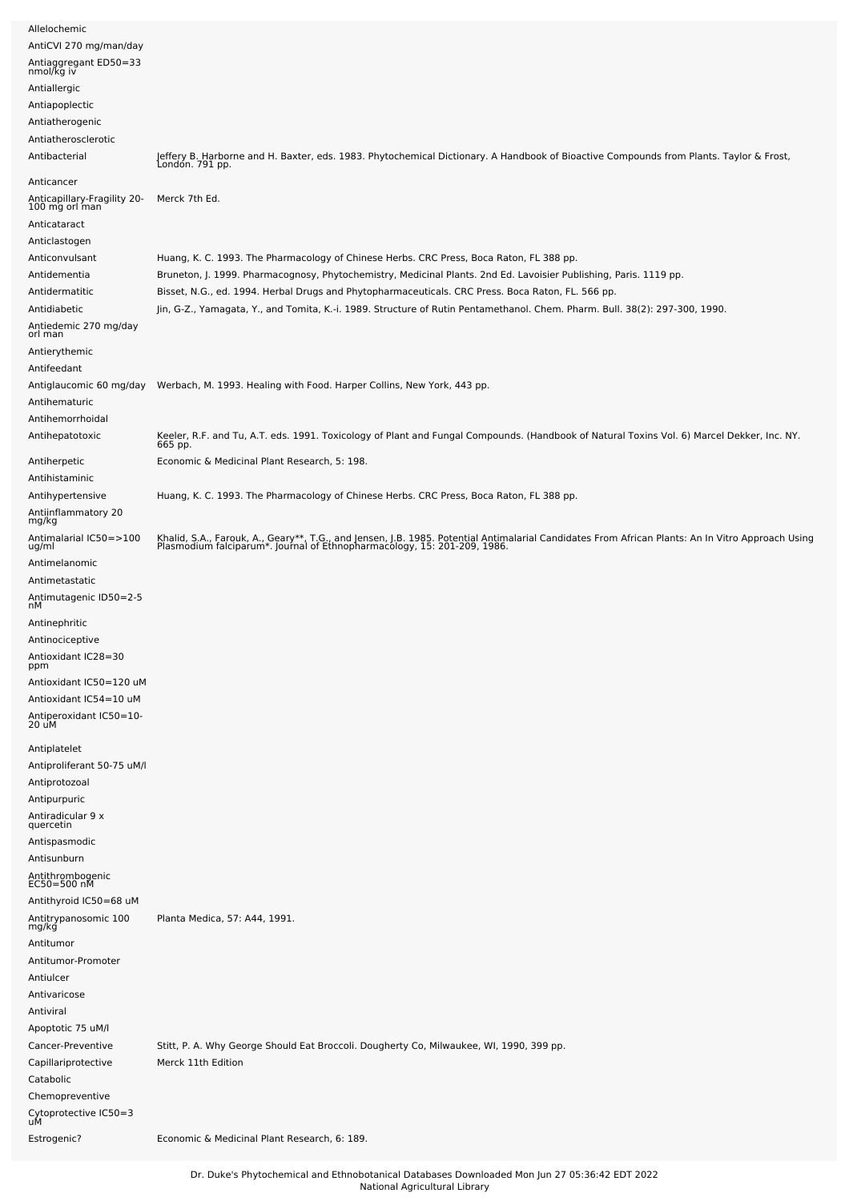| Allelochemic                                                  |                                                                                                                                                                                                                               |
|---------------------------------------------------------------|-------------------------------------------------------------------------------------------------------------------------------------------------------------------------------------------------------------------------------|
| AntiCVI 270 mg/man/day<br>Antiaggregant ED50=33<br>nmol/kg iv |                                                                                                                                                                                                                               |
| Antiallergic                                                  |                                                                                                                                                                                                                               |
| Antiapoplectic                                                |                                                                                                                                                                                                                               |
| Antiatherogenic                                               |                                                                                                                                                                                                                               |
| Antiatherosclerotic<br>Antibacterial                          | Jeffery B. Harborne and H. Baxter, eds. 1983. Phytochemical Dictionary. A Handbook of Bioactive Compounds from Plants. Taylor & Frost,<br>Londón. 791 pp.                                                                     |
| Anticancer                                                    |                                                                                                                                                                                                                               |
| Anticapillary-Fragility 20-<br>100 mg orl man<br>Anticataract | Merck 7th Ed.                                                                                                                                                                                                                 |
| Anticlastogen                                                 |                                                                                                                                                                                                                               |
| Anticonvulsant<br>Antidementia                                | Huang, K. C. 1993. The Pharmacology of Chinese Herbs. CRC Press, Boca Raton, FL 388 pp.<br>Bruneton, J. 1999. Pharmacognosy, Phytochemistry, Medicinal Plants. 2nd Ed. Lavoisier Publishing, Paris. 1119 pp.                  |
| Antidermatitic                                                | Bisset, N.G., ed. 1994. Herbal Drugs and Phytopharmaceuticals. CRC Press. Boca Raton, FL. 566 pp.                                                                                                                             |
| Antidiabetic                                                  | Jin, G-Z., Yamagata, Y., and Tomita, K.-i. 1989. Structure of Rutin Pentamethanol. Chem. Pharm. Bull. 38(2): 297-300, 1990.                                                                                                   |
| Antiedemic 270 mg/day<br>orl man                              |                                                                                                                                                                                                                               |
| Antierythemic                                                 |                                                                                                                                                                                                                               |
| Antifeedant                                                   |                                                                                                                                                                                                                               |
| Antihematuric<br>Antihemorrhoidal                             | Antiglaucomic 60 mg/day Werbach, M. 1993. Healing with Food. Harper Collins, New York, 443 pp.                                                                                                                                |
| Antihepatotoxic                                               | Keeler, R.F. and Tu, A.T. eds. 1991. Toxicology of Plant and Fungal Compounds. (Handbook of Natural Toxins Vol. 6) Marcel Dekker, Inc. NY.                                                                                    |
| Antiherpetic<br>Antihistaminic                                | 665 pp.<br>Economic & Medicinal Plant Research, 5: 198.                                                                                                                                                                       |
| Antihypertensive<br>Antiinflammatory 20<br>mg/kg              | Huang, K. C. 1993. The Pharmacology of Chinese Herbs. CRC Press, Boca Raton, FL 388 pp.                                                                                                                                       |
| Antimalarial IC50=>100<br>ug/ml                               | Khalid, S.A., Farouk, A., Geary**, T.G., and Jensen, J.B. 1985. Potential Antimalarial Candidates From African Plants: An In Vitro Approach Using<br>Plasmodium falciparum*. Journal of Ethnopharmacology, 15: 201-209, 1986. |
| Antimelanomic                                                 |                                                                                                                                                                                                                               |
| Antimetastatic                                                |                                                                                                                                                                                                                               |
| Antimutagenic ID50=2-5<br>nМ                                  |                                                                                                                                                                                                                               |
| Antinephritic                                                 |                                                                                                                                                                                                                               |
| Antinociceptive<br>Antioxidant IC28=30<br>ppm                 |                                                                                                                                                                                                                               |
| Antioxidant IC50=120 uM<br>Antioxidant IC54=10 uM             |                                                                                                                                                                                                                               |
| Antiperoxidant IC50=10-<br>20 uM                              |                                                                                                                                                                                                                               |
| Antiplatelet<br>Antiproliferant 50-75 uM/l                    |                                                                                                                                                                                                                               |
| Antiprotozoal                                                 |                                                                                                                                                                                                                               |
| Antipurpuric                                                  |                                                                                                                                                                                                                               |
| Antiradicular 9 x                                             |                                                                                                                                                                                                                               |
| quercetin<br>Antispasmodic                                    |                                                                                                                                                                                                                               |
| Antisunburn                                                   |                                                                                                                                                                                                                               |
| Antithrombogenic<br>EC50=500 nM                               |                                                                                                                                                                                                                               |
| Antithyroid IC50=68 uM                                        |                                                                                                                                                                                                                               |
| Antitrypanosomic 100<br>mg/kg                                 | Planta Medica, 57: A44, 1991.                                                                                                                                                                                                 |
| Antitumor                                                     |                                                                                                                                                                                                                               |
| Antitumor-Promoter<br>Antiulcer                               |                                                                                                                                                                                                                               |
| Antivaricose                                                  |                                                                                                                                                                                                                               |
| Antiviral                                                     |                                                                                                                                                                                                                               |
| Apoptotic 75 uM/l                                             |                                                                                                                                                                                                                               |
| Cancer-Preventive                                             | Stitt, P. A. Why George Should Eat Broccoli. Dougherty Co, Milwaukee, WI, 1990, 399 pp.                                                                                                                                       |
| Capillariprotective<br>Catabolic                              | Merck 11th Edition                                                                                                                                                                                                            |
| Chemopreventive<br>Cytoprotective IC50=3<br>uM                |                                                                                                                                                                                                                               |
| Estrogenic?                                                   | Economic & Medicinal Plant Research, 6: 189.                                                                                                                                                                                  |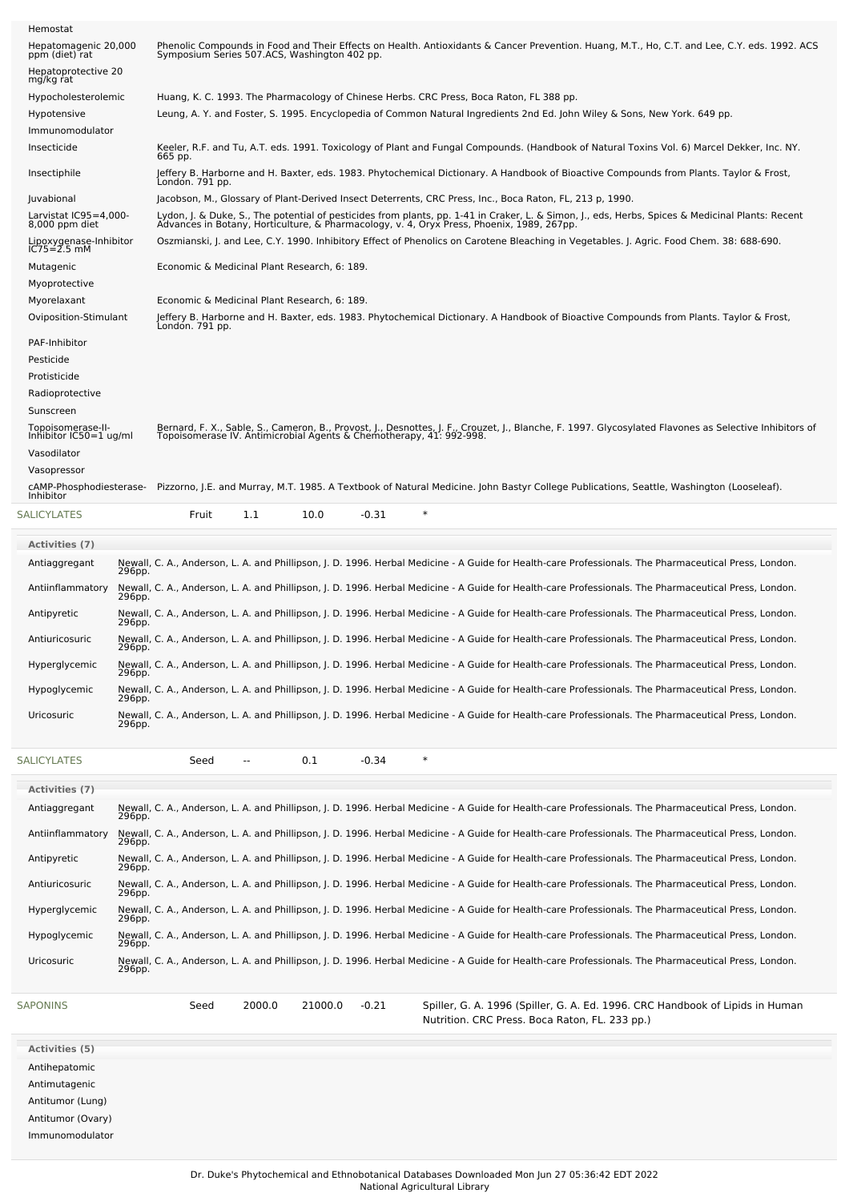| Hemostat                                      |                                                                                                                                                                                                                                               |
|-----------------------------------------------|-----------------------------------------------------------------------------------------------------------------------------------------------------------------------------------------------------------------------------------------------|
| Hepatomagenic 20,000<br>ppm (diet) rat        | Phenolic Compounds in Food and Their Effects on Health. Antioxidants & Cancer Prevention. Huang, M.T., Ho, C.T. and Lee, C.Y. eds. 1992. ACS<br>Symposium Series 507.ACS, Washington 402 pp.                                                  |
| Hepatoprotective 20<br>mg/kg rat              |                                                                                                                                                                                                                                               |
| Hypocholesterolemic                           | Huang, K. C. 1993. The Pharmacology of Chinese Herbs. CRC Press, Boca Raton, FL 388 pp.                                                                                                                                                       |
| Hypotensive                                   | Leung, A. Y. and Foster, S. 1995. Encyclopedia of Common Natural Ingredients 2nd Ed. John Wiley & Sons, New York. 649 pp.                                                                                                                     |
| Immunomodulator                               |                                                                                                                                                                                                                                               |
| Insecticide                                   | Keeler, R.F. and Tu, A.T. eds. 1991. Toxicology of Plant and Fungal Compounds. (Handbook of Natural Toxins Vol. 6) Marcel Dekker, Inc. NY.<br>665 pp.                                                                                         |
| Insectiphile                                  | Jeffery B. Harborne and H. Baxter, eds. 1983. Phytochemical Dictionary. A Handbook of Bioactive Compounds from Plants. Taylor & Frost,<br>London. 791 pp.                                                                                     |
| Juvabional                                    | Jacobson, M., Glossary of Plant-Derived Insect Deterrents, CRC Press, Inc., Boca Raton, FL, 213 p, 1990.                                                                                                                                      |
| Larvistat IC95=4,000-<br>8,000 ppm diet       | Lydon, J. & Duke, S., The potential of pesticides from plants, pp. 1-41 in Craker, L. & Simon, J., eds, Herbs, Spices & Medicinal Plants: Recent<br>Advances in Botany, Horticulture, & Pharmacology, v. 4, Oryx Press, Phoenix, 1989, 267pp. |
| Lipoxygenase-Inhibitor<br>$IC75 = 2.5$ mM     | Oszmianski, J. and Lee, C.Y. 1990. Inhibitory Effect of Phenolics on Carotene Bleaching in Vegetables. J. Agric. Food Chem. 38: 688-690.                                                                                                      |
| Mutagenic                                     | Economic & Medicinal Plant Research, 6: 189.                                                                                                                                                                                                  |
| Myoprotective                                 |                                                                                                                                                                                                                                               |
| Myorelaxant                                   | Economic & Medicinal Plant Research, 6: 189.                                                                                                                                                                                                  |
| Oviposition-Stimulant                         | Jeffery B. Harborne and H. Baxter, eds. 1983. Phytochemical Dictionary. A Handbook of Bioactive Compounds from Plants. Taylor & Frost,<br>Londón. 791 pp.                                                                                     |
| PAF-Inhibitor                                 |                                                                                                                                                                                                                                               |
| Pesticide                                     |                                                                                                                                                                                                                                               |
| Protisticide                                  |                                                                                                                                                                                                                                               |
| Radioprotective                               |                                                                                                                                                                                                                                               |
| Sunscreen                                     |                                                                                                                                                                                                                                               |
| Topoisomerase-II-<br>Inhibitor $IC50=1$ ug/ml | Bernard, F. X., Sable, S., Cameron, B., Provost, J., Desnottes, J. F., Crouzet, J., Blanche, F. 1997. Glycosylated Flavones as Selective Inhibitors of<br>Topoisomerase IV. Antimicrobial Agents & Chemotherapy, 41: 992-998.                 |
| Vasodilator                                   |                                                                                                                                                                                                                                               |
| Vasopressor                                   |                                                                                                                                                                                                                                               |
| cAMP-Phosphodiesterase-<br>Inhibitor          | Pizzorno, J.E. and Murray, M.T. 1985. A Textbook of Natural Medicine. John Bastyr College Publications, Seattle, Washington (Looseleaf).                                                                                                      |
| SALICYLATES                                   | 1.1<br>10.0<br>$-0.31$<br>Fruit                                                                                                                                                                                                               |
| <b>Activities</b> (7)                         |                                                                                                                                                                                                                                               |
| Antiaggregant                                 | Newall, C. A., Anderson, L. A. and Phillipson, J. D. 1996. Herbal Medicine - A Guide for Health-care Professionals. The Pharmaceutical Press, London.                                                                                         |
| 296pp.<br>Antiinflammatory                    | Newall, C. A., Anderson, L. A. and Phillipson, J. D. 1996. Herbal Medicine - A Guide for Health-care Professionals. The Pharmaceutical Press, London.                                                                                         |
| 296pp.                                        | Newall, C. A., Anderson, L. A. and Phillipson, J. D. 1996. Herbal Medicine - A Guide for Health-care Professionals. The Pharmaceutical Press, London.                                                                                         |
| Antipyretic<br>296pp.                         |                                                                                                                                                                                                                                               |
| Antiuricosuric<br>296pp.                      | Newall, C. A., Anderson, L. A. and Phillipson, J. D. 1996. Herbal Medicine - A Guide for Health-care Professionals. The Pharmaceutical Press, London.                                                                                         |
| Hyperglycemic<br>296pp.                       | Newall, C. A., Anderson, L. A. and Phillipson, J. D. 1996. Herbal Medicine - A Guide for Health-care Professionals. The Pharmaceutical Press, London.                                                                                         |
| Hypoglycemic<br>296pp.                        | Newall, C. A., Anderson, L. A. and Phillipson, J. D. 1996. Herbal Medicine - A Guide for Health-care Professionals. The Pharmaceutical Press, London.                                                                                         |
| Uricosuric<br>296pp.                          | Newall, C. A., Anderson, L. A. and Phillipson, J. D. 1996. Herbal Medicine - A Guide for Health-care Professionals. The Pharmaceutical Press, London.                                                                                         |
| <b>SALICYLATES</b>                            | $\ast$<br>0.1<br>$-0.34$<br>Seed<br>$\overline{\phantom{a}}$                                                                                                                                                                                  |
| Activities (7)                                |                                                                                                                                                                                                                                               |
| Antiaggregant                                 | Newall, C. A., Anderson, L. A. and Phillipson, J. D. 1996. Herbal Medicine - A Guide for Health-care Professionals. The Pharmaceutical Press, London.                                                                                         |

| Newall, C. A., Anderson, L. A. and Phillipson, J. D. 1996. Herbal Medicine - A Guide for Health-care Professionals. The Pharmaceutical Press, London. |
|-------------------------------------------------------------------------------------------------------------------------------------------------------|
| Newall, C. A., Anderson, L. A. and Phillipson, J. D. 1996. Herbal Medicine - A Guide for Health-care Professionals. The Pharmaceutical Press, London. |
| Newall, C. A., Anderson, L. A. and Phillipson, J. D. 1996. Herbal Medicine - A Guide for Health-care Professionals. The Pharmaceutical Press, London. |
| Newall, C. A., Anderson, L. A. and Phillipson, J. D. 1996. Herbal Medicine - A Guide for Health-care Professionals. The Pharmaceutical Press, London. |
| Newall, C. A., Anderson, L. A. and Phillipson, J. D. 1996. Herbal Medicine - A Guide for Health-care Professionals. The Pharmaceutical Press, London. |
| Newall, C. A., Anderson, L. A. and Phillipson, J. D. 1996. Herbal Medicine - A Guide for Health-care Professionals. The Pharmaceutical Press, London. |
| Newall, C. A., Anderson, L. A. and Phillipson, J. D. 1996. Herbal Medicine - A Guide for Health-care Professionals. The Pharmaceutical Press, London. |
|                                                                                                                                                       |

[SAPONINS](file:///phytochem/chemicals/show/15951) Seed 2000.0 21000.0 -0.21 Spiller, G. A. 1996 (Spiller, G. A. Ed. 1996. CRC Handbook of Lipids in Human Nutrition. CRC Press. Boca Raton, FL. 233 pp.)

**Activities (5)** Antihepatomic Antimutagenic Antitumor (Lung)

Antitumor (Ovary)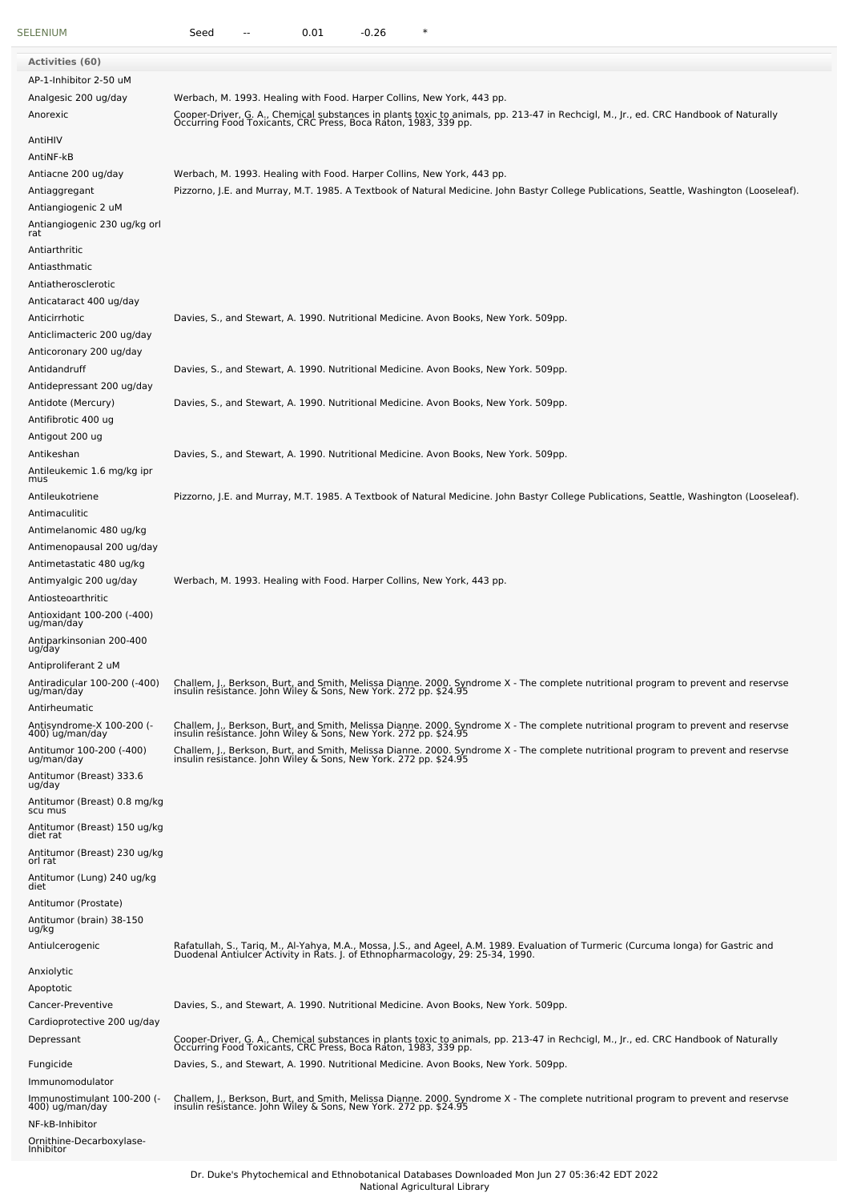| SELENIUM                                                         | $-0.26$<br>$\ast$<br>Seed<br>0.01                                                                                                                                                                                                                                                |
|------------------------------------------------------------------|----------------------------------------------------------------------------------------------------------------------------------------------------------------------------------------------------------------------------------------------------------------------------------|
| Activities (60)                                                  |                                                                                                                                                                                                                                                                                  |
| AP-1-Inhibitor 2-50 uM                                           |                                                                                                                                                                                                                                                                                  |
| Analgesic 200 ug/day<br>Anorexic                                 | Werbach, M. 1993. Healing with Food. Harper Collins, New York, 443 pp.<br>Cooper-Driver, G. A., Chemical substances in plants toxic to animals, pp. 213-47 in Rechcigl, M., Jr., ed. CRC Handbook of Naturally<br>Occurring Food Toxicants, CRC Press, Boca Raton, 1983, 339 pp. |
| AntiHIV                                                          |                                                                                                                                                                                                                                                                                  |
| AntiNF-kB                                                        |                                                                                                                                                                                                                                                                                  |
| Antiacne 200 ug/day<br>Antiaggregant<br>Antiangiogenic 2 uM      | Werbach, M. 1993. Healing with Food. Harper Collins, New York, 443 pp.<br>Pizzorno, J.E. and Murray, M.T. 1985. A Textbook of Natural Medicine. John Bastyr College Publications, Seattle, Washington (Looseleaf).                                                               |
| Antiangiogenic 230 ug/kg orl                                     |                                                                                                                                                                                                                                                                                  |
| rat<br>Antiarthritic                                             |                                                                                                                                                                                                                                                                                  |
| Antiasthmatic                                                    |                                                                                                                                                                                                                                                                                  |
| Antiatherosclerotic                                              |                                                                                                                                                                                                                                                                                  |
| Anticataract 400 ug/day<br>Anticirrhotic                         |                                                                                                                                                                                                                                                                                  |
| Anticlimacteric 200 ug/day<br>Anticoronary 200 ug/day            | Davies, S., and Stewart, A. 1990. Nutritional Medicine. Avon Books, New York. 509pp.                                                                                                                                                                                             |
| Antidandruff<br>Antidepressant 200 ug/day                        | Davies, S., and Stewart, A. 1990. Nutritional Medicine. Avon Books, New York. 509pp.                                                                                                                                                                                             |
| Antidote (Mercury)<br>Antifibrotic 400 ug                        | Davies, S., and Stewart, A. 1990. Nutritional Medicine. Avon Books, New York. 509pp.                                                                                                                                                                                             |
| Antigout 200 ug                                                  |                                                                                                                                                                                                                                                                                  |
| Antikeshan<br>Antileukemic 1.6 mg/kg ipr                         | Davies, S., and Stewart, A. 1990. Nutritional Medicine. Avon Books, New York. 509pp.                                                                                                                                                                                             |
| mus<br>Antileukotriene                                           | Pizzorno, J.E. and Murray, M.T. 1985. A Textbook of Natural Medicine. John Bastyr College Publications, Seattle, Washington (Looseleaf).                                                                                                                                         |
| Antimaculitic                                                    |                                                                                                                                                                                                                                                                                  |
| Antimelanomic 480 ug/kg                                          |                                                                                                                                                                                                                                                                                  |
| Antimenopausal 200 ug/day<br>Antimetastatic 480 ug/kg            |                                                                                                                                                                                                                                                                                  |
| Antimyalgic 200 ug/day                                           | Werbach, M. 1993. Healing with Food. Harper Collins, New York, 443 pp.                                                                                                                                                                                                           |
| Antiosteoarthritic<br>Antioxidant 100-200 (-400)                 |                                                                                                                                                                                                                                                                                  |
| ug/man/day<br>Antiparkinsonian 200-400<br>ug/day                 |                                                                                                                                                                                                                                                                                  |
| Antiproliferant 2 uM                                             |                                                                                                                                                                                                                                                                                  |
| Antiradicular 100-200 (-400)<br>ug/man/day<br>Antirheumatic      | Challem, J., Berkson, Burt, and Smith, Melissa Dianne. 2000. Syndrome X - The complete nutritional program to prevent and reservse<br>insulin resistance. John Wiley & Sons, New York. 272 pp. \$24.95                                                                           |
| Antisyndrome-X 100-200 (-                                        | Challem, J., Berkson, Burt, and Smith, Melissa Dianne. 2000. Syndrome X - The complete nutritional program to prevent and reservse<br>insulin resistance. John Wiley & Sons, New York. 272 pp. \$24.95                                                                           |
| $400$ ) ug/man/day<br>Antitumor 100-200 (-400)<br>ug/man/day     | Challem, J., Berkson, Burt, and Smith, Melissa Dianne. 2000. Syndrome X - The complete nutritional program to prevent and reservse<br>insulin resistance. John Wiley & Sons, New York. 272 pp. \$24.95                                                                           |
| Antitumor (Breast) 333.6<br>ug/day                               |                                                                                                                                                                                                                                                                                  |
| Antitumor (Breast) 0.8 mg/kg<br>scu mus                          |                                                                                                                                                                                                                                                                                  |
| Antitumor (Breast) 150 ug/kg<br>diet rat                         |                                                                                                                                                                                                                                                                                  |
| Antitumor (Breast) 230 ug/kg<br>orl rat                          |                                                                                                                                                                                                                                                                                  |
| Antitumor (Lung) 240 ug/kg<br>diet                               |                                                                                                                                                                                                                                                                                  |
| Antitumor (Prostate)<br>Antitumor (brain) 38-150<br>ug/kg        |                                                                                                                                                                                                                                                                                  |
| Antiulcerogenic                                                  | Rafatullah, S., Tariq, M., Al-Yahya, M.A., Mossa, J.S., and Ageel, A.M. 1989. Evaluation of Turmeric (Curcuma longa) for Gastric and<br>Duodenal Antiulcer Activity in Rats. J. of Ethnopharmacology, 29: 25-34, 1990.                                                           |
| Anxiolytic                                                       |                                                                                                                                                                                                                                                                                  |
| Apoptotic                                                        |                                                                                                                                                                                                                                                                                  |
| Cancer-Preventive<br>Cardioprotective 200 ug/day                 | Davies, S., and Stewart, A. 1990. Nutritional Medicine. Avon Books, New York. 509pp.                                                                                                                                                                                             |
| Depressant                                                       | Cooper-Driver, G. A., Chemical substances in plants toxic to animals, pp. 213-47 in Rechcigl, M., Jr., ed. CRC Handbook of Naturally<br>Occurring Food Toxicants, CRC Press, Boca Raton, 1983, 339 pp.                                                                           |
| Fungicide                                                        | Davies, S., and Stewart, A. 1990. Nutritional Medicine. Avon Books, New York. 509pp.                                                                                                                                                                                             |
| Immunomodulator                                                  |                                                                                                                                                                                                                                                                                  |
| Immunostimulant 100-200 (-<br>400) ug/man/day<br>NF-kB-Inhibitor | Challem, J., Berkson, Burt, and Smith, Melissa Dianne. 2000. Syndrome X - The complete nutritional program to prevent and reservse<br>insulin resistance. John Wiley & Sons, New York. 272 pp. \$24.95                                                                           |
| Ornithine-Decarboxylase-<br>Inhibitor                            |                                                                                                                                                                                                                                                                                  |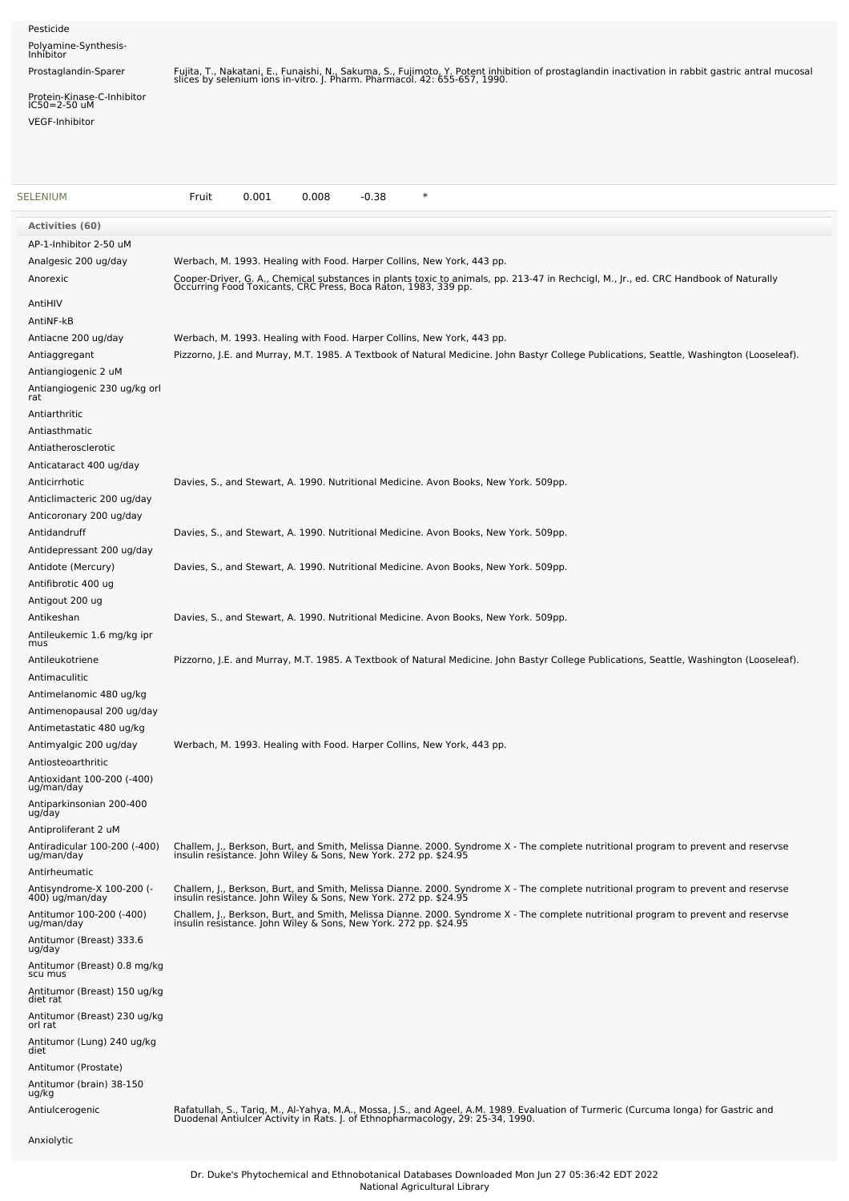| Pesticide<br>Polyamine-Synthesis-<br>Inhibitor<br>Prostaglandin-Sparer<br>Protein-Kinase-C-Inhibitor<br>IC50=2-50 uM<br><b>VEGF-Inhibitor</b>                                                                                                                                                        | Fujita, T., Nakatani, E., Funaishi, N., Sakuma, S., Fujimoto, Y. Potent inhibition of prostaglandin inactivation in rabbit gastric antral mucosal<br>slices by selenium ions in-vitro. J. Pharm. Pharmacol. 42: 655-657, 1990.                                                                                                                                                                                   |
|------------------------------------------------------------------------------------------------------------------------------------------------------------------------------------------------------------------------------------------------------------------------------------------------------|------------------------------------------------------------------------------------------------------------------------------------------------------------------------------------------------------------------------------------------------------------------------------------------------------------------------------------------------------------------------------------------------------------------|
| <b>SELENIUM</b>                                                                                                                                                                                                                                                                                      | Fruit<br>0.001<br>0.008<br>$-0.38$<br>$\ast$                                                                                                                                                                                                                                                                                                                                                                     |
| Activities (60)                                                                                                                                                                                                                                                                                      |                                                                                                                                                                                                                                                                                                                                                                                                                  |
| AP-1-Inhibitor 2-50 uM<br>Analgesic 200 ug/day<br>Anorexic<br>AntiHIV<br>AntiNF-kB                                                                                                                                                                                                                   | Werbach, M. 1993. Healing with Food. Harper Collins, New York, 443 pp.<br>Cooper-Driver, G. A., Chemical substances in plants toxic to animals, pp. 213-47 in Rechcigl, M., Jr., ed. CRC Handbook of Naturally<br>Occurring Food Toxicants, CRC Press, Boca Raton, 1983, 339 pp.                                                                                                                                 |
| Antiacne 200 ug/day<br>Antiaggregant<br>Antiangiogenic 2 uM<br>Antiangiogenic 230 ug/kg orl<br>rat                                                                                                                                                                                                   | Werbach, M. 1993. Healing with Food. Harper Collins, New York, 443 pp.<br>Pizzorno, J.E. and Murray, M.T. 1985. A Textbook of Natural Medicine. John Bastyr College Publications, Seattle, Washington (Looseleaf).                                                                                                                                                                                               |
| Antiarthritic<br>Antiasthmatic<br>Antiatherosclerotic<br>Anticataract 400 ug/day<br>Anticirrhotic<br>Anticlimacteric 200 ug/day                                                                                                                                                                      | Davies, S., and Stewart, A. 1990. Nutritional Medicine. Avon Books, New York. 509pp.                                                                                                                                                                                                                                                                                                                             |
| Anticoronary 200 ug/day<br>Antidandruff                                                                                                                                                                                                                                                              | Davies, S., and Stewart, A. 1990. Nutritional Medicine. Avon Books, New York. 509pp.                                                                                                                                                                                                                                                                                                                             |
| Antidepressant 200 ug/day<br>Antidote (Mercury)<br>Antifibrotic 400 ug                                                                                                                                                                                                                               | Davies, S., and Stewart, A. 1990. Nutritional Medicine. Avon Books, New York. 509pp.                                                                                                                                                                                                                                                                                                                             |
| Antigout 200 ug<br>Antikeshan<br>Antileukemic 1.6 mg/kg ipr<br>mus                                                                                                                                                                                                                                   | Davies, S., and Stewart, A. 1990. Nutritional Medicine. Avon Books, New York. 509pp.                                                                                                                                                                                                                                                                                                                             |
| Antileukotriene<br>Antimaculitic<br>Antimelanomic 480 ug/kg<br>Antimenopausal 200 ug/day<br>Antimetastatic 480 ug/kg                                                                                                                                                                                 | Pizzorno, J.E. and Murray, M.T. 1985. A Textbook of Natural Medicine. John Bastyr College Publications, Seattle, Washington (Looseleaf).                                                                                                                                                                                                                                                                         |
| Antimyalgic 200 ug/day<br>Antiosteoarthritic<br>Antioxidant 100-200 (-400)<br>ug/man/day<br>Antiparkinsonian 200-400<br>ug/day<br>Antiproliferant 2 uM                                                                                                                                               | Werbach, M. 1993. Healing with Food. Harper Collins, New York, 443 pp.                                                                                                                                                                                                                                                                                                                                           |
| Antiradicular 100-200 (-400)<br>ug/man/day<br>Antirheumatic                                                                                                                                                                                                                                          | Challem, J., Berkson, Burt, and Smith, Melissa Dianne. 2000. Syndrome X - The complete nutritional program to prevent and reservse<br>insulin resistance. John Wiley & Sons, New York. 272 pp. \$24.95                                                                                                                                                                                                           |
| Antisyndrome-X 100-200 (-<br>400) ug/man/day<br>Antitumor 100-200 (-400)<br>ug/man/day<br>Antitumor (Breast) 333.6<br>ug/day<br>Antitumor (Breast) 0.8 mg/kg<br>scu mus<br>Antitumor (Breast) 150 ug/kg<br>diet rat<br>Antitumor (Breast) 230 ug/kg<br>orl rat<br>Antitumor (Lung) 240 ug/kg<br>diet | Challem, J., Berkson, Burt, and Smith, Melissa Dianne. 2000. Syndrome X - The complete nutritional program to prevent and reservse<br>insulin resistance. John Wiley & Sons, New York. 272 pp. \$24.95<br>Challem, J., Berkson, Burt, and Smith, Melissa Dianne. 2000. Syndrome X - The complete nutritional program to prevent and reservse<br>insulin resistance. John Wiley & Sons, New York. 272 pp. \$24.95 |
| Antitumor (Prostate)<br>Antitumor (brain) 38-150<br>ug/kg<br>Antiulcerogenic                                                                                                                                                                                                                         | Rafatullah, S., Tariq, M., Al-Yahya, M.A., Mossa, J.S., and Ageel, A.M. 1989. Evaluation of Turmeric (Curcuma longa) for Gastric and<br>Duodenal Antiulcer Activity in Rats. J. of Ethnopharmacology, 29: 25-34, 1990.                                                                                                                                                                                           |
| Anxiolytic                                                                                                                                                                                                                                                                                           |                                                                                                                                                                                                                                                                                                                                                                                                                  |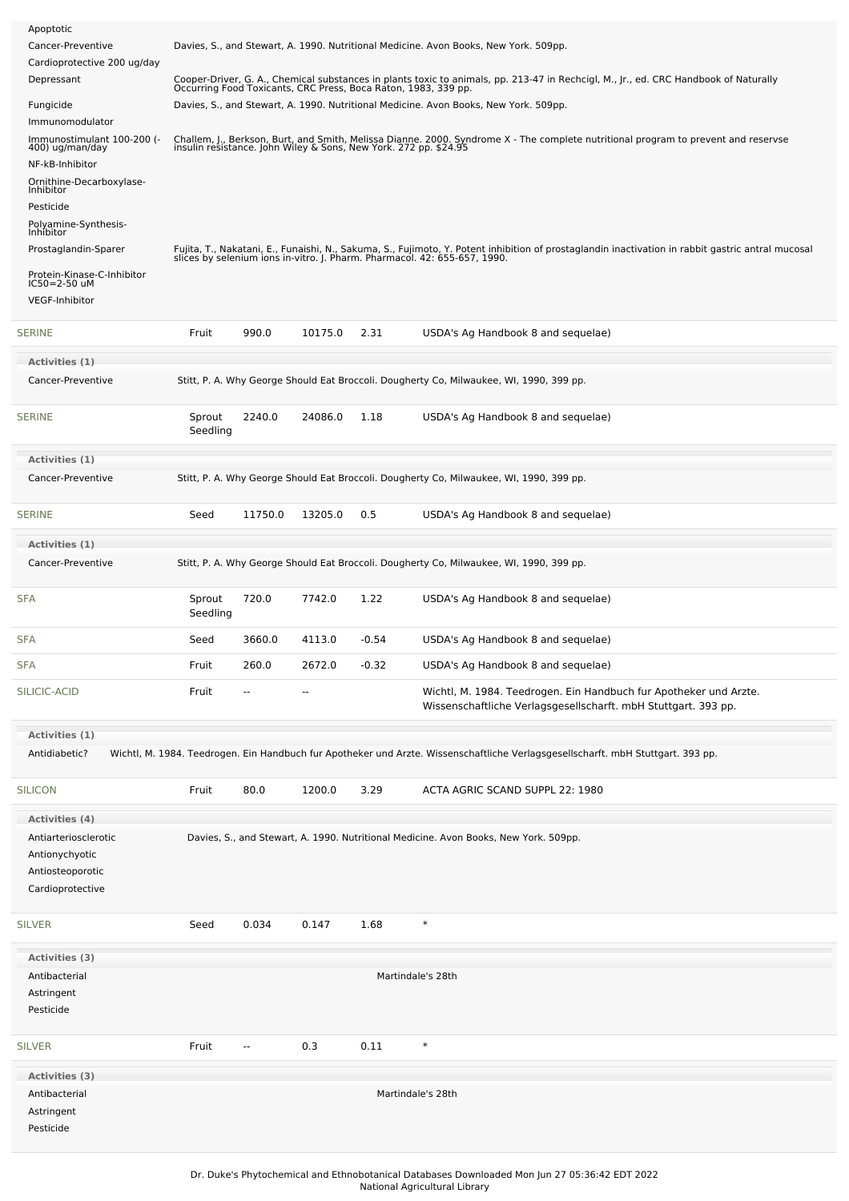| Apoptotic<br>Cancer-Preventive<br>Cardioprotective 200 ug/day<br>Depressant<br>Fungicide<br>Immunomodulator<br>Immunostimulant 100-200 (-<br>400) ug/man/day<br>NF-kB-Inhibitor<br>Ornithine-Decarboxylase-<br>Inhibitor<br>Pesticide<br>Polyamine-Synthesis-<br>Inhibitor<br>Prostaglandin-Sparer<br>Protein-Kinase-C-Inhibitor<br>IC50=2-50 uM<br><b>VEGF-Inhibitor</b> |                    | Davies, S., and Stewart, A. 1990. Nutritional Medicine. Avon Books, New York. 509pp.<br>Cooper-Driver, G. A., Chemical substances in plants toxic to animals, pp. 213-47 in Rechcigl, M., Jr., ed. CRC Handbook of Naturally Occurring Food Toxicants, CRC Press, Boca Raton, 1983, 339 pp.<br>Davies, S., and Stewart, A. 1990. Nutritional Medicine. Avon Books, New York. 509pp.<br>Challem, J., Berkson, Burt, and Smith, Melissa Dianne. 2000. Syndrome X - The complete nutritional program to prevent and reservse insulin resistance. John Wiley & Sons, New York. 272 pp. \$24.95<br>Fujita, T., Nakatani, E., Funaishi, N., Sakuma, S., Fujimoto, Y. Potent inhibition of prostaglandin inactivation in rabbit gastric antral mucosal<br>slices by selenium ions in-vitro. J. Pharm. Pharmacol. 42: 655-657, 1990. |                          |         |                                                                                                                                     |  |
|---------------------------------------------------------------------------------------------------------------------------------------------------------------------------------------------------------------------------------------------------------------------------------------------------------------------------------------------------------------------------|--------------------|------------------------------------------------------------------------------------------------------------------------------------------------------------------------------------------------------------------------------------------------------------------------------------------------------------------------------------------------------------------------------------------------------------------------------------------------------------------------------------------------------------------------------------------------------------------------------------------------------------------------------------------------------------------------------------------------------------------------------------------------------------------------------------------------------------------------------|--------------------------|---------|-------------------------------------------------------------------------------------------------------------------------------------|--|
| <b>SERINE</b>                                                                                                                                                                                                                                                                                                                                                             | Fruit              | 990.0                                                                                                                                                                                                                                                                                                                                                                                                                                                                                                                                                                                                                                                                                                                                                                                                                        | 10175.0                  | 2.31    | USDA's Ag Handbook 8 and sequelae)                                                                                                  |  |
| Activities (1)                                                                                                                                                                                                                                                                                                                                                            |                    |                                                                                                                                                                                                                                                                                                                                                                                                                                                                                                                                                                                                                                                                                                                                                                                                                              |                          |         |                                                                                                                                     |  |
| Cancer-Preventive                                                                                                                                                                                                                                                                                                                                                         |                    |                                                                                                                                                                                                                                                                                                                                                                                                                                                                                                                                                                                                                                                                                                                                                                                                                              |                          |         | Stitt, P. A. Why George Should Eat Broccoli. Dougherty Co, Milwaukee, WI, 1990, 399 pp.                                             |  |
| <b>SERINE</b>                                                                                                                                                                                                                                                                                                                                                             | Sprout<br>Seedling | 2240.0                                                                                                                                                                                                                                                                                                                                                                                                                                                                                                                                                                                                                                                                                                                                                                                                                       | 24086.0                  | 1.18    | USDA's Ag Handbook 8 and sequelae)                                                                                                  |  |
| Activities (1)                                                                                                                                                                                                                                                                                                                                                            |                    |                                                                                                                                                                                                                                                                                                                                                                                                                                                                                                                                                                                                                                                                                                                                                                                                                              |                          |         |                                                                                                                                     |  |
| Cancer-Preventive                                                                                                                                                                                                                                                                                                                                                         |                    |                                                                                                                                                                                                                                                                                                                                                                                                                                                                                                                                                                                                                                                                                                                                                                                                                              |                          |         | Stitt, P. A. Why George Should Eat Broccoli. Dougherty Co, Milwaukee, WI, 1990, 399 pp.                                             |  |
| <b>SERINE</b>                                                                                                                                                                                                                                                                                                                                                             | Seed               | 11750.0                                                                                                                                                                                                                                                                                                                                                                                                                                                                                                                                                                                                                                                                                                                                                                                                                      | 13205.0                  | 0.5     | USDA's Ag Handbook 8 and sequelae)                                                                                                  |  |
| Activities (1)                                                                                                                                                                                                                                                                                                                                                            |                    |                                                                                                                                                                                                                                                                                                                                                                                                                                                                                                                                                                                                                                                                                                                                                                                                                              |                          |         |                                                                                                                                     |  |
| Cancer-Preventive                                                                                                                                                                                                                                                                                                                                                         |                    |                                                                                                                                                                                                                                                                                                                                                                                                                                                                                                                                                                                                                                                                                                                                                                                                                              |                          |         | Stitt, P. A. Why George Should Eat Broccoli. Dougherty Co, Milwaukee, WI, 1990, 399 pp.                                             |  |
| <b>SFA</b>                                                                                                                                                                                                                                                                                                                                                                | Sprout<br>Seedling | 720.0                                                                                                                                                                                                                                                                                                                                                                                                                                                                                                                                                                                                                                                                                                                                                                                                                        | 7742.0                   | 1.22    | USDA's Ag Handbook 8 and sequelae)                                                                                                  |  |
| <b>SFA</b>                                                                                                                                                                                                                                                                                                                                                                | Seed               | 3660.0                                                                                                                                                                                                                                                                                                                                                                                                                                                                                                                                                                                                                                                                                                                                                                                                                       | 4113.0                   | $-0.54$ | USDA's Ag Handbook 8 and sequelae)                                                                                                  |  |
| <b>SFA</b>                                                                                                                                                                                                                                                                                                                                                                | Fruit              | 260.0                                                                                                                                                                                                                                                                                                                                                                                                                                                                                                                                                                                                                                                                                                                                                                                                                        | 2672.0                   | $-0.32$ | USDA's Ag Handbook 8 and sequelae)                                                                                                  |  |
| SILICIC-ACID                                                                                                                                                                                                                                                                                                                                                              | Fruit              | --                                                                                                                                                                                                                                                                                                                                                                                                                                                                                                                                                                                                                                                                                                                                                                                                                           | $\overline{\phantom{a}}$ |         | Wichtl, M. 1984. Teedrogen. Ein Handbuch fur Apotheker und Arzte.<br>Wissenschaftliche Verlagsgesellscharft. mbH Stuttgart. 393 pp. |  |
| Activities (1)                                                                                                                                                                                                                                                                                                                                                            |                    |                                                                                                                                                                                                                                                                                                                                                                                                                                                                                                                                                                                                                                                                                                                                                                                                                              |                          |         |                                                                                                                                     |  |
| Antidiabetic?                                                                                                                                                                                                                                                                                                                                                             |                    |                                                                                                                                                                                                                                                                                                                                                                                                                                                                                                                                                                                                                                                                                                                                                                                                                              |                          |         | Wichtl, M. 1984. Teedrogen. Ein Handbuch fur Apotheker und Arzte. Wissenschaftliche Verlagsgesellscharft. mbH Stuttgart. 393 pp.    |  |
| <b>SILICON</b>                                                                                                                                                                                                                                                                                                                                                            | Fruit              | 80.0                                                                                                                                                                                                                                                                                                                                                                                                                                                                                                                                                                                                                                                                                                                                                                                                                         | 1200.0                   | 3.29    | ACTA AGRIC SCAND SUPPL 22: 1980                                                                                                     |  |
| Activities (4)                                                                                                                                                                                                                                                                                                                                                            |                    |                                                                                                                                                                                                                                                                                                                                                                                                                                                                                                                                                                                                                                                                                                                                                                                                                              |                          |         |                                                                                                                                     |  |
| Antiarteriosclerotic<br>Antionychyotic<br>Antiosteoporotic<br>Cardioprotective                                                                                                                                                                                                                                                                                            |                    |                                                                                                                                                                                                                                                                                                                                                                                                                                                                                                                                                                                                                                                                                                                                                                                                                              |                          |         | Davies, S., and Stewart, A. 1990. Nutritional Medicine. Avon Books, New York. 509pp.                                                |  |
| <b>SILVER</b>                                                                                                                                                                                                                                                                                                                                                             | Seed               | 0.034                                                                                                                                                                                                                                                                                                                                                                                                                                                                                                                                                                                                                                                                                                                                                                                                                        | 0.147                    | 1.68    | $\ast$                                                                                                                              |  |
| <b>Activities (3)</b>                                                                                                                                                                                                                                                                                                                                                     |                    |                                                                                                                                                                                                                                                                                                                                                                                                                                                                                                                                                                                                                                                                                                                                                                                                                              |                          |         |                                                                                                                                     |  |
| Antibacterial<br>Astringent<br>Pesticide                                                                                                                                                                                                                                                                                                                                  |                    |                                                                                                                                                                                                                                                                                                                                                                                                                                                                                                                                                                                                                                                                                                                                                                                                                              |                          |         | Martindale's 28th                                                                                                                   |  |
| <b>SILVER</b>                                                                                                                                                                                                                                                                                                                                                             | Fruit              | --                                                                                                                                                                                                                                                                                                                                                                                                                                                                                                                                                                                                                                                                                                                                                                                                                           | 0.3                      | 0.11    | $\ast$                                                                                                                              |  |
| Activities (3)<br>Antibacterial<br>Astringent                                                                                                                                                                                                                                                                                                                             |                    |                                                                                                                                                                                                                                                                                                                                                                                                                                                                                                                                                                                                                                                                                                                                                                                                                              |                          |         | Martindale's 28th                                                                                                                   |  |
| Pesticide                                                                                                                                                                                                                                                                                                                                                                 |                    |                                                                                                                                                                                                                                                                                                                                                                                                                                                                                                                                                                                                                                                                                                                                                                                                                              |                          |         |                                                                                                                                     |  |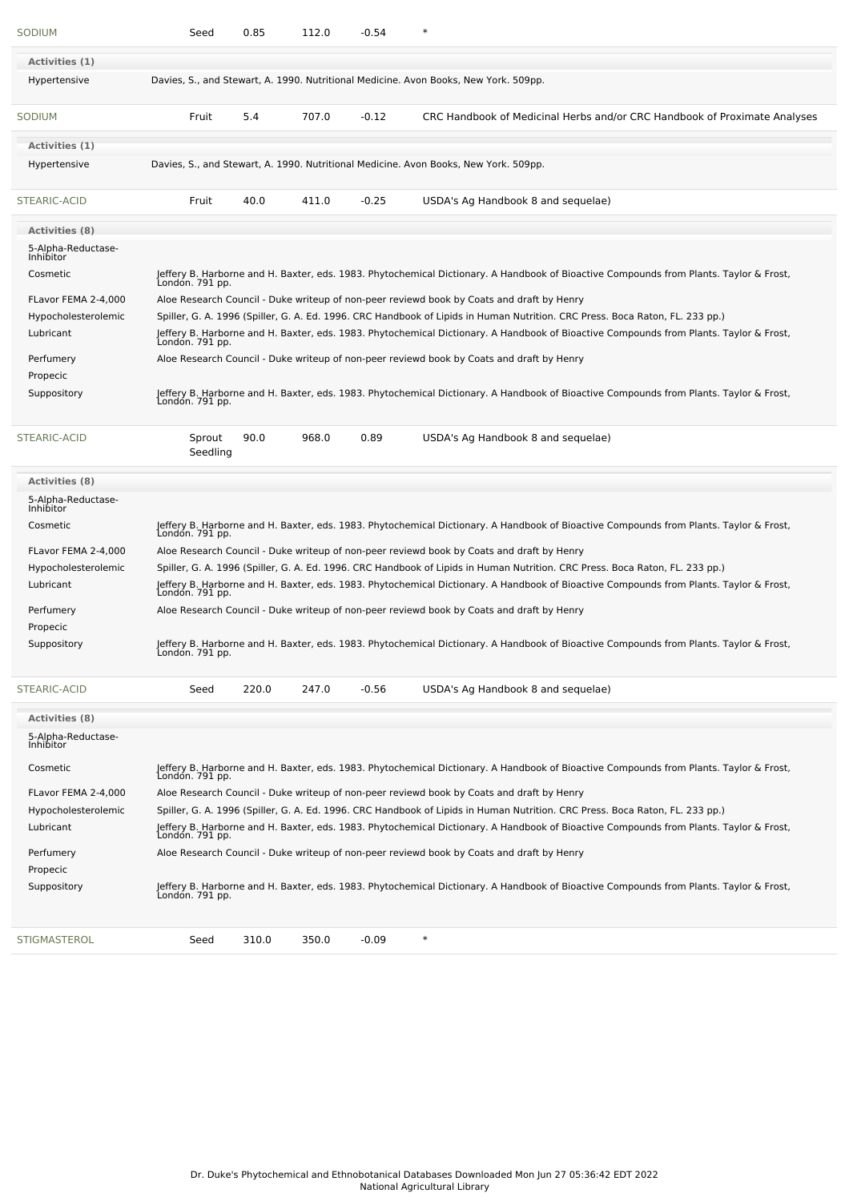| SODIUM                          | Seed               | 0.85  | 112.0 | $-0.54$ | $\ast$                                                                                                                                                    |
|---------------------------------|--------------------|-------|-------|---------|-----------------------------------------------------------------------------------------------------------------------------------------------------------|
| Activities (1)                  |                    |       |       |         |                                                                                                                                                           |
| Hypertensive                    |                    |       |       |         | Davies, S., and Stewart, A. 1990. Nutritional Medicine. Avon Books, New York. 509pp.                                                                      |
| <b>SODIUM</b>                   | Fruit              | 5.4   | 707.0 | $-0.12$ | CRC Handbook of Medicinal Herbs and/or CRC Handbook of Proximate Analyses                                                                                 |
| Activities (1)                  |                    |       |       |         |                                                                                                                                                           |
| Hypertensive                    |                    |       |       |         | Davies, S., and Stewart, A. 1990. Nutritional Medicine. Avon Books, New York. 509pp.                                                                      |
| <b>STEARIC-ACID</b>             | Fruit              | 40.0  | 411.0 | $-0.25$ | USDA's Ag Handbook 8 and sequelae)                                                                                                                        |
| Activities (8)                  |                    |       |       |         |                                                                                                                                                           |
| 5-Alpha-Reductase-<br>Inhibitor |                    |       |       |         |                                                                                                                                                           |
| Cosmetic                        | London. 791 pp.    |       |       |         | Jeffery B. Harborne and H. Baxter, eds. 1983. Phytochemical Dictionary. A Handbook of Bioactive Compounds from Plants. Taylor & Frost,                    |
| FLavor FEMA 2-4,000             |                    |       |       |         | Aloe Research Council - Duke writeup of non-peer reviewd book by Coats and draft by Henry                                                                 |
| Hypocholesterolemic             |                    |       |       |         | Spiller, G. A. 1996 (Spiller, G. A. Ed. 1996. CRC Handbook of Lipids in Human Nutrition. CRC Press. Boca Raton, FL. 233 pp.)                              |
| Lubricant                       |                    |       |       |         | Jeffery B. Harborne and H. Baxter, eds. 1983. Phytochemical Dictionary. A Handbook of Bioactive Compounds from Plants. Taylor & Frost,<br>London. 791 pp. |
| Perfumery                       |                    |       |       |         | Aloe Research Council - Duke writeup of non-peer reviewd book by Coats and draft by Henry                                                                 |
| Propecic                        |                    |       |       |         |                                                                                                                                                           |
| Suppository                     | London. 791 pp.    |       |       |         | Jeffery B. Harborne and H. Baxter, eds. 1983. Phytochemical Dictionary. A Handbook of Bioactive Compounds from Plants. Taylor & Frost,                    |
| STEARIC-ACID                    | Sprout<br>Seedling | 90.0  | 968.0 | 0.89    | USDA's Ag Handbook 8 and sequelae)                                                                                                                        |
| Activities (8)                  |                    |       |       |         |                                                                                                                                                           |
| 5-Alpha-Reductase-<br>Inhibitor |                    |       |       |         |                                                                                                                                                           |
| Cosmetic                        |                    |       |       |         | Jeffery B. Harborne and H. Baxter, eds. 1983. Phytochemical Dictionary. A Handbook of Bioactive Compounds from Plants. Taylor & Frost,<br>London. 791 pp. |
| FLavor FEMA 2-4,000             |                    |       |       |         | Aloe Research Council - Duke writeup of non-peer reviewd book by Coats and draft by Henry                                                                 |
| Hypocholesterolemic             |                    |       |       |         | Spiller, G. A. 1996 (Spiller, G. A. Ed. 1996. CRC Handbook of Lipids in Human Nutrition. CRC Press. Boca Raton, FL. 233 pp.)                              |
| Lubricant                       |                    |       |       |         | Jeffery B. Harborne and H. Baxter, eds. 1983. Phytochemical Dictionary. A Handbook of Bioactive Compounds from Plants. Taylor & Frost,<br>London. 791 pp. |
| Perfumery<br>Propecic           |                    |       |       |         | Aloe Research Council - Duke writeup of non-peer reviewd book by Coats and draft by Henry                                                                 |
| Suppository                     | London. 791 pp.    |       |       |         | Jeffery B. Harborne and H. Baxter, eds. 1983. Phytochemical Dictionary. A Handbook of Bioactive Compounds from Plants. Taylor & Frost,                    |
| <b>STEARIC-ACID</b>             | Seed               | 220.0 | 247.0 | $-0.56$ | USDA's Ag Handbook 8 and sequelae)                                                                                                                        |
| <b>Activities (8)</b>           |                    |       |       |         |                                                                                                                                                           |
| 5-Alpha-Reductase-<br>Inhibitor |                    |       |       |         |                                                                                                                                                           |
| Cosmetic                        | London. 791 pp.    |       |       |         | Jeffery B. Harborne and H. Baxter, eds. 1983. Phytochemical Dictionary. A Handbook of Bioactive Compounds from Plants. Taylor & Frost,                    |
| FLavor FEMA 2-4,000             |                    |       |       |         | Aloe Research Council - Duke writeup of non-peer reviewd book by Coats and draft by Henry                                                                 |
| Hypocholesterolemic             |                    |       |       |         | Spiller, G. A. 1996 (Spiller, G. A. Ed. 1996. CRC Handbook of Lipids in Human Nutrition. CRC Press. Boca Raton, FL. 233 pp.)                              |
| Lubricant                       | Londón. 791 pp.    |       |       |         | Jeffery B. Harborne and H. Baxter, eds. 1983. Phytochemical Dictionary. A Handbook of Bioactive Compounds from Plants. Taylor & Frost,                    |
| Perfumery                       |                    |       |       |         | Aloe Research Council - Duke writeup of non-peer reviewd book by Coats and draft by Henry                                                                 |
| Propecic                        |                    |       |       |         |                                                                                                                                                           |
| Suppository                     | Londón. 791 pp.    |       |       |         | Jeffery B. Harborne and H. Baxter, eds. 1983. Phytochemical Dictionary. A Handbook of Bioactive Compounds from Plants. Taylor & Frost,                    |
| <b>STIGMASTEROL</b>             | Seed               | 310.0 | 350.0 | $-0.09$ | $\ast$                                                                                                                                                    |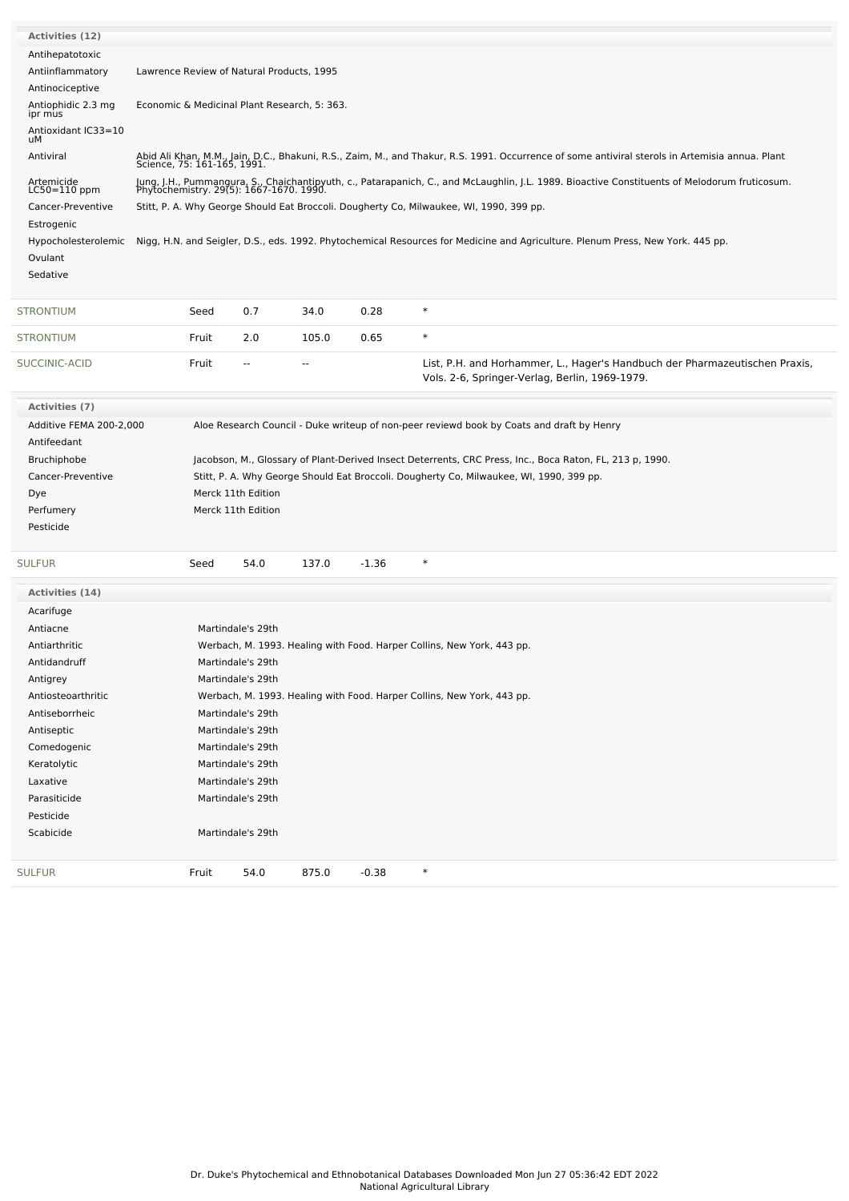| Activities (12)               |                                                                                         |                                           |                                              |         |                                                                                                                                                                                          |  |  |  |
|-------------------------------|-----------------------------------------------------------------------------------------|-------------------------------------------|----------------------------------------------|---------|------------------------------------------------------------------------------------------------------------------------------------------------------------------------------------------|--|--|--|
| Antihepatotoxic               |                                                                                         |                                           |                                              |         |                                                                                                                                                                                          |  |  |  |
| Antiinflammatory              |                                                                                         | Lawrence Review of Natural Products, 1995 |                                              |         |                                                                                                                                                                                          |  |  |  |
| Antinociceptive               |                                                                                         |                                           |                                              |         |                                                                                                                                                                                          |  |  |  |
| Antiophidic 2.3 mg<br>ipr mus |                                                                                         |                                           | Economic & Medicinal Plant Research, 5: 363. |         |                                                                                                                                                                                          |  |  |  |
| Antioxidant IC33=10<br>uМ     |                                                                                         |                                           |                                              |         |                                                                                                                                                                                          |  |  |  |
| Antiviral                     | Science, 75: 161-165, 1991.                                                             |                                           |                                              |         | Abid Ali Khan, M.M., Jain, D.C., Bhakuni, R.S., Zaim, M., and Thakur, R.S. 1991. Occurrence of some antiviral sterols in Artemisia annua. Plant                                          |  |  |  |
| Artemicide<br>LC50=110 ppm    |                                                                                         |                                           |                                              |         | Jung, J.H., Pummangura, S., Chaichantipyuth, c., Patarapanich, C., and McLaughlin, J.L. 1989. Bioactive Constituents of Melodorum fruticosum.<br>Phytochemistry. 29(5): 1667-1670. 1990. |  |  |  |
| Cancer-Preventive             | Stitt, P. A. Why George Should Eat Broccoli. Dougherty Co, Milwaukee, WI, 1990, 399 pp. |                                           |                                              |         |                                                                                                                                                                                          |  |  |  |
| Estrogenic                    |                                                                                         |                                           |                                              |         |                                                                                                                                                                                          |  |  |  |
| Hypocholesterolemic           |                                                                                         |                                           |                                              |         | Nigg, H.N. and Seigler, D.S., eds. 1992. Phytochemical Resources for Medicine and Agriculture. Plenum Press, New York. 445 pp.                                                           |  |  |  |
| Ovulant                       |                                                                                         |                                           |                                              |         |                                                                                                                                                                                          |  |  |  |
| Sedative                      |                                                                                         |                                           |                                              |         |                                                                                                                                                                                          |  |  |  |
|                               |                                                                                         |                                           |                                              |         |                                                                                                                                                                                          |  |  |  |
| <b>STRONTIUM</b>              | Seed                                                                                    | 0.7                                       | 34.0                                         | 0.28    | $\ast$                                                                                                                                                                                   |  |  |  |
| STRONTIUM                     | Fruit                                                                                   | 2.0                                       | 105.0                                        | 0.65    | $\ast$                                                                                                                                                                                   |  |  |  |
| SUCCINIC-ACID                 | Fruit                                                                                   | --                                        | --                                           |         | List, P.H. and Horhammer, L., Hager's Handbuch der Pharmazeutischen Praxis,<br>Vols. 2-6, Springer-Verlag, Berlin, 1969-1979.                                                            |  |  |  |
| <b>Activities (7)</b>         |                                                                                         |                                           |                                              |         |                                                                                                                                                                                          |  |  |  |
| Additive FEMA 200-2,000       |                                                                                         |                                           |                                              |         | Aloe Research Council - Duke writeup of non-peer reviewd book by Coats and draft by Henry                                                                                                |  |  |  |
| Antifeedant                   |                                                                                         |                                           |                                              |         |                                                                                                                                                                                          |  |  |  |
| <b>Bruchiphobe</b>            |                                                                                         |                                           |                                              |         | Jacobson, M., Glossary of Plant-Derived Insect Deterrents, CRC Press, Inc., Boca Raton, FL, 213 p, 1990.                                                                                 |  |  |  |
| Cancer-Preventive             |                                                                                         |                                           |                                              |         | Stitt, P. A. Why George Should Eat Broccoli. Dougherty Co, Milwaukee, WI, 1990, 399 pp.                                                                                                  |  |  |  |
| Dye                           |                                                                                         | Merck 11th Edition                        |                                              |         |                                                                                                                                                                                          |  |  |  |
| Perfumery                     |                                                                                         | Merck 11th Edition                        |                                              |         |                                                                                                                                                                                          |  |  |  |
| Pesticide                     |                                                                                         |                                           |                                              |         |                                                                                                                                                                                          |  |  |  |
| SULFUR                        | Seed                                                                                    | 54.0                                      | 137.0                                        | -1.36   | $\ast$                                                                                                                                                                                   |  |  |  |
| Activities (14)               |                                                                                         |                                           |                                              |         |                                                                                                                                                                                          |  |  |  |
| Acarifuge                     |                                                                                         |                                           |                                              |         |                                                                                                                                                                                          |  |  |  |
| Antiacne                      |                                                                                         | Martindale's 29th                         |                                              |         |                                                                                                                                                                                          |  |  |  |
| Antiarthritic                 |                                                                                         |                                           |                                              |         | Werbach, M. 1993. Healing with Food. Harper Collins, New York, 443 pp.                                                                                                                   |  |  |  |
| Antidandruff                  |                                                                                         | Martindale's 29th                         |                                              |         |                                                                                                                                                                                          |  |  |  |
| Antigrey                      |                                                                                         | Martindale's 29th                         |                                              |         |                                                                                                                                                                                          |  |  |  |
| Antiosteoarthritic            |                                                                                         |                                           |                                              |         | Werbach, M. 1993. Healing with Food. Harper Collins, New York, 443 pp.                                                                                                                   |  |  |  |
| Antiseborrheic                |                                                                                         | Martindale's 29th                         |                                              |         |                                                                                                                                                                                          |  |  |  |
| Antiseptic                    |                                                                                         | Martindale's 29th                         |                                              |         |                                                                                                                                                                                          |  |  |  |
| Comedogenic                   |                                                                                         | Martindale's 29th                         |                                              |         |                                                                                                                                                                                          |  |  |  |
| Keratolytic                   |                                                                                         | Martindale's 29th                         |                                              |         |                                                                                                                                                                                          |  |  |  |
| Laxative                      |                                                                                         | Martindale's 29th                         |                                              |         |                                                                                                                                                                                          |  |  |  |
| Parasiticide                  |                                                                                         | Martindale's 29th                         |                                              |         |                                                                                                                                                                                          |  |  |  |
| Pesticide                     |                                                                                         |                                           |                                              |         |                                                                                                                                                                                          |  |  |  |
| Scabicide                     |                                                                                         | Martindale's 29th                         |                                              |         |                                                                                                                                                                                          |  |  |  |
| SULFUR                        | Fruit                                                                                   | 54.0                                      | 875.0                                        | $-0.38$ | $\ast$                                                                                                                                                                                   |  |  |  |
|                               |                                                                                         |                                           |                                              |         |                                                                                                                                                                                          |  |  |  |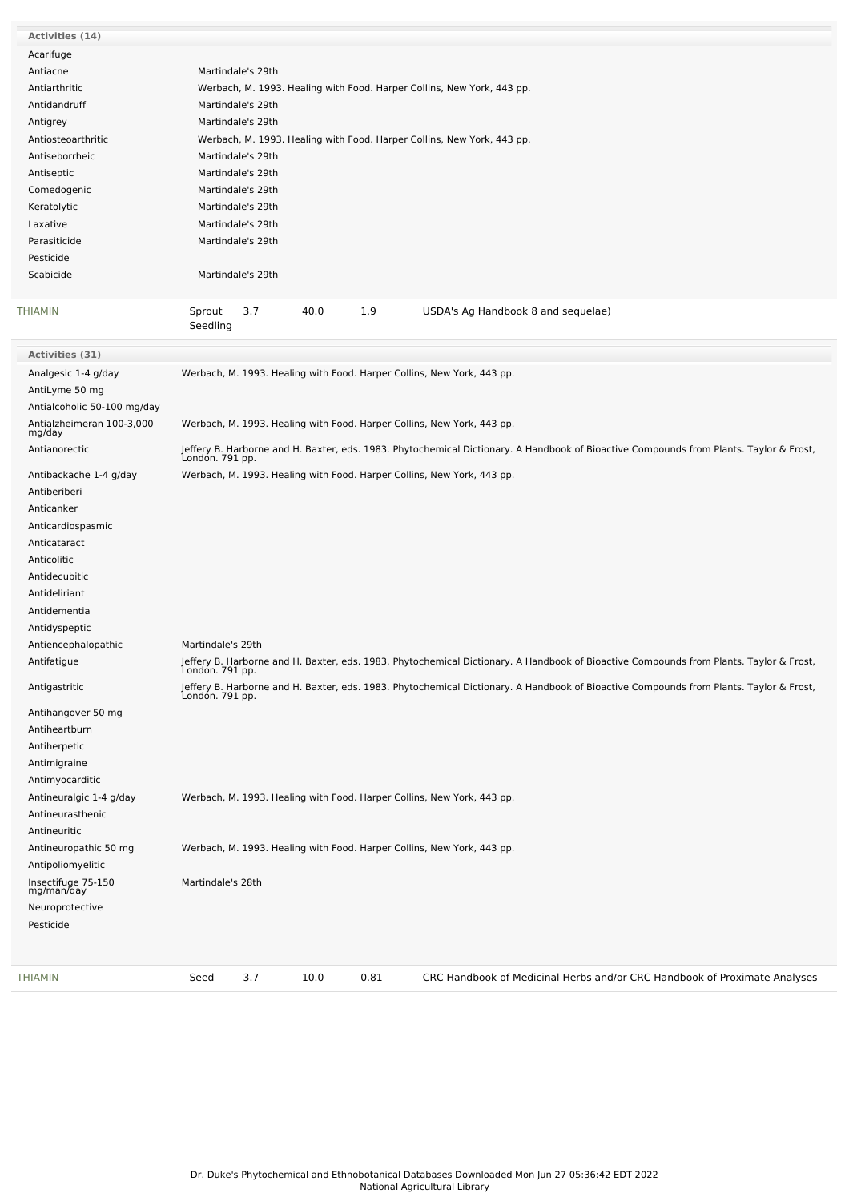| <b>Activities (14)</b>                               |                                                                                                                                                           |
|------------------------------------------------------|-----------------------------------------------------------------------------------------------------------------------------------------------------------|
| Acarifuge                                            |                                                                                                                                                           |
| Antiacne                                             | Martindale's 29th                                                                                                                                         |
| Antiarthritic                                        | Werbach, M. 1993. Healing with Food. Harper Collins, New York, 443 pp.                                                                                    |
| Antidandruff                                         | Martindale's 29th                                                                                                                                         |
| Antigrey                                             | Martindale's 29th                                                                                                                                         |
| Antiosteoarthritic                                   | Werbach, M. 1993. Healing with Food. Harper Collins, New York, 443 pp.                                                                                    |
| Antiseborrheic                                       | Martindale's 29th                                                                                                                                         |
| Antiseptic                                           | Martindale's 29th                                                                                                                                         |
| Comedogenic                                          | Martindale's 29th                                                                                                                                         |
| Keratolytic                                          | Martindale's 29th                                                                                                                                         |
| Laxative                                             | Martindale's 29th                                                                                                                                         |
| Parasiticide                                         | Martindale's 29th                                                                                                                                         |
| Pesticide                                            |                                                                                                                                                           |
| Scabicide                                            | Martindale's 29th                                                                                                                                         |
| THIAMIN                                              | Sprout<br>3.7<br>40.0<br>1.9<br>USDA's Ag Handbook 8 and sequelae)                                                                                        |
|                                                      | Seedling                                                                                                                                                  |
| Activities (31)                                      |                                                                                                                                                           |
| Analgesic 1-4 g/day                                  | Werbach, M. 1993. Healing with Food. Harper Collins, New York, 443 pp.                                                                                    |
| AntiLyme 50 mg                                       |                                                                                                                                                           |
| Antialcoholic 50-100 mg/day                          |                                                                                                                                                           |
|                                                      |                                                                                                                                                           |
| Antialzheimeran 100-3,000<br>mg/day<br>Antianorectic | Werbach, M. 1993. Healing with Food. Harper Collins, New York, 443 pp.                                                                                    |
|                                                      | Jeffery B. Harborne and H. Baxter, eds. 1983. Phytochemical Dictionary. A Handbook of Bioactive Compounds from Plants. Taylor & Frost,<br>London. 791 pp. |
| Antibackache 1-4 g/day                               | Werbach, M. 1993. Healing with Food. Harper Collins, New York, 443 pp.                                                                                    |
| Antiberiberi                                         |                                                                                                                                                           |
| Anticanker                                           |                                                                                                                                                           |
| Anticardiospasmic                                    |                                                                                                                                                           |
| Anticataract                                         |                                                                                                                                                           |
| Anticolitic                                          |                                                                                                                                                           |
| Antidecubitic                                        |                                                                                                                                                           |
| Antideliriant                                        |                                                                                                                                                           |
| Antidementia                                         |                                                                                                                                                           |
| Antidyspeptic                                        |                                                                                                                                                           |
| Antiencephalopathic                                  | Martindale's 29th                                                                                                                                         |
| Antifatigue                                          | Jeffery B. Harborne and H. Baxter, eds. 1983. Phytochemical Dictionary. A Handbook of Bioactive Compounds from Plants. Taylor & Frost,<br>London. 791 pp. |
|                                                      | Jeffery B. Harborne and H. Baxter, eds. 1983. Phytochemical Dictionary. A Handbook of Bioactive Compounds from Plants. Taylor & Frost,<br>London. 791 pp. |
| Antigastritic                                        |                                                                                                                                                           |
| Antihangover 50 mg                                   |                                                                                                                                                           |
| Antiheartburn                                        |                                                                                                                                                           |
| Antiherpetic                                         |                                                                                                                                                           |
| Antimigraine                                         |                                                                                                                                                           |
| Antimyocarditic                                      |                                                                                                                                                           |
| Antineuralgic 1-4 g/day                              | Werbach, M. 1993. Healing with Food. Harper Collins, New York, 443 pp.                                                                                    |
| Antineurasthenic<br>Antineuritic                     |                                                                                                                                                           |
| Antineuropathic 50 mg                                | Werbach, M. 1993. Healing with Food. Harper Collins, New York, 443 pp.                                                                                    |
| Antipoliomyelitic                                    |                                                                                                                                                           |
| Insectifuge 75-150<br>mg/man/day                     | Martindale's 28th                                                                                                                                         |
| Neuroprotective                                      |                                                                                                                                                           |
| Pesticide                                            |                                                                                                                                                           |
|                                                      |                                                                                                                                                           |
|                                                      |                                                                                                                                                           |
| <b>THIAMIN</b>                                       | 3.7<br>0.81<br>CRC Handbook of Medicinal Herbs and/or CRC Handbook of Proximate Analyses<br>Seed<br>10.0                                                  |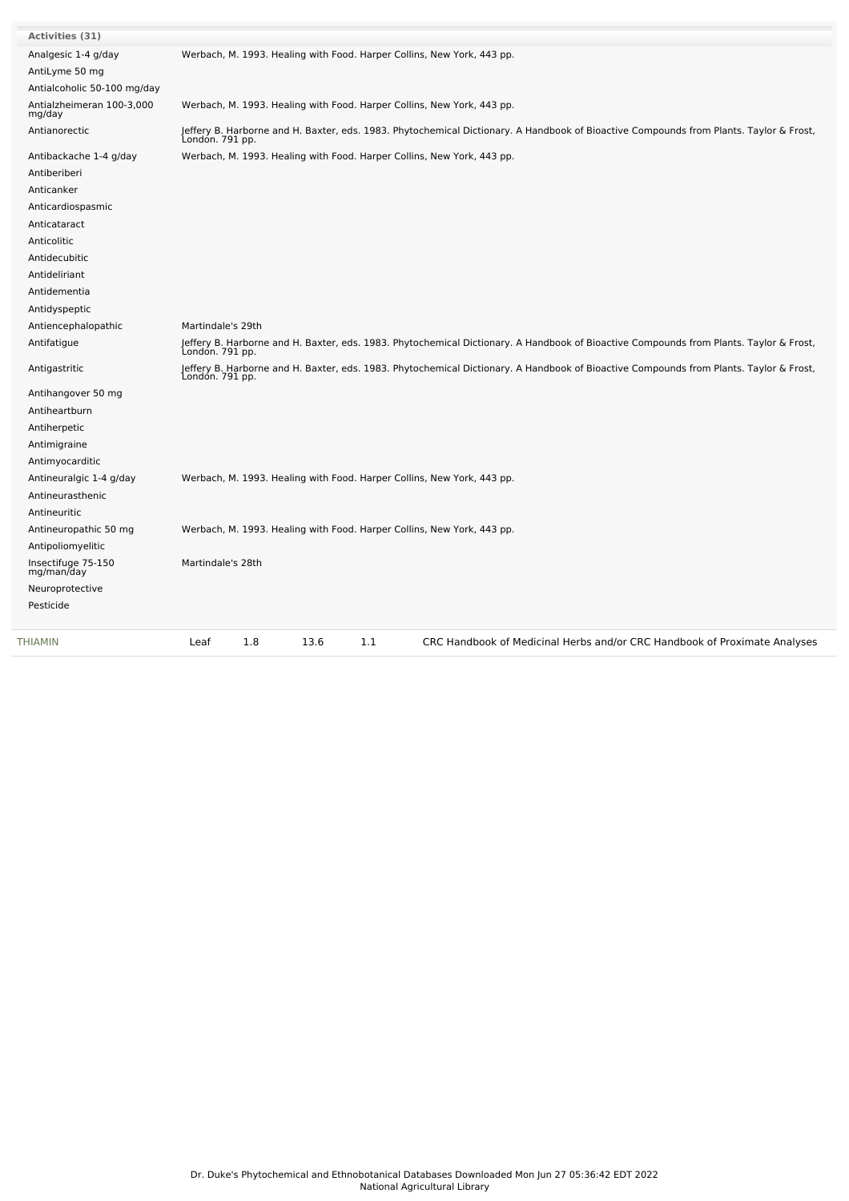| <b>Activities (31)</b>              |                                                                                                                                                           |
|-------------------------------------|-----------------------------------------------------------------------------------------------------------------------------------------------------------|
| Analgesic 1-4 g/day                 | Werbach, M. 1993. Healing with Food. Harper Collins, New York, 443 pp.                                                                                    |
| AntiLyme 50 mg                      |                                                                                                                                                           |
| Antialcoholic 50-100 mg/day         |                                                                                                                                                           |
| Antialzheimeran 100-3,000<br>mg/day | Werbach, M. 1993. Healing with Food. Harper Collins, New York, 443 pp.                                                                                    |
| Antianorectic                       | Jeffery B. Harborne and H. Baxter, eds. 1983. Phytochemical Dictionary. A Handbook of Bioactive Compounds from Plants. Taylor & Frost,<br>London. 791 pp. |
| Antibackache 1-4 g/day              | Werbach, M. 1993. Healing with Food. Harper Collins, New York, 443 pp.                                                                                    |
| Antiberiberi                        |                                                                                                                                                           |
| Anticanker                          |                                                                                                                                                           |
| Anticardiospasmic                   |                                                                                                                                                           |
| Anticataract                        |                                                                                                                                                           |
| Anticolitic                         |                                                                                                                                                           |
| Antidecubitic                       |                                                                                                                                                           |
| Antideliriant                       |                                                                                                                                                           |
| Antidementia                        |                                                                                                                                                           |
| Antidyspeptic                       |                                                                                                                                                           |
| Antiencephalopathic                 | Martindale's 29th                                                                                                                                         |
| Antifatigue                         | Jeffery B. Harborne and H. Baxter, eds. 1983. Phytochemical Dictionary. A Handbook of Bioactive Compounds from Plants. Taylor & Frost,<br>Londón. 791 pp. |
| Antigastritic                       | Jeffery B. Harborne and H. Baxter, eds. 1983. Phytochemical Dictionary. A Handbook of Bioactive Compounds from Plants. Taylor & Frost,<br>Londón. 791 pp. |
| Antihangover 50 mg                  |                                                                                                                                                           |
| Antiheartburn                       |                                                                                                                                                           |
| Antiherpetic                        |                                                                                                                                                           |
| Antimigraine                        |                                                                                                                                                           |
| Antimyocarditic                     |                                                                                                                                                           |
| Antineuralgic 1-4 g/day             | Werbach, M. 1993. Healing with Food. Harper Collins, New York, 443 pp.                                                                                    |
| Antineurasthenic                    |                                                                                                                                                           |
| Antineuritic                        |                                                                                                                                                           |
| Antineuropathic 50 mg               | Werbach, M. 1993. Healing with Food. Harper Collins, New York, 443 pp.                                                                                    |
| Antipoliomyelitic                   |                                                                                                                                                           |
| Insectifuge 75-150<br>mg/man/day    | Martindale's 28th                                                                                                                                         |
| Neuroprotective                     |                                                                                                                                                           |
| Pesticide                           |                                                                                                                                                           |
|                                     |                                                                                                                                                           |
| <b>THIAMIN</b>                      | 1.8<br>13.6<br>1.1<br>CRC Handbook of Medicinal Herbs and/or CRC Handbook of Proximate Analyses<br>Leaf                                                   |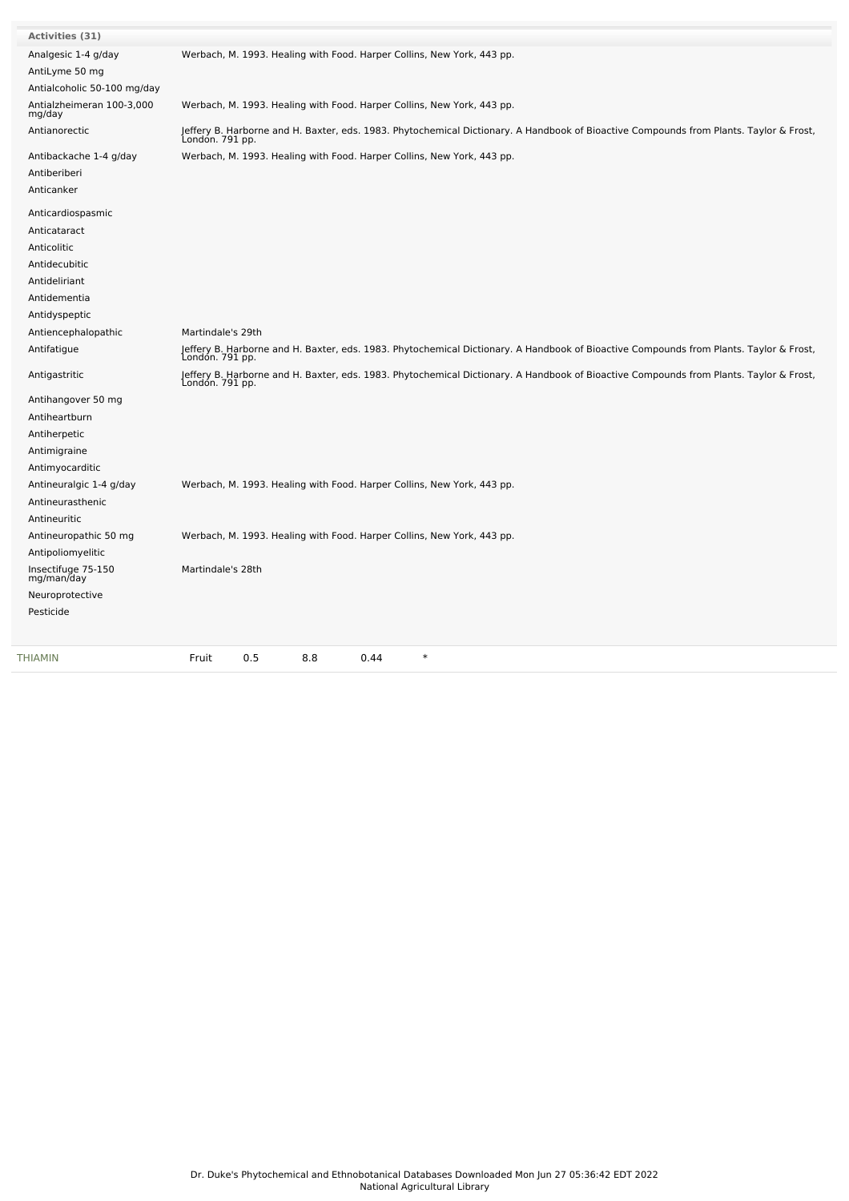| <b>Activities (31)</b>              |                                                                                                                                                           |
|-------------------------------------|-----------------------------------------------------------------------------------------------------------------------------------------------------------|
| Analgesic 1-4 g/day                 | Werbach, M. 1993. Healing with Food. Harper Collins, New York, 443 pp.                                                                                    |
| AntiLyme 50 mg                      |                                                                                                                                                           |
| Antialcoholic 50-100 mg/day         |                                                                                                                                                           |
| Antialzheimeran 100-3,000<br>mg/day | Werbach, M. 1993. Healing with Food. Harper Collins, New York, 443 pp.                                                                                    |
| Antianorectic                       | Jeffery B. Harborne and H. Baxter, eds. 1983. Phytochemical Dictionary. A Handbook of Bioactive Compounds from Plants. Taylor & Frost,<br>Londón. 791 pp. |
| Antibackache 1-4 g/day              | Werbach, M. 1993. Healing with Food. Harper Collins, New York, 443 pp.                                                                                    |
| Antiberiberi                        |                                                                                                                                                           |
| Anticanker                          |                                                                                                                                                           |
| Anticardiospasmic                   |                                                                                                                                                           |
| Anticataract                        |                                                                                                                                                           |
| Anticolitic                         |                                                                                                                                                           |
| Antidecubitic                       |                                                                                                                                                           |
| Antideliriant                       |                                                                                                                                                           |
| Antidementia                        |                                                                                                                                                           |
| Antidyspeptic                       |                                                                                                                                                           |
| Antiencephalopathic                 | Martindale's 29th                                                                                                                                         |
| Antifatigue                         | Jeffery B. Harborne and H. Baxter, eds. 1983. Phytochemical Dictionary. A Handbook of Bioactive Compounds from Plants. Taylor & Frost,<br>London. 791 pp. |
| Antigastritic                       | Jeffery B. Harborne and H. Baxter, eds. 1983. Phytochemical Dictionary. A Handbook of Bioactive Compounds from Plants. Taylor & Frost,<br>Londón. 791 pp. |
| Antihangover 50 mg                  |                                                                                                                                                           |
| Antiheartburn                       |                                                                                                                                                           |
| Antiherpetic                        |                                                                                                                                                           |
| Antimigraine                        |                                                                                                                                                           |
| Antimyocarditic                     |                                                                                                                                                           |
| Antineuralgic 1-4 g/day             | Werbach, M. 1993. Healing with Food. Harper Collins, New York, 443 pp.                                                                                    |
| Antineurasthenic                    |                                                                                                                                                           |
| Antineuritic                        |                                                                                                                                                           |
| Antineuropathic 50 mg               | Werbach, M. 1993. Healing with Food. Harper Collins, New York, 443 pp.                                                                                    |
| Antipoliomyelitic                   |                                                                                                                                                           |
| Insectifuge 75-150<br>mg/man/day    | Martindale's 28th                                                                                                                                         |
| Neuroprotective                     |                                                                                                                                                           |
| Pesticide                           |                                                                                                                                                           |
| THIAMIN                             | 0.5<br>8.8<br>$\ast$<br>Fruit<br>0.44                                                                                                                     |
|                                     |                                                                                                                                                           |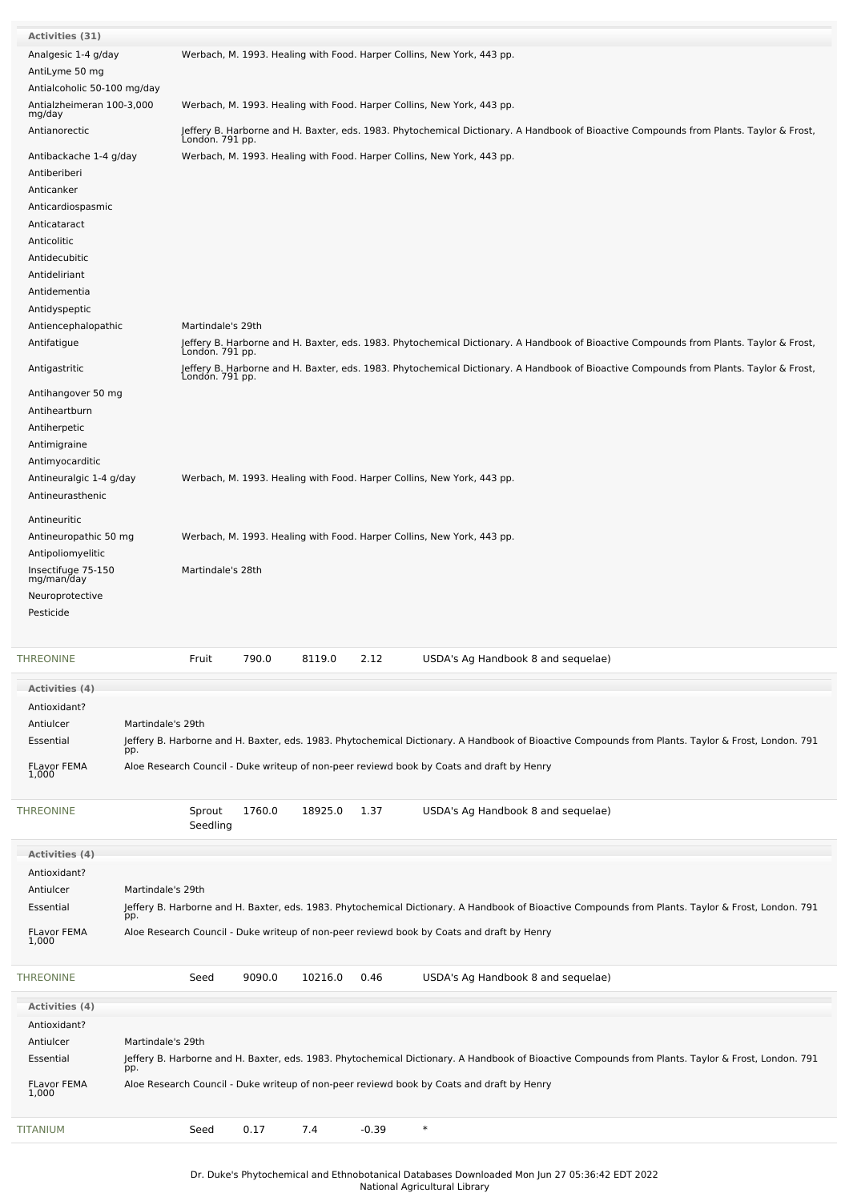| <b>Activities (31)</b>              |                   |                   |        |         |         |                                                                                                                                                    |
|-------------------------------------|-------------------|-------------------|--------|---------|---------|----------------------------------------------------------------------------------------------------------------------------------------------------|
| Analgesic 1-4 g/day                 |                   |                   |        |         |         | Werbach, M. 1993. Healing with Food. Harper Collins, New York, 443 pp.                                                                             |
|                                     |                   |                   |        |         |         |                                                                                                                                                    |
| AntiLyme 50 mg                      |                   |                   |        |         |         |                                                                                                                                                    |
| Antialcoholic 50-100 mg/day         |                   |                   |        |         |         |                                                                                                                                                    |
|                                     |                   |                   |        |         |         |                                                                                                                                                    |
| Antialzheimeran 100-3,000<br>mg/day |                   |                   |        |         |         | Werbach, M. 1993. Healing with Food. Harper Collins, New York, 443 pp.                                                                             |
| Antianorectic                       |                   |                   |        |         |         |                                                                                                                                                    |
|                                     |                   | London. 791 pp.   |        |         |         | Jeffery B. Harborne and H. Baxter, eds. 1983. Phytochemical Dictionary. A Handbook of Bioactive Compounds from Plants. Taylor & Frost,             |
| Antibackache 1-4 g/day              |                   |                   |        |         |         | Werbach, M. 1993. Healing with Food. Harper Collins, New York, 443 pp.                                                                             |
| Antiberiberi                        |                   |                   |        |         |         |                                                                                                                                                    |
|                                     |                   |                   |        |         |         |                                                                                                                                                    |
| Anticanker                          |                   |                   |        |         |         |                                                                                                                                                    |
| Anticardiospasmic                   |                   |                   |        |         |         |                                                                                                                                                    |
| Anticataract                        |                   |                   |        |         |         |                                                                                                                                                    |
|                                     |                   |                   |        |         |         |                                                                                                                                                    |
| Anticolitic                         |                   |                   |        |         |         |                                                                                                                                                    |
| Antidecubitic                       |                   |                   |        |         |         |                                                                                                                                                    |
|                                     |                   |                   |        |         |         |                                                                                                                                                    |
| Antideliriant                       |                   |                   |        |         |         |                                                                                                                                                    |
| Antidementia                        |                   |                   |        |         |         |                                                                                                                                                    |
| Antidyspeptic                       |                   |                   |        |         |         |                                                                                                                                                    |
|                                     |                   |                   |        |         |         |                                                                                                                                                    |
| Antiencephalopathic                 |                   | Martindale's 29th |        |         |         |                                                                                                                                                    |
| Antifatigue                         |                   |                   |        |         |         | Jeffery B. Harborne and H. Baxter, eds. 1983. Phytochemical Dictionary. A Handbook of Bioactive Compounds from Plants. Taylor & Frost,             |
|                                     |                   | London. 791 pp.   |        |         |         |                                                                                                                                                    |
| Antigastritic                       |                   | London. 791 pp.   |        |         |         | Jeffery B. Harborne and H. Baxter, eds. 1983. Phytochemical Dictionary. A Handbook of Bioactive Compounds from Plants. Taylor & Frost,             |
| Antihangover 50 mg                  |                   |                   |        |         |         |                                                                                                                                                    |
| Antiheartburn                       |                   |                   |        |         |         |                                                                                                                                                    |
|                                     |                   |                   |        |         |         |                                                                                                                                                    |
| Antiherpetic                        |                   |                   |        |         |         |                                                                                                                                                    |
| Antimigraine                        |                   |                   |        |         |         |                                                                                                                                                    |
|                                     |                   |                   |        |         |         |                                                                                                                                                    |
| Antimyocarditic                     |                   |                   |        |         |         |                                                                                                                                                    |
| Antineuralgic 1-4 g/day             |                   |                   |        |         |         | Werbach, M. 1993. Healing with Food. Harper Collins, New York, 443 pp.                                                                             |
| Antineurasthenic                    |                   |                   |        |         |         |                                                                                                                                                    |
|                                     |                   |                   |        |         |         |                                                                                                                                                    |
| Antineuritic                        |                   |                   |        |         |         |                                                                                                                                                    |
|                                     |                   |                   |        |         |         |                                                                                                                                                    |
| Antineuropathic 50 mg               |                   |                   |        |         |         | Werbach, M. 1993. Healing with Food. Harper Collins, New York, 443 pp.                                                                             |
| Antipoliomyelitic                   |                   |                   |        |         |         |                                                                                                                                                    |
|                                     |                   |                   |        |         |         |                                                                                                                                                    |
| Insectifuge 75-150<br>mg/man/day    |                   | Martindale's 28th |        |         |         |                                                                                                                                                    |
|                                     |                   |                   |        |         |         |                                                                                                                                                    |
| Neuroprotective                     |                   |                   |        |         |         |                                                                                                                                                    |
| Pesticide                           |                   |                   |        |         |         |                                                                                                                                                    |
|                                     |                   |                   |        |         |         |                                                                                                                                                    |
|                                     |                   |                   |        |         |         |                                                                                                                                                    |
| <b>THREONINE</b>                    |                   | Fruit             | 790.0  | 8119.0  | 2.12    | USDA's Ag Handbook 8 and sequelae)                                                                                                                 |
| Activities (4)                      |                   |                   |        |         |         |                                                                                                                                                    |
|                                     |                   |                   |        |         |         |                                                                                                                                                    |
| Antioxidant?                        |                   |                   |        |         |         |                                                                                                                                                    |
| Antiulcer                           | Martindale's 29th |                   |        |         |         |                                                                                                                                                    |
|                                     |                   |                   |        |         |         |                                                                                                                                                    |
| Essential                           |                   |                   |        |         |         | Jeffery B. Harborne and H. Baxter, eds. 1983. Phytochemical Dictionary. A Handbook of Bioactive Compounds from Plants. Taylor & Frost, London. 791 |
|                                     | pp.               |                   |        |         |         |                                                                                                                                                    |
| <b>FLavor FEMA</b><br>1,000         |                   |                   |        |         |         | Aloe Research Council - Duke writeup of non-peer reviewd book by Coats and draft by Henry                                                          |
|                                     |                   |                   |        |         |         |                                                                                                                                                    |
| THREONINE                           |                   |                   |        |         |         |                                                                                                                                                    |
|                                     |                   |                   | 1760.0 | 18925.0 | 1.37    | USDA's Ag Handbook 8 and sequelae)                                                                                                                 |
|                                     |                   | Sprout            |        |         |         |                                                                                                                                                    |
|                                     |                   | Seedling          |        |         |         |                                                                                                                                                    |
|                                     |                   |                   |        |         |         |                                                                                                                                                    |
| <b>Activities (4)</b>               |                   |                   |        |         |         |                                                                                                                                                    |
| Antioxidant?                        |                   |                   |        |         |         |                                                                                                                                                    |
|                                     |                   |                   |        |         |         |                                                                                                                                                    |
| Antiulcer                           | Martindale's 29th |                   |        |         |         |                                                                                                                                                    |
| Essential                           |                   |                   |        |         |         | Jeffery B. Harborne and H. Baxter, eds. 1983. Phytochemical Dictionary. A Handbook of Bioactive Compounds from Plants. Taylor & Frost, London. 791 |
|                                     | pp.               |                   |        |         |         |                                                                                                                                                    |
| <b>FLavor FEMA</b>                  |                   |                   |        |         |         | Aloe Research Council - Duke writeup of non-peer reviewd book by Coats and draft by Henry                                                          |
| 1,000                               |                   |                   |        |         |         |                                                                                                                                                    |
|                                     |                   |                   |        |         |         |                                                                                                                                                    |
| THREONINE                           |                   | Seed              | 9090.0 | 10216.0 | 0.46    | USDA's Ag Handbook 8 and sequelae)                                                                                                                 |
|                                     |                   |                   |        |         |         |                                                                                                                                                    |
| <b>Activities (4)</b>               |                   |                   |        |         |         |                                                                                                                                                    |
| Antioxidant?                        |                   |                   |        |         |         |                                                                                                                                                    |
|                                     |                   |                   |        |         |         |                                                                                                                                                    |
| Antiulcer                           | Martindale's 29th |                   |        |         |         |                                                                                                                                                    |
| Essential                           |                   |                   |        |         |         | Jeffery B. Harborne and H. Baxter, eds. 1983. Phytochemical Dictionary. A Handbook of Bioactive Compounds from Plants. Taylor & Frost, London. 791 |
|                                     | pp.               |                   |        |         |         |                                                                                                                                                    |
| <b>FLavor FEMA</b>                  |                   |                   |        |         |         | Aloe Research Council - Duke writeup of non-peer reviewd book by Coats and draft by Henry                                                          |
| 1,000                               |                   |                   |        |         |         |                                                                                                                                                    |
| TITANIUM                            |                   | Seed              | 0.17   | 7.4     | $-0.39$ | $\ast$                                                                                                                                             |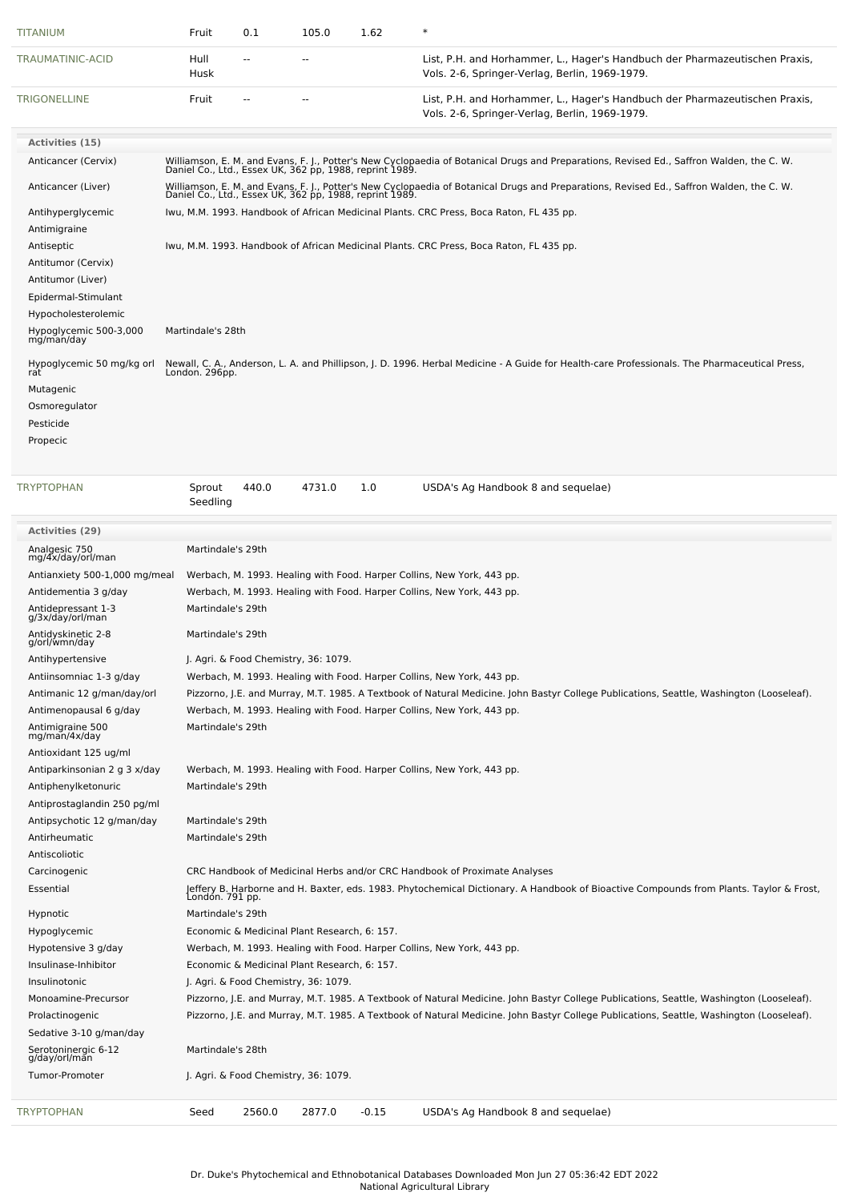| TITANIUM                                                  | Fruit              | 0.1            | 105.0                                        | 1.62    | $\ast$                                                                                                                                                                                              |
|-----------------------------------------------------------|--------------------|----------------|----------------------------------------------|---------|-----------------------------------------------------------------------------------------------------------------------------------------------------------------------------------------------------|
| TRAUMATINIC-ACID                                          | Hull<br>Husk       |                | $\sim$ $\sim$                                |         | List, P.H. and Horhammer, L., Hager's Handbuch der Pharmazeutischen Praxis,<br>Vols. 2-6, Springer-Verlag, Berlin, 1969-1979.                                                                       |
| <b>TRIGONELLINE</b>                                       | Fruit              | $\overline{a}$ | $\overline{a}$                               |         | List, P.H. and Horhammer, L., Hager's Handbuch der Pharmazeutischen Praxis,<br>Vols. 2-6, Springer-Verlag, Berlin, 1969-1979.                                                                       |
| Activities (15)                                           |                    |                |                                              |         |                                                                                                                                                                                                     |
| Anticancer (Cervix)                                       |                    |                |                                              |         | Williamson, E. M. and Evans, F. J., Potter's New Cyclopaedia of Botanical Drugs and Preparations, Revised Ed., Saffron Walden, the C. W.<br>Daniel Co., Ltd., Essex UK, 362 pp, 1988, reprint 1989. |
| Anticancer (Liver)                                        |                    |                |                                              |         | Williamson, E. M. and Evans, F. J., Potter's New Cyclopaedia of Botanical Drugs and Preparations, Revised Ed., Saffron Walden, the C. W.<br>Daniel Co., Ltd., Essex UK, 362 pp, 1988, reprint 1989. |
| Antihyperglycemic                                         |                    |                |                                              |         | Iwu, M.M. 1993. Handbook of African Medicinal Plants. CRC Press, Boca Raton, FL 435 pp.                                                                                                             |
| Antimigraine                                              |                    |                |                                              |         |                                                                                                                                                                                                     |
| Antiseptic                                                |                    |                |                                              |         | Iwu, M.M. 1993. Handbook of African Medicinal Plants. CRC Press, Boca Raton, FL 435 pp.                                                                                                             |
| Antitumor (Cervix)                                        |                    |                |                                              |         |                                                                                                                                                                                                     |
| Antitumor (Liver)                                         |                    |                |                                              |         |                                                                                                                                                                                                     |
| Epidermal-Stimulant                                       |                    |                |                                              |         |                                                                                                                                                                                                     |
| Hypocholesterolemic<br>Hypoglycemic 500-3,000             | Martindale's 28th  |                |                                              |         |                                                                                                                                                                                                     |
| mg/man/day                                                |                    |                |                                              |         |                                                                                                                                                                                                     |
| Hypoglycemic 50 mg/kg orl<br>rat                          | London. 296pp.     |                |                                              |         | Newall, C. A., Anderson, L. A. and Phillipson, J. D. 1996. Herbal Medicine - A Guide for Health-care Professionals. The Pharmaceutical Press,                                                       |
| Mutagenic                                                 |                    |                |                                              |         |                                                                                                                                                                                                     |
| Osmoregulator                                             |                    |                |                                              |         |                                                                                                                                                                                                     |
| Pesticide<br>Propecic                                     |                    |                |                                              |         |                                                                                                                                                                                                     |
|                                                           |                    |                |                                              |         |                                                                                                                                                                                                     |
| <b>TRYPTOPHAN</b>                                         | Sprout<br>Seedling | 440.0          | 4731.0                                       | 1.0     | USDA's Ag Handbook 8 and sequelae)                                                                                                                                                                  |
| <b>Activities (29)</b>                                    |                    |                |                                              |         |                                                                                                                                                                                                     |
| Analgesic 750                                             | Martindale's 29th  |                |                                              |         |                                                                                                                                                                                                     |
| mg/4x/day/orl/man                                         |                    |                |                                              |         |                                                                                                                                                                                                     |
| Antianxiety 500-1,000 mg/meal<br>Antidementia 3 g/day     |                    |                |                                              |         | Werbach, M. 1993. Healing with Food. Harper Collins, New York, 443 pp.<br>Werbach, M. 1993. Healing with Food. Harper Collins, New York, 443 pp.                                                    |
| Antidepressant 1-3                                        | Martindale's 29th  |                |                                              |         |                                                                                                                                                                                                     |
| g/3x/day/orl/man                                          |                    |                |                                              |         |                                                                                                                                                                                                     |
| Antidyskinetic 2-8<br>g/orl/wmn/day                       | Martindale's 29th  |                |                                              |         |                                                                                                                                                                                                     |
| Antihypertensive                                          |                    |                | J. Agri. & Food Chemistry, 36: 1079.         |         |                                                                                                                                                                                                     |
| Antiinsomniac 1-3 g/day                                   |                    |                |                                              |         | Werbach, M. 1993. Healing with Food. Harper Collins, New York, 443 pp.                                                                                                                              |
| Antimanic 12 g/man/day/orl                                |                    |                |                                              |         | Pizzorno, J.E. and Murray, M.T. 1985. A Textbook of Natural Medicine. John Bastyr College Publications, Seattle, Washington (Looseleaf).                                                            |
| Antimenopausal 6 g/day                                    | Martindale's 29th  |                |                                              |         | Werbach, M. 1993. Healing with Food. Harper Collins, New York, 443 pp.                                                                                                                              |
| Antimigraine 500<br>mg/man/4x/day                         |                    |                |                                              |         |                                                                                                                                                                                                     |
| Antioxidant 125 ug/ml                                     |                    |                |                                              |         |                                                                                                                                                                                                     |
| Antiparkinsonian 2 g 3 x/day                              |                    |                |                                              |         | Werbach, M. 1993. Healing with Food. Harper Collins, New York, 443 pp.                                                                                                                              |
| Antiphenylketonuric                                       | Martindale's 29th  |                |                                              |         |                                                                                                                                                                                                     |
| Antiprostaglandin 250 pg/ml<br>Antipsychotic 12 g/man/day | Martindale's 29th  |                |                                              |         |                                                                                                                                                                                                     |
| Antirheumatic                                             | Martindale's 29th  |                |                                              |         |                                                                                                                                                                                                     |
| Antiscoliotic                                             |                    |                |                                              |         |                                                                                                                                                                                                     |
| Carcinogenic                                              |                    |                |                                              |         | CRC Handbook of Medicinal Herbs and/or CRC Handbook of Proximate Analyses                                                                                                                           |
| Essential                                                 | Londón. 791 pp.    |                |                                              |         | Jeffery B. Harborne and H. Baxter, eds. 1983. Phytochemical Dictionary. A Handbook of Bioactive Compounds from Plants. Taylor & Frost,                                                              |
| Hypnotic                                                  | Martindale's 29th  |                |                                              |         |                                                                                                                                                                                                     |
| Hypoglycemic                                              |                    |                | Economic & Medicinal Plant Research, 6: 157. |         |                                                                                                                                                                                                     |
| Hypotensive 3 g/day                                       |                    |                |                                              |         | Werbach, M. 1993. Healing with Food. Harper Collins, New York, 443 pp.                                                                                                                              |
| Insulinase-Inhibitor                                      |                    |                | Economic & Medicinal Plant Research, 6: 157. |         |                                                                                                                                                                                                     |
| Insulinotonic                                             |                    |                | J. Agri. & Food Chemistry, 36: 1079.         |         |                                                                                                                                                                                                     |
| Monoamine-Precursor                                       |                    |                |                                              |         | Pizzorno, J.E. and Murray, M.T. 1985. A Textbook of Natural Medicine. John Bastyr College Publications, Seattle, Washington (Looseleaf).                                                            |
| Prolactinogenic                                           |                    |                |                                              |         | Pizzorno, J.E. and Murray, M.T. 1985. A Textbook of Natural Medicine. John Bastyr College Publications, Seattle, Washington (Looseleaf).                                                            |
| Sedative 3-10 g/man/day                                   |                    |                |                                              |         |                                                                                                                                                                                                     |
| Serotoninergic 6-12<br>g/day/orl/man                      | Martindale's 28th  |                |                                              |         |                                                                                                                                                                                                     |
| Tumor-Promoter                                            |                    |                | J. Agri. & Food Chemistry, 36: 1079.         |         |                                                                                                                                                                                                     |
| <b>TRYPTOPHAN</b>                                         | Seed               | 2560.0         | 2877.0                                       | $-0.15$ | USDA's Ag Handbook 8 and sequelae)                                                                                                                                                                  |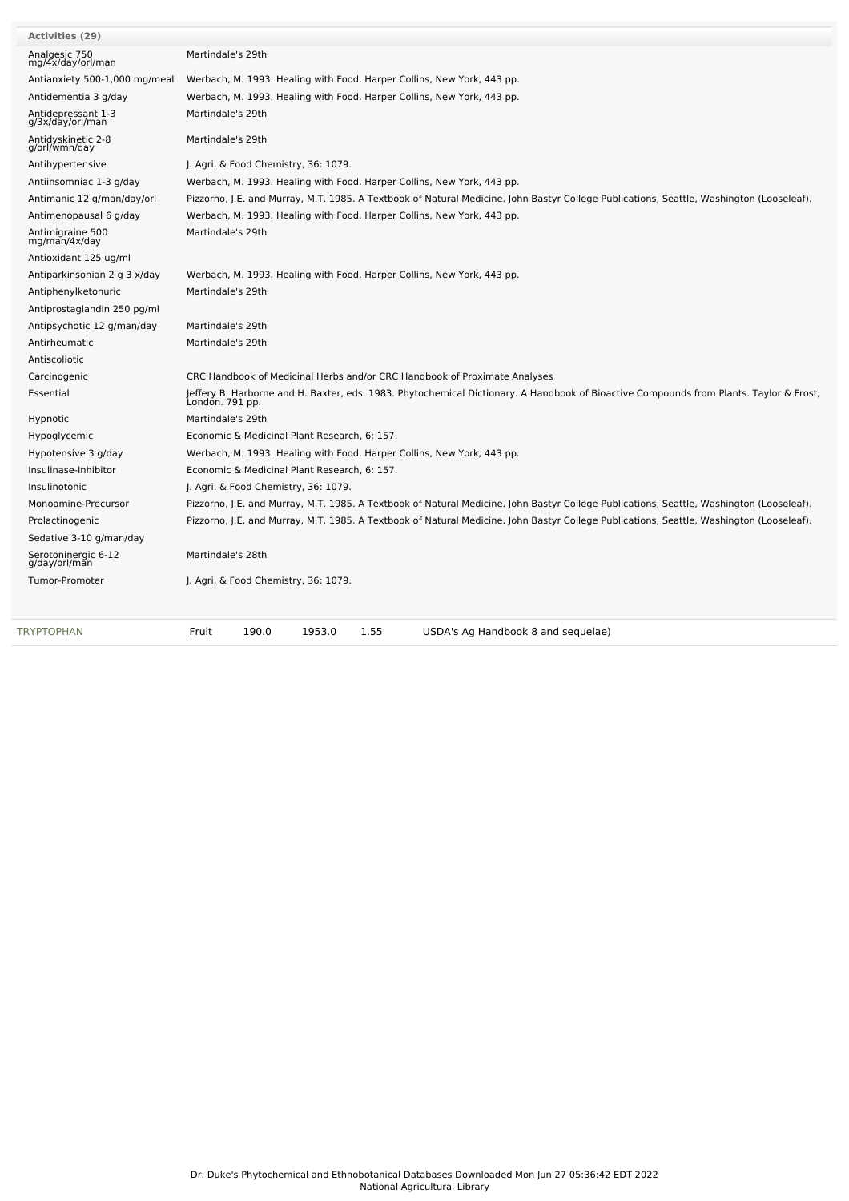| <b>Activities (29)</b>                 |                                                                                                                                                           |
|----------------------------------------|-----------------------------------------------------------------------------------------------------------------------------------------------------------|
| Analgesic 750<br>mg/4x/day/orl/man     | Martindale's 29th                                                                                                                                         |
| Antianxiety 500-1,000 mg/meal          | Werbach, M. 1993. Healing with Food. Harper Collins, New York, 443 pp.                                                                                    |
| Antidementia 3 g/day                   | Werbach, M. 1993. Healing with Food. Harper Collins, New York, 443 pp.                                                                                    |
| Antidepressant 1-3<br>g/3x/day/orl/man | Martindale's 29th                                                                                                                                         |
| Antidyskinetic 2-8<br>g/orl/wmn/day    | Martindale's 29th                                                                                                                                         |
| Antihypertensive                       | J. Agri. & Food Chemistry, 36: 1079.                                                                                                                      |
| Antiinsomniac 1-3 g/day                | Werbach, M. 1993. Healing with Food. Harper Collins, New York, 443 pp.                                                                                    |
| Antimanic 12 g/man/day/orl             | Pizzorno, J.E. and Murray, M.T. 1985. A Textbook of Natural Medicine. John Bastyr College Publications, Seattle, Washington (Looseleaf).                  |
| Antimenopausal 6 g/day                 | Werbach, M. 1993. Healing with Food. Harper Collins, New York, 443 pp.                                                                                    |
| Antimigraine 500<br>mg/man/4x/day      | Martindale's 29th                                                                                                                                         |
| Antioxidant 125 ug/ml                  |                                                                                                                                                           |
| Antiparkinsonian 2 g 3 x/day           | Werbach, M. 1993. Healing with Food. Harper Collins, New York, 443 pp.                                                                                    |
| Antiphenylketonuric                    | Martindale's 29th                                                                                                                                         |
| Antiprostaglandin 250 pg/ml            |                                                                                                                                                           |
| Antipsychotic 12 g/man/day             | Martindale's 29th                                                                                                                                         |
| Antirheumatic                          | Martindale's 29th                                                                                                                                         |
| Antiscoliotic                          |                                                                                                                                                           |
| Carcinogenic                           | CRC Handbook of Medicinal Herbs and/or CRC Handbook of Proximate Analyses                                                                                 |
| Essential                              | Jeffery B. Harborne and H. Baxter, eds. 1983. Phytochemical Dictionary. A Handbook of Bioactive Compounds from Plants. Taylor & Frost,<br>Londón. 791 pp. |
| Hypnotic                               | Martindale's 29th                                                                                                                                         |
| Hypoglycemic                           | Economic & Medicinal Plant Research, 6: 157.                                                                                                              |
| Hypotensive 3 g/day                    | Werbach, M. 1993. Healing with Food. Harper Collins, New York, 443 pp.                                                                                    |
| Insulinase-Inhibitor                   | Economic & Medicinal Plant Research, 6: 157.                                                                                                              |
| Insulinotonic                          | J. Agri. & Food Chemistry, 36: 1079.                                                                                                                      |
| Monoamine-Precursor                    | Pizzorno, J.E. and Murray, M.T. 1985. A Textbook of Natural Medicine. John Bastyr College Publications, Seattle, Washington (Looseleaf).                  |
| Prolactinogenic                        | Pizzorno, J.E. and Murray, M.T. 1985. A Textbook of Natural Medicine. John Bastyr College Publications, Seattle, Washington (Looseleaf).                  |
| Sedative 3-10 g/man/day                |                                                                                                                                                           |
| Serotoninergic 6-12<br>g/day/orl/man   | Martindale's 28th                                                                                                                                         |
| <b>Tumor-Promoter</b>                  | J. Agri. & Food Chemistry, 36: 1079.                                                                                                                      |
|                                        |                                                                                                                                                           |
| TRYPTOPHAN                             | 190.0<br>1953.0<br>1.55<br>Fruit<br>USDA's Ag Handbook 8 and sequelae)                                                                                    |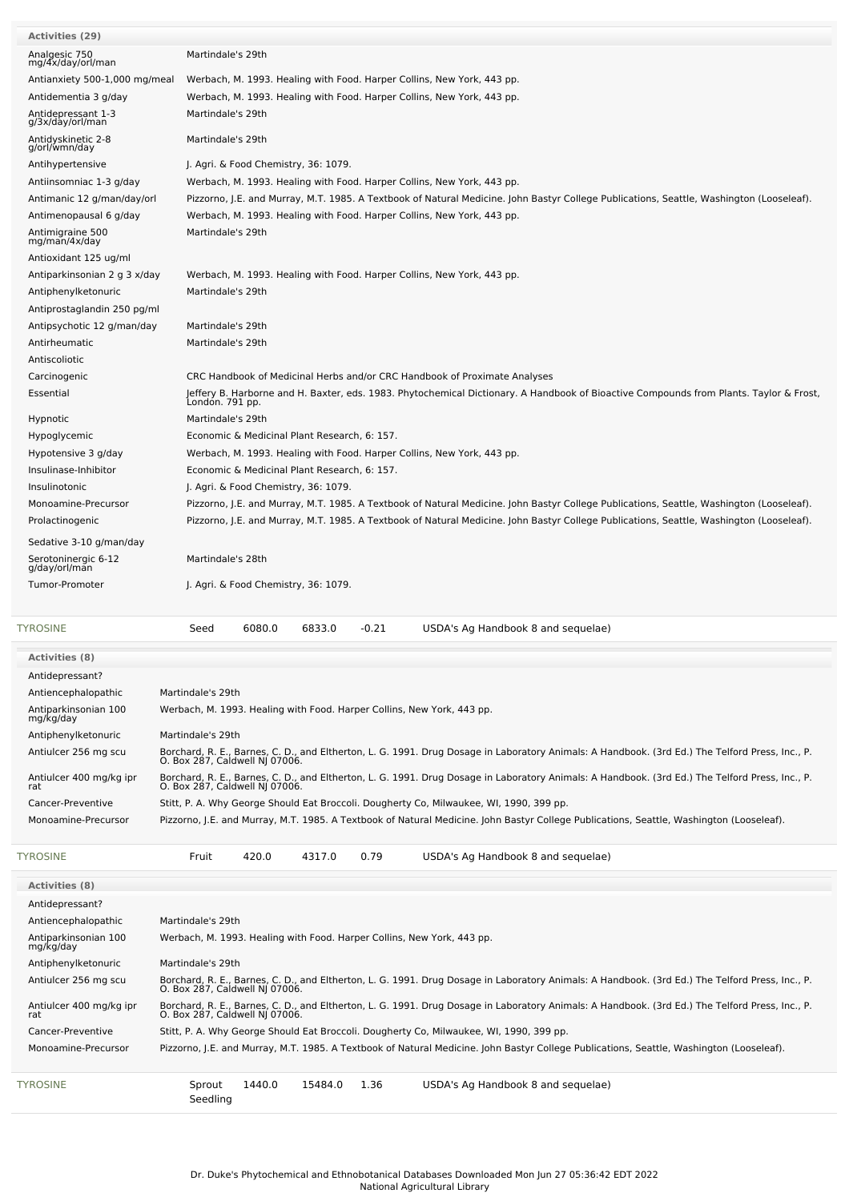| <b>Activities (29)</b>                   |                                                                                                                                                                                                                                                                                                                                                                                                                                                                                                                                                                                                                                                                                                              |        |                                              |         |                                                                                                                                          |  |  |  |
|------------------------------------------|--------------------------------------------------------------------------------------------------------------------------------------------------------------------------------------------------------------------------------------------------------------------------------------------------------------------------------------------------------------------------------------------------------------------------------------------------------------------------------------------------------------------------------------------------------------------------------------------------------------------------------------------------------------------------------------------------------------|--------|----------------------------------------------|---------|------------------------------------------------------------------------------------------------------------------------------------------|--|--|--|
| Analgesic 750<br>mg/4x/day/orl/man       | Martindale's 29th                                                                                                                                                                                                                                                                                                                                                                                                                                                                                                                                                                                                                                                                                            |        |                                              |         |                                                                                                                                          |  |  |  |
| Antianxiety 500-1,000 mg/meal            |                                                                                                                                                                                                                                                                                                                                                                                                                                                                                                                                                                                                                                                                                                              |        |                                              |         | Werbach, M. 1993. Healing with Food. Harper Collins, New York, 443 pp.                                                                   |  |  |  |
| Antidementia 3 g/day                     |                                                                                                                                                                                                                                                                                                                                                                                                                                                                                                                                                                                                                                                                                                              |        |                                              |         | Werbach, M. 1993. Healing with Food. Harper Collins, New York, 443 pp.                                                                   |  |  |  |
| Antidepressant 1-3<br>g/3x/day/orl/man   | Martindale's 29th                                                                                                                                                                                                                                                                                                                                                                                                                                                                                                                                                                                                                                                                                            |        |                                              |         |                                                                                                                                          |  |  |  |
| Antidyskinetic 2-8<br>g/orl/wmn/day      | Martindale's 29th                                                                                                                                                                                                                                                                                                                                                                                                                                                                                                                                                                                                                                                                                            |        |                                              |         |                                                                                                                                          |  |  |  |
| Antihypertensive                         |                                                                                                                                                                                                                                                                                                                                                                                                                                                                                                                                                                                                                                                                                                              |        | J. Agri. & Food Chemistry, 36: 1079.         |         |                                                                                                                                          |  |  |  |
| Antiinsomniac 1-3 g/day                  |                                                                                                                                                                                                                                                                                                                                                                                                                                                                                                                                                                                                                                                                                                              |        |                                              |         | Werbach, M. 1993. Healing with Food. Harper Collins, New York, 443 pp.                                                                   |  |  |  |
| Antimanic 12 g/man/day/orl               |                                                                                                                                                                                                                                                                                                                                                                                                                                                                                                                                                                                                                                                                                                              |        |                                              |         | Pizzorno, J.E. and Murray, M.T. 1985. A Textbook of Natural Medicine. John Bastyr College Publications, Seattle, Washington (Looseleaf). |  |  |  |
| Antimenopausal 6 g/day                   |                                                                                                                                                                                                                                                                                                                                                                                                                                                                                                                                                                                                                                                                                                              |        |                                              |         | Werbach, M. 1993. Healing with Food. Harper Collins, New York, 443 pp.                                                                   |  |  |  |
| Antimigraine 500<br>mg/man/4x/day        | Martindale's 29th                                                                                                                                                                                                                                                                                                                                                                                                                                                                                                                                                                                                                                                                                            |        |                                              |         |                                                                                                                                          |  |  |  |
| Antioxidant 125 ug/ml                    |                                                                                                                                                                                                                                                                                                                                                                                                                                                                                                                                                                                                                                                                                                              |        |                                              |         |                                                                                                                                          |  |  |  |
| Antiparkinsonian 2 g 3 x/day             |                                                                                                                                                                                                                                                                                                                                                                                                                                                                                                                                                                                                                                                                                                              |        |                                              |         | Werbach, M. 1993. Healing with Food. Harper Collins, New York, 443 pp.                                                                   |  |  |  |
| Antiphenylketonuric                      | Martindale's 29th                                                                                                                                                                                                                                                                                                                                                                                                                                                                                                                                                                                                                                                                                            |        |                                              |         |                                                                                                                                          |  |  |  |
| Antiprostaglandin 250 pg/ml              |                                                                                                                                                                                                                                                                                                                                                                                                                                                                                                                                                                                                                                                                                                              |        |                                              |         |                                                                                                                                          |  |  |  |
| Antipsychotic 12 g/man/day               | Martindale's 29th                                                                                                                                                                                                                                                                                                                                                                                                                                                                                                                                                                                                                                                                                            |        |                                              |         |                                                                                                                                          |  |  |  |
| Antirheumatic                            | Martindale's 29th                                                                                                                                                                                                                                                                                                                                                                                                                                                                                                                                                                                                                                                                                            |        |                                              |         |                                                                                                                                          |  |  |  |
| Antiscoliotic                            |                                                                                                                                                                                                                                                                                                                                                                                                                                                                                                                                                                                                                                                                                                              |        |                                              |         |                                                                                                                                          |  |  |  |
| Carcinogenic                             |                                                                                                                                                                                                                                                                                                                                                                                                                                                                                                                                                                                                                                                                                                              |        |                                              |         | CRC Handbook of Medicinal Herbs and/or CRC Handbook of Proximate Analyses                                                                |  |  |  |
| Essential                                | Londón. 791 pp.                                                                                                                                                                                                                                                                                                                                                                                                                                                                                                                                                                                                                                                                                              |        |                                              |         | Jeffery B. Harborne and H. Baxter, eds. 1983. Phytochemical Dictionary. A Handbook of Bioactive Compounds from Plants. Taylor & Frost,   |  |  |  |
| Hypnotic                                 | Martindale's 29th                                                                                                                                                                                                                                                                                                                                                                                                                                                                                                                                                                                                                                                                                            |        |                                              |         |                                                                                                                                          |  |  |  |
| Hypoglycemic                             |                                                                                                                                                                                                                                                                                                                                                                                                                                                                                                                                                                                                                                                                                                              |        | Economic & Medicinal Plant Research, 6: 157. |         |                                                                                                                                          |  |  |  |
| Hypotensive 3 g/day                      |                                                                                                                                                                                                                                                                                                                                                                                                                                                                                                                                                                                                                                                                                                              |        |                                              |         | Werbach, M. 1993. Healing with Food. Harper Collins, New York, 443 pp.                                                                   |  |  |  |
| Insulinase-Inhibitor                     |                                                                                                                                                                                                                                                                                                                                                                                                                                                                                                                                                                                                                                                                                                              |        | Economic & Medicinal Plant Research, 6: 157. |         |                                                                                                                                          |  |  |  |
| Insulinotonic                            |                                                                                                                                                                                                                                                                                                                                                                                                                                                                                                                                                                                                                                                                                                              |        | J. Agri. & Food Chemistry, 36: 1079.         |         |                                                                                                                                          |  |  |  |
| Monoamine-Precursor                      |                                                                                                                                                                                                                                                                                                                                                                                                                                                                                                                                                                                                                                                                                                              |        |                                              |         | Pizzorno, J.E. and Murray, M.T. 1985. A Textbook of Natural Medicine. John Bastyr College Publications, Seattle, Washington (Looseleaf). |  |  |  |
| Prolactinogenic                          |                                                                                                                                                                                                                                                                                                                                                                                                                                                                                                                                                                                                                                                                                                              |        |                                              |         | Pizzorno, J.E. and Murray, M.T. 1985. A Textbook of Natural Medicine. John Bastyr College Publications, Seattle, Washington (Looseleaf). |  |  |  |
| Sedative 3-10 g/man/day                  |                                                                                                                                                                                                                                                                                                                                                                                                                                                                                                                                                                                                                                                                                                              |        |                                              |         |                                                                                                                                          |  |  |  |
| Serotoninergic 6-12<br>g/day/orl/man     | Martindale's 28th                                                                                                                                                                                                                                                                                                                                                                                                                                                                                                                                                                                                                                                                                            |        |                                              |         |                                                                                                                                          |  |  |  |
| Tumor-Promoter                           | J. Agri. & Food Chemistry, 36: 1079.                                                                                                                                                                                                                                                                                                                                                                                                                                                                                                                                                                                                                                                                         |        |                                              |         |                                                                                                                                          |  |  |  |
| TYROSINE                                 | Seed                                                                                                                                                                                                                                                                                                                                                                                                                                                                                                                                                                                                                                                                                                         | 6080.0 | 6833.0                                       | $-0.21$ | USDA's Ag Handbook 8 and sequelae)                                                                                                       |  |  |  |
|                                          |                                                                                                                                                                                                                                                                                                                                                                                                                                                                                                                                                                                                                                                                                                              |        |                                              |         |                                                                                                                                          |  |  |  |
| <b>Activities (8)</b>                    |                                                                                                                                                                                                                                                                                                                                                                                                                                                                                                                                                                                                                                                                                                              |        |                                              |         |                                                                                                                                          |  |  |  |
| Antidepressant?                          |                                                                                                                                                                                                                                                                                                                                                                                                                                                                                                                                                                                                                                                                                                              |        |                                              |         |                                                                                                                                          |  |  |  |
| Antiencephalopathic<br>Martindale's 29th |                                                                                                                                                                                                                                                                                                                                                                                                                                                                                                                                                                                                                                                                                                              |        |                                              |         |                                                                                                                                          |  |  |  |
| Antiparkinsonian 100<br>mg/kg/day        | Werbach, M. 1993. Healing with Food. Harper Collins, New York, 443 pp.<br>Martindale's 29th<br>Borchard, R. E., Barnes, C. D., and Eltherton, L. G. 1991. Drug Dosage in Laboratory Animals: A Handbook. (3rd Ed.) The Telford Press, Inc., P.<br>O. Box 287, Caldwell NJ 07006.<br>Borchard, R. E., Barnes, C. D., and Eltherton, L. G. 1991. Drug Dosage in Laboratory Animals: A Handbook. (3rd Ed.) The Telford Press, Inc., P.<br>O. Box 287, Caldwell NJ 07006.<br>Stitt, P. A. Why George Should Eat Broccoli. Dougherty Co, Milwaukee, WI, 1990, 399 pp.<br>Pizzorno, J.E. and Murray, M.T. 1985. A Textbook of Natural Medicine. John Bastyr College Publications, Seattle, Washington (Looseleaf). |        |                                              |         |                                                                                                                                          |  |  |  |
| Antiphenylketonuric                      |                                                                                                                                                                                                                                                                                                                                                                                                                                                                                                                                                                                                                                                                                                              |        |                                              |         |                                                                                                                                          |  |  |  |
| Antiulcer 256 mg scu                     |                                                                                                                                                                                                                                                                                                                                                                                                                                                                                                                                                                                                                                                                                                              |        |                                              |         |                                                                                                                                          |  |  |  |
| Antiulcer 400 mg/kg ipr<br>rat           |                                                                                                                                                                                                                                                                                                                                                                                                                                                                                                                                                                                                                                                                                                              |        |                                              |         |                                                                                                                                          |  |  |  |
| Cancer-Preventive                        |                                                                                                                                                                                                                                                                                                                                                                                                                                                                                                                                                                                                                                                                                                              |        |                                              |         |                                                                                                                                          |  |  |  |
| Monoamine-Precursor                      |                                                                                                                                                                                                                                                                                                                                                                                                                                                                                                                                                                                                                                                                                                              |        |                                              |         |                                                                                                                                          |  |  |  |
| TYROSINE                                 | Fruit                                                                                                                                                                                                                                                                                                                                                                                                                                                                                                                                                                                                                                                                                                        | 420.0  | 4317.0                                       | 0.79    | USDA's Ag Handbook 8 and sequelae)                                                                                                       |  |  |  |
| <b>Activities (8)</b>                    |                                                                                                                                                                                                                                                                                                                                                                                                                                                                                                                                                                                                                                                                                                              |        |                                              |         |                                                                                                                                          |  |  |  |
| Antidepressant?                          |                                                                                                                                                                                                                                                                                                                                                                                                                                                                                                                                                                                                                                                                                                              |        |                                              |         |                                                                                                                                          |  |  |  |
| Antiencephalopathic                      | Martindale's 29th                                                                                                                                                                                                                                                                                                                                                                                                                                                                                                                                                                                                                                                                                            |        |                                              |         |                                                                                                                                          |  |  |  |
|                                          |                                                                                                                                                                                                                                                                                                                                                                                                                                                                                                                                                                                                                                                                                                              |        |                                              |         |                                                                                                                                          |  |  |  |

Antiulcer 256 mg scu Borchard, R. E., Barnes, C. D., and Eltherton, L. G. 1991. Drug Dosage in Laboratory Animals: A Handbook. (3rd Ed.) The Telford Press, Inc., P.<br>O. Box 287, Caldwell NJ 07006.

1440.0 15484.0 1.36 USDA's Ag Handbook 8 and sequelae)

Monoamine-Precursor Pizzorno, J.E. and Murray, M.T. 1985. A Textbook of Natural Medicine. John Bastyr College Publications, Seattle, Washington (Looseleaf).

Borchard, R. E., Barnes, C. D., and Eltherton, L. G. 1991. Drug Dosage in Laboratory Animals: A Handbook. (3rd Ed.) The Telford Press, Inc., P.<br>O. Box 287, Caldwell NJ 07006.

Werbach, M. 1993. Healing with Food. Harper Collins, New York, 443 pp.

Cancer-Preventive Stitt, P. A. Why George Should Eat Broccoli. Dougherty Co, Milwaukee, WI, 1990, 399 pp.

Antiparkinsonian <sup>100</sup> mg/kg/day

Antiulcer 400 mg/kg ipr rat

Antiphenylketonuric Martindale's 29th

[TYROSINE](file:///phytochem/chemicals/show/17640) Sprout

Seedling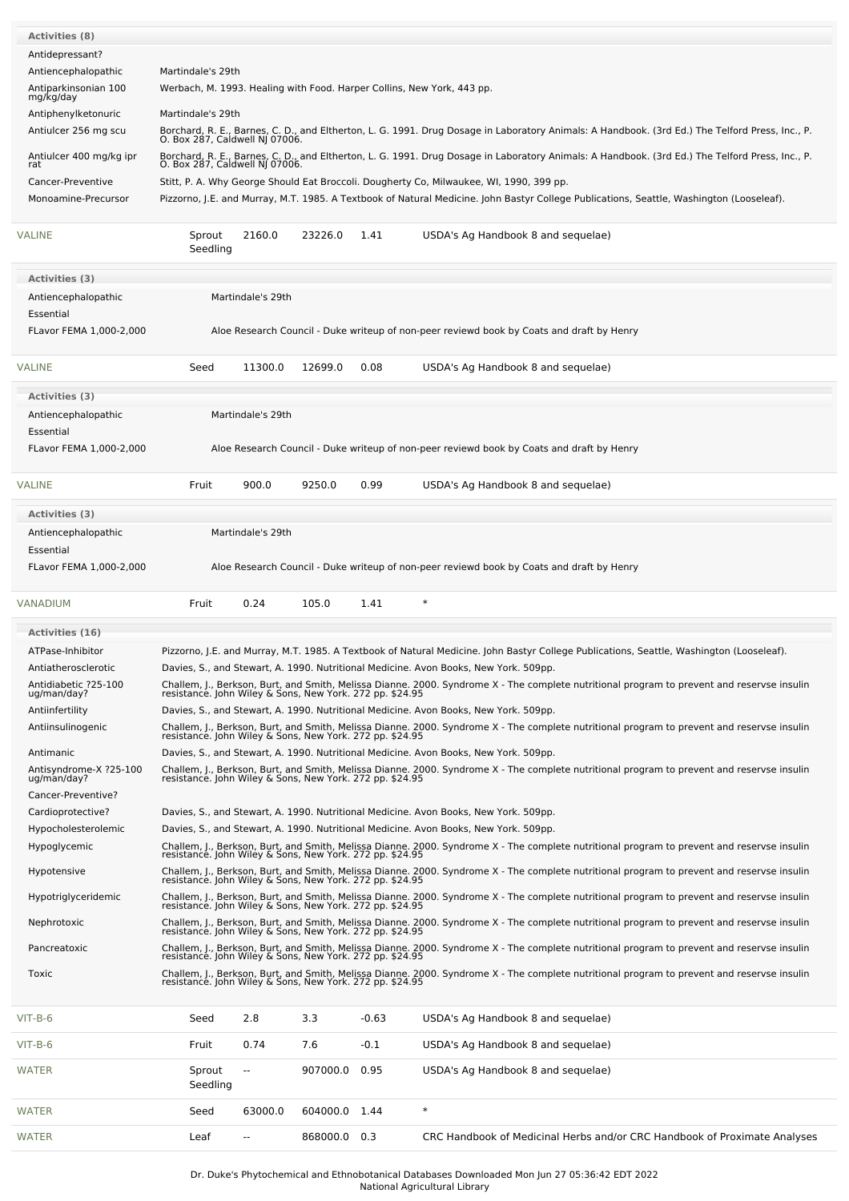| <b>Activities (8)</b>                 |                                                                                                                                                                                   |                          |          |         |                                                                                                                                                                                                                                                                                                                                                      |  |  |  |  |  |
|---------------------------------------|-----------------------------------------------------------------------------------------------------------------------------------------------------------------------------------|--------------------------|----------|---------|------------------------------------------------------------------------------------------------------------------------------------------------------------------------------------------------------------------------------------------------------------------------------------------------------------------------------------------------------|--|--|--|--|--|
| Antidepressant?                       |                                                                                                                                                                                   |                          |          |         |                                                                                                                                                                                                                                                                                                                                                      |  |  |  |  |  |
| Antiencephalopathic                   | Martindale's 29th                                                                                                                                                                 |                          |          |         |                                                                                                                                                                                                                                                                                                                                                      |  |  |  |  |  |
| Antiparkinsonian 100                  | Werbach, M. 1993. Healing with Food. Harper Collins, New York, 443 pp.                                                                                                            |                          |          |         |                                                                                                                                                                                                                                                                                                                                                      |  |  |  |  |  |
| mg/kg/day<br>Antiphenylketonuric      | Martindale's 29th                                                                                                                                                                 |                          |          |         |                                                                                                                                                                                                                                                                                                                                                      |  |  |  |  |  |
|                                       | Borchard, R. E., Barnes, C. D., and Eltherton, L. G. 1991. Drug Dosage in Laboratory Animals: A Handbook. (3rd Ed.) The Telford Press, Inc., P.                                   |                          |          |         |                                                                                                                                                                                                                                                                                                                                                      |  |  |  |  |  |
| Antiulcer 256 mg scu                  | O. Box 287, Caldwell NJ 07006.                                                                                                                                                    |                          |          |         |                                                                                                                                                                                                                                                                                                                                                      |  |  |  |  |  |
| Antiulcer 400 mg/kg ipr<br>rat        | Borchard, R. E., Barnes, C. D., and Eltherton, L. G. 1991. Drug Dosage in Laboratory Animals: A Handbook. (3rd Ed.) The Telford Press, Inc., P.<br>O. Box 287, Caldwell NJ 07006. |                          |          |         |                                                                                                                                                                                                                                                                                                                                                      |  |  |  |  |  |
| Cancer-Preventive                     |                                                                                                                                                                                   |                          |          |         | Stitt, P. A. Why George Should Eat Broccoli. Dougherty Co, Milwaukee, WI, 1990, 399 pp.                                                                                                                                                                                                                                                              |  |  |  |  |  |
| Monoamine-Precursor                   |                                                                                                                                                                                   |                          |          |         | Pizzorno, J.E. and Murray, M.T. 1985. A Textbook of Natural Medicine. John Bastyr College Publications, Seattle, Washington (Looseleaf).                                                                                                                                                                                                             |  |  |  |  |  |
| <b>VALINE</b>                         | Sprout<br>Seedling                                                                                                                                                                | 2160.0                   | 23226.0  | 1.41    | USDA's Ag Handbook 8 and sequelae)                                                                                                                                                                                                                                                                                                                   |  |  |  |  |  |
| <b>Activities (3)</b>                 |                                                                                                                                                                                   |                          |          |         |                                                                                                                                                                                                                                                                                                                                                      |  |  |  |  |  |
| Antiencephalopathic                   | Martindale's 29th                                                                                                                                                                 |                          |          |         |                                                                                                                                                                                                                                                                                                                                                      |  |  |  |  |  |
| Essential                             |                                                                                                                                                                                   |                          |          |         |                                                                                                                                                                                                                                                                                                                                                      |  |  |  |  |  |
| FLavor FEMA 1,000-2,000               |                                                                                                                                                                                   |                          |          |         | Aloe Research Council - Duke writeup of non-peer reviewd book by Coats and draft by Henry                                                                                                                                                                                                                                                            |  |  |  |  |  |
| VALINE                                | Seed                                                                                                                                                                              | 11300.0                  | 12699.0  | 0.08    | USDA's Ag Handbook 8 and sequelae)                                                                                                                                                                                                                                                                                                                   |  |  |  |  |  |
| Activities (3)                        |                                                                                                                                                                                   |                          |          |         |                                                                                                                                                                                                                                                                                                                                                      |  |  |  |  |  |
| Antiencephalopathic                   |                                                                                                                                                                                   | Martindale's 29th        |          |         |                                                                                                                                                                                                                                                                                                                                                      |  |  |  |  |  |
| Essential                             |                                                                                                                                                                                   |                          |          |         |                                                                                                                                                                                                                                                                                                                                                      |  |  |  |  |  |
| FLavor FEMA 1,000-2,000               |                                                                                                                                                                                   |                          |          |         | Aloe Research Council - Duke writeup of non-peer reviewd book by Coats and draft by Henry                                                                                                                                                                                                                                                            |  |  |  |  |  |
|                                       |                                                                                                                                                                                   |                          |          |         |                                                                                                                                                                                                                                                                                                                                                      |  |  |  |  |  |
| <b>VALINE</b>                         | Fruit                                                                                                                                                                             | 900.0                    | 9250.0   | 0.99    | USDA's Ag Handbook 8 and sequelae)                                                                                                                                                                                                                                                                                                                   |  |  |  |  |  |
| Activities (3)                        |                                                                                                                                                                                   |                          |          |         |                                                                                                                                                                                                                                                                                                                                                      |  |  |  |  |  |
| Antiencephalopathic                   |                                                                                                                                                                                   | Martindale's 29th        |          |         |                                                                                                                                                                                                                                                                                                                                                      |  |  |  |  |  |
| Essential                             |                                                                                                                                                                                   |                          |          |         |                                                                                                                                                                                                                                                                                                                                                      |  |  |  |  |  |
| FLavor FEMA 1,000-2,000               | Aloe Research Council - Duke writeup of non-peer reviewd book by Coats and draft by Henry                                                                                         |                          |          |         |                                                                                                                                                                                                                                                                                                                                                      |  |  |  |  |  |
|                                       |                                                                                                                                                                                   |                          |          |         |                                                                                                                                                                                                                                                                                                                                                      |  |  |  |  |  |
| VANADIUM                              | Fruit                                                                                                                                                                             | 0.24                     | 105.0    | 1.41    | $\ast$                                                                                                                                                                                                                                                                                                                                               |  |  |  |  |  |
|                                       |                                                                                                                                                                                   |                          |          |         |                                                                                                                                                                                                                                                                                                                                                      |  |  |  |  |  |
| <b>Activities (16)</b>                |                                                                                                                                                                                   |                          |          |         |                                                                                                                                                                                                                                                                                                                                                      |  |  |  |  |  |
| ATPase-Inhibitor                      |                                                                                                                                                                                   |                          |          |         | Pizzorno, J.E. and Murray, M.T. 1985. A Textbook of Natural Medicine. John Bastyr College Publications, Seattle, Washington (Looseleaf).                                                                                                                                                                                                             |  |  |  |  |  |
| Antiatherosclerotic                   |                                                                                                                                                                                   |                          |          |         | Davies, S., and Stewart, A. 1990. Nutritional Medicine. Avon Books, New York. 509pp.                                                                                                                                                                                                                                                                 |  |  |  |  |  |
| Antidiabetic ?25-100<br>ug/man/day?   |                                                                                                                                                                                   |                          |          |         | Challem, J., Berkson, Burt, and Smith, Melissa Dianne. 2000. Syndrome X - The complete nutritional program to prevent and reservse insulin<br>resistance. John Wiley & Sons, New York. 272 pp. \$24.95                                                                                                                                               |  |  |  |  |  |
| Antiinfertility                       |                                                                                                                                                                                   |                          |          |         | Davies, S., and Stewart, A. 1990. Nutritional Medicine. Avon Books, New York. 509pp.                                                                                                                                                                                                                                                                 |  |  |  |  |  |
| Antiinsulinogenic                     |                                                                                                                                                                                   |                          |          |         |                                                                                                                                                                                                                                                                                                                                                      |  |  |  |  |  |
|                                       |                                                                                                                                                                                   |                          |          |         | Challem, J., Berkson, Burt, and Smith, Melissa Dianne. 2000. Syndrome X - The complete nutritional program to prevent and reservse insulin<br>resistance. John Wiley & Sons, New York. 272 pp. \$24.95                                                                                                                                               |  |  |  |  |  |
| Antimanic                             |                                                                                                                                                                                   |                          |          |         | Davies, S., and Stewart, A. 1990. Nutritional Medicine. Avon Books, New York. 509pp.                                                                                                                                                                                                                                                                 |  |  |  |  |  |
| Antisyndrome-X ?25-100<br>ug/man/day? |                                                                                                                                                                                   |                          |          |         | Challem, J., Berkson, Burt, and Smith, Melissa Dianne. 2000. Syndrome X - The complete nutritional program to prevent and reservse insulin<br>resistance. John Wiley & Sons, New York. 272 pp. \$24.95                                                                                                                                               |  |  |  |  |  |
| Cancer-Preventive?                    |                                                                                                                                                                                   |                          |          |         |                                                                                                                                                                                                                                                                                                                                                      |  |  |  |  |  |
| Cardioprotective?                     |                                                                                                                                                                                   |                          |          |         | Davies, S., and Stewart, A. 1990. Nutritional Medicine. Avon Books, New York. 509pp.                                                                                                                                                                                                                                                                 |  |  |  |  |  |
| Hypocholesterolemic                   |                                                                                                                                                                                   |                          |          |         | Davies, S., and Stewart, A. 1990. Nutritional Medicine. Avon Books, New York. 509pp.                                                                                                                                                                                                                                                                 |  |  |  |  |  |
| Hypoglycemic                          |                                                                                                                                                                                   |                          |          |         |                                                                                                                                                                                                                                                                                                                                                      |  |  |  |  |  |
| Hypotensive                           | resistance. John Wiley & Sons, New York. 272 pp. \$24.95                                                                                                                          |                          |          |         | Challem, J., Berkson, Burt, and Smith, Melissa Dianne. 2000. Syndrome X - The complete nutritional program to prevent and reservse insulin<br>resistance. John Wiley & Sons, New York. 272 pp. \$24.95<br>Challem, J., Berkson, Burt, and Smith, Melissa Dianne. 2000. Syndrome X - The complete nutritional program to prevent and reservse insulin |  |  |  |  |  |
| Hypotriglyceridemic                   | resistance. John Wiley & Sons, New York. 272 pp. \$24.95                                                                                                                          |                          |          |         | Challem, J., Berkson, Burt, and Smith, Melissa Dianne. 2000. Syndrome X - The complete nutritional program to prevent and reservse insulin                                                                                                                                                                                                           |  |  |  |  |  |
| Nephrotoxic                           |                                                                                                                                                                                   |                          |          |         | Challem, J., Berkson, Burt, and Smith, Melissa Dianne. 2000. Syndrome X - The complete nutritional program to prevent and reservse insulin<br>resistance. John Wiley & Sons, New York. 272 pp. \$24.95                                                                                                                                               |  |  |  |  |  |
| Pancreatoxic                          | resistance. John Wiley & Sons, New York. 272 pp. \$24.95                                                                                                                          |                          |          |         | Challem, J., Berkson, Burt, and Smith, Melissa Dianne. 2000. Syndrome X - The complete nutritional program to prevent and reservse insulin                                                                                                                                                                                                           |  |  |  |  |  |
| Toxic                                 |                                                                                                                                                                                   |                          |          |         |                                                                                                                                                                                                                                                                                                                                                      |  |  |  |  |  |
|                                       |                                                                                                                                                                                   |                          |          |         | Challem, J., Berkson, Burt, and Smith, Melissa Dianne. 2000. Syndrome X - The complete nutritional program to prevent and reservse insulin<br>resistance. John Wiley & Sons, New York. 272 pp. \$24.95                                                                                                                                               |  |  |  |  |  |
| $VIT-B-6$                             | Seed                                                                                                                                                                              | 2.8                      | 3.3      | $-0.63$ | USDA's Ag Handbook 8 and sequelae)                                                                                                                                                                                                                                                                                                                   |  |  |  |  |  |
| VIT-B-6                               | Fruit                                                                                                                                                                             | 0.74                     | 7.6      | $-0.1$  | USDA's Ag Handbook 8 and sequelae)                                                                                                                                                                                                                                                                                                                   |  |  |  |  |  |
| WATER                                 | Sprout<br>Seedling                                                                                                                                                                | $\overline{\phantom{a}}$ | 907000.0 | 0.95    | USDA's Ag Handbook 8 and sequelae)                                                                                                                                                                                                                                                                                                                   |  |  |  |  |  |
| WATER                                 | Seed                                                                                                                                                                              | 63000.0                  | 604000.0 | 1.44    | $\ast$                                                                                                                                                                                                                                                                                                                                               |  |  |  |  |  |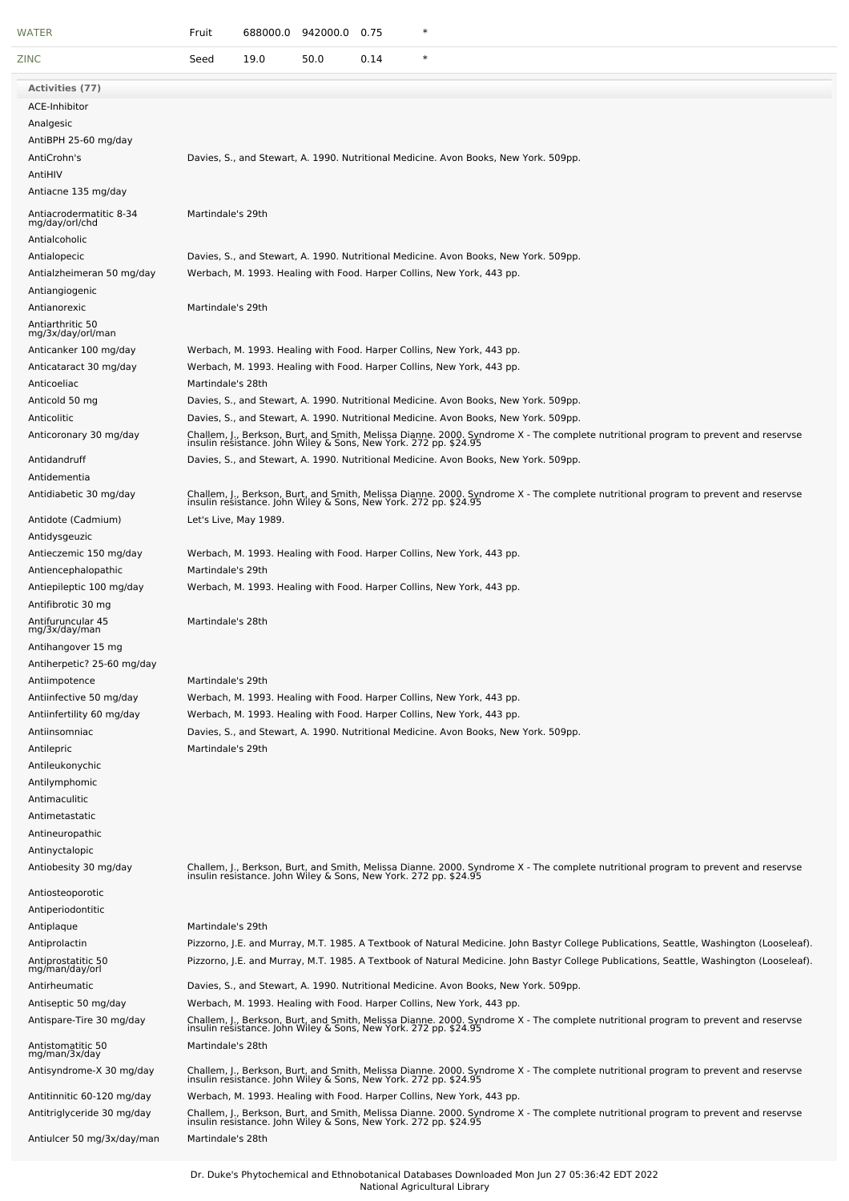| <b>WATER</b>                                                                                                                                                         | 688000.0<br>$\ast$<br>Fruit<br>942000.0 0.75                                                                                                                                                                                                                                                                                                                                                                                                                                                                    |
|----------------------------------------------------------------------------------------------------------------------------------------------------------------------|-----------------------------------------------------------------------------------------------------------------------------------------------------------------------------------------------------------------------------------------------------------------------------------------------------------------------------------------------------------------------------------------------------------------------------------------------------------------------------------------------------------------|
| <b>ZINC</b>                                                                                                                                                          | $\ast$<br>Seed<br>19.0<br>50.0<br>0.14                                                                                                                                                                                                                                                                                                                                                                                                                                                                          |
| Activities (77)                                                                                                                                                      |                                                                                                                                                                                                                                                                                                                                                                                                                                                                                                                 |
| ACE-Inhibitor<br>Analgesic<br>AntiBPH 25-60 mg/day<br>AntiCrohn's<br>AntiHIV                                                                                         | Davies, S., and Stewart, A. 1990. Nutritional Medicine. Avon Books, New York. 509pp.                                                                                                                                                                                                                                                                                                                                                                                                                            |
| Antiacne 135 mg/day                                                                                                                                                  |                                                                                                                                                                                                                                                                                                                                                                                                                                                                                                                 |
| Antiacrodermatitic 8-34<br>mg/day/orl/chd<br>Antialcoholic<br>Antialopecic<br>Antialzheimeran 50 mg/day                                                              | Martindale's 29th<br>Davies, S., and Stewart, A. 1990. Nutritional Medicine. Avon Books, New York. 509pp.<br>Werbach, M. 1993. Healing with Food. Harper Collins, New York, 443 pp.                                                                                                                                                                                                                                                                                                                             |
| Antiangiogenic<br>Antianorexic                                                                                                                                       | Martindale's 29th                                                                                                                                                                                                                                                                                                                                                                                                                                                                                               |
| Antiarthritic 50<br>mg/3x/day/orl/man<br>Anticanker 100 mg/day<br>Anticataract 30 mg/day<br>Anticoeliac                                                              | Werbach, M. 1993. Healing with Food. Harper Collins, New York, 443 pp.<br>Werbach, M. 1993. Healing with Food. Harper Collins, New York, 443 pp.<br>Martindale's 28th                                                                                                                                                                                                                                                                                                                                           |
| Anticold 50 mg<br>Anticolitic<br>Anticoronary 30 mg/day                                                                                                              | Davies, S., and Stewart, A. 1990. Nutritional Medicine. Avon Books, New York. 509pp.<br>Davies, S., and Stewart, A. 1990. Nutritional Medicine. Avon Books, New York. 509pp.<br>Challem, J., Berkson, Burt, and Smith, Melissa Dianne. 2000. Syndrome X - The complete nutritional program to prevent and reservse<br>insulin resistance. John Wiley & Sons, New York. 272 pp. \$24.95                                                                                                                          |
| Antidandruff<br>Antidementia<br>Antidiabetic 30 mg/day                                                                                                               | Davies, S., and Stewart, A. 1990. Nutritional Medicine. Avon Books, New York. 509pp.<br>Challem, J., Berkson, Burt, and Smith, Melissa Dianne. 2000. Syndrome X - The complete nutritional program to prevent and reservse<br>insulin resistance. John Wiley & Sons, New York. 272 pp. \$24.95                                                                                                                                                                                                                  |
| Antidote (Cadmium)<br>Antidysgeuzic<br>Antieczemic 150 mg/day                                                                                                        | Let's Live, May 1989.<br>Werbach, M. 1993. Healing with Food. Harper Collins, New York, 443 pp.                                                                                                                                                                                                                                                                                                                                                                                                                 |
| Antiencephalopathic<br>Antiepileptic 100 mg/day<br>Antifibrotic 30 mg                                                                                                | Martindale's 29th<br>Werbach, M. 1993. Healing with Food. Harper Collins, New York, 443 pp.                                                                                                                                                                                                                                                                                                                                                                                                                     |
| Antifuruncular 45<br>mg/3x/day/man<br>Antihangover 15 mg                                                                                                             | Martindale's 28th                                                                                                                                                                                                                                                                                                                                                                                                                                                                                               |
| Antiherpetic? 25-60 mg/day<br>Antiimpotence<br>Antiinfective 50 mg/day                                                                                               | Martindale's 29th<br>Werbach, M. 1993. Healing with Food. Harper Collins, New York, 443 pp.                                                                                                                                                                                                                                                                                                                                                                                                                     |
| Antiinfertility 60 mg/day<br>Antiinsomniac<br>Antilepric<br>Antileukonychic<br>Antilymphomic<br>Antimaculitic<br>Antimetastatic<br>Antineuropathic<br>Antinyctalopic | Werbach, M. 1993. Healing with Food. Harper Collins, New York, 443 pp.<br>Davies, S., and Stewart, A. 1990. Nutritional Medicine. Avon Books, New York. 509pp.<br>Martindale's 29th                                                                                                                                                                                                                                                                                                                             |
| Antiobesity 30 mg/day<br>Antiosteoporotic                                                                                                                            | Challem, J., Berkson, Burt, and Smith, Melissa Dianne. 2000. Syndrome X - The complete nutritional program to prevent and reservse<br>insulin resistance. John Wiley & Sons, New York. 272 pp. \$24.95                                                                                                                                                                                                                                                                                                          |
| Antiperiodontitic<br>Antiplaque<br>Antiprolactin<br>Antiprostatitic 50<br>mg/man/day/orl                                                                             | Martindale's 29th<br>Pizzorno, J.E. and Murray, M.T. 1985. A Textbook of Natural Medicine. John Bastyr College Publications, Seattle, Washington (Looseleaf).<br>Pizzorno, J.E. and Murray, M.T. 1985. A Textbook of Natural Medicine. John Bastyr College Publications, Seattle, Washington (Looseleaf).                                                                                                                                                                                                       |
| Antirheumatic<br>Antiseptic 50 mg/day<br>Antispare-Tire 30 mg/day                                                                                                    | Davies, S., and Stewart, A. 1990. Nutritional Medicine. Avon Books, New York. 509pp.<br>Werbach, M. 1993. Healing with Food. Harper Collins, New York, 443 pp.<br>Challem, J., Berkson, Burt, and Smith, Melissa Dianne. 2000. Syndrome X - The complete nutritional program to prevent and reservse<br>insulin resistance. John Wiley & Sons, New York. 272 pp. \$24.95<br>Martindale's 28th                                                                                                                   |
| Antistomatitic 50<br>mg/man/3x/day<br>Antisyndrome-X 30 mg/day<br>Antitinnitic 60-120 mg/day<br>Antitriglyceride 30 mg/day<br>Antiulcer 50 mg/3x/day/man             | Challem, J., Berkson, Burt, and Smith, Melissa Dianne. 2000. Syndrome X - The complete nutritional program to prevent and reservse<br>insulin resistance. John Wiley & Sons, New York. 272 pp. \$24.95<br>Werbach, M. 1993. Healing with Food. Harper Collins, New York, 443 pp.<br>Challem, J., Berkson, Burt, and Smith, Melissa Dianne. 2000. Syndrome X - The complete nutritional program to prevent and reservse<br>insulin resistance. John Wiley & Sons, New York. 272 pp. \$24.95<br>Martindale's 28th |
|                                                                                                                                                                      |                                                                                                                                                                                                                                                                                                                                                                                                                                                                                                                 |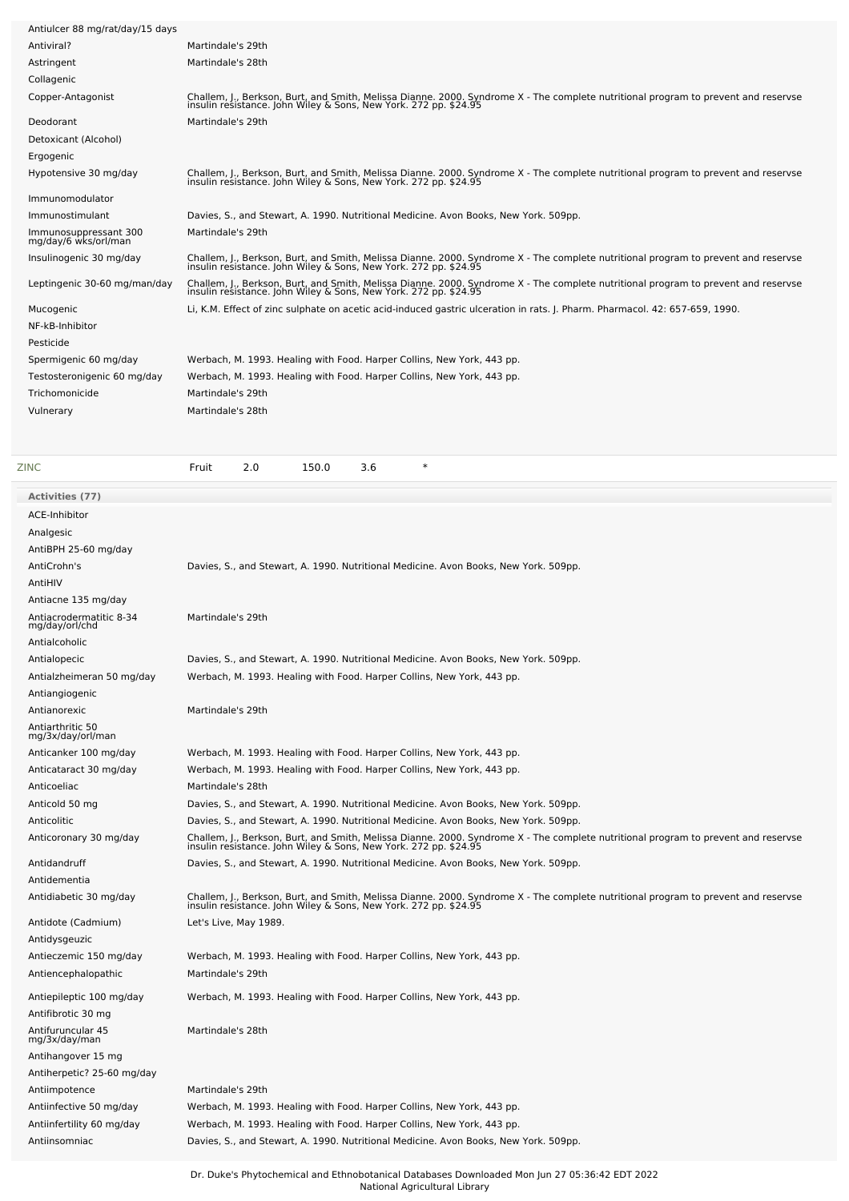| Antiulcer 88 mg/rat/day/15 days                                  |                                                                                                                                                                                                                                                                                                |
|------------------------------------------------------------------|------------------------------------------------------------------------------------------------------------------------------------------------------------------------------------------------------------------------------------------------------------------------------------------------|
| Antiviral?                                                       | Martindale's 29th                                                                                                                                                                                                                                                                              |
| Astringent                                                       | Martindale's 28th                                                                                                                                                                                                                                                                              |
| Collagenic                                                       |                                                                                                                                                                                                                                                                                                |
| Copper-Antagonist                                                | Challem, J., Berkson, Burt, and Smith, Melissa Dianne. 2000. Syndrome X - The complete nutritional program to prevent and reservse<br>insulin resistance. John Wiley & Sons, New York. 272 pp. \$24.95                                                                                         |
|                                                                  |                                                                                                                                                                                                                                                                                                |
| Deodorant                                                        | Martindale's 29th                                                                                                                                                                                                                                                                              |
| Detoxicant (Alcohol)                                             |                                                                                                                                                                                                                                                                                                |
| Ergogenic                                                        |                                                                                                                                                                                                                                                                                                |
| Hypotensive 30 mg/day                                            | Challem, J., Berkson, Burt, and Smith, Melissa Dianne. 2000. Syndrome X - The complete nutritional program to prevent and reservse<br>insulin resistance. John Wiley & Sons, New York. 272 pp. \$24.95                                                                                         |
| Immunomodulator                                                  |                                                                                                                                                                                                                                                                                                |
| Immunostimulant                                                  | Davies, S., and Stewart, A. 1990. Nutritional Medicine. Avon Books, New York. 509pp.                                                                                                                                                                                                           |
| Immunosuppressant 300                                            | Martindale's 29th                                                                                                                                                                                                                                                                              |
| mg/day/6 wks/orl/man<br>Insulinogenic 30 mg/day                  | Challem, J., Berkson, Burt, and Smith, Melissa Dianne. 2000. Syndrome X - The complete nutritional program to prevent and reservse<br>insulin resistance. John Wiley & Sons, New York. 272 pp. \$24.95                                                                                         |
| Leptingenic 30-60 mg/man/day                                     | Challem, J., Berkson, Burt, and Smith, Melissa Dianne. 2000. Syndrome X - The complete nutritional program to prevent and reservse<br>insulin resistance. John Wiley & Sons, New York. 272 pp. \$24.95                                                                                         |
| Mucogenic                                                        | Li, K.M. Effect of zinc sulphate on acetic acid-induced gastric ulceration in rats. J. Pharm. Pharmacol. 42: 657-659, 1990.                                                                                                                                                                    |
| NF-kB-Inhibitor                                                  |                                                                                                                                                                                                                                                                                                |
| Pesticide                                                        |                                                                                                                                                                                                                                                                                                |
|                                                                  |                                                                                                                                                                                                                                                                                                |
| Spermigenic 60 mg/day                                            | Werbach, M. 1993. Healing with Food. Harper Collins, New York, 443 pp.                                                                                                                                                                                                                         |
| Testosteronigenic 60 mg/day                                      | Werbach, M. 1993. Healing with Food. Harper Collins, New York, 443 pp.                                                                                                                                                                                                                         |
| Trichomonicide                                                   | Martindale's 29th                                                                                                                                                                                                                                                                              |
| Vulnerary                                                        | Martindale's 28th                                                                                                                                                                                                                                                                              |
|                                                                  |                                                                                                                                                                                                                                                                                                |
|                                                                  |                                                                                                                                                                                                                                                                                                |
| ZINC                                                             | $\ast$<br>2.0<br>150.0<br>3.6<br>Fruit                                                                                                                                                                                                                                                         |
| Activities (77)                                                  |                                                                                                                                                                                                                                                                                                |
| ACE-Inhibitor                                                    |                                                                                                                                                                                                                                                                                                |
| Analgesic                                                        |                                                                                                                                                                                                                                                                                                |
| AntiBPH 25-60 mg/day                                             |                                                                                                                                                                                                                                                                                                |
| AntiCrohn's                                                      | Davies, S., and Stewart, A. 1990. Nutritional Medicine. Avon Books, New York. 509pp.                                                                                                                                                                                                           |
| AntiHIV                                                          |                                                                                                                                                                                                                                                                                                |
|                                                                  |                                                                                                                                                                                                                                                                                                |
|                                                                  |                                                                                                                                                                                                                                                                                                |
| Antiacne 135 mg/day<br>Antiacrodermatitic 8-34<br>mg/day/orl/chd | Martindale's 29th                                                                                                                                                                                                                                                                              |
| Antialcoholic                                                    |                                                                                                                                                                                                                                                                                                |
| Antialopecic                                                     |                                                                                                                                                                                                                                                                                                |
|                                                                  | Davies, S., and Stewart, A. 1990. Nutritional Medicine. Avon Books, New York. 509pp.                                                                                                                                                                                                           |
| Antialzheimeran 50 mg/day                                        | Werbach, M. 1993. Healing with Food. Harper Collins, New York, 443 pp.                                                                                                                                                                                                                         |
| Antiangiogenic                                                   |                                                                                                                                                                                                                                                                                                |
| Antianorexic                                                     | Martindale's 29th                                                                                                                                                                                                                                                                              |
| Antiarthritic 50<br>mg/3x/day/orl/man                            |                                                                                                                                                                                                                                                                                                |
|                                                                  |                                                                                                                                                                                                                                                                                                |
| Anticanker 100 mg/day                                            | Werbach, M. 1993. Healing with Food. Harper Collins, New York, 443 pp.                                                                                                                                                                                                                         |
| Anticataract 30 mg/day                                           | Werbach, M. 1993. Healing with Food. Harper Collins, New York, 443 pp.                                                                                                                                                                                                                         |
| Anticoeliac                                                      | Martindale's 28th                                                                                                                                                                                                                                                                              |
| Anticold 50 mg                                                   | Davies, S., and Stewart, A. 1990. Nutritional Medicine. Avon Books, New York. 509pp.                                                                                                                                                                                                           |
| Anticolitic<br>Anticoronary 30 mg/day                            | Davies, S., and Stewart, A. 1990. Nutritional Medicine. Avon Books, New York. 509pp.                                                                                                                                                                                                           |
| Antidandruff                                                     | Challem, J., Berkson, Burt, and Smith, Melissa Dianne. 2000. Syndrome X - The complete nutritional program to prevent and reservse<br>insulin resistance. John Wiley & Sons, New York. 272 pp. \$24.95<br>Davies, S., and Stewart, A. 1990. Nutritional Medicine. Avon Books, New York. 509pp. |
| Antidementia                                                     |                                                                                                                                                                                                                                                                                                |
|                                                                  |                                                                                                                                                                                                                                                                                                |
| Antidiabetic 30 mg/day                                           | Challem, J., Berkson, Burt, and Smith, Melissa Dianne. 2000. Syndrome X - The complete nutritional program to prevent and reservse<br>insulin resistance. John Wiley & Sons, New York. 272 pp. \$24.95                                                                                         |
| Antidote (Cadmium)<br>Antidysgeuzic                              | Let's Live, May 1989.                                                                                                                                                                                                                                                                          |
|                                                                  |                                                                                                                                                                                                                                                                                                |
| Antieczemic 150 mg/day                                           | Werbach, M. 1993. Healing with Food. Harper Collins, New York, 443 pp.                                                                                                                                                                                                                         |
| Antiencephalopathic                                              | Martindale's 29th                                                                                                                                                                                                                                                                              |
| Antiepileptic 100 mg/day<br>Antifibrotic 30 mg                   | Werbach, M. 1993. Healing with Food. Harper Collins, New York, 443 pp.                                                                                                                                                                                                                         |
|                                                                  |                                                                                                                                                                                                                                                                                                |
| Antifuruncular 45<br>mg/3x/day/man                               | Martindale's 28th                                                                                                                                                                                                                                                                              |
| Antihangover 15 mg                                               |                                                                                                                                                                                                                                                                                                |
| Antiherpetic? 25-60 mg/day                                       |                                                                                                                                                                                                                                                                                                |
| Antiimpotence                                                    | Martindale's 29th                                                                                                                                                                                                                                                                              |
| Antiinfective 50 mg/day                                          | Werbach, M. 1993. Healing with Food. Harper Collins, New York, 443 pp.                                                                                                                                                                                                                         |
| Antiinfertility 60 mg/day                                        | Werbach, M. 1993. Healing with Food. Harper Collins, New York, 443 pp.                                                                                                                                                                                                                         |
| Antiinsomniac                                                    | Davies, S., and Stewart, A. 1990. Nutritional Medicine. Avon Books, New York. 509pp.                                                                                                                                                                                                           |